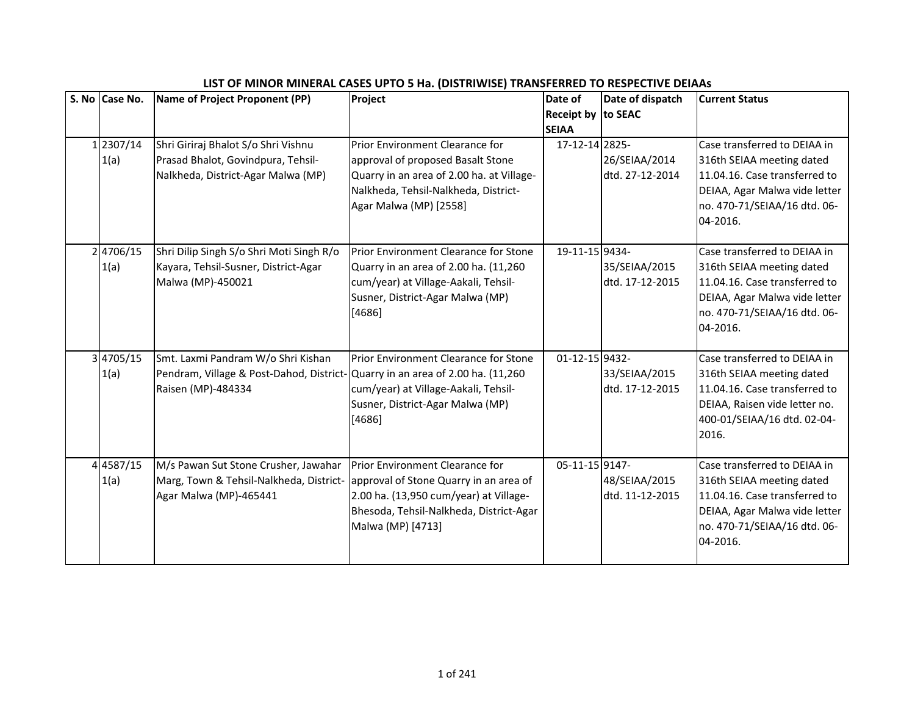| S. No Case No.    | Name of Project Proponent (PP)                                                                                                                   | Project                                                                                                                                                                             | Date of<br>Receipt by to SEAC<br><b>SEIAA</b> | Date of dispatch                 | <b>Current Status</b>                                                                                                                                                   |
|-------------------|--------------------------------------------------------------------------------------------------------------------------------------------------|-------------------------------------------------------------------------------------------------------------------------------------------------------------------------------------|-----------------------------------------------|----------------------------------|-------------------------------------------------------------------------------------------------------------------------------------------------------------------------|
| 1 2307/14<br>1(a) | Shri Giriraj Bhalot S/o Shri Vishnu<br>Prasad Bhalot, Govindpura, Tehsil-<br>Nalkheda, District-Agar Malwa (MP)                                  | Prior Environment Clearance for<br>approval of proposed Basalt Stone<br>Quarry in an area of 2.00 ha. at Village-<br>Nalkheda, Tehsil-Nalkheda, District-<br>Agar Malwa (MP) [2558] | 17-12-14 2825-                                | 26/SEIAA/2014<br>dtd. 27-12-2014 | Case transferred to DEIAA in<br>316th SEIAA meeting dated<br>11.04.16. Case transferred to<br>DEIAA, Agar Malwa vide letter<br>no. 470-71/SEIAA/16 dtd. 06-<br>04-2016. |
| 24706/15<br>1(a)  | Shri Dilip Singh S/o Shri Moti Singh R/o<br>Kayara, Tehsil-Susner, District-Agar<br>Malwa (MP)-450021                                            | Prior Environment Clearance for Stone<br>Quarry in an area of 2.00 ha. (11,260<br>cum/year) at Village-Aakali, Tehsil-<br>Susner, District-Agar Malwa (MP)<br>[4686]                | 19-11-15 9434-                                | 35/SEIAA/2015<br>dtd. 17-12-2015 | Case transferred to DEIAA in<br>316th SEIAA meeting dated<br>11.04.16. Case transferred to<br>DEIAA, Agar Malwa vide letter<br>no. 470-71/SEIAA/16 dtd. 06-<br>04-2016. |
| 34705/15<br>1(a)  | Smt. Laxmi Pandram W/o Shri Kishan<br>Pendram, Village & Post-Dahod, District- Quarry in an area of 2.00 ha. (11,260<br>Raisen (MP)-484334       | Prior Environment Clearance for Stone<br>cum/year) at Village-Aakali, Tehsil-<br>Susner, District-Agar Malwa (MP)<br>[4686]                                                         | 01-12-15 9432-                                | 33/SEIAA/2015<br>dtd. 17-12-2015 | Case transferred to DEIAA in<br>316th SEIAA meeting dated<br>11.04.16. Case transferred to<br>DEIAA, Raisen vide letter no.<br>400-01/SEIAA/16 dtd. 02-04-<br>2016.     |
| 44587/15<br>1(a)  | M/s Pawan Sut Stone Crusher, Jawahar<br>Marg, Town & Tehsil-Nalkheda, District- approval of Stone Quarry in an area of<br>Agar Malwa (MP)-465441 | Prior Environment Clearance for<br>2.00 ha. (13,950 cum/year) at Village-<br>Bhesoda, Tehsil-Nalkheda, District-Agar<br>Malwa (MP) [4713]                                           | 05-11-15 9147-                                | 48/SEIAA/2015<br>dtd. 11-12-2015 | Case transferred to DEIAA in<br>316th SEIAA meeting dated<br>11.04.16. Case transferred to<br>DEIAA, Agar Malwa vide letter<br>no. 470-71/SEIAA/16 dtd. 06-<br>04-2016. |

## **LIST OF MINOR MINERAL CASES UPTO 5 Ha. (DISTRIWISE) TRANSFERRED TO RESPECTIVE DEIAAs**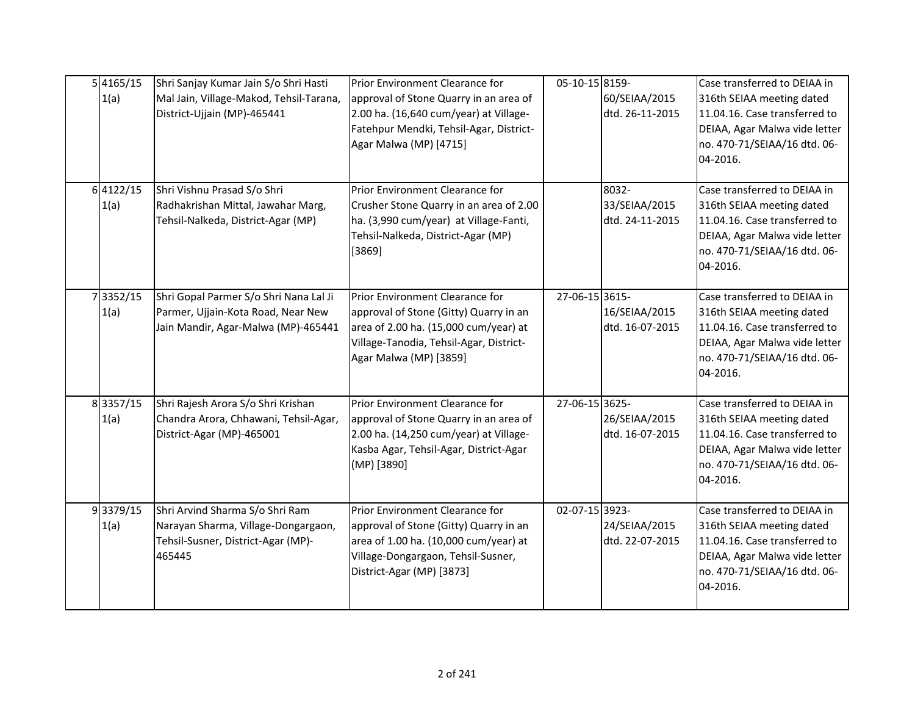| 54165/15<br>1(a)  | Shri Sanjay Kumar Jain S/o Shri Hasti<br>Mal Jain, Village-Makod, Tehsil-Tarana,<br>District-Ujjain (MP)-465441        | Prior Environment Clearance for<br>approval of Stone Quarry in an area of<br>2.00 ha. (16,640 cum/year) at Village-<br>Fatehpur Mendki, Tehsil-Agar, District-<br>Agar Malwa (MP) [4715] | 05-10-15 8159- | 60/SEIAA/2015<br>dtd. 26-11-2015          | Case transferred to DEIAA in<br>316th SEIAA meeting dated<br>11.04.16. Case transferred to<br>DEIAA, Agar Malwa vide letter<br>no. 470-71/SEIAA/16 dtd. 06-<br>04-2016. |
|-------------------|------------------------------------------------------------------------------------------------------------------------|------------------------------------------------------------------------------------------------------------------------------------------------------------------------------------------|----------------|-------------------------------------------|-------------------------------------------------------------------------------------------------------------------------------------------------------------------------|
| 64122/15<br>1(a)  | Shri Vishnu Prasad S/o Shri<br>Radhakrishan Mittal, Jawahar Marg,<br>Tehsil-Nalkeda, District-Agar (MP)                | Prior Environment Clearance for<br>Crusher Stone Quarry in an area of 2.00<br>ha. (3,990 cum/year) at Village-Fanti,<br>Tehsil-Nalkeda, District-Agar (MP)<br>[3869]                     |                | 8032-<br>33/SEIAA/2015<br>dtd. 24-11-2015 | Case transferred to DEIAA in<br>316th SEIAA meeting dated<br>11.04.16. Case transferred to<br>DEIAA, Agar Malwa vide letter<br>no. 470-71/SEIAA/16 dtd. 06-<br>04-2016. |
| 73352/15<br>1(a)  | Shri Gopal Parmer S/o Shri Nana Lal Ji<br>Parmer, Ujjain-Kota Road, Near New<br>Jain Mandir, Agar-Malwa (MP)-465441    | Prior Environment Clearance for<br>approval of Stone (Gitty) Quarry in an<br>area of 2.00 ha. (15,000 cum/year) at<br>Village-Tanodia, Tehsil-Agar, District-<br>Agar Malwa (MP) [3859]  | 27-06-15 3615- | 16/SEIAA/2015<br>dtd. 16-07-2015          | Case transferred to DEIAA in<br>316th SEIAA meeting dated<br>11.04.16. Case transferred to<br>DEIAA, Agar Malwa vide letter<br>no. 470-71/SEIAA/16 dtd. 06-<br>04-2016. |
| 8 3357/15<br>1(a) | Shri Rajesh Arora S/o Shri Krishan<br>Chandra Arora, Chhawani, Tehsil-Agar,<br>District-Agar (MP)-465001               | Prior Environment Clearance for<br>approval of Stone Quarry in an area of<br>2.00 ha. (14,250 cum/year) at Village-<br>Kasba Agar, Tehsil-Agar, District-Agar<br>(MP) [3890]             | 27-06-15 3625- | 26/SEIAA/2015<br>dtd. 16-07-2015          | Case transferred to DEIAA in<br>316th SEIAA meeting dated<br>11.04.16. Case transferred to<br>DEIAA, Agar Malwa vide letter<br>no. 470-71/SEIAA/16 dtd. 06-<br>04-2016. |
| 93379/15<br>1(a)  | Shri Arvind Sharma S/o Shri Ram<br>Narayan Sharma, Village-Dongargaon,<br>Tehsil-Susner, District-Agar (MP)-<br>465445 | Prior Environment Clearance for<br>approval of Stone (Gitty) Quarry in an<br>area of 1.00 ha. (10,000 cum/year) at<br>Village-Dongargaon, Tehsil-Susner,<br>District-Agar (MP) [3873]    | 02-07-15 3923- | 24/SEIAA/2015<br>dtd. 22-07-2015          | Case transferred to DEIAA in<br>316th SEIAA meeting dated<br>11.04.16. Case transferred to<br>DEIAA, Agar Malwa vide letter<br>no. 470-71/SEIAA/16 dtd. 06-<br>04-2016. |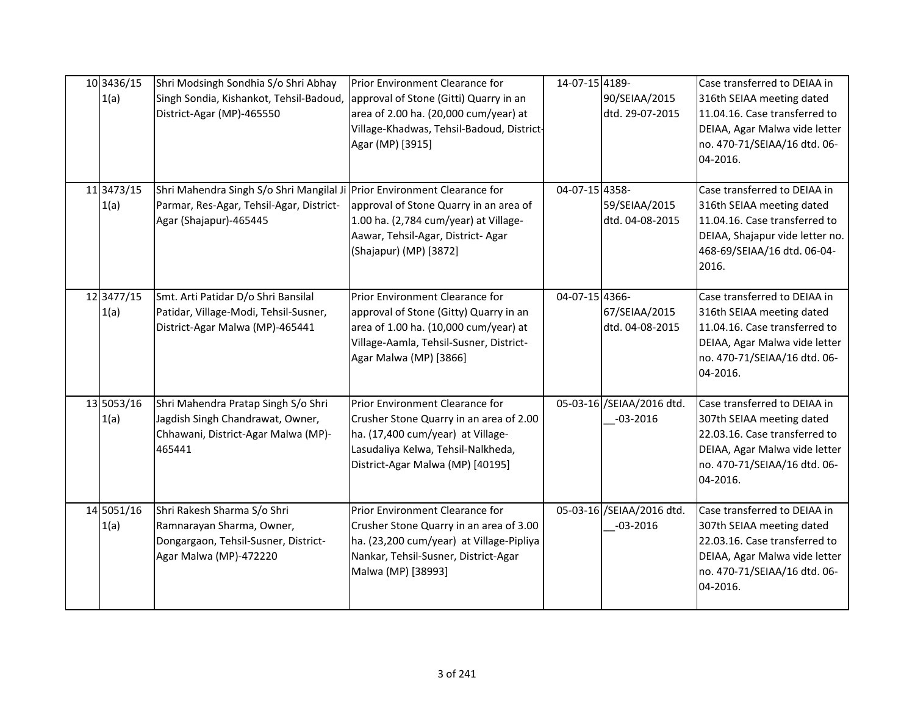| 10 3436/15<br>1(a) | Shri Modsingh Sondhia S/o Shri Abhay<br>Singh Sondia, Kishankot, Tehsil-Badoud,<br>District-Agar (MP)-465550               | Prior Environment Clearance for<br>approval of Stone (Gitti) Quarry in an<br>area of 2.00 ha. (20,000 cum/year) at<br>Village-Khadwas, Tehsil-Badoud, District-<br>Agar (MP) [3915]       | 14-07-15 4189- | 90/SEIAA/2015<br>dtd. 29-07-2015          | Case transferred to DEIAA in<br>316th SEIAA meeting dated<br>11.04.16. Case transferred to<br>DEIAA, Agar Malwa vide letter<br>no. 470-71/SEIAA/16 dtd. 06-<br>04-2016. |
|--------------------|----------------------------------------------------------------------------------------------------------------------------|-------------------------------------------------------------------------------------------------------------------------------------------------------------------------------------------|----------------|-------------------------------------------|-------------------------------------------------------------------------------------------------------------------------------------------------------------------------|
| 11 3473/15<br>1(a) | Shri Mahendra Singh S/o Shri Mangilal Ji<br>Parmar, Res-Agar, Tehsil-Agar, District-<br>Agar (Shajapur)-465445             | Prior Environment Clearance for<br>approval of Stone Quarry in an area of<br>1.00 ha. (2,784 cum/year) at Village-<br>Aawar, Tehsil-Agar, District-Agar<br>(Shajapur) (MP) [3872]         | 04-07-15 4358- | 59/SEIAA/2015<br>dtd. 04-08-2015          | Case transferred to DEIAA in<br>316th SEIAA meeting dated<br>11.04.16. Case transferred to<br>DEIAA, Shajapur vide letter no.<br>468-69/SEIAA/16 dtd. 06-04-<br>2016.   |
| 12 3477/15<br>1(a) | Smt. Arti Patidar D/o Shri Bansilal<br>Patidar, Village-Modi, Tehsil-Susner,<br>District-Agar Malwa (MP)-465441            | Prior Environment Clearance for<br>approval of Stone (Gitty) Quarry in an<br>area of 1.00 ha. (10,000 cum/year) at<br>Village-Aamla, Tehsil-Susner, District-<br>Agar Malwa (MP) [3866]   | 04-07-15 4366- | 67/SEIAA/2015<br>dtd. 04-08-2015          | Case transferred to DEIAA in<br>316th SEIAA meeting dated<br>11.04.16. Case transferred to<br>DEIAA, Agar Malwa vide letter<br>no. 470-71/SEIAA/16 dtd. 06-<br>04-2016. |
| 13 5053/16<br>1(a) | Shri Mahendra Pratap Singh S/o Shri<br>Jagdish Singh Chandrawat, Owner,<br>Chhawani, District-Agar Malwa (MP)-<br>465441   | Prior Environment Clearance for<br>Crusher Stone Quarry in an area of 2.00<br>ha. (17,400 cum/year) at Village-<br>Lasudaliya Kelwa, Tehsil-Nalkheda,<br>District-Agar Malwa (MP) [40195] |                | 05-03-16 /SEIAA/2016 dtd.<br>$-03 - 2016$ | Case transferred to DEIAA in<br>307th SEIAA meeting dated<br>22.03.16. Case transferred to<br>DEIAA, Agar Malwa vide letter<br>no. 470-71/SEIAA/16 dtd. 06-<br>04-2016. |
| 14 5051/16<br>1(a) | Shri Rakesh Sharma S/o Shri<br>Ramnarayan Sharma, Owner,<br>Dongargaon, Tehsil-Susner, District-<br>Agar Malwa (MP)-472220 | Prior Environment Clearance for<br>Crusher Stone Quarry in an area of 3.00<br>ha. (23,200 cum/year) at Village-Pipliya<br>Nankar, Tehsil-Susner, District-Agar<br>Malwa (MP) [38993]      |                | 05-03-16 /SEIAA/2016 dtd.<br>$-03 - 2016$ | Case transferred to DEIAA in<br>307th SEIAA meeting dated<br>22.03.16. Case transferred to<br>DEIAA, Agar Malwa vide letter<br>no. 470-71/SEIAA/16 dtd. 06-<br>04-2016. |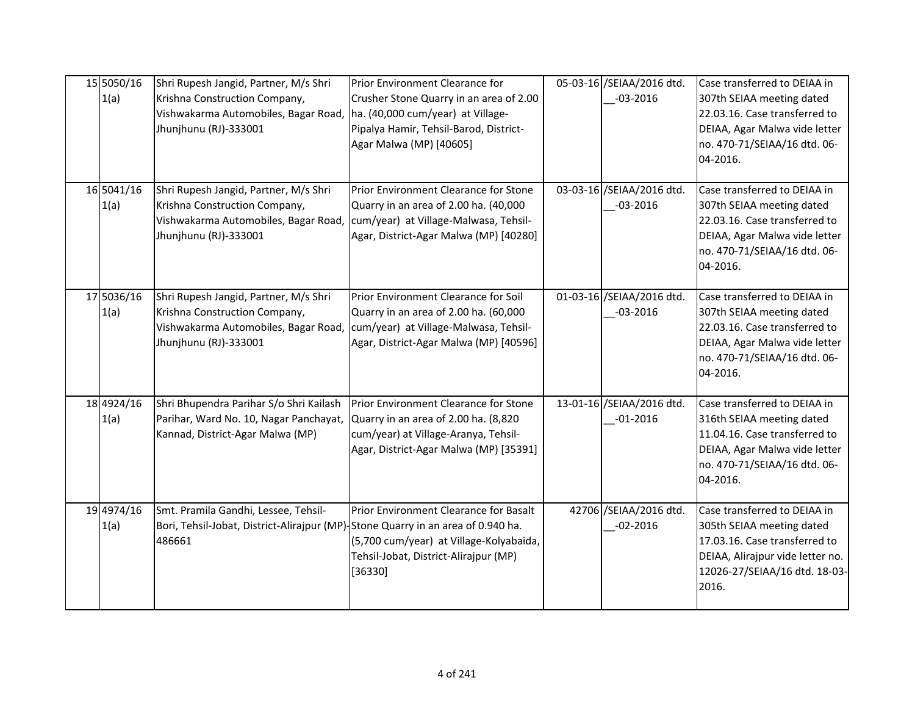| 15 5050/16<br>1(a) | Shri Rupesh Jangid, Partner, M/s Shri<br>Krishna Construction Company,<br>Vishwakarma Automobiles, Bagar Road,   ha. (40,000 cum/year) at Village-<br>Jhunjhunu (RJ)-333001   | Prior Environment Clearance for<br>Crusher Stone Quarry in an area of 2.00<br>Pipalya Hamir, Tehsil-Barod, District-<br>Agar Malwa (MP) [40605]                  | 05-03-16 /SEIAA/2016 dtd.<br>$-03 - 2016$  | Case transferred to DEIAA in<br>307th SEIAA meeting dated<br>22.03.16. Case transferred to<br>DEIAA, Agar Malwa vide letter<br>no. 470-71/SEIAA/16 dtd. 06-<br>04-2016.  |
|--------------------|-------------------------------------------------------------------------------------------------------------------------------------------------------------------------------|------------------------------------------------------------------------------------------------------------------------------------------------------------------|--------------------------------------------|--------------------------------------------------------------------------------------------------------------------------------------------------------------------------|
| 16 5041/16<br>1(a) | Shri Rupesh Jangid, Partner, M/s Shri<br>Krishna Construction Company,<br>Vishwakarma Automobiles, Bagar Road, cum/year) at Village-Malwasa, Tehsil-<br>Jhunjhunu (RJ)-333001 | Prior Environment Clearance for Stone<br>Quarry in an area of 2.00 ha. (40,000<br>Agar, District-Agar Malwa (MP) [40280]                                         | 03-03-16 /SEIAA/2016 dtd.<br>$-03 - 2016$  | Case transferred to DEIAA in<br>307th SEIAA meeting dated<br>22.03.16. Case transferred to<br>DEIAA, Agar Malwa vide letter<br>no. 470-71/SEIAA/16 dtd. 06-<br>04-2016.  |
| 17 5036/16<br>1(a) | Shri Rupesh Jangid, Partner, M/s Shri<br>Krishna Construction Company,<br>Vishwakarma Automobiles, Bagar Road,<br>Jhunjhunu (RJ)-333001                                       | Prior Environment Clearance for Soil<br>Quarry in an area of 2.00 ha. (60,000<br>cum/year) at Village-Malwasa, Tehsil-<br>Agar, District-Agar Malwa (MP) [40596] | 01-03-16 /SEIAA/2016 dtd.<br>$-03 - 2016$  | Case transferred to DEIAA in<br>307th SEIAA meeting dated<br>22.03.16. Case transferred to<br>DEIAA, Agar Malwa vide letter<br>no. 470-71/SEIAA/16 dtd. 06-<br>04-2016.  |
| 18 4924/16<br>1(a) | Shri Bhupendra Parihar S/o Shri Kailash<br>Parihar, Ward No. 10, Nagar Panchayat,<br>Kannad, District-Agar Malwa (MP)                                                         | Prior Environment Clearance for Stone<br>Quarry in an area of 2.00 ha. (8,820<br>cum/year) at Village-Aranya, Tehsil-<br>Agar, District-Agar Malwa (MP) [35391]  | 13-01-16 / SEIAA/2016 dtd.<br>$-01 - 2016$ | Case transferred to DEIAA in<br>316th SEIAA meeting dated<br>11.04.16. Case transferred to<br>DEIAA, Agar Malwa vide letter<br>no. 470-71/SEIAA/16 dtd. 06-<br>04-2016.  |
| 19 4974/16<br>1(a) | Smt. Pramila Gandhi, Lessee, Tehsil-<br>Bori, Tehsil-Jobat, District-Alirajpur (MP)-Stone Quarry in an area of 0.940 ha.<br>486661                                            | Prior Environment Clearance for Basalt<br>(5,700 cum/year) at Village-Kolyabaida,<br>Tehsil-Jobat, District-Alirajpur (MP)<br>[36330]                            | 42706 /SEIAA/2016 dtd.<br>$-02 - 2016$     | Case transferred to DEIAA in<br>305th SEIAA meeting dated<br>17.03.16. Case transferred to<br>DEIAA, Alirajpur vide letter no.<br>12026-27/SEIAA/16 dtd. 18-03-<br>2016. |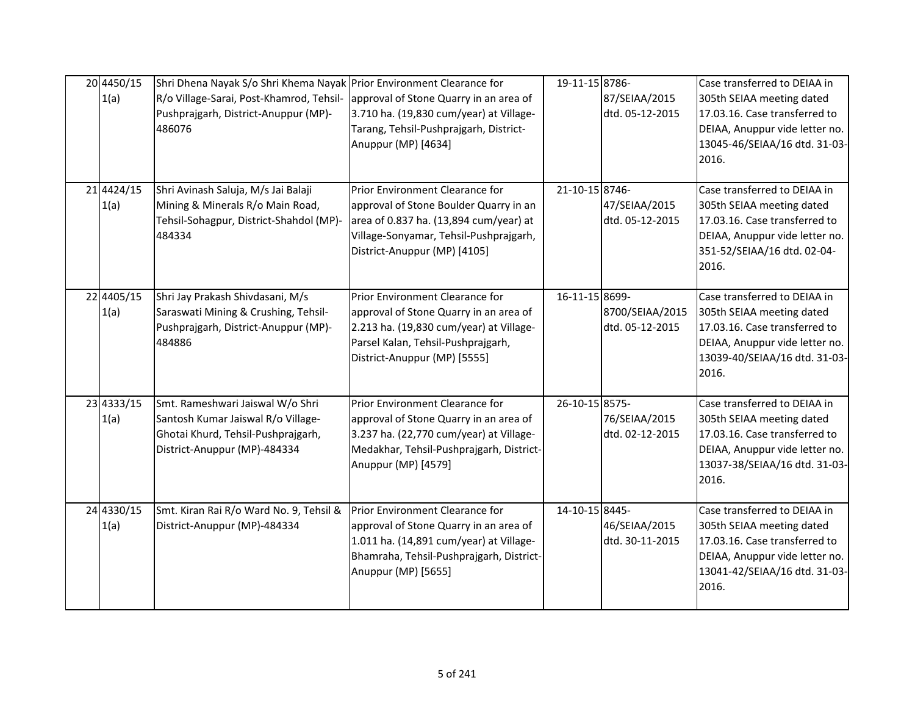| 20 4450/15<br>1(a) | Shri Dhena Nayak S/o Shri Khema Nayak Prior Environment Clearance for<br>R/o Village-Sarai, Post-Khamrod, Tehsil-<br>Pushprajgarh, District-Anuppur (MP)-<br>486076 | approval of Stone Quarry in an area of<br>3.710 ha. (19,830 cum/year) at Village-<br>Tarang, Tehsil-Pushprajgarh, District-<br>Anuppur (MP) [4634]                                            | 19-11-15 8786- | 87/SEIAA/2015<br>dtd. 05-12-2015   | Case transferred to DEIAA in<br>305th SEIAA meeting dated<br>17.03.16. Case transferred to<br>DEIAA, Anuppur vide letter no.<br>13045-46/SEIAA/16 dtd. 31-03-<br>2016. |
|--------------------|---------------------------------------------------------------------------------------------------------------------------------------------------------------------|-----------------------------------------------------------------------------------------------------------------------------------------------------------------------------------------------|----------------|------------------------------------|------------------------------------------------------------------------------------------------------------------------------------------------------------------------|
| 21 4424/15<br>1(a) | Shri Avinash Saluja, M/s Jai Balaji<br>Mining & Minerals R/o Main Road,<br>Tehsil-Sohagpur, District-Shahdol (MP)-<br>484334                                        | Prior Environment Clearance for<br>approval of Stone Boulder Quarry in an<br>area of 0.837 ha. (13,894 cum/year) at<br>Village-Sonyamar, Tehsil-Pushprajgarh,<br>District-Anuppur (MP) [4105] | 21-10-15 8746- | 47/SEIAA/2015<br>dtd. 05-12-2015   | Case transferred to DEIAA in<br>305th SEIAA meeting dated<br>17.03.16. Case transferred to<br>DEIAA, Anuppur vide letter no.<br>351-52/SEIAA/16 dtd. 02-04-<br>2016.   |
| 22 4405/15<br>1(a) | Shri Jay Prakash Shivdasani, M/s<br>Saraswati Mining & Crushing, Tehsil-<br>Pushprajgarh, District-Anuppur (MP)-<br>484886                                          | Prior Environment Clearance for<br>approval of Stone Quarry in an area of<br>2.213 ha. (19,830 cum/year) at Village-<br>Parsel Kalan, Tehsil-Pushprajgarh,<br>District-Anuppur (MP) [5555]    | 16-11-15 8699- | 8700/SEIAA/2015<br>dtd. 05-12-2015 | Case transferred to DEIAA in<br>305th SEIAA meeting dated<br>17.03.16. Case transferred to<br>DEIAA, Anuppur vide letter no.<br>13039-40/SEIAA/16 dtd. 31-03-<br>2016. |
| 23 4333/15<br>1(a) | Smt. Rameshwari Jaiswal W/o Shri<br>Santosh Kumar Jaiswal R/o Village-<br>Ghotai Khurd, Tehsil-Pushprajgarh,<br>District-Anuppur (MP)-484334                        | Prior Environment Clearance for<br>approval of Stone Quarry in an area of<br>3.237 ha. (22,770 cum/year) at Village-<br>Medakhar, Tehsil-Pushprajgarh, District-<br>Anuppur (MP) [4579]       | 26-10-15 8575- | 76/SEIAA/2015<br>dtd. 02-12-2015   | Case transferred to DEIAA in<br>305th SEIAA meeting dated<br>17.03.16. Case transferred to<br>DEIAA, Anuppur vide letter no.<br>13037-38/SEIAA/16 dtd. 31-03-<br>2016. |
| 24 4330/15<br>1(a) | Smt. Kiran Rai R/o Ward No. 9, Tehsil &<br>District-Anuppur (MP)-484334                                                                                             | Prior Environment Clearance for<br>approval of Stone Quarry in an area of<br>1.011 ha. (14,891 cum/year) at Village-<br>Bhamraha, Tehsil-Pushprajgarh, District-<br>Anuppur (MP) [5655]       | 14-10-15 8445- | 46/SEIAA/2015<br>dtd. 30-11-2015   | Case transferred to DEIAA in<br>305th SEIAA meeting dated<br>17.03.16. Case transferred to<br>DEIAA, Anuppur vide letter no.<br>13041-42/SEIAA/16 dtd. 31-03-<br>2016. |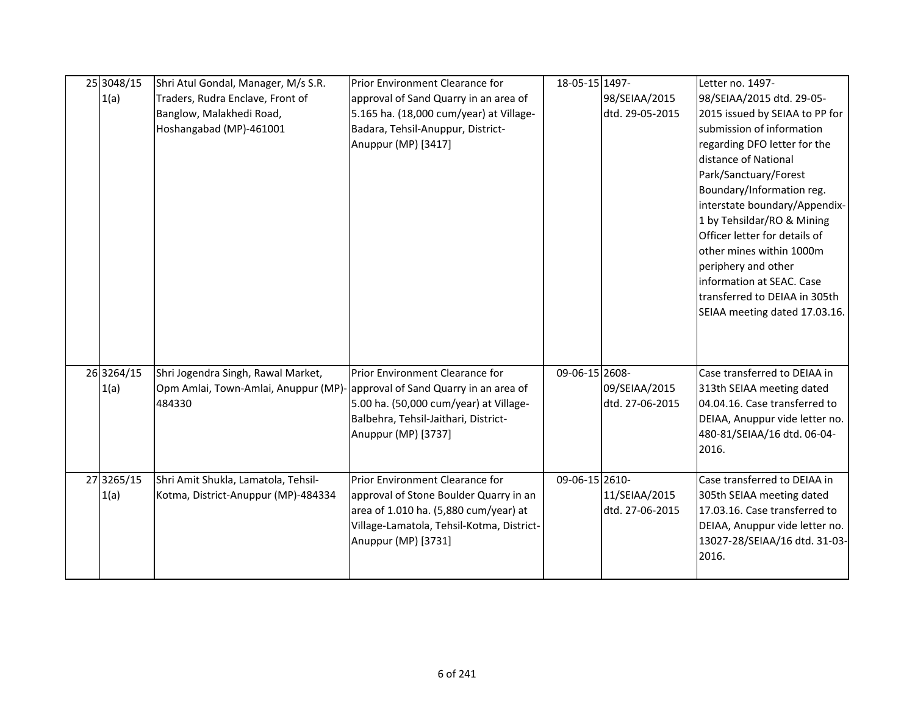| 25 3048/15<br>1(a) | Shri Atul Gondal, Manager, M/s S.R.<br>Traders, Rudra Enclave, Front of<br>Banglow, Malakhedi Road,<br>Hoshangabad (MP)-461001 | Prior Environment Clearance for<br>approval of Sand Quarry in an area of<br>5.165 ha. (18,000 cum/year) at Village-<br>Badara, Tehsil-Anuppur, District-<br>Anuppur (MP) [3417]        | 18-05-15 1497- | 98/SEIAA/2015<br>dtd. 29-05-2015 | Letter no. 1497-<br>98/SEIAA/2015 dtd. 29-05-<br>2015 issued by SEIAA to PP for<br>submission of information<br>regarding DFO letter for the<br>distance of National<br>Park/Sanctuary/Forest<br>Boundary/Information reg.<br>interstate boundary/Appendix-<br>1 by Tehsildar/RO & Mining<br>Officer letter for details of<br>other mines within 1000m<br>periphery and other<br>information at SEAC. Case<br>transferred to DEIAA in 305th<br>SEIAA meeting dated 17.03.16. |
|--------------------|--------------------------------------------------------------------------------------------------------------------------------|----------------------------------------------------------------------------------------------------------------------------------------------------------------------------------------|----------------|----------------------------------|------------------------------------------------------------------------------------------------------------------------------------------------------------------------------------------------------------------------------------------------------------------------------------------------------------------------------------------------------------------------------------------------------------------------------------------------------------------------------|
| 26 3264/15<br>1(a) | Shri Jogendra Singh, Rawal Market,<br>Opm Amlai, Town-Amlai, Anuppur (MP)- approval of Sand Quarry in an area of<br>484330     | Prior Environment Clearance for<br>5.00 ha. (50,000 cum/year) at Village-<br>Balbehra, Tehsil-Jaithari, District-<br>Anuppur (MP) [3737]                                               | 09-06-15 2608- | 09/SEIAA/2015<br>dtd. 27-06-2015 | Case transferred to DEIAA in<br>313th SEIAA meeting dated<br>04.04.16. Case transferred to<br>DEIAA, Anuppur vide letter no.<br>480-81/SEIAA/16 dtd. 06-04-<br>2016.                                                                                                                                                                                                                                                                                                         |
| 27 3265/15<br>1(a) | Shri Amit Shukla, Lamatola, Tehsil-<br>Kotma, District-Anuppur (MP)-484334                                                     | Prior Environment Clearance for<br>approval of Stone Boulder Quarry in an<br>area of 1.010 ha. (5,880 cum/year) at<br>Village-Lamatola, Tehsil-Kotma, District-<br>Anuppur (MP) [3731] | 09-06-15 2610- | 11/SEIAA/2015<br>dtd. 27-06-2015 | Case transferred to DEIAA in<br>305th SEIAA meeting dated<br>17.03.16. Case transferred to<br>DEIAA, Anuppur vide letter no.<br>13027-28/SEIAA/16 dtd. 31-03-<br>2016.                                                                                                                                                                                                                                                                                                       |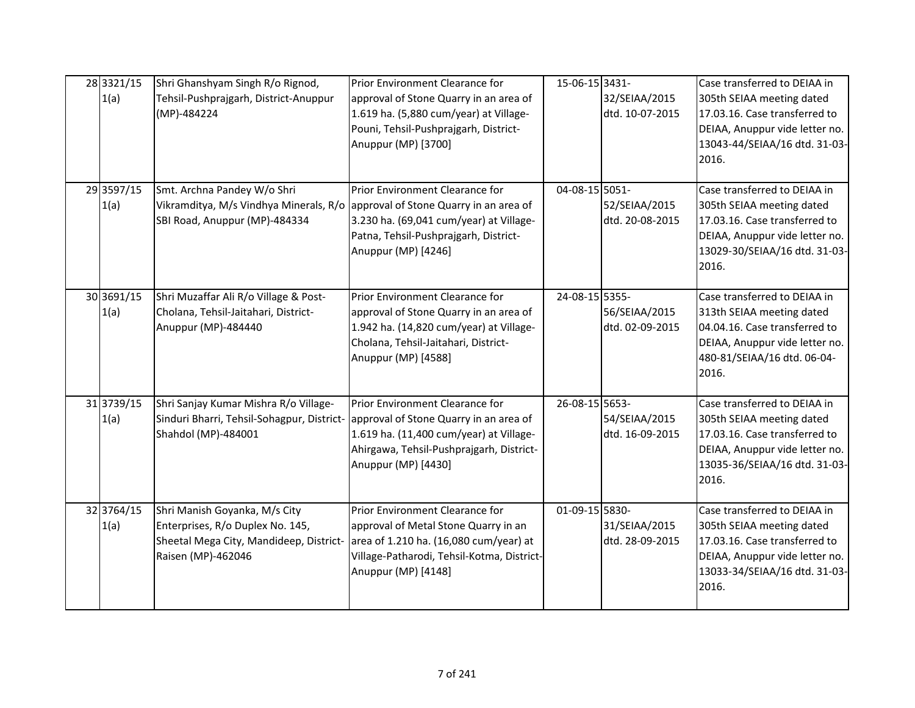| 28 3321/15<br>1(a) | Shri Ghanshyam Singh R/o Rignod,<br>Tehsil-Pushprajgarh, District-Anuppur<br>(MP)-484224                                                          | Prior Environment Clearance for<br>approval of Stone Quarry in an area of<br>1.619 ha. (5,880 cum/year) at Village-<br>Pouni, Tehsil-Pushprajgarh, District-<br>Anuppur (MP) [3700]    | 15-06-15 3431- | 32/SEIAA/2015<br>dtd. 10-07-2015 | Case transferred to DEIAA in<br>305th SEIAA meeting dated<br>17.03.16. Case transferred to<br>DEIAA, Anuppur vide letter no.<br>13043-44/SEIAA/16 dtd. 31-03-<br>2016. |
|--------------------|---------------------------------------------------------------------------------------------------------------------------------------------------|----------------------------------------------------------------------------------------------------------------------------------------------------------------------------------------|----------------|----------------------------------|------------------------------------------------------------------------------------------------------------------------------------------------------------------------|
| 29 3597/15<br>1(a) | Smt. Archna Pandey W/o Shri<br>Vikramditya, M/s Vindhya Minerals, R/o approval of Stone Quarry in an area of<br>SBI Road, Anuppur (MP)-484334     | Prior Environment Clearance for<br>3.230 ha. (69,041 cum/year) at Village-<br>Patna, Tehsil-Pushprajgarh, District-<br>Anuppur (MP) [4246]                                             | 04-08-15 5051- | 52/SEIAA/2015<br>dtd. 20-08-2015 | Case transferred to DEIAA in<br>305th SEIAA meeting dated<br>17.03.16. Case transferred to<br>DEIAA, Anuppur vide letter no.<br>13029-30/SEIAA/16 dtd. 31-03-<br>2016. |
| 30 3691/15<br>1(a) | Shri Muzaffar Ali R/o Village & Post-<br>Cholana, Tehsil-Jaitahari, District-<br>Anuppur (MP)-484440                                              | Prior Environment Clearance for<br>approval of Stone Quarry in an area of<br>1.942 ha. (14,820 cum/year) at Village-<br>Cholana, Tehsil-Jaitahari, District-<br>Anuppur (MP) [4588]    | 24-08-15 5355- | 56/SEIAA/2015<br>dtd. 02-09-2015 | Case transferred to DEIAA in<br>313th SEIAA meeting dated<br>04.04.16. Case transferred to<br>DEIAA, Anuppur vide letter no.<br>480-81/SEIAA/16 dtd. 06-04-<br>2016.   |
| 31 3739/15<br>1(a) | Shri Sanjay Kumar Mishra R/o Village-<br>Sinduri Bharri, Tehsil-Sohagpur, District- approval of Stone Quarry in an area of<br>Shahdol (MP)-484001 | Prior Environment Clearance for<br>1.619 ha. (11,400 cum/year) at Village-<br>Ahirgawa, Tehsil-Pushprajgarh, District-<br>Anuppur (MP) [4430]                                          | 26-08-15 5653- | 54/SEIAA/2015<br>dtd. 16-09-2015 | Case transferred to DEIAA in<br>305th SEIAA meeting dated<br>17.03.16. Case transferred to<br>DEIAA, Anuppur vide letter no.<br>13035-36/SEIAA/16 dtd. 31-03-<br>2016. |
| 32 3764/15<br>1(a) | Shri Manish Goyanka, M/s City<br>Enterprises, R/o Duplex No. 145,<br>Sheetal Mega City, Mandideep, District-<br>Raisen (MP)-462046                | Prior Environment Clearance for<br>approval of Metal Stone Quarry in an<br>area of 1.210 ha. (16,080 cum/year) at<br>Village-Patharodi, Tehsil-Kotma, District-<br>Anuppur (MP) [4148] | 01-09-15 5830- | 31/SEIAA/2015<br>dtd. 28-09-2015 | Case transferred to DEIAA in<br>305th SEIAA meeting dated<br>17.03.16. Case transferred to<br>DEIAA, Anuppur vide letter no.<br>13033-34/SEIAA/16 dtd. 31-03-<br>2016. |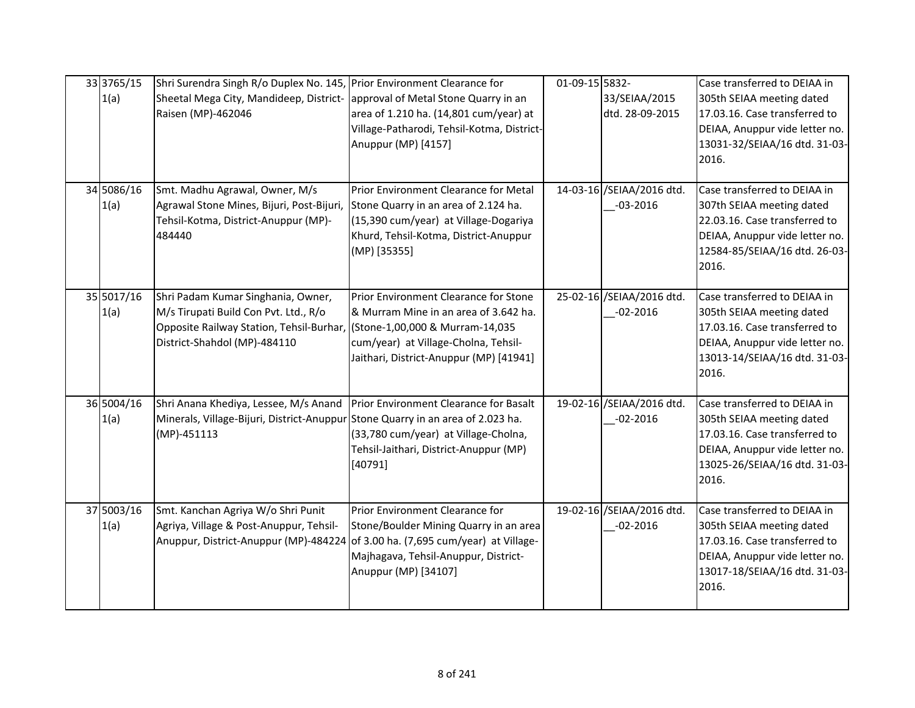| 33 3765/15<br>1(a) | Shri Surendra Singh R/o Duplex No. 145, Prior Environment Clearance for<br>Sheetal Mega City, Mandideep, District-<br>Raisen (MP)-462046                                                | approval of Metal Stone Quarry in an<br>area of 1.210 ha. (14,801 cum/year) at<br>Village-Patharodi, Tehsil-Kotma, District-<br>Anuppur (MP) [4157]                                   | 01-09-15 5832-<br>33/SEIAA/2015<br>dtd. 28-09-2015 | Case transferred to DEIAA in<br>305th SEIAA meeting dated<br>17.03.16. Case transferred to<br>DEIAA, Anuppur vide letter no.<br>13031-32/SEIAA/16 dtd. 31-03-<br>2016. |
|--------------------|-----------------------------------------------------------------------------------------------------------------------------------------------------------------------------------------|---------------------------------------------------------------------------------------------------------------------------------------------------------------------------------------|----------------------------------------------------|------------------------------------------------------------------------------------------------------------------------------------------------------------------------|
| 34 5086/16<br>1(a) | Smt. Madhu Agrawal, Owner, M/s<br>Agrawal Stone Mines, Bijuri, Post-Bijuri,<br>Tehsil-Kotma, District-Anuppur (MP)-<br>484440                                                           | Prior Environment Clearance for Metal<br>Stone Quarry in an area of 2.124 ha.<br>(15,390 cum/year) at Village-Dogariya<br>Khurd, Tehsil-Kotma, District-Anuppur<br>(MP) [35355]       | 14-03-16 /SEIAA/2016 dtd.<br>$-03 - 2016$          | Case transferred to DEIAA in<br>307th SEIAA meeting dated<br>22.03.16. Case transferred to<br>DEIAA, Anuppur vide letter no.<br>12584-85/SEIAA/16 dtd. 26-03-<br>2016. |
| 35 5017/16<br>1(a) | Shri Padam Kumar Singhania, Owner,<br>M/s Tirupati Build Con Pvt. Ltd., R/o<br>Opposite Railway Station, Tehsil-Burhar, (Stone-1,00,000 & Murram-14,035<br>District-Shahdol (MP)-484110 | Prior Environment Clearance for Stone<br>& Murram Mine in an area of 3.642 ha.<br>cum/year) at Village-Cholna, Tehsil-<br>Jaithari, District-Anuppur (MP) [41941]                     | 25-02-16 /SEIAA/2016 dtd.<br>$-02 - 2016$          | Case transferred to DEIAA in<br>305th SEIAA meeting dated<br>17.03.16. Case transferred to<br>DEIAA, Anuppur vide letter no.<br>13013-14/SEIAA/16 dtd. 31-03-<br>2016. |
| 36 5004/16<br>1(a) | Shri Anana Khediya, Lessee, M/s Anand   Prior Environment Clearance for Basalt<br>Minerals, Village-Bijuri, District-Anuppur<br>(MP)-451113                                             | Stone Quarry in an area of 2.023 ha.<br>(33,780 cum/year) at Village-Cholna,<br>Tehsil-Jaithari, District-Anuppur (MP)<br>[40791]                                                     | 19-02-16 /SEIAA/2016 dtd.<br>$-02 - 2016$          | Case transferred to DEIAA in<br>305th SEIAA meeting dated<br>17.03.16. Case transferred to<br>DEIAA, Anuppur vide letter no.<br>13025-26/SEIAA/16 dtd. 31-03-<br>2016. |
| 37 5003/16<br>1(a) | Smt. Kanchan Agriya W/o Shri Punit<br>Agriya, Village & Post-Anuppur, Tehsil-<br>Anuppur, District-Anuppur (MP)-484224                                                                  | Prior Environment Clearance for<br>Stone/Boulder Mining Quarry in an area<br>of 3.00 ha. (7,695 cum/year) at Village-<br>Majhagava, Tehsil-Anuppur, District-<br>Anuppur (MP) [34107] | 19-02-16 / SEIAA/2016 dtd.<br>$-02 - 2016$         | Case transferred to DEIAA in<br>305th SEIAA meeting dated<br>17.03.16. Case transferred to<br>DEIAA, Anuppur vide letter no.<br>13017-18/SEIAA/16 dtd. 31-03-<br>2016. |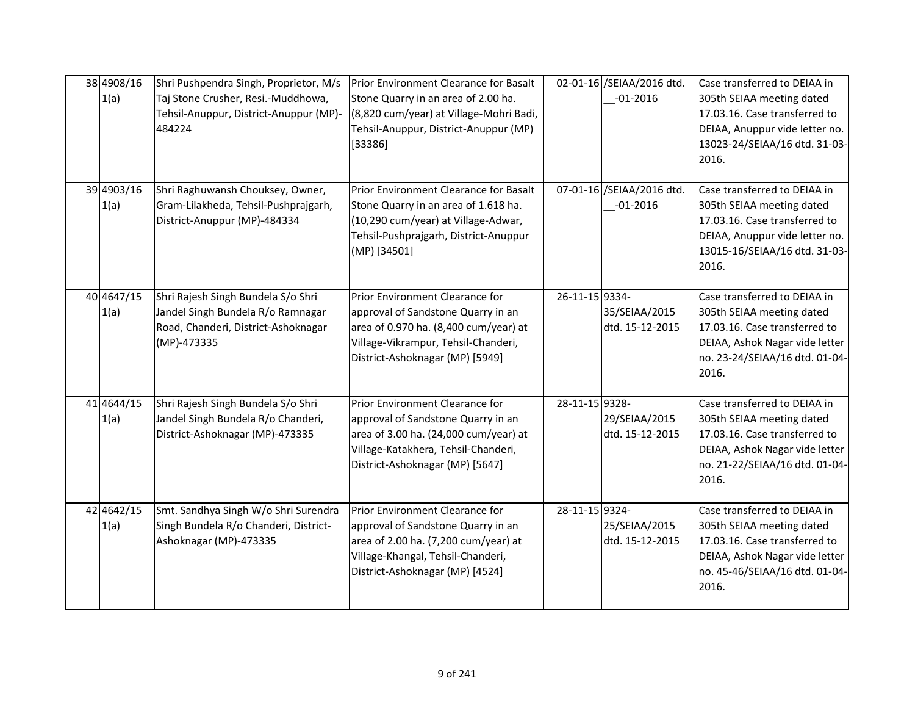| 38 4908/16<br>1(a) | Shri Pushpendra Singh, Proprietor, M/s<br>Taj Stone Crusher, Resi.-Muddhowa,<br>Tehsil-Anuppur, District-Anuppur (MP)-<br>484224 | Prior Environment Clearance for Basalt<br>Stone Quarry in an area of 2.00 ha.<br>(8,820 cum/year) at Village-Mohri Badi,<br>Tehsil-Anuppur, District-Anuppur (MP)<br>[33386]             |                | 02-01-16 /SEIAA/2016 dtd.<br>$-01 - 2016$ | Case transferred to DEIAA in<br>305th SEIAA meeting dated<br>17.03.16. Case transferred to<br>DEIAA, Anuppur vide letter no.<br>13023-24/SEIAA/16 dtd. 31-03-<br>2016.  |
|--------------------|----------------------------------------------------------------------------------------------------------------------------------|------------------------------------------------------------------------------------------------------------------------------------------------------------------------------------------|----------------|-------------------------------------------|-------------------------------------------------------------------------------------------------------------------------------------------------------------------------|
| 39 4903/16<br>1(a) | Shri Raghuwansh Chouksey, Owner,<br>Gram-Lilakheda, Tehsil-Pushprajgarh,<br>District-Anuppur (MP)-484334                         | Prior Environment Clearance for Basalt<br>Stone Quarry in an area of 1.618 ha.<br>(10,290 cum/year) at Village-Adwar,<br>Tehsil-Pushprajgarh, District-Anuppur<br>(MP) [34501]           |                | 07-01-16 /SEIAA/2016 dtd.<br>$-01 - 2016$ | Case transferred to DEIAA in<br>305th SEIAA meeting dated<br>17.03.16. Case transferred to<br>DEIAA, Anuppur vide letter no.<br>13015-16/SEIAA/16 dtd. 31-03-<br>2016.  |
| 40 4647/15<br>1(a) | Shri Rajesh Singh Bundela S/o Shri<br>Jandel Singh Bundela R/o Ramnagar<br>Road, Chanderi, District-Ashoknagar<br>(MP)-473335    | Prior Environment Clearance for<br>approval of Sandstone Quarry in an<br>area of 0.970 ha. (8,400 cum/year) at<br>Village-Vikrampur, Tehsil-Chanderi,<br>District-Ashoknagar (MP) [5949] | 26-11-15 9334- | 35/SEIAA/2015<br>dtd. 15-12-2015          | Case transferred to DEIAA in<br>305th SEIAA meeting dated<br>17.03.16. Case transferred to<br>DEIAA, Ashok Nagar vide letter<br>no. 23-24/SEIAA/16 dtd. 01-04-<br>2016. |
| 41 4644/15<br>1(a) | Shri Rajesh Singh Bundela S/o Shri<br>Jandel Singh Bundela R/o Chanderi,<br>District-Ashoknagar (MP)-473335                      | Prior Environment Clearance for<br>approval of Sandstone Quarry in an<br>area of 3.00 ha. (24,000 cum/year) at<br>Village-Katakhera, Tehsil-Chanderi,<br>District-Ashoknagar (MP) [5647] | 28-11-15 9328- | 29/SEIAA/2015<br>dtd. 15-12-2015          | Case transferred to DEIAA in<br>305th SEIAA meeting dated<br>17.03.16. Case transferred to<br>DEIAA, Ashok Nagar vide letter<br>no. 21-22/SEIAA/16 dtd. 01-04-<br>2016. |
| 42 4642/15<br>1(a) | Smt. Sandhya Singh W/o Shri Surendra<br>Singh Bundela R/o Chanderi, District-<br>Ashoknagar (MP)-473335                          | Prior Environment Clearance for<br>approval of Sandstone Quarry in an<br>area of 2.00 ha. (7,200 cum/year) at<br>Village-Khangal, Tehsil-Chanderi,<br>District-Ashoknagar (MP) [4524]    | 28-11-15 9324- | 25/SEIAA/2015<br>dtd. 15-12-2015          | Case transferred to DEIAA in<br>305th SEIAA meeting dated<br>17.03.16. Case transferred to<br>DEIAA, Ashok Nagar vide letter<br>no. 45-46/SEIAA/16 dtd. 01-04-<br>2016. |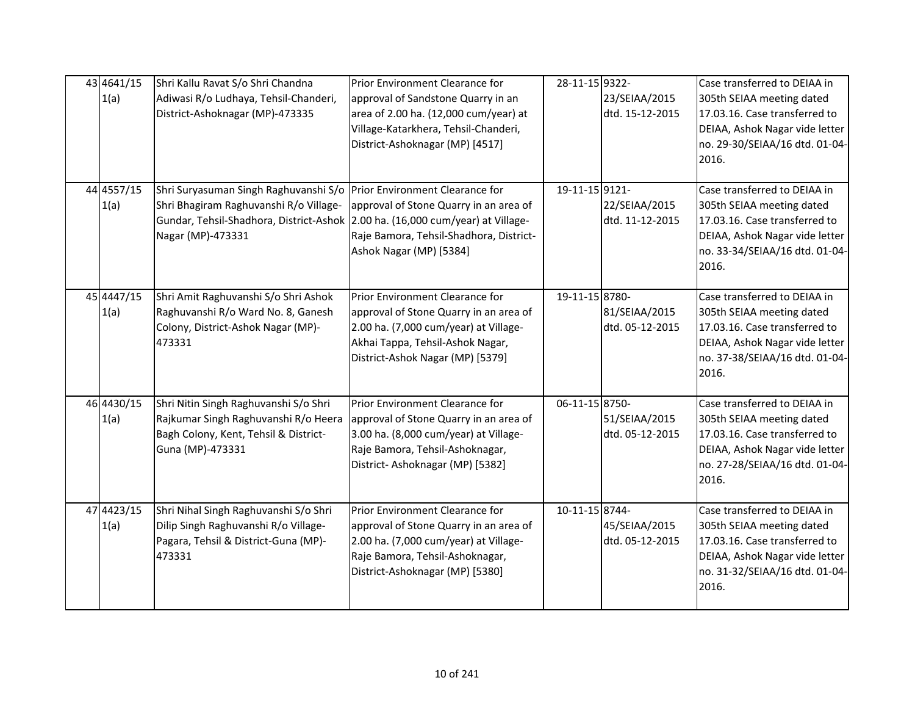| 43 4641/15<br>1(a) | Shri Kallu Ravat S/o Shri Chandna<br>Adiwasi R/o Ludhaya, Tehsil-Chanderi,<br>District-Ashoknagar (MP)-473335                                                                          | Prior Environment Clearance for<br>approval of Sandstone Quarry in an<br>area of 2.00 ha. (12,000 cum/year) at<br>Village-Katarkhera, Tehsil-Chanderi,<br>District-Ashoknagar (MP) [4517]  | 28-11-15 9322- | 23/SEIAA/2015<br>dtd. 15-12-2015 | Case transferred to DEIAA in<br>305th SEIAA meeting dated<br>17.03.16. Case transferred to<br>DEIAA, Ashok Nagar vide letter<br>no. 29-30/SEIAA/16 dtd. 01-04-<br>2016. |
|--------------------|----------------------------------------------------------------------------------------------------------------------------------------------------------------------------------------|--------------------------------------------------------------------------------------------------------------------------------------------------------------------------------------------|----------------|----------------------------------|-------------------------------------------------------------------------------------------------------------------------------------------------------------------------|
| 44 4557/15<br>1(a) | Shri Suryasuman Singh Raghuvanshi S/o<br>Shri Bhagiram Raghuvanshi R/o Village-<br>Gundar, Tehsil-Shadhora, District-Ashok 2.00 ha. (16,000 cum/year) at Village-<br>Nagar (MP)-473331 | Prior Environment Clearance for<br>approval of Stone Quarry in an area of<br>Raje Bamora, Tehsil-Shadhora, District-<br>Ashok Nagar (MP) [5384]                                            | 19-11-15 9121- | 22/SEIAA/2015<br>dtd. 11-12-2015 | Case transferred to DEIAA in<br>305th SEIAA meeting dated<br>17.03.16. Case transferred to<br>DEIAA, Ashok Nagar vide letter<br>no. 33-34/SEIAA/16 dtd. 01-04-<br>2016. |
| 45 4447/15<br>1(a) | Shri Amit Raghuvanshi S/o Shri Ashok<br>Raghuvanshi R/o Ward No. 8, Ganesh<br>Colony, District-Ashok Nagar (MP)-<br>473331                                                             | Prior Environment Clearance for<br>approval of Stone Quarry in an area of<br>2.00 ha. (7,000 cum/year) at Village-<br>Akhai Tappa, Tehsil-Ashok Nagar,<br>District-Ashok Nagar (MP) [5379] | 19-11-15 8780- | 81/SEIAA/2015<br>dtd. 05-12-2015 | Case transferred to DEIAA in<br>305th SEIAA meeting dated<br>17.03.16. Case transferred to<br>DEIAA, Ashok Nagar vide letter<br>no. 37-38/SEIAA/16 dtd. 01-04-<br>2016. |
| 46 4430/15<br>1(a) | Shri Nitin Singh Raghuvanshi S/o Shri<br>Rajkumar Singh Raghuvanshi R/o Heera<br>Bagh Colony, Kent, Tehsil & District-<br>Guna (MP)-473331                                             | Prior Environment Clearance for<br>approval of Stone Quarry in an area of<br>3.00 ha. (8,000 cum/year) at Village-<br>Raje Bamora, Tehsil-Ashoknagar,<br>District-Ashoknagar (MP) [5382]   | 06-11-15 8750- | 51/SEIAA/2015<br>dtd. 05-12-2015 | Case transferred to DEIAA in<br>305th SEIAA meeting dated<br>17.03.16. Case transferred to<br>DEIAA, Ashok Nagar vide letter<br>no. 27-28/SEIAA/16 dtd. 01-04-<br>2016. |
| 47 4423/15<br>1(a) | Shri Nihal Singh Raghuvanshi S/o Shri<br>Dilip Singh Raghuvanshi R/o Village-<br>Pagara, Tehsil & District-Guna (MP)-<br>473331                                                        | Prior Environment Clearance for<br>approval of Stone Quarry in an area of<br>2.00 ha. (7,000 cum/year) at Village-<br>Raje Bamora, Tehsil-Ashoknagar,<br>District-Ashoknagar (MP) [5380]   | 10-11-15 8744- | 45/SEIAA/2015<br>dtd. 05-12-2015 | Case transferred to DEIAA in<br>305th SEIAA meeting dated<br>17.03.16. Case transferred to<br>DEIAA, Ashok Nagar vide letter<br>no. 31-32/SEIAA/16 dtd. 01-04-<br>2016. |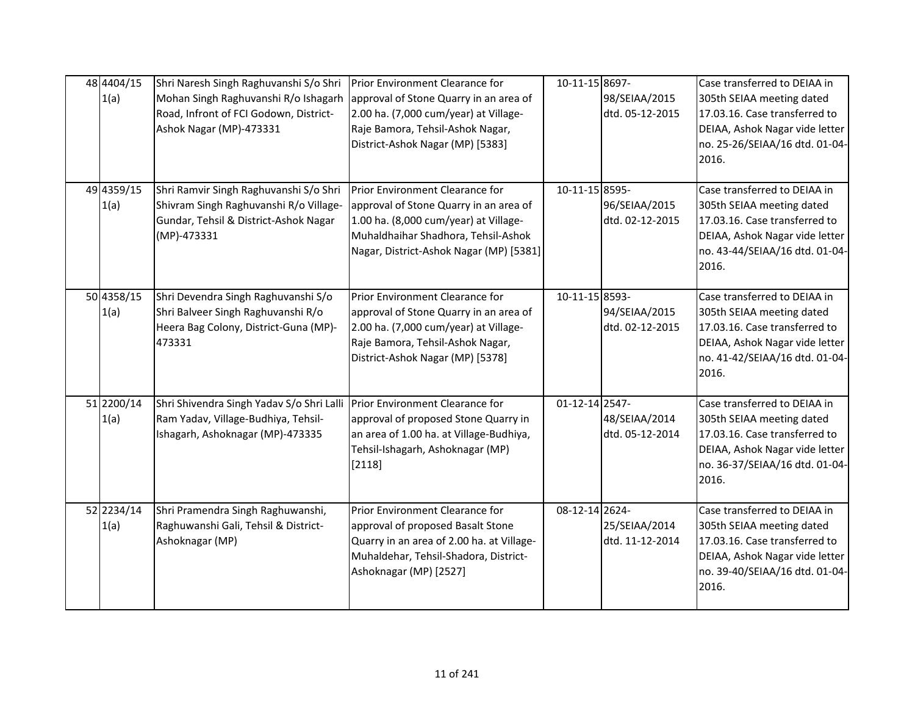| 48 4404/15<br>1(a) | Shri Naresh Singh Raghuvanshi S/o Shri<br>Mohan Singh Raghuvanshi R/o Ishagarh<br>Road, Infront of FCI Godown, District-<br>Ashok Nagar (MP)-473331  | Prior Environment Clearance for<br>approval of Stone Quarry in an area of<br>2.00 ha. (7,000 cum/year) at Village-<br>Raje Bamora, Tehsil-Ashok Nagar,<br>District-Ashok Nagar (MP) [5383]           | 10-11-15 8697-       | 98/SEIAA/2015<br>dtd. 05-12-2015 | Case transferred to DEIAA in<br>305th SEIAA meeting dated<br>17.03.16. Case transferred to<br>DEIAA, Ashok Nagar vide letter<br>no. 25-26/SEIAA/16 dtd. 01-04-<br>2016. |
|--------------------|------------------------------------------------------------------------------------------------------------------------------------------------------|------------------------------------------------------------------------------------------------------------------------------------------------------------------------------------------------------|----------------------|----------------------------------|-------------------------------------------------------------------------------------------------------------------------------------------------------------------------|
| 49 4359/15<br>1(a) | Shri Ramvir Singh Raghuvanshi S/o Shri<br>Shivram Singh Raghuvanshi R/o Village-<br>Gundar, Tehsil & District-Ashok Nagar<br>(MP)-473331             | Prior Environment Clearance for<br>approval of Stone Quarry in an area of<br>1.00 ha. (8,000 cum/year) at Village-<br>Muhaldhaihar Shadhora, Tehsil-Ashok<br>Nagar, District-Ashok Nagar (MP) [5381] | 10-11-15 8595-       | 96/SEIAA/2015<br>dtd. 02-12-2015 | Case transferred to DEIAA in<br>305th SEIAA meeting dated<br>17.03.16. Case transferred to<br>DEIAA, Ashok Nagar vide letter<br>no. 43-44/SEIAA/16 dtd. 01-04-<br>2016. |
| 50 4358/15<br>1(a) | Shri Devendra Singh Raghuvanshi S/o<br>Shri Balveer Singh Raghuvanshi R/o<br>Heera Bag Colony, District-Guna (MP)-<br>473331                         | Prior Environment Clearance for<br>approval of Stone Quarry in an area of<br>2.00 ha. (7,000 cum/year) at Village-<br>Raje Bamora, Tehsil-Ashok Nagar,<br>District-Ashok Nagar (MP) [5378]           | 10-11-15 8593-       | 94/SEIAA/2015<br>dtd. 02-12-2015 | Case transferred to DEIAA in<br>305th SEIAA meeting dated<br>17.03.16. Case transferred to<br>DEIAA, Ashok Nagar vide letter<br>no. 41-42/SEIAA/16 dtd. 01-04-<br>2016. |
| 51 2200/14<br>1(a) | Shri Shivendra Singh Yadav S/o Shri Lalli Prior Environment Clearance for<br>Ram Yadav, Village-Budhiya, Tehsil-<br>Ishagarh, Ashoknagar (MP)-473335 | approval of proposed Stone Quarry in<br>an area of 1.00 ha. at Village-Budhiya,<br>Tehsil-Ishagarh, Ashoknagar (MP)<br>[2118]                                                                        | $01 - 12 - 14$ 2547- | 48/SEIAA/2014<br>dtd. 05-12-2014 | Case transferred to DEIAA in<br>305th SEIAA meeting dated<br>17.03.16. Case transferred to<br>DEIAA, Ashok Nagar vide letter<br>no. 36-37/SEIAA/16 dtd. 01-04-<br>2016. |
| 52 2234/14<br>1(a) | Shri Pramendra Singh Raghuwanshi,<br>Raghuwanshi Gali, Tehsil & District-<br>Ashoknagar (MP)                                                         | Prior Environment Clearance for<br>approval of proposed Basalt Stone<br>Quarry in an area of 2.00 ha. at Village-<br>Muhaldehar, Tehsil-Shadora, District-<br>Ashoknagar (MP) [2527]                 | 08-12-14 2624-       | 25/SEIAA/2014<br>dtd. 11-12-2014 | Case transferred to DEIAA in<br>305th SEIAA meeting dated<br>17.03.16. Case transferred to<br>DEIAA, Ashok Nagar vide letter<br>no. 39-40/SEIAA/16 dtd. 01-04-<br>2016. |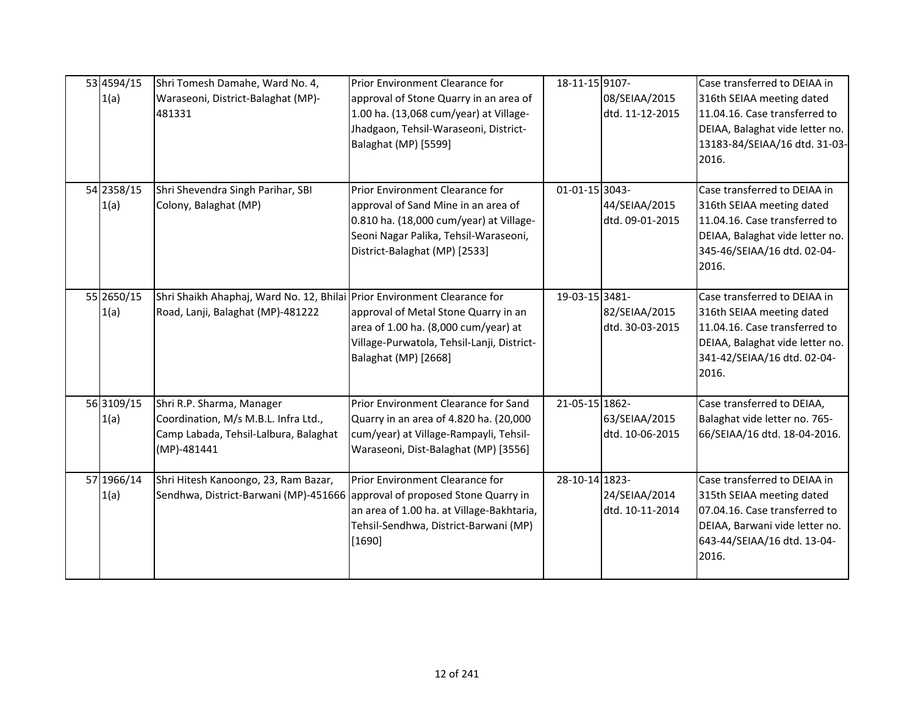| 53 4594/15<br>1(a) | Shri Tomesh Damahe, Ward No. 4,<br>Waraseoni, District-Balaghat (MP)-<br>481331                                           | Prior Environment Clearance for<br>approval of Stone Quarry in an area of<br>1.00 ha. (13,068 cum/year) at Village-<br>Jhadgaon, Tehsil-Waraseoni, District-<br>Balaghat (MP) [5599]        | 18-11-15 9107- | 08/SEIAA/2015<br>dtd. 11-12-2015 | Case transferred to DEIAA in<br>316th SEIAA meeting dated<br>11.04.16. Case transferred to<br>DEIAA, Balaghat vide letter no.<br>13183-84/SEIAA/16 dtd. 31-03-<br>2016. |
|--------------------|---------------------------------------------------------------------------------------------------------------------------|---------------------------------------------------------------------------------------------------------------------------------------------------------------------------------------------|----------------|----------------------------------|-------------------------------------------------------------------------------------------------------------------------------------------------------------------------|
| 54 2358/15<br>1(a) | Shri Shevendra Singh Parihar, SBI<br>Colony, Balaghat (MP)                                                                | Prior Environment Clearance for<br>approval of Sand Mine in an area of<br>0.810 ha. (18,000 cum/year) at Village-<br>Seoni Nagar Palika, Tehsil-Waraseoni,<br>District-Balaghat (MP) [2533] | 01-01-15 3043- | 44/SEIAA/2015<br>dtd. 09-01-2015 | Case transferred to DEIAA in<br>316th SEIAA meeting dated<br>11.04.16. Case transferred to<br>DEIAA, Balaghat vide letter no.<br>345-46/SEIAA/16 dtd. 02-04-<br>2016.   |
| 55 2650/15<br>1(a) | Shri Shaikh Ahaphaj, Ward No. 12, Bhilai Prior Environment Clearance for<br>Road, Lanji, Balaghat (MP)-481222             | approval of Metal Stone Quarry in an<br>area of 1.00 ha. (8,000 cum/year) at<br>Village-Purwatola, Tehsil-Lanji, District-<br>Balaghat (MP) [2668]                                          | 19-03-15 3481- | 82/SEIAA/2015<br>dtd. 30-03-2015 | Case transferred to DEIAA in<br>316th SEIAA meeting dated<br>11.04.16. Case transferred to<br>DEIAA, Balaghat vide letter no.<br>341-42/SEIAA/16 dtd. 02-04-<br>2016.   |
| 56 3109/15<br>1(a) | Shri R.P. Sharma, Manager<br>Coordination, M/s M.B.L. Infra Ltd.,<br>Camp Labada, Tehsil-Lalbura, Balaghat<br>(MP)-481441 | Prior Environment Clearance for Sand<br>Quarry in an area of 4.820 ha. (20,000<br>cum/year) at Village-Rampayli, Tehsil-<br>Waraseoni, Dist-Balaghat (MP) [3556]                            | 21-05-15 1862- | 63/SEIAA/2015<br>dtd. 10-06-2015 | Case transferred to DEIAA,<br>Balaghat vide letter no. 765-<br>66/SEIAA/16 dtd. 18-04-2016.                                                                             |
| 57 1966/14<br>1(a) | Shri Hitesh Kanoongo, 23, Ram Bazar,<br>Sendhwa, District-Barwani (MP)-451666 approval of proposed Stone Quarry in        | Prior Environment Clearance for<br>an area of 1.00 ha. at Village-Bakhtaria,<br>Tehsil-Sendhwa, District-Barwani (MP)<br>[1690]                                                             | 28-10-14 1823- | 24/SEIAA/2014<br>dtd. 10-11-2014 | Case transferred to DEIAA in<br>315th SEIAA meeting dated<br>07.04.16. Case transferred to<br>DEIAA, Barwani vide letter no.<br>643-44/SEIAA/16 dtd. 13-04-<br>2016.    |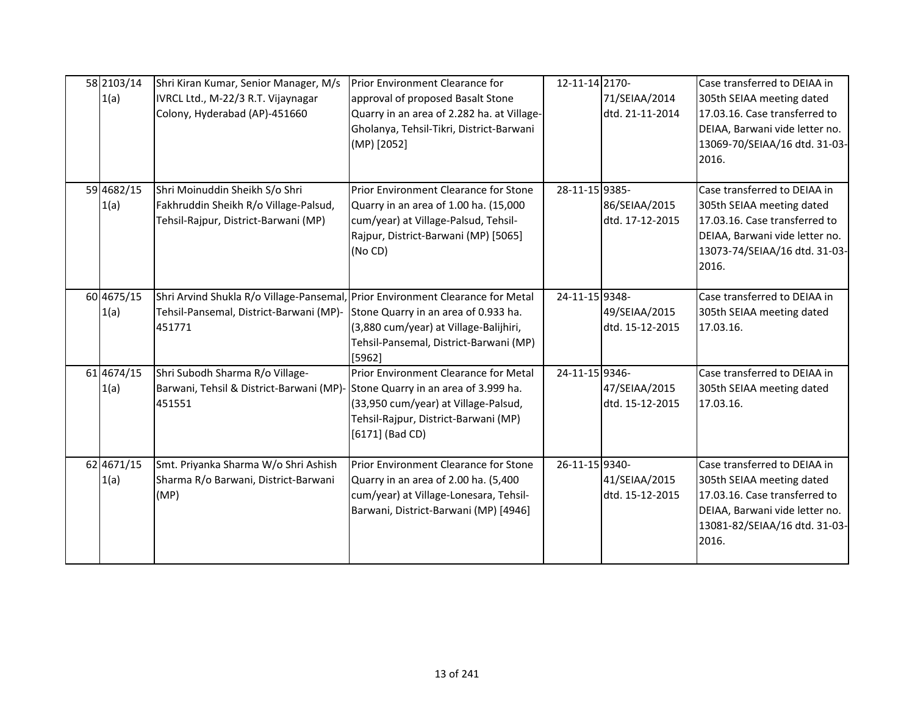| 58 2103/14<br>1(a) | Shri Kiran Kumar, Senior Manager, M/s<br>IVRCL Ltd., M-22/3 R.T. Vijaynagar<br>Colony, Hyderabad (AP)-451660                        | Prior Environment Clearance for<br>approval of proposed Basalt Stone<br>Quarry in an area of 2.282 ha. at Village-<br>Gholanya, Tehsil-Tikri, District-Barwani<br>(MP) [2052] | 12-11-14 2170- | 71/SEIAA/2014<br>dtd. 21-11-2014 | Case transferred to DEIAA in<br>305th SEIAA meeting dated<br>17.03.16. Case transferred to<br>DEIAA, Barwani vide letter no.<br>13069-70/SEIAA/16 dtd. 31-03-<br>2016. |
|--------------------|-------------------------------------------------------------------------------------------------------------------------------------|-------------------------------------------------------------------------------------------------------------------------------------------------------------------------------|----------------|----------------------------------|------------------------------------------------------------------------------------------------------------------------------------------------------------------------|
| 59 4682/15<br>1(a) | Shri Moinuddin Sheikh S/o Shri<br>Fakhruddin Sheikh R/o Village-Palsud,<br>Tehsil-Rajpur, District-Barwani (MP)                     | Prior Environment Clearance for Stone<br>Quarry in an area of 1.00 ha. (15,000<br>cum/year) at Village-Palsud, Tehsil-<br>Rajpur, District-Barwani (MP) [5065]<br>(No CD)     | 28-11-15 9385- | 86/SEIAA/2015<br>dtd. 17-12-2015 | Case transferred to DEIAA in<br>305th SEIAA meeting dated<br>17.03.16. Case transferred to<br>DEIAA, Barwani vide letter no.<br>13073-74/SEIAA/16 dtd. 31-03-<br>2016. |
| 60 4675/15<br>1(a) | Shri Arvind Shukla R/o Village-Pansemal, Prior Environment Clearance for Metal<br>Tehsil-Pansemal, District-Barwani (MP)-<br>451771 | Stone Quarry in an area of 0.933 ha.<br>(3,880 cum/year) at Village-Balijhiri,<br>Tehsil-Pansemal, District-Barwani (MP)<br>[5962]                                            | 24-11-15 9348- | 49/SEIAA/2015<br>dtd. 15-12-2015 | Case transferred to DEIAA in<br>305th SEIAA meeting dated<br>17.03.16.                                                                                                 |
| 61 4674/15<br>1(a) | Shri Subodh Sharma R/o Village-<br>Barwani, Tehsil & District-Barwani (MP)- Stone Quarry in an area of 3.999 ha.<br>451551          | Prior Environment Clearance for Metal<br>(33,950 cum/year) at Village-Palsud,<br>Tehsil-Rajpur, District-Barwani (MP)<br>[6171] (Bad CD)                                      | 24-11-15 9346- | 47/SEIAA/2015<br>dtd. 15-12-2015 | Case transferred to DEIAA in<br>305th SEIAA meeting dated<br>17.03.16.                                                                                                 |
| 62 4671/15<br>1(a) | Smt. Priyanka Sharma W/o Shri Ashish<br>Sharma R/o Barwani, District-Barwani<br>(MP)                                                | Prior Environment Clearance for Stone<br>Quarry in an area of 2.00 ha. (5,400<br>cum/year) at Village-Lonesara, Tehsil-<br>Barwani, District-Barwani (MP) [4946]              | 26-11-15 9340- | 41/SEIAA/2015<br>dtd. 15-12-2015 | Case transferred to DEIAA in<br>305th SEIAA meeting dated<br>17.03.16. Case transferred to<br>DEIAA, Barwani vide letter no.<br>13081-82/SEIAA/16 dtd. 31-03-<br>2016. |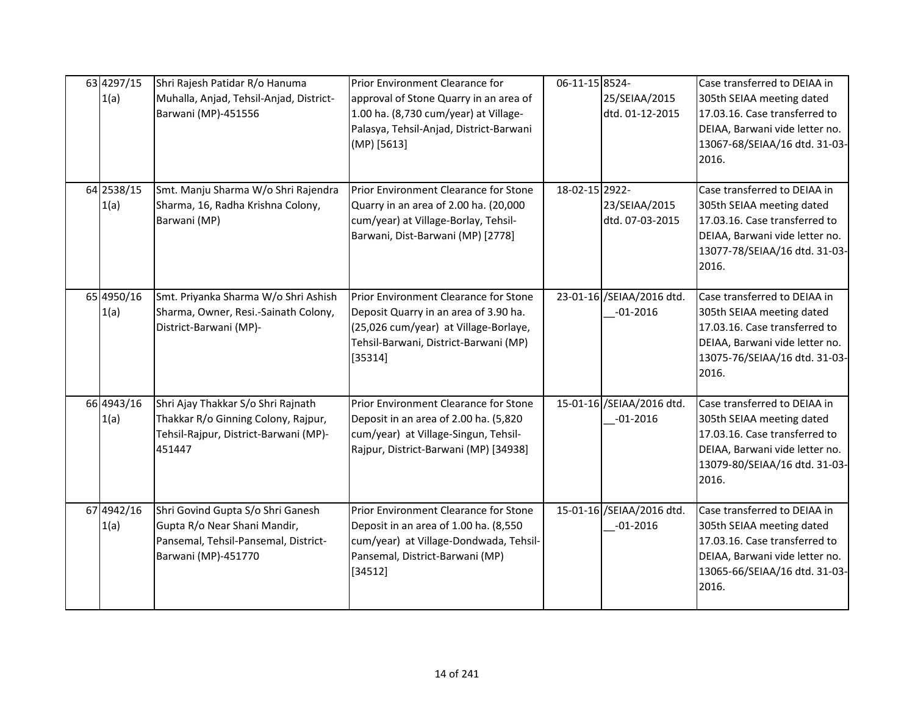| 63 4297/15<br>1(a) | Shri Rajesh Patidar R/o Hanuma<br>Muhalla, Anjad, Tehsil-Anjad, District-<br>Barwani (MP)-451556                                 | Prior Environment Clearance for<br>approval of Stone Quarry in an area of<br>1.00 ha. (8,730 cum/year) at Village-<br>Palasya, Tehsil-Anjad, District-Barwani<br>(MP) [5613] | 06-11-15 8524-<br>25/SEIAA/2015<br>dtd. 01-12-2015 | Case transferred to DEIAA in<br>305th SEIAA meeting dated<br>17.03.16. Case transferred to<br>DEIAA, Barwani vide letter no.<br>13067-68/SEIAA/16 dtd. 31-03-<br>2016. |
|--------------------|----------------------------------------------------------------------------------------------------------------------------------|------------------------------------------------------------------------------------------------------------------------------------------------------------------------------|----------------------------------------------------|------------------------------------------------------------------------------------------------------------------------------------------------------------------------|
| 64 2538/15<br>1(a) | Smt. Manju Sharma W/o Shri Rajendra<br>Sharma, 16, Radha Krishna Colony,<br>Barwani (MP)                                         | Prior Environment Clearance for Stone<br>Quarry in an area of 2.00 ha. (20,000<br>cum/year) at Village-Borlay, Tehsil-<br>Barwani, Dist-Barwani (MP) [2778]                  | 18-02-15 2922-<br>23/SEIAA/2015<br>dtd. 07-03-2015 | Case transferred to DEIAA in<br>305th SEIAA meeting dated<br>17.03.16. Case transferred to<br>DEIAA, Barwani vide letter no.<br>13077-78/SEIAA/16 dtd. 31-03-<br>2016. |
| 65 4950/16<br>1(a) | Smt. Priyanka Sharma W/o Shri Ashish<br>Sharma, Owner, Resi.-Sainath Colony,<br>District-Barwani (MP)-                           | Prior Environment Clearance for Stone<br>Deposit Quarry in an area of 3.90 ha.<br>(25,026 cum/year) at Village-Borlaye,<br>Tehsil-Barwani, District-Barwani (MP)<br>[35314]  | 23-01-16 /SEIAA/2016 dtd.<br>$-01 - 2016$          | Case transferred to DEIAA in<br>305th SEIAA meeting dated<br>17.03.16. Case transferred to<br>DEIAA, Barwani vide letter no.<br>13075-76/SEIAA/16 dtd. 31-03-<br>2016. |
| 66 4943/16<br>1(a) | Shri Ajay Thakkar S/o Shri Rajnath<br>Thakkar R/o Ginning Colony, Rajpur,<br>Tehsil-Rajpur, District-Barwani (MP)-<br>451447     | Prior Environment Clearance for Stone<br>Deposit in an area of 2.00 ha. (5,820<br>cum/year) at Village-Singun, Tehsil-<br>Rajpur, District-Barwani (MP) [34938]              | 15-01-16 /SEIAA/2016 dtd.<br>$-01 - 2016$          | Case transferred to DEIAA in<br>305th SEIAA meeting dated<br>17.03.16. Case transferred to<br>DEIAA, Barwani vide letter no.<br>13079-80/SEIAA/16 dtd. 31-03-<br>2016. |
| 67 4942/16<br>1(a) | Shri Govind Gupta S/o Shri Ganesh<br>Gupta R/o Near Shani Mandir,<br>Pansemal, Tehsil-Pansemal, District-<br>Barwani (MP)-451770 | Prior Environment Clearance for Stone<br>Deposit in an area of 1.00 ha. (8,550<br>cum/year) at Village-Dondwada, Tehsil-<br>Pansemal, District-Barwani (MP)<br>[34512]       | 15-01-16 / SEIAA/2016 dtd.<br>$-01 - 2016$         | Case transferred to DEIAA in<br>305th SEIAA meeting dated<br>17.03.16. Case transferred to<br>DEIAA, Barwani vide letter no.<br>13065-66/SEIAA/16 dtd. 31-03-<br>2016. |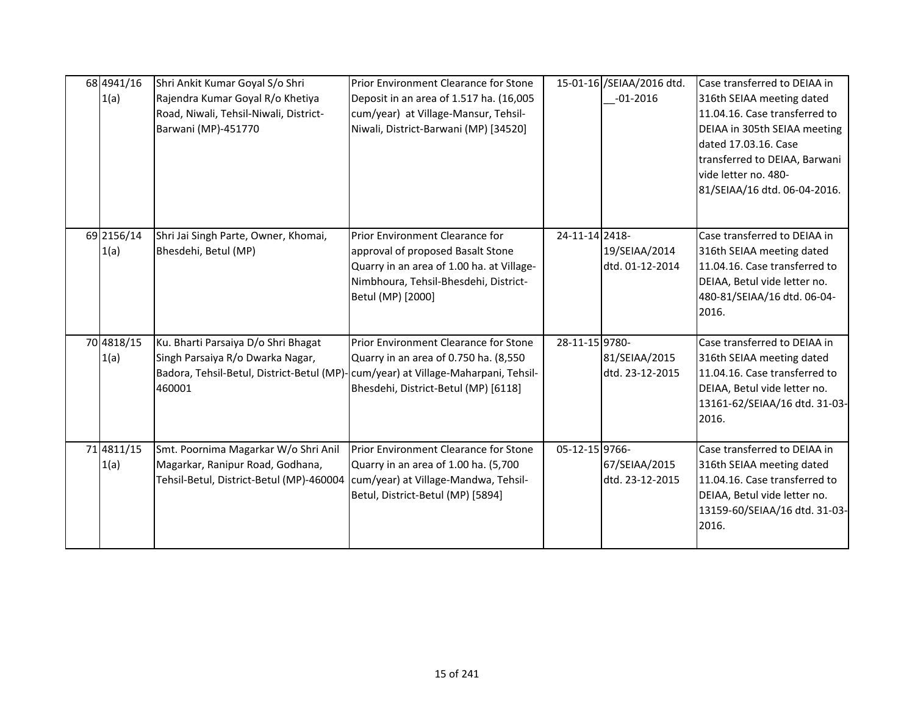| 68 4941/16<br>1(a) | Shri Ankit Kumar Goyal S/o Shri<br>Rajendra Kumar Goyal R/o Khetiya<br>Road, Niwali, Tehsil-Niwali, District-<br>Barwani (MP)-451770                                    | Prior Environment Clearance for Stone<br>Deposit in an area of 1.517 ha. (16,005<br>cum/year) at Village-Mansur, Tehsil-<br>Niwali, District-Barwani (MP) [34520]               | 15-01-16 /SEIAA/2016 dtd.<br>$-01 - 2016$          | Case transferred to DEIAA in<br>316th SEIAA meeting dated<br>11.04.16. Case transferred to<br>DEIAA in 305th SEIAA meeting<br>dated 17.03.16. Case<br>transferred to DEIAA, Barwani<br>vide letter no. 480-<br>81/SEIAA/16 dtd. 06-04-2016. |
|--------------------|-------------------------------------------------------------------------------------------------------------------------------------------------------------------------|---------------------------------------------------------------------------------------------------------------------------------------------------------------------------------|----------------------------------------------------|---------------------------------------------------------------------------------------------------------------------------------------------------------------------------------------------------------------------------------------------|
| 69 2156/14<br>1(a) | Shri Jai Singh Parte, Owner, Khomai,<br>Bhesdehi, Betul (MP)                                                                                                            | Prior Environment Clearance for<br>approval of proposed Basalt Stone<br>Quarry in an area of 1.00 ha. at Village-<br>Nimbhoura, Tehsil-Bhesdehi, District-<br>Betul (MP) [2000] | 24-11-14 2418-<br>19/SEIAA/2014<br>dtd. 01-12-2014 | Case transferred to DEIAA in<br>316th SEIAA meeting dated<br>11.04.16. Case transferred to<br>DEIAA, Betul vide letter no.<br>480-81/SEIAA/16 dtd. 06-04-<br>2016.                                                                          |
| 70 4818/15<br>1(a) | Ku. Bharti Parsaiya D/o Shri Bhagat<br>Singh Parsaiya R/o Dwarka Nagar,<br>Badora, Tehsil-Betul, District-Betul (MP)- cum/year) at Village-Maharpani, Tehsil-<br>460001 | Prior Environment Clearance for Stone<br>Quarry in an area of 0.750 ha. (8,550<br>Bhesdehi, District-Betul (MP) [6118]                                                          | 28-11-15 9780-<br>81/SEIAA/2015<br>dtd. 23-12-2015 | Case transferred to DEIAA in<br>316th SEIAA meeting dated<br>11.04.16. Case transferred to<br>DEIAA, Betul vide letter no.<br>13161-62/SEIAA/16 dtd. 31-03-<br>2016.                                                                        |
| 71 4811/15<br>1(a) | Smt. Poornima Magarkar W/o Shri Anil<br>Magarkar, Ranipur Road, Godhana,<br>Tehsil-Betul, District-Betul (MP)-460004                                                    | Prior Environment Clearance for Stone<br>Quarry in an area of 1.00 ha. (5,700<br>cum/year) at Village-Mandwa, Tehsil-<br>Betul, District-Betul (MP) [5894]                      | 05-12-15 9766-<br>67/SEIAA/2015<br>dtd. 23-12-2015 | Case transferred to DEIAA in<br>316th SEIAA meeting dated<br>11.04.16. Case transferred to<br>DEIAA, Betul vide letter no.<br>13159-60/SEIAA/16 dtd. 31-03-<br>2016.                                                                        |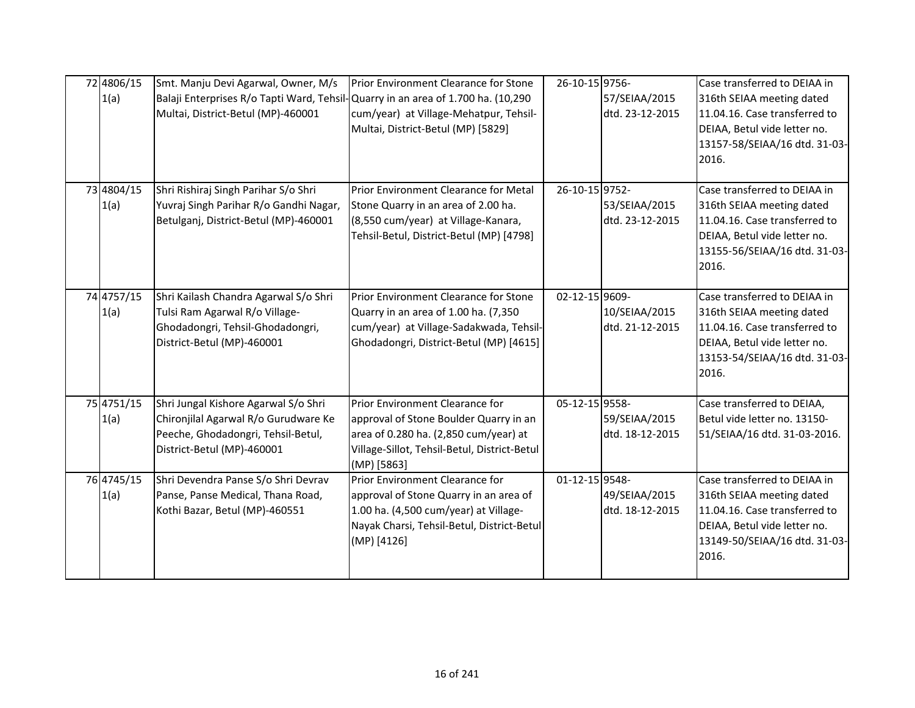| 72 4806/15<br>1(a) | Smt. Manju Devi Agarwal, Owner, M/s<br>Balaji Enterprises R/o Tapti Ward, Tehsil-Quarry in an area of 1.700 ha. (10,290<br>Multai, District-Betul (MP)-460001 | Prior Environment Clearance for Stone<br>cum/year) at Village-Mehatpur, Tehsil-<br>Multai, District-Betul (MP) [5829]                                                             | 26-10-15 9756- | 57/SEIAA/2015<br>dtd. 23-12-2015 | Case transferred to DEIAA in<br>316th SEIAA meeting dated<br>11.04.16. Case transferred to<br>DEIAA, Betul vide letter no.<br>13157-58/SEIAA/16 dtd. 31-03-<br>2016. |
|--------------------|---------------------------------------------------------------------------------------------------------------------------------------------------------------|-----------------------------------------------------------------------------------------------------------------------------------------------------------------------------------|----------------|----------------------------------|----------------------------------------------------------------------------------------------------------------------------------------------------------------------|
| 73 4804/15<br>1(a) | Shri Rishiraj Singh Parihar S/o Shri<br>Yuvraj Singh Parihar R/o Gandhi Nagar,<br>Betulganj, District-Betul (MP)-460001                                       | Prior Environment Clearance for Metal<br>Stone Quarry in an area of 2.00 ha.<br>(8,550 cum/year) at Village-Kanara,<br>Tehsil-Betul, District-Betul (MP) [4798]                   | 26-10-15 9752- | 53/SEIAA/2015<br>dtd. 23-12-2015 | Case transferred to DEIAA in<br>316th SEIAA meeting dated<br>11.04.16. Case transferred to<br>DEIAA, Betul vide letter no.<br>13155-56/SEIAA/16 dtd. 31-03-<br>2016. |
| 74 4757/15<br>1(a) | Shri Kailash Chandra Agarwal S/o Shri<br>Tulsi Ram Agarwal R/o Village-<br>Ghodadongri, Tehsil-Ghodadongri,<br>District-Betul (MP)-460001                     | Prior Environment Clearance for Stone<br>Quarry in an area of 1.00 ha. (7,350<br>cum/year) at Village-Sadakwada, Tehsil-<br>Ghodadongri, District-Betul (MP) [4615]               | 02-12-15 9609- | 10/SEIAA/2015<br>dtd. 21-12-2015 | Case transferred to DEIAA in<br>316th SEIAA meeting dated<br>11.04.16. Case transferred to<br>DEIAA, Betul vide letter no.<br>13153-54/SEIAA/16 dtd. 31-03-<br>2016. |
| 75 4751/15<br>1(a) | Shri Jungal Kishore Agarwal S/o Shri<br>Chironjilal Agarwal R/o Gurudware Ke<br>Peeche, Ghodadongri, Tehsil-Betul,<br>District-Betul (MP)-460001              | Prior Environment Clearance for<br>approval of Stone Boulder Quarry in an<br>area of 0.280 ha. (2,850 cum/year) at<br>Village-Sillot, Tehsil-Betul, District-Betul<br>(MP) [5863] | 05-12-15 9558- | 59/SEIAA/2015<br>dtd. 18-12-2015 | Case transferred to DEIAA,<br>Betul vide letter no. 13150-<br>51/SEIAA/16 dtd. 31-03-2016.                                                                           |
| 76 4745/15<br>1(a) | Shri Devendra Panse S/o Shri Devrav<br>Panse, Panse Medical, Thana Road,<br>Kothi Bazar, Betul (MP)-460551                                                    | Prior Environment Clearance for<br>approval of Stone Quarry in an area of<br>1.00 ha. (4,500 cum/year) at Village-<br>Nayak Charsi, Tehsil-Betul, District-Betul<br>(MP) [4126]   | 01-12-15 9548- | 49/SEIAA/2015<br>dtd. 18-12-2015 | Case transferred to DEIAA in<br>316th SEIAA meeting dated<br>11.04.16. Case transferred to<br>DEIAA, Betul vide letter no.<br>13149-50/SEIAA/16 dtd. 31-03-<br>2016. |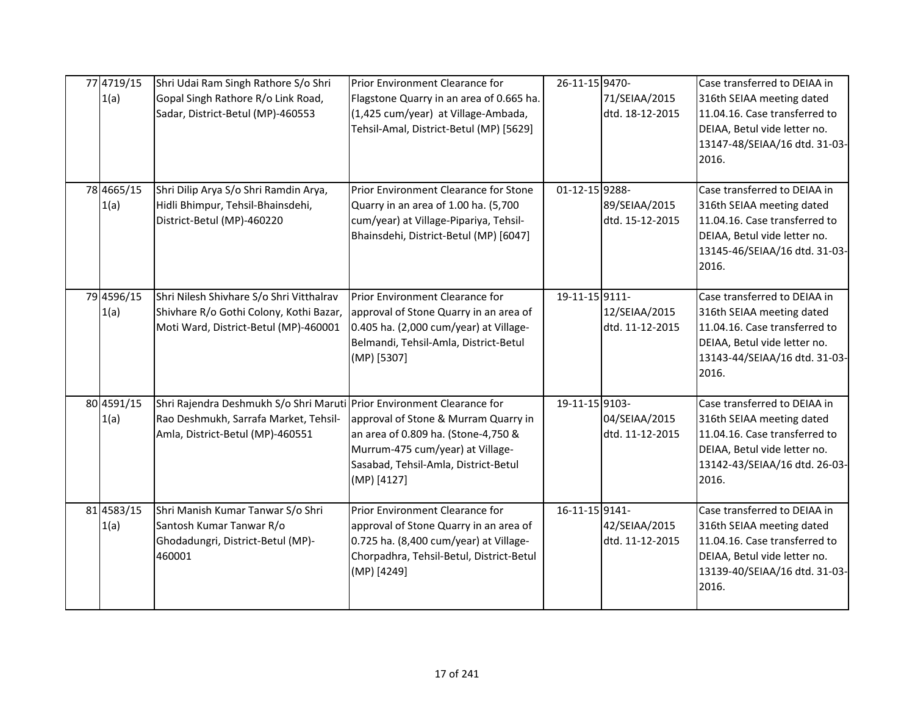| 77 4719/15<br>1(a) | Shri Udai Ram Singh Rathore S/o Shri<br>Gopal Singh Rathore R/o Link Road,<br>Sadar, District-Betul (MP)-460553                                     | Prior Environment Clearance for<br>Flagstone Quarry in an area of 0.665 ha.<br>(1,425 cum/year) at Village-Ambada,<br>Tehsil-Amal, District-Betul (MP) [5629]                  | 26-11-15 9470- | 71/SEIAA/2015<br>dtd. 18-12-2015 | Case transferred to DEIAA in<br>316th SEIAA meeting dated<br>11.04.16. Case transferred to<br>DEIAA, Betul vide letter no.<br>13147-48/SEIAA/16 dtd. 31-03-<br>2016. |
|--------------------|-----------------------------------------------------------------------------------------------------------------------------------------------------|--------------------------------------------------------------------------------------------------------------------------------------------------------------------------------|----------------|----------------------------------|----------------------------------------------------------------------------------------------------------------------------------------------------------------------|
| 78 4665/15<br>1(a) | Shri Dilip Arya S/o Shri Ramdin Arya,<br>Hidli Bhimpur, Tehsil-Bhainsdehi,<br>District-Betul (MP)-460220                                            | Prior Environment Clearance for Stone<br>Quarry in an area of 1.00 ha. (5,700<br>cum/year) at Village-Pipariya, Tehsil-<br>Bhainsdehi, District-Betul (MP) [6047]              | 01-12-15 9288- | 89/SEIAA/2015<br>dtd. 15-12-2015 | Case transferred to DEIAA in<br>316th SEIAA meeting dated<br>11.04.16. Case transferred to<br>DEIAA, Betul vide letter no.<br>13145-46/SEIAA/16 dtd. 31-03-<br>2016. |
| 79 4596/15<br>1(a) | Shri Nilesh Shivhare S/o Shri Vitthalrav<br>Shivhare R/o Gothi Colony, Kothi Bazar,<br>Moti Ward, District-Betul (MP)-460001                        | Prior Environment Clearance for<br>approval of Stone Quarry in an area of<br>0.405 ha. (2,000 cum/year) at Village-<br>Belmandi, Tehsil-Amla, District-Betul<br>(MP) [5307]    | 19-11-15 9111- | 12/SEIAA/2015<br>dtd. 11-12-2015 | Case transferred to DEIAA in<br>316th SEIAA meeting dated<br>11.04.16. Case transferred to<br>DEIAA, Betul vide letter no.<br>13143-44/SEIAA/16 dtd. 31-03-<br>2016. |
| 80 4591/15<br>1(a) | Shri Rajendra Deshmukh S/o Shri Maruti Prior Environment Clearance for<br>Rao Deshmukh, Sarrafa Market, Tehsil-<br>Amla, District-Betul (MP)-460551 | approval of Stone & Murram Quarry in<br>an area of 0.809 ha. (Stone-4,750 &<br>Murrum-475 cum/year) at Village-<br>Sasabad, Tehsil-Amla, District-Betul<br>(MP) [4127]         | 19-11-15 9103- | 04/SEIAA/2015<br>dtd. 11-12-2015 | Case transferred to DEIAA in<br>316th SEIAA meeting dated<br>11.04.16. Case transferred to<br>DEIAA, Betul vide letter no.<br>13142-43/SEIAA/16 dtd. 26-03-<br>2016. |
| 81 4583/15<br>1(a) | Shri Manish Kumar Tanwar S/o Shri<br>Santosh Kumar Tanwar R/o<br>Ghodadungri, District-Betul (MP)-<br>460001                                        | Prior Environment Clearance for<br>approval of Stone Quarry in an area of<br>0.725 ha. (8,400 cum/year) at Village-<br>Chorpadhra, Tehsil-Betul, District-Betul<br>(MP) [4249] | 16-11-15 9141- | 42/SEIAA/2015<br>dtd. 11-12-2015 | Case transferred to DEIAA in<br>316th SEIAA meeting dated<br>11.04.16. Case transferred to<br>DEIAA, Betul vide letter no.<br>13139-40/SEIAA/16 dtd. 31-03-<br>2016. |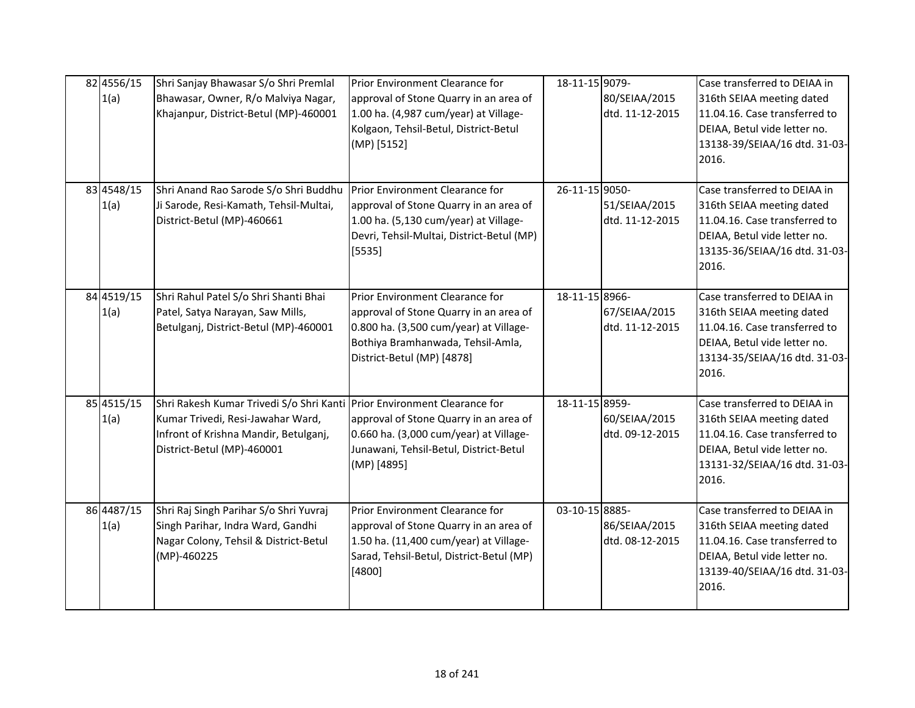| 82 4556/15<br>1(a) | Shri Sanjay Bhawasar S/o Shri Premlal<br>Bhawasar, Owner, R/o Malviya Nagar,<br>Khajanpur, District-Betul (MP)-460001                                                                | Prior Environment Clearance for<br>approval of Stone Quarry in an area of<br>1.00 ha. (4,987 cum/year) at Village-<br>Kolgaon, Tehsil-Betul, District-Betul<br>(MP) [5152]             | 18-11-15 9079- | 80/SEIAA/2015<br>dtd. 11-12-2015 | Case transferred to DEIAA in<br>316th SEIAA meeting dated<br>11.04.16. Case transferred to<br>DEIAA, Betul vide letter no.<br>13138-39/SEIAA/16 dtd. 31-03-<br>2016. |
|--------------------|--------------------------------------------------------------------------------------------------------------------------------------------------------------------------------------|----------------------------------------------------------------------------------------------------------------------------------------------------------------------------------------|----------------|----------------------------------|----------------------------------------------------------------------------------------------------------------------------------------------------------------------|
| 83 4548/15<br>1(a) | Shri Anand Rao Sarode S/o Shri Buddhu<br>Ji Sarode, Resi-Kamath, Tehsil-Multai,<br>District-Betul (MP)-460661                                                                        | Prior Environment Clearance for<br>approval of Stone Quarry in an area of<br>1.00 ha. (5,130 cum/year) at Village-<br>Devri, Tehsil-Multai, District-Betul (MP)<br>[5535]              | 26-11-15 9050- | 51/SEIAA/2015<br>dtd. 11-12-2015 | Case transferred to DEIAA in<br>316th SEIAA meeting dated<br>11.04.16. Case transferred to<br>DEIAA, Betul vide letter no.<br>13135-36/SEIAA/16 dtd. 31-03-<br>2016. |
| 84 4519/15<br>1(a) | Shri Rahul Patel S/o Shri Shanti Bhai<br>Patel, Satya Narayan, Saw Mills,<br>Betulganj, District-Betul (MP)-460001                                                                   | Prior Environment Clearance for<br>approval of Stone Quarry in an area of<br>0.800 ha. (3,500 cum/year) at Village-<br>Bothiya Bramhanwada, Tehsil-Amla,<br>District-Betul (MP) [4878] | 18-11-15 8966- | 67/SEIAA/2015<br>dtd. 11-12-2015 | Case transferred to DEIAA in<br>316th SEIAA meeting dated<br>11.04.16. Case transferred to<br>DEIAA, Betul vide letter no.<br>13134-35/SEIAA/16 dtd. 31-03-<br>2016. |
| 85 4515/15<br>1(a) | Shri Rakesh Kumar Trivedi S/o Shri Kanti Prior Environment Clearance for<br>Kumar Trivedi, Resi-Jawahar Ward,<br>Infront of Krishna Mandir, Betulganj,<br>District-Betul (MP)-460001 | approval of Stone Quarry in an area of<br>0.660 ha. (3,000 cum/year) at Village-<br>Junawani, Tehsil-Betul, District-Betul<br>(MP) [4895]                                              | 18-11-15 8959- | 60/SEIAA/2015<br>dtd. 09-12-2015 | Case transferred to DEIAA in<br>316th SEIAA meeting dated<br>11.04.16. Case transferred to<br>DEIAA, Betul vide letter no.<br>13131-32/SEIAA/16 dtd. 31-03-<br>2016. |
| 86 4487/15<br>1(a) | Shri Raj Singh Parihar S/o Shri Yuvraj<br>Singh Parihar, Indra Ward, Gandhi<br>Nagar Colony, Tehsil & District-Betul<br>(MP)-460225                                                  | Prior Environment Clearance for<br>approval of Stone Quarry in an area of<br>1.50 ha. (11,400 cum/year) at Village-<br>Sarad, Tehsil-Betul, District-Betul (MP)<br>[4800]              | 03-10-15 8885- | 86/SEIAA/2015<br>dtd. 08-12-2015 | Case transferred to DEIAA in<br>316th SEIAA meeting dated<br>11.04.16. Case transferred to<br>DEIAA, Betul vide letter no.<br>13139-40/SEIAA/16 dtd. 31-03-<br>2016. |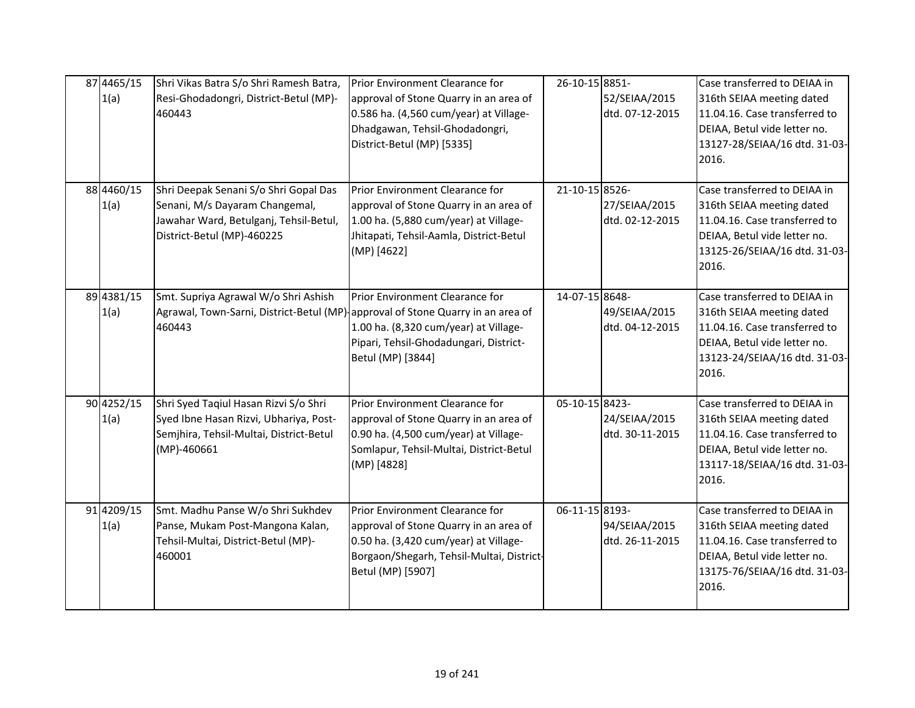| 87 4465/15<br>1(a) | Shri Vikas Batra S/o Shri Ramesh Batra,<br>Resi-Ghodadongri, District-Betul (MP)-<br>460443                                                     | Prior Environment Clearance for<br>approval of Stone Quarry in an area of<br>0.586 ha. (4,560 cum/year) at Village-<br>Dhadgawan, Tehsil-Ghodadongri,<br>District-Betul (MP) [5335]  | 26-10-15 8851- | 52/SEIAA/2015<br>dtd. 07-12-2015 | Case transferred to DEIAA in<br>316th SEIAA meeting dated<br>11.04.16. Case transferred to<br>DEIAA, Betul vide letter no.<br>13127-28/SEIAA/16 dtd. 31-03-<br>2016. |
|--------------------|-------------------------------------------------------------------------------------------------------------------------------------------------|--------------------------------------------------------------------------------------------------------------------------------------------------------------------------------------|----------------|----------------------------------|----------------------------------------------------------------------------------------------------------------------------------------------------------------------|
| 88 4460/15<br>1(a) | Shri Deepak Senani S/o Shri Gopal Das<br>Senani, M/s Dayaram Changemal,<br>Jawahar Ward, Betulganj, Tehsil-Betul,<br>District-Betul (MP)-460225 | Prior Environment Clearance for<br>approval of Stone Quarry in an area of<br>1.00 ha. (5,880 cum/year) at Village-<br>Jhitapati, Tehsil-Aamla, District-Betul<br>(MP) [4622]         | 21-10-15 8526- | 27/SEIAA/2015<br>dtd. 02-12-2015 | Case transferred to DEIAA in<br>316th SEIAA meeting dated<br>11.04.16. Case transferred to<br>DEIAA, Betul vide letter no.<br>13125-26/SEIAA/16 dtd. 31-03-<br>2016. |
| 89 4381/15<br>1(a) | Smt. Supriya Agrawal W/o Shri Ashish<br>Agrawal, Town-Sarni, District-Betul (MP) approval of Stone Quarry in an area of<br>460443               | Prior Environment Clearance for<br>1.00 ha. (8,320 cum/year) at Village-<br>Pipari, Tehsil-Ghodadungari, District-<br>Betul (MP) [3844]                                              | 14-07-15 8648- | 49/SEIAA/2015<br>dtd. 04-12-2015 | Case transferred to DEIAA in<br>316th SEIAA meeting dated<br>11.04.16. Case transferred to<br>DEIAA, Betul vide letter no.<br>13123-24/SEIAA/16 dtd. 31-03-<br>2016. |
| 90 4252/15<br>1(a) | Shri Syed Taqiul Hasan Rizvi S/o Shri<br>Syed Ibne Hasan Rizvi, Ubhariya, Post-<br>Semjhira, Tehsil-Multai, District-Betul<br>(MP)-460661       | Prior Environment Clearance for<br>approval of Stone Quarry in an area of<br>0.90 ha. (4,500 cum/year) at Village-<br>Somlapur, Tehsil-Multai, District-Betul<br>(MP) [4828]         | 05-10-15 8423- | 24/SEIAA/2015<br>dtd. 30-11-2015 | Case transferred to DEIAA in<br>316th SEIAA meeting dated<br>11.04.16. Case transferred to<br>DEIAA, Betul vide letter no.<br>13117-18/SEIAA/16 dtd. 31-03-<br>2016. |
| 91 4209/15<br>1(a) | Smt. Madhu Panse W/o Shri Sukhdev<br>Panse, Mukam Post-Mangona Kalan,<br>Tehsil-Multai, District-Betul (MP)-<br>460001                          | Prior Environment Clearance for<br>approval of Stone Quarry in an area of<br>0.50 ha. (3,420 cum/year) at Village-<br>Borgaon/Shegarh, Tehsil-Multai, District-<br>Betul (MP) [5907] | 06-11-15 8193- | 94/SEIAA/2015<br>dtd. 26-11-2015 | Case transferred to DEIAA in<br>316th SEIAA meeting dated<br>11.04.16. Case transferred to<br>DEIAA, Betul vide letter no.<br>13175-76/SEIAA/16 dtd. 31-03-<br>2016. |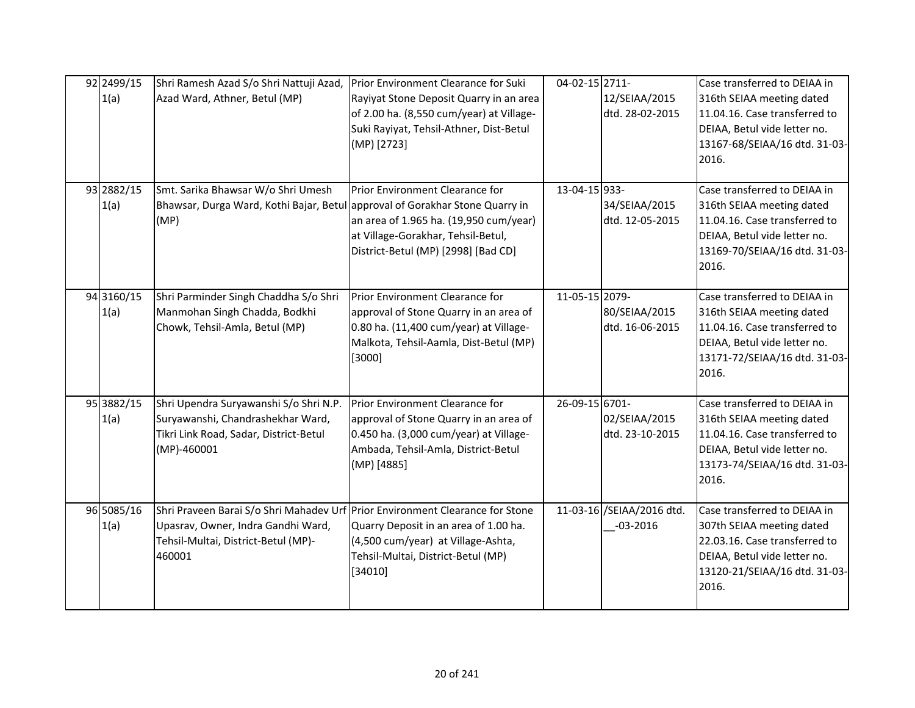| 92 2499/15<br>1(a) | Shri Ramesh Azad S/o Shri Nattuji Azad,<br>Azad Ward, Athner, Betul (MP)                                                                                             | Prior Environment Clearance for Suki<br>Rayiyat Stone Deposit Quarry in an area<br>of 2.00 ha. (8,550 cum/year) at Village-<br>Suki Rayiyat, Tehsil-Athner, Dist-Betul<br>(MP) [2723] | 04-02-15 2711- | 12/SEIAA/2015<br>dtd. 28-02-2015          | Case transferred to DEIAA in<br>316th SEIAA meeting dated<br>11.04.16. Case transferred to<br>DEIAA, Betul vide letter no.<br>13167-68/SEIAA/16 dtd. 31-03-<br>2016. |
|--------------------|----------------------------------------------------------------------------------------------------------------------------------------------------------------------|---------------------------------------------------------------------------------------------------------------------------------------------------------------------------------------|----------------|-------------------------------------------|----------------------------------------------------------------------------------------------------------------------------------------------------------------------|
| 93 2882/15<br>1(a) | Smt. Sarika Bhawsar W/o Shri Umesh<br>Bhawsar, Durga Ward, Kothi Bajar, Betul approval of Gorakhar Stone Quarry in<br>(MP)                                           | Prior Environment Clearance for<br>an area of 1.965 ha. (19,950 cum/year)<br>at Village-Gorakhar, Tehsil-Betul,<br>District-Betul (MP) [2998] [Bad CD]                                | 13-04-15 933-  | 34/SEIAA/2015<br>dtd. 12-05-2015          | Case transferred to DEIAA in<br>316th SEIAA meeting dated<br>11.04.16. Case transferred to<br>DEIAA, Betul vide letter no.<br>13169-70/SEIAA/16 dtd. 31-03-<br>2016. |
| 94 3160/15<br>1(a) | Shri Parminder Singh Chaddha S/o Shri<br>Manmohan Singh Chadda, Bodkhi<br>Chowk, Tehsil-Amla, Betul (MP)                                                             | Prior Environment Clearance for<br>approval of Stone Quarry in an area of<br>0.80 ha. (11,400 cum/year) at Village-<br>Malkota, Tehsil-Aamla, Dist-Betul (MP)<br>[3000]               | 11-05-15 2079- | 80/SEIAA/2015<br>dtd. 16-06-2015          | Case transferred to DEIAA in<br>316th SEIAA meeting dated<br>11.04.16. Case transferred to<br>DEIAA, Betul vide letter no.<br>13171-72/SEIAA/16 dtd. 31-03-<br>2016. |
| 95 3882/15<br>1(a) | Shri Upendra Suryawanshi S/o Shri N.P.<br>Suryawanshi, Chandrashekhar Ward,<br>Tikri Link Road, Sadar, District-Betul<br>$(MP) - 460001$                             | Prior Environment Clearance for<br>approval of Stone Quarry in an area of<br>0.450 ha. (3,000 cum/year) at Village-<br>Ambada, Tehsil-Amla, District-Betul<br>(MP) [4885]             | 26-09-15 6701- | 02/SEIAA/2015<br>dtd. 23-10-2015          | Case transferred to DEIAA in<br>316th SEIAA meeting dated<br>11.04.16. Case transferred to<br>DEIAA, Betul vide letter no.<br>13173-74/SEIAA/16 dtd. 31-03-<br>2016. |
| 96 5085/16<br>1(a) | Shri Praveen Barai S/o Shri Mahadev Urf Prior Environment Clearance for Stone<br>Upasrav, Owner, Indra Gandhi Ward,<br>Tehsil-Multai, District-Betul (MP)-<br>460001 | Quarry Deposit in an area of 1.00 ha.<br>(4,500 cum/year) at Village-Ashta,<br>Tehsil-Multai, District-Betul (MP)<br>[34010]                                                          |                | 11-03-16 /SEIAA/2016 dtd.<br>$-03 - 2016$ | Case transferred to DEIAA in<br>307th SEIAA meeting dated<br>22.03.16. Case transferred to<br>DEIAA, Betul vide letter no.<br>13120-21/SEIAA/16 dtd. 31-03-<br>2016. |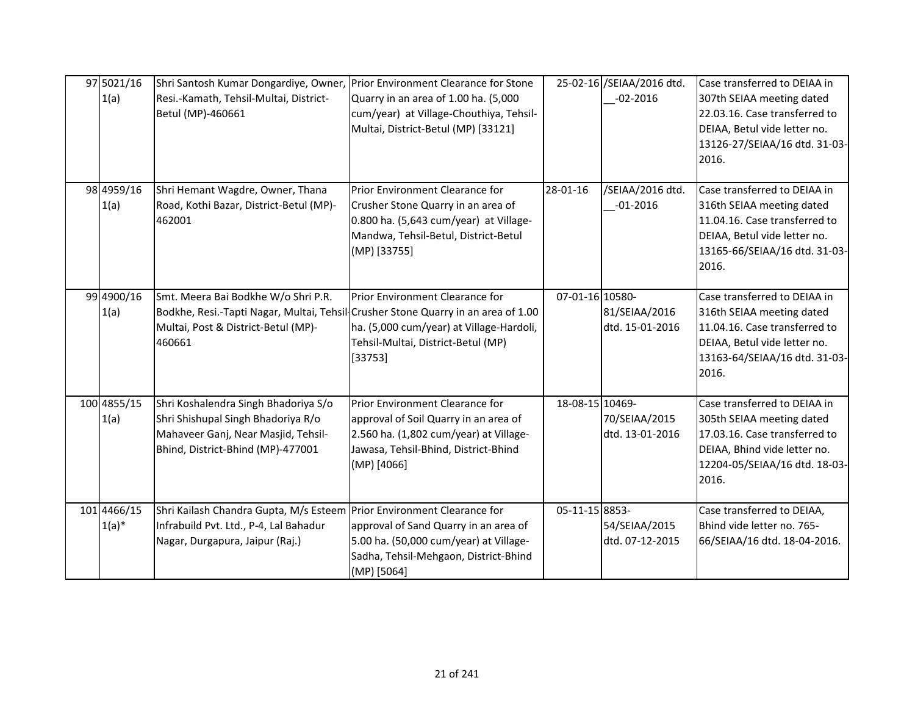| 97 5021/16<br>1(a)      | Shri Santosh Kumar Dongardiye, Owner, Prior Environment Clearance for Stone<br>Resi.-Kamath, Tehsil-Multai, District-<br>Betul (MP)-460661                                | Quarry in an area of 1.00 ha. (5,000<br>cum/year) at Village-Chouthiya, Tehsil-<br>Multai, District-Betul (MP) [33121]                                                    |                 | 25-02-16 /SEIAA/2016 dtd.<br>$-02 - 2016$ | Case transferred to DEIAA in<br>307th SEIAA meeting dated<br>22.03.16. Case transferred to<br>DEIAA, Betul vide letter no.<br>13126-27/SEIAA/16 dtd. 31-03-<br>2016. |
|-------------------------|---------------------------------------------------------------------------------------------------------------------------------------------------------------------------|---------------------------------------------------------------------------------------------------------------------------------------------------------------------------|-----------------|-------------------------------------------|----------------------------------------------------------------------------------------------------------------------------------------------------------------------|
| 98 4959/16<br>1(a)      | Shri Hemant Wagdre, Owner, Thana<br>Road, Kothi Bazar, District-Betul (MP)-<br>462001                                                                                     | Prior Environment Clearance for<br>Crusher Stone Quarry in an area of<br>0.800 ha. (5,643 cum/year) at Village-<br>Mandwa, Tehsil-Betul, District-Betul<br>(MP) [33755]   | 28-01-16        | /SEIAA/2016 dtd.<br>$-01 - 2016$          | Case transferred to DEIAA in<br>316th SEIAA meeting dated<br>11.04.16. Case transferred to<br>DEIAA, Betul vide letter no.<br>13165-66/SEIAA/16 dtd. 31-03-<br>2016. |
| 99 4900/16<br>1(a)      | Smt. Meera Bai Bodkhe W/o Shri P.R.<br>Bodkhe, Resi.-Tapti Nagar, Multai, Tehsil-Crusher Stone Quarry in an area of 1.00<br>Multai, Post & District-Betul (MP)-<br>460661 | Prior Environment Clearance for<br>ha. (5,000 cum/year) at Village-Hardoli,<br>Tehsil-Multai, District-Betul (MP)<br>[33753]                                              | 07-01-16 10580- | 81/SEIAA/2016<br>dtd. 15-01-2016          | Case transferred to DEIAA in<br>316th SEIAA meeting dated<br>11.04.16. Case transferred to<br>DEIAA, Betul vide letter no.<br>13163-64/SEIAA/16 dtd. 31-03-<br>2016. |
| 100 4855/15<br>1(a)     | Shri Koshalendra Singh Bhadoriya S/o<br>Shri Shishupal Singh Bhadoriya R/o<br>Mahaveer Ganj, Near Masjid, Tehsil-<br>Bhind, District-Bhind (MP)-477001                    | Prior Environment Clearance for<br>approval of Soil Quarry in an area of<br>2.560 ha. (1,802 cum/year) at Village-<br>Jawasa, Tehsil-Bhind, District-Bhind<br>(MP) [4066] | 18-08-15 10469- | 70/SEIAA/2015<br>dtd. 13-01-2016          | Case transferred to DEIAA in<br>305th SEIAA meeting dated<br>17.03.16. Case transferred to<br>DEIAA, Bhind vide letter no.<br>12204-05/SEIAA/16 dtd. 18-03-<br>2016. |
| 101 4466/15<br>$1(a)^*$ | Shri Kailash Chandra Gupta, M/s Esteem Prior Environment Clearance for<br>Infrabuild Pvt. Ltd., P-4, Lal Bahadur<br>Nagar, Durgapura, Jaipur (Raj.)                       | approval of Sand Quarry in an area of<br>5.00 ha. (50,000 cum/year) at Village-<br>Sadha, Tehsil-Mehgaon, District-Bhind<br>(MP) [5064]                                   | 05-11-15 8853-  | 54/SEIAA/2015<br>dtd. 07-12-2015          | Case transferred to DEIAA,<br>Bhind vide letter no. 765-<br>66/SEIAA/16 dtd. 18-04-2016.                                                                             |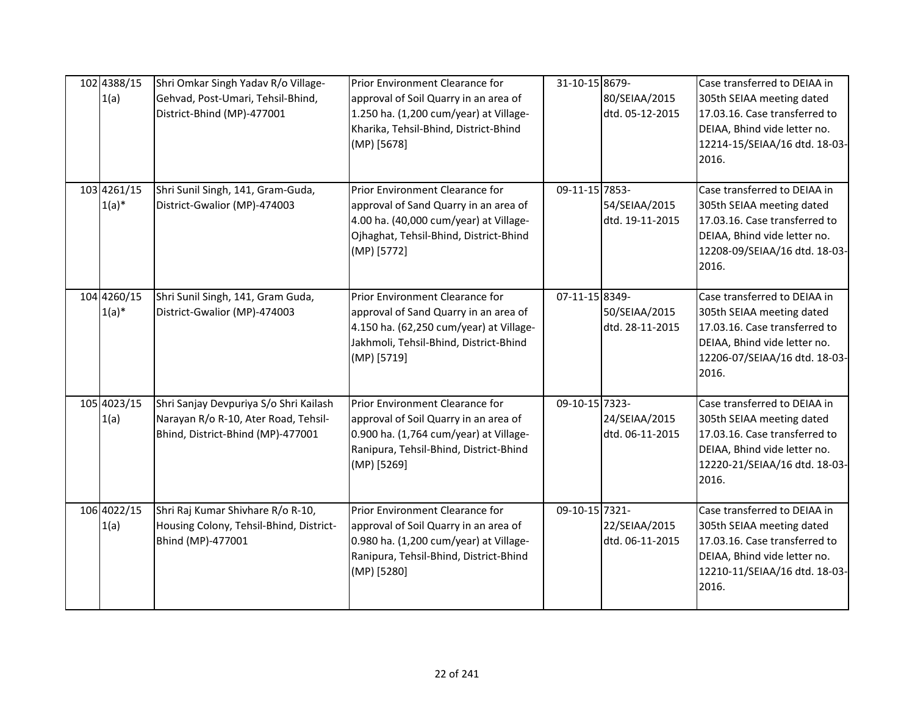| 102 4388/15<br>1(a)     | Shri Omkar Singh Yadav R/o Village-<br>Gehvad, Post-Umari, Tehsil-Bhind,<br>District-Bhind (MP)-477001              | Prior Environment Clearance for<br>approval of Soil Quarry in an area of<br>1.250 ha. (1,200 cum/year) at Village-<br>Kharika, Tehsil-Bhind, District-Bhind<br>(MP) [5678]   | 31-10-15 8679- | 80/SEIAA/2015<br>dtd. 05-12-2015 | Case transferred to DEIAA in<br>305th SEIAA meeting dated<br>17.03.16. Case transferred to<br>DEIAA, Bhind vide letter no.<br>12214-15/SEIAA/16 dtd. 18-03-<br>2016. |
|-------------------------|---------------------------------------------------------------------------------------------------------------------|------------------------------------------------------------------------------------------------------------------------------------------------------------------------------|----------------|----------------------------------|----------------------------------------------------------------------------------------------------------------------------------------------------------------------|
| 103 4261/15<br>$1(a)^*$ | Shri Sunil Singh, 141, Gram-Guda,<br>District-Gwalior (MP)-474003                                                   | Prior Environment Clearance for<br>approval of Sand Quarry in an area of<br>4.00 ha. (40,000 cum/year) at Village-<br>Ojhaghat, Tehsil-Bhind, District-Bhind<br>(MP) [5772]  | 09-11-15 7853- | 54/SEIAA/2015<br>dtd. 19-11-2015 | Case transferred to DEIAA in<br>305th SEIAA meeting dated<br>17.03.16. Case transferred to<br>DEIAA, Bhind vide letter no.<br>12208-09/SEIAA/16 dtd. 18-03-<br>2016. |
| 104 4260/15<br>$1(a)^*$ | Shri Sunil Singh, 141, Gram Guda,<br>District-Gwalior (MP)-474003                                                   | Prior Environment Clearance for<br>approval of Sand Quarry in an area of<br>4.150 ha. (62,250 cum/year) at Village-<br>Jakhmoli, Tehsil-Bhind, District-Bhind<br>(MP) [5719] | 07-11-15 8349- | 50/SEIAA/2015<br>dtd. 28-11-2015 | Case transferred to DEIAA in<br>305th SEIAA meeting dated<br>17.03.16. Case transferred to<br>DEIAA, Bhind vide letter no.<br>12206-07/SEIAA/16 dtd. 18-03-<br>2016. |
| 105 4023/15<br>1(a)     | Shri Sanjay Devpuriya S/o Shri Kailash<br>Narayan R/o R-10, Ater Road, Tehsil-<br>Bhind, District-Bhind (MP)-477001 | Prior Environment Clearance for<br>approval of Soil Quarry in an area of<br>0.900 ha. (1,764 cum/year) at Village-<br>Ranipura, Tehsil-Bhind, District-Bhind<br>(MP) [5269]  | 09-10-15 7323- | 24/SEIAA/2015<br>dtd. 06-11-2015 | Case transferred to DEIAA in<br>305th SEIAA meeting dated<br>17.03.16. Case transferred to<br>DEIAA, Bhind vide letter no.<br>12220-21/SEIAA/16 dtd. 18-03-<br>2016. |
| 106 4022/15<br>1(a)     | Shri Raj Kumar Shivhare R/o R-10,<br>Housing Colony, Tehsil-Bhind, District-<br>Bhind (MP)-477001                   | Prior Environment Clearance for<br>approval of Soil Quarry in an area of<br>0.980 ha. (1,200 cum/year) at Village-<br>Ranipura, Tehsil-Bhind, District-Bhind<br>(MP) [5280]  | 09-10-15 7321- | 22/SEIAA/2015<br>dtd. 06-11-2015 | Case transferred to DEIAA in<br>305th SEIAA meeting dated<br>17.03.16. Case transferred to<br>DEIAA, Bhind vide letter no.<br>12210-11/SEIAA/16 dtd. 18-03-<br>2016. |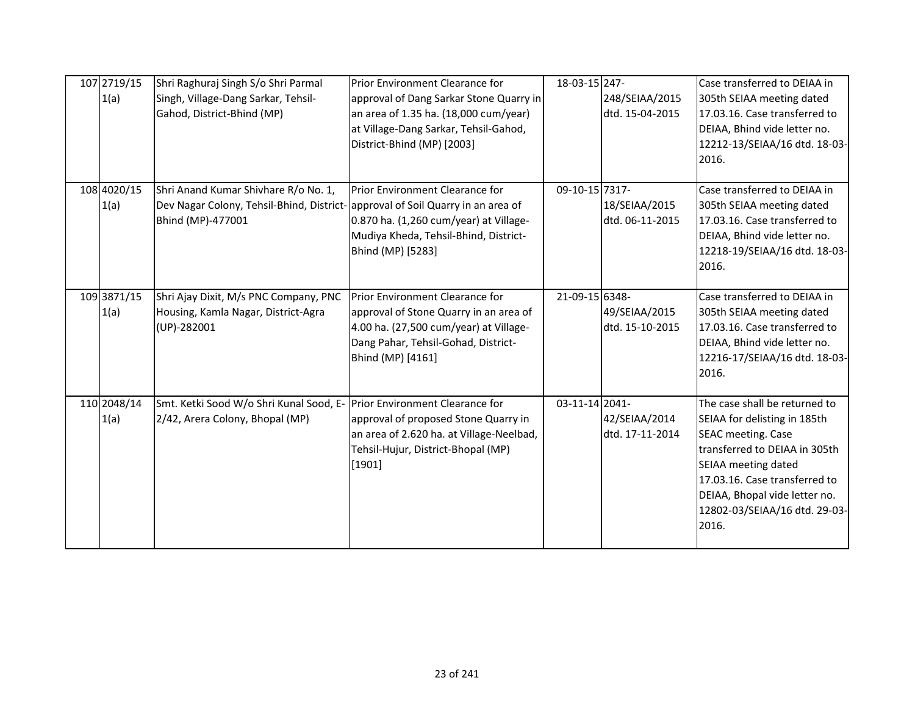| 107 2719/15<br>1(a) | Shri Raghuraj Singh S/o Shri Parmal<br>Singh, Village-Dang Sarkar, Tehsil-<br>Gahod, District-Bhind (MP)                                     | Prior Environment Clearance for<br>approval of Dang Sarkar Stone Quarry in<br>an area of 1.35 ha. (18,000 cum/year)<br>at Village-Dang Sarkar, Tehsil-Gahod,<br>District-Bhind (MP) [2003] | 18-03-15 247-  | 248/SEIAA/2015<br>dtd. 15-04-2015 | Case transferred to DEIAA in<br>305th SEIAA meeting dated<br>17.03.16. Case transferred to<br>DEIAA, Bhind vide letter no.<br>12212-13/SEIAA/16 dtd. 18-03-<br>2016.                                                                                    |
|---------------------|----------------------------------------------------------------------------------------------------------------------------------------------|--------------------------------------------------------------------------------------------------------------------------------------------------------------------------------------------|----------------|-----------------------------------|---------------------------------------------------------------------------------------------------------------------------------------------------------------------------------------------------------------------------------------------------------|
| 108 4020/15<br>1(a) | Shri Anand Kumar Shivhare R/o No. 1,<br>Dev Nagar Colony, Tehsil-Bhind, District- approval of Soil Quarry in an area of<br>Bhind (MP)-477001 | Prior Environment Clearance for<br>0.870 ha. (1,260 cum/year) at Village-<br>Mudiya Kheda, Tehsil-Bhind, District-<br>Bhind (MP) [5283]                                                    | 09-10-15 7317- | 18/SEIAA/2015<br>dtd. 06-11-2015  | Case transferred to DEIAA in<br>305th SEIAA meeting dated<br>17.03.16. Case transferred to<br>DEIAA, Bhind vide letter no.<br>12218-19/SEIAA/16 dtd. 18-03-<br>2016.                                                                                    |
| 109 3871/15<br>1(a) | Shri Ajay Dixit, M/s PNC Company, PNC<br>Housing, Kamla Nagar, District-Agra<br>(UP)-282001                                                  | Prior Environment Clearance for<br>approval of Stone Quarry in an area of<br>4.00 ha. (27,500 cum/year) at Village-<br>Dang Pahar, Tehsil-Gohad, District-<br>Bhind (MP) [4161]            | 21-09-15 6348- | 49/SEIAA/2015<br>dtd. 15-10-2015  | Case transferred to DEIAA in<br>305th SEIAA meeting dated<br>17.03.16. Case transferred to<br>DEIAA, Bhind vide letter no.<br>12216-17/SEIAA/16 dtd. 18-03-<br>2016.                                                                                    |
| 110 2048/14<br>1(a) | Smt. Ketki Sood W/o Shri Kunal Sood, E- Prior Environment Clearance for<br>2/42, Arera Colony, Bhopal (MP)                                   | approval of proposed Stone Quarry in<br>an area of 2.620 ha. at Village-Neelbad,<br>Tehsil-Hujur, District-Bhopal (MP)<br>[1901]                                                           | 03-11-14 2041- | 42/SEIAA/2014<br>dtd. 17-11-2014  | The case shall be returned to<br>SEIAA for delisting in 185th<br>SEAC meeting. Case<br>transferred to DEIAA in 305th<br>SEIAA meeting dated<br>17.03.16. Case transferred to<br>DEIAA, Bhopal vide letter no.<br>12802-03/SEIAA/16 dtd. 29-03-<br>2016. |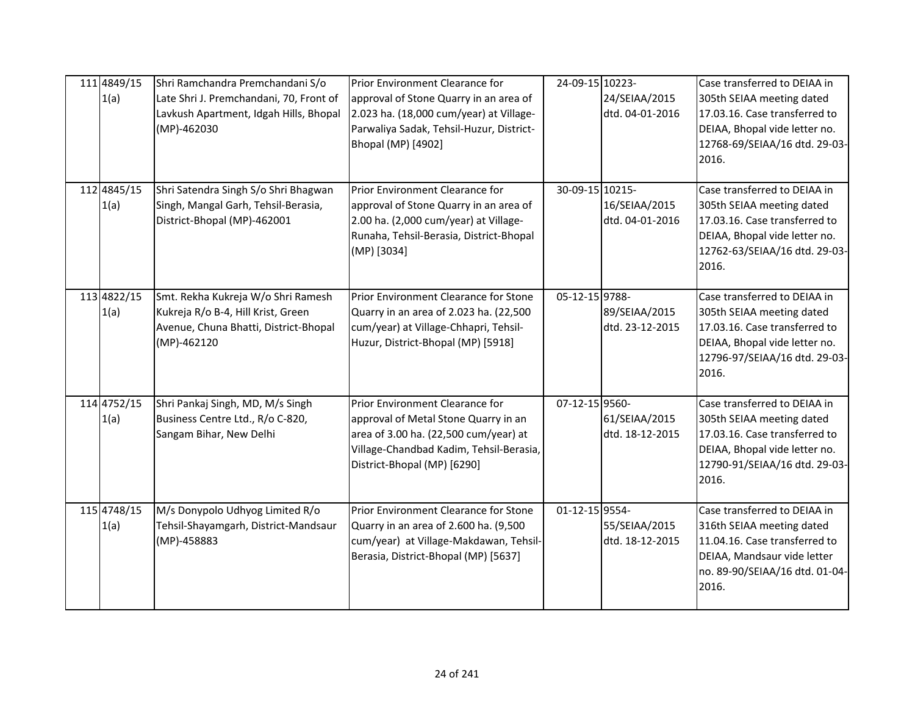| 111 4849/15<br>1(a) | Shri Ramchandra Premchandani S/o<br>Late Shri J. Premchandani, 70, Front of<br>Lavkush Apartment, Idgah Hills, Bhopal<br>(MP)-462030 | Prior Environment Clearance for<br>approval of Stone Quarry in an area of<br>2.023 ha. (18,000 cum/year) at Village-<br>Parwaliya Sadak, Tehsil-Huzur, District-<br>Bhopal (MP) [4902]     | 24-09-15 10223- | 24/SEIAA/2015<br>dtd. 04-01-2016 | Case transferred to DEIAA in<br>305th SEIAA meeting dated<br>17.03.16. Case transferred to<br>DEIAA, Bhopal vide letter no.<br>12768-69/SEIAA/16 dtd. 29-03-<br>2016. |
|---------------------|--------------------------------------------------------------------------------------------------------------------------------------|--------------------------------------------------------------------------------------------------------------------------------------------------------------------------------------------|-----------------|----------------------------------|-----------------------------------------------------------------------------------------------------------------------------------------------------------------------|
| 112 4845/15<br>1(a) | Shri Satendra Singh S/o Shri Bhagwan<br>Singh, Mangal Garh, Tehsil-Berasia,<br>District-Bhopal (MP)-462001                           | Prior Environment Clearance for<br>approval of Stone Quarry in an area of<br>2.00 ha. (2,000 cum/year) at Village-<br>Runaha, Tehsil-Berasia, District-Bhopal<br>(MP) [3034]               | 30-09-15 10215- | 16/SEIAA/2015<br>dtd. 04-01-2016 | Case transferred to DEIAA in<br>305th SEIAA meeting dated<br>17.03.16. Case transferred to<br>DEIAA, Bhopal vide letter no.<br>12762-63/SEIAA/16 dtd. 29-03-<br>2016. |
| 113 4822/15<br>1(a) | Smt. Rekha Kukreja W/o Shri Ramesh<br>Kukreja R/o B-4, Hill Krist, Green<br>Avenue, Chuna Bhatti, District-Bhopal<br>(MP)-462120     | Prior Environment Clearance for Stone<br>Quarry in an area of 2.023 ha. (22,500<br>cum/year) at Village-Chhapri, Tehsil-<br>Huzur, District-Bhopal (MP) [5918]                             | 05-12-15 9788-  | 89/SEIAA/2015<br>dtd. 23-12-2015 | Case transferred to DEIAA in<br>305th SEIAA meeting dated<br>17.03.16. Case transferred to<br>DEIAA, Bhopal vide letter no.<br>12796-97/SEIAA/16 dtd. 29-03-<br>2016. |
| 114 4752/15<br>1(a) | Shri Pankaj Singh, MD, M/s Singh<br>Business Centre Ltd., R/o C-820,<br>Sangam Bihar, New Delhi                                      | Prior Environment Clearance for<br>approval of Metal Stone Quarry in an<br>area of 3.00 ha. (22,500 cum/year) at<br>Village-Chandbad Kadim, Tehsil-Berasia,<br>District-Bhopal (MP) [6290] | 07-12-15 9560-  | 61/SEIAA/2015<br>dtd. 18-12-2015 | Case transferred to DEIAA in<br>305th SEIAA meeting dated<br>17.03.16. Case transferred to<br>DEIAA, Bhopal vide letter no.<br>12790-91/SEIAA/16 dtd. 29-03-<br>2016. |
| 115 4748/15<br>1(a) | M/s Donypolo Udhyog Limited R/o<br>Tehsil-Shayamgarh, District-Mandsaur<br>(MP)-458883                                               | Prior Environment Clearance for Stone<br>Quarry in an area of 2.600 ha. (9,500<br>cum/year) at Village-Makdawan, Tehsil-<br>Berasia, District-Bhopal (MP) [5637]                           | 01-12-15 9554-  | 55/SEIAA/2015<br>dtd. 18-12-2015 | Case transferred to DEIAA in<br>316th SEIAA meeting dated<br>11.04.16. Case transferred to<br>DEIAA, Mandsaur vide letter<br>no. 89-90/SEIAA/16 dtd. 01-04-<br>2016.  |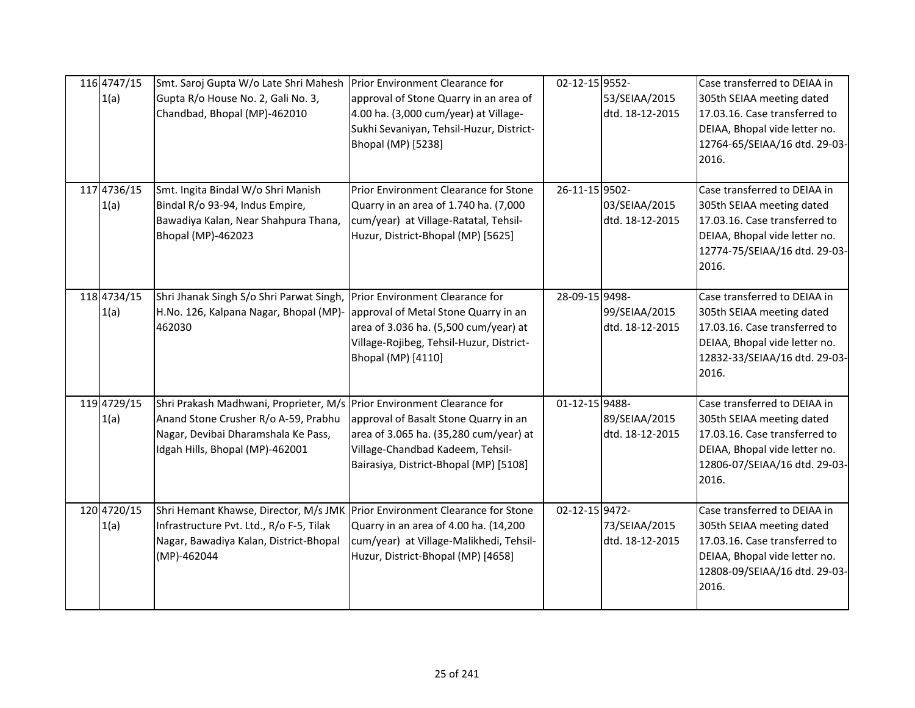| 116 4747/15<br>1(a) | Smt. Saroj Gupta W/o Late Shri Mahesh<br>Gupta R/o House No. 2, Gali No. 3,<br>Chandbad, Bhopal (MP)-462010                                                                              | Prior Environment Clearance for<br>approval of Stone Quarry in an area of<br>4.00 ha. (3,000 cum/year) at Village-<br>Sukhi Sevaniyan, Tehsil-Huzur, District-<br>Bhopal (MP) [5238] | 02-12-15 9552- | 53/SEIAA/2015<br>dtd. 18-12-2015 | Case transferred to DEIAA in<br>305th SEIAA meeting dated<br>17.03.16. Case transferred to<br>DEIAA, Bhopal vide letter no.<br>12764-65/SEIAA/16 dtd. 29-03-<br>2016. |
|---------------------|------------------------------------------------------------------------------------------------------------------------------------------------------------------------------------------|--------------------------------------------------------------------------------------------------------------------------------------------------------------------------------------|----------------|----------------------------------|-----------------------------------------------------------------------------------------------------------------------------------------------------------------------|
| 117 4736/15<br>1(a) | Smt. Ingita Bindal W/o Shri Manish<br>Bindal R/o 93-94, Indus Empire,<br>Bawadiya Kalan, Near Shahpura Thana,<br>Bhopal (MP)-462023                                                      | Prior Environment Clearance for Stone<br>Quarry in an area of 1.740 ha. (7,000<br>cum/year) at Village-Ratatal, Tehsil-<br>Huzur, District-Bhopal (MP) [5625]                        | 26-11-15 9502- | 03/SEIAA/2015<br>dtd. 18-12-2015 | Case transferred to DEIAA in<br>305th SEIAA meeting dated<br>17.03.16. Case transferred to<br>DEIAA, Bhopal vide letter no.<br>12774-75/SEIAA/16 dtd. 29-03-<br>2016. |
| 118 4734/15<br>1(a) | Shri Jhanak Singh S/o Shri Parwat Singh,<br>H.No. 126, Kalpana Nagar, Bhopal (MP)-<br>462030                                                                                             | Prior Environment Clearance for<br>approval of Metal Stone Quarry in an<br>area of 3.036 ha. (5,500 cum/year) at<br>Village-Rojibeg, Tehsil-Huzur, District-<br>Bhopal (MP) [4110]   | 28-09-15 9498- | 99/SEIAA/2015<br>dtd. 18-12-2015 | Case transferred to DEIAA in<br>305th SEIAA meeting dated<br>17.03.16. Case transferred to<br>DEIAA, Bhopal vide letter no.<br>12832-33/SEIAA/16 dtd. 29-03-<br>2016. |
| 119 4729/15<br>1(a) | Shri Prakash Madhwani, Proprieter, M/s Prior Environment Clearance for<br>Anand Stone Crusher R/o A-59, Prabhu<br>Nagar, Devibai Dharamshala Ke Pass,<br>Idgah Hills, Bhopal (MP)-462001 | approval of Basalt Stone Quarry in an<br>area of 3.065 ha. (35,280 cum/year) at<br>Village-Chandbad Kadeem, Tehsil-<br>Bairasiya, District-Bhopal (MP) [5108]                        | 01-12-15 9488- | 89/SEIAA/2015<br>dtd. 18-12-2015 | Case transferred to DEIAA in<br>305th SEIAA meeting dated<br>17.03.16. Case transferred to<br>DEIAA, Bhopal vide letter no.<br>12806-07/SEIAA/16 dtd. 29-03-<br>2016. |
| 120 4720/15<br>1(a) | Shri Hemant Khawse, Director, M/s JMK Prior Environment Clearance for Stone<br>Infrastructure Pvt. Ltd., R/o F-5, Tilak<br>Nagar, Bawadiya Kalan, District-Bhopal<br>(MP)-462044         | Quarry in an area of 4.00 ha. (14,200<br>cum/year) at Village-Malikhedi, Tehsil-<br>Huzur, District-Bhopal (MP) [4658]                                                               | 02-12-15 9472- | 73/SEIAA/2015<br>dtd. 18-12-2015 | Case transferred to DEIAA in<br>305th SEIAA meeting dated<br>17.03.16. Case transferred to<br>DEIAA, Bhopal vide letter no.<br>12808-09/SEIAA/16 dtd. 29-03-<br>2016. |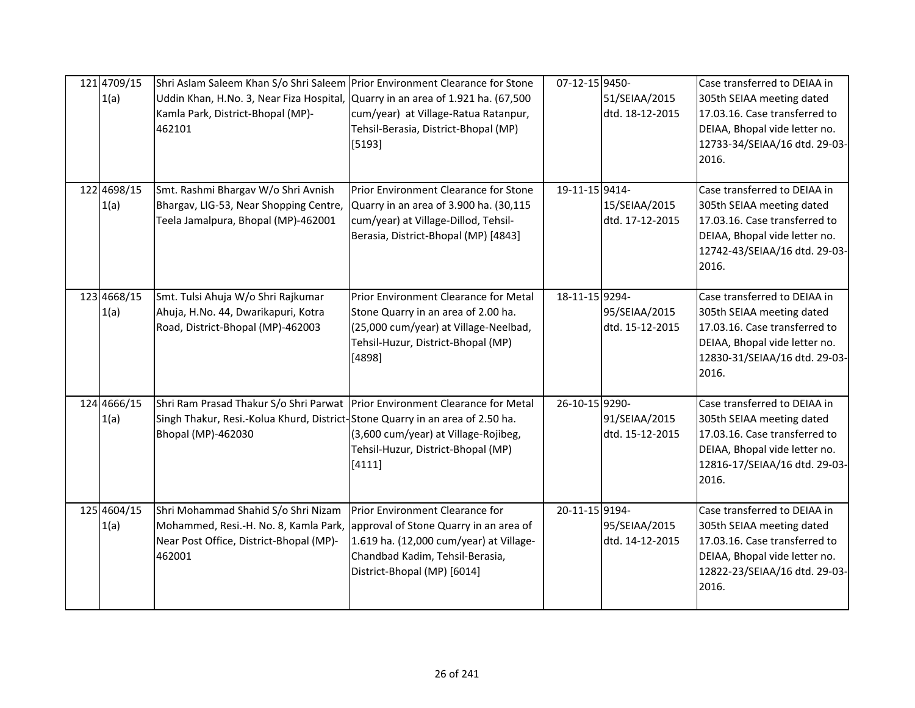| 121 4709/15<br>1(a) | Shri Aslam Saleem Khan S/o Shri Saleem Prior Environment Clearance for Stone<br>Uddin Khan, H.No. 3, Near Fiza Hospital, Quarry in an area of 1.921 ha. (67,500<br>Kamla Park, District-Bhopal (MP)-<br>462101 | cum/year) at Village-Ratua Ratanpur,<br>Tehsil-Berasia, District-Bhopal (MP)<br>[5193]                                                                                                        | 07-12-15 9450- | 51/SEIAA/2015<br>dtd. 18-12-2015 | Case transferred to DEIAA in<br>305th SEIAA meeting dated<br>17.03.16. Case transferred to<br>DEIAA, Bhopal vide letter no.<br>12733-34/SEIAA/16 dtd. 29-03-<br>2016. |
|---------------------|----------------------------------------------------------------------------------------------------------------------------------------------------------------------------------------------------------------|-----------------------------------------------------------------------------------------------------------------------------------------------------------------------------------------------|----------------|----------------------------------|-----------------------------------------------------------------------------------------------------------------------------------------------------------------------|
| 122 4698/15<br>1(a) | Smt. Rashmi Bhargav W/o Shri Avnish<br>Bhargav, LIG-53, Near Shopping Centre,<br>Teela Jamalpura, Bhopal (MP)-462001                                                                                           | Prior Environment Clearance for Stone<br>Quarry in an area of 3.900 ha. (30,115<br>cum/year) at Village-Dillod, Tehsil-<br>Berasia, District-Bhopal (MP) [4843]                               | 19-11-15 9414- | 15/SEIAA/2015<br>dtd. 17-12-2015 | Case transferred to DEIAA in<br>305th SEIAA meeting dated<br>17.03.16. Case transferred to<br>DEIAA, Bhopal vide letter no.<br>12742-43/SEIAA/16 dtd. 29-03-<br>2016. |
| 123 4668/15<br>1(a) | Smt. Tulsi Ahuja W/o Shri Rajkumar<br>Ahuja, H.No. 44, Dwarikapuri, Kotra<br>Road, District-Bhopal (MP)-462003                                                                                                 | Prior Environment Clearance for Metal<br>Stone Quarry in an area of 2.00 ha.<br>(25,000 cum/year) at Village-Neelbad,<br>Tehsil-Huzur, District-Bhopal (MP)<br>[4898]                         | 18-11-15 9294- | 95/SEIAA/2015<br>dtd. 15-12-2015 | Case transferred to DEIAA in<br>305th SEIAA meeting dated<br>17.03.16. Case transferred to<br>DEIAA, Bhopal vide letter no.<br>12830-31/SEIAA/16 dtd. 29-03-<br>2016. |
| 124 4666/15<br>1(a) | Shri Ram Prasad Thakur S/o Shri Parwat Prior Environment Clearance for Metal<br>Singh Thakur, Resi.-Kolua Khurd, District-Stone Quarry in an area of 2.50 ha.<br>Bhopal (MP)-462030                            | (3,600 cum/year) at Village-Rojibeg,<br>Tehsil-Huzur, District-Bhopal (MP)<br>[4111]                                                                                                          | 26-10-15 9290- | 91/SEIAA/2015<br>dtd. 15-12-2015 | Case transferred to DEIAA in<br>305th SEIAA meeting dated<br>17.03.16. Case transferred to<br>DEIAA, Bhopal vide letter no.<br>12816-17/SEIAA/16 dtd. 29-03-<br>2016. |
| 125 4604/15<br>1(a) | Shri Mohammad Shahid S/o Shri Nizam<br>Mohammed, Resi.-H. No. 8, Kamla Park,<br>Near Post Office, District-Bhopal (MP)-<br>462001                                                                              | <b>Prior Environment Clearance for</b><br>approval of Stone Quarry in an area of<br>1.619 ha. (12,000 cum/year) at Village-<br>Chandbad Kadim, Tehsil-Berasia,<br>District-Bhopal (MP) [6014] | 20-11-15 9194- | 95/SEIAA/2015<br>dtd. 14-12-2015 | Case transferred to DEIAA in<br>305th SEIAA meeting dated<br>17.03.16. Case transferred to<br>DEIAA, Bhopal vide letter no.<br>12822-23/SEIAA/16 dtd. 29-03-<br>2016. |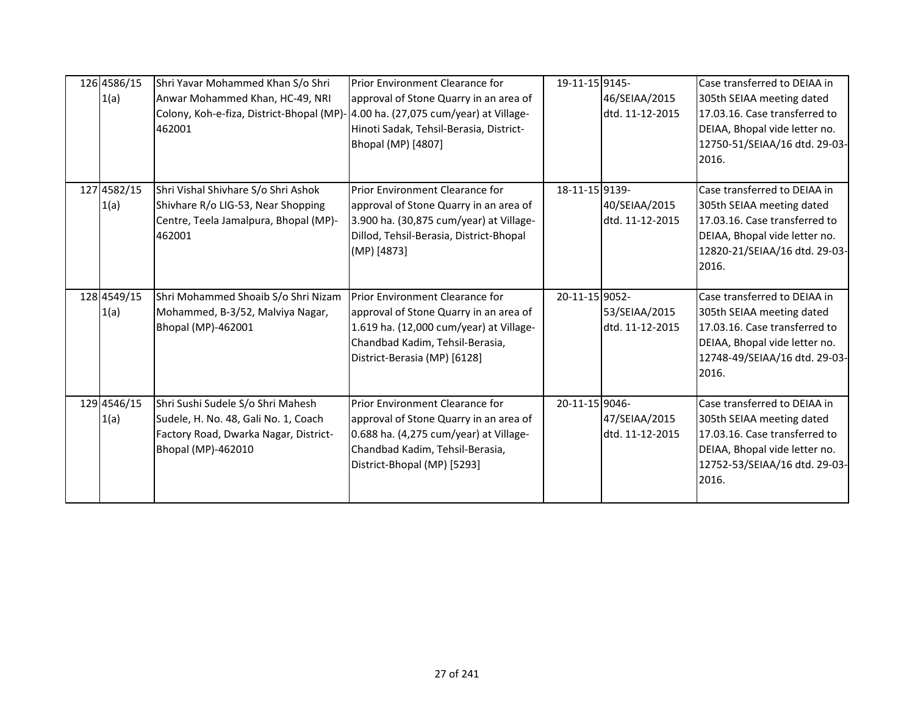| 126 4586/15<br>1(a) | Shri Yavar Mohammed Khan S/o Shri<br>Anwar Mohammed Khan, HC-49, NRI<br>Colony, Koh-e-fiza, District-Bhopal (MP)- 4.00 ha. (27,075 cum/year) at Village-<br>462001 | Prior Environment Clearance for<br>approval of Stone Quarry in an area of<br>Hinoti Sadak, Tehsil-Berasia, District-<br>Bhopal (MP) [4807]                                              | 19-11-15 9145-<br>46/SEIAA/2015<br>dtd. 11-12-2015 | Case transferred to DEIAA in<br>305th SEIAA meeting dated<br>17.03.16. Case transferred to<br>DEIAA, Bhopal vide letter no.<br>12750-51/SEIAA/16 dtd. 29-03-<br>2016. |
|---------------------|--------------------------------------------------------------------------------------------------------------------------------------------------------------------|-----------------------------------------------------------------------------------------------------------------------------------------------------------------------------------------|----------------------------------------------------|-----------------------------------------------------------------------------------------------------------------------------------------------------------------------|
| 127 4582/15<br>1(a) | Shri Vishal Shivhare S/o Shri Ashok<br>Shivhare R/o LIG-53, Near Shopping<br>Centre, Teela Jamalpura, Bhopal (MP)-<br>462001                                       | Prior Environment Clearance for<br>approval of Stone Quarry in an area of<br>3.900 ha. (30,875 cum/year) at Village-<br>Dillod, Tehsil-Berasia, District-Bhopal<br>(MP) [4873]          | 18-11-15 9139-<br>40/SEIAA/2015<br>dtd. 11-12-2015 | Case transferred to DEIAA in<br>305th SEIAA meeting dated<br>17.03.16. Case transferred to<br>DEIAA, Bhopal vide letter no.<br>12820-21/SEIAA/16 dtd. 29-03-<br>2016. |
| 128 4549/15<br>1(a) | Shri Mohammed Shoaib S/o Shri Nizam<br>Mohammed, B-3/52, Malviya Nagar,<br><b>Bhopal (MP)-462001</b>                                                               | Prior Environment Clearance for<br>approval of Stone Quarry in an area of<br>1.619 ha. (12,000 cum/year) at Village-<br>Chandbad Kadim, Tehsil-Berasia,<br>District-Berasia (MP) [6128] | 20-11-15 9052-<br>53/SEIAA/2015<br>dtd. 11-12-2015 | Case transferred to DEIAA in<br>305th SEIAA meeting dated<br>17.03.16. Case transferred to<br>DEIAA, Bhopal vide letter no.<br>12748-49/SEIAA/16 dtd. 29-03-<br>2016. |
| 129 4546/15<br>1(a) | Shri Sushi Sudele S/o Shri Mahesh<br>Sudele, H. No. 48, Gali No. 1, Coach<br>Factory Road, Dwarka Nagar, District-<br>Bhopal (MP)-462010                           | Prior Environment Clearance for<br>approval of Stone Quarry in an area of<br>0.688 ha. (4,275 cum/year) at Village-<br>Chandbad Kadim, Tehsil-Berasia,<br>District-Bhopal (MP) [5293]   | 20-11-15 9046-<br>47/SEIAA/2015<br>dtd. 11-12-2015 | Case transferred to DEIAA in<br>305th SEIAA meeting dated<br>17.03.16. Case transferred to<br>DEIAA, Bhopal vide letter no.<br>12752-53/SEIAA/16 dtd. 29-03-<br>2016. |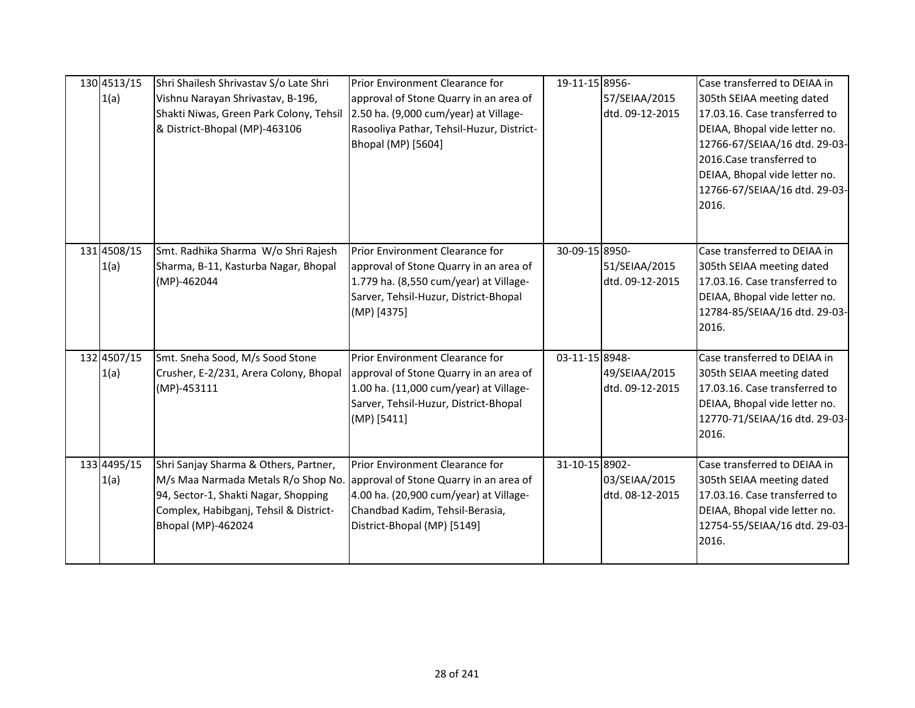| 130 4513/15<br>1(a) | Shri Shailesh Shrivastav S/o Late Shri<br>Vishnu Narayan Shrivastav, B-196,<br>Shakti Niwas, Green Park Colony, Tehsil<br>& District-Bhopal (MP)-463106                                                                            | Prior Environment Clearance for<br>approval of Stone Quarry in an area of<br>2.50 ha. (9,000 cum/year) at Village-<br>Rasooliya Pathar, Tehsil-Huzur, District-<br>Bhopal (MP) [5604] | 19-11-15 8956- | 57/SEIAA/2015<br>dtd. 09-12-2015 | Case transferred to DEIAA in<br>305th SEIAA meeting dated<br>17.03.16. Case transferred to<br>DEIAA, Bhopal vide letter no.<br>12766-67/SEIAA/16 dtd. 29-03-<br>2016. Case transferred to<br>DEIAA, Bhopal vide letter no.<br>12766-67/SEIAA/16 dtd. 29-03-<br>2016. |
|---------------------|------------------------------------------------------------------------------------------------------------------------------------------------------------------------------------------------------------------------------------|---------------------------------------------------------------------------------------------------------------------------------------------------------------------------------------|----------------|----------------------------------|----------------------------------------------------------------------------------------------------------------------------------------------------------------------------------------------------------------------------------------------------------------------|
| 131 4508/15<br>1(a) | Smt. Radhika Sharma W/o Shri Rajesh<br>Sharma, B-11, Kasturba Nagar, Bhopal<br>(MP)-462044                                                                                                                                         | Prior Environment Clearance for<br>approval of Stone Quarry in an area of<br>1.779 ha. (8,550 cum/year) at Village-<br>Sarver, Tehsil-Huzur, District-Bhopal<br>(MP) [4375]           | 30-09-15 8950- | 51/SEIAA/2015<br>dtd. 09-12-2015 | Case transferred to DEIAA in<br>305th SEIAA meeting dated<br>17.03.16. Case transferred to<br>DEIAA, Bhopal vide letter no.<br>12784-85/SEIAA/16 dtd. 29-03-<br>2016.                                                                                                |
| 132 4507/15<br>1(a) | Smt. Sneha Sood, M/s Sood Stone<br>Crusher, E-2/231, Arera Colony, Bhopal<br>(MP)-453111                                                                                                                                           | Prior Environment Clearance for<br>approval of Stone Quarry in an area of<br>1.00 ha. (11,000 cum/year) at Village-<br>Sarver, Tehsil-Huzur, District-Bhopal<br>(MP) [5411]           | 03-11-15 8948- | 49/SEIAA/2015<br>dtd. 09-12-2015 | Case transferred to DEIAA in<br>305th SEIAA meeting dated<br>17.03.16. Case transferred to<br>DEIAA, Bhopal vide letter no.<br>12770-71/SEIAA/16 dtd. 29-03-<br>2016.                                                                                                |
| 133 4495/15<br>1(a) | Shri Sanjay Sharma & Others, Partner,<br>M/s Maa Narmada Metals R/o Shop No. approval of Stone Quarry in an area of<br>94, Sector-1, Shakti Nagar, Shopping<br>Complex, Habibganj, Tehsil & District-<br><b>Bhopal (MP)-462024</b> | Prior Environment Clearance for<br>4.00 ha. (20,900 cum/year) at Village-<br>Chandbad Kadim, Tehsil-Berasia,<br>District-Bhopal (MP) [5149]                                           | 31-10-15 8902- | 03/SEIAA/2015<br>dtd. 08-12-2015 | Case transferred to DEIAA in<br>305th SEIAA meeting dated<br>17.03.16. Case transferred to<br>DEIAA, Bhopal vide letter no.<br>12754-55/SEIAA/16 dtd. 29-03-<br>2016.                                                                                                |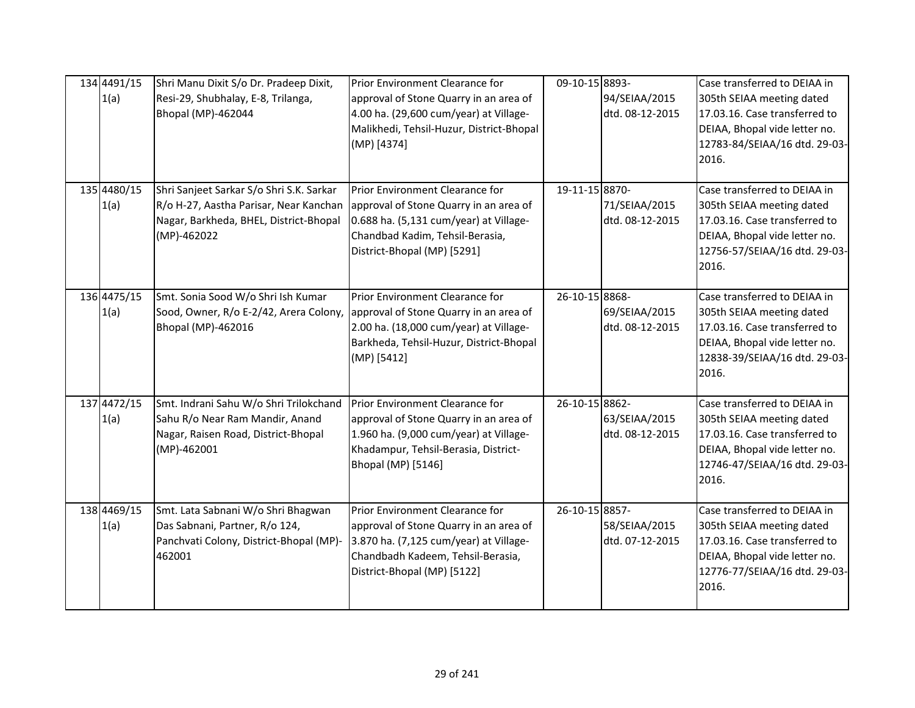| 134 4491/15<br>1(a) | Shri Manu Dixit S/o Dr. Pradeep Dixit,<br>Resi-29, Shubhalay, E-8, Trilanga,<br><b>Bhopal (MP)-462044</b>                                   | Prior Environment Clearance for<br>approval of Stone Quarry in an area of<br>4.00 ha. (29,600 cum/year) at Village-<br>Malikhedi, Tehsil-Huzur, District-Bhopal<br>(MP) [4374]          | 09-10-15 8893- | 94/SEIAA/2015<br>dtd. 08-12-2015 | Case transferred to DEIAA in<br>305th SEIAA meeting dated<br>17.03.16. Case transferred to<br>DEIAA, Bhopal vide letter no.<br>12783-84/SEIAA/16 dtd. 29-03-<br>2016. |
|---------------------|---------------------------------------------------------------------------------------------------------------------------------------------|-----------------------------------------------------------------------------------------------------------------------------------------------------------------------------------------|----------------|----------------------------------|-----------------------------------------------------------------------------------------------------------------------------------------------------------------------|
| 135 4480/15<br>1(a) | Shri Sanjeet Sarkar S/o Shri S.K. Sarkar<br>R/o H-27, Aastha Parisar, Near Kanchan<br>Nagar, Barkheda, BHEL, District-Bhopal<br>(MP)-462022 | Prior Environment Clearance for<br>approval of Stone Quarry in an area of<br>0.688 ha. (5,131 cum/year) at Village-<br>Chandbad Kadim, Tehsil-Berasia,<br>District-Bhopal (MP) [5291]   | 19-11-15 8870- | 71/SEIAA/2015<br>dtd. 08-12-2015 | Case transferred to DEIAA in<br>305th SEIAA meeting dated<br>17.03.16. Case transferred to<br>DEIAA, Bhopal vide letter no.<br>12756-57/SEIAA/16 dtd. 29-03-<br>2016. |
| 136 4475/15<br>1(a) | Smt. Sonia Sood W/o Shri Ish Kumar<br>Sood, Owner, R/o E-2/42, Arera Colony,<br><b>Bhopal (MP)-462016</b>                                   | Prior Environment Clearance for<br>approval of Stone Quarry in an area of<br>2.00 ha. (18,000 cum/year) at Village-<br>Barkheda, Tehsil-Huzur, District-Bhopal<br>(MP) [5412]           | 26-10-15 8868- | 69/SEIAA/2015<br>dtd. 08-12-2015 | Case transferred to DEIAA in<br>305th SEIAA meeting dated<br>17.03.16. Case transferred to<br>DEIAA, Bhopal vide letter no.<br>12838-39/SEIAA/16 dtd. 29-03-<br>2016. |
| 137 4472/15<br>1(a) | Smt. Indrani Sahu W/o Shri Trilokchand<br>Sahu R/o Near Ram Mandir, Anand<br>Nagar, Raisen Road, District-Bhopal<br>(MP)-462001             | Prior Environment Clearance for<br>approval of Stone Quarry in an area of<br>1.960 ha. (9,000 cum/year) at Village-<br>Khadampur, Tehsil-Berasia, District-<br>Bhopal (MP) [5146]       | 26-10-15 8862- | 63/SEIAA/2015<br>dtd. 08-12-2015 | Case transferred to DEIAA in<br>305th SEIAA meeting dated<br>17.03.16. Case transferred to<br>DEIAA, Bhopal vide letter no.<br>12746-47/SEIAA/16 dtd. 29-03-<br>2016. |
| 138 4469/15<br>1(a) | Smt. Lata Sabnani W/o Shri Bhagwan<br>Das Sabnani, Partner, R/o 124,<br>Panchvati Colony, District-Bhopal (MP)-<br>462001                   | Prior Environment Clearance for<br>approval of Stone Quarry in an area of<br>3.870 ha. (7,125 cum/year) at Village-<br>Chandbadh Kadeem, Tehsil-Berasia,<br>District-Bhopal (MP) [5122] | 26-10-15 8857- | 58/SEIAA/2015<br>dtd. 07-12-2015 | Case transferred to DEIAA in<br>305th SEIAA meeting dated<br>17.03.16. Case transferred to<br>DEIAA, Bhopal vide letter no.<br>12776-77/SEIAA/16 dtd. 29-03-<br>2016. |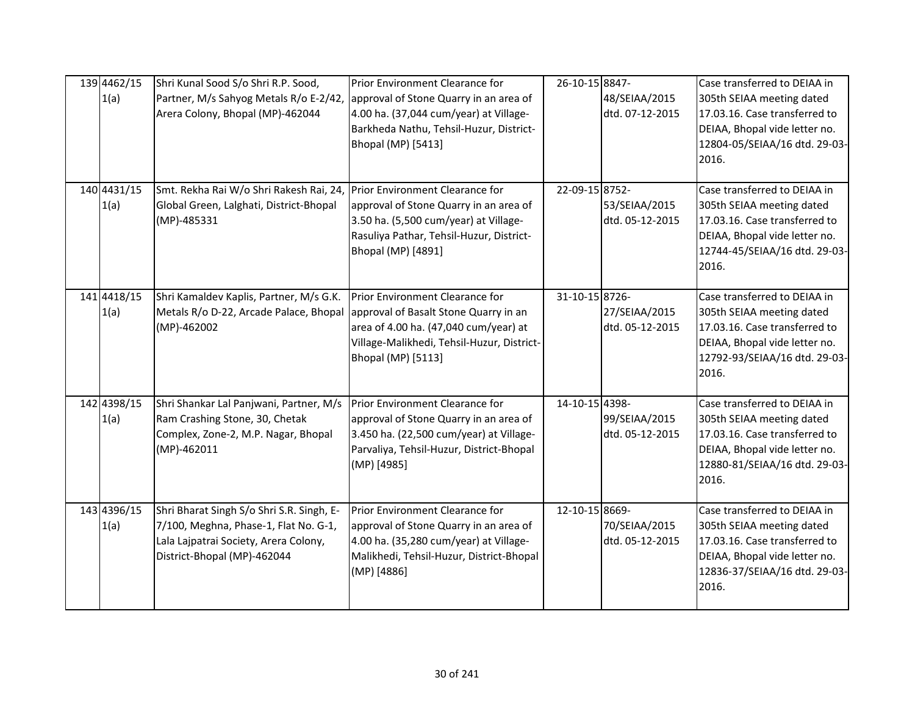| 139 4462/15<br>1(a) | Shri Kunal Sood S/o Shri R.P. Sood,<br>Partner, M/s Sahyog Metals R/o E-2/42,<br>Arera Colony, Bhopal (MP)-462044                                          | Prior Environment Clearance for<br>approval of Stone Quarry in an area of<br>4.00 ha. (37,044 cum/year) at Village-<br>Barkheda Nathu, Tehsil-Huzur, District-<br>Bhopal (MP) [5413]   | 26-10-15 8847- | 48/SEIAA/2015<br>dtd. 07-12-2015 | Case transferred to DEIAA in<br>305th SEIAA meeting dated<br>17.03.16. Case transferred to<br>DEIAA, Bhopal vide letter no.<br>12804-05/SEIAA/16 dtd. 29-03-<br>2016. |
|---------------------|------------------------------------------------------------------------------------------------------------------------------------------------------------|----------------------------------------------------------------------------------------------------------------------------------------------------------------------------------------|----------------|----------------------------------|-----------------------------------------------------------------------------------------------------------------------------------------------------------------------|
| 140 4431/15<br>1(a) | Smt. Rekha Rai W/o Shri Rakesh Rai, 24,<br>Global Green, Lalghati, District-Bhopal<br>(MP)-485331                                                          | Prior Environment Clearance for<br>approval of Stone Quarry in an area of<br>3.50 ha. (5,500 cum/year) at Village-<br>Rasuliya Pathar, Tehsil-Huzur, District-<br>Bhopal (MP) [4891]   | 22-09-15 8752- | 53/SEIAA/2015<br>dtd. 05-12-2015 | Case transferred to DEIAA in<br>305th SEIAA meeting dated<br>17.03.16. Case transferred to<br>DEIAA, Bhopal vide letter no.<br>12744-45/SEIAA/16 dtd. 29-03-<br>2016. |
| 141 4418/15<br>1(a) | Shri Kamaldev Kaplis, Partner, M/s G.K.<br>Metals R/o D-22, Arcade Palace, Bhopal<br>(MP)-462002                                                           | Prior Environment Clearance for<br>approval of Basalt Stone Quarry in an<br>area of 4.00 ha. (47,040 cum/year) at<br>Village-Malikhedi, Tehsil-Huzur, District-<br>Bhopal (MP) [5113]  | 31-10-15 8726- | 27/SEIAA/2015<br>dtd. 05-12-2015 | Case transferred to DEIAA in<br>305th SEIAA meeting dated<br>17.03.16. Case transferred to<br>DEIAA, Bhopal vide letter no.<br>12792-93/SEIAA/16 dtd. 29-03-<br>2016. |
| 142 4398/15<br>1(a) | Shri Shankar Lal Panjwani, Partner, M/s<br>Ram Crashing Stone, 30, Chetak<br>Complex, Zone-2, M.P. Nagar, Bhopal<br>(MP)-462011                            | <b>Prior Environment Clearance for</b><br>approval of Stone Quarry in an area of<br>3.450 ha. (22,500 cum/year) at Village-<br>Parvaliya, Tehsil-Huzur, District-Bhopal<br>(MP) [4985] | 14-10-15 4398- | 99/SEIAA/2015<br>dtd. 05-12-2015 | Case transferred to DEIAA in<br>305th SEIAA meeting dated<br>17.03.16. Case transferred to<br>DEIAA, Bhopal vide letter no.<br>12880-81/SEIAA/16 dtd. 29-03-<br>2016. |
| 143 4396/15<br>1(a) | Shri Bharat Singh S/o Shri S.R. Singh, E-<br>7/100, Meghna, Phase-1, Flat No. G-1,<br>Lala Lajpatrai Society, Arera Colony,<br>District-Bhopal (MP)-462044 | Prior Environment Clearance for<br>approval of Stone Quarry in an area of<br>4.00 ha. (35,280 cum/year) at Village-<br>Malikhedi, Tehsil-Huzur, District-Bhopal<br>(MP) [4886]         | 12-10-15 8669- | 70/SEIAA/2015<br>dtd. 05-12-2015 | Case transferred to DEIAA in<br>305th SEIAA meeting dated<br>17.03.16. Case transferred to<br>DEIAA, Bhopal vide letter no.<br>12836-37/SEIAA/16 dtd. 29-03-<br>2016. |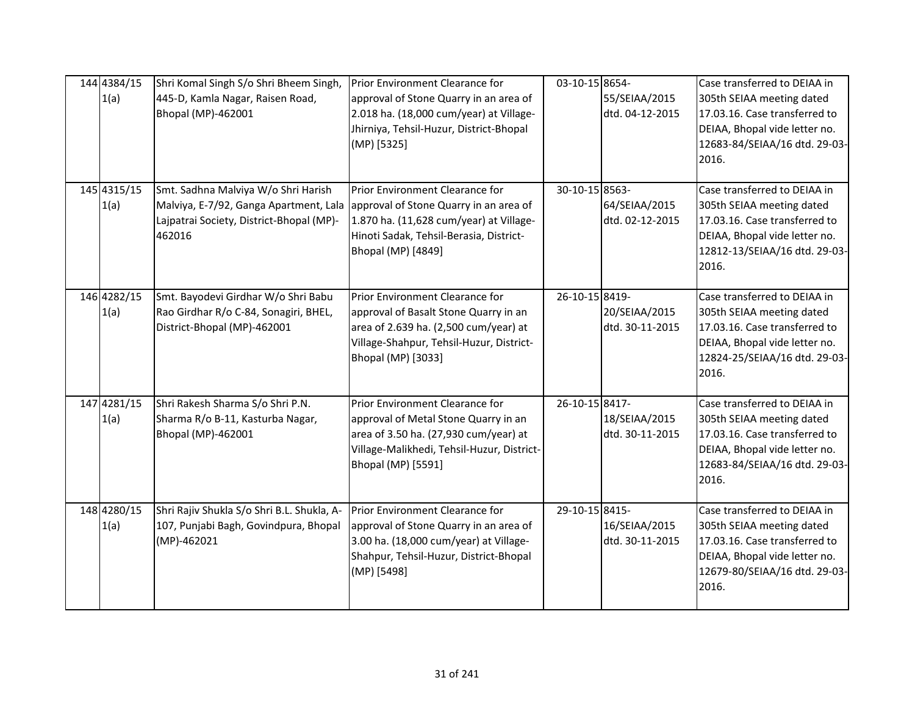| 144 4384/15<br>1(a) | Shri Komal Singh S/o Shri Bheem Singh,<br>445-D, Kamla Nagar, Raisen Road,<br>Bhopal (MP)-462001                                    | Prior Environment Clearance for<br>approval of Stone Quarry in an area of<br>2.018 ha. (18,000 cum/year) at Village-<br>Jhirniya, Tehsil-Huzur, District-Bhopal<br>(MP) [5325]        | 03-10-15 8654- | 55/SEIAA/2015<br>dtd. 04-12-2015 | Case transferred to DEIAA in<br>305th SEIAA meeting dated<br>17.03.16. Case transferred to<br>DEIAA, Bhopal vide letter no.<br>12683-84/SEIAA/16 dtd. 29-03-<br>2016. |
|---------------------|-------------------------------------------------------------------------------------------------------------------------------------|---------------------------------------------------------------------------------------------------------------------------------------------------------------------------------------|----------------|----------------------------------|-----------------------------------------------------------------------------------------------------------------------------------------------------------------------|
| 145 4315/15<br>1(a) | Smt. Sadhna Malviya W/o Shri Harish<br>Malviya, E-7/92, Ganga Apartment, Lala<br>Lajpatrai Society, District-Bhopal (MP)-<br>462016 | Prior Environment Clearance for<br>approval of Stone Quarry in an area of<br>1.870 ha. (11,628 cum/year) at Village-<br>Hinoti Sadak, Tehsil-Berasia, District-<br>Bhopal (MP) [4849] | 30-10-15 8563- | 64/SEIAA/2015<br>dtd. 02-12-2015 | Case transferred to DEIAA in<br>305th SEIAA meeting dated<br>17.03.16. Case transferred to<br>DEIAA, Bhopal vide letter no.<br>12812-13/SEIAA/16 dtd. 29-03-<br>2016. |
| 146 4282/15<br>1(a) | Smt. Bayodevi Girdhar W/o Shri Babu<br>Rao Girdhar R/o C-84, Sonagiri, BHEL,<br>District-Bhopal (MP)-462001                         | Prior Environment Clearance for<br>approval of Basalt Stone Quarry in an<br>area of 2.639 ha. (2,500 cum/year) at<br>Village-Shahpur, Tehsil-Huzur, District-<br>Bhopal (MP) [3033]   | 26-10-15 8419- | 20/SEIAA/2015<br>dtd. 30-11-2015 | Case transferred to DEIAA in<br>305th SEIAA meeting dated<br>17.03.16. Case transferred to<br>DEIAA, Bhopal vide letter no.<br>12824-25/SEIAA/16 dtd. 29-03-<br>2016. |
| 147 4281/15<br>1(a) | Shri Rakesh Sharma S/o Shri P.N.<br>Sharma R/o B-11, Kasturba Nagar,<br>Bhopal (MP)-462001                                          | Prior Environment Clearance for<br>approval of Metal Stone Quarry in an<br>area of 3.50 ha. (27,930 cum/year) at<br>Village-Malikhedi, Tehsil-Huzur, District-<br>Bhopal (MP) [5591]  | 26-10-15 8417- | 18/SEIAA/2015<br>dtd. 30-11-2015 | Case transferred to DEIAA in<br>305th SEIAA meeting dated<br>17.03.16. Case transferred to<br>DEIAA, Bhopal vide letter no.<br>12683-84/SEIAA/16 dtd. 29-03-<br>2016. |
| 148 4280/15<br>1(a) | Shri Rajiv Shukla S/o Shri B.L. Shukla, A-<br>107, Punjabi Bagh, Govindpura, Bhopal<br>(MP)-462021                                  | Prior Environment Clearance for<br>approval of Stone Quarry in an area of<br>3.00 ha. (18,000 cum/year) at Village-<br>Shahpur, Tehsil-Huzur, District-Bhopal<br>(MP) [5498]          | 29-10-15 8415- | 16/SEIAA/2015<br>dtd. 30-11-2015 | Case transferred to DEIAA in<br>305th SEIAA meeting dated<br>17.03.16. Case transferred to<br>DEIAA, Bhopal vide letter no.<br>12679-80/SEIAA/16 dtd. 29-03-<br>2016. |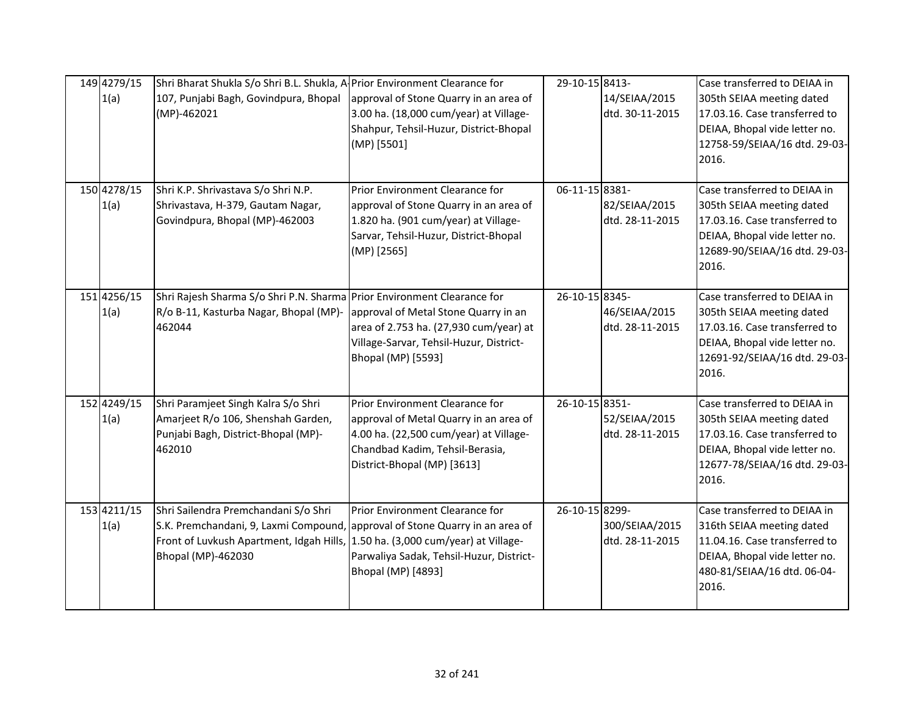| 149 4279/15<br>1(a) | Shri Bharat Shukla S/o Shri B.L. Shukla, A Prior Environment Clearance for<br>107, Punjabi Bagh, Govindpura, Bhopal<br>(MP)-462021                                                                                           | approval of Stone Quarry in an area of<br>3.00 ha. (18,000 cum/year) at Village-<br>Shahpur, Tehsil-Huzur, District-Bhopal<br>(MP) [5501]                                             | 29-10-15 8413- | 14/SEIAA/2015<br>dtd. 30-11-2015  | Case transferred to DEIAA in<br>305th SEIAA meeting dated<br>17.03.16. Case transferred to<br>DEIAA, Bhopal vide letter no.<br>12758-59/SEIAA/16 dtd. 29-03-          |
|---------------------|------------------------------------------------------------------------------------------------------------------------------------------------------------------------------------------------------------------------------|---------------------------------------------------------------------------------------------------------------------------------------------------------------------------------------|----------------|-----------------------------------|-----------------------------------------------------------------------------------------------------------------------------------------------------------------------|
|                     |                                                                                                                                                                                                                              |                                                                                                                                                                                       |                |                                   | 2016.                                                                                                                                                                 |
| 150 4278/15<br>1(a) | Shri K.P. Shrivastava S/o Shri N.P.<br>Shrivastava, H-379, Gautam Nagar,<br>Govindpura, Bhopal (MP)-462003                                                                                                                   | Prior Environment Clearance for<br>approval of Stone Quarry in an area of<br>1.820 ha. (901 cum/year) at Village-<br>Sarvar, Tehsil-Huzur, District-Bhopal<br>(MP) [2565]             | 06-11-15 8381- | 82/SEIAA/2015<br>dtd. 28-11-2015  | Case transferred to DEIAA in<br>305th SEIAA meeting dated<br>17.03.16. Case transferred to<br>DEIAA, Bhopal vide letter no.<br>12689-90/SEIAA/16 dtd. 29-03-<br>2016. |
| 151 4256/15<br>1(a) | Shri Rajesh Sharma S/o Shri P.N. Sharma Prior Environment Clearance for<br>R/o B-11, Kasturba Nagar, Bhopal (MP)-<br>462044                                                                                                  | approval of Metal Stone Quarry in an<br>area of 2.753 ha. (27,930 cum/year) at<br>Village-Sarvar, Tehsil-Huzur, District-<br><b>Bhopal (MP)</b> [5593]                                | 26-10-15 8345- | 46/SEIAA/2015<br>dtd. 28-11-2015  | Case transferred to DEIAA in<br>305th SEIAA meeting dated<br>17.03.16. Case transferred to<br>DEIAA, Bhopal vide letter no.<br>12691-92/SEIAA/16 dtd. 29-03-<br>2016. |
| 152 4249/15<br>1(a) | Shri Paramjeet Singh Kalra S/o Shri<br>Amarjeet R/o 106, Shenshah Garden,<br>Punjabi Bagh, District-Bhopal (MP)-<br>462010                                                                                                   | Prior Environment Clearance for<br>approval of Metal Quarry in an area of<br>4.00 ha. (22,500 cum/year) at Village-<br>Chandbad Kadim, Tehsil-Berasia,<br>District-Bhopal (MP) [3613] | 26-10-15 8351- | 52/SEIAA/2015<br>dtd. 28-11-2015  | Case transferred to DEIAA in<br>305th SEIAA meeting dated<br>17.03.16. Case transferred to<br>DEIAA, Bhopal vide letter no.<br>12677-78/SEIAA/16 dtd. 29-03-<br>2016. |
| 153 4211/15<br>1(a) | Shri Sailendra Premchandani S/o Shri<br>S.K. Premchandani, 9, Laxmi Compound, approval of Stone Quarry in an area of<br>Front of Luvkush Apartment, Idgah Hills, 1.50 ha. (3,000 cum/year) at Village-<br>Bhopal (MP)-462030 | Prior Environment Clearance for<br>Parwaliya Sadak, Tehsil-Huzur, District-<br>Bhopal (MP) [4893]                                                                                     | 26-10-15 8299- | 300/SEIAA/2015<br>dtd. 28-11-2015 | Case transferred to DEIAA in<br>316th SEIAA meeting dated<br>11.04.16. Case transferred to<br>DEIAA, Bhopal vide letter no.<br>480-81/SEIAA/16 dtd. 06-04-<br>2016.   |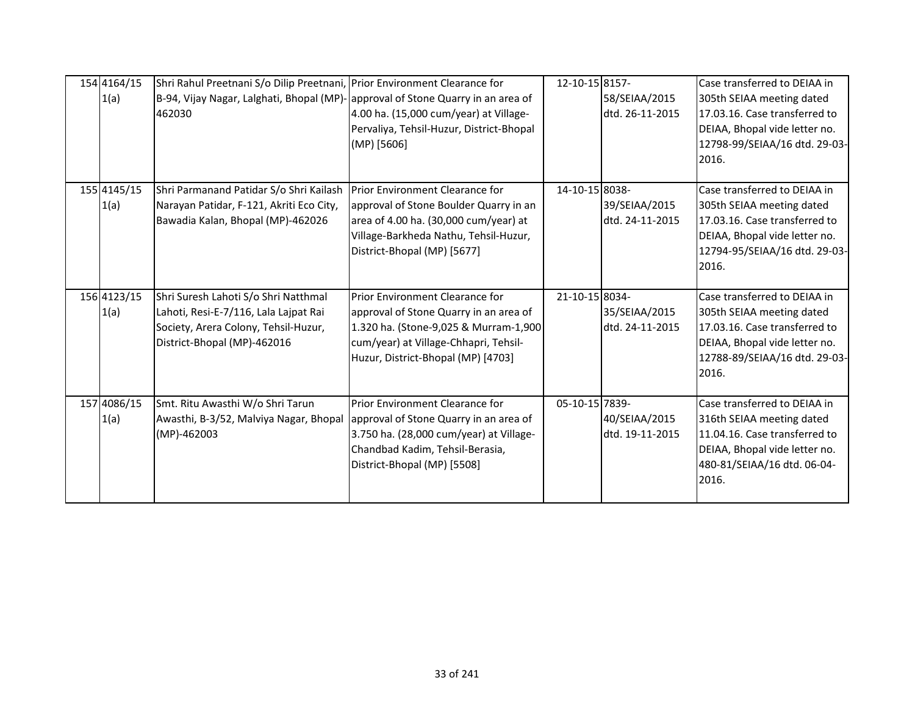| 154 4164/15<br>1(a) | Shri Rahul Preetnani S/o Dilip Preetnani, Prior Environment Clearance for<br>B-94, Vijay Nagar, Lalghati, Bhopal (MP)- approval of Stone Quarry in an area of<br>462030 | 4.00 ha. (15,000 cum/year) at Village-<br>Pervaliya, Tehsil-Huzur, District-Bhopal<br>(MP) [5606]                                                                                                 | 12-10-15 8157- | 58/SEIAA/2015<br>dtd. 26-11-2015 | Case transferred to DEIAA in<br>305th SEIAA meeting dated<br>17.03.16. Case transferred to<br>DEIAA, Bhopal vide letter no.<br>12798-99/SEIAA/16 dtd. 29-03-<br>2016. |
|---------------------|-------------------------------------------------------------------------------------------------------------------------------------------------------------------------|---------------------------------------------------------------------------------------------------------------------------------------------------------------------------------------------------|----------------|----------------------------------|-----------------------------------------------------------------------------------------------------------------------------------------------------------------------|
| 155 4145/15<br>1(a) | Shri Parmanand Patidar S/o Shri Kailash<br>Narayan Patidar, F-121, Akriti Eco City,<br>Bawadia Kalan, Bhopal (MP)-462026                                                | Prior Environment Clearance for<br>approval of Stone Boulder Quarry in an<br>area of 4.00 ha. (30,000 cum/year) at<br>Village-Barkheda Nathu, Tehsil-Huzur,<br>District-Bhopal (MP) [5677]        | 14-10-15 8038- | 39/SEIAA/2015<br>dtd. 24-11-2015 | Case transferred to DEIAA in<br>305th SEIAA meeting dated<br>17.03.16. Case transferred to<br>DEIAA, Bhopal vide letter no.<br>12794-95/SEIAA/16 dtd. 29-03-<br>2016. |
| 156 4123/15<br>1(a) | Shri Suresh Lahoti S/o Shri Natthmal<br>Lahoti, Resi-E-7/116, Lala Lajpat Rai<br>Society, Arera Colony, Tehsil-Huzur,<br>District-Bhopal (MP)-462016                    | Prior Environment Clearance for<br>approval of Stone Quarry in an area of<br>1.320 ha. (Stone-9,025 & Murram-1,900<br>cum/year) at Village-Chhapri, Tehsil-<br>Huzur, District-Bhopal (MP) [4703] | 21-10-15 8034- | 35/SEIAA/2015<br>dtd. 24-11-2015 | Case transferred to DEIAA in<br>305th SEIAA meeting dated<br>17.03.16. Case transferred to<br>DEIAA, Bhopal vide letter no.<br>12788-89/SEIAA/16 dtd. 29-03-<br>2016. |
| 157 4086/15<br>1(a) | Smt. Ritu Awasthi W/o Shri Tarun<br>Awasthi, B-3/52, Malviya Nagar, Bhopal<br>(MP)-462003                                                                               | Prior Environment Clearance for<br>approval of Stone Quarry in an area of<br>3.750 ha. (28,000 cum/year) at Village-<br>Chandbad Kadim, Tehsil-Berasia,<br>District-Bhopal (MP) [5508]            | 05-10-15 7839- | 40/SEIAA/2015<br>dtd. 19-11-2015 | Case transferred to DEIAA in<br>316th SEIAA meeting dated<br>11.04.16. Case transferred to<br>DEIAA, Bhopal vide letter no.<br>480-81/SEIAA/16 dtd. 06-04-<br>2016.   |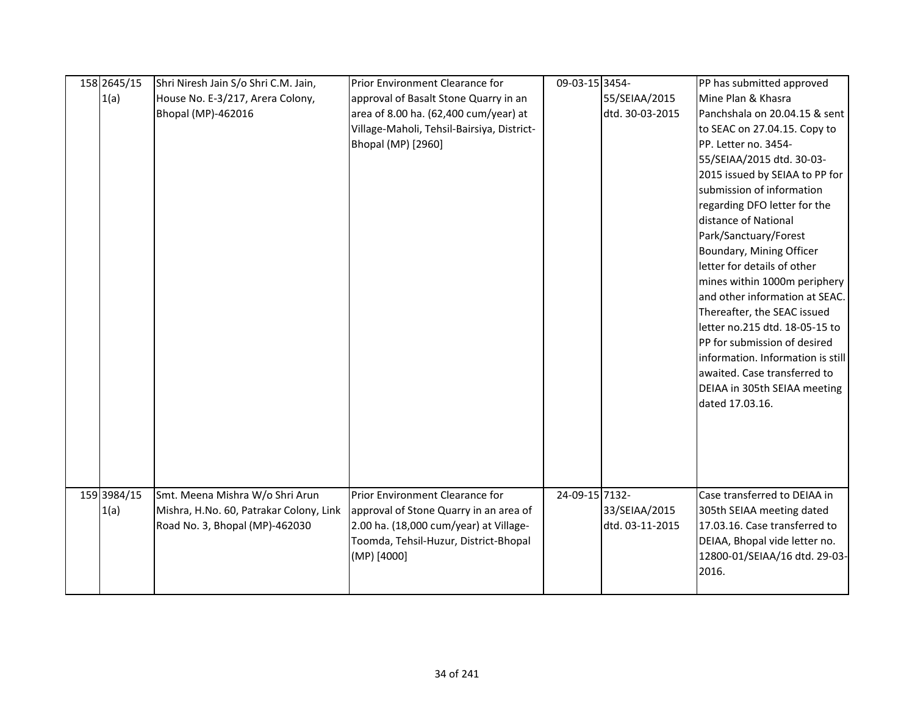| 158 2645/15 | Shri Niresh Jain S/o Shri C.M. Jain,    | Prior Environment Clearance for            | 09-03-15 3454- |                 | PP has submitted approved         |
|-------------|-----------------------------------------|--------------------------------------------|----------------|-----------------|-----------------------------------|
| 1(a)        | House No. E-3/217, Arera Colony,        | approval of Basalt Stone Quarry in an      |                | 55/SEIAA/2015   | Mine Plan & Khasra                |
|             | <b>Bhopal (MP)-462016</b>               | area of 8.00 ha. (62,400 cum/year) at      |                | dtd. 30-03-2015 | Panchshala on 20.04.15 & sent     |
|             |                                         | Village-Maholi, Tehsil-Bairsiya, District- |                |                 | to SEAC on 27.04.15. Copy to      |
|             |                                         | Bhopal (MP) [2960]                         |                |                 | PP. Letter no. 3454-              |
|             |                                         |                                            |                |                 | 55/SEIAA/2015 dtd. 30-03-         |
|             |                                         |                                            |                |                 | 2015 issued by SEIAA to PP for    |
|             |                                         |                                            |                |                 | submission of information         |
|             |                                         |                                            |                |                 | regarding DFO letter for the      |
|             |                                         |                                            |                |                 | distance of National              |
|             |                                         |                                            |                |                 | Park/Sanctuary/Forest             |
|             |                                         |                                            |                |                 | Boundary, Mining Officer          |
|             |                                         |                                            |                |                 | letter for details of other       |
|             |                                         |                                            |                |                 | mines within 1000m periphery      |
|             |                                         |                                            |                |                 | and other information at SEAC.    |
|             |                                         |                                            |                |                 | Thereafter, the SEAC issued       |
|             |                                         |                                            |                |                 | letter no.215 dtd. 18-05-15 to    |
|             |                                         |                                            |                |                 | PP for submission of desired      |
|             |                                         |                                            |                |                 | information. Information is still |
|             |                                         |                                            |                |                 | awaited. Case transferred to      |
|             |                                         |                                            |                |                 | DEIAA in 305th SEIAA meeting      |
|             |                                         |                                            |                |                 | dated 17.03.16.                   |
|             |                                         |                                            |                |                 |                                   |
|             |                                         |                                            |                |                 |                                   |
|             |                                         |                                            |                |                 |                                   |
|             |                                         |                                            |                |                 |                                   |
| 159 3984/15 | Smt. Meena Mishra W/o Shri Arun         | Prior Environment Clearance for            | 24-09-15 7132- |                 | Case transferred to DEIAA in      |
| 1(a)        | Mishra, H.No. 60, Patrakar Colony, Link | approval of Stone Quarry in an area of     |                | 33/SEIAA/2015   | 305th SEIAA meeting dated         |
|             | Road No. 3, Bhopal (MP)-462030          | 2.00 ha. (18,000 cum/year) at Village-     |                | dtd. 03-11-2015 | 17.03.16. Case transferred to     |
|             |                                         | Toomda, Tehsil-Huzur, District-Bhopal      |                |                 | DEIAA, Bhopal vide letter no.     |
|             |                                         | (MP) [4000]                                |                |                 | 12800-01/SEIAA/16 dtd. 29-03-     |
|             |                                         |                                            |                |                 | 2016.                             |
|             |                                         |                                            |                |                 |                                   |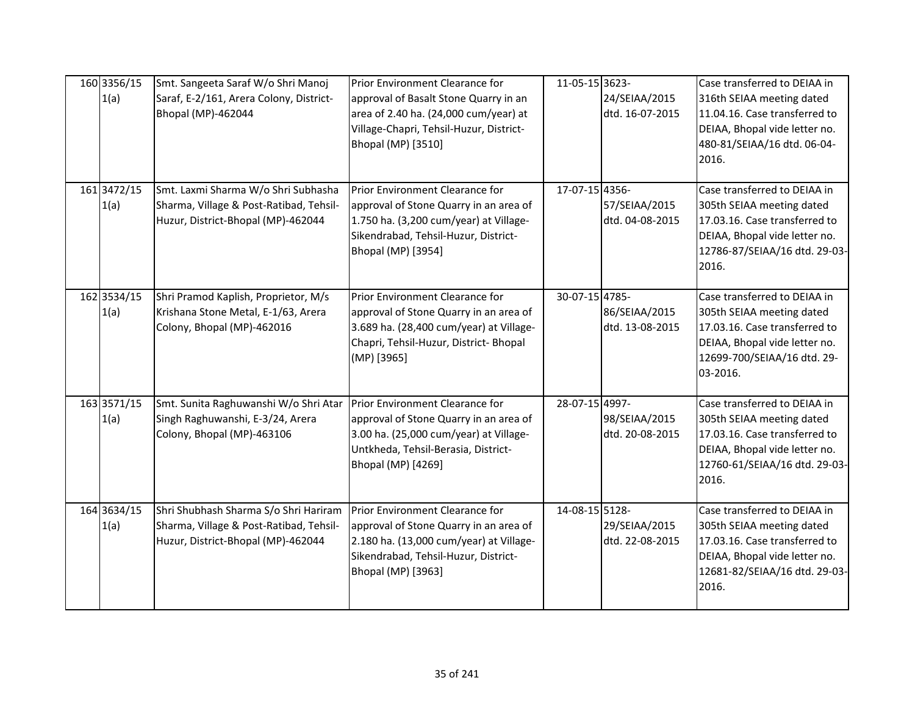| 160 3356/15<br>1(a) | Smt. Sangeeta Saraf W/o Shri Manoj<br>Saraf, E-2/161, Arera Colony, District-<br>Bhopal (MP)-462044                    | Prior Environment Clearance for<br>approval of Basalt Stone Quarry in an<br>area of 2.40 ha. (24,000 cum/year) at<br>Village-Chapri, Tehsil-Huzur, District-<br>Bhopal (MP) [3510] | 11-05-15 3623-<br>24/SEIAA/2015 | Case transferred to DEIAA in<br>316th SEIAA meeting dated<br>dtd. 16-07-2015<br>11.04.16. Case transferred to<br>DEIAA, Bhopal vide letter no.<br>480-81/SEIAA/16 dtd. 06-04-<br>2016.                    |
|---------------------|------------------------------------------------------------------------------------------------------------------------|------------------------------------------------------------------------------------------------------------------------------------------------------------------------------------|---------------------------------|-----------------------------------------------------------------------------------------------------------------------------------------------------------------------------------------------------------|
| 161 3472/15<br>1(a) | Smt. Laxmi Sharma W/o Shri Subhasha<br>Sharma, Village & Post-Ratibad, Tehsil-<br>Huzur, District-Bhopal (MP)-462044   | Prior Environment Clearance for<br>approval of Stone Quarry in an area of<br>1.750 ha. (3,200 cum/year) at Village-<br>Sikendrabad, Tehsil-Huzur, District-<br>Bhopal (MP) [3954]  | 17-07-15 4356-                  | Case transferred to DEIAA in<br>57/SEIAA/2015<br>305th SEIAA meeting dated<br>dtd. 04-08-2015<br>17.03.16. Case transferred to<br>DEIAA, Bhopal vide letter no.<br>12786-87/SEIAA/16 dtd. 29-03-<br>2016. |
| 162 3534/15<br>1(a) | Shri Pramod Kaplish, Proprietor, M/s<br>Krishana Stone Metal, E-1/63, Arera<br>Colony, Bhopal (MP)-462016              | Prior Environment Clearance for<br>approval of Stone Quarry in an area of<br>3.689 ha. (28,400 cum/year) at Village-<br>Chapri, Tehsil-Huzur, District- Bhopal<br>(MP) [3965]      | 30-07-15 4785-<br>86/SEIAA/2015 | Case transferred to DEIAA in<br>305th SEIAA meeting dated<br>dtd. 13-08-2015<br>17.03.16. Case transferred to<br>DEIAA, Bhopal vide letter no.<br>12699-700/SEIAA/16 dtd. 29-<br>03-2016.                 |
| 163 3571/15<br>1(a) | Smt. Sunita Raghuwanshi W/o Shri Atar<br>Singh Raghuwanshi, E-3/24, Arera<br>Colony, Bhopal (MP)-463106                | Prior Environment Clearance for<br>approval of Stone Quarry in an area of<br>3.00 ha. (25,000 cum/year) at Village-<br>Untkheda, Tehsil-Berasia, District-<br>Bhopal (MP) [4269]   | 28-07-15 4997-                  | Case transferred to DEIAA in<br>98/SEIAA/2015<br>305th SEIAA meeting dated<br>dtd. 20-08-2015<br>17.03.16. Case transferred to<br>DEIAA, Bhopal vide letter no.<br>12760-61/SEIAA/16 dtd. 29-03-<br>2016. |
| 164 3634/15<br>1(a) | Shri Shubhash Sharma S/o Shri Hariram<br>Sharma, Village & Post-Ratibad, Tehsil-<br>Huzur, District-Bhopal (MP)-462044 | Prior Environment Clearance for<br>approval of Stone Quarry in an area of<br>2.180 ha. (13,000 cum/year) at Village-<br>Sikendrabad, Tehsil-Huzur, District-<br>Bhopal (MP) [3963] | 14-08-15 5128-<br>29/SEIAA/2015 | Case transferred to DEIAA in<br>305th SEIAA meeting dated<br>17.03.16. Case transferred to<br>dtd. 22-08-2015<br>DEIAA, Bhopal vide letter no.<br>12681-82/SEIAA/16 dtd. 29-03-<br>2016.                  |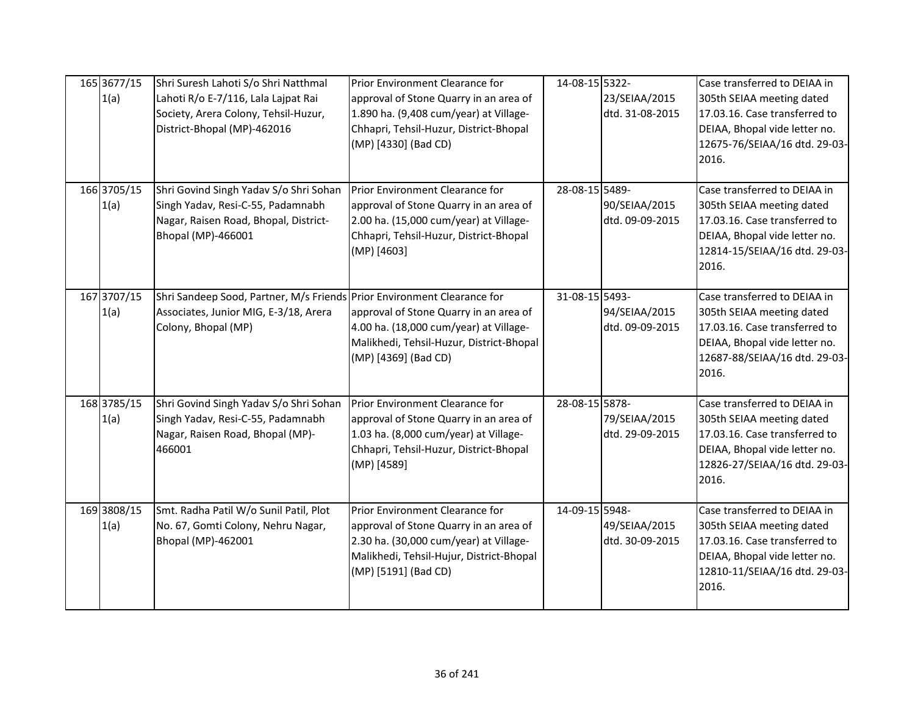| 165 3677/15<br>1(a) | Shri Suresh Lahoti S/o Shri Natthmal<br>Lahoti R/o E-7/116, Lala Lajpat Rai<br>Society, Arera Colony, Tehsil-Huzur,<br>District-Bhopal (MP)-462016 | Prior Environment Clearance for<br>approval of Stone Quarry in an area of<br>1.890 ha. (9,408 cum/year) at Village-<br>Chhapri, Tehsil-Huzur, District-Bhopal<br>(MP) [4330] (Bad CD)   | 14-08-15 5322- | 23/SEIAA/2015<br>dtd. 31-08-2015 | Case transferred to DEIAA in<br>305th SEIAA meeting dated<br>17.03.16. Case transferred to<br>DEIAA, Bhopal vide letter no.<br>12675-76/SEIAA/16 dtd. 29-03-<br>2016. |
|---------------------|----------------------------------------------------------------------------------------------------------------------------------------------------|-----------------------------------------------------------------------------------------------------------------------------------------------------------------------------------------|----------------|----------------------------------|-----------------------------------------------------------------------------------------------------------------------------------------------------------------------|
| 166 3705/15<br>1(a) | Shri Govind Singh Yadav S/o Shri Sohan<br>Singh Yadav, Resi-C-55, Padamnabh<br>Nagar, Raisen Road, Bhopal, District-<br>Bhopal (MP)-466001         | Prior Environment Clearance for<br>approval of Stone Quarry in an area of<br>2.00 ha. (15,000 cum/year) at Village-<br>Chhapri, Tehsil-Huzur, District-Bhopal<br>(MP) [4603]            | 28-08-15 5489- | 90/SEIAA/2015<br>dtd. 09-09-2015 | Case transferred to DEIAA in<br>305th SEIAA meeting dated<br>17.03.16. Case transferred to<br>DEIAA, Bhopal vide letter no.<br>12814-15/SEIAA/16 dtd. 29-03-<br>2016. |
| 167 3707/15<br>1(a) | Shri Sandeep Sood, Partner, M/s Friends Prior Environment Clearance for<br>Associates, Junior MIG, E-3/18, Arera<br>Colony, Bhopal (MP)            | approval of Stone Quarry in an area of<br>4.00 ha. (18,000 cum/year) at Village-<br>Malikhedi, Tehsil-Huzur, District-Bhopal<br>(MP) [4369] (Bad CD)                                    | 31-08-15 5493- | 94/SEIAA/2015<br>dtd. 09-09-2015 | Case transferred to DEIAA in<br>305th SEIAA meeting dated<br>17.03.16. Case transferred to<br>DEIAA, Bhopal vide letter no.<br>12687-88/SEIAA/16 dtd. 29-03-<br>2016. |
| 168 3785/15<br>1(a) | Shri Govind Singh Yadav S/o Shri Sohan<br>Singh Yadav, Resi-C-55, Padamnabh<br>Nagar, Raisen Road, Bhopal (MP)-<br>466001                          | Prior Environment Clearance for<br>approval of Stone Quarry in an area of<br>1.03 ha. (8,000 cum/year) at Village-<br>Chhapri, Tehsil-Huzur, District-Bhopal<br>(MP) [4589]             | 28-08-15 5878- | 79/SEIAA/2015<br>dtd. 29-09-2015 | Case transferred to DEIAA in<br>305th SEIAA meeting dated<br>17.03.16. Case transferred to<br>DEIAA, Bhopal vide letter no.<br>12826-27/SEIAA/16 dtd. 29-03-<br>2016. |
| 169 3808/15<br>1(a) | Smt. Radha Patil W/o Sunil Patil, Plot<br>No. 67, Gomti Colony, Nehru Nagar,<br>Bhopal (MP)-462001                                                 | Prior Environment Clearance for<br>approval of Stone Quarry in an area of<br>2.30 ha. (30,000 cum/year) at Village-<br>Malikhedi, Tehsil-Hujur, District-Bhopal<br>(MP) [5191] (Bad CD) | 14-09-15 5948- | 49/SEIAA/2015<br>dtd. 30-09-2015 | Case transferred to DEIAA in<br>305th SEIAA meeting dated<br>17.03.16. Case transferred to<br>DEIAA, Bhopal vide letter no.<br>12810-11/SEIAA/16 dtd. 29-03-<br>2016. |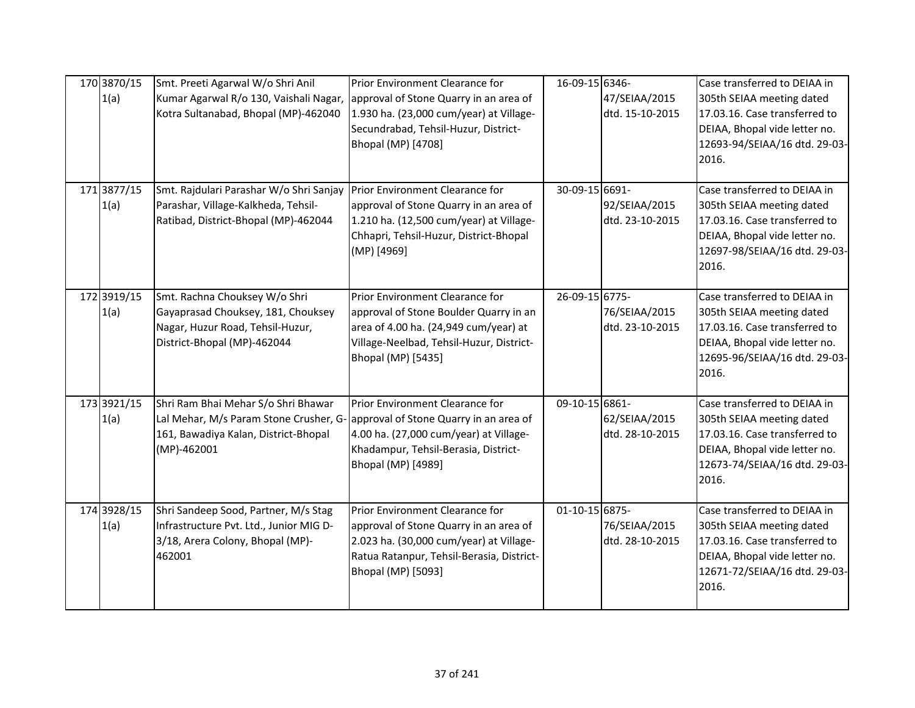| 170 3870/15<br>1(a) | Smt. Preeti Agarwal W/o Shri Anil<br>Kumar Agarwal R/o 130, Vaishali Nagar,<br>Kotra Sultanabad, Bhopal (MP)-462040                                                         | Prior Environment Clearance for<br>approval of Stone Quarry in an area of<br>1.930 ha. (23,000 cum/year) at Village-<br>Secundrabad, Tehsil-Huzur, District-<br>Bhopal (MP) [4708]      | 16-09-15 6346-<br>47/SEIAA/2015<br>dtd. 15-10-2015 | Case transferred to DEIAA in<br>305th SEIAA meeting dated<br>17.03.16. Case transferred to<br>DEIAA, Bhopal vide letter no.<br>12693-94/SEIAA/16 dtd. 29-03-<br>2016. |
|---------------------|-----------------------------------------------------------------------------------------------------------------------------------------------------------------------------|-----------------------------------------------------------------------------------------------------------------------------------------------------------------------------------------|----------------------------------------------------|-----------------------------------------------------------------------------------------------------------------------------------------------------------------------|
| 171 3877/15<br>1(a) | Smt. Rajdulari Parashar W/o Shri Sanjay<br>Parashar, Village-Kalkheda, Tehsil-<br>Ratibad, District-Bhopal (MP)-462044                                                      | Prior Environment Clearance for<br>approval of Stone Quarry in an area of<br>1.210 ha. (12,500 cum/year) at Village-<br>Chhapri, Tehsil-Huzur, District-Bhopal<br>(MP) [4969]           | 30-09-15 6691-<br>92/SEIAA/2015<br>dtd. 23-10-2015 | Case transferred to DEIAA in<br>305th SEIAA meeting dated<br>17.03.16. Case transferred to<br>DEIAA, Bhopal vide letter no.<br>12697-98/SEIAA/16 dtd. 29-03-<br>2016. |
| 172 3919/15<br>1(a) | Smt. Rachna Chouksey W/o Shri<br>Gayaprasad Chouksey, 181, Chouksey<br>Nagar, Huzur Road, Tehsil-Huzur,<br>District-Bhopal (MP)-462044                                      | Prior Environment Clearance for<br>approval of Stone Boulder Quarry in an<br>area of 4.00 ha. (24,949 cum/year) at<br>Village-Neelbad, Tehsil-Huzur, District-<br>Bhopal (MP) [5435]    | 26-09-15 6775-<br>76/SEIAA/2015<br>dtd. 23-10-2015 | Case transferred to DEIAA in<br>305th SEIAA meeting dated<br>17.03.16. Case transferred to<br>DEIAA, Bhopal vide letter no.<br>12695-96/SEIAA/16 dtd. 29-03-<br>2016. |
| 173 3921/15<br>1(a) | Shri Ram Bhai Mehar S/o Shri Bhawar<br>Lal Mehar, M/s Param Stone Crusher, G- approval of Stone Quarry in an area of<br>161, Bawadiya Kalan, District-Bhopal<br>(MP)-462001 | Prior Environment Clearance for<br>4.00 ha. (27,000 cum/year) at Village-<br>Khadampur, Tehsil-Berasia, District-<br>Bhopal (MP) [4989]                                                 | 09-10-15 6861-<br>62/SEIAA/2015<br>dtd. 28-10-2015 | Case transferred to DEIAA in<br>305th SEIAA meeting dated<br>17.03.16. Case transferred to<br>DEIAA, Bhopal vide letter no.<br>12673-74/SEIAA/16 dtd. 29-03-<br>2016. |
| 174 3928/15<br>1(a) | Shri Sandeep Sood, Partner, M/s Stag<br>Infrastructure Pvt. Ltd., Junior MIG D-<br>3/18, Arera Colony, Bhopal (MP)-<br>462001                                               | Prior Environment Clearance for<br>approval of Stone Quarry in an area of<br>2.023 ha. (30,000 cum/year) at Village-<br>Ratua Ratanpur, Tehsil-Berasia, District-<br>Bhopal (MP) [5093] | 01-10-15 6875-<br>76/SEIAA/2015<br>dtd. 28-10-2015 | Case transferred to DEIAA in<br>305th SEIAA meeting dated<br>17.03.16. Case transferred to<br>DEIAA, Bhopal vide letter no.<br>12671-72/SEIAA/16 dtd. 29-03-<br>2016. |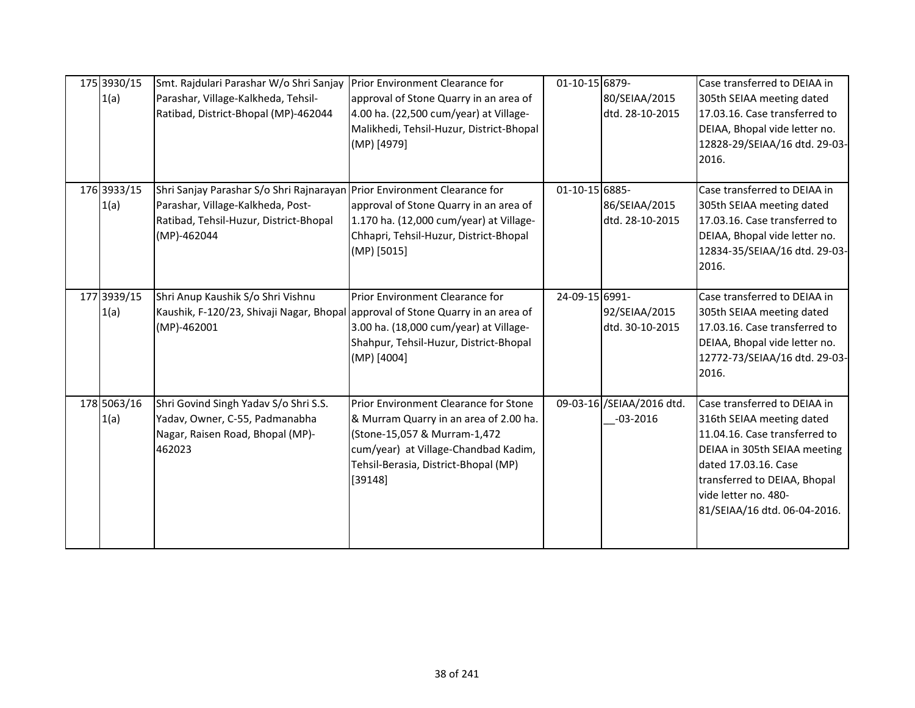| 175 3930/15<br>1(a) | Smt. Rajdulari Parashar W/o Shri Sanjay<br>Parashar, Village-Kalkheda, Tehsil-<br>Ratibad, District-Bhopal (MP)-462044                                                 | Prior Environment Clearance for<br>approval of Stone Quarry in an area of<br>4.00 ha. (22,500 cum/year) at Village-<br>Malikhedi, Tehsil-Huzur, District-Bhopal<br>(MP) [4979]                             | 01-10-15 6879- | 80/SEIAA/2015<br>dtd. 28-10-2015          | Case transferred to DEIAA in<br>305th SEIAA meeting dated<br>17.03.16. Case transferred to<br>DEIAA, Bhopal vide letter no.<br>12828-29/SEIAA/16 dtd. 29-03-<br>2016.                                                                      |
|---------------------|------------------------------------------------------------------------------------------------------------------------------------------------------------------------|------------------------------------------------------------------------------------------------------------------------------------------------------------------------------------------------------------|----------------|-------------------------------------------|--------------------------------------------------------------------------------------------------------------------------------------------------------------------------------------------------------------------------------------------|
| 176 3933/15<br>1(a) | Shri Sanjay Parashar S/o Shri Rajnarayan Prior Environment Clearance for<br>Parashar, Village-Kalkheda, Post-<br>Ratibad, Tehsil-Huzur, District-Bhopal<br>(MP)-462044 | approval of Stone Quarry in an area of<br>1.170 ha. (12,000 cum/year) at Village-<br>Chhapri, Tehsil-Huzur, District-Bhopal<br>(MP) [5015]                                                                 | 01-10-15 6885- | 86/SEIAA/2015<br>dtd. 28-10-2015          | Case transferred to DEIAA in<br>305th SEIAA meeting dated<br>17.03.16. Case transferred to<br>DEIAA, Bhopal vide letter no.<br>12834-35/SEIAA/16 dtd. 29-03-<br>2016.                                                                      |
| 177 3939/15<br>1(a) | Shri Anup Kaushik S/o Shri Vishnu<br>Kaushik, F-120/23, Shivaji Nagar, Bhopal approval of Stone Quarry in an area of<br>(MP)-462001                                    | Prior Environment Clearance for<br>3.00 ha. (18,000 cum/year) at Village-<br>Shahpur, Tehsil-Huzur, District-Bhopal<br>$(MP)$ [4004]                                                                       | 24-09-15 6991- | 92/SEIAA/2015<br>dtd. 30-10-2015          | Case transferred to DEIAA in<br>305th SEIAA meeting dated<br>17.03.16. Case transferred to<br>DEIAA, Bhopal vide letter no.<br>12772-73/SEIAA/16 dtd. 29-03-<br>2016.                                                                      |
| 178 5063/16<br>1(a) | Shri Govind Singh Yadav S/o Shri S.S.<br>Yadav, Owner, C-55, Padmanabha<br>Nagar, Raisen Road, Bhopal (MP)-<br>462023                                                  | Prior Environment Clearance for Stone<br>& Murram Quarry in an area of 2.00 ha.<br>(Stone-15,057 & Murram-1,472<br>cum/year) at Village-Chandbad Kadim,<br>Tehsil-Berasia, District-Bhopal (MP)<br>[39148] |                | 09-03-16 /SEIAA/2016 dtd.<br>$-03 - 2016$ | Case transferred to DEIAA in<br>316th SEIAA meeting dated<br>11.04.16. Case transferred to<br>DEIAA in 305th SEIAA meeting<br>dated 17.03.16. Case<br>transferred to DEIAA, Bhopal<br>vide letter no. 480-<br>81/SEIAA/16 dtd. 06-04-2016. |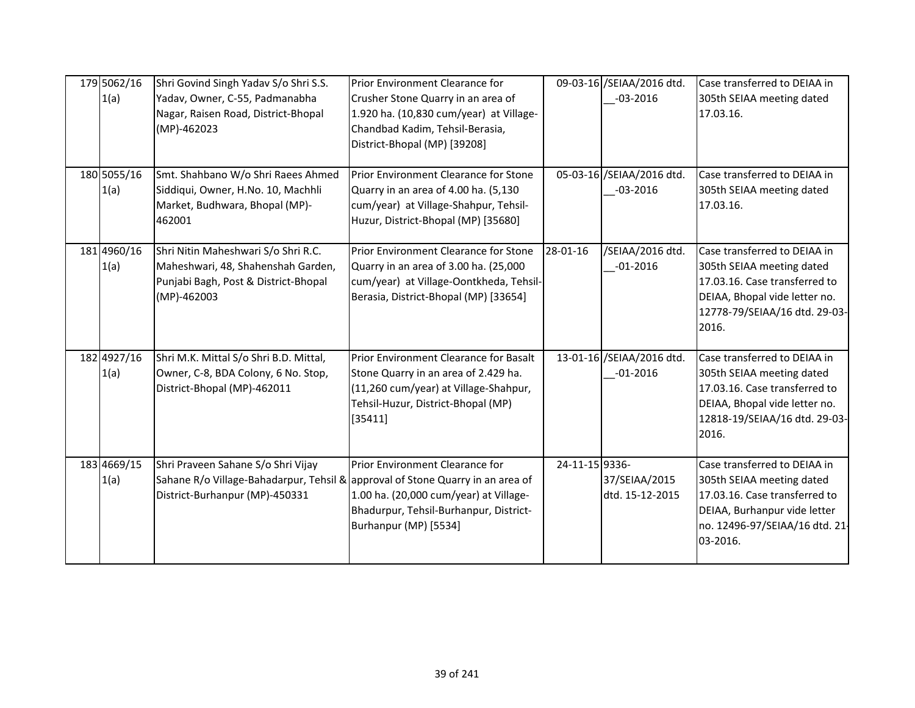| 179 5062/16<br>1(a) | Shri Govind Singh Yadav S/o Shri S.S.<br>Yadav, Owner, C-55, Padmanabha<br>Nagar, Raisen Road, District-Bhopal<br>(MP)-462023                          | Prior Environment Clearance for<br>Crusher Stone Quarry in an area of<br>1.920 ha. (10,830 cum/year) at Village-<br>Chandbad Kadim, Tehsil-Berasia,<br>District-Bhopal (MP) [39208] |                | 09-03-16 /SEIAA/2016 dtd.<br>$-03 - 2016$  | Case transferred to DEIAA in<br>305th SEIAA meeting dated<br>17.03.16.                                                                                                   |
|---------------------|--------------------------------------------------------------------------------------------------------------------------------------------------------|-------------------------------------------------------------------------------------------------------------------------------------------------------------------------------------|----------------|--------------------------------------------|--------------------------------------------------------------------------------------------------------------------------------------------------------------------------|
| 180 5055/16<br>1(a) | Smt. Shahbano W/o Shri Raees Ahmed<br>Siddiqui, Owner, H.No. 10, Machhli<br>Market, Budhwara, Bhopal (MP)-<br>462001                                   | <b>Prior Environment Clearance for Stone</b><br>Quarry in an area of 4.00 ha. (5,130<br>cum/year) at Village-Shahpur, Tehsil-<br>Huzur, District-Bhopal (MP) [35680]                |                | 05-03-16 /SEIAA/2016 dtd.<br>$-03 - 2016$  | Case transferred to DEIAA in<br>305th SEIAA meeting dated<br>17.03.16.                                                                                                   |
| 181 4960/16<br>1(a) | Shri Nitin Maheshwari S/o Shri R.C.<br>Maheshwari, 48, Shahenshah Garden,<br>Punjabi Bagh, Post & District-Bhopal<br>(MP)-462003                       | Prior Environment Clearance for Stone<br>Quarry in an area of 3.00 ha. (25,000<br>cum/year) at Village-Oontkheda, Tehsil-<br>Berasia, District-Bhopal (MP) [33654]                  | 28-01-16       | /SEIAA/2016 dtd.<br>$-01 - 2016$           | Case transferred to DEIAA in<br>305th SEIAA meeting dated<br>17.03.16. Case transferred to<br>DEIAA, Bhopal vide letter no.<br>12778-79/SEIAA/16 dtd. 29-03-<br>2016.    |
| 182 4927/16<br>1(a) | Shri M.K. Mittal S/o Shri B.D. Mittal,<br>Owner, C-8, BDA Colony, 6 No. Stop,<br>District-Bhopal (MP)-462011                                           | Prior Environment Clearance for Basalt<br>Stone Quarry in an area of 2.429 ha.<br>(11,260 cum/year) at Village-Shahpur,<br>Tehsil-Huzur, District-Bhopal (MP)<br>[35411]            |                | 13-01-16 / SEIAA/2016 dtd.<br>$-01 - 2016$ | Case transferred to DEIAA in<br>305th SEIAA meeting dated<br>17.03.16. Case transferred to<br>DEIAA, Bhopal vide letter no.<br>12818-19/SEIAA/16 dtd. 29-03-<br>2016.    |
| 183 4669/15<br>1(a) | Shri Praveen Sahane S/o Shri Vijay<br>Sahane R/o Village-Bahadarpur, Tehsil & approval of Stone Quarry in an area of<br>District-Burhanpur (MP)-450331 | Prior Environment Clearance for<br>1.00 ha. (20,000 cum/year) at Village-<br>Bhadurpur, Tehsil-Burhanpur, District-<br>Burhanpur (MP) [5534]                                        | 24-11-15 9336- | 37/SEIAA/2015<br>dtd. 15-12-2015           | Case transferred to DEIAA in<br>305th SEIAA meeting dated<br>17.03.16. Case transferred to<br>DEIAA, Burhanpur vide letter<br>no. 12496-97/SEIAA/16 dtd. 21-<br>03-2016. |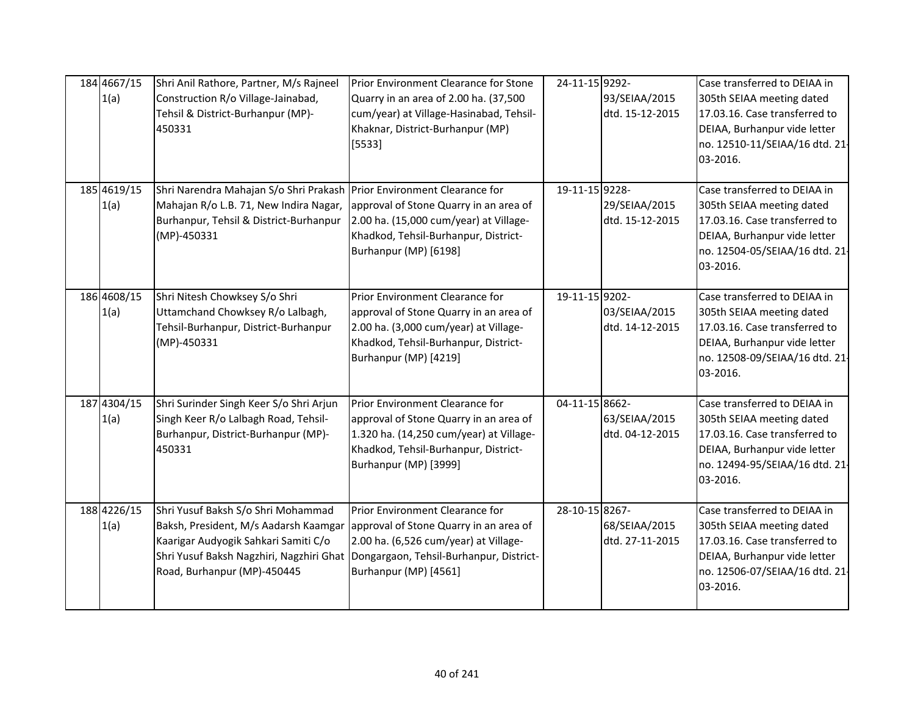| 184 4667/15<br>1(a) | Shri Anil Rathore, Partner, M/s Rajneel<br>Construction R/o Village-Jainabad,<br>Tehsil & District-Burhanpur (MP)-<br>450331                                                                                                                                                  | Prior Environment Clearance for Stone<br>Quarry in an area of 2.00 ha. (37,500<br>cum/year) at Village-Hasinabad, Tehsil-<br>Khaknar, District-Burhanpur (MP)<br>[5533]               | 24-11-15 9292- | 93/SEIAA/2015<br>dtd. 15-12-2015 | Case transferred to DEIAA in<br>305th SEIAA meeting dated<br>17.03.16. Case transferred to<br>DEIAA, Burhanpur vide letter<br>no. 12510-11/SEIAA/16 dtd. 21-<br>03-2016. |
|---------------------|-------------------------------------------------------------------------------------------------------------------------------------------------------------------------------------------------------------------------------------------------------------------------------|---------------------------------------------------------------------------------------------------------------------------------------------------------------------------------------|----------------|----------------------------------|--------------------------------------------------------------------------------------------------------------------------------------------------------------------------|
| 185 4619/15<br>1(a) | Shri Narendra Mahajan S/o Shri Prakash Prior Environment Clearance for<br>Mahajan R/o L.B. 71, New Indira Nagar,<br>Burhanpur, Tehsil & District-Burhanpur<br>(MP)-450331                                                                                                     | approval of Stone Quarry in an area of<br>2.00 ha. (15,000 cum/year) at Village-<br>Khadkod, Tehsil-Burhanpur, District-<br>Burhanpur (MP) [6198]                                     | 19-11-15 9228- | 29/SEIAA/2015<br>dtd. 15-12-2015 | Case transferred to DEIAA in<br>305th SEIAA meeting dated<br>17.03.16. Case transferred to<br>DEIAA, Burhanpur vide letter<br>no. 12504-05/SEIAA/16 dtd. 21-<br>03-2016. |
| 186 4608/15<br>1(a) | Shri Nitesh Chowksey S/o Shri<br>Uttamchand Chowksey R/o Lalbagh,<br>Tehsil-Burhanpur, District-Burhanpur<br>(MP)-450331                                                                                                                                                      | Prior Environment Clearance for<br>approval of Stone Quarry in an area of<br>2.00 ha. (3,000 cum/year) at Village-<br>Khadkod, Tehsil-Burhanpur, District-<br>Burhanpur (MP) [4219]   | 19-11-15 9202- | 03/SEIAA/2015<br>dtd. 14-12-2015 | Case transferred to DEIAA in<br>305th SEIAA meeting dated<br>17.03.16. Case transferred to<br>DEIAA, Burhanpur vide letter<br>no. 12508-09/SEIAA/16 dtd. 21-<br>03-2016. |
| 187 4304/15<br>1(a) | Shri Surinder Singh Keer S/o Shri Arjun<br>Singh Keer R/o Lalbagh Road, Tehsil-<br>Burhanpur, District-Burhanpur (MP)-<br>450331                                                                                                                                              | Prior Environment Clearance for<br>approval of Stone Quarry in an area of<br>1.320 ha. (14,250 cum/year) at Village-<br>Khadkod, Tehsil-Burhanpur, District-<br>Burhanpur (MP) [3999] | 04-11-15 8662- | 63/SEIAA/2015<br>dtd. 04-12-2015 | Case transferred to DEIAA in<br>305th SEIAA meeting dated<br>17.03.16. Case transferred to<br>DEIAA, Burhanpur vide letter<br>no. 12494-95/SEIAA/16 dtd. 21-<br>03-2016. |
| 188 4226/15<br>1(a) | Shri Yusuf Baksh S/o Shri Mohammad<br>Baksh, President, M/s Aadarsh Kaamgar approval of Stone Quarry in an area of<br>Kaarigar Audyogik Sahkari Samiti C/o<br>Shri Yusuf Baksh Nagzhiri, Nagzhiri Ghat Dongargaon, Tehsil-Burhanpur, District-<br>Road, Burhanpur (MP)-450445 | Prior Environment Clearance for<br>2.00 ha. (6,526 cum/year) at Village-<br>Burhanpur (MP) [4561]                                                                                     | 28-10-15 8267- | 68/SEIAA/2015<br>dtd. 27-11-2015 | Case transferred to DEIAA in<br>305th SEIAA meeting dated<br>17.03.16. Case transferred to<br>DEIAA, Burhanpur vide letter<br>no. 12506-07/SEIAA/16 dtd. 21-<br>03-2016. |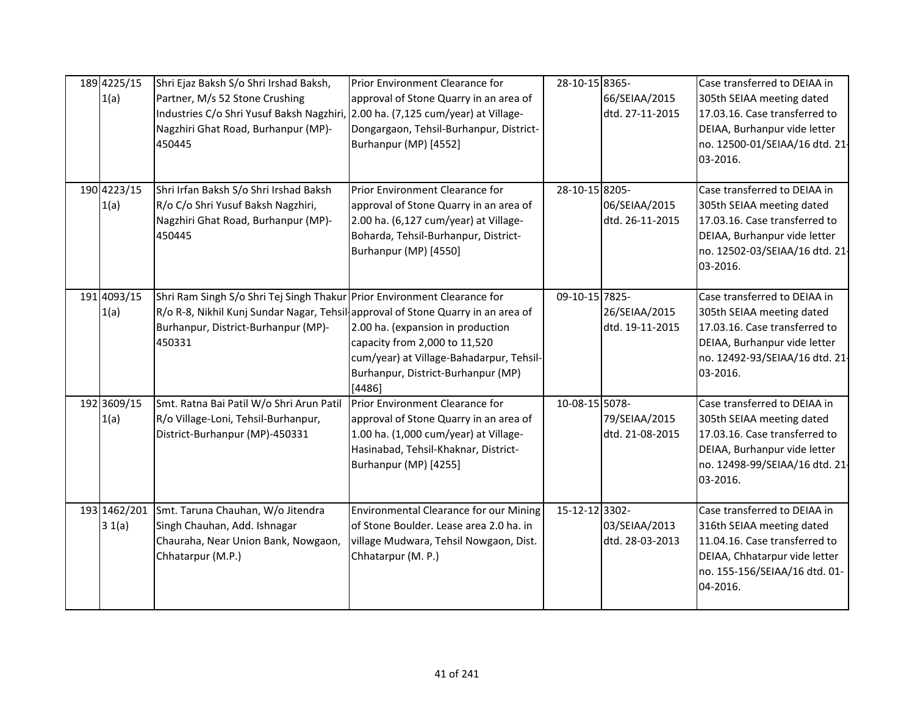| 189 4225/15<br>1(a)    | Shri Ejaz Baksh S/o Shri Irshad Baksh,<br>Partner, M/s 52 Stone Crushing<br>Industries C/o Shri Yusuf Baksh Nagzhiri, 2.00 ha. (7,125 cum/year) at Village-                                                   | Prior Environment Clearance for<br>approval of Stone Quarry in an area of                                                                                                           | 28-10-15 8365- | 66/SEIAA/2015<br>dtd. 27-11-2015 | Case transferred to DEIAA in<br>305th SEIAA meeting dated<br>17.03.16. Case transferred to                                                                               |
|------------------------|---------------------------------------------------------------------------------------------------------------------------------------------------------------------------------------------------------------|-------------------------------------------------------------------------------------------------------------------------------------------------------------------------------------|----------------|----------------------------------|--------------------------------------------------------------------------------------------------------------------------------------------------------------------------|
|                        | Nagzhiri Ghat Road, Burhanpur (MP)-<br>450445                                                                                                                                                                 | Dongargaon, Tehsil-Burhanpur, District-<br>Burhanpur (MP) [4552]                                                                                                                    |                |                                  | DEIAA, Burhanpur vide letter<br>no. 12500-01/SEIAA/16 dtd. 21-<br>03-2016.                                                                                               |
| 190 4223/15<br>1(a)    | Shri Irfan Baksh S/o Shri Irshad Baksh<br>R/o C/o Shri Yusuf Baksh Nagzhiri,<br>Nagzhiri Ghat Road, Burhanpur (MP)-<br>450445                                                                                 | Prior Environment Clearance for<br>approval of Stone Quarry in an area of<br>2.00 ha. (6,127 cum/year) at Village-<br>Boharda, Tehsil-Burhanpur, District-<br>Burhanpur (MP) [4550] | 28-10-15 8205- | 06/SEIAA/2015<br>dtd. 26-11-2015 | Case transferred to DEIAA in<br>305th SEIAA meeting dated<br>17.03.16. Case transferred to<br>DEIAA, Burhanpur vide letter<br>no. 12502-03/SEIAA/16 dtd. 21-<br>03-2016. |
| 191 4093/15<br>1(a)    | Shri Ram Singh S/o Shri Tej Singh Thakur Prior Environment Clearance for<br>R/o R-8, Nikhil Kunj Sundar Nagar, Tehsil approval of Stone Quarry in an area of<br>Burhanpur, District-Burhanpur (MP)-<br>450331 | 2.00 ha. (expansion in production<br>capacity from 2,000 to 11,520<br>cum/year) at Village-Bahadarpur, Tehsil-<br>Burhanpur, District-Burhanpur (MP)<br>[4486]                      | 09-10-15 7825- | 26/SEIAA/2015<br>dtd. 19-11-2015 | Case transferred to DEIAA in<br>305th SEIAA meeting dated<br>17.03.16. Case transferred to<br>DEIAA, Burhanpur vide letter<br>no. 12492-93/SEIAA/16 dtd. 21-<br>03-2016. |
| 192 3609/15<br>1(a)    | Smt. Ratna Bai Patil W/o Shri Arun Patil<br>R/o Village-Loni, Tehsil-Burhanpur,<br>District-Burhanpur (MP)-450331                                                                                             | Prior Environment Clearance for<br>approval of Stone Quarry in an area of<br>1.00 ha. (1,000 cum/year) at Village-<br>Hasinabad, Tehsil-Khaknar, District-<br>Burhanpur (MP) [4255] | 10-08-15 5078- | 79/SEIAA/2015<br>dtd. 21-08-2015 | Case transferred to DEIAA in<br>305th SEIAA meeting dated<br>17.03.16. Case transferred to<br>DEIAA, Burhanpur vide letter<br>no. 12498-99/SEIAA/16 dtd. 21-<br>03-2016. |
| 193 1462/201<br>3 1(a) | Smt. Taruna Chauhan, W/o Jitendra<br>Singh Chauhan, Add. Ishnagar<br>Chauraha, Near Union Bank, Nowgaon,<br>Chhatarpur (M.P.)                                                                                 | <b>Environmental Clearance for our Mining</b><br>of Stone Boulder. Lease area 2.0 ha. in<br>village Mudwara, Tehsil Nowgaon, Dist.<br>Chhatarpur (M. P.)                            | 15-12-12 3302- | 03/SEIAA/2013<br>dtd. 28-03-2013 | Case transferred to DEIAA in<br>316th SEIAA meeting dated<br>11.04.16. Case transferred to<br>DEIAA, Chhatarpur vide letter<br>no. 155-156/SEIAA/16 dtd. 01-<br>04-2016. |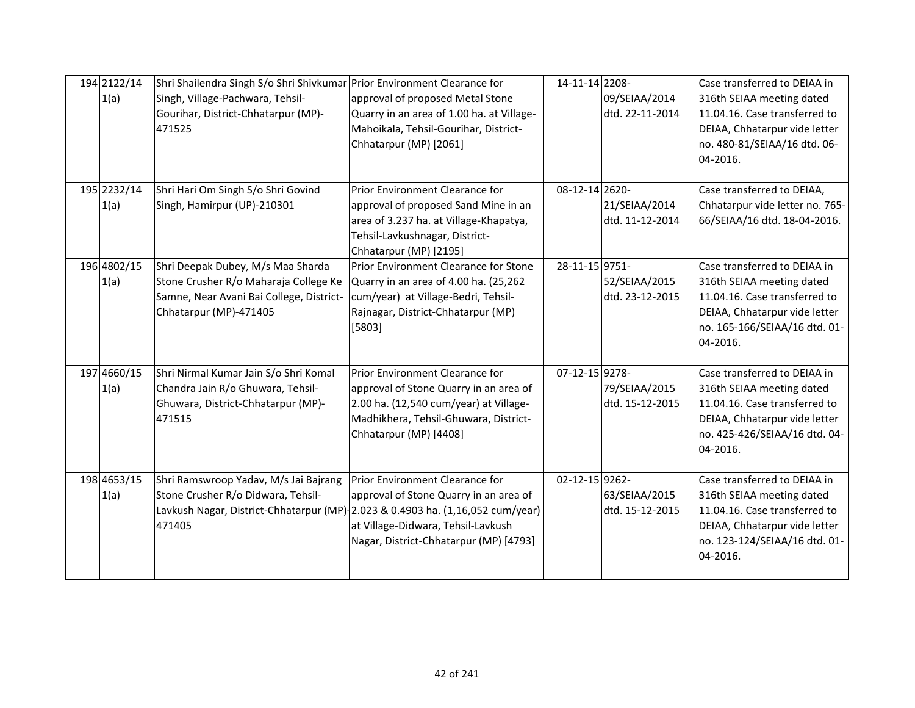| 194 2122/14<br>1(a) | Shri Shailendra Singh S/o Shri Shivkumar Prior Environment Clearance for<br>Singh, Village-Pachwara, Tehsil-<br>Gourihar, District-Chhatarpur (MP)-<br>471525 | approval of proposed Metal Stone<br>Quarry in an area of 1.00 ha. at Village-<br>Mahoikala, Tehsil-Gourihar, District-<br>Chhatarpur (MP) [2061]                                                                                            | 14-11-14 2208- | 09/SEIAA/2014<br>dtd. 22-11-2014 | Case transferred to DEIAA in<br>316th SEIAA meeting dated<br>11.04.16. Case transferred to<br>DEIAA, Chhatarpur vide letter<br>no. 480-81/SEIAA/16 dtd. 06-<br>04-2016.  |
|---------------------|---------------------------------------------------------------------------------------------------------------------------------------------------------------|---------------------------------------------------------------------------------------------------------------------------------------------------------------------------------------------------------------------------------------------|----------------|----------------------------------|--------------------------------------------------------------------------------------------------------------------------------------------------------------------------|
| 195 2232/14<br>1(a) | Shri Hari Om Singh S/o Shri Govind<br>Singh, Hamirpur (UP)-210301                                                                                             | Prior Environment Clearance for<br>approval of proposed Sand Mine in an<br>area of 3.237 ha. at Village-Khapatya,<br>Tehsil-Lavkushnagar, District-<br>Chhatarpur (MP) [2195]                                                               | 08-12-14 2620- | 21/SEIAA/2014<br>dtd. 11-12-2014 | Case transferred to DEIAA,<br>Chhatarpur vide letter no. 765-<br>66/SEIAA/16 dtd. 18-04-2016.                                                                            |
| 196 4802/15<br>1(a) | Shri Deepak Dubey, M/s Maa Sharda<br>Stone Crusher R/o Maharaja College Ke<br>Samne, Near Avani Bai College, District-<br>Chhatarpur (MP)-471405              | Prior Environment Clearance for Stone<br>Quarry in an area of 4.00 ha. (25,262<br>cum/year) at Village-Bedri, Tehsil-<br>Rajnagar, District-Chhatarpur (MP)<br>[5803]                                                                       | 28-11-15 9751- | 52/SEIAA/2015<br>dtd. 23-12-2015 | Case transferred to DEIAA in<br>316th SEIAA meeting dated<br>11.04.16. Case transferred to<br>DEIAA, Chhatarpur vide letter<br>no. 165-166/SEIAA/16 dtd. 01-<br>04-2016. |
| 197 4660/15<br>1(a) | Shri Nirmal Kumar Jain S/o Shri Komal<br>Chandra Jain R/o Ghuwara, Tehsil-<br>Ghuwara, District-Chhatarpur (MP)-<br>471515                                    | Prior Environment Clearance for<br>approval of Stone Quarry in an area of<br>2.00 ha. (12,540 cum/year) at Village-<br>Madhikhera, Tehsil-Ghuwara, District-<br>Chhatarpur (MP) [4408]                                                      | 07-12-15 9278- | 79/SEIAA/2015<br>dtd. 15-12-2015 | Case transferred to DEIAA in<br>316th SEIAA meeting dated<br>11.04.16. Case transferred to<br>DEIAA, Chhatarpur vide letter<br>no. 425-426/SEIAA/16 dtd. 04-<br>04-2016. |
| 198 4653/15<br>1(a) | Shri Ramswroop Yadav, M/s Jai Bajrang<br>Stone Crusher R/o Didwara, Tehsil-<br>471405                                                                         | Prior Environment Clearance for<br>approval of Stone Quarry in an area of<br>Lavkush Nagar, District-Chhatarpur (MP)-2.023 & 0.4903 ha. (1,16,052 cum/year)<br>at Village-Didwara, Tehsil-Lavkush<br>Nagar, District-Chhatarpur (MP) [4793] | 02-12-15 9262- | 63/SEIAA/2015<br>dtd. 15-12-2015 | Case transferred to DEIAA in<br>316th SEIAA meeting dated<br>11.04.16. Case transferred to<br>DEIAA, Chhatarpur vide letter<br>no. 123-124/SEIAA/16 dtd. 01-<br>04-2016. |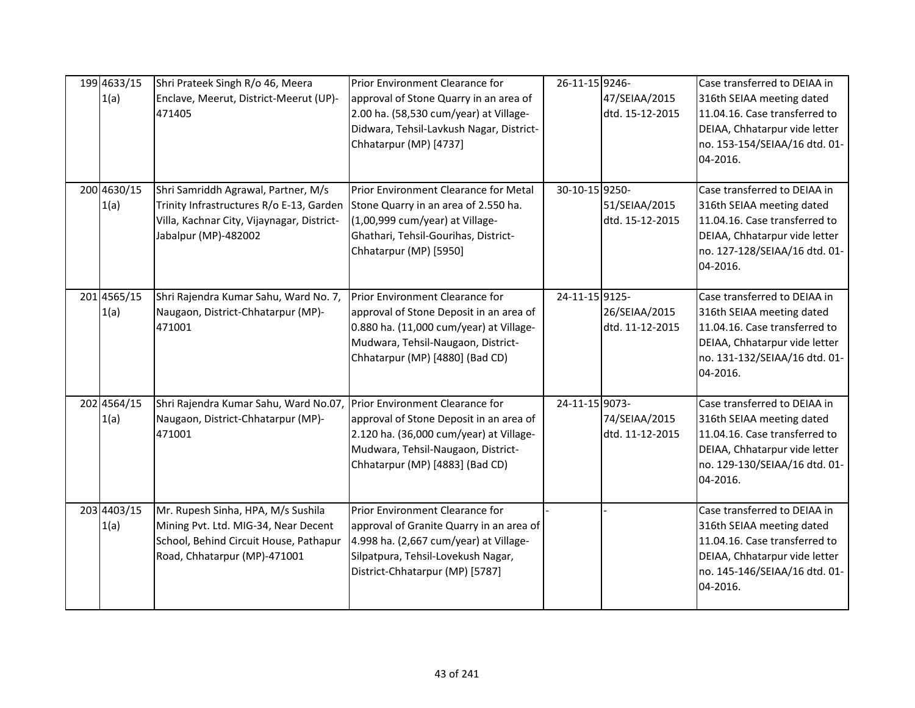| 199 4633/15<br>1(a) | Shri Prateek Singh R/o 46, Meera<br>Enclave, Meerut, District-Meerut (UP)-<br>471405                                                                  | Prior Environment Clearance for<br>approval of Stone Quarry in an area of<br>2.00 ha. (58,530 cum/year) at Village-<br>Didwara, Tehsil-Lavkush Nagar, District-<br>Chhatarpur (MP) [4737]      | 26-11-15 9246- | 47/SEIAA/2015<br>dtd. 15-12-2015 | Case transferred to DEIAA in<br>316th SEIAA meeting dated<br>11.04.16. Case transferred to<br>DEIAA, Chhatarpur vide letter<br>no. 153-154/SEIAA/16 dtd. 01-<br>04-2016. |
|---------------------|-------------------------------------------------------------------------------------------------------------------------------------------------------|------------------------------------------------------------------------------------------------------------------------------------------------------------------------------------------------|----------------|----------------------------------|--------------------------------------------------------------------------------------------------------------------------------------------------------------------------|
| 200 4630/15<br>1(a) | Shri Samriddh Agrawal, Partner, M/s<br>Trinity Infrastructures R/o E-13, Garden<br>Villa, Kachnar City, Vijaynagar, District-<br>Jabalpur (MP)-482002 | Prior Environment Clearance for Metal<br>Stone Quarry in an area of 2.550 ha.<br>(1,00,999 cum/year) at Village-<br>Ghathari, Tehsil-Gourihas, District-<br>Chhatarpur (MP) [5950]             | 30-10-15 9250- | 51/SEIAA/2015<br>dtd. 15-12-2015 | Case transferred to DEIAA in<br>316th SEIAA meeting dated<br>11.04.16. Case transferred to<br>DEIAA, Chhatarpur vide letter<br>no. 127-128/SEIAA/16 dtd. 01-<br>04-2016. |
| 201 4565/15<br>1(a) | Shri Rajendra Kumar Sahu, Ward No. 7,<br>Naugaon, District-Chhatarpur (MP)-<br>471001                                                                 | Prior Environment Clearance for<br>approval of Stone Deposit in an area of<br>0.880 ha. (11,000 cum/year) at Village-<br>Mudwara, Tehsil-Naugaon, District-<br>Chhatarpur (MP) [4880] (Bad CD) | 24-11-15 9125- | 26/SEIAA/2015<br>dtd. 11-12-2015 | Case transferred to DEIAA in<br>316th SEIAA meeting dated<br>11.04.16. Case transferred to<br>DEIAA, Chhatarpur vide letter<br>no. 131-132/SEIAA/16 dtd. 01-<br>04-2016. |
| 202 4564/15<br>1(a) | Shri Rajendra Kumar Sahu, Ward No.07, Prior Environment Clearance for<br>Naugaon, District-Chhatarpur (MP)-<br>471001                                 | approval of Stone Deposit in an area of<br>2.120 ha. (36,000 cum/year) at Village-<br>Mudwara, Tehsil-Naugaon, District-<br>Chhatarpur (MP) [4883] (Bad CD)                                    | 24-11-15 9073- | 74/SEIAA/2015<br>dtd. 11-12-2015 | Case transferred to DEIAA in<br>316th SEIAA meeting dated<br>11.04.16. Case transferred to<br>DEIAA, Chhatarpur vide letter<br>no. 129-130/SEIAA/16 dtd. 01-<br>04-2016. |
| 203 4403/15<br>1(a) | Mr. Rupesh Sinha, HPA, M/s Sushila<br>Mining Pvt. Ltd. MIG-34, Near Decent<br>School, Behind Circuit House, Pathapur<br>Road, Chhatarpur (MP)-471001  | Prior Environment Clearance for<br>approval of Granite Quarry in an area of<br>4.998 ha. (2,667 cum/year) at Village-<br>Silpatpura, Tehsil-Lovekush Nagar,<br>District-Chhatarpur (MP) [5787] |                |                                  | Case transferred to DEIAA in<br>316th SEIAA meeting dated<br>11.04.16. Case transferred to<br>DEIAA, Chhatarpur vide letter<br>no. 145-146/SEIAA/16 dtd. 01-<br>04-2016. |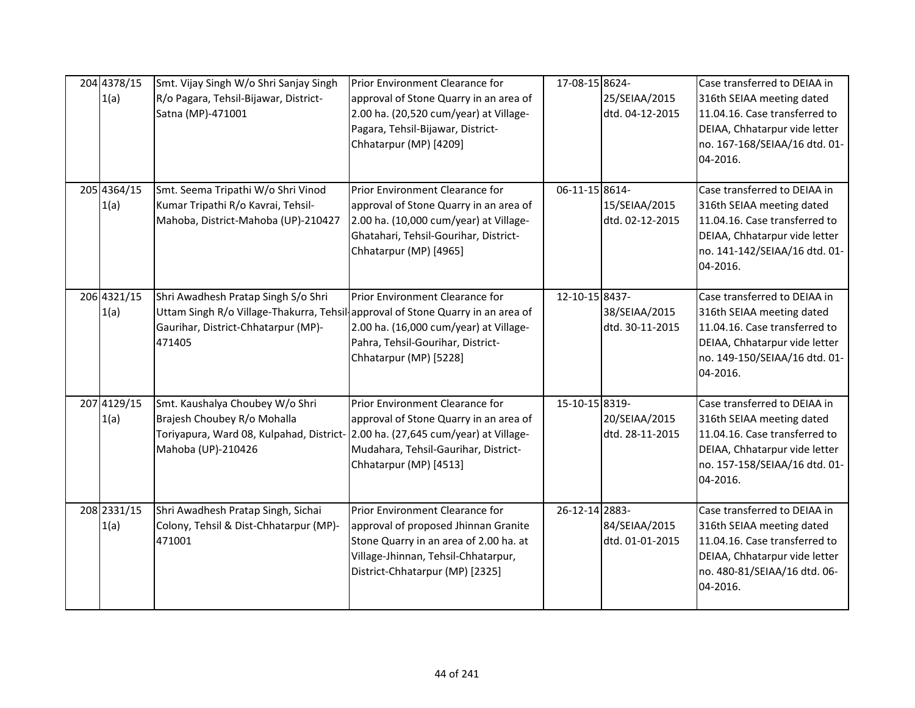| 204 4378/15<br>1(a) | Smt. Vijay Singh W/o Shri Sanjay Singh<br>R/o Pagara, Tehsil-Bijawar, District-<br>Satna (MP)-471001                                                                    | Prior Environment Clearance for<br>approval of Stone Quarry in an area of<br>2.00 ha. (20,520 cum/year) at Village-<br>Pagara, Tehsil-Bijawar, District-<br>Chhatarpur (MP) [4209]          | 17-08-15 8624- | 25/SEIAA/2015<br>dtd. 04-12-2015 | Case transferred to DEIAA in<br>316th SEIAA meeting dated<br>11.04.16. Case transferred to<br>DEIAA, Chhatarpur vide letter<br>no. 167-168/SEIAA/16 dtd. 01-<br>04-2016. |
|---------------------|-------------------------------------------------------------------------------------------------------------------------------------------------------------------------|---------------------------------------------------------------------------------------------------------------------------------------------------------------------------------------------|----------------|----------------------------------|--------------------------------------------------------------------------------------------------------------------------------------------------------------------------|
| 205 4364/15<br>1(a) | Smt. Seema Tripathi W/o Shri Vinod<br>Kumar Tripathi R/o Kavrai, Tehsil-<br>Mahoba, District-Mahoba (UP)-210427                                                         | Prior Environment Clearance for<br>approval of Stone Quarry in an area of<br>2.00 ha. (10,000 cum/year) at Village-<br>Ghatahari, Tehsil-Gourihar, District-<br>Chhatarpur (MP) [4965]      | 06-11-15 8614- | 15/SEIAA/2015<br>dtd. 02-12-2015 | Case transferred to DEIAA in<br>316th SEIAA meeting dated<br>11.04.16. Case transferred to<br>DEIAA, Chhatarpur vide letter<br>no. 141-142/SEIAA/16 dtd. 01-<br>04-2016. |
| 206 4321/15<br>1(a) | Shri Awadhesh Pratap Singh S/o Shri<br>Uttam Singh R/o Village-Thakurra, Tehsil approval of Stone Quarry in an area of<br>Gaurihar, District-Chhatarpur (MP)-<br>471405 | Prior Environment Clearance for<br>2.00 ha. (16,000 cum/year) at Village-<br>Pahra, Tehsil-Gourihar, District-<br>Chhatarpur (MP) [5228]                                                    | 12-10-15 8437- | 38/SEIAA/2015<br>dtd. 30-11-2015 | Case transferred to DEIAA in<br>316th SEIAA meeting dated<br>11.04.16. Case transferred to<br>DEIAA, Chhatarpur vide letter<br>no. 149-150/SEIAA/16 dtd. 01-<br>04-2016. |
| 207 4129/15<br>1(a) | Smt. Kaushalya Choubey W/o Shri<br>Brajesh Choubey R/o Mohalla<br>Toriyapura, Ward 08, Kulpahad, District- 2.00 ha. (27,645 cum/year) at Village-<br>Mahoba (UP)-210426 | Prior Environment Clearance for<br>approval of Stone Quarry in an area of<br>Mudahara, Tehsil-Gaurihar, District-<br>Chhatarpur (MP) [4513]                                                 | 15-10-15 8319- | 20/SEIAA/2015<br>dtd. 28-11-2015 | Case transferred to DEIAA in<br>316th SEIAA meeting dated<br>11.04.16. Case transferred to<br>DEIAA, Chhatarpur vide letter<br>no. 157-158/SEIAA/16 dtd. 01-<br>04-2016. |
| 208 2331/15<br>1(a) | Shri Awadhesh Pratap Singh, Sichai<br>Colony, Tehsil & Dist-Chhatarpur (MP)-<br>471001                                                                                  | Prior Environment Clearance for<br>approval of proposed Jhinnan Granite<br>Stone Quarry in an area of 2.00 ha. at<br>Village-Jhinnan, Tehsil-Chhatarpur,<br>District-Chhatarpur (MP) [2325] | 26-12-14 2883- | 84/SEIAA/2015<br>dtd. 01-01-2015 | Case transferred to DEIAA in<br>316th SEIAA meeting dated<br>11.04.16. Case transferred to<br>DEIAA, Chhatarpur vide letter<br>no. 480-81/SEIAA/16 dtd. 06-<br>04-2016.  |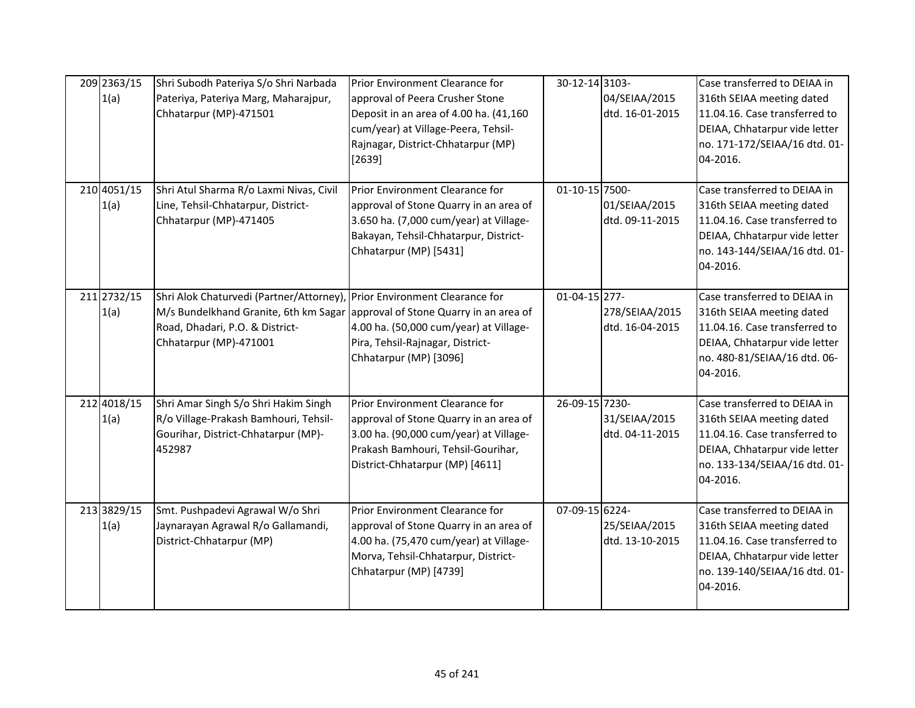| 209 2363/15<br>1(a) | Shri Subodh Pateriya S/o Shri Narbada<br>Pateriya, Pateriya Marg, Maharajpur,<br>Chhatarpur (MP)-471501                                                                        | Prior Environment Clearance for<br>approval of Peera Crusher Stone<br>Deposit in an area of 4.00 ha. (41,160<br>cum/year) at Village-Peera, Tehsil-<br>Rajnagar, District-Chhatarpur (MP)<br>$[2639]$ | 30-12-14 3103- | 04/SEIAA/2015<br>dtd. 16-01-2015  | Case transferred to DEIAA in<br>316th SEIAA meeting dated<br>11.04.16. Case transferred to<br>DEIAA, Chhatarpur vide letter<br>no. 171-172/SEIAA/16 dtd. 01-<br>04-2016. |
|---------------------|--------------------------------------------------------------------------------------------------------------------------------------------------------------------------------|-------------------------------------------------------------------------------------------------------------------------------------------------------------------------------------------------------|----------------|-----------------------------------|--------------------------------------------------------------------------------------------------------------------------------------------------------------------------|
| 210 4051/15<br>1(a) | Shri Atul Sharma R/o Laxmi Nivas, Civil<br>Line, Tehsil-Chhatarpur, District-<br>Chhatarpur (MP)-471405                                                                        | Prior Environment Clearance for<br>approval of Stone Quarry in an area of<br>3.650 ha. (7,000 cum/year) at Village-<br>Bakayan, Tehsil-Chhatarpur, District-<br>Chhatarpur (MP) [5431]                | 01-10-15 7500- | 01/SEIAA/2015<br>dtd. 09-11-2015  | Case transferred to DEIAA in<br>316th SEIAA meeting dated<br>11.04.16. Case transferred to<br>DEIAA, Chhatarpur vide letter<br>no. 143-144/SEIAA/16 dtd. 01-<br>04-2016. |
| 211 2732/15<br>1(a) | Shri Alok Chaturvedi (Partner/Attorney), Prior Environment Clearance for<br>M/s Bundelkhand Granite, 6th km Sagar<br>Road, Dhadari, P.O. & District-<br>Chhatarpur (MP)-471001 | approval of Stone Quarry in an area of<br>4.00 ha. (50,000 cum/year) at Village-<br>Pira, Tehsil-Rajnagar, District-<br>Chhatarpur (MP) [3096]                                                        | 01-04-15 277-  | 278/SEIAA/2015<br>dtd. 16-04-2015 | Case transferred to DEIAA in<br>316th SEIAA meeting dated<br>11.04.16. Case transferred to<br>DEIAA, Chhatarpur vide letter<br>no. 480-81/SEIAA/16 dtd. 06-<br>04-2016.  |
| 212 4018/15<br>1(a) | Shri Amar Singh S/o Shri Hakim Singh<br>R/o Village-Prakash Bamhouri, Tehsil-<br>Gourihar, District-Chhatarpur (MP)-<br>452987                                                 | Prior Environment Clearance for<br>approval of Stone Quarry in an area of<br>3.00 ha. (90,000 cum/year) at Village-<br>Prakash Bamhouri, Tehsil-Gourihar,<br>District-Chhatarpur (MP) [4611]          | 26-09-15 7230- | 31/SEIAA/2015<br>dtd. 04-11-2015  | Case transferred to DEIAA in<br>316th SEIAA meeting dated<br>11.04.16. Case transferred to<br>DEIAA, Chhatarpur vide letter<br>no. 133-134/SEIAA/16 dtd. 01-<br>04-2016. |
| 213 3829/15<br>1(a) | Smt. Pushpadevi Agrawal W/o Shri<br>Jaynarayan Agrawal R/o Gallamandi,<br>District-Chhatarpur (MP)                                                                             | Prior Environment Clearance for<br>approval of Stone Quarry in an area of<br>4.00 ha. (75,470 cum/year) at Village-<br>Morva, Tehsil-Chhatarpur, District-<br>Chhatarpur (MP) [4739]                  | 07-09-15 6224- | 25/SEIAA/2015<br>dtd. 13-10-2015  | Case transferred to DEIAA in<br>316th SEIAA meeting dated<br>11.04.16. Case transferred to<br>DEIAA, Chhatarpur vide letter<br>no. 139-140/SEIAA/16 dtd. 01-<br>04-2016. |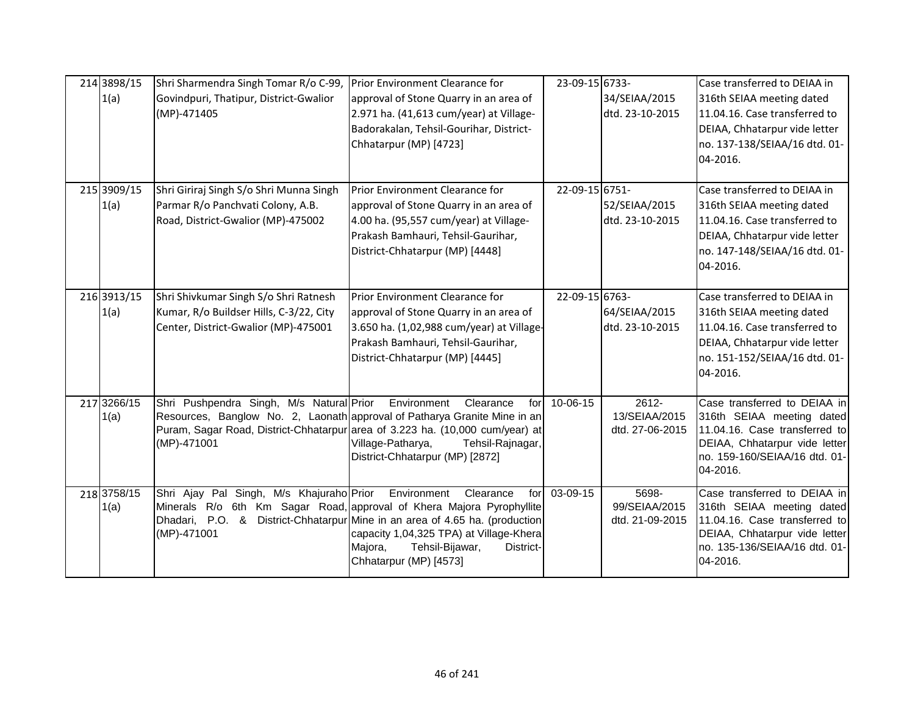| 214 3898/15<br>1(a) | Shri Sharmendra Singh Tomar R/o C-99,<br>Govindpuri, Thatipur, District-Gwalior<br>(MP)-471405                           | <b>Prior Environment Clearance for</b><br>approval of Stone Quarry in an area of<br>2.971 ha. (41,613 cum/year) at Village-<br>Badorakalan, Tehsil-Gourihar, District-<br>Chhatarpur (MP) [4723]                                                                                        | 23-09-15 6733- | 34/SEIAA/2015<br>dtd. 23-10-2015             | Case transferred to DEIAA in<br>316th SEIAA meeting dated<br>11.04.16. Case transferred to<br>DEIAA, Chhatarpur vide letter<br>no. 137-138/SEIAA/16 dtd. 01-<br>04-2016. |
|---------------------|--------------------------------------------------------------------------------------------------------------------------|-----------------------------------------------------------------------------------------------------------------------------------------------------------------------------------------------------------------------------------------------------------------------------------------|----------------|----------------------------------------------|--------------------------------------------------------------------------------------------------------------------------------------------------------------------------|
| 215 3909/15<br>1(a) | Shri Giriraj Singh S/o Shri Munna Singh<br>Parmar R/o Panchvati Colony, A.B.<br>Road, District-Gwalior (MP)-475002       | Prior Environment Clearance for<br>approval of Stone Quarry in an area of<br>4.00 ha. (95,557 cum/year) at Village-<br>Prakash Bamhauri, Tehsil-Gaurihar,<br>District-Chhatarpur (MP) [4448]                                                                                            | 22-09-15 6751- | 52/SEIAA/2015<br>dtd. 23-10-2015             | Case transferred to DEIAA in<br>316th SEIAA meeting dated<br>11.04.16. Case transferred to<br>DEIAA, Chhatarpur vide letter<br>no. 147-148/SEIAA/16 dtd. 01-<br>04-2016. |
| 216 3913/15<br>1(a) | Shri Shivkumar Singh S/o Shri Ratnesh<br>Kumar, R/o Buildser Hills, C-3/22, City<br>Center, District-Gwalior (MP)-475001 | Prior Environment Clearance for<br>approval of Stone Quarry in an area of<br>3.650 ha. (1,02,988 cum/year) at Village-<br>Prakash Bamhauri, Tehsil-Gaurihar,<br>District-Chhatarpur (MP) [4445]                                                                                         | 22-09-15 6763- | 64/SEIAA/2015<br>dtd. 23-10-2015             | Case transferred to DEIAA in<br>316th SEIAA meeting dated<br>11.04.16. Case transferred to<br>DEIAA, Chhatarpur vide letter<br>no. 151-152/SEIAA/16 dtd. 01-<br>04-2016. |
| 217 3266/15<br>1(a) | Shri Pushpendra Singh, M/s Natural Prior<br>(MP)-471001                                                                  | Environment<br>Clearance<br>for<br>Resources, Banglow No. 2, Laonath approval of Patharya Granite Mine in an<br>Puram, Sagar Road, District-Chhatarpur area of 3.223 ha. (10,000 cum/year) at<br>Village-Patharya,<br>Tehsil-Rajnagar,<br>District-Chhatarpur (MP) [2872]               | 10-06-15       | $2612 -$<br>13/SEIAA/2015<br>dtd. 27-06-2015 | Case transferred to DEIAA in<br>316th SEIAA meeting dated<br>11.04.16. Case transferred to<br>DEIAA, Chhatarpur vide letter<br>no. 159-160/SEIAA/16 dtd. 01-<br>04-2016. |
| 218 3758/15<br>1(a) | Shri Ajay Pal Singh, M/s Khajuraho Prior<br>Dhadari, P.O. &<br>(MP)-471001                                               | Environment<br>Clearance<br>for<br>Minerals R/o 6th Km Sagar Road, approval of Khera Majora Pyrophyllite<br>District-Chhatarpur Mine in an area of 4.65 ha. (production<br>capacity 1,04,325 TPA) at Village-Khera<br>Tehsil-Bijawar,<br>District-<br>Majora,<br>Chhatarpur (MP) [4573] | 03-09-15       | 5698-<br>99/SEIAA/2015<br>dtd. 21-09-2015    | Case transferred to DEIAA in<br>316th SEIAA meeting dated<br>11.04.16. Case transferred to<br>DEIAA, Chhatarpur vide letter<br>no. 135-136/SEIAA/16 dtd. 01-<br>04-2016. |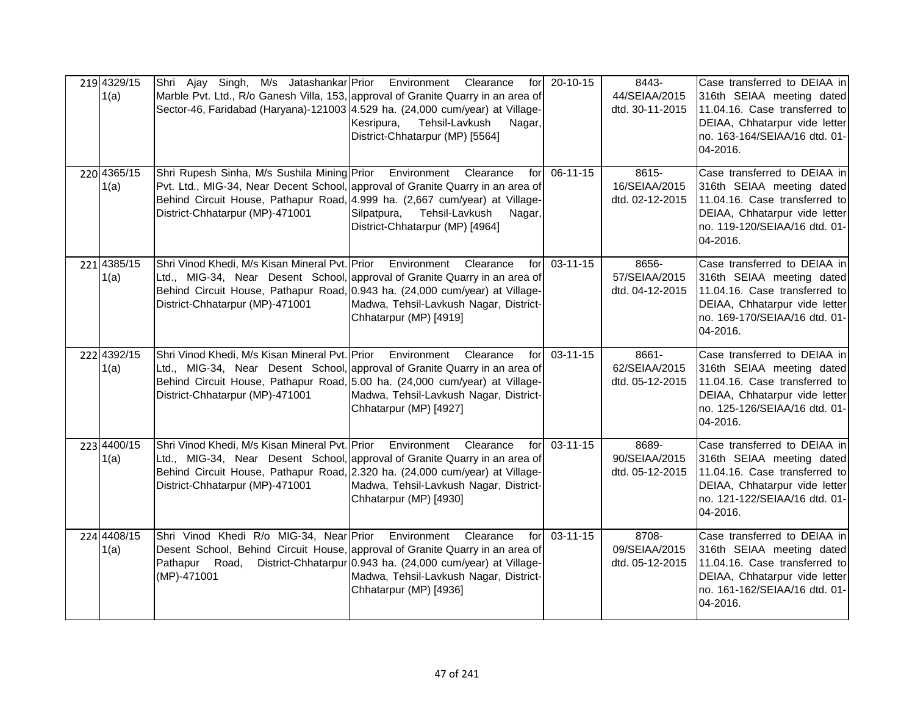| 219 4329/15<br>1(a) | Shri Ajay Singh, M/s Jatashankar Prior Environment Clearance<br>Marble Pvt. Ltd., R/o Ganesh Villa, 153, approval of Granite Quarry in an area of | forl<br>Sector-46, Faridabad (Haryana)-121003 4.529 ha. (24,000 cum/year) at Village-<br>Kesripura,<br>Tehsil-Lavkush<br>Nagar,<br>District-Chhatarpur (MP) [5564]                                                                                                               | 20-10-15       | 8443-<br>44/SEIAA/2015<br>dtd. 30-11-2015 | Case transferred to DEIAA in<br>316th SEIAA meeting dated<br>11.04.16. Case transferred to<br>DEIAA, Chhatarpur vide letter<br>no. 163-164/SEIAA/16 dtd. 01-<br>04-2016. |
|---------------------|---------------------------------------------------------------------------------------------------------------------------------------------------|----------------------------------------------------------------------------------------------------------------------------------------------------------------------------------------------------------------------------------------------------------------------------------|----------------|-------------------------------------------|--------------------------------------------------------------------------------------------------------------------------------------------------------------------------|
| 220 4365/15<br>1(a) | Shri Rupesh Sinha, M/s Sushila Mining Prior<br>District-Chhatarpur (MP)-471001                                                                    | Environment<br>Clearance<br>forl<br>Pvt. Ltd., MIG-34, Near Decent School, approval of Granite Quarry in an area of<br>Behind Circuit House, Pathapur Road, 4.999 ha. (2,667 cum/year) at Village-<br>Tehsil-Lavkush<br>Silpatpura,<br>Nagar,<br>District-Chhatarpur (MP) [4964] | 06-11-15       | 8615-<br>16/SEIAA/2015<br>dtd. 02-12-2015 | Case transferred to DEIAA in<br>316th SEIAA meeting dated<br>11.04.16. Case transferred to<br>DEIAA, Chhatarpur vide letter<br>no. 119-120/SEIAA/16 dtd. 01-<br>04-2016. |
| 221 4385/15<br>1(a) | Shri Vinod Khedi, M/s Kisan Mineral Pvt. Prior<br>District-Chhatarpur (MP)-471001                                                                 | Environment<br>Clearance<br>for<br>Ltd., MIG-34, Near Desent School, approval of Granite Quarry in an area of<br>Behind Circuit House, Pathapur Road, 0.943 ha. (24,000 cum/year) at Village-<br>Madwa, Tehsil-Lavkush Nagar, District-<br>Chhatarpur (MP) [4919]                | $03 - 11 - 15$ | 8656-<br>57/SEIAA/2015<br>dtd. 04-12-2015 | Case transferred to DEIAA in<br>316th SEIAA meeting dated<br>11.04.16. Case transferred to<br>DEIAA, Chhatarpur vide letter<br>no. 169-170/SEIAA/16 dtd. 01-<br>04-2016. |
| 222 4392/15<br>1(a) | Shri Vinod Khedi, M/s Kisan Mineral Pvt. Prior<br>District-Chhatarpur (MP)-471001                                                                 | Environment<br>Clearance<br>for<br>Ltd., MIG-34, Near Desent School, approval of Granite Quarry in an area of<br>Behind Circuit House, Pathapur Road, 5.00 ha. (24,000 cum/year) at Village-<br>Madwa, Tehsil-Lavkush Nagar, District-<br>Chhatarpur (MP) [4927]                 | $03 - 11 - 15$ | 8661-<br>62/SEIAA/2015<br>dtd. 05-12-2015 | Case transferred to DEIAA in<br>316th SEIAA meeting dated<br>11.04.16. Case transferred to<br>DEIAA, Chhatarpur vide letter<br>no. 125-126/SEIAA/16 dtd. 01-<br>04-2016. |
| 223 4400/15<br>1(a) | Shri Vinod Khedi, M/s Kisan Mineral Pvt. Prior Environment Clearance<br>District-Chhatarpur (MP)-471001                                           | for<br>Ltd., MIG-34, Near Desent School, approval of Granite Quarry in an area of<br>Behind Circuit House, Pathapur Road, 2.320 ha. (24,000 cum/year) at Village-<br>Madwa, Tehsil-Lavkush Nagar, District-<br>Chhatarpur (MP) [4930]                                            | $03 - 11 - 15$ | 8689-<br>90/SEIAA/2015<br>dtd. 05-12-2015 | Case transferred to DEIAA in<br>316th SEIAA meeting dated<br>11.04.16. Case transferred to<br>DEIAA, Chhatarpur vide letter<br>no. 121-122/SEIAA/16 dtd. 01-<br>04-2016. |
| 224 4408/15<br>1(a) | Shri Vinod Khedi R/o MIG-34, Near Prior<br>Pathapur<br>Road,<br>(MP)-471001                                                                       | Environment Clearance<br>for<br>Desent School, Behind Circuit House, approval of Granite Quarry in an area of<br>District-Chhatarpur 0.943 ha. (24,000 cum/year) at Village-<br>Madwa, Tehsil-Lavkush Nagar, District-<br>Chhatarpur (MP) [4936]                                 | $03 - 11 - 15$ | 8708-<br>09/SEIAA/2015<br>dtd. 05-12-2015 | Case transferred to DEIAA in<br>316th SEIAA meeting dated<br>11.04.16. Case transferred to<br>DEIAA, Chhatarpur vide letter<br>no. 161-162/SEIAA/16 dtd. 01-<br>04-2016. |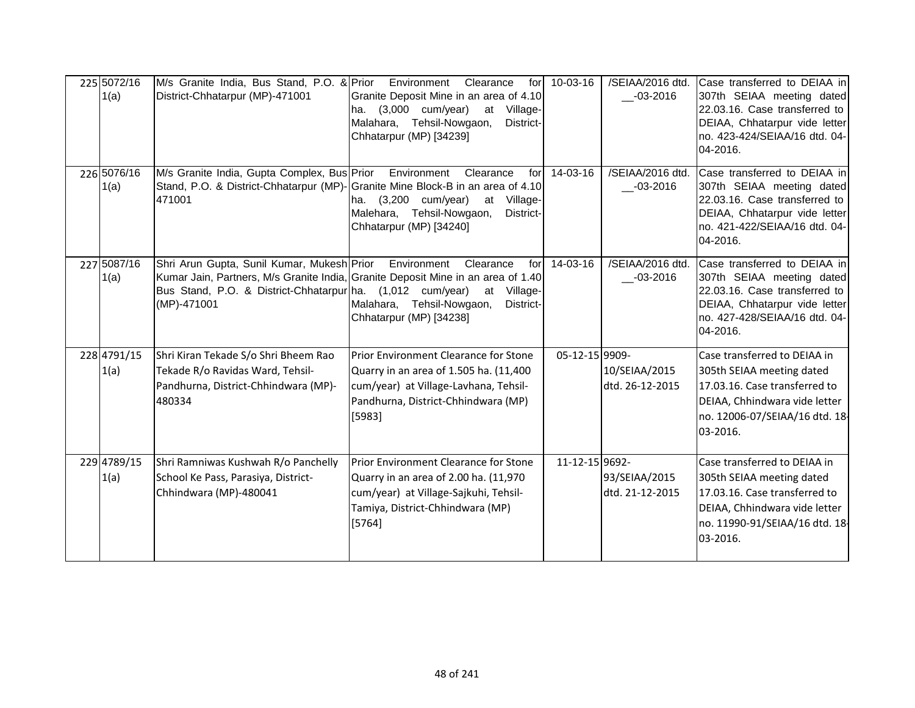| 225 5072/16<br>1(a) | M/s Granite India, Bus Stand, P.O. & Prior<br>District-Chhatarpur (MP)-471001                                              | Environment Clearance<br>Granite Deposit Mine in an area of 4.10<br>ha. (3,000 cum/year)<br>at Village-<br>Malahara, Tehsil-Nowgaon,<br>District-<br>Chhatarpur (MP) [34239]                                                             | for 10-03-16   | /SEIAA/2016 dtd.<br>$-03 - 2016$ | Case transferred to DEIAA in<br>307th SEIAA meeting dated<br>22.03.16. Case transferred to<br>DEIAA, Chhatarpur vide letter<br>no. 423-424/SEIAA/16 dtd. 04-<br>04-2016.  |
|---------------------|----------------------------------------------------------------------------------------------------------------------------|------------------------------------------------------------------------------------------------------------------------------------------------------------------------------------------------------------------------------------------|----------------|----------------------------------|---------------------------------------------------------------------------------------------------------------------------------------------------------------------------|
| 226 5076/16<br>1(a) | M/s Granite India, Gupta Complex, Bus Prior<br>471001                                                                      | Environment<br>Clearance<br>for<br>Stand, P.O. & District-Chhatarpur (MP)- Granite Mine Block-B in an area of 4.10<br>ha. $(3,200 \text{ cum/year})$<br>at Village-<br>Malehara, Tehsil-Nowgaon,<br>District-<br>Chhatarpur (MP) [34240] | 14-03-16       | /SEIAA/2016 dtd.<br>$-03 - 2016$ | Case transferred to DEIAA in<br>307th SEIAA meeting dated<br>22.03.16. Case transferred to<br>DEIAA, Chhatarpur vide letter<br>no. 421-422/SEIAA/16 dtd. 04-<br>04-2016.  |
| 227 5087/16<br>1(a) | Shri Arun Gupta, Sunil Kumar, Mukesh Prior<br>Bus Stand, P.O. & District-Chhatarpur ha. (1,012 cum/year)<br>(MP)-471001    | Environment<br>Clearance<br>for<br>Kumar Jain, Partners, M/s Granite India, Granite Deposit Mine in an area of 1.40<br>at Village-<br>Malahara, Tehsil-Nowgaon,<br>District-<br>Chhatarpur (MP) [34238]                                  | 14-03-16       | /SEIAA/2016 dtd.<br>$-03 - 2016$ | Case transferred to DEIAA in<br>307th SEIAA meeting dated<br>22.03.16. Case transferred to<br>DEIAA, Chhatarpur vide letter<br>no. 427-428/SEIAA/16 dtd. 04-<br>04-2016.  |
| 228 4791/15<br>1(a) | Shri Kiran Tekade S/o Shri Bheem Rao<br>Tekade R/o Ravidas Ward, Tehsil-<br>Pandhurna, District-Chhindwara (MP)-<br>480334 | Prior Environment Clearance for Stone<br>Quarry in an area of 1.505 ha. (11,400<br>cum/year) at Village-Lavhana, Tehsil-<br>Pandhurna, District-Chhindwara (MP)<br>[5983]                                                                | 05-12-15 9909- | 10/SEIAA/2015<br>dtd. 26-12-2015 | Case transferred to DEIAA in<br>305th SEIAA meeting dated<br>17.03.16. Case transferred to<br>DEIAA, Chhindwara vide letter<br>no. 12006-07/SEIAA/16 dtd. 18-<br>03-2016. |
| 229 4789/15<br>1(a) | Shri Ramniwas Kushwah R/o Panchelly<br>School Ke Pass, Parasiya, District-<br>Chhindwara (MP)-480041                       | Prior Environment Clearance for Stone<br>Quarry in an area of 2.00 ha. (11,970<br>cum/year) at Village-Sajkuhi, Tehsil-<br>Tamiya, District-Chhindwara (MP)<br>[5764]                                                                    | 11-12-15 9692- | 93/SEIAA/2015<br>dtd. 21-12-2015 | Case transferred to DEIAA in<br>305th SEIAA meeting dated<br>17.03.16. Case transferred to<br>DEIAA, Chhindwara vide letter<br>no. 11990-91/SEIAA/16 dtd. 18-<br>03-2016. |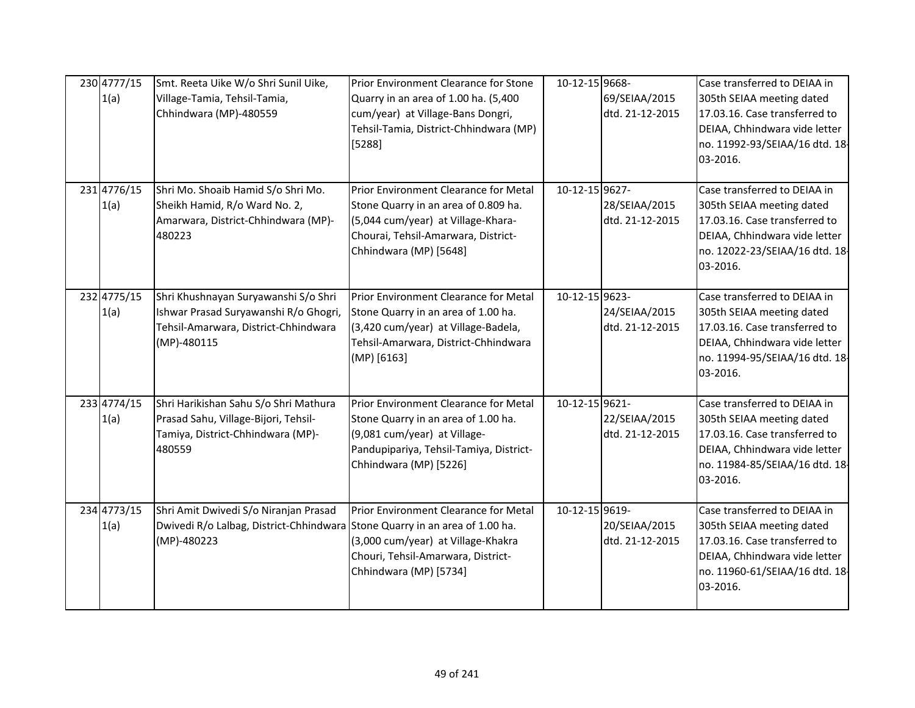| 230 4777/15<br>1(a) | Smt. Reeta Uike W/o Shri Sunil Uike,<br>Village-Tamia, Tehsil-Tamia,<br>Chhindwara (MP)-480559                                       | Prior Environment Clearance for Stone<br>Quarry in an area of 1.00 ha. (5,400<br>cum/year) at Village-Bans Dongri,<br>Tehsil-Tamia, District-Chhindwara (MP)<br>[5288]               | 10-12-15 9668- | 69/SEIAA/2015<br>dtd. 21-12-2015 | Case transferred to DEIAA in<br>305th SEIAA meeting dated<br>17.03.16. Case transferred to<br>DEIAA, Chhindwara vide letter<br>no. 11992-93/SEIAA/16 dtd. 18-<br>03-2016. |
|---------------------|--------------------------------------------------------------------------------------------------------------------------------------|--------------------------------------------------------------------------------------------------------------------------------------------------------------------------------------|----------------|----------------------------------|---------------------------------------------------------------------------------------------------------------------------------------------------------------------------|
| 231 4776/15<br>1(a) | Shri Mo. Shoaib Hamid S/o Shri Mo.<br>Sheikh Hamid, R/o Ward No. 2,<br>Amarwara, District-Chhindwara (MP)-<br>480223                 | Prior Environment Clearance for Metal<br>Stone Quarry in an area of 0.809 ha.<br>(5,044 cum/year) at Village-Khara-<br>Chourai, Tehsil-Amarwara, District-<br>Chhindwara (MP) [5648] | 10-12-15 9627- | 28/SEIAA/2015<br>dtd. 21-12-2015 | Case transferred to DEIAA in<br>305th SEIAA meeting dated<br>17.03.16. Case transferred to<br>DEIAA, Chhindwara vide letter<br>no. 12022-23/SEIAA/16 dtd. 18-<br>03-2016. |
| 232 4775/15<br>1(a) | Shri Khushnayan Suryawanshi S/o Shri<br>Ishwar Prasad Suryawanshi R/o Ghogri,<br>Tehsil-Amarwara, District-Chhindwara<br>(MP)-480115 | Prior Environment Clearance for Metal<br>Stone Quarry in an area of 1.00 ha.<br>(3,420 cum/year) at Village-Badela,<br>Tehsil-Amarwara, District-Chhindwara<br>(MP) [6163]           | 10-12-15 9623- | 24/SEIAA/2015<br>dtd. 21-12-2015 | Case transferred to DEIAA in<br>305th SEIAA meeting dated<br>17.03.16. Case transferred to<br>DEIAA, Chhindwara vide letter<br>no. 11994-95/SEIAA/16 dtd. 18-<br>03-2016. |
| 233 4774/15<br>1(a) | Shri Harikishan Sahu S/o Shri Mathura<br>Prasad Sahu, Village-Bijori, Tehsil-<br>Tamiya, District-Chhindwara (MP)-<br>480559         | Prior Environment Clearance for Metal<br>Stone Quarry in an area of 1.00 ha.<br>(9,081 cum/year) at Village-<br>Pandupipariya, Tehsil-Tamiya, District-<br>Chhindwara (MP) [5226]    | 10-12-15 9621- | 22/SEIAA/2015<br>dtd. 21-12-2015 | Case transferred to DEIAA in<br>305th SEIAA meeting dated<br>17.03.16. Case transferred to<br>DEIAA, Chhindwara vide letter<br>no. 11984-85/SEIAA/16 dtd. 18-<br>03-2016. |
| 234 4773/15<br>1(a) | Shri Amit Dwivedi S/o Niranjan Prasad<br>Dwivedi R/o Lalbag, District-Chhindwara Stone Quarry in an area of 1.00 ha.<br>(MP)-480223  | Prior Environment Clearance for Metal<br>(3,000 cum/year) at Village-Khakra<br>Chouri, Tehsil-Amarwara, District-<br>Chhindwara (MP) [5734]                                          | 10-12-15 9619- | 20/SEIAA/2015<br>dtd. 21-12-2015 | Case transferred to DEIAA in<br>305th SEIAA meeting dated<br>17.03.16. Case transferred to<br>DEIAA, Chhindwara vide letter<br>no. 11960-61/SEIAA/16 dtd. 18-<br>03-2016. |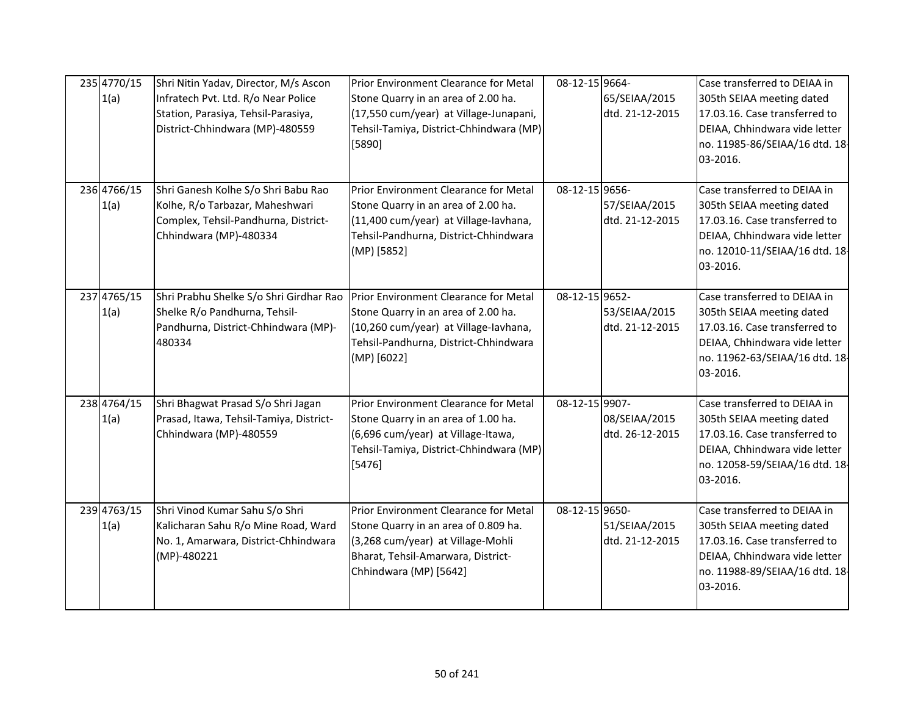| 235 4770/15<br>1(a) | Shri Nitin Yadav, Director, M/s Ascon<br>Infratech Pvt. Ltd. R/o Near Police<br>Station, Parasiya, Tehsil-Parasiya,<br>District-Chhindwara (MP)-480559 | Prior Environment Clearance for Metal<br>Stone Quarry in an area of 2.00 ha.<br>(17,550 cum/year) at Village-Junapani,<br>Tehsil-Tamiya, District-Chhindwara (MP)<br>[5890]        | 08-12-15 9664- | 65/SEIAA/2015<br>dtd. 21-12-2015 | Case transferred to DEIAA in<br>305th SEIAA meeting dated<br>17.03.16. Case transferred to<br>DEIAA, Chhindwara vide letter<br>no. 11985-86/SEIAA/16 dtd. 18-<br>03-2016. |
|---------------------|--------------------------------------------------------------------------------------------------------------------------------------------------------|------------------------------------------------------------------------------------------------------------------------------------------------------------------------------------|----------------|----------------------------------|---------------------------------------------------------------------------------------------------------------------------------------------------------------------------|
| 236 4766/15<br>1(a) | Shri Ganesh Kolhe S/o Shri Babu Rao<br>Kolhe, R/o Tarbazar, Maheshwari<br>Complex, Tehsil-Pandhurna, District-<br>Chhindwara (MP)-480334               | Prior Environment Clearance for Metal<br>Stone Quarry in an area of 2.00 ha.<br>(11,400 cum/year) at Village-lavhana,<br>Tehsil-Pandhurna, District-Chhindwara<br>(MP) [5852]      | 08-12-15 9656- | 57/SEIAA/2015<br>dtd. 21-12-2015 | Case transferred to DEIAA in<br>305th SEIAA meeting dated<br>17.03.16. Case transferred to<br>DEIAA, Chhindwara vide letter<br>no. 12010-11/SEIAA/16 dtd. 18-<br>03-2016. |
| 237 4765/15<br>1(a) | Shri Prabhu Shelke S/o Shri Girdhar Rao<br>Shelke R/o Pandhurna, Tehsil-<br>Pandhurna, District-Chhindwara (MP)-<br>480334                             | Prior Environment Clearance for Metal<br>Stone Quarry in an area of 2.00 ha.<br>(10,260 cum/year) at Village-lavhana,<br>Tehsil-Pandhurna, District-Chhindwara<br>(MP) [6022]      | 08-12-15 9652- | 53/SEIAA/2015<br>dtd. 21-12-2015 | Case transferred to DEIAA in<br>305th SEIAA meeting dated<br>17.03.16. Case transferred to<br>DEIAA, Chhindwara vide letter<br>no. 11962-63/SEIAA/16 dtd. 18-<br>03-2016. |
| 238 4764/15<br>1(a) | Shri Bhagwat Prasad S/o Shri Jagan<br>Prasad, Itawa, Tehsil-Tamiya, District-<br>Chhindwara (MP)-480559                                                | Prior Environment Clearance for Metal<br>Stone Quarry in an area of 1.00 ha.<br>(6,696 cum/year) at Village-Itawa,<br>Tehsil-Tamiya, District-Chhindwara (MP)<br>[5476]            | 08-12-15 9907- | 08/SEIAA/2015<br>dtd. 26-12-2015 | Case transferred to DEIAA in<br>305th SEIAA meeting dated<br>17.03.16. Case transferred to<br>DEIAA, Chhindwara vide letter<br>no. 12058-59/SEIAA/16 dtd. 18-<br>03-2016. |
| 239 4763/15<br>1(a) | Shri Vinod Kumar Sahu S/o Shri<br>Kalicharan Sahu R/o Mine Road, Ward<br>No. 1, Amarwara, District-Chhindwara<br>(MP)-480221                           | Prior Environment Clearance for Metal<br>Stone Quarry in an area of 0.809 ha.<br>(3,268 cum/year) at Village-Mohli<br>Bharat, Tehsil-Amarwara, District-<br>Chhindwara (MP) [5642] | 08-12-15 9650- | 51/SEIAA/2015<br>dtd. 21-12-2015 | Case transferred to DEIAA in<br>305th SEIAA meeting dated<br>17.03.16. Case transferred to<br>DEIAA, Chhindwara vide letter<br>no. 11988-89/SEIAA/16 dtd. 18-<br>03-2016. |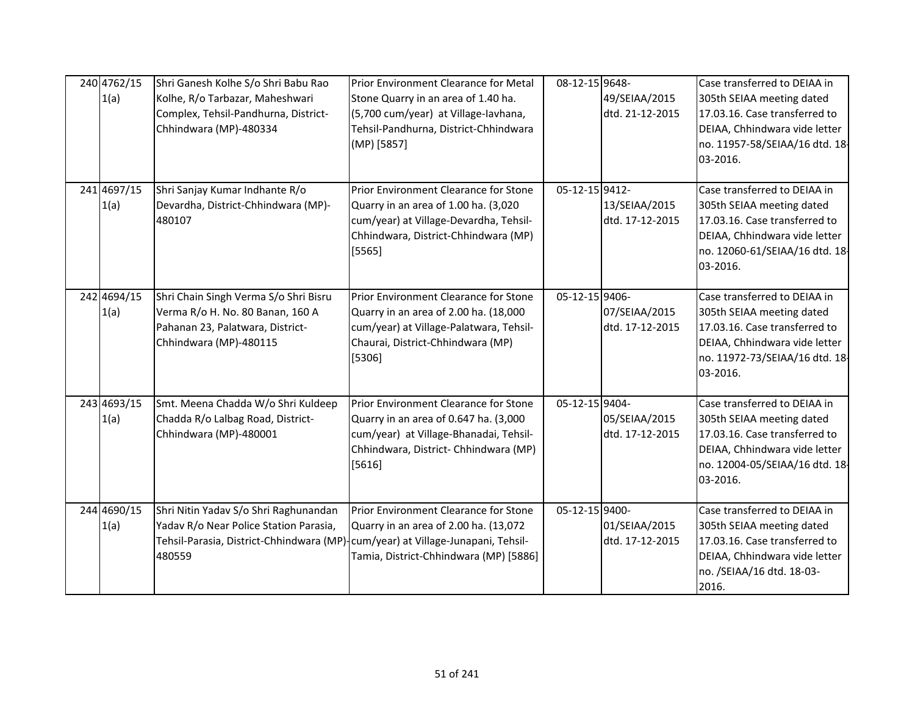| 240 4762/15<br>1(a) | Shri Ganesh Kolhe S/o Shri Babu Rao<br>Kolhe, R/o Tarbazar, Maheshwari<br>Complex, Tehsil-Pandhurna, District-<br>Chhindwara (MP)-480334                                     | Prior Environment Clearance for Metal<br>Stone Quarry in an area of 1.40 ha.<br>(5,700 cum/year) at Village-lavhana,<br>Tehsil-Pandhurna, District-Chhindwara<br>(MP) [5857] | 08-12-15 9648- | 49/SEIAA/2015<br>dtd. 21-12-2015 | Case transferred to DEIAA in<br>305th SEIAA meeting dated<br>17.03.16. Case transferred to<br>DEIAA, Chhindwara vide letter<br>no. 11957-58/SEIAA/16 dtd. 18-<br>03-2016. |
|---------------------|------------------------------------------------------------------------------------------------------------------------------------------------------------------------------|------------------------------------------------------------------------------------------------------------------------------------------------------------------------------|----------------|----------------------------------|---------------------------------------------------------------------------------------------------------------------------------------------------------------------------|
| 241 4697/15<br>1(a) | Shri Sanjay Kumar Indhante R/o<br>Devardha, District-Chhindwara (MP)-<br>480107                                                                                              | Prior Environment Clearance for Stone<br>Quarry in an area of 1.00 ha. (3,020<br>cum/year) at Village-Devardha, Tehsil-<br>Chhindwara, District-Chhindwara (MP)<br>[5565]    | 05-12-15 9412- | 13/SEIAA/2015<br>dtd. 17-12-2015 | Case transferred to DEIAA in<br>305th SEIAA meeting dated<br>17.03.16. Case transferred to<br>DEIAA, Chhindwara vide letter<br>no. 12060-61/SEIAA/16 dtd. 18-<br>03-2016. |
| 242 4694/15<br>1(a) | Shri Chain Singh Verma S/o Shri Bisru<br>Verma R/o H. No. 80 Banan, 160 A<br>Pahanan 23, Palatwara, District-<br>Chhindwara (MP)-480115                                      | Prior Environment Clearance for Stone<br>Quarry in an area of 2.00 ha. (18,000<br>cum/year) at Village-Palatwara, Tehsil-<br>Chaurai, District-Chhindwara (MP)<br>[5306]     | 05-12-15 9406- | 07/SEIAA/2015<br>dtd. 17-12-2015 | Case transferred to DEIAA in<br>305th SEIAA meeting dated<br>17.03.16. Case transferred to<br>DEIAA, Chhindwara vide letter<br>no. 11972-73/SEIAA/16 dtd. 18-<br>03-2016. |
| 243 4693/15<br>1(a) | Smt. Meena Chadda W/o Shri Kuldeep<br>Chadda R/o Lalbag Road, District-<br>Chhindwara (MP)-480001                                                                            | Prior Environment Clearance for Stone<br>Quarry in an area of 0.647 ha. (3,000<br>cum/year) at Village-Bhanadai, Tehsil-<br>Chhindwara, District- Chhindwara (MP)<br>[5616]  | 05-12-15 9404- | 05/SEIAA/2015<br>dtd. 17-12-2015 | Case transferred to DEIAA in<br>305th SEIAA meeting dated<br>17.03.16. Case transferred to<br>DEIAA, Chhindwara vide letter<br>no. 12004-05/SEIAA/16 dtd. 18-<br>03-2016. |
| 244 4690/15<br>1(a) | Shri Nitin Yadav S/o Shri Raghunandan<br>Yadav R/o Near Police Station Parasia,<br>Tehsil-Parasia, District-Chhindwara (MP)-cum/year) at Village-Junapani, Tehsil-<br>480559 | Prior Environment Clearance for Stone<br>Quarry in an area of 2.00 ha. (13,072<br>Tamia, District-Chhindwara (MP) [5886]                                                     | 05-12-15 9400- | 01/SEIAA/2015<br>dtd. 17-12-2015 | Case transferred to DEIAA in<br>305th SEIAA meeting dated<br>17.03.16. Case transferred to<br>DEIAA, Chhindwara vide letter<br>no. /SEIAA/16 dtd. 18-03-<br>2016.         |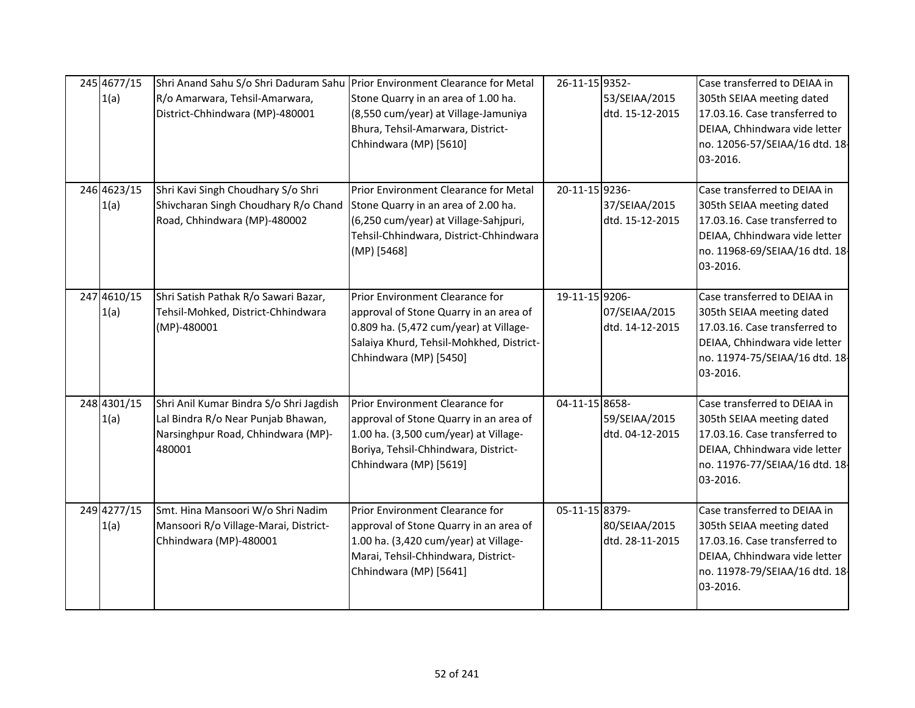| 245 4677/15<br>1(a) | Shri Anand Sahu S/o Shri Daduram Sahu<br>R/o Amarwara, Tehsil-Amarwara,<br>District-Chhindwara (MP)-480001                    | Prior Environment Clearance for Metal<br>Stone Quarry in an area of 1.00 ha.<br>(8,550 cum/year) at Village-Jamuniya<br>Bhura, Tehsil-Amarwara, District-<br>Chhindwara (MP) [5610]       | 26-11-15 9352- | 53/SEIAA/2015<br>dtd. 15-12-2015 | Case transferred to DEIAA in<br>305th SEIAA meeting dated<br>17.03.16. Case transferred to<br>DEIAA, Chhindwara vide letter<br>no. 12056-57/SEIAA/16 dtd. 18-<br>03-2016. |
|---------------------|-------------------------------------------------------------------------------------------------------------------------------|-------------------------------------------------------------------------------------------------------------------------------------------------------------------------------------------|----------------|----------------------------------|---------------------------------------------------------------------------------------------------------------------------------------------------------------------------|
| 246 4623/15<br>1(a) | Shri Kavi Singh Choudhary S/o Shri<br>Shivcharan Singh Choudhary R/o Chand<br>Road, Chhindwara (MP)-480002                    | Prior Environment Clearance for Metal<br>Stone Quarry in an area of 2.00 ha.<br>(6,250 cum/year) at Village-Sahjpuri,<br>Tehsil-Chhindwara, District-Chhindwara<br>(MP) [5468]            | 20-11-15 9236- | 37/SEIAA/2015<br>dtd. 15-12-2015 | Case transferred to DEIAA in<br>305th SEIAA meeting dated<br>17.03.16. Case transferred to<br>DEIAA, Chhindwara vide letter<br>no. 11968-69/SEIAA/16 dtd. 18-<br>03-2016. |
| 247 4610/15<br>1(a) | Shri Satish Pathak R/o Sawari Bazar,<br>Tehsil-Mohked, District-Chhindwara<br>$(MP) - 480001$                                 | Prior Environment Clearance for<br>approval of Stone Quarry in an area of<br>0.809 ha. (5,472 cum/year) at Village-<br>Salaiya Khurd, Tehsil-Mohkhed, District-<br>Chhindwara (MP) [5450] | 19-11-15 9206- | 07/SEIAA/2015<br>dtd. 14-12-2015 | Case transferred to DEIAA in<br>305th SEIAA meeting dated<br>17.03.16. Case transferred to<br>DEIAA, Chhindwara vide letter<br>no. 11974-75/SEIAA/16 dtd. 18-<br>03-2016. |
| 248 4301/15<br>1(a) | Shri Anil Kumar Bindra S/o Shri Jagdish<br>Lal Bindra R/o Near Punjab Bhawan,<br>Narsinghpur Road, Chhindwara (MP)-<br>480001 | Prior Environment Clearance for<br>approval of Stone Quarry in an area of<br>1.00 ha. (3,500 cum/year) at Village-<br>Boriya, Tehsil-Chhindwara, District-<br>Chhindwara (MP) [5619]      | 04-11-15 8658- | 59/SEIAA/2015<br>dtd. 04-12-2015 | Case transferred to DEIAA in<br>305th SEIAA meeting dated<br>17.03.16. Case transferred to<br>DEIAA, Chhindwara vide letter<br>no. 11976-77/SEIAA/16 dtd. 18-<br>03-2016. |
| 249 4277/15<br>1(a) | Smt. Hina Mansoori W/o Shri Nadim<br>Mansoori R/o Village-Marai, District-<br>Chhindwara (MP)-480001                          | Prior Environment Clearance for<br>approval of Stone Quarry in an area of<br>1.00 ha. (3,420 cum/year) at Village-<br>Marai, Tehsil-Chhindwara, District-<br>Chhindwara (MP) [5641]       | 05-11-15 8379- | 80/SEIAA/2015<br>dtd. 28-11-2015 | Case transferred to DEIAA in<br>305th SEIAA meeting dated<br>17.03.16. Case transferred to<br>DEIAA, Chhindwara vide letter<br>no. 11978-79/SEIAA/16 dtd. 18-<br>03-2016. |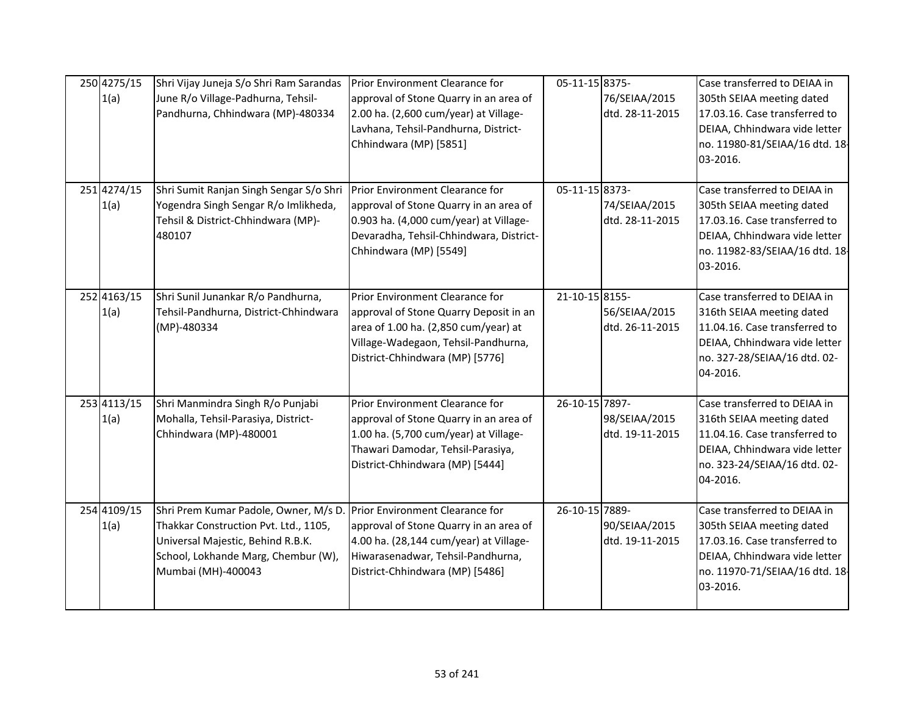| 250 4275/15<br>1(a) | Shri Vijay Juneja S/o Shri Ram Sarandas<br>June R/o Village-Padhurna, Tehsil-<br>Pandhurna, Chhindwara (MP)-480334                                                                                               | Prior Environment Clearance for<br>approval of Stone Quarry in an area of<br>2.00 ha. (2,600 cum/year) at Village-<br>Lavhana, Tehsil-Pandhurna, District-<br>Chhindwara (MP) [5851]        | 05-11-15 8375- | 76/SEIAA/2015<br>dtd. 28-11-2015 | Case transferred to DEIAA in<br>305th SEIAA meeting dated<br>17.03.16. Case transferred to<br>DEIAA, Chhindwara vide letter<br>no. 11980-81/SEIAA/16 dtd. 18-<br>03-2016. |
|---------------------|------------------------------------------------------------------------------------------------------------------------------------------------------------------------------------------------------------------|---------------------------------------------------------------------------------------------------------------------------------------------------------------------------------------------|----------------|----------------------------------|---------------------------------------------------------------------------------------------------------------------------------------------------------------------------|
| 251 4274/15<br>1(a) | Shri Sumit Ranjan Singh Sengar S/o Shri<br>Yogendra Singh Sengar R/o Imlikheda,<br>Tehsil & District-Chhindwara (MP)-<br>480107                                                                                  | Prior Environment Clearance for<br>approval of Stone Quarry in an area of<br>0.903 ha. (4,000 cum/year) at Village-<br>Devaradha, Tehsil-Chhindwara, District-<br>Chhindwara (MP) [5549]    | 05-11-15 8373- | 74/SEIAA/2015<br>dtd. 28-11-2015 | Case transferred to DEIAA in<br>305th SEIAA meeting dated<br>17.03.16. Case transferred to<br>DEIAA, Chhindwara vide letter<br>no. 11982-83/SEIAA/16 dtd. 18-<br>03-2016. |
| 252 4163/15<br>1(a) | Shri Sunil Junankar R/o Pandhurna,<br>Tehsil-Pandhurna, District-Chhindwara<br>(MP)-480334                                                                                                                       | Prior Environment Clearance for<br>approval of Stone Quarry Deposit in an<br>area of 1.00 ha. (2,850 cum/year) at<br>Village-Wadegaon, Tehsil-Pandhurna,<br>District-Chhindwara (MP) [5776] | 21-10-15 8155- | 56/SEIAA/2015<br>dtd. 26-11-2015 | Case transferred to DEIAA in<br>316th SEIAA meeting dated<br>11.04.16. Case transferred to<br>DEIAA, Chhindwara vide letter<br>no. 327-28/SEIAA/16 dtd. 02-<br>04-2016.   |
| 253 4113/15<br>1(a) | Shri Manmindra Singh R/o Punjabi<br>Mohalla, Tehsil-Parasiya, District-<br>Chhindwara (MP)-480001                                                                                                                | Prior Environment Clearance for<br>approval of Stone Quarry in an area of<br>1.00 ha. (5,700 cum/year) at Village-<br>Thawari Damodar, Tehsil-Parasiya,<br>District-Chhindwara (MP) [5444]  | 26-10-15 7897- | 98/SEIAA/2015<br>dtd. 19-11-2015 | Case transferred to DEIAA in<br>316th SEIAA meeting dated<br>11.04.16. Case transferred to<br>DEIAA, Chhindwara vide letter<br>no. 323-24/SEIAA/16 dtd. 02-<br>04-2016.   |
| 254 4109/15<br>1(a) | Shri Prem Kumar Padole, Owner, M/s D. Prior Environment Clearance for<br>Thakkar Construction Pvt. Ltd., 1105,<br>Universal Majestic, Behind R.B.K.<br>School, Lokhande Marg, Chembur (W),<br>Mumbai (MH)-400043 | approval of Stone Quarry in an area of<br>4.00 ha. (28,144 cum/year) at Village-<br>Hiwarasenadwar, Tehsil-Pandhurna,<br>District-Chhindwara (MP) [5486]                                    | 26-10-15 7889- | 90/SEIAA/2015<br>dtd. 19-11-2015 | Case transferred to DEIAA in<br>305th SEIAA meeting dated<br>17.03.16. Case transferred to<br>DEIAA, Chhindwara vide letter<br>no. 11970-71/SEIAA/16 dtd. 18-<br>03-2016. |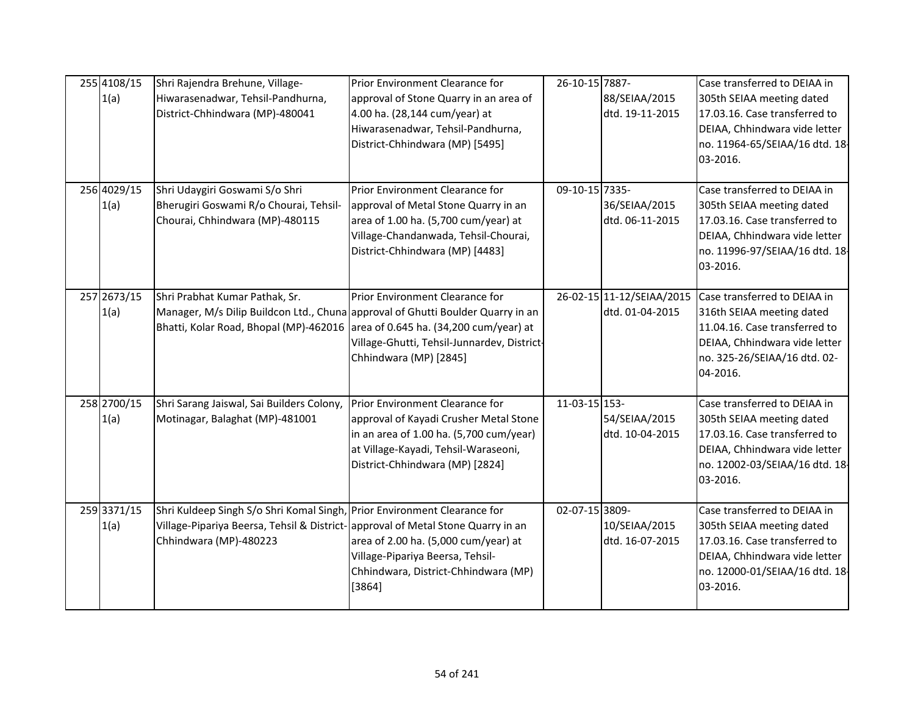| 255 4108/15<br>1(a) | Shri Rajendra Brehune, Village-<br>Hiwarasenadwar, Tehsil-Pandhurna,<br>District-Chhindwara (MP)-480041                                                                                | Prior Environment Clearance for<br>approval of Stone Quarry in an area of<br>4.00 ha. (28,144 cum/year) at<br>Hiwarasenadwar, Tehsil-Pandhurna,<br>District-Chhindwara (MP) [5495]              | 26-10-15 7887- | 88/SEIAA/2015<br>dtd. 19-11-2015             | Case transferred to DEIAA in<br>305th SEIAA meeting dated<br>17.03.16. Case transferred to<br>DEIAA, Chhindwara vide letter<br>no. 11964-65/SEIAA/16 dtd. 18-<br>03-2016. |
|---------------------|----------------------------------------------------------------------------------------------------------------------------------------------------------------------------------------|-------------------------------------------------------------------------------------------------------------------------------------------------------------------------------------------------|----------------|----------------------------------------------|---------------------------------------------------------------------------------------------------------------------------------------------------------------------------|
| 256 4029/15<br>1(a) | Shri Udaygiri Goswami S/o Shri<br>Bherugiri Goswami R/o Chourai, Tehsil-<br>Chourai, Chhindwara (MP)-480115                                                                            | Prior Environment Clearance for<br>approval of Metal Stone Quarry in an<br>area of 1.00 ha. (5,700 cum/year) at<br>Village-Chandanwada, Tehsil-Chourai,<br>District-Chhindwara (MP) [4483]      | 09-10-15 7335- | 36/SEIAA/2015<br>dtd. 06-11-2015             | Case transferred to DEIAA in<br>305th SEIAA meeting dated<br>17.03.16. Case transferred to<br>DEIAA, Chhindwara vide letter<br>no. 11996-97/SEIAA/16 dtd. 18-<br>03-2016. |
| 257 2673/15<br>1(a) | Shri Prabhat Kumar Pathak, Sr.<br>Bhatti, Kolar Road, Bhopal (MP)-462016 area of 0.645 ha. (34,200 cum/year) at                                                                        | Prior Environment Clearance for<br>Manager, M/s Dilip Buildcon Ltd., Chuna approval of Ghutti Boulder Quarry in an<br>Village-Ghutti, Tehsil-Junnardev, District-<br>Chhindwara (MP) [2845]     |                | 26-02-15 11-12/SEIAA/2015<br>dtd. 01-04-2015 | Case transferred to DEIAA in<br>316th SEIAA meeting dated<br>11.04.16. Case transferred to<br>DEIAA, Chhindwara vide letter<br>no. 325-26/SEIAA/16 dtd. 02-<br>04-2016.   |
| 258 2700/15<br>1(a) | Shri Sarang Jaiswal, Sai Builders Colony,<br>Motinagar, Balaghat (MP)-481001                                                                                                           | Prior Environment Clearance for<br>approval of Kayadi Crusher Metal Stone<br>in an area of 1.00 ha. (5,700 cum/year)<br>at Village-Kayadi, Tehsil-Waraseoni,<br>District-Chhindwara (MP) [2824] | 11-03-15 153-  | 54/SEIAA/2015<br>dtd. 10-04-2015             | Case transferred to DEIAA in<br>305th SEIAA meeting dated<br>17.03.16. Case transferred to<br>DEIAA, Chhindwara vide letter<br>no. 12002-03/SEIAA/16 dtd. 18-<br>03-2016. |
| 259 3371/15<br>1(a) | Shri Kuldeep Singh S/o Shri Komal Singh, Prior Environment Clearance for<br>Village-Pipariya Beersa, Tehsil & District- approval of Metal Stone Quarry in an<br>Chhindwara (MP)-480223 | area of 2.00 ha. (5,000 cum/year) at<br>Village-Pipariya Beersa, Tehsil-<br>Chhindwara, District-Chhindwara (MP)<br>[3864]                                                                      | 02-07-15 3809- | 10/SEIAA/2015<br>dtd. 16-07-2015             | Case transferred to DEIAA in<br>305th SEIAA meeting dated<br>17.03.16. Case transferred to<br>DEIAA, Chhindwara vide letter<br>no. 12000-01/SEIAA/16 dtd. 18-<br>03-2016. |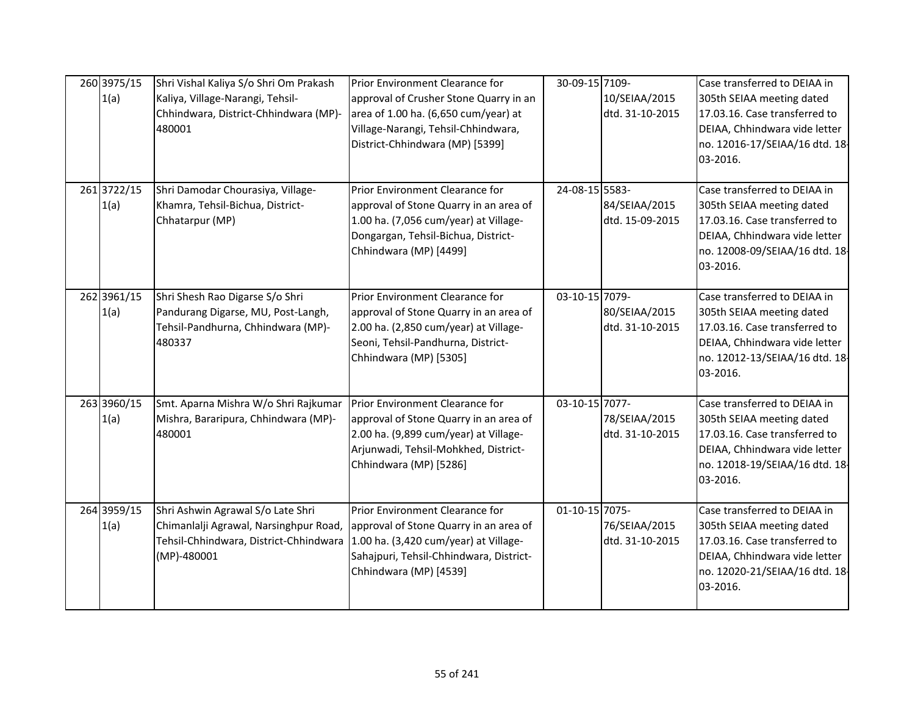| 260 3975/15<br>1(a) | Shri Vishal Kaliya S/o Shri Om Prakash<br>Kaliya, Village-Narangi, Tehsil-<br>Chhindwara, District-Chhindwara (MP)-<br>480001            | Prior Environment Clearance for<br>approval of Crusher Stone Quarry in an<br>area of 1.00 ha. (6,650 cum/year) at<br>Village-Narangi, Tehsil-Chhindwara,<br>District-Chhindwara (MP) [5399] | 30-09-15 7109- | 10/SEIAA/2015<br>dtd. 31-10-2015 | Case transferred to DEIAA in<br>305th SEIAA meeting dated<br>17.03.16. Case transferred to<br>DEIAA, Chhindwara vide letter<br>no. 12016-17/SEIAA/16 dtd. 18-<br>03-2016. |
|---------------------|------------------------------------------------------------------------------------------------------------------------------------------|---------------------------------------------------------------------------------------------------------------------------------------------------------------------------------------------|----------------|----------------------------------|---------------------------------------------------------------------------------------------------------------------------------------------------------------------------|
| 261 3722/15<br>1(a) | Shri Damodar Chourasiya, Village-<br>Khamra, Tehsil-Bichua, District-<br>Chhatarpur (MP)                                                 | Prior Environment Clearance for<br>approval of Stone Quarry in an area of<br>1.00 ha. (7,056 cum/year) at Village-<br>Dongargan, Tehsil-Bichua, District-<br>Chhindwara (MP) [4499]         | 24-08-15 5583- | 84/SEIAA/2015<br>dtd. 15-09-2015 | Case transferred to DEIAA in<br>305th SEIAA meeting dated<br>17.03.16. Case transferred to<br>DEIAA, Chhindwara vide letter<br>no. 12008-09/SEIAA/16 dtd. 18-<br>03-2016. |
| 262 3961/15<br>1(a) | Shri Shesh Rao Digarse S/o Shri<br>Pandurang Digarse, MU, Post-Langh,<br>Tehsil-Pandhurna, Chhindwara (MP)-<br>480337                    | Prior Environment Clearance for<br>approval of Stone Quarry in an area of<br>2.00 ha. (2,850 cum/year) at Village-<br>Seoni, Tehsil-Pandhurna, District-<br>Chhindwara (MP) [5305]          | 03-10-15 7079- | 80/SEIAA/2015<br>dtd. 31-10-2015 | Case transferred to DEIAA in<br>305th SEIAA meeting dated<br>17.03.16. Case transferred to<br>DEIAA, Chhindwara vide letter<br>no. 12012-13/SEIAA/16 dtd. 18-<br>03-2016. |
| 263 3960/15<br>1(a) | Smt. Aparna Mishra W/o Shri Rajkumar<br>Mishra, Bararipura, Chhindwara (MP)-<br>480001                                                   | Prior Environment Clearance for<br>approval of Stone Quarry in an area of<br>2.00 ha. (9,899 cum/year) at Village-<br>Arjunwadi, Tehsil-Mohkhed, District-<br>Chhindwara (MP) [5286]        | 03-10-15 7077- | 78/SEIAA/2015<br>dtd. 31-10-2015 | Case transferred to DEIAA in<br>305th SEIAA meeting dated<br>17.03.16. Case transferred to<br>DEIAA, Chhindwara vide letter<br>no. 12018-19/SEIAA/16 dtd. 18-<br>03-2016. |
| 264 3959/15<br>1(a) | Shri Ashwin Agrawal S/o Late Shri<br>Chimanlalji Agrawal, Narsinghpur Road,<br>Tehsil-Chhindwara, District-Chhindwara<br>$(MP) - 480001$ | Prior Environment Clearance for<br>approval of Stone Quarry in an area of<br>1.00 ha. (3,420 cum/year) at Village-<br>Sahajpuri, Tehsil-Chhindwara, District-<br>Chhindwara (MP) [4539]     | 01-10-15 7075- | 76/SEIAA/2015<br>dtd. 31-10-2015 | Case transferred to DEIAA in<br>305th SEIAA meeting dated<br>17.03.16. Case transferred to<br>DEIAA, Chhindwara vide letter<br>no. 12020-21/SEIAA/16 dtd. 18-<br>03-2016. |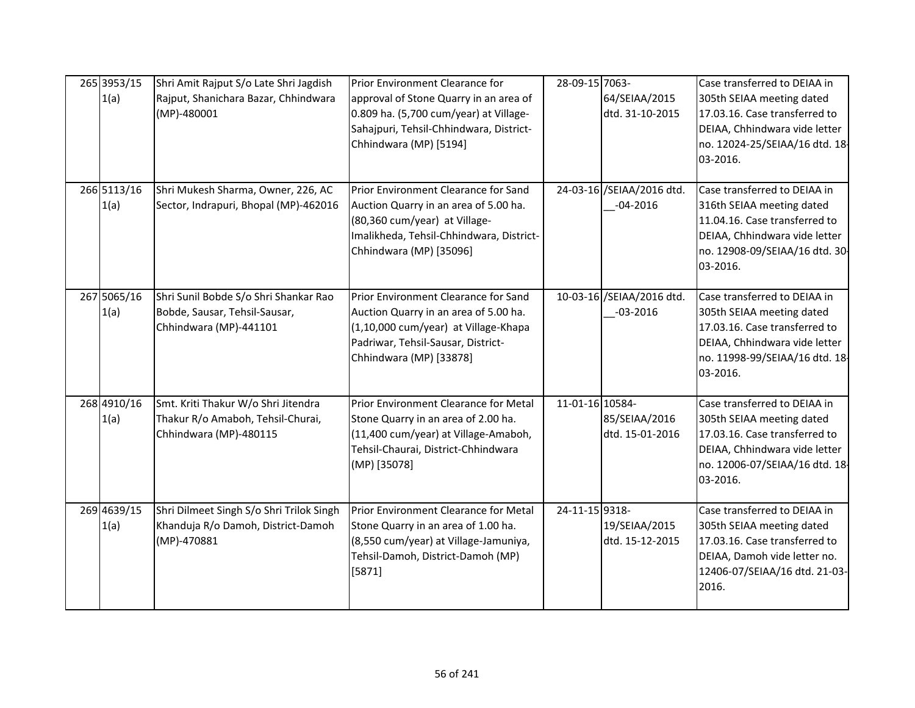| 265 3953/15<br>1(a) | Shri Amit Rajput S/o Late Shri Jagdish<br>Rajput, Shanichara Bazar, Chhindwara<br>$(MP) - 480001$  | Prior Environment Clearance for<br>approval of Stone Quarry in an area of<br>0.809 ha. (5,700 cum/year) at Village-<br>Sahajpuri, Tehsil-Chhindwara, District-<br>Chhindwara (MP) [5194]         | 28-09-15 7063-  | 64/SEIAA/2015<br>dtd. 31-10-2015          | Case transferred to DEIAA in<br>305th SEIAA meeting dated<br>17.03.16. Case transferred to<br>DEIAA, Chhindwara vide letter<br>no. 12024-25/SEIAA/16 dtd. 18-<br>03-2016. |
|---------------------|----------------------------------------------------------------------------------------------------|--------------------------------------------------------------------------------------------------------------------------------------------------------------------------------------------------|-----------------|-------------------------------------------|---------------------------------------------------------------------------------------------------------------------------------------------------------------------------|
| 266 5113/16<br>1(a) | Shri Mukesh Sharma, Owner, 226, AC<br>Sector, Indrapuri, Bhopal (MP)-462016                        | Prior Environment Clearance for Sand<br>Auction Quarry in an area of 5.00 ha.<br>(80,360 cum/year) at Village-<br>Imalikheda, Tehsil-Chhindwara, District-<br>Chhindwara (MP) [35096]            |                 | 24-03-16 /SEIAA/2016 dtd.<br>$-04 - 2016$ | Case transferred to DEIAA in<br>316th SEIAA meeting dated<br>11.04.16. Case transferred to<br>DEIAA, Chhindwara vide letter<br>no. 12908-09/SEIAA/16 dtd. 30-<br>03-2016. |
| 267 5065/16<br>1(a) | Shri Sunil Bobde S/o Shri Shankar Rao<br>Bobde, Sausar, Tehsil-Sausar,<br>Chhindwara (MP)-441101   | Prior Environment Clearance for Sand<br>Auction Quarry in an area of 5.00 ha.<br>$(1,10,000 \text{ cum/year})$ at Village-Khapa<br>Padriwar, Tehsil-Sausar, District-<br>Chhindwara (MP) [33878] |                 | 10-03-16 /SEIAA/2016 dtd.<br>$-03 - 2016$ | Case transferred to DEIAA in<br>305th SEIAA meeting dated<br>17.03.16. Case transferred to<br>DEIAA, Chhindwara vide letter<br>no. 11998-99/SEIAA/16 dtd. 18-<br>03-2016. |
| 268 4910/16<br>1(a) | Smt. Kriti Thakur W/o Shri Jitendra<br>Thakur R/o Amaboh, Tehsil-Churai,<br>Chhindwara (MP)-480115 | Prior Environment Clearance for Metal<br>Stone Quarry in an area of 2.00 ha.<br>(11,400 cum/year) at Village-Amaboh,<br>Tehsil-Chaurai, District-Chhindwara<br>(MP) [35078]                      | 11-01-16 10584- | 85/SEIAA/2016<br>dtd. 15-01-2016          | Case transferred to DEIAA in<br>305th SEIAA meeting dated<br>17.03.16. Case transferred to<br>DEIAA, Chhindwara vide letter<br>no. 12006-07/SEIAA/16 dtd. 18-<br>03-2016. |
| 269 4639/15<br>1(a) | Shri Dilmeet Singh S/o Shri Trilok Singh<br>Khanduja R/o Damoh, District-Damoh<br>(MP)-470881      | Prior Environment Clearance for Metal<br>Stone Quarry in an area of 1.00 ha.<br>(8,550 cum/year) at Village-Jamuniya,<br>Tehsil-Damoh, District-Damoh (MP)<br>[5871]                             | 24-11-15 9318-  | 19/SEIAA/2015<br>dtd. 15-12-2015          | Case transferred to DEIAA in<br>305th SEIAA meeting dated<br>17.03.16. Case transferred to<br>DEIAA, Damoh vide letter no.<br>12406-07/SEIAA/16 dtd. 21-03-<br>2016.      |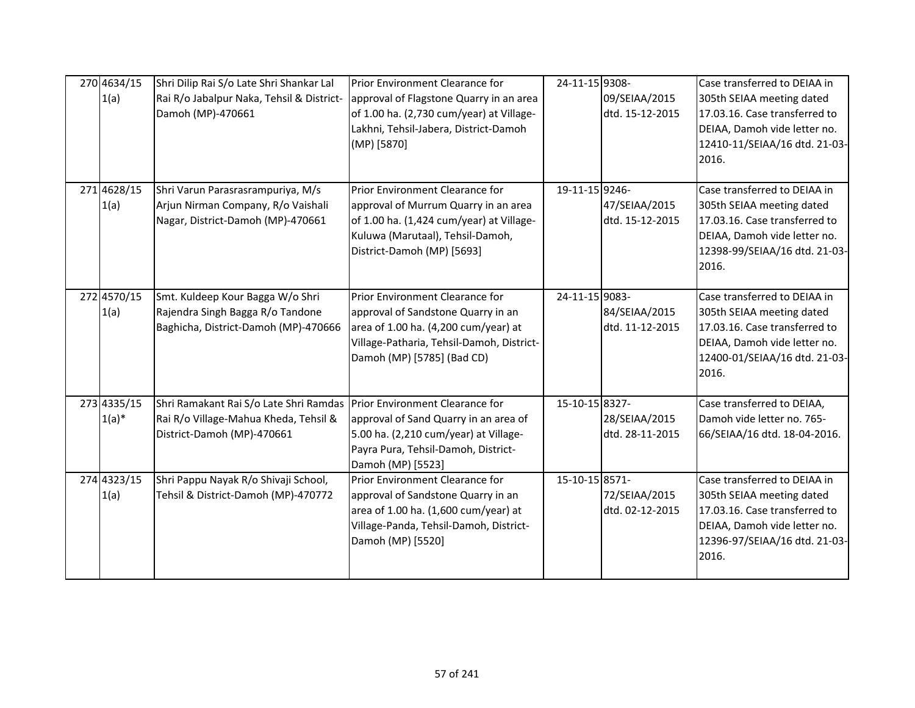| 270 4634/15<br>1(a)     | Shri Dilip Rai S/o Late Shri Shankar Lal<br>Rai R/o Jabalpur Naka, Tehsil & District-<br>Damoh (MP)-470661                                      | Prior Environment Clearance for<br>approval of Flagstone Quarry in an area<br>of 1.00 ha. (2,730 cum/year) at Village-<br>Lakhni, Tehsil-Jabera, District-Damoh<br>(MP) [5870]           | 24-11-15 9308- | 09/SEIAA/2015<br>dtd. 15-12-2015 | Case transferred to DEIAA in<br>305th SEIAA meeting dated<br>17.03.16. Case transferred to<br>DEIAA, Damoh vide letter no.<br>12410-11/SEIAA/16 dtd. 21-03-<br>2016. |
|-------------------------|-------------------------------------------------------------------------------------------------------------------------------------------------|------------------------------------------------------------------------------------------------------------------------------------------------------------------------------------------|----------------|----------------------------------|----------------------------------------------------------------------------------------------------------------------------------------------------------------------|
| 271 4628/15<br>1(a)     | Shri Varun Parasrasrampuriya, M/s<br>Arjun Nirman Company, R/o Vaishali<br>Nagar, District-Damoh (MP)-470661                                    | Prior Environment Clearance for<br>approval of Murrum Quarry in an area<br>of 1.00 ha. (1,424 cum/year) at Village-<br>Kuluwa (Marutaal), Tehsil-Damoh,<br>District-Damoh (MP) [5693]    | 19-11-15 9246- | 47/SEIAA/2015<br>dtd. 15-12-2015 | Case transferred to DEIAA in<br>305th SEIAA meeting dated<br>17.03.16. Case transferred to<br>DEIAA, Damoh vide letter no.<br>12398-99/SEIAA/16 dtd. 21-03-<br>2016. |
| 272 4570/15<br>1(a)     | Smt. Kuldeep Kour Bagga W/o Shri<br>Rajendra Singh Bagga R/o Tandone<br>Baghicha, District-Damoh (MP)-470666                                    | Prior Environment Clearance for<br>approval of Sandstone Quarry in an<br>area of 1.00 ha. (4,200 cum/year) at<br>Village-Patharia, Tehsil-Damoh, District-<br>Damoh (MP) [5785] (Bad CD) | 24-11-15 9083- | 84/SEIAA/2015<br>dtd. 11-12-2015 | Case transferred to DEIAA in<br>305th SEIAA meeting dated<br>17.03.16. Case transferred to<br>DEIAA, Damoh vide letter no.<br>12400-01/SEIAA/16 dtd. 21-03-<br>2016. |
| 273 4335/15<br>$1(a)^*$ | Shri Ramakant Rai S/o Late Shri Ramdas   Prior Environment Clearance for<br>Rai R/o Village-Mahua Kheda, Tehsil &<br>District-Damoh (MP)-470661 | approval of Sand Quarry in an area of<br>5.00 ha. (2,210 cum/year) at Village-<br>Payra Pura, Tehsil-Damoh, District-<br>Damoh (MP) [5523]                                               | 15-10-15 8327- | 28/SEIAA/2015<br>dtd. 28-11-2015 | Case transferred to DEIAA,<br>Damoh vide letter no. 765-<br>66/SEIAA/16 dtd. 18-04-2016.                                                                             |
| 274 4323/15<br>1(a)     | Shri Pappu Nayak R/o Shivaji School,<br>Tehsil & District-Damoh (MP)-470772                                                                     | Prior Environment Clearance for<br>approval of Sandstone Quarry in an<br>area of 1.00 ha. (1,600 cum/year) at<br>Village-Panda, Tehsil-Damoh, District-<br>Damoh (MP) [5520]             | 15-10-15 8571- | 72/SEIAA/2015<br>dtd. 02-12-2015 | Case transferred to DEIAA in<br>305th SEIAA meeting dated<br>17.03.16. Case transferred to<br>DEIAA, Damoh vide letter no.<br>12396-97/SEIAA/16 dtd. 21-03-<br>2016. |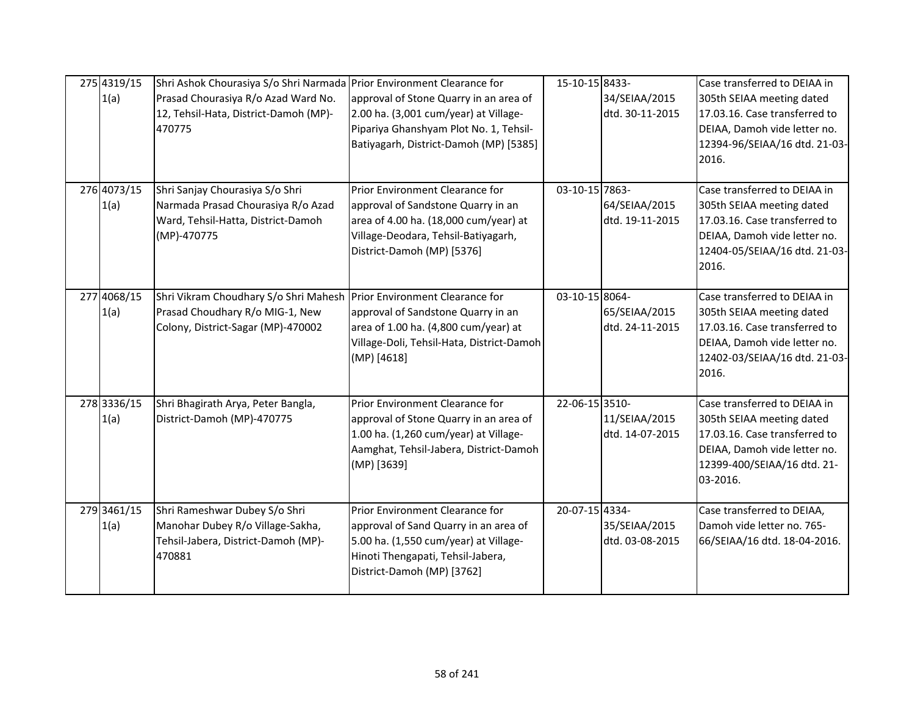| 275 4319/15<br>1(a) | Shri Ashok Chourasiya S/o Shri Narmada Prior Environment Clearance for<br>Prasad Chourasiya R/o Azad Ward No.<br>12, Tehsil-Hata, District-Damoh (MP)-<br>470775 | approval of Stone Quarry in an area of<br>2.00 ha. (3,001 cum/year) at Village-<br>Pipariya Ghanshyam Plot No. 1, Tehsil-<br>Batiyagarh, District-Damoh (MP) [5385]                  | 15-10-15 8433- | 34/SEIAA/2015<br>dtd. 30-11-2015 | Case transferred to DEIAA in<br>305th SEIAA meeting dated<br>17.03.16. Case transferred to<br>DEIAA, Damoh vide letter no.<br>12394-96/SEIAA/16 dtd. 21-03-<br>2016.  |
|---------------------|------------------------------------------------------------------------------------------------------------------------------------------------------------------|--------------------------------------------------------------------------------------------------------------------------------------------------------------------------------------|----------------|----------------------------------|-----------------------------------------------------------------------------------------------------------------------------------------------------------------------|
| 276 4073/15<br>1(a) | Shri Sanjay Chourasiya S/o Shri<br>Narmada Prasad Chourasiya R/o Azad<br>Ward, Tehsil-Hatta, District-Damoh<br>(MP)-470775                                       | Prior Environment Clearance for<br>approval of Sandstone Quarry in an<br>area of 4.00 ha. (18,000 cum/year) at<br>Village-Deodara, Tehsil-Batiyagarh,<br>District-Damoh (MP) [5376]  | 03-10-15 7863- | 64/SEIAA/2015<br>dtd. 19-11-2015 | Case transferred to DEIAA in<br>305th SEIAA meeting dated<br>17.03.16. Case transferred to<br>DEIAA, Damoh vide letter no.<br>12404-05/SEIAA/16 dtd. 21-03-<br>2016.  |
| 277 4068/15<br>1(a) | Shri Vikram Choudhary S/o Shri Mahesh Prior Environment Clearance for<br>Prasad Choudhary R/o MIG-1, New<br>Colony, District-Sagar (MP)-470002                   | approval of Sandstone Quarry in an<br>area of 1.00 ha. (4,800 cum/year) at<br>Village-Doli, Tehsil-Hata, District-Damoh<br>(MP) [4618]                                               | 03-10-15 8064- | 65/SEIAA/2015<br>dtd. 24-11-2015 | Case transferred to DEIAA in<br>305th SEIAA meeting dated<br>17.03.16. Case transferred to<br>DEIAA, Damoh vide letter no.<br>12402-03/SEIAA/16 dtd. 21-03-<br>2016.  |
| 278 3336/15<br>1(a) | Shri Bhagirath Arya, Peter Bangla,<br>District-Damoh (MP)-470775                                                                                                 | Prior Environment Clearance for<br>approval of Stone Quarry in an area of<br>1.00 ha. (1,260 cum/year) at Village-<br>Aamghat, Tehsil-Jabera, District-Damoh<br>(MP) [3639]          | 22-06-15 3510- | 11/SEIAA/2015<br>dtd. 14-07-2015 | Case transferred to DEIAA in<br>305th SEIAA meeting dated<br>17.03.16. Case transferred to<br>DEIAA, Damoh vide letter no.<br>12399-400/SEIAA/16 dtd. 21-<br>03-2016. |
| 279 3461/15<br>1(a) | Shri Rameshwar Dubey S/o Shri<br>Manohar Dubey R/o Village-Sakha,<br>Tehsil-Jabera, District-Damoh (MP)-<br>470881                                               | Prior Environment Clearance for<br>approval of Sand Quarry in an area of<br>5.00 ha. (1,550 cum/year) at Village-<br>Hinoti Thengapati, Tehsil-Jabera,<br>District-Damoh (MP) [3762] | 20-07-15 4334- | 35/SEIAA/2015<br>dtd. 03-08-2015 | Case transferred to DEIAA,<br>Damoh vide letter no. 765-<br>66/SEIAA/16 dtd. 18-04-2016.                                                                              |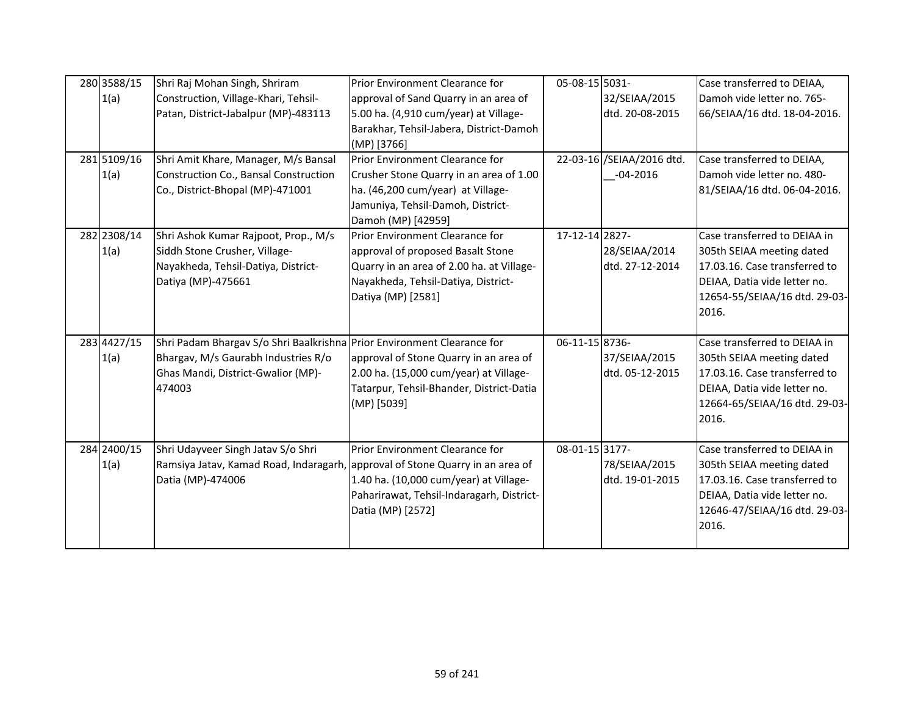| 280 3588/15<br>1(a)<br>281 5109/16<br>1(a) | Shri Raj Mohan Singh, Shriram<br>Construction, Village-Khari, Tehsil-<br>Patan, District-Jabalpur (MP)-483113<br>Shri Amit Khare, Manager, M/s Bansal<br>Construction Co., Bansal Construction<br>Co., District-Bhopal (MP)-471001 | Prior Environment Clearance for<br>approval of Sand Quarry in an area of<br>5.00 ha. (4,910 cum/year) at Village-<br>Barakhar, Tehsil-Jabera, District-Damoh<br>(MP) [3766]<br>Prior Environment Clearance for<br>Crusher Stone Quarry in an area of 1.00<br>ha. (46,200 cum/year) at Village-<br>Jamuniya, Tehsil-Damoh, District-<br>Damoh (MP) [42959] | 05-08-15 5031- | 32/SEIAA/2015<br>dtd. 20-08-2015<br>22-03-16 /SEIAA/2016 dtd.<br>$-04 - 2016$ | Case transferred to DEIAA,<br>Damoh vide letter no. 765-<br>66/SEIAA/16 dtd. 18-04-2016.<br>Case transferred to DEIAA,<br>Damoh vide letter no. 480-<br>81/SEIAA/16 dtd. 06-04-2016. |
|--------------------------------------------|------------------------------------------------------------------------------------------------------------------------------------------------------------------------------------------------------------------------------------|-----------------------------------------------------------------------------------------------------------------------------------------------------------------------------------------------------------------------------------------------------------------------------------------------------------------------------------------------------------|----------------|-------------------------------------------------------------------------------|--------------------------------------------------------------------------------------------------------------------------------------------------------------------------------------|
| 282 2308/14<br>1(a)                        | Shri Ashok Kumar Rajpoot, Prop., M/s<br>Siddh Stone Crusher, Village-<br>Nayakheda, Tehsil-Datiya, District-<br>Datiya (MP)-475661                                                                                                 | Prior Environment Clearance for<br>approval of proposed Basalt Stone<br>Quarry in an area of 2.00 ha. at Village-<br>Nayakheda, Tehsil-Datiya, District-<br>Datiya (MP) [2581]                                                                                                                                                                            | 17-12-14 2827- | 28/SEIAA/2014<br>dtd. 27-12-2014                                              | Case transferred to DEIAA in<br>305th SEIAA meeting dated<br>17.03.16. Case transferred to<br>DEIAA, Datia vide letter no.<br>12654-55/SEIAA/16 dtd. 29-03-<br>2016.                 |
| 283 4427/15<br>1(a)                        | Shri Padam Bhargav S/o Shri Baalkrishna Prior Environment Clearance for<br>Bhargav, M/s Gaurabh Industries R/o<br>Ghas Mandi, District-Gwalior (MP)-<br>474003                                                                     | approval of Stone Quarry in an area of<br>2.00 ha. (15,000 cum/year) at Village-<br>Tatarpur, Tehsil-Bhander, District-Datia<br>(MP) [5039]                                                                                                                                                                                                               | 06-11-15 8736- | 37/SEIAA/2015<br>dtd. 05-12-2015                                              | Case transferred to DEIAA in<br>305th SEIAA meeting dated<br>17.03.16. Case transferred to<br>DEIAA, Datia vide letter no.<br>12664-65/SEIAA/16 dtd. 29-03-<br>2016.                 |
| 284 2400/15<br>1(a)                        | Shri Udayveer Singh Jatav S/o Shri<br>Ramsiya Jatav, Kamad Road, Indaragarh, approval of Stone Quarry in an area of<br>Datia (MP)-474006                                                                                           | Prior Environment Clearance for<br>1.40 ha. (10,000 cum/year) at Village-<br>Paharirawat, Tehsil-Indaragarh, District-<br>Datia (MP) [2572]                                                                                                                                                                                                               | 08-01-15 3177- | 78/SEIAA/2015<br>dtd. 19-01-2015                                              | Case transferred to DEIAA in<br>305th SEIAA meeting dated<br>17.03.16. Case transferred to<br>DEIAA, Datia vide letter no.<br>12646-47/SEIAA/16 dtd. 29-03-<br>2016.                 |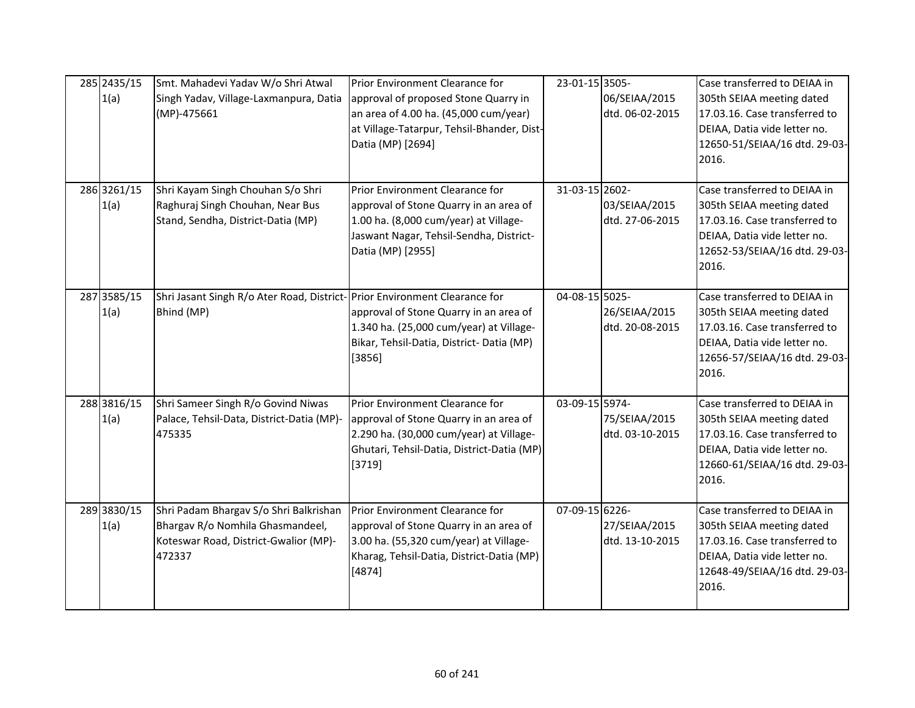| 285 2435/15<br>1(a) | Smt. Mahadevi Yadav W/o Shri Atwal<br>Singh Yadav, Village-Laxmanpura, Datia<br>(MP)-475661                                   | Prior Environment Clearance for<br>approval of proposed Stone Quarry in<br>an area of 4.00 ha. (45,000 cum/year)<br>at Village-Tatarpur, Tehsil-Bhander, Dist-<br>Datia (MP) [2694] | 23-01-15 3505- | 06/SEIAA/2015<br>dtd. 06-02-2015 | Case transferred to DEIAA in<br>305th SEIAA meeting dated<br>17.03.16. Case transferred to<br>DEIAA, Datia vide letter no.<br>12650-51/SEIAA/16 dtd. 29-03-<br>2016. |
|---------------------|-------------------------------------------------------------------------------------------------------------------------------|-------------------------------------------------------------------------------------------------------------------------------------------------------------------------------------|----------------|----------------------------------|----------------------------------------------------------------------------------------------------------------------------------------------------------------------|
| 286 3261/15<br>1(a) | Shri Kayam Singh Chouhan S/o Shri<br>Raghuraj Singh Chouhan, Near Bus<br>Stand, Sendha, District-Datia (MP)                   | Prior Environment Clearance for<br>approval of Stone Quarry in an area of<br>1.00 ha. (8,000 cum/year) at Village-<br>Jaswant Nagar, Tehsil-Sendha, District-<br>Datia (MP) [2955]  | 31-03-15 2602- | 03/SEIAA/2015<br>dtd. 27-06-2015 | Case transferred to DEIAA in<br>305th SEIAA meeting dated<br>17.03.16. Case transferred to<br>DEIAA, Datia vide letter no.<br>12652-53/SEIAA/16 dtd. 29-03-<br>2016. |
| 287 3585/15<br>1(a) | Shri Jasant Singh R/o Ater Road, District- Prior Environment Clearance for<br>Bhind (MP)                                      | approval of Stone Quarry in an area of<br>1.340 ha. (25,000 cum/year) at Village-<br>Bikar, Tehsil-Datia, District- Datia (MP)<br>[3856]                                            | 04-08-15 5025- | 26/SEIAA/2015<br>dtd. 20-08-2015 | Case transferred to DEIAA in<br>305th SEIAA meeting dated<br>17.03.16. Case transferred to<br>DEIAA, Datia vide letter no.<br>12656-57/SEIAA/16 dtd. 29-03-<br>2016. |
| 288 3816/15<br>1(a) | Shri Sameer Singh R/o Govind Niwas<br>Palace, Tehsil-Data, District-Datia (MP)-<br>475335                                     | Prior Environment Clearance for<br>approval of Stone Quarry in an area of<br>2.290 ha. (30,000 cum/year) at Village-<br>Ghutari, Tehsil-Datia, District-Datia (MP)<br>[3719]        | 03-09-15 5974- | 75/SEIAA/2015<br>dtd. 03-10-2015 | Case transferred to DEIAA in<br>305th SEIAA meeting dated<br>17.03.16. Case transferred to<br>DEIAA, Datia vide letter no.<br>12660-61/SEIAA/16 dtd. 29-03-<br>2016. |
| 289 3830/15<br>1(a) | Shri Padam Bhargav S/o Shri Balkrishan<br>Bhargav R/o Nomhila Ghasmandeel,<br>Koteswar Road, District-Gwalior (MP)-<br>472337 | Prior Environment Clearance for<br>approval of Stone Quarry in an area of<br>3.00 ha. (55,320 cum/year) at Village-<br>Kharag, Tehsil-Datia, District-Datia (MP)<br>[4874]          | 07-09-15 6226- | 27/SEIAA/2015<br>dtd. 13-10-2015 | Case transferred to DEIAA in<br>305th SEIAA meeting dated<br>17.03.16. Case transferred to<br>DEIAA, Datia vide letter no.<br>12648-49/SEIAA/16 dtd. 29-03-<br>2016. |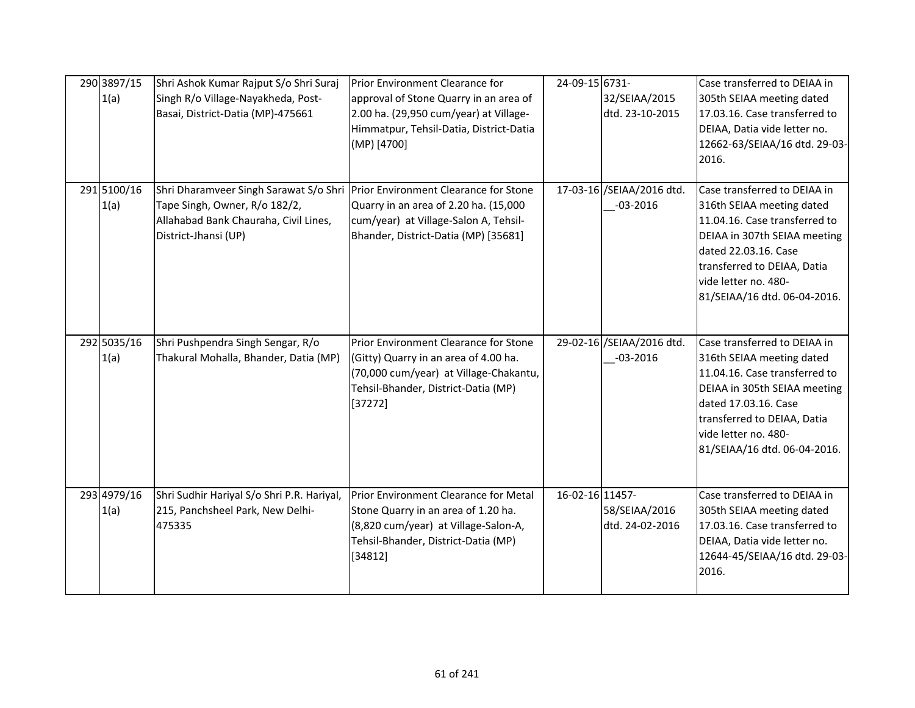| 290 3897/15<br>1(a) | Shri Ashok Kumar Rajput S/o Shri Suraj<br>Singh R/o Village-Nayakheda, Post-<br>Basai, District-Datia (MP)-475661                                                              | Prior Environment Clearance for<br>approval of Stone Quarry in an area of<br>2.00 ha. (29,950 cum/year) at Village-<br>Himmatpur, Tehsil-Datia, District-Datia<br>(MP) [4700] | 24-09-15 6731-<br>32/SEIAA/2015<br>dtd. 23-10-2015  | Case transferred to DEIAA in<br>305th SEIAA meeting dated<br>17.03.16. Case transferred to<br>DEIAA, Datia vide letter no.<br>12662-63/SEIAA/16 dtd. 29-03-<br>2016.                                                                      |
|---------------------|--------------------------------------------------------------------------------------------------------------------------------------------------------------------------------|-------------------------------------------------------------------------------------------------------------------------------------------------------------------------------|-----------------------------------------------------|-------------------------------------------------------------------------------------------------------------------------------------------------------------------------------------------------------------------------------------------|
| 291 5100/16<br>1(a) | Shri Dharamveer Singh Sarawat S/o Shri Prior Environment Clearance for Stone<br>Tape Singh, Owner, R/o 182/2,<br>Allahabad Bank Chauraha, Civil Lines,<br>District-Jhansi (UP) | Quarry in an area of 2.20 ha. (15,000<br>cum/year) at Village-Salon A, Tehsil-<br>Bhander, District-Datia (MP) [35681]                                                        | 17-03-16 /SEIAA/2016 dtd.<br>$-03 - 2016$           | Case transferred to DEIAA in<br>316th SEIAA meeting dated<br>11.04.16. Case transferred to<br>DEIAA in 307th SEIAA meeting<br>dated 22.03.16. Case<br>transferred to DEIAA, Datia<br>vide letter no. 480-<br>81/SEIAA/16 dtd. 06-04-2016. |
| 292 5035/16<br>1(a) | Shri Pushpendra Singh Sengar, R/o<br>Thakural Mohalla, Bhander, Datia (MP)                                                                                                     | Prior Environment Clearance for Stone<br>(Gitty) Quarry in an area of 4.00 ha.<br>(70,000 cum/year) at Village-Chakantu,<br>Tehsil-Bhander, District-Datia (MP)<br>[37272]    | 29-02-16 /SEIAA/2016 dtd.<br>$-03 - 2016$           | Case transferred to DEIAA in<br>316th SEIAA meeting dated<br>11.04.16. Case transferred to<br>DEIAA in 305th SEIAA meeting<br>dated 17.03.16. Case<br>transferred to DEIAA, Datia<br>vide letter no. 480-<br>81/SEIAA/16 dtd. 06-04-2016. |
| 293 4979/16<br>1(a) | Shri Sudhir Hariyal S/o Shri P.R. Hariyal,<br>215, Panchsheel Park, New Delhi-<br>475335                                                                                       | Prior Environment Clearance for Metal<br>Stone Quarry in an area of 1.20 ha.<br>(8,820 cum/year) at Village-Salon-A,<br>Tehsil-Bhander, District-Datia (MP)<br>[34812]        | 16-02-16 11457-<br>58/SEIAA/2016<br>dtd. 24-02-2016 | Case transferred to DEIAA in<br>305th SEIAA meeting dated<br>17.03.16. Case transferred to<br>DEIAA, Datia vide letter no.<br>12644-45/SEIAA/16 dtd. 29-03-<br>2016.                                                                      |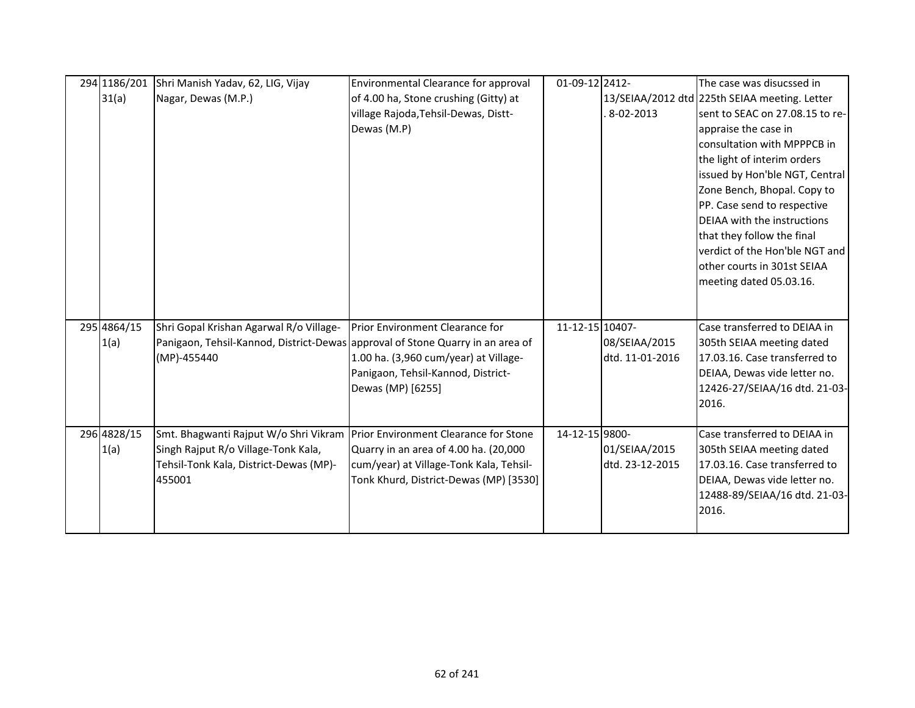| 294 1186/201 | Shri Manish Yadav, 62, LIG, Vijay                                              | Environmental Clearance for approval    | 01-09-12 2412-  |                 | The case was disucssed in                     |
|--------------|--------------------------------------------------------------------------------|-----------------------------------------|-----------------|-----------------|-----------------------------------------------|
| 31(a)        | Nagar, Dewas (M.P.)                                                            | of 4.00 ha, Stone crushing (Gitty) at   |                 |                 | 13/SEIAA/2012 dtd 225th SEIAA meeting. Letter |
|              |                                                                                | village Rajoda, Tehsil-Dewas, Distt-    |                 | 8-02-2013       | sent to SEAC on 27.08.15 to re-               |
|              |                                                                                | Dewas (M.P)                             |                 |                 | appraise the case in                          |
|              |                                                                                |                                         |                 |                 | consultation with MPPPCB in                   |
|              |                                                                                |                                         |                 |                 | the light of interim orders                   |
|              |                                                                                |                                         |                 |                 | issued by Hon'ble NGT, Central                |
|              |                                                                                |                                         |                 |                 | Zone Bench, Bhopal. Copy to                   |
|              |                                                                                |                                         |                 |                 | PP. Case send to respective                   |
|              |                                                                                |                                         |                 |                 | DEIAA with the instructions                   |
|              |                                                                                |                                         |                 |                 | that they follow the final                    |
|              |                                                                                |                                         |                 |                 | verdict of the Hon'ble NGT and                |
|              |                                                                                |                                         |                 |                 | other courts in 301st SEIAA                   |
|              |                                                                                |                                         |                 |                 | meeting dated 05.03.16.                       |
|              |                                                                                |                                         |                 |                 |                                               |
|              |                                                                                |                                         |                 |                 |                                               |
| 295 4864/15  | Shri Gopal Krishan Agarwal R/o Village-                                        | Prior Environment Clearance for         | 11-12-15 10407- |                 | Case transferred to DEIAA in                  |
| 1(a)         | Panigaon, Tehsil-Kannod, District-Dewas approval of Stone Quarry in an area of |                                         |                 | 08/SEIAA/2015   | 305th SEIAA meeting dated                     |
|              | (MP)-455440                                                                    | 1.00 ha. (3,960 cum/year) at Village-   |                 | dtd. 11-01-2016 | 17.03.16. Case transferred to                 |
|              |                                                                                | Panigaon, Tehsil-Kannod, District-      |                 |                 | DEIAA, Dewas vide letter no.                  |
|              |                                                                                | Dewas (MP) [6255]                       |                 |                 | 12426-27/SEIAA/16 dtd. 21-03-                 |
|              |                                                                                |                                         |                 |                 | 2016.                                         |
|              |                                                                                |                                         |                 |                 |                                               |
| 296 4828/15  | Smt. Bhagwanti Rajput W/o Shri Vikram Prior Environment Clearance for Stone    |                                         | 14-12-15 9800-  |                 | Case transferred to DEIAA in                  |
| 1(a)         | Singh Rajput R/o Village-Tonk Kala,                                            | Quarry in an area of 4.00 ha. (20,000   |                 | 01/SEIAA/2015   | 305th SEIAA meeting dated                     |
|              | Tehsil-Tonk Kala, District-Dewas (MP)-                                         | cum/year) at Village-Tonk Kala, Tehsil- |                 | dtd. 23-12-2015 | 17.03.16. Case transferred to                 |
|              | 455001                                                                         | Tonk Khurd, District-Dewas (MP) [3530]  |                 |                 | DEIAA, Dewas vide letter no.                  |
|              |                                                                                |                                         |                 |                 | 12488-89/SEIAA/16 dtd. 21-03-                 |
|              |                                                                                |                                         |                 |                 | 2016.                                         |
|              |                                                                                |                                         |                 |                 |                                               |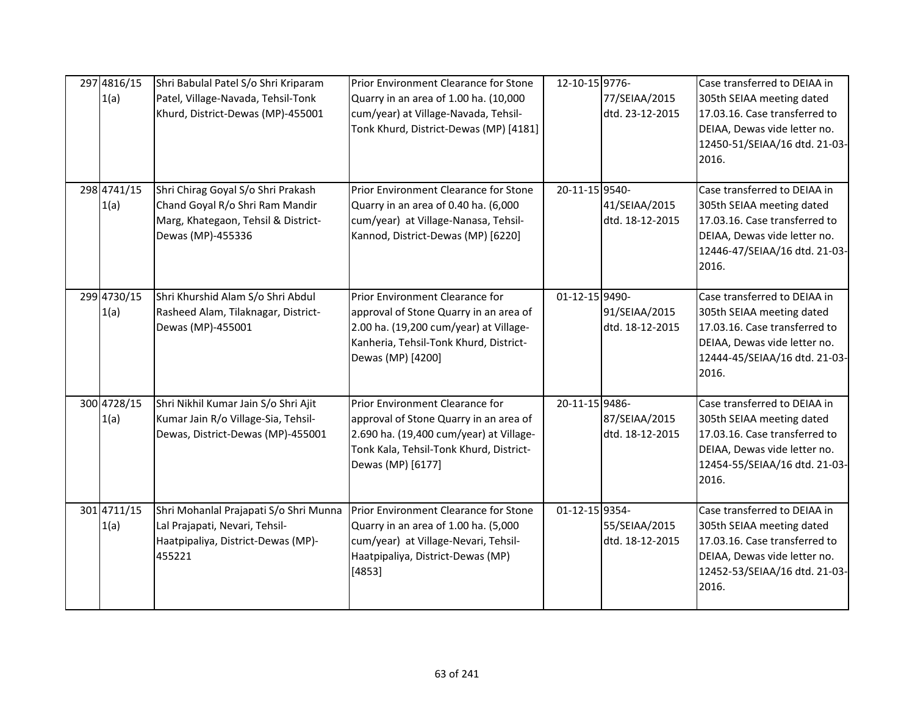| 297 4816/15<br>1(a) | Shri Babulal Patel S/o Shri Kriparam<br>Patel, Village-Navada, Tehsil-Tonk<br>Khurd, District-Dewas (MP)-455001                   | Prior Environment Clearance for Stone<br>Quarry in an area of 1.00 ha. (10,000<br>cum/year) at Village-Navada, Tehsil-<br>Tonk Khurd, District-Dewas (MP) [4181]                     | 12-10-15 9776- | 77/SEIAA/2015<br>dtd. 23-12-2015 | Case transferred to DEIAA in<br>305th SEIAA meeting dated<br>17.03.16. Case transferred to<br>DEIAA, Dewas vide letter no.<br>12450-51/SEIAA/16 dtd. 21-03-<br>2016. |
|---------------------|-----------------------------------------------------------------------------------------------------------------------------------|--------------------------------------------------------------------------------------------------------------------------------------------------------------------------------------|----------------|----------------------------------|----------------------------------------------------------------------------------------------------------------------------------------------------------------------|
| 298 4741/15<br>1(a) | Shri Chirag Goyal S/o Shri Prakash<br>Chand Goyal R/o Shri Ram Mandir<br>Marg, Khategaon, Tehsil & District-<br>Dewas (MP)-455336 | Prior Environment Clearance for Stone<br>Quarry in an area of 0.40 ha. (6,000<br>cum/year) at Village-Nanasa, Tehsil-<br>Kannod, District-Dewas (MP) [6220]                          | 20-11-15 9540- | 41/SEIAA/2015<br>dtd. 18-12-2015 | Case transferred to DEIAA in<br>305th SEIAA meeting dated<br>17.03.16. Case transferred to<br>DEIAA, Dewas vide letter no.<br>12446-47/SEIAA/16 dtd. 21-03-<br>2016. |
| 299 4730/15<br>1(a) | Shri Khurshid Alam S/o Shri Abdul<br>Rasheed Alam, Tilaknagar, District-<br>Dewas (MP)-455001                                     | Prior Environment Clearance for<br>approval of Stone Quarry in an area of<br>2.00 ha. (19,200 cum/year) at Village-<br>Kanheria, Tehsil-Tonk Khurd, District-<br>Dewas (MP) [4200]   | 01-12-15 9490- | 91/SEIAA/2015<br>dtd. 18-12-2015 | Case transferred to DEIAA in<br>305th SEIAA meeting dated<br>17.03.16. Case transferred to<br>DEIAA, Dewas vide letter no.<br>12444-45/SEIAA/16 dtd. 21-03-<br>2016. |
| 300 4728/15<br>1(a) | Shri Nikhil Kumar Jain S/o Shri Ajit<br>Kumar Jain R/o Village-Sia, Tehsil-<br>Dewas, District-Dewas (MP)-455001                  | Prior Environment Clearance for<br>approval of Stone Quarry in an area of<br>2.690 ha. (19,400 cum/year) at Village-<br>Tonk Kala, Tehsil-Tonk Khurd, District-<br>Dewas (MP) [6177] | 20-11-15 9486- | 87/SEIAA/2015<br>dtd. 18-12-2015 | Case transferred to DEIAA in<br>305th SEIAA meeting dated<br>17.03.16. Case transferred to<br>DEIAA, Dewas vide letter no.<br>12454-55/SEIAA/16 dtd. 21-03-<br>2016. |
| 301 4711/15<br>1(a) | Shri Mohanlal Prajapati S/o Shri Munna<br>Lal Prajapati, Nevari, Tehsil-<br>Haatpipaliya, District-Dewas (MP)-<br>455221          | Prior Environment Clearance for Stone<br>Quarry in an area of 1.00 ha. (5,000<br>cum/year) at Village-Nevari, Tehsil-<br>Haatpipaliya, District-Dewas (MP)<br>[4853]                 | 01-12-15 9354- | 55/SEIAA/2015<br>dtd. 18-12-2015 | Case transferred to DEIAA in<br>305th SEIAA meeting dated<br>17.03.16. Case transferred to<br>DEIAA, Dewas vide letter no.<br>12452-53/SEIAA/16 dtd. 21-03-<br>2016. |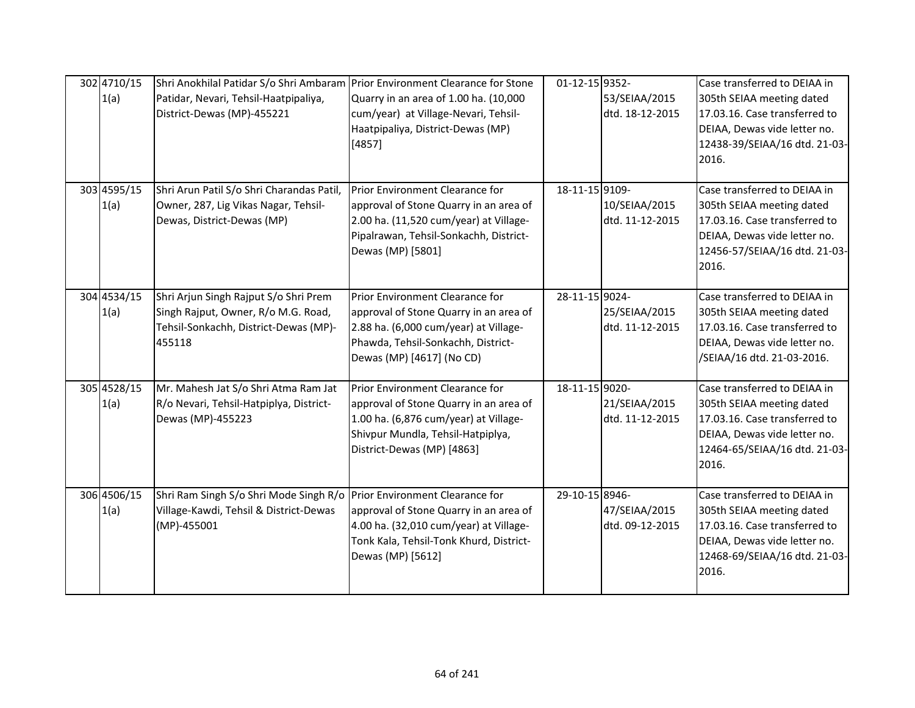| 302 4710/15<br>1(a) | Shri Anokhilal Patidar S/o Shri Ambaram Prior Environment Clearance for Stone<br>Patidar, Nevari, Tehsil-Haatpipaliya,<br>District-Dewas (MP)-455221 | Quarry in an area of 1.00 ha. (10,000<br>cum/year) at Village-Nevari, Tehsil-<br>Haatpipaliya, District-Dewas (MP)<br>[4857]                                                          | 01-12-15 9352- | 53/SEIAA/2015<br>dtd. 18-12-2015 | Case transferred to DEIAA in<br>305th SEIAA meeting dated<br>17.03.16. Case transferred to<br>DEIAA, Dewas vide letter no.<br>12438-39/SEIAA/16 dtd. 21-03-<br>2016. |
|---------------------|------------------------------------------------------------------------------------------------------------------------------------------------------|---------------------------------------------------------------------------------------------------------------------------------------------------------------------------------------|----------------|----------------------------------|----------------------------------------------------------------------------------------------------------------------------------------------------------------------|
| 303 4595/15<br>1(a) | Shri Arun Patil S/o Shri Charandas Patil,<br>Owner, 287, Lig Vikas Nagar, Tehsil-<br>Dewas, District-Dewas (MP)                                      | Prior Environment Clearance for<br>approval of Stone Quarry in an area of<br>2.00 ha. (11,520 cum/year) at Village-<br>Pipalrawan, Tehsil-Sonkachh, District-<br>Dewas (MP) [5801]    | 18-11-15 9109- | 10/SEIAA/2015<br>dtd. 11-12-2015 | Case transferred to DEIAA in<br>305th SEIAA meeting dated<br>17.03.16. Case transferred to<br>DEIAA, Dewas vide letter no.<br>12456-57/SEIAA/16 dtd. 21-03-<br>2016. |
| 304 4534/15<br>1(a) | Shri Arjun Singh Rajput S/o Shri Prem<br>Singh Rajput, Owner, R/o M.G. Road,<br>Tehsil-Sonkachh, District-Dewas (MP)-<br>455118                      | Prior Environment Clearance for<br>approval of Stone Quarry in an area of<br>2.88 ha. (6,000 cum/year) at Village-<br>Phawda, Tehsil-Sonkachh, District-<br>Dewas (MP) [4617] (No CD) | 28-11-15 9024- | 25/SEIAA/2015<br>dtd. 11-12-2015 | Case transferred to DEIAA in<br>305th SEIAA meeting dated<br>17.03.16. Case transferred to<br>DEIAA, Dewas vide letter no.<br>/SEIAA/16 dtd. 21-03-2016.             |
| 305 4528/15<br>1(a) | Mr. Mahesh Jat S/o Shri Atma Ram Jat<br>R/o Nevari, Tehsil-Hatpiplya, District-<br>Dewas (MP)-455223                                                 | Prior Environment Clearance for<br>approval of Stone Quarry in an area of<br>1.00 ha. (6,876 cum/year) at Village-<br>Shivpur Mundla, Tehsil-Hatpiplya,<br>District-Dewas (MP) [4863] | 18-11-15 9020- | 21/SEIAA/2015<br>dtd. 11-12-2015 | Case transferred to DEIAA in<br>305th SEIAA meeting dated<br>17.03.16. Case transferred to<br>DEIAA, Dewas vide letter no.<br>12464-65/SEIAA/16 dtd. 21-03-<br>2016. |
| 306 4506/15<br>1(a) | Shri Ram Singh S/o Shri Mode Singh R/o<br>Village-Kawdi, Tehsil & District-Dewas<br>$(MP) - 455001$                                                  | Prior Environment Clearance for<br>approval of Stone Quarry in an area of<br>4.00 ha. (32,010 cum/year) at Village-<br>Tonk Kala, Tehsil-Tonk Khurd, District-<br>Dewas (MP) [5612]   | 29-10-15 8946- | 47/SEIAA/2015<br>dtd. 09-12-2015 | Case transferred to DEIAA in<br>305th SEIAA meeting dated<br>17.03.16. Case transferred to<br>DEIAA, Dewas vide letter no.<br>12468-69/SEIAA/16 dtd. 21-03-<br>2016. |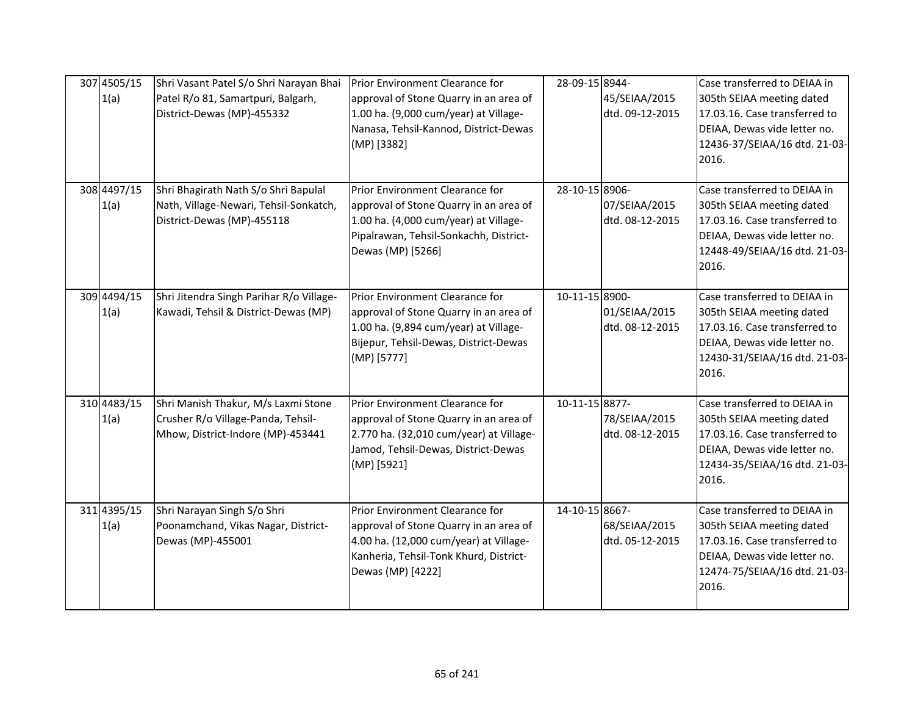| 307 4505/15<br>1(a) | Shri Vasant Patel S/o Shri Narayan Bhai<br>Patel R/o 81, Samartpuri, Balgarh,<br>District-Dewas (MP)-455332    | Prior Environment Clearance for<br>approval of Stone Quarry in an area of<br>1.00 ha. (9,000 cum/year) at Village-<br>Nanasa, Tehsil-Kannod, District-Dewas<br>(MP) [3382]         | 28-09-15 8944-<br>45/SEIAA/2015<br>dtd. 09-12-2015 | Case transferred to DEIAA in<br>305th SEIAA meeting dated<br>17.03.16. Case transferred to<br>DEIAA, Dewas vide letter no.<br>12436-37/SEIAA/16 dtd. 21-03-<br>2016. |
|---------------------|----------------------------------------------------------------------------------------------------------------|------------------------------------------------------------------------------------------------------------------------------------------------------------------------------------|----------------------------------------------------|----------------------------------------------------------------------------------------------------------------------------------------------------------------------|
| 308 4497/15<br>1(a) | Shri Bhagirath Nath S/o Shri Bapulal<br>Nath, Village-Newari, Tehsil-Sonkatch,<br>District-Dewas (MP)-455118   | Prior Environment Clearance for<br>approval of Stone Quarry in an area of<br>1.00 ha. (4,000 cum/year) at Village-<br>Pipalrawan, Tehsil-Sonkachh, District-<br>Dewas (MP) [5266]  | 28-10-15 8906-<br>07/SEIAA/2015<br>dtd. 08-12-2015 | Case transferred to DEIAA in<br>305th SEIAA meeting dated<br>17.03.16. Case transferred to<br>DEIAA, Dewas vide letter no.<br>12448-49/SEIAA/16 dtd. 21-03-<br>2016. |
| 309 4494/15<br>1(a) | Shri Jitendra Singh Parihar R/o Village-<br>Kawadi, Tehsil & District-Dewas (MP)                               | Prior Environment Clearance for<br>approval of Stone Quarry in an area of<br>1.00 ha. (9,894 cum/year) at Village-<br>Bijepur, Tehsil-Dewas, District-Dewas<br>(MP) [5777]         | 10-11-15 8900-<br>01/SEIAA/2015<br>dtd. 08-12-2015 | Case transferred to DEIAA in<br>305th SEIAA meeting dated<br>17.03.16. Case transferred to<br>DEIAA, Dewas vide letter no.<br>12430-31/SEIAA/16 dtd. 21-03-<br>2016. |
| 310 4483/15<br>1(a) | Shri Manish Thakur, M/s Laxmi Stone<br>Crusher R/o Village-Panda, Tehsil-<br>Mhow, District-Indore (MP)-453441 | Prior Environment Clearance for<br>approval of Stone Quarry in an area of<br>2.770 ha. (32,010 cum/year) at Village-<br>Jamod, Tehsil-Dewas, District-Dewas<br>(MP) [5921]         | 10-11-15 8877-<br>78/SEIAA/2015<br>dtd. 08-12-2015 | Case transferred to DEIAA in<br>305th SEIAA meeting dated<br>17.03.16. Case transferred to<br>DEIAA, Dewas vide letter no.<br>12434-35/SEIAA/16 dtd. 21-03-<br>2016. |
| 311 4395/15<br>1(a) | Shri Narayan Singh S/o Shri<br>Poonamchand, Vikas Nagar, District-<br>Dewas (MP)-455001                        | Prior Environment Clearance for<br>approval of Stone Quarry in an area of<br>4.00 ha. (12,000 cum/year) at Village-<br>Kanheria, Tehsil-Tonk Khurd, District-<br>Dewas (MP) [4222] | 14-10-15 8667-<br>68/SEIAA/2015<br>dtd. 05-12-2015 | Case transferred to DEIAA in<br>305th SEIAA meeting dated<br>17.03.16. Case transferred to<br>DEIAA, Dewas vide letter no.<br>12474-75/SEIAA/16 dtd. 21-03-<br>2016. |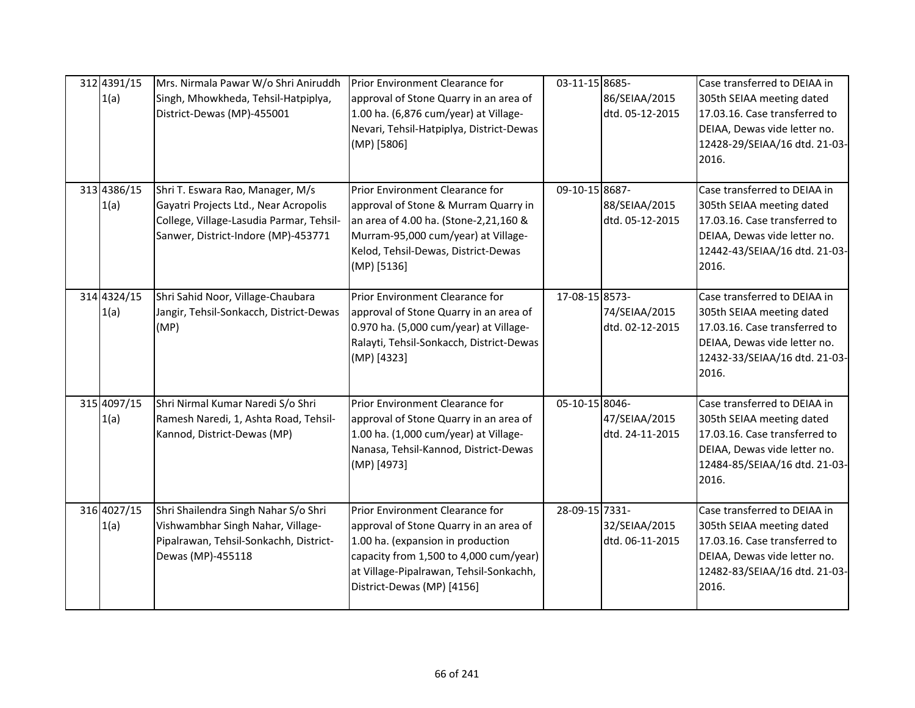| 312 4391/15<br>1(a) | Mrs. Nirmala Pawar W/o Shri Aniruddh<br>Singh, Mhowkheda, Tehsil-Hatpiplya,<br>District-Dewas (MP)-455001                                                    | Prior Environment Clearance for<br>approval of Stone Quarry in an area of<br>1.00 ha. (6,876 cum/year) at Village-<br>Nevari, Tehsil-Hatpiplya, District-Dewas<br>(MP) [5806]                                                     | 03-11-15 8685- | 86/SEIAA/2015<br>dtd. 05-12-2015 | Case transferred to DEIAA in<br>305th SEIAA meeting dated<br>17.03.16. Case transferred to<br>DEIAA, Dewas vide letter no.<br>12428-29/SEIAA/16 dtd. 21-03-<br>2016. |
|---------------------|--------------------------------------------------------------------------------------------------------------------------------------------------------------|-----------------------------------------------------------------------------------------------------------------------------------------------------------------------------------------------------------------------------------|----------------|----------------------------------|----------------------------------------------------------------------------------------------------------------------------------------------------------------------|
| 313 4386/15<br>1(a) | Shri T. Eswara Rao, Manager, M/s<br>Gayatri Projects Ltd., Near Acropolis<br>College, Village-Lasudia Parmar, Tehsil-<br>Sanwer, District-Indore (MP)-453771 | Prior Environment Clearance for<br>approval of Stone & Murram Quarry in<br>an area of 4.00 ha. (Stone-2,21,160 &<br>Murram-95,000 cum/year) at Village-<br>Kelod, Tehsil-Dewas, District-Dewas<br>(MP) [5136]                     | 09-10-15 8687- | 88/SEIAA/2015<br>dtd. 05-12-2015 | Case transferred to DEIAA in<br>305th SEIAA meeting dated<br>17.03.16. Case transferred to<br>DEIAA, Dewas vide letter no.<br>12442-43/SEIAA/16 dtd. 21-03-<br>2016. |
| 314 4324/15<br>1(a) | Shri Sahid Noor, Village-Chaubara<br>Jangir, Tehsil-Sonkacch, District-Dewas<br>(MP)                                                                         | Prior Environment Clearance for<br>approval of Stone Quarry in an area of<br>0.970 ha. (5,000 cum/year) at Village-<br>Ralayti, Tehsil-Sonkacch, District-Dewas<br>(MP) [4323]                                                    | 17-08-15 8573- | 74/SEIAA/2015<br>dtd. 02-12-2015 | Case transferred to DEIAA in<br>305th SEIAA meeting dated<br>17.03.16. Case transferred to<br>DEIAA, Dewas vide letter no.<br>12432-33/SEIAA/16 dtd. 21-03-<br>2016. |
| 315 4097/15<br>1(a) | Shri Nirmal Kumar Naredi S/o Shri<br>Ramesh Naredi, 1, Ashta Road, Tehsil-<br>Kannod, District-Dewas (MP)                                                    | Prior Environment Clearance for<br>approval of Stone Quarry in an area of<br>1.00 ha. (1,000 cum/year) at Village-<br>Nanasa, Tehsil-Kannod, District-Dewas<br>(MP) [4973]                                                        | 05-10-15 8046- | 47/SEIAA/2015<br>dtd. 24-11-2015 | Case transferred to DEIAA in<br>305th SEIAA meeting dated<br>17.03.16. Case transferred to<br>DEIAA, Dewas vide letter no.<br>12484-85/SEIAA/16 dtd. 21-03-<br>2016. |
| 316 4027/15<br>1(a) | Shri Shailendra Singh Nahar S/o Shri<br>Vishwambhar Singh Nahar, Village-<br>Pipalrawan, Tehsil-Sonkachh, District-<br>Dewas (MP)-455118                     | Prior Environment Clearance for<br>approval of Stone Quarry in an area of<br>1.00 ha. (expansion in production<br>capacity from 1,500 to 4,000 cum/year)<br>at Village-Pipalrawan, Tehsil-Sonkachh,<br>District-Dewas (MP) [4156] | 28-09-15 7331- | 32/SEIAA/2015<br>dtd. 06-11-2015 | Case transferred to DEIAA in<br>305th SEIAA meeting dated<br>17.03.16. Case transferred to<br>DEIAA, Dewas vide letter no.<br>12482-83/SEIAA/16 dtd. 21-03-<br>2016. |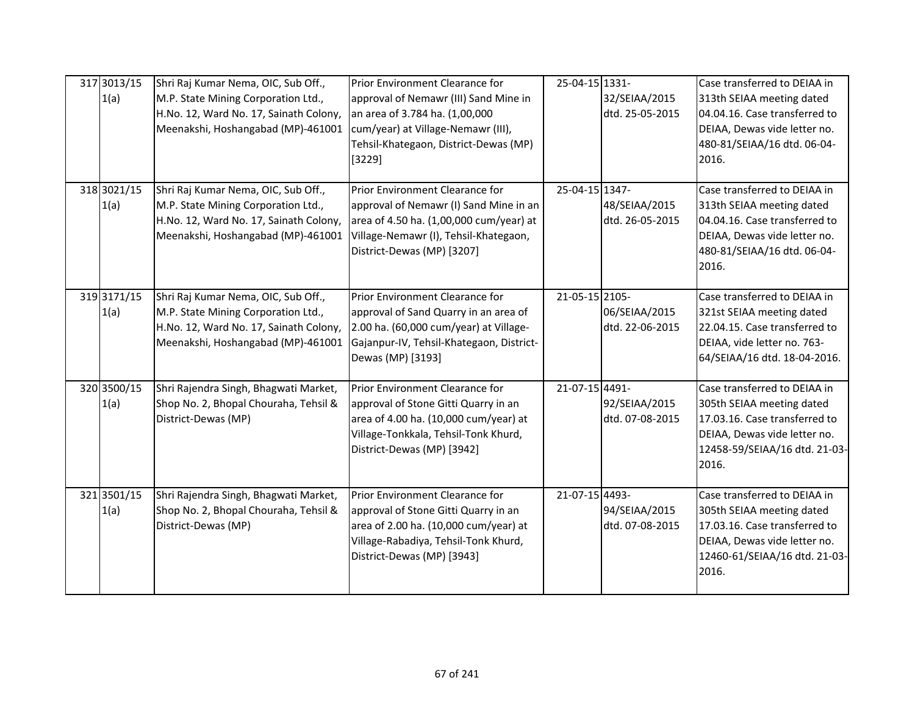| 317 3013/15<br>1(a) | Shri Raj Kumar Nema, OIC, Sub Off.,<br>M.P. State Mining Corporation Ltd.,<br>H.No. 12, Ward No. 17, Sainath Colony,<br>Meenakshi, Hoshangabad (MP)-461001                                          | Prior Environment Clearance for<br>approval of Nemawr (III) Sand Mine in<br>an area of 3.784 ha. (1,00,000<br>cum/year) at Village-Nemawr (III),<br>Tehsil-Khategaon, District-Dewas (MP)<br>[3229] | 25-04-15 1331- | 32/SEIAA/2015<br>dtd. 25-05-2015 | Case transferred to DEIAA in<br>313th SEIAA meeting dated<br>04.04.16. Case transferred to<br>DEIAA, Dewas vide letter no.<br>480-81/SEIAA/16 dtd. 06-04-<br>2016.   |
|---------------------|-----------------------------------------------------------------------------------------------------------------------------------------------------------------------------------------------------|-----------------------------------------------------------------------------------------------------------------------------------------------------------------------------------------------------|----------------|----------------------------------|----------------------------------------------------------------------------------------------------------------------------------------------------------------------|
| 318 3021/15<br>1(a) | Shri Raj Kumar Nema, OIC, Sub Off.,<br>M.P. State Mining Corporation Ltd.,<br>H.No. 12, Ward No. 17, Sainath Colony,<br>Meenakshi, Hoshangabad (MP)-461001                                          | Prior Environment Clearance for<br>approval of Nemawr (I) Sand Mine in an<br>area of 4.50 ha. (1,00,000 cum/year) at<br>Village-Nemawr (I), Tehsil-Khategaon,<br>District-Dewas (MP) [3207]         | 25-04-15 1347- | 48/SEIAA/2015<br>dtd. 26-05-2015 | Case transferred to DEIAA in<br>313th SEIAA meeting dated<br>04.04.16. Case transferred to<br>DEIAA, Dewas vide letter no.<br>480-81/SEIAA/16 dtd. 06-04-<br>2016.   |
| 319 3171/15<br>1(a) | Shri Raj Kumar Nema, OIC, Sub Off.,<br>M.P. State Mining Corporation Ltd.,<br>H.No. 12, Ward No. 17, Sainath Colony,<br>Meenakshi, Hoshangabad (MP)-461001 Gajanpur-IV, Tehsil-Khategaon, District- | Prior Environment Clearance for<br>approval of Sand Quarry in an area of<br>2.00 ha. (60,000 cum/year) at Village-<br>Dewas (MP) [3193]                                                             | 21-05-15 2105- | 06/SEIAA/2015<br>dtd. 22-06-2015 | Case transferred to DEIAA in<br>321st SEIAA meeting dated<br>22.04.15. Case transferred to<br>DEIAA, vide letter no. 763-<br>64/SEIAA/16 dtd. 18-04-2016.            |
| 320 3500/15<br>1(a) | Shri Rajendra Singh, Bhagwati Market,<br>Shop No. 2, Bhopal Chouraha, Tehsil &<br>District-Dewas (MP)                                                                                               | Prior Environment Clearance for<br>approval of Stone Gitti Quarry in an<br>area of 4.00 ha. (10,000 cum/year) at<br>Village-Tonkkala, Tehsil-Tonk Khurd,<br>District-Dewas (MP) [3942]              | 21-07-15 4491- | 92/SEIAA/2015<br>dtd. 07-08-2015 | Case transferred to DEIAA in<br>305th SEIAA meeting dated<br>17.03.16. Case transferred to<br>DEIAA, Dewas vide letter no.<br>12458-59/SEIAA/16 dtd. 21-03-<br>2016. |
| 321 3501/15<br>1(a) | Shri Rajendra Singh, Bhagwati Market,<br>Shop No. 2, Bhopal Chouraha, Tehsil &<br>District-Dewas (MP)                                                                                               | Prior Environment Clearance for<br>approval of Stone Gitti Quarry in an<br>area of 2.00 ha. (10,000 cum/year) at<br>Village-Rabadiya, Tehsil-Tonk Khurd,<br>District-Dewas (MP) [3943]              | 21-07-15 4493- | 94/SEIAA/2015<br>dtd. 07-08-2015 | Case transferred to DEIAA in<br>305th SEIAA meeting dated<br>17.03.16. Case transferred to<br>DEIAA, Dewas vide letter no.<br>12460-61/SEIAA/16 dtd. 21-03-<br>2016. |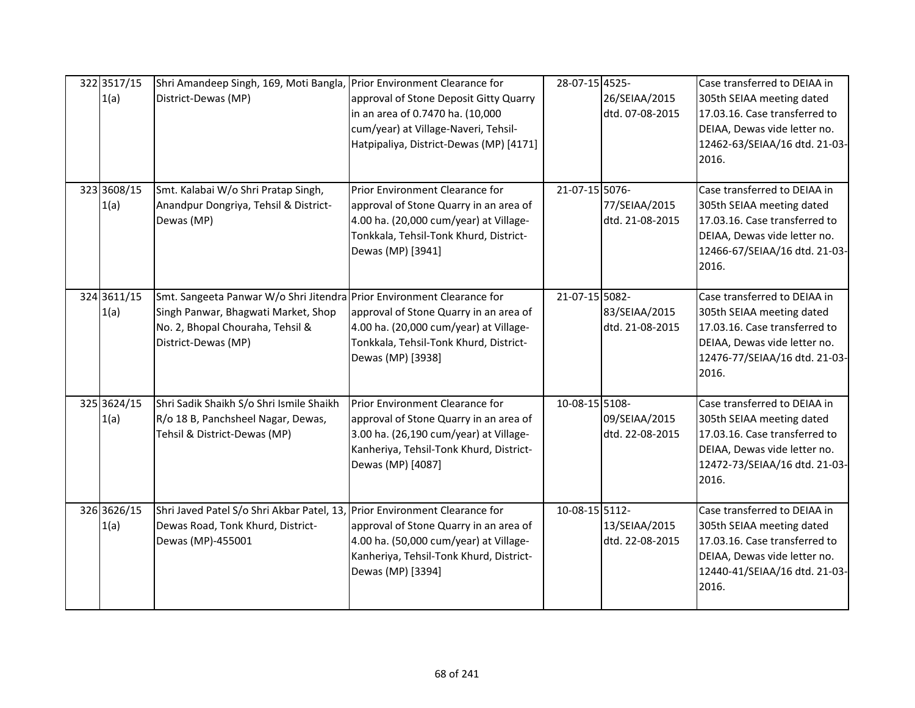| 322 3517/15<br>1(a) | Shri Amandeep Singh, 169, Moti Bangla, Prior Environment Clearance for<br>District-Dewas (MP)                                                                            | approval of Stone Deposit Gitty Quarry<br>in an area of 0.7470 ha. (10,000<br>cum/year) at Village-Naveri, Tehsil-<br>Hatpipaliya, District-Dewas (MP) [4171]                       | 28-07-15 4525- | 26/SEIAA/2015<br>dtd. 07-08-2015 | Case transferred to DEIAA in<br>305th SEIAA meeting dated<br>17.03.16. Case transferred to<br>DEIAA, Dewas vide letter no.<br>12462-63/SEIAA/16 dtd. 21-03-<br>2016. |
|---------------------|--------------------------------------------------------------------------------------------------------------------------------------------------------------------------|-------------------------------------------------------------------------------------------------------------------------------------------------------------------------------------|----------------|----------------------------------|----------------------------------------------------------------------------------------------------------------------------------------------------------------------|
| 323 3608/15<br>1(a) | Smt. Kalabai W/o Shri Pratap Singh,<br>Anandpur Dongriya, Tehsil & District-<br>Dewas (MP)                                                                               | Prior Environment Clearance for<br>approval of Stone Quarry in an area of<br>4.00 ha. (20,000 cum/year) at Village-<br>Tonkkala, Tehsil-Tonk Khurd, District-<br>Dewas (MP) [3941]  | 21-07-15 5076- | 77/SEIAA/2015<br>dtd. 21-08-2015 | Case transferred to DEIAA in<br>305th SEIAA meeting dated<br>17.03.16. Case transferred to<br>DEIAA, Dewas vide letter no.<br>12466-67/SEIAA/16 dtd. 21-03-<br>2016. |
| 324 3611/15<br>1(a) | Smt. Sangeeta Panwar W/o Shri Jitendra Prior Environment Clearance for<br>Singh Panwar, Bhagwati Market, Shop<br>No. 2, Bhopal Chouraha, Tehsil &<br>District-Dewas (MP) | approval of Stone Quarry in an area of<br>4.00 ha. (20,000 cum/year) at Village-<br>Tonkkala, Tehsil-Tonk Khurd, District-<br>Dewas (MP) [3938]                                     | 21-07-15 5082- | 83/SEIAA/2015<br>dtd. 21-08-2015 | Case transferred to DEIAA in<br>305th SEIAA meeting dated<br>17.03.16. Case transferred to<br>DEIAA, Dewas vide letter no.<br>12476-77/SEIAA/16 dtd. 21-03-<br>2016. |
| 325 3624/15<br>1(a) | Shri Sadik Shaikh S/o Shri Ismile Shaikh<br>R/o 18 B, Panchsheel Nagar, Dewas,<br>Tehsil & District-Dewas (MP)                                                           | Prior Environment Clearance for<br>approval of Stone Quarry in an area of<br>3.00 ha. (26,190 cum/year) at Village-<br>Kanheriya, Tehsil-Tonk Khurd, District-<br>Dewas (MP) [4087] | 10-08-15 5108- | 09/SEIAA/2015<br>dtd. 22-08-2015 | Case transferred to DEIAA in<br>305th SEIAA meeting dated<br>17.03.16. Case transferred to<br>DEIAA, Dewas vide letter no.<br>12472-73/SEIAA/16 dtd. 21-03-<br>2016. |
| 326 3626/15<br>1(a) | Shri Javed Patel S/o Shri Akbar Patel, 13, Prior Environment Clearance for<br>Dewas Road, Tonk Khurd, District-<br>Dewas (MP)-455001                                     | approval of Stone Quarry in an area of<br>4.00 ha. (50,000 cum/year) at Village-<br>Kanheriya, Tehsil-Tonk Khurd, District-<br>Dewas (MP) [3394]                                    | 10-08-15 5112- | 13/SEIAA/2015<br>dtd. 22-08-2015 | Case transferred to DEIAA in<br>305th SEIAA meeting dated<br>17.03.16. Case transferred to<br>DEIAA, Dewas vide letter no.<br>12440-41/SEIAA/16 dtd. 21-03-<br>2016. |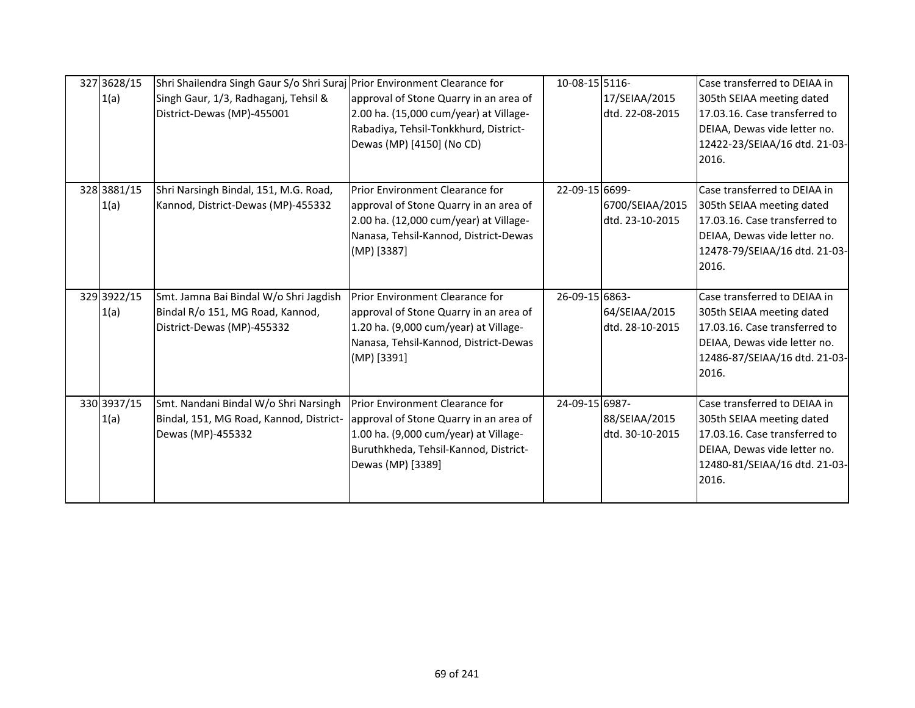| 327 3628/15<br>1(a) | Shri Shailendra Singh Gaur S/o Shri Suraj Prior Environment Clearance for<br>Singh Gaur, 1/3, Radhaganj, Tehsil &<br>District-Dewas (MP)-455001 | approval of Stone Quarry in an area of<br>2.00 ha. (15,000 cum/year) at Village-<br>Rabadiya, Tehsil-Tonkkhurd, District-<br>Dewas (MP) [4150] (No CD)                             | 10-08-15 5116- | 17/SEIAA/2015<br>dtd. 22-08-2015   | Case transferred to DEIAA in<br>305th SEIAA meeting dated<br>17.03.16. Case transferred to<br>DEIAA, Dewas vide letter no.<br>12422-23/SEIAA/16 dtd. 21-03-<br>2016. |
|---------------------|-------------------------------------------------------------------------------------------------------------------------------------------------|------------------------------------------------------------------------------------------------------------------------------------------------------------------------------------|----------------|------------------------------------|----------------------------------------------------------------------------------------------------------------------------------------------------------------------|
| 328 3881/15<br>1(a) | Shri Narsingh Bindal, 151, M.G. Road,<br>Kannod, District-Dewas (MP)-455332                                                                     | <b>Prior Environment Clearance for</b><br>approval of Stone Quarry in an area of<br>2.00 ha. (12,000 cum/year) at Village-<br>Nanasa, Tehsil-Kannod, District-Dewas<br>(MP) [3387] | 22-09-15 6699- | 6700/SEIAA/2015<br>dtd. 23-10-2015 | Case transferred to DEIAA in<br>305th SEIAA meeting dated<br>17.03.16. Case transferred to<br>DEIAA, Dewas vide letter no.<br>12478-79/SEIAA/16 dtd. 21-03-<br>2016. |
| 329 3922/15<br>1(a) | Smt. Jamna Bai Bindal W/o Shri Jagdish<br>Bindal R/o 151, MG Road, Kannod,<br>District-Dewas (MP)-455332                                        | Prior Environment Clearance for<br>approval of Stone Quarry in an area of<br>1.20 ha. (9,000 cum/year) at Village-<br>Nanasa, Tehsil-Kannod, District-Dewas<br>(MP) [3391]         | 26-09-15 6863- | 64/SEIAA/2015<br>dtd. 28-10-2015   | Case transferred to DEIAA in<br>305th SEIAA meeting dated<br>17.03.16. Case transferred to<br>DEIAA, Dewas vide letter no.<br>12486-87/SEIAA/16 dtd. 21-03-<br>2016. |
| 330 3937/15<br>1(a) | Smt. Nandani Bindal W/o Shri Narsingh<br>Bindal, 151, MG Road, Kannod, District-<br>Dewas (MP)-455332                                           | Prior Environment Clearance for<br>approval of Stone Quarry in an area of<br>1.00 ha. (9,000 cum/year) at Village-<br>Buruthkheda, Tehsil-Kannod, District-<br>Dewas (MP) [3389]   | 24-09-15 6987- | 88/SEIAA/2015<br>dtd. 30-10-2015   | Case transferred to DEIAA in<br>305th SEIAA meeting dated<br>17.03.16. Case transferred to<br>DEIAA, Dewas vide letter no.<br>12480-81/SEIAA/16 dtd. 21-03-<br>2016. |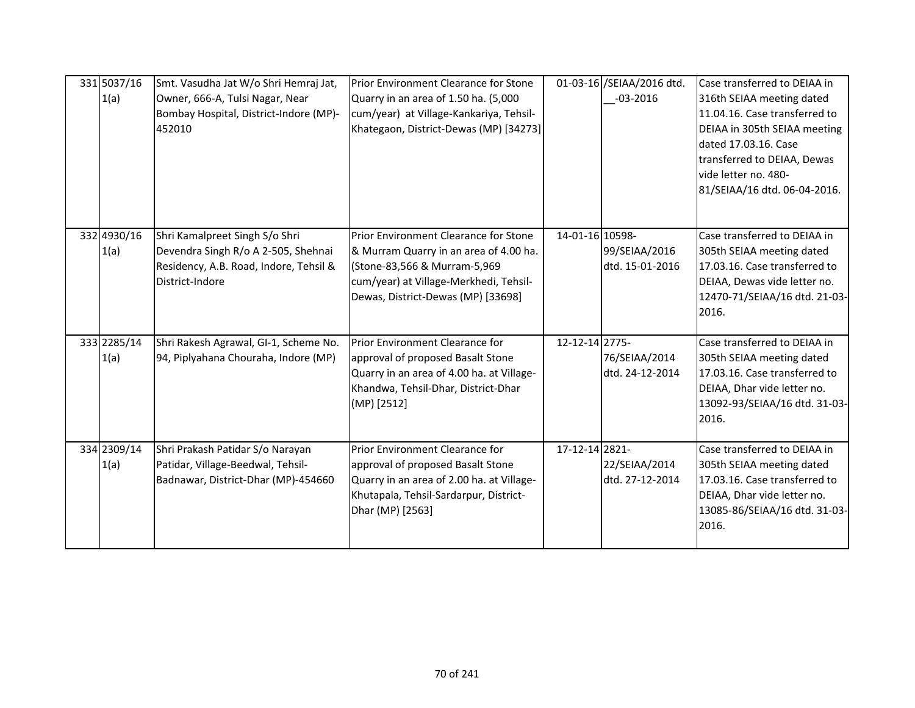| 331 5037/16<br>1(a) | Smt. Vasudha Jat W/o Shri Hemraj Jat,<br>Owner, 666-A, Tulsi Nagar, Near<br>Bombay Hospital, District-Indore (MP)-<br>452010       | Prior Environment Clearance for Stone<br>Quarry in an area of 1.50 ha. (5,000<br>cum/year) at Village-Kankariya, Tehsil-<br>Khategaon, District-Dewas (MP) [34273]                              | 01-03-16 /SEIAA/2016 dtd.<br>$-03 - 2016$           | Case transferred to DEIAA in<br>316th SEIAA meeting dated<br>11.04.16. Case transferred to<br>DEIAA in 305th SEIAA meeting<br>dated 17.03.16. Case<br>transferred to DEIAA, Dewas<br>vide letter no. 480-<br>81/SEIAA/16 dtd. 06-04-2016. |
|---------------------|------------------------------------------------------------------------------------------------------------------------------------|-------------------------------------------------------------------------------------------------------------------------------------------------------------------------------------------------|-----------------------------------------------------|-------------------------------------------------------------------------------------------------------------------------------------------------------------------------------------------------------------------------------------------|
| 332 4930/16<br>1(a) | Shri Kamalpreet Singh S/o Shri<br>Devendra Singh R/o A 2-505, Shehnai<br>Residency, A.B. Road, Indore, Tehsil &<br>District-Indore | Prior Environment Clearance for Stone<br>& Murram Quarry in an area of 4.00 ha.<br>(Stone-83,566 & Murram-5,969<br>cum/year) at Village-Merkhedi, Tehsil-<br>Dewas, District-Dewas (MP) [33698] | 14-01-16 10598-<br>99/SEIAA/2016<br>dtd. 15-01-2016 | Case transferred to DEIAA in<br>305th SEIAA meeting dated<br>17.03.16. Case transferred to<br>DEIAA, Dewas vide letter no.<br>12470-71/SEIAA/16 dtd. 21-03-<br>2016.                                                                      |
| 333 2285/14<br>1(a) | Shri Rakesh Agrawal, GI-1, Scheme No.<br>94, Piplyahana Chouraha, Indore (MP)                                                      | Prior Environment Clearance for<br>approval of proposed Basalt Stone<br>Quarry in an area of 4.00 ha. at Village-<br>Khandwa, Tehsil-Dhar, District-Dhar<br>(MP) [2512]                         | 12-12-14 2775-<br>76/SEIAA/2014<br>dtd. 24-12-2014  | Case transferred to DEIAA in<br>305th SEIAA meeting dated<br>17.03.16. Case transferred to<br>DEIAA, Dhar vide letter no.<br>13092-93/SEIAA/16 dtd. 31-03-<br>2016.                                                                       |
| 334 2309/14<br>1(a) | Shri Prakash Patidar S/o Narayan<br>Patidar, Village-Beedwal, Tehsil-<br>Badnawar, District-Dhar (MP)-454660                       | Prior Environment Clearance for<br>approval of proposed Basalt Stone<br>Quarry in an area of 2.00 ha. at Village-<br>Khutapala, Tehsil-Sardarpur, District-<br>Dhar (MP) [2563]                 | 17-12-14 2821-<br>22/SEIAA/2014<br>dtd. 27-12-2014  | Case transferred to DEIAA in<br>305th SEIAA meeting dated<br>17.03.16. Case transferred to<br>DEIAA, Dhar vide letter no.<br>13085-86/SEIAA/16 dtd. 31-03-<br>2016.                                                                       |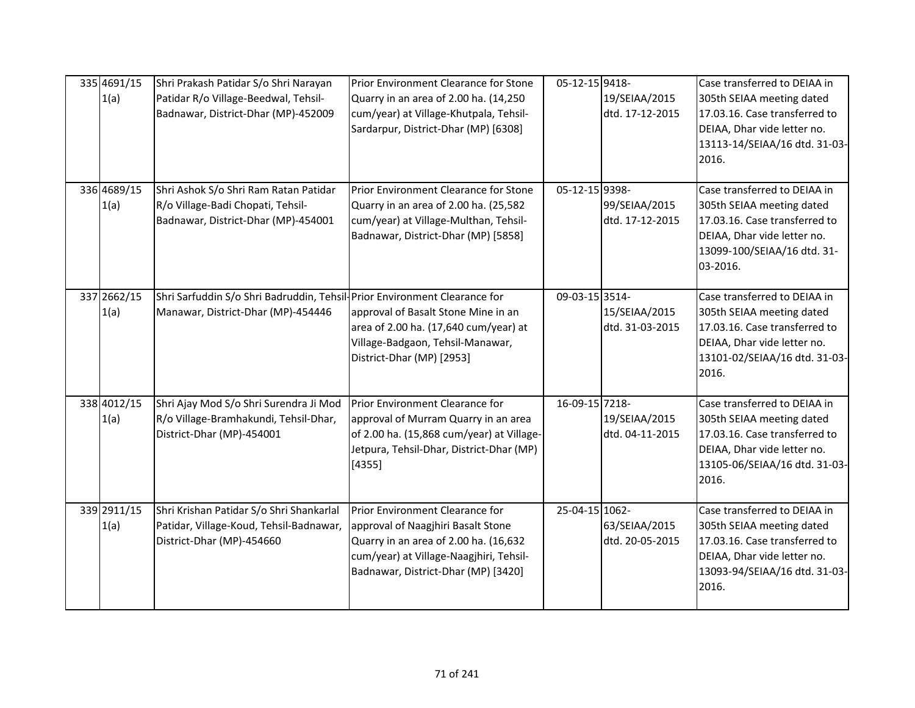| 335 4691/15<br>1(a) | Shri Prakash Patidar S/o Shri Narayan<br>Patidar R/o Village-Beedwal, Tehsil-<br>Badnawar, District-Dhar (MP)-452009 | Prior Environment Clearance for Stone<br>Quarry in an area of 2.00 ha. (14,250<br>cum/year) at Village-Khutpala, Tehsil-<br>Sardarpur, District-Dhar (MP) [6308]                                 | 05-12-15 9418- | 19/SEIAA/2015<br>dtd. 17-12-2015 | Case transferred to DEIAA in<br>305th SEIAA meeting dated<br>17.03.16. Case transferred to<br>DEIAA, Dhar vide letter no.<br>13113-14/SEIAA/16 dtd. 31-03-<br>2016.  |
|---------------------|----------------------------------------------------------------------------------------------------------------------|--------------------------------------------------------------------------------------------------------------------------------------------------------------------------------------------------|----------------|----------------------------------|----------------------------------------------------------------------------------------------------------------------------------------------------------------------|
| 336 4689/15<br>1(a) | Shri Ashok S/o Shri Ram Ratan Patidar<br>R/o Village-Badi Chopati, Tehsil-<br>Badnawar, District-Dhar (MP)-454001    | Prior Environment Clearance for Stone<br>Quarry in an area of 2.00 ha. (25,582<br>cum/year) at Village-Multhan, Tehsil-<br>Badnawar, District-Dhar (MP) [5858]                                   | 05-12-15 9398- | 99/SEIAA/2015<br>dtd. 17-12-2015 | Case transferred to DEIAA in<br>305th SEIAA meeting dated<br>17.03.16. Case transferred to<br>DEIAA, Dhar vide letter no.<br>13099-100/SEIAA/16 dtd. 31-<br>03-2016. |
| 337 2662/15<br>1(a) | Shri Sarfuddin S/o Shri Badruddin, Tehsil-Prior Environment Clearance for<br>Manawar, District-Dhar (MP)-454446      | approval of Basalt Stone Mine in an<br>area of 2.00 ha. (17,640 cum/year) at<br>Village-Badgaon, Tehsil-Manawar,<br>District-Dhar (MP) [2953]                                                    | 09-03-15 3514- | 15/SEIAA/2015<br>dtd. 31-03-2015 | Case transferred to DEIAA in<br>305th SEIAA meeting dated<br>17.03.16. Case transferred to<br>DEIAA, Dhar vide letter no.<br>13101-02/SEIAA/16 dtd. 31-03-<br>2016.  |
| 338 4012/15<br>1(a) | Shri Ajay Mod S/o Shri Surendra Ji Mod<br>R/o Village-Bramhakundi, Tehsil-Dhar,<br>District-Dhar (MP)-454001         | Prior Environment Clearance for<br>approval of Murram Quarry in an area<br>of 2.00 ha. (15,868 cum/year) at Village-<br>Jetpura, Tehsil-Dhar, District-Dhar (MP)<br>[4355]                       | 16-09-15 7218- | 19/SEIAA/2015<br>dtd. 04-11-2015 | Case transferred to DEIAA in<br>305th SEIAA meeting dated<br>17.03.16. Case transferred to<br>DEIAA, Dhar vide letter no.<br>13105-06/SEIAA/16 dtd. 31-03-<br>2016.  |
| 339 2911/15<br>1(a) | Shri Krishan Patidar S/o Shri Shankarlal<br>Patidar, Village-Koud, Tehsil-Badnawar,<br>District-Dhar (MP)-454660     | Prior Environment Clearance for<br>approval of Naagjhiri Basalt Stone<br>Quarry in an area of 2.00 ha. (16,632<br>cum/year) at Village-Naagjhiri, Tehsil-<br>Badnawar, District-Dhar (MP) [3420] | 25-04-15 1062- | 63/SEIAA/2015<br>dtd. 20-05-2015 | Case transferred to DEIAA in<br>305th SEIAA meeting dated<br>17.03.16. Case transferred to<br>DEIAA, Dhar vide letter no.<br>13093-94/SEIAA/16 dtd. 31-03-<br>2016.  |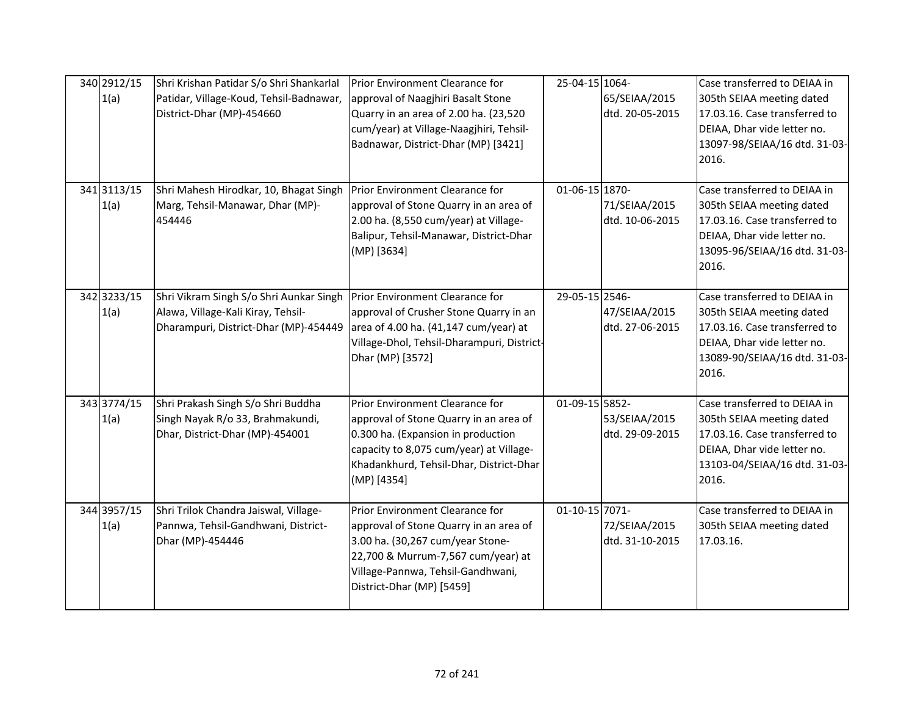| 340 2912/15<br>1(a) | Shri Krishan Patidar S/o Shri Shankarlal<br>Patidar, Village-Koud, Tehsil-Badnawar,<br>District-Dhar (MP)-454660       | Prior Environment Clearance for<br>approval of Naagjhiri Basalt Stone<br>Quarry in an area of 2.00 ha. (23,520<br>cum/year) at Village-Naagjhiri, Tehsil-<br>Badnawar, District-Dhar (MP) [3421]                      | 25-04-15 1064- | 65/SEIAA/2015<br>dtd. 20-05-2015 | Case transferred to DEIAA in<br>305th SEIAA meeting dated<br>17.03.16. Case transferred to<br>DEIAA, Dhar vide letter no.<br>13097-98/SEIAA/16 dtd. 31-03-<br>2016. |
|---------------------|------------------------------------------------------------------------------------------------------------------------|-----------------------------------------------------------------------------------------------------------------------------------------------------------------------------------------------------------------------|----------------|----------------------------------|---------------------------------------------------------------------------------------------------------------------------------------------------------------------|
| 341 3113/15<br>1(a) | Shri Mahesh Hirodkar, 10, Bhagat Singh<br>Marg, Tehsil-Manawar, Dhar (MP)-<br>454446                                   | Prior Environment Clearance for<br>approval of Stone Quarry in an area of<br>2.00 ha. (8,550 cum/year) at Village-<br>Balipur, Tehsil-Manawar, District-Dhar<br>(MP) [3634]                                           | 01-06-15 1870- | 71/SEIAA/2015<br>dtd. 10-06-2015 | Case transferred to DEIAA in<br>305th SEIAA meeting dated<br>17.03.16. Case transferred to<br>DEIAA, Dhar vide letter no.<br>13095-96/SEIAA/16 dtd. 31-03-<br>2016. |
| 342 3233/15<br>1(a) | Shri Vikram Singh S/o Shri Aunkar Singh<br>Alawa, Village-Kali Kiray, Tehsil-<br>Dharampuri, District-Dhar (MP)-454449 | Prior Environment Clearance for<br>approval of Crusher Stone Quarry in an<br>area of 4.00 ha. (41,147 cum/year) at<br>Village-Dhol, Tehsil-Dharampuri, District-<br>Dhar (MP) [3572]                                  | 29-05-15 2546- | 47/SEIAA/2015<br>dtd. 27-06-2015 | Case transferred to DEIAA in<br>305th SEIAA meeting dated<br>17.03.16. Case transferred to<br>DEIAA, Dhar vide letter no.<br>13089-90/SEIAA/16 dtd. 31-03-<br>2016. |
| 343 3774/15<br>1(a) | Shri Prakash Singh S/o Shri Buddha<br>Singh Nayak R/o 33, Brahmakundi,<br>Dhar, District-Dhar (MP)-454001              | Prior Environment Clearance for<br>approval of Stone Quarry in an area of<br>0.300 ha. (Expansion in production<br>capacity to 8,075 cum/year) at Village-<br>Khadankhurd, Tehsil-Dhar, District-Dhar<br>(MP) [4354]  | 01-09-15 5852- | 53/SEIAA/2015<br>dtd. 29-09-2015 | Case transferred to DEIAA in<br>305th SEIAA meeting dated<br>17.03.16. Case transferred to<br>DEIAA, Dhar vide letter no.<br>13103-04/SEIAA/16 dtd. 31-03-<br>2016. |
| 344 3957/15<br>1(a) | Shri Trilok Chandra Jaiswal, Village-<br>Pannwa, Tehsil-Gandhwani, District-<br>Dhar (MP)-454446                       | Prior Environment Clearance for<br>approval of Stone Quarry in an area of<br>3.00 ha. (30,267 cum/year Stone-<br>22,700 & Murrum-7,567 cum/year) at<br>Village-Pannwa, Tehsil-Gandhwani,<br>District-Dhar (MP) [5459] | 01-10-15 7071- | 72/SEIAA/2015<br>dtd. 31-10-2015 | Case transferred to DEIAA in<br>305th SEIAA meeting dated<br>17.03.16.                                                                                              |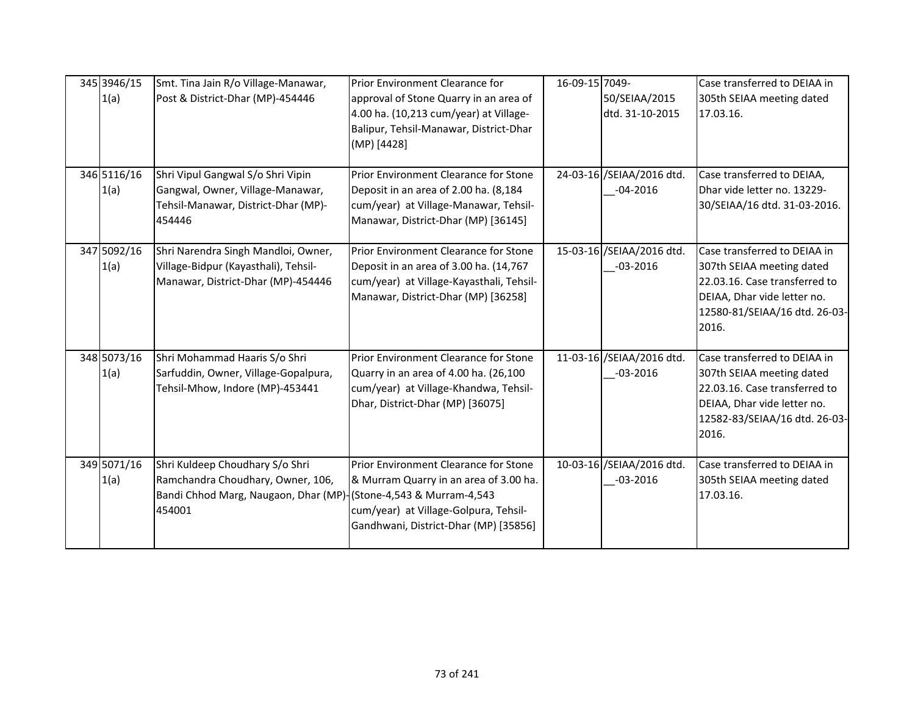| 345 3946/15<br>1(a) | Smt. Tina Jain R/o Village-Manawar,<br>Post & District-Dhar (MP)-454446                                                                            | Prior Environment Clearance for<br>approval of Stone Quarry in an area of<br>4.00 ha. (10,213 cum/year) at Village-<br>Balipur, Tehsil-Manawar, District-Dhar<br>(MP) [4428] | 16-09-15 7049-<br>50/SEIAA/2015<br>dtd. 31-10-2015 | Case transferred to DEIAA in<br>305th SEIAA meeting dated<br>17.03.16.                                                                                              |
|---------------------|----------------------------------------------------------------------------------------------------------------------------------------------------|------------------------------------------------------------------------------------------------------------------------------------------------------------------------------|----------------------------------------------------|---------------------------------------------------------------------------------------------------------------------------------------------------------------------|
| 346 5116/16<br>1(a) | Shri Vipul Gangwal S/o Shri Vipin<br>Gangwal, Owner, Village-Manawar,<br>Tehsil-Manawar, District-Dhar (MP)-<br>454446                             | Prior Environment Clearance for Stone<br>Deposit in an area of 2.00 ha. (8,184<br>cum/year) at Village-Manawar, Tehsil-<br>Manawar, District-Dhar (MP) [36145]               | 24-03-16 / SEIAA/2016 dtd.<br>$-04 - 2016$         | Case transferred to DEIAA,<br>Dhar vide letter no. 13229-<br>30/SEIAA/16 dtd. 31-03-2016.                                                                           |
| 347 5092/16<br>1(a) | Shri Narendra Singh Mandloi, Owner,<br>Village-Bidpur (Kayasthali), Tehsil-<br>Manawar, District-Dhar (MP)-454446                                  | Prior Environment Clearance for Stone<br>Deposit in an area of 3.00 ha. (14,767<br>cum/year) at Village-Kayasthali, Tehsil-<br>Manawar, District-Dhar (MP) [36258]           | 15-03-16 / SEIAA/2016 dtd.<br>$-03 - 2016$         | Case transferred to DEIAA in<br>307th SEIAA meeting dated<br>22.03.16. Case transferred to<br>DEIAA, Dhar vide letter no.<br>12580-81/SEIAA/16 dtd. 26-03-<br>2016. |
| 348 5073/16<br>1(a) | Shri Mohammad Haaris S/o Shri<br>Sarfuddin, Owner, Village-Gopalpura,<br>Tehsil-Mhow, Indore (MP)-453441                                           | Prior Environment Clearance for Stone<br>Quarry in an area of 4.00 ha. (26,100<br>cum/year) at Village-Khandwa, Tehsil-<br>Dhar, District-Dhar (MP) [36075]                  | 11-03-16 / SEIAA/2016 dtd.<br>$-03 - 2016$         | Case transferred to DEIAA in<br>307th SEIAA meeting dated<br>22.03.16. Case transferred to<br>DEIAA, Dhar vide letter no.<br>12582-83/SEIAA/16 dtd. 26-03-<br>2016. |
| 349 5071/16<br>1(a) | Shri Kuldeep Choudhary S/o Shri<br>Ramchandra Choudhary, Owner, 106,<br>Bandi Chhod Marg, Naugaon, Dhar (MP)-(Stone-4,543 & Murram-4,543<br>454001 | Prior Environment Clearance for Stone<br>& Murram Quarry in an area of 3.00 ha.<br>cum/year) at Village-Golpura, Tehsil-<br>Gandhwani, District-Dhar (MP) [35856]            | 10-03-16 /SEIAA/2016 dtd.<br>$-03 - 2016$          | Case transferred to DEIAA in<br>305th SEIAA meeting dated<br>17.03.16.                                                                                              |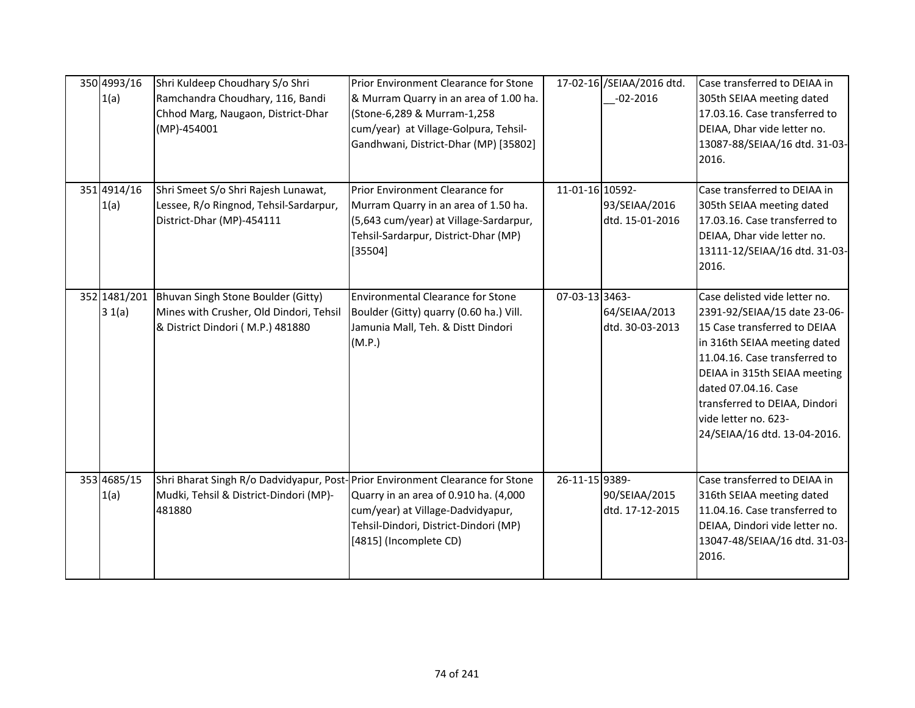| 350 4993/16<br>1(a)    | Shri Kuldeep Choudhary S/o Shri<br>Ramchandra Choudhary, 116, Bandi<br>Chhod Marg, Naugaon, District-Dhar<br>$(MP) - 454001$      | Prior Environment Clearance for Stone<br>& Murram Quarry in an area of 1.00 ha.<br>(Stone-6,289 & Murram-1,258<br>cum/year) at Village-Golpura, Tehsil-<br>Gandhwani, District-Dhar (MP) [35802] | 17-02-16 /SEIAA/2016 dtd.<br>$-02 - 2016$           | Case transferred to DEIAA in<br>305th SEIAA meeting dated<br>17.03.16. Case transferred to<br>DEIAA, Dhar vide letter no.<br>13087-88/SEIAA/16 dtd. 31-03-<br>2016.                                                                                                                                             |
|------------------------|-----------------------------------------------------------------------------------------------------------------------------------|--------------------------------------------------------------------------------------------------------------------------------------------------------------------------------------------------|-----------------------------------------------------|-----------------------------------------------------------------------------------------------------------------------------------------------------------------------------------------------------------------------------------------------------------------------------------------------------------------|
| 351 4914/16<br>1(a)    | Shri Smeet S/o Shri Rajesh Lunawat,<br>Lessee, R/o Ringnod, Tehsil-Sardarpur,<br>District-Dhar (MP)-454111                        | Prior Environment Clearance for<br>Murram Quarry in an area of 1.50 ha.<br>(5,643 cum/year) at Village-Sardarpur,<br>Tehsil-Sardarpur, District-Dhar (MP)<br>[35504]                             | 11-01-16 10592-<br>93/SEIAA/2016<br>dtd. 15-01-2016 | Case transferred to DEIAA in<br>305th SEIAA meeting dated<br>17.03.16. Case transferred to<br>DEIAA, Dhar vide letter no.<br>13111-12/SEIAA/16 dtd. 31-03-<br>2016.                                                                                                                                             |
| 352 1481/201<br>3 1(a) | Bhuvan Singh Stone Boulder (Gitty)<br>Mines with Crusher, Old Dindori, Tehsil<br>& District Dindori (M.P.) 481880                 | <b>Environmental Clearance for Stone</b><br>Boulder (Gitty) quarry (0.60 ha.) Vill.<br>Jamunia Mall, Teh. & Distt Dindori<br>(M.P.)                                                              | 07-03-13 3463-<br>64/SEIAA/2013<br>dtd. 30-03-2013  | Case delisted vide letter no.<br>2391-92/SEIAA/15 date 23-06-<br>15 Case transferred to DEIAA<br>in 316th SEIAA meeting dated<br>11.04.16. Case transferred to<br>DEIAA in 315th SEIAA meeting<br>dated 07.04.16. Case<br>transferred to DEIAA, Dindori<br>vide letter no. 623-<br>24/SEIAA/16 dtd. 13-04-2016. |
| 353 4685/15<br>1(a)    | Shri Bharat Singh R/o Dadvidyapur, Post-Prior Environment Clearance for Stone<br>Mudki, Tehsil & District-Dindori (MP)-<br>481880 | Quarry in an area of 0.910 ha. (4,000<br>cum/year) at Village-Dadvidyapur,<br>Tehsil-Dindori, District-Dindori (MP)<br>[4815] (Incomplete CD)                                                    | 26-11-15 9389-<br>90/SEIAA/2015<br>dtd. 17-12-2015  | Case transferred to DEIAA in<br>316th SEIAA meeting dated<br>11.04.16. Case transferred to<br>DEIAA, Dindori vide letter no.<br>13047-48/SEIAA/16 dtd. 31-03-<br>2016.                                                                                                                                          |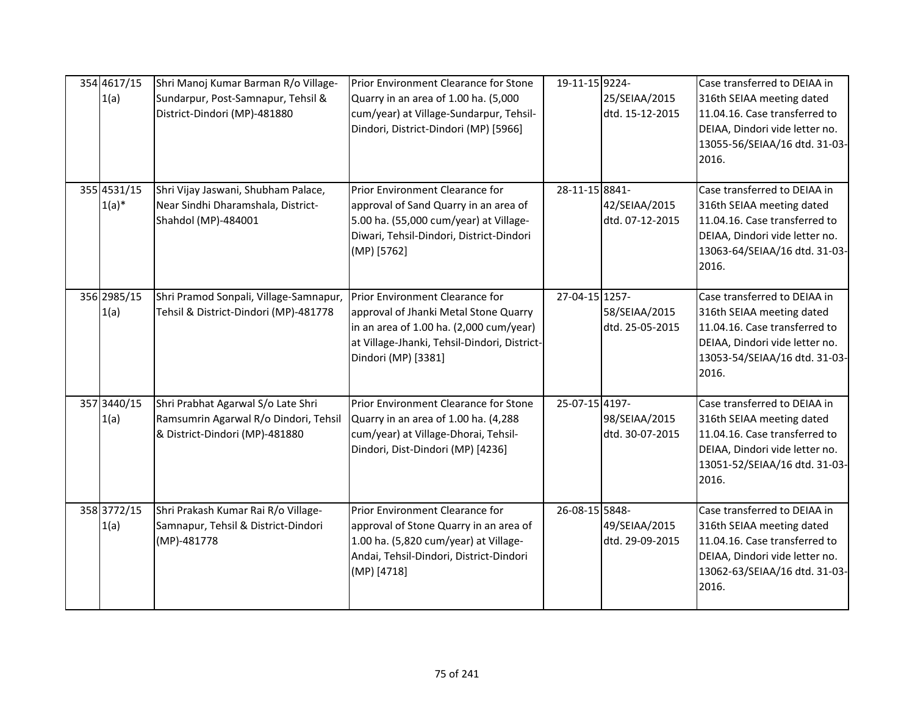| 354 4617/15<br>1(a)     | Shri Manoj Kumar Barman R/o Village-<br>Sundarpur, Post-Samnapur, Tehsil &<br>District-Dindori (MP)-481880    | Prior Environment Clearance for Stone<br>Quarry in an area of 1.00 ha. (5,000<br>cum/year) at Village-Sundarpur, Tehsil-<br>Dindori, District-Dindori (MP) [5966]                                    | 19-11-15 9224- | 25/SEIAA/2015<br>dtd. 15-12-2015 | Case transferred to DEIAA in<br>316th SEIAA meeting dated<br>11.04.16. Case transferred to<br>DEIAA, Dindori vide letter no.<br>13055-56/SEIAA/16 dtd. 31-03-<br>2016. |
|-------------------------|---------------------------------------------------------------------------------------------------------------|------------------------------------------------------------------------------------------------------------------------------------------------------------------------------------------------------|----------------|----------------------------------|------------------------------------------------------------------------------------------------------------------------------------------------------------------------|
| 355 4531/15<br>$1(a)^*$ | Shri Vijay Jaswani, Shubham Palace,<br>Near Sindhi Dharamshala, District-<br>Shahdol (MP)-484001              | Prior Environment Clearance for<br>approval of Sand Quarry in an area of<br>5.00 ha. (55,000 cum/year) at Village-<br>Diwari, Tehsil-Dindori, District-Dindori<br>(MP) [5762]                        | 28-11-15 8841- | 42/SEIAA/2015<br>dtd. 07-12-2015 | Case transferred to DEIAA in<br>316th SEIAA meeting dated<br>11.04.16. Case transferred to<br>DEIAA, Dindori vide letter no.<br>13063-64/SEIAA/16 dtd. 31-03-<br>2016. |
| 356 2985/15<br>1(a)     | Shri Pramod Sonpali, Village-Samnapur,<br>Tehsil & District-Dindori (MP)-481778                               | Prior Environment Clearance for<br>approval of Jhanki Metal Stone Quarry<br>in an area of 1.00 ha. $(2,000 \text{ cum/year})$<br>at Village-Jhanki, Tehsil-Dindori, District-<br>Dindori (MP) [3381] | 27-04-15 1257- | 58/SEIAA/2015<br>dtd. 25-05-2015 | Case transferred to DEIAA in<br>316th SEIAA meeting dated<br>11.04.16. Case transferred to<br>DEIAA, Dindori vide letter no.<br>13053-54/SEIAA/16 dtd. 31-03-<br>2016. |
| 357 3440/15<br>1(a)     | Shri Prabhat Agarwal S/o Late Shri<br>Ramsumrin Agarwal R/o Dindori, Tehsil<br>& District-Dindori (MP)-481880 | Prior Environment Clearance for Stone<br>Quarry in an area of 1.00 ha. (4,288<br>cum/year) at Village-Dhorai, Tehsil-<br>Dindori, Dist-Dindori (MP) [4236]                                           | 25-07-15 4197- | 98/SEIAA/2015<br>dtd. 30-07-2015 | Case transferred to DEIAA in<br>316th SEIAA meeting dated<br>11.04.16. Case transferred to<br>DEIAA, Dindori vide letter no.<br>13051-52/SEIAA/16 dtd. 31-03-<br>2016. |
| 358 3772/15<br>1(a)     | Shri Prakash Kumar Rai R/o Village-<br>Samnapur, Tehsil & District-Dindori<br>(MP)-481778                     | Prior Environment Clearance for<br>approval of Stone Quarry in an area of<br>1.00 ha. (5,820 cum/year) at Village-<br>Andai, Tehsil-Dindori, District-Dindori<br>(MP) [4718]                         | 26-08-15 5848- | 49/SEIAA/2015<br>dtd. 29-09-2015 | Case transferred to DEIAA in<br>316th SEIAA meeting dated<br>11.04.16. Case transferred to<br>DEIAA, Dindori vide letter no.<br>13062-63/SEIAA/16 dtd. 31-03-<br>2016. |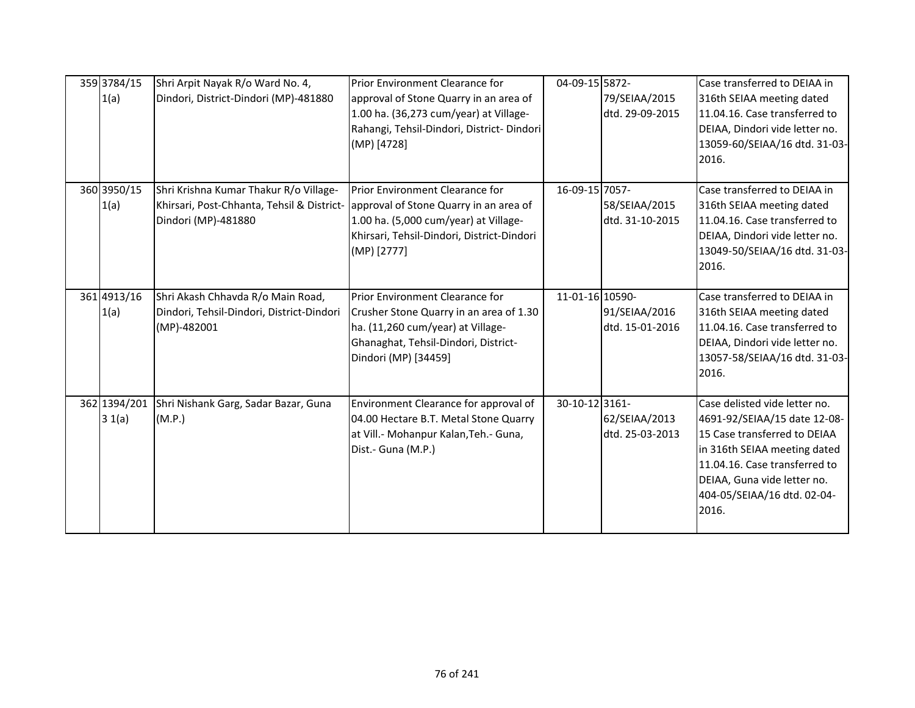| 359 3784/15<br>1(a)    | Shri Arpit Nayak R/o Ward No. 4,<br>Dindori, District-Dindori (MP)-481880                                   | Prior Environment Clearance for<br>approval of Stone Quarry in an area of<br>1.00 ha. (36,273 cum/year) at Village-<br>Rahangi, Tehsil-Dindori, District-Dindori<br>(MP) [4728] | 04-09-15 5872-  | 79/SEIAA/2015<br>dtd. 29-09-2015 | Case transferred to DEIAA in<br>316th SEIAA meeting dated<br>11.04.16. Case transferred to<br>DEIAA, Dindori vide letter no.<br>13059-60/SEIAA/16 dtd. 31-03-<br>2016.                                                                |
|------------------------|-------------------------------------------------------------------------------------------------------------|---------------------------------------------------------------------------------------------------------------------------------------------------------------------------------|-----------------|----------------------------------|---------------------------------------------------------------------------------------------------------------------------------------------------------------------------------------------------------------------------------------|
| 360 3950/15<br>1(a)    | Shri Krishna Kumar Thakur R/o Village-<br>Khirsari, Post-Chhanta, Tehsil & District-<br>Dindori (MP)-481880 | Prior Environment Clearance for<br>approval of Stone Quarry in an area of<br>1.00 ha. (5,000 cum/year) at Village-<br>Khirsari, Tehsil-Dindori, District-Dindori<br>(MP) [2777] | 16-09-15 7057-  | 58/SEIAA/2015<br>dtd. 31-10-2015 | Case transferred to DEIAA in<br>316th SEIAA meeting dated<br>11.04.16. Case transferred to<br>DEIAA, Dindori vide letter no.<br>13049-50/SEIAA/16 dtd. 31-03-<br>2016.                                                                |
| 361 4913/16<br>1(a)    | Shri Akash Chhavda R/o Main Road,<br>Dindori, Tehsil-Dindori, District-Dindori<br>(MP)-482001               | Prior Environment Clearance for<br>Crusher Stone Quarry in an area of 1.30<br>ha. (11,260 cum/year) at Village-<br>Ghanaghat, Tehsil-Dindori, District-<br>Dindori (MP) [34459] | 11-01-16 10590- | 91/SEIAA/2016<br>dtd. 15-01-2016 | Case transferred to DEIAA in<br>316th SEIAA meeting dated<br>11.04.16. Case transferred to<br>DEIAA, Dindori vide letter no.<br>13057-58/SEIAA/16 dtd. 31-03-<br>2016.                                                                |
| 362 1394/201<br>3 1(a) | Shri Nishank Garg, Sadar Bazar, Guna<br>(M.P.)                                                              | Environment Clearance for approval of<br>04.00 Hectare B.T. Metal Stone Quarry<br>at Vill.- Mohanpur Kalan, Teh.- Guna,<br>Dist.- Guna (M.P.)                                   | 30-10-12 3161-  | 62/SEIAA/2013<br>dtd. 25-03-2013 | Case delisted vide letter no.<br>4691-92/SEIAA/15 date 12-08-<br>15 Case transferred to DEIAA<br>in 316th SEIAA meeting dated<br>11.04.16. Case transferred to<br>DEIAA, Guna vide letter no.<br>404-05/SEIAA/16 dtd. 02-04-<br>2016. |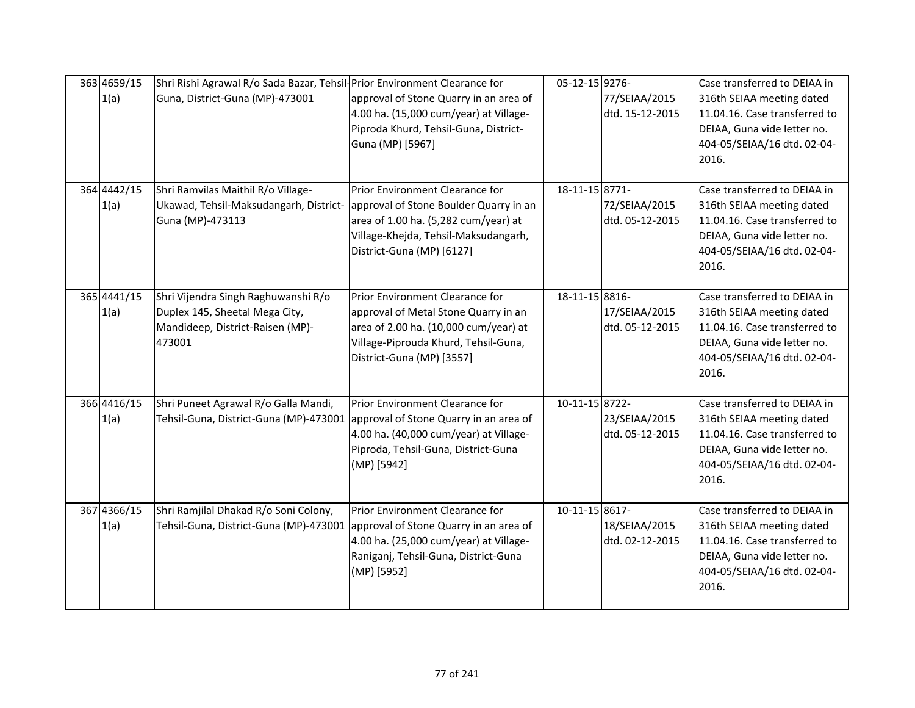| 363 4659/15<br>1(a) | Shri Rishi Agrawal R/o Sada Bazar, Tehsil-Prior Environment Clearance for<br>Guna, District-Guna (MP)-473001        | approval of Stone Quarry in an area of<br>4.00 ha. (15,000 cum/year) at Village-<br>Piproda Khurd, Tehsil-Guna, District-<br>Guna (MP) [5967]                                          | 05-12-15 9276- | 77/SEIAA/2015<br>dtd. 15-12-2015 | Case transferred to DEIAA in<br>316th SEIAA meeting dated<br>11.04.16. Case transferred to<br>DEIAA, Guna vide letter no.<br>404-05/SEIAA/16 dtd. 02-04-<br>2016. |
|---------------------|---------------------------------------------------------------------------------------------------------------------|----------------------------------------------------------------------------------------------------------------------------------------------------------------------------------------|----------------|----------------------------------|-------------------------------------------------------------------------------------------------------------------------------------------------------------------|
| 364 4442/15<br>1(a) | Shri Ramvilas Maithil R/o Village-<br>Ukawad, Tehsil-Maksudangarh, District-<br>Guna (MP)-473113                    | Prior Environment Clearance for<br>approval of Stone Boulder Quarry in an<br>area of 1.00 ha. (5,282 cum/year) at<br>Village-Khejda, Tehsil-Maksudangarh,<br>District-Guna (MP) [6127] | 18-11-15 8771- | 72/SEIAA/2015<br>dtd. 05-12-2015 | Case transferred to DEIAA in<br>316th SEIAA meeting dated<br>11.04.16. Case transferred to<br>DEIAA, Guna vide letter no.<br>404-05/SEIAA/16 dtd. 02-04-<br>2016. |
| 365 4441/15<br>1(a) | Shri Vijendra Singh Raghuwanshi R/o<br>Duplex 145, Sheetal Mega City,<br>Mandideep, District-Raisen (MP)-<br>473001 | Prior Environment Clearance for<br>approval of Metal Stone Quarry in an<br>area of 2.00 ha. (10,000 cum/year) at<br>Village-Piprouda Khurd, Tehsil-Guna,<br>District-Guna (MP) [3557]  | 18-11-15 8816- | 17/SEIAA/2015<br>dtd. 05-12-2015 | Case transferred to DEIAA in<br>316th SEIAA meeting dated<br>11.04.16. Case transferred to<br>DEIAA, Guna vide letter no.<br>404-05/SEIAA/16 dtd. 02-04-<br>2016. |
| 366 4416/15<br>1(a) | Shri Puneet Agrawal R/o Galla Mandi,<br>Tehsil-Guna, District-Guna (MP)-473001                                      | Prior Environment Clearance for<br>approval of Stone Quarry in an area of<br>4.00 ha. (40,000 cum/year) at Village-<br>Piproda, Tehsil-Guna, District-Guna<br>(MP) [5942]              | 10-11-15 8722- | 23/SEIAA/2015<br>dtd. 05-12-2015 | Case transferred to DEIAA in<br>316th SEIAA meeting dated<br>11.04.16. Case transferred to<br>DEIAA, Guna vide letter no.<br>404-05/SEIAA/16 dtd. 02-04-<br>2016. |
| 367 4366/15<br>1(a) | Shri Ramjilal Dhakad R/o Soni Colony,<br>Tehsil-Guna, District-Guna (MP)-473001                                     | Prior Environment Clearance for<br>approval of Stone Quarry in an area of<br>4.00 ha. (25,000 cum/year) at Village-<br>Raniganj, Tehsil-Guna, District-Guna<br>(MP) [5952]             | 10-11-15 8617- | 18/SEIAA/2015<br>dtd. 02-12-2015 | Case transferred to DEIAA in<br>316th SEIAA meeting dated<br>11.04.16. Case transferred to<br>DEIAA, Guna vide letter no.<br>404-05/SEIAA/16 dtd. 02-04-<br>2016. |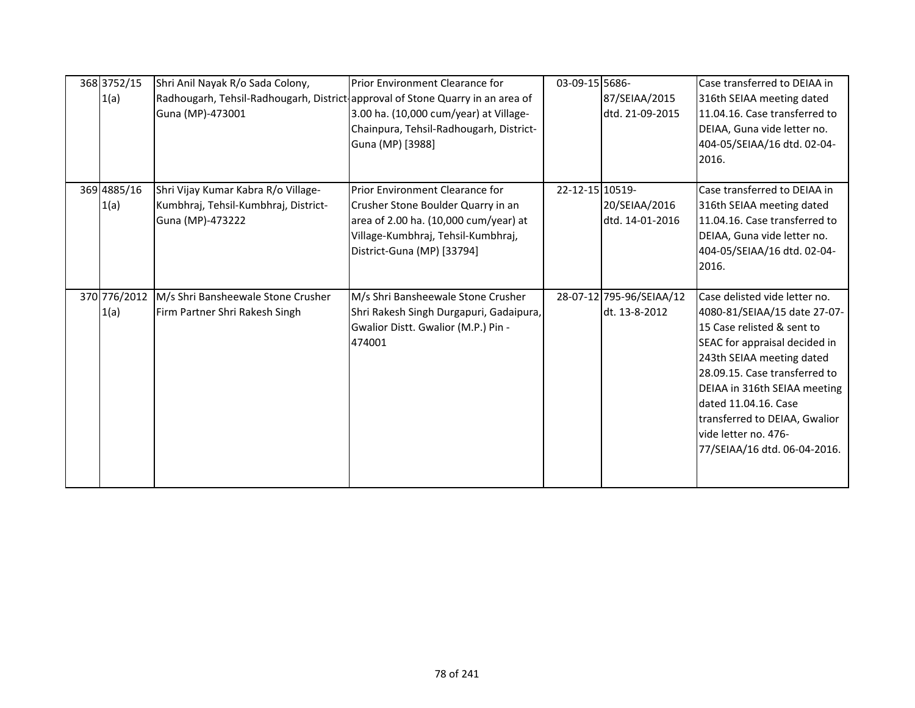| 368 3752/15<br>1(a)  | Shri Anil Nayak R/o Sada Colony,<br>Radhougarh, Tehsil-Radhougarh, District approval of Stone Quarry in an area of<br>Guna (MP)-473001 | Prior Environment Clearance for<br>3.00 ha. (10,000 cum/year) at Village-<br>Chainpura, Tehsil-Radhougarh, District-<br>Guna (MP) [3988]                                           | 03-09-15 5686-  | 87/SEIAA/2015<br>dtd. 21-09-2015          | Case transferred to DEIAA in<br>316th SEIAA meeting dated<br>11.04.16. Case transferred to<br>DEIAA, Guna vide letter no.<br>404-05/SEIAA/16 dtd. 02-04-<br>2016.                                                                                                                                                                           |
|----------------------|----------------------------------------------------------------------------------------------------------------------------------------|------------------------------------------------------------------------------------------------------------------------------------------------------------------------------------|-----------------|-------------------------------------------|---------------------------------------------------------------------------------------------------------------------------------------------------------------------------------------------------------------------------------------------------------------------------------------------------------------------------------------------|
| 369 4885/16<br>1(a)  | Shri Vijay Kumar Kabra R/o Village-<br>Kumbhraj, Tehsil-Kumbhraj, District-<br>Guna (MP)-473222                                        | Prior Environment Clearance for<br>Crusher Stone Boulder Quarry in an<br>area of 2.00 ha. (10,000 cum/year) at<br>Village-Kumbhraj, Tehsil-Kumbhraj,<br>District-Guna (MP) [33794] | 22-12-15 10519- | 20/SEIAA/2016<br>dtd. 14-01-2016          | Case transferred to DEIAA in<br>316th SEIAA meeting dated<br>11.04.16. Case transferred to<br>DEIAA, Guna vide letter no.<br>404-05/SEIAA/16 dtd. 02-04-<br>2016.                                                                                                                                                                           |
| 370 776/2012<br>1(a) | M/s Shri Bansheewale Stone Crusher<br>Firm Partner Shri Rakesh Singh                                                                   | M/s Shri Bansheewale Stone Crusher<br>Shri Rakesh Singh Durgapuri, Gadaipura,<br>Gwalior Distt. Gwalior (M.P.) Pin -<br>474001                                                     |                 | 28-07-12 795-96/SEIAA/12<br>dt. 13-8-2012 | Case delisted vide letter no.<br>4080-81/SEIAA/15 date 27-07-<br>15 Case relisted & sent to<br>SEAC for appraisal decided in<br>243th SEIAA meeting dated<br>28.09.15. Case transferred to<br>DEIAA in 316th SEIAA meeting<br>dated 11.04.16. Case<br>transferred to DEIAA, Gwalior<br>vide letter no. 476-<br>77/SEIAA/16 dtd. 06-04-2016. |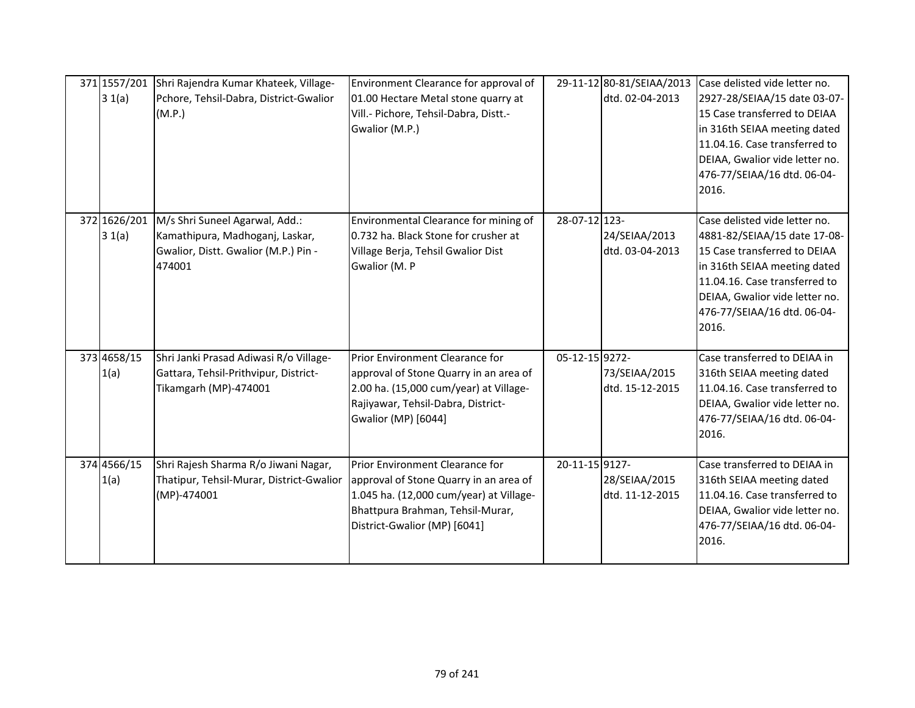| 371 1557/201<br>3 1(a) | Shri Rajendra Kumar Khateek, Village-<br>Pchore, Tehsil-Dabra, District-Gwalior<br>(M.P.)                           | Environment Clearance for approval of<br>01.00 Hectare Metal stone quarry at<br>Vill.- Pichore, Tehsil-Dabra, Distt.-<br>Gwalior (M.P.)                                                  |                | 29-11-12 80-81/SEIAA/2013<br>dtd. 02-04-2013 | Case delisted vide letter no.<br>2927-28/SEIAA/15 date 03-07-<br>15 Case transferred to DEIAA<br>in 316th SEIAA meeting dated<br>11.04.16. Case transferred to<br>DEIAA, Gwalior vide letter no.<br>476-77/SEIAA/16 dtd. 06-04-<br>2016. |
|------------------------|---------------------------------------------------------------------------------------------------------------------|------------------------------------------------------------------------------------------------------------------------------------------------------------------------------------------|----------------|----------------------------------------------|------------------------------------------------------------------------------------------------------------------------------------------------------------------------------------------------------------------------------------------|
| 372 1626/201<br>3 1(a) | M/s Shri Suneel Agarwal, Add.:<br>Kamathipura, Madhoganj, Laskar,<br>Gwalior, Distt. Gwalior (M.P.) Pin -<br>474001 | Environmental Clearance for mining of<br>0.732 ha. Black Stone for crusher at<br>Village Berja, Tehsil Gwalior Dist<br>Gwalior (M. P                                                     | 28-07-12 123-  | 24/SEIAA/2013<br>dtd. 03-04-2013             | Case delisted vide letter no.<br>4881-82/SEIAA/15 date 17-08-<br>15 Case transferred to DEIAA<br>in 316th SEIAA meeting dated<br>11.04.16. Case transferred to<br>DEIAA, Gwalior vide letter no.<br>476-77/SEIAA/16 dtd. 06-04-<br>2016. |
| 373 4658/15<br>1(a)    | Shri Janki Prasad Adiwasi R/o Village-<br>Gattara, Tehsil-Prithvipur, District-<br>Tikamgarh (MP)-474001            | Prior Environment Clearance for<br>approval of Stone Quarry in an area of<br>2.00 ha. (15,000 cum/year) at Village-<br>Rajiyawar, Tehsil-Dabra, District-<br><b>Gwalior (MP)</b> [6044]  | 05-12-15 9272- | 73/SEIAA/2015<br>dtd. 15-12-2015             | Case transferred to DEIAA in<br>316th SEIAA meeting dated<br>11.04.16. Case transferred to<br>DEIAA, Gwalior vide letter no.<br>476-77/SEIAA/16 dtd. 06-04-<br>2016.                                                                     |
| 374 4566/15<br>1(a)    | Shri Rajesh Sharma R/o Jiwani Nagar,<br>Thatipur, Tehsil-Murar, District-Gwalior<br>(MP)-474001                     | Prior Environment Clearance for<br>approval of Stone Quarry in an area of<br>1.045 ha. (12,000 cum/year) at Village-<br>Bhattpura Brahman, Tehsil-Murar,<br>District-Gwalior (MP) [6041] | 20-11-15 9127- | 28/SEIAA/2015<br>dtd. 11-12-2015             | Case transferred to DEIAA in<br>316th SEIAA meeting dated<br>11.04.16. Case transferred to<br>DEIAA, Gwalior vide letter no.<br>476-77/SEIAA/16 dtd. 06-04-<br>2016.                                                                     |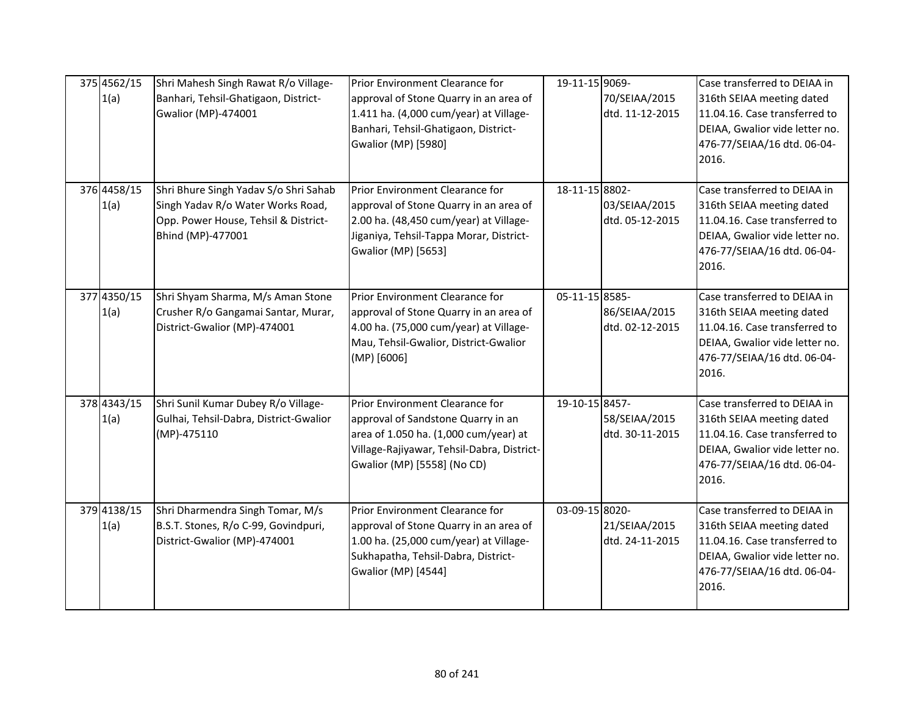| 375 4562/15<br>1(a) | Shri Mahesh Singh Rawat R/o Village-<br>Banhari, Tehsil-Ghatigaon, District-<br><b>Gwalior (MP)-474001</b>                              | Prior Environment Clearance for<br>approval of Stone Quarry in an area of<br>1.411 ha. (4,000 cum/year) at Village-<br>Banhari, Tehsil-Ghatigaon, District-<br><b>Gwalior (MP) [5980]</b>    | 19-11-15 9069- | 70/SEIAA/2015<br>dtd. 11-12-2015 | Case transferred to DEIAA in<br>316th SEIAA meeting dated<br>11.04.16. Case transferred to<br>DEIAA, Gwalior vide letter no.<br>476-77/SEIAA/16 dtd. 06-04-<br>2016. |
|---------------------|-----------------------------------------------------------------------------------------------------------------------------------------|----------------------------------------------------------------------------------------------------------------------------------------------------------------------------------------------|----------------|----------------------------------|----------------------------------------------------------------------------------------------------------------------------------------------------------------------|
| 376 4458/15<br>1(a) | Shri Bhure Singh Yadav S/o Shri Sahab<br>Singh Yadav R/o Water Works Road,<br>Opp. Power House, Tehsil & District-<br>Bhind (MP)-477001 | Prior Environment Clearance for<br>approval of Stone Quarry in an area of<br>2.00 ha. (48,450 cum/year) at Village-<br>Jiganiya, Tehsil-Tappa Morar, District-<br><b>Gwalior (MP) [5653]</b> | 18-11-15 8802- | 03/SEIAA/2015<br>dtd. 05-12-2015 | Case transferred to DEIAA in<br>316th SEIAA meeting dated<br>11.04.16. Case transferred to<br>DEIAA, Gwalior vide letter no.<br>476-77/SEIAA/16 dtd. 06-04-<br>2016. |
| 377 4350/15<br>1(a) | Shri Shyam Sharma, M/s Aman Stone<br>Crusher R/o Gangamai Santar, Murar,<br>District-Gwalior (MP)-474001                                | Prior Environment Clearance for<br>approval of Stone Quarry in an area of<br>4.00 ha. (75,000 cum/year) at Village-<br>Mau, Tehsil-Gwalior, District-Gwalior<br>(MP) [6006]                  | 05-11-15 8585- | 86/SEIAA/2015<br>dtd. 02-12-2015 | Case transferred to DEIAA in<br>316th SEIAA meeting dated<br>11.04.16. Case transferred to<br>DEIAA, Gwalior vide letter no.<br>476-77/SEIAA/16 dtd. 06-04-<br>2016. |
| 378 4343/15<br>1(a) | Shri Sunil Kumar Dubey R/o Village-<br>Gulhai, Tehsil-Dabra, District-Gwalior<br>(MP)-475110                                            | Prior Environment Clearance for<br>approval of Sandstone Quarry in an<br>area of 1.050 ha. (1,000 cum/year) at<br>Village-Rajiyawar, Tehsil-Dabra, District-<br>Gwalior (MP) [5558] (No CD)  | 19-10-15 8457- | 58/SEIAA/2015<br>dtd. 30-11-2015 | Case transferred to DEIAA in<br>316th SEIAA meeting dated<br>11.04.16. Case transferred to<br>DEIAA, Gwalior vide letter no.<br>476-77/SEIAA/16 dtd. 06-04-<br>2016. |
| 379 4138/15<br>1(a) | Shri Dharmendra Singh Tomar, M/s<br>B.S.T. Stones, R/o C-99, Govindpuri,<br>District-Gwalior (MP)-474001                                | Prior Environment Clearance for<br>approval of Stone Quarry in an area of<br>1.00 ha. (25,000 cum/year) at Village-<br>Sukhapatha, Tehsil-Dabra, District-<br><b>Gwalior (MP)</b> [4544]     | 03-09-15 8020- | 21/SEIAA/2015<br>dtd. 24-11-2015 | Case transferred to DEIAA in<br>316th SEIAA meeting dated<br>11.04.16. Case transferred to<br>DEIAA, Gwalior vide letter no.<br>476-77/SEIAA/16 dtd. 06-04-<br>2016. |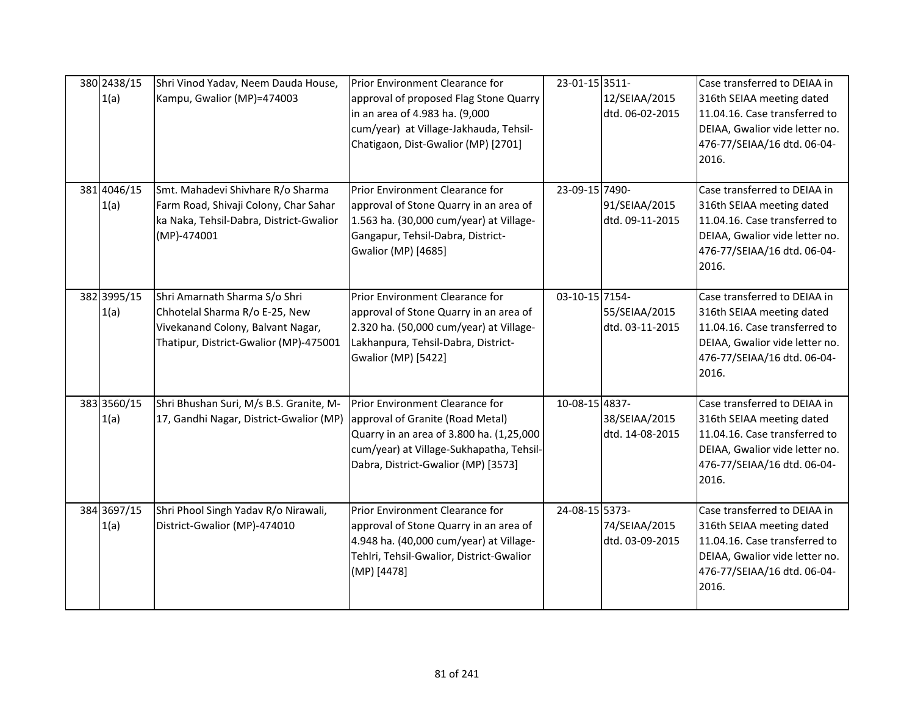| 380 2438/15<br>1(a) | Shri Vinod Yadav, Neem Dauda House,<br>Kampu, Gwalior (MP)=474003                                                                              | Prior Environment Clearance for<br>approval of proposed Flag Stone Quarry<br>in an area of 4.983 ha. (9,000<br>cum/year) at Village-Jakhauda, Tehsil-<br>Chatigaon, Dist-Gwalior (MP) [2701]       | 23-01-15 3511- | 12/SEIAA/2015<br>dtd. 06-02-2015 | Case transferred to DEIAA in<br>316th SEIAA meeting dated<br>11.04.16. Case transferred to<br>DEIAA, Gwalior vide letter no.<br>476-77/SEIAA/16 dtd. 06-04-<br>2016. |
|---------------------|------------------------------------------------------------------------------------------------------------------------------------------------|----------------------------------------------------------------------------------------------------------------------------------------------------------------------------------------------------|----------------|----------------------------------|----------------------------------------------------------------------------------------------------------------------------------------------------------------------|
| 381 4046/15<br>1(a) | Smt. Mahadevi Shivhare R/o Sharma<br>Farm Road, Shivaji Colony, Char Sahar<br>ka Naka, Tehsil-Dabra, District-Gwalior<br>$(MP) - 474001$       | Prior Environment Clearance for<br>approval of Stone Quarry in an area of<br>1.563 ha. (30,000 cum/year) at Village-<br>Gangapur, Tehsil-Dabra, District-<br>Gwalior (MP) [4685]                   | 23-09-15 7490- | 91/SEIAA/2015<br>dtd. 09-11-2015 | Case transferred to DEIAA in<br>316th SEIAA meeting dated<br>11.04.16. Case transferred to<br>DEIAA, Gwalior vide letter no.<br>476-77/SEIAA/16 dtd. 06-04-<br>2016. |
| 382 3995/15<br>1(a) | Shri Amarnath Sharma S/o Shri<br>Chhotelal Sharma R/o E-25, New<br>Vivekanand Colony, Balvant Nagar,<br>Thatipur, District-Gwalior (MP)-475001 | Prior Environment Clearance for<br>approval of Stone Quarry in an area of<br>2.320 ha. (50,000 cum/year) at Village-<br>Lakhanpura, Tehsil-Dabra, District-<br><b>Gwalior (MP) [5422]</b>          | 03-10-15 7154- | 55/SEIAA/2015<br>dtd. 03-11-2015 | Case transferred to DEIAA in<br>316th SEIAA meeting dated<br>11.04.16. Case transferred to<br>DEIAA, Gwalior vide letter no.<br>476-77/SEIAA/16 dtd. 06-04-<br>2016. |
| 383 3560/15<br>1(a) | Shri Bhushan Suri, M/s B.S. Granite, M-<br>17, Gandhi Nagar, District-Gwalior (MP)                                                             | Prior Environment Clearance for<br>approval of Granite (Road Metal)<br>Quarry in an area of 3.800 ha. (1,25,000<br>cum/year) at Village-Sukhapatha, Tehsil-<br>Dabra, District-Gwalior (MP) [3573] | 10-08-15 4837- | 38/SEIAA/2015<br>dtd. 14-08-2015 | Case transferred to DEIAA in<br>316th SEIAA meeting dated<br>11.04.16. Case transferred to<br>DEIAA, Gwalior vide letter no.<br>476-77/SEIAA/16 dtd. 06-04-<br>2016. |
| 384 3697/15<br>1(a) | Shri Phool Singh Yadav R/o Nirawali,<br>District-Gwalior (MP)-474010                                                                           | Prior Environment Clearance for<br>approval of Stone Quarry in an area of<br>4.948 ha. (40,000 cum/year) at Village-<br>Tehlri, Tehsil-Gwalior, District-Gwalior<br>(MP) [4478]                    | 24-08-15 5373- | 74/SEIAA/2015<br>dtd. 03-09-2015 | Case transferred to DEIAA in<br>316th SEIAA meeting dated<br>11.04.16. Case transferred to<br>DEIAA, Gwalior vide letter no.<br>476-77/SEIAA/16 dtd. 06-04-<br>2016. |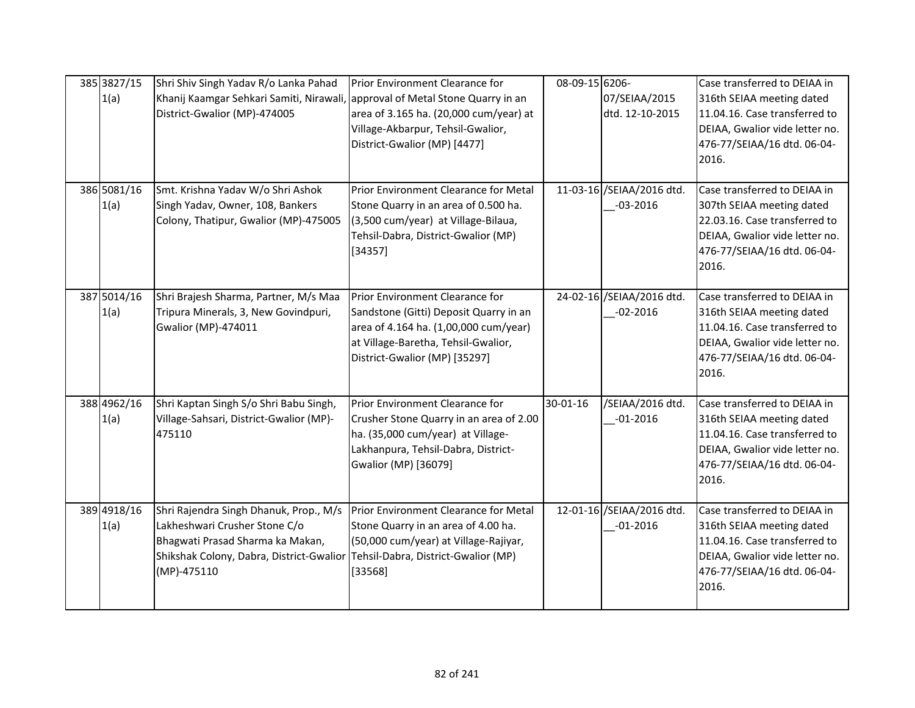| 385 3827/15<br>1(a) | Shri Shiv Singh Yadav R/o Lanka Pahad<br>Khanij Kaamgar Sehkari Samiti, Nirawali, approval of Metal Stone Quarry in an<br>District-Gwalior (MP)-474005                 | Prior Environment Clearance for<br>area of 3.165 ha. (20,000 cum/year) at<br>Village-Akbarpur, Tehsil-Gwalior,<br>District-Gwalior (MP) [4477]                                             | 08-09-15 6206- | 07/SEIAA/2015<br>dtd. 12-10-2015           | Case transferred to DEIAA in<br>316th SEIAA meeting dated<br>11.04.16. Case transferred to<br>DEIAA, Gwalior vide letter no.<br>476-77/SEIAA/16 dtd. 06-04-<br>2016. |
|---------------------|------------------------------------------------------------------------------------------------------------------------------------------------------------------------|--------------------------------------------------------------------------------------------------------------------------------------------------------------------------------------------|----------------|--------------------------------------------|----------------------------------------------------------------------------------------------------------------------------------------------------------------------|
| 386 5081/16<br>1(a) | Smt. Krishna Yadav W/o Shri Ashok<br>Singh Yadav, Owner, 108, Bankers<br>Colony, Thatipur, Gwalior (MP)-475005                                                         | Prior Environment Clearance for Metal<br>Stone Quarry in an area of 0.500 ha.<br>(3,500 cum/year) at Village-Bilaua,<br>Tehsil-Dabra, District-Gwalior (MP)<br>[34357]                     |                | 11-03-16 / SEIAA/2016 dtd.<br>$-03 - 2016$ | Case transferred to DEIAA in<br>307th SEIAA meeting dated<br>22.03.16. Case transferred to<br>DEIAA, Gwalior vide letter no.<br>476-77/SEIAA/16 dtd. 06-04-<br>2016. |
| 387 5014/16<br>1(a) | Shri Brajesh Sharma, Partner, M/s Maa<br>Tripura Minerals, 3, New Govindpuri,<br><b>Gwalior (MP)-474011</b>                                                            | Prior Environment Clearance for<br>Sandstone (Gitti) Deposit Quarry in an<br>area of 4.164 ha. (1,00,000 cum/year)<br>at Village-Baretha, Tehsil-Gwalior,<br>District-Gwalior (MP) [35297] |                | 24-02-16 /SEIAA/2016 dtd.<br>$-02 - 2016$  | Case transferred to DEIAA in<br>316th SEIAA meeting dated<br>11.04.16. Case transferred to<br>DEIAA, Gwalior vide letter no.<br>476-77/SEIAA/16 dtd. 06-04-<br>2016. |
| 388 4962/16<br>1(a) | Shri Kaptan Singh S/o Shri Babu Singh,<br>Village-Sahsari, District-Gwalior (MP)-<br>475110                                                                            | Prior Environment Clearance for<br>Crusher Stone Quarry in an area of 2.00<br>ha. (35,000 cum/year) at Village-<br>Lakhanpura, Tehsil-Dabra, District-<br>Gwalior (MP) [36079]             | 30-01-16       | /SEIAA/2016 dtd.<br>$-01 - 2016$           | Case transferred to DEIAA in<br>316th SEIAA meeting dated<br>11.04.16. Case transferred to<br>DEIAA, Gwalior vide letter no.<br>476-77/SEIAA/16 dtd. 06-04-<br>2016. |
| 389 4918/16<br>1(a) | Shri Rajendra Singh Dhanuk, Prop., M/s<br>Lakheshwari Crusher Stone C/o<br>Bhagwati Prasad Sharma ka Makan,<br>Shikshak Colony, Dabra, District-Gwalior<br>(MP)-475110 | Prior Environment Clearance for Metal<br>Stone Quarry in an area of 4.00 ha.<br>(50,000 cum/year) at Village-Rajiyar,<br>Tehsil-Dabra, District-Gwalior (MP)<br>[33568]                    |                | 12-01-16 / SEIAA/2016 dtd.<br>$-01 - 2016$ | Case transferred to DEIAA in<br>316th SEIAA meeting dated<br>11.04.16. Case transferred to<br>DEIAA, Gwalior vide letter no.<br>476-77/SEIAA/16 dtd. 06-04-<br>2016. |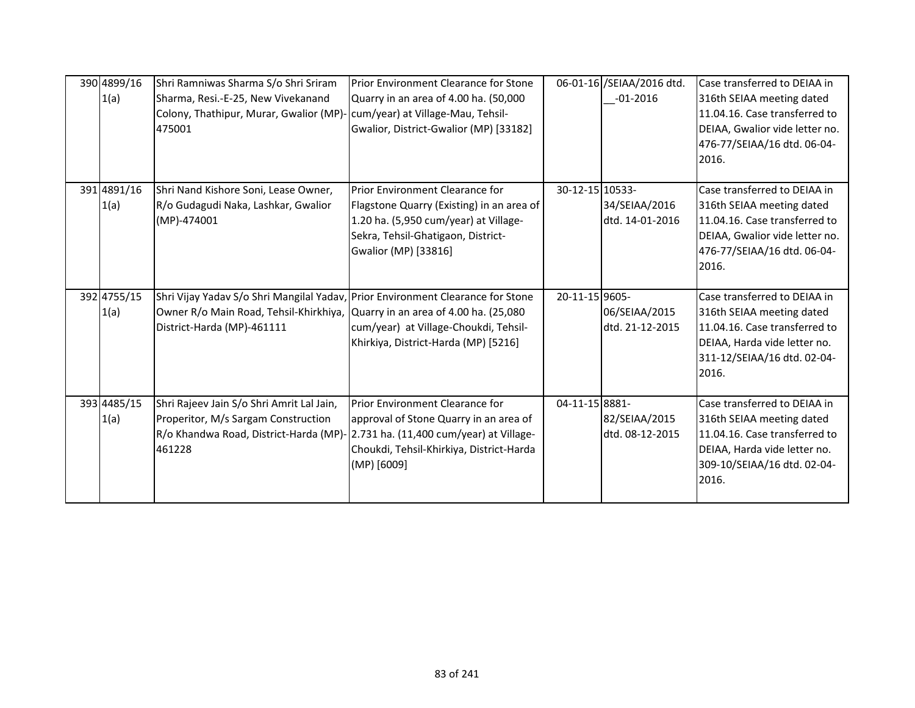| 390 4899/16<br>1(a) | Shri Ramniwas Sharma S/o Shri Sriram<br>Sharma, Resi.-E-25, New Vivekanand<br>Colony, Thathipur, Murar, Gwalior (MP)-<br>475001                                                               | Prior Environment Clearance for Stone<br>Quarry in an area of 4.00 ha. (50,000<br>cum/year) at Village-Mau, Tehsil-<br>Gwalior, District-Gwalior (MP) [33182]                       |                 | 06-01-16 / SEIAA/2016 dtd.<br>$-01 - 2016$ | Case transferred to DEIAA in<br>316th SEIAA meeting dated<br>11.04.16. Case transferred to<br>DEIAA, Gwalior vide letter no.<br>476-77/SEIAA/16 dtd. 06-04-<br>2016. |
|---------------------|-----------------------------------------------------------------------------------------------------------------------------------------------------------------------------------------------|-------------------------------------------------------------------------------------------------------------------------------------------------------------------------------------|-----------------|--------------------------------------------|----------------------------------------------------------------------------------------------------------------------------------------------------------------------|
| 391 4891/16<br>1(a) | Shri Nand Kishore Soni, Lease Owner,<br>R/o Gudagudi Naka, Lashkar, Gwalior<br>(MP)-474001                                                                                                    | Prior Environment Clearance for<br>Flagstone Quarry (Existing) in an area of<br>1.20 ha. (5,950 cum/year) at Village-<br>Sekra, Tehsil-Ghatigaon, District-<br>Gwalior (MP) [33816] | 30-12-15 10533- | 34/SEIAA/2016<br>dtd. 14-01-2016           | Case transferred to DEIAA in<br>316th SEIAA meeting dated<br>11.04.16. Case transferred to<br>DEIAA, Gwalior vide letter no.<br>476-77/SEIAA/16 dtd. 06-04-<br>2016. |
| 392 4755/15<br>1(a) | Shri Vijay Yadav S/o Shri Mangilal Yadav, Prior Environment Clearance for Stone<br>Owner R/o Main Road, Tehsil-Khirkhiya, Quarry in an area of 4.00 ha. (25,080<br>District-Harda (MP)-461111 | cum/year) at Village-Choukdi, Tehsil-<br>Khirkiya, District-Harda (MP) [5216]                                                                                                       | 20-11-15 9605-  | 06/SEIAA/2015<br>dtd. 21-12-2015           | Case transferred to DEIAA in<br>316th SEIAA meeting dated<br>11.04.16. Case transferred to<br>DEIAA, Harda vide letter no.<br>311-12/SEIAA/16 dtd. 02-04-<br>2016.   |
| 393 4485/15<br>1(a) | Shri Rajeev Jain S/o Shri Amrit Lal Jain,<br>Properitor, M/s Sargam Construction<br>R/o Khandwa Road, District-Harda (MP)-<br>461228                                                          | Prior Environment Clearance for<br>approval of Stone Quarry in an area of<br>2.731 ha. (11,400 cum/year) at Village-<br>Choukdi, Tehsil-Khirkiya, District-Harda<br>(MP) [6009]     | 04-11-15 8881-  | 82/SEIAA/2015<br>dtd. 08-12-2015           | Case transferred to DEIAA in<br>316th SEIAA meeting dated<br>11.04.16. Case transferred to<br>DEIAA, Harda vide letter no.<br>309-10/SEIAA/16 dtd. 02-04-<br>2016.   |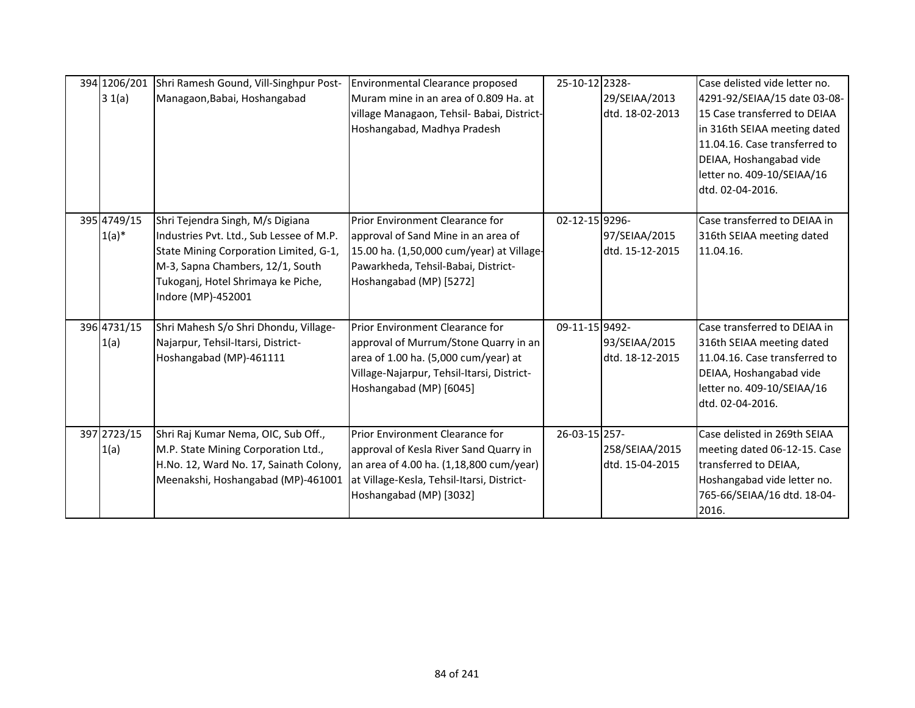| 394 1206/201<br>3 1(a)  | Shri Ramesh Gound, Vill-Singhpur Post-<br>Managaon, Babai, Hoshangabad                                                                                                                                                 | Environmental Clearance proposed<br>Muram mine in an area of 0.809 Ha. at<br>village Managaon, Tehsil- Babai, District-<br>Hoshangabad, Madhya Pradesh                                        | 25-10-12 2328- | 29/SEIAA/2013<br>dtd. 18-02-2013  | Case delisted vide letter no.<br>4291-92/SEIAA/15 date 03-08-<br>15 Case transferred to DEIAA<br>in 316th SEIAA meeting dated<br>11.04.16. Case transferred to<br>DEIAA, Hoshangabad vide<br>letter no. 409-10/SEIAA/16<br>dtd. 02-04-2016. |
|-------------------------|------------------------------------------------------------------------------------------------------------------------------------------------------------------------------------------------------------------------|-----------------------------------------------------------------------------------------------------------------------------------------------------------------------------------------------|----------------|-----------------------------------|---------------------------------------------------------------------------------------------------------------------------------------------------------------------------------------------------------------------------------------------|
| 395 4749/15<br>$1(a)^*$ | Shri Tejendra Singh, M/s Digiana<br>Industries Pvt. Ltd., Sub Lessee of M.P.<br>State Mining Corporation Limited, G-1,<br>M-3, Sapna Chambers, 12/1, South<br>Tukoganj, Hotel Shrimaya ke Piche,<br>Indore (MP)-452001 | Prior Environment Clearance for<br>approval of Sand Mine in an area of<br>15.00 ha. (1,50,000 cum/year) at Village-<br>Pawarkheda, Tehsil-Babai, District-<br>Hoshangabad (MP) [5272]         | 02-12-15 9296- | 97/SEIAA/2015<br>dtd. 15-12-2015  | Case transferred to DEIAA in<br>316th SEIAA meeting dated<br>11.04.16.                                                                                                                                                                      |
| 396 4731/15<br>1(a)     | Shri Mahesh S/o Shri Dhondu, Village-<br>Najarpur, Tehsil-Itarsi, District-<br>Hoshangabad (MP)-461111                                                                                                                 | Prior Environment Clearance for<br>approval of Murrum/Stone Quarry in an<br>area of 1.00 ha. (5,000 cum/year) at<br>Village-Najarpur, Tehsil-Itarsi, District-<br>Hoshangabad (MP) [6045]     | 09-11-15 9492- | 93/SEIAA/2015<br>dtd. 18-12-2015  | Case transferred to DEIAA in<br>316th SEIAA meeting dated<br>11.04.16. Case transferred to<br>DEIAA, Hoshangabad vide<br>letter no. 409-10/SEIAA/16<br>dtd. 02-04-2016.                                                                     |
| 397 2723/15<br>1(a)     | Shri Raj Kumar Nema, OIC, Sub Off.,<br>M.P. State Mining Corporation Ltd.,<br>H.No. 12, Ward No. 17, Sainath Colony,<br>Meenakshi, Hoshangabad (MP)-461001                                                             | Prior Environment Clearance for<br>approval of Kesla River Sand Quarry in<br>an area of 4.00 ha. (1,18,800 cum/year)<br>at Village-Kesla, Tehsil-Itarsi, District-<br>Hoshangabad (MP) [3032] | 26-03-15 257-  | 258/SEIAA/2015<br>dtd. 15-04-2015 | Case delisted in 269th SEIAA<br>meeting dated 06-12-15. Case<br>transferred to DEIAA,<br>Hoshangabad vide letter no.<br>765-66/SEIAA/16 dtd. 18-04-<br>2016.                                                                                |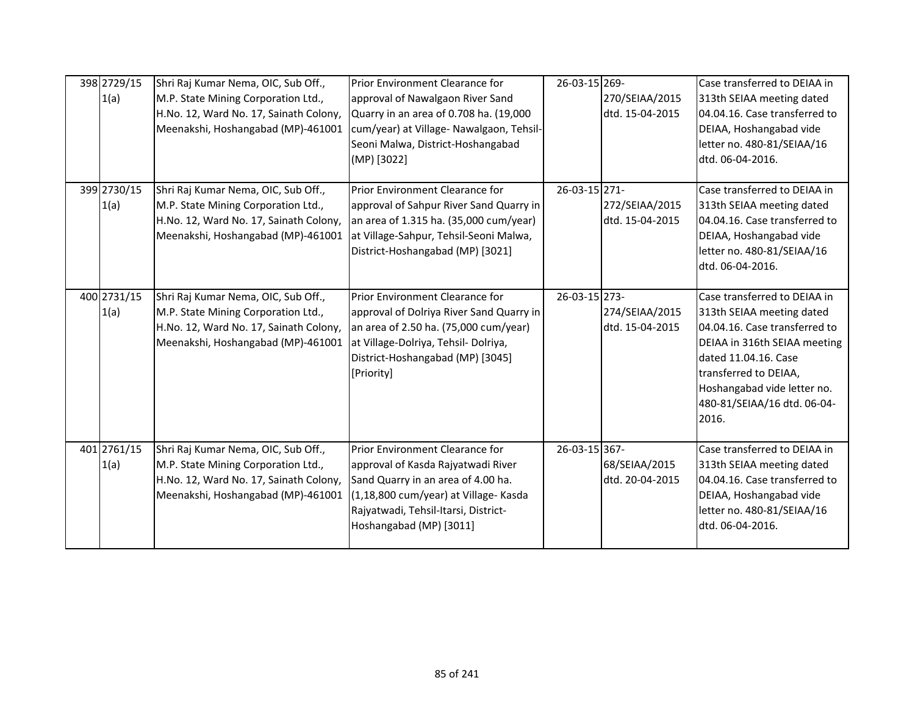| 398 2729/15<br>1(a) | Shri Raj Kumar Nema, OIC, Sub Off.,<br>M.P. State Mining Corporation Ltd.,<br>H.No. 12, Ward No. 17, Sainath Colony,<br>Meenakshi, Hoshangabad (MP)-461001                                       | Prior Environment Clearance for<br>approval of Nawalgaon River Sand<br>Quarry in an area of 0.708 ha. (19,000<br>cum/year) at Village- Nawalgaon, Tehsil-<br>Seoni Malwa, District-Hoshangabad<br>(MP) [3022]  | 26-03-15 269- | 270/SEIAA/2015<br>dtd. 15-04-2015 | Case transferred to DEIAA in<br>313th SEIAA meeting dated<br>04.04.16. Case transferred to<br>DEIAA, Hoshangabad vide<br>letter no. 480-81/SEIAA/16<br>dtd. 06-04-2016.                                                                            |
|---------------------|--------------------------------------------------------------------------------------------------------------------------------------------------------------------------------------------------|----------------------------------------------------------------------------------------------------------------------------------------------------------------------------------------------------------------|---------------|-----------------------------------|----------------------------------------------------------------------------------------------------------------------------------------------------------------------------------------------------------------------------------------------------|
| 399 2730/15<br>1(a) | Shri Raj Kumar Nema, OIC, Sub Off.,<br>M.P. State Mining Corporation Ltd.,<br>H.No. 12, Ward No. 17, Sainath Colony,<br>Meenakshi, Hoshangabad (MP)-461001                                       | Prior Environment Clearance for<br>approval of Sahpur River Sand Quarry in<br>an area of 1.315 ha. (35,000 cum/year)<br>at Village-Sahpur, Tehsil-Seoni Malwa,<br>District-Hoshangabad (MP) [3021]             | 26-03-15 271- | 272/SEIAA/2015<br>dtd. 15-04-2015 | Case transferred to DEIAA in<br>313th SEIAA meeting dated<br>04.04.16. Case transferred to<br>DEIAA, Hoshangabad vide<br>letter no. 480-81/SEIAA/16<br>dtd. 06-04-2016.                                                                            |
| 400 2731/15<br>1(a) | Shri Raj Kumar Nema, OIC, Sub Off.,<br>M.P. State Mining Corporation Ltd.,<br>H.No. 12, Ward No. 17, Sainath Colony,<br>Meenakshi, Hoshangabad (MP)-461001                                       | Prior Environment Clearance for<br>approval of Dolriya River Sand Quarry in<br>an area of 2.50 ha. (75,000 cum/year)<br>at Village-Dolriya, Tehsil- Dolriya,<br>District-Hoshangabad (MP) [3045]<br>[Priority] | 26-03-15 273- | 274/SEIAA/2015<br>dtd. 15-04-2015 | Case transferred to DEIAA in<br>313th SEIAA meeting dated<br>04.04.16. Case transferred to<br>DEIAA in 316th SEIAA meeting<br>dated 11.04.16. Case<br>transferred to DEIAA,<br>Hoshangabad vide letter no.<br>480-81/SEIAA/16 dtd. 06-04-<br>2016. |
| 401 2761/15<br>1(a) | Shri Raj Kumar Nema, OIC, Sub Off.,<br>M.P. State Mining Corporation Ltd.,<br>H.No. 12, Ward No. 17, Sainath Colony,<br>Meenakshi, Hoshangabad (MP)-461001 (1,18,800 cum/year) at Village- Kasda | Prior Environment Clearance for<br>approval of Kasda Rajyatwadi River<br>Sand Quarry in an area of 4.00 ha.<br>Rajyatwadi, Tehsil-Itarsi, District-<br>Hoshangabad (MP) [3011]                                 | 26-03-15 367- | 68/SEIAA/2015<br>dtd. 20-04-2015  | Case transferred to DEIAA in<br>313th SEIAA meeting dated<br>04.04.16. Case transferred to<br>DEIAA, Hoshangabad vide<br>letter no. 480-81/SEIAA/16<br>dtd. 06-04-2016.                                                                            |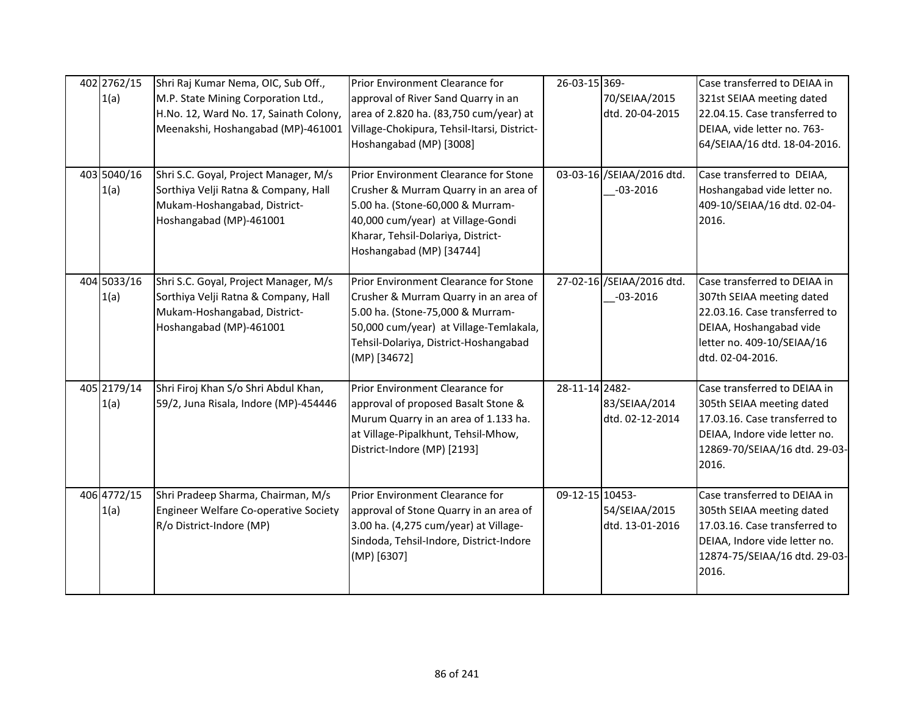| 402 2762/15<br>1(a) | Shri Raj Kumar Nema, OIC, Sub Off.,<br>M.P. State Mining Corporation Ltd.,<br>H.No. 12, Ward No. 17, Sainath Colony,<br>Meenakshi, Hoshangabad (MP)-461001 | Prior Environment Clearance for<br>approval of River Sand Quarry in an<br>area of 2.820 ha. (83,750 cum/year) at<br>Village-Chokipura, Tehsil-Itarsi, District-<br>Hoshangabad (MP) [3008]                                | 26-03-15 369-<br>70/SEIAA/2015<br>dtd. 20-04-2015   | Case transferred to DEIAA in<br>321st SEIAA meeting dated<br>22.04.15. Case transferred to<br>DEIAA, vide letter no. 763-<br>64/SEIAA/16 dtd. 18-04-2016.               |
|---------------------|------------------------------------------------------------------------------------------------------------------------------------------------------------|---------------------------------------------------------------------------------------------------------------------------------------------------------------------------------------------------------------------------|-----------------------------------------------------|-------------------------------------------------------------------------------------------------------------------------------------------------------------------------|
| 403 5040/16<br>1(a) | Shri S.C. Goyal, Project Manager, M/s<br>Sorthiya Velji Ratna & Company, Hall<br>Mukam-Hoshangabad, District-<br>Hoshangabad (MP)-461001                   | Prior Environment Clearance for Stone<br>Crusher & Murram Quarry in an area of<br>5.00 ha. (Stone-60,000 & Murram-<br>40,000 cum/year) at Village-Gondi<br>Kharar, Tehsil-Dolariya, District-<br>Hoshangabad (MP) [34744] | 03-03-16 /SEIAA/2016 dtd.<br>$-03 - 2016$           | Case transferred to DEIAA,<br>Hoshangabad vide letter no.<br>409-10/SEIAA/16 dtd. 02-04-<br>2016.                                                                       |
| 404 5033/16<br>1(a) | Shri S.C. Goyal, Project Manager, M/s<br>Sorthiya Velji Ratna & Company, Hall<br>Mukam-Hoshangabad, District-<br>Hoshangabad (MP)-461001                   | Prior Environment Clearance for Stone<br>Crusher & Murram Quarry in an area of<br>5.00 ha. (Stone-75,000 & Murram-<br>50,000 cum/year) at Village-Temlakala,<br>Tehsil-Dolariya, District-Hoshangabad<br>(MP) [34672]     | 27-02-16 /SEIAA/2016 dtd.<br>$-03 - 2016$           | Case transferred to DEIAA in<br>307th SEIAA meeting dated<br>22.03.16. Case transferred to<br>DEIAA, Hoshangabad vide<br>letter no. 409-10/SEIAA/16<br>dtd. 02-04-2016. |
| 405 2179/14<br>1(a) | Shri Firoj Khan S/o Shri Abdul Khan,<br>59/2, Juna Risala, Indore (MP)-454446                                                                              | Prior Environment Clearance for<br>approval of proposed Basalt Stone &<br>Murum Quarry in an area of 1.133 ha.<br>at Village-Pipalkhunt, Tehsil-Mhow,<br>District-Indore (MP) [2193]                                      | 28-11-14 2482-<br>83/SEIAA/2014<br>dtd. 02-12-2014  | Case transferred to DEIAA in<br>305th SEIAA meeting dated<br>17.03.16. Case transferred to<br>DEIAA, Indore vide letter no.<br>12869-70/SEIAA/16 dtd. 29-03-<br>2016.   |
| 406 4772/15<br>1(a) | Shri Pradeep Sharma, Chairman, M/s<br>Engineer Welfare Co-operative Society<br>R/o District-Indore (MP)                                                    | Prior Environment Clearance for<br>approval of Stone Quarry in an area of<br>3.00 ha. (4,275 cum/year) at Village-<br>Sindoda, Tehsil-Indore, District-Indore<br>(MP) [6307]                                              | 09-12-15 10453-<br>54/SEIAA/2015<br>dtd. 13-01-2016 | Case transferred to DEIAA in<br>305th SEIAA meeting dated<br>17.03.16. Case transferred to<br>DEIAA, Indore vide letter no.<br>12874-75/SEIAA/16 dtd. 29-03-<br>2016.   |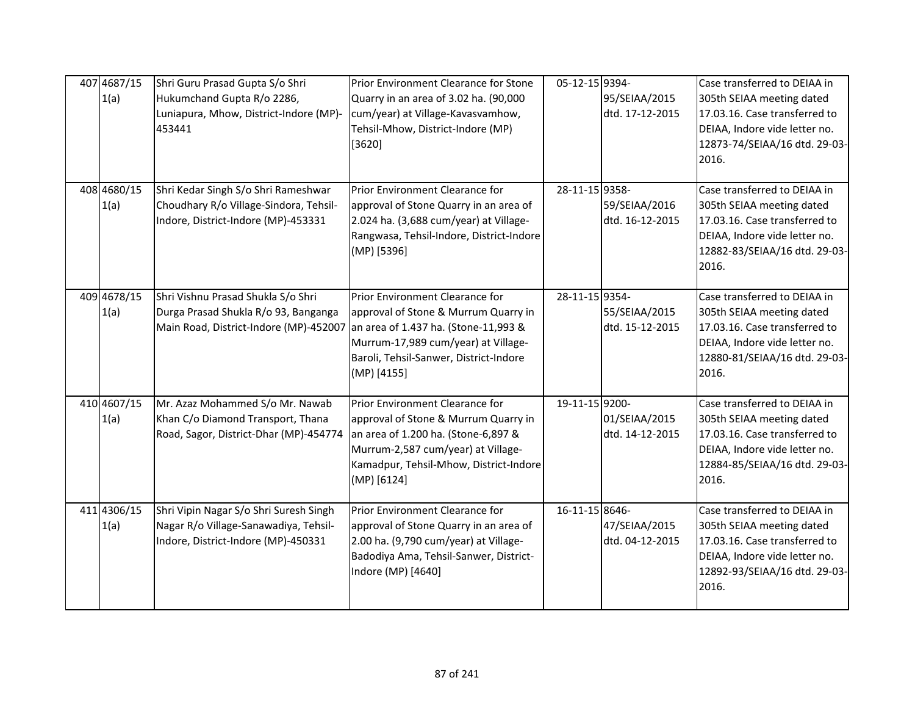| 407 4687/15<br>1(a) | Shri Guru Prasad Gupta S/o Shri<br>Hukumchand Gupta R/o 2286,<br>Luniapura, Mhow, District-Indore (MP)-<br>453441      | Prior Environment Clearance for Stone<br>Quarry in an area of 3.02 ha. (90,000<br>cum/year) at Village-Kavasvamhow,<br>Tehsil-Mhow, District-Indore (MP)<br>[3620]                                              | 05-12-15 9394- | 95/SEIAA/2015<br>dtd. 17-12-2015 | Case transferred to DEIAA in<br>305th SEIAA meeting dated<br>17.03.16. Case transferred to<br>DEIAA, Indore vide letter no.<br>12873-74/SEIAA/16 dtd. 29-03-<br>2016. |
|---------------------|------------------------------------------------------------------------------------------------------------------------|-----------------------------------------------------------------------------------------------------------------------------------------------------------------------------------------------------------------|----------------|----------------------------------|-----------------------------------------------------------------------------------------------------------------------------------------------------------------------|
| 408 4680/15<br>1(a) | Shri Kedar Singh S/o Shri Rameshwar<br>Choudhary R/o Village-Sindora, Tehsil-<br>Indore, District-Indore (MP)-453331   | Prior Environment Clearance for<br>approval of Stone Quarry in an area of<br>2.024 ha. (3,688 cum/year) at Village-<br>Rangwasa, Tehsil-Indore, District-Indore<br>(MP) [5396]                                  | 28-11-15 9358- | 59/SEIAA/2016<br>dtd. 16-12-2015 | Case transferred to DEIAA in<br>305th SEIAA meeting dated<br>17.03.16. Case transferred to<br>DEIAA, Indore vide letter no.<br>12882-83/SEIAA/16 dtd. 29-03-<br>2016. |
| 409 4678/15<br>1(a) | Shri Vishnu Prasad Shukla S/o Shri<br>Durga Prasad Shukla R/o 93, Banganga<br>Main Road, District-Indore (MP)-452007   | Prior Environment Clearance for<br>approval of Stone & Murrum Quarry in<br>an area of 1.437 ha. (Stone-11,993 &<br>Murrum-17,989 cum/year) at Village-<br>Baroli, Tehsil-Sanwer, District-Indore<br>(MP) [4155] | 28-11-15 9354- | 55/SEIAA/2015<br>dtd. 15-12-2015 | Case transferred to DEIAA in<br>305th SEIAA meeting dated<br>17.03.16. Case transferred to<br>DEIAA, Indore vide letter no.<br>12880-81/SEIAA/16 dtd. 29-03-<br>2016. |
| 410 4607/15<br>1(a) | Mr. Azaz Mohammed S/o Mr. Nawab<br>Khan C/o Diamond Transport, Thana<br>Road, Sagor, District-Dhar (MP)-454774         | Prior Environment Clearance for<br>approval of Stone & Murrum Quarry in<br>an area of 1.200 ha. (Stone-6,897 &<br>Murrum-2,587 cum/year) at Village-<br>Kamadpur, Tehsil-Mhow, District-Indore<br>(MP) [6124]   | 19-11-15 9200- | 01/SEIAA/2015<br>dtd. 14-12-2015 | Case transferred to DEIAA in<br>305th SEIAA meeting dated<br>17.03.16. Case transferred to<br>DEIAA, Indore vide letter no.<br>12884-85/SEIAA/16 dtd. 29-03-<br>2016. |
| 411 4306/15<br>1(a) | Shri Vipin Nagar S/o Shri Suresh Singh<br>Nagar R/o Village-Sanawadiya, Tehsil-<br>Indore, District-Indore (MP)-450331 | Prior Environment Clearance for<br>approval of Stone Quarry in an area of<br>2.00 ha. (9,790 cum/year) at Village-<br>Badodiya Ama, Tehsil-Sanwer, District-<br>Indore (MP) [4640]                              | 16-11-15 8646- | 47/SEIAA/2015<br>dtd. 04-12-2015 | Case transferred to DEIAA in<br>305th SEIAA meeting dated<br>17.03.16. Case transferred to<br>DEIAA, Indore vide letter no.<br>12892-93/SEIAA/16 dtd. 29-03-<br>2016. |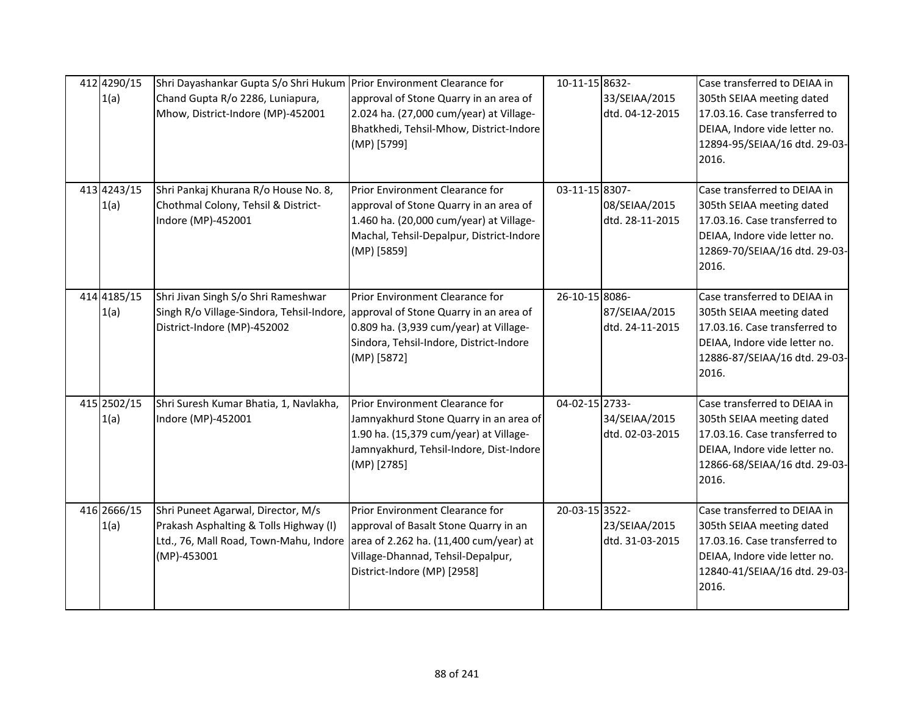| 412 4290/15<br>1(a) | Shri Dayashankar Gupta S/o Shri Hukum Prior Environment Clearance for<br>Chand Gupta R/o 2286, Luniapura,<br>Mhow, District-Indore (MP)-452001 | approval of Stone Quarry in an area of<br>2.024 ha. (27,000 cum/year) at Village-<br>Bhatkhedi, Tehsil-Mhow, District-Indore<br>(MP) [5799]                                            | 10-11-15 8632- | 33/SEIAA/2015<br>dtd. 04-12-2015 | Case transferred to DEIAA in<br>305th SEIAA meeting dated<br>17.03.16. Case transferred to<br>DEIAA, Indore vide letter no.<br>12894-95/SEIAA/16 dtd. 29-03-<br>2016. |
|---------------------|------------------------------------------------------------------------------------------------------------------------------------------------|----------------------------------------------------------------------------------------------------------------------------------------------------------------------------------------|----------------|----------------------------------|-----------------------------------------------------------------------------------------------------------------------------------------------------------------------|
| 413 4243/15<br>1(a) | Shri Pankaj Khurana R/o House No. 8,<br>Chothmal Colony, Tehsil & District-<br>Indore (MP)-452001                                              | Prior Environment Clearance for<br>approval of Stone Quarry in an area of<br>1.460 ha. (20,000 cum/year) at Village-<br>Machal, Tehsil-Depalpur, District-Indore<br>(MP) [5859]        | 03-11-15 8307- | 08/SEIAA/2015<br>dtd. 28-11-2015 | Case transferred to DEIAA in<br>305th SEIAA meeting dated<br>17.03.16. Case transferred to<br>DEIAA, Indore vide letter no.<br>12869-70/SEIAA/16 dtd. 29-03-<br>2016. |
| 414 4185/15<br>1(a) | Shri Jivan Singh S/o Shri Rameshwar<br>Singh R/o Village-Sindora, Tehsil-Indore,<br>District-Indore (MP)-452002                                | Prior Environment Clearance for<br>approval of Stone Quarry in an area of<br>0.809 ha. (3,939 cum/year) at Village-<br>Sindora, Tehsil-Indore, District-Indore<br>(MP) [5872]          | 26-10-15 8086- | 87/SEIAA/2015<br>dtd. 24-11-2015 | Case transferred to DEIAA in<br>305th SEIAA meeting dated<br>17.03.16. Case transferred to<br>DEIAA, Indore vide letter no.<br>12886-87/SEIAA/16 dtd. 29-03-<br>2016. |
| 415 2502/15<br>1(a) | Shri Suresh Kumar Bhatia, 1, Navlakha,<br>Indore (MP)-452001                                                                                   | Prior Environment Clearance for<br>Jamnyakhurd Stone Quarry in an area of<br>1.90 ha. (15,379 cum/year) at Village-<br>Jamnyakhurd, Tehsil-Indore, Dist-Indore<br>(MP) [2785]          | 04-02-15 2733- | 34/SEIAA/2015<br>dtd. 02-03-2015 | Case transferred to DEIAA in<br>305th SEIAA meeting dated<br>17.03.16. Case transferred to<br>DEIAA, Indore vide letter no.<br>12866-68/SEIAA/16 dtd. 29-03-<br>2016. |
| 416 2666/15<br>1(a) | Shri Puneet Agarwal, Director, M/s<br>Prakash Asphalting & Tolls Highway (I)<br>Ltd., 76, Mall Road, Town-Mahu, Indore<br>(MP)-453001          | Prior Environment Clearance for<br>approval of Basalt Stone Quarry in an<br>area of 2.262 ha. (11,400 cum/year) at<br>Village-Dhannad, Tehsil-Depalpur,<br>District-Indore (MP) [2958] | 20-03-15 3522- | 23/SEIAA/2015<br>dtd. 31-03-2015 | Case transferred to DEIAA in<br>305th SEIAA meeting dated<br>17.03.16. Case transferred to<br>DEIAA, Indore vide letter no.<br>12840-41/SEIAA/16 dtd. 29-03-<br>2016. |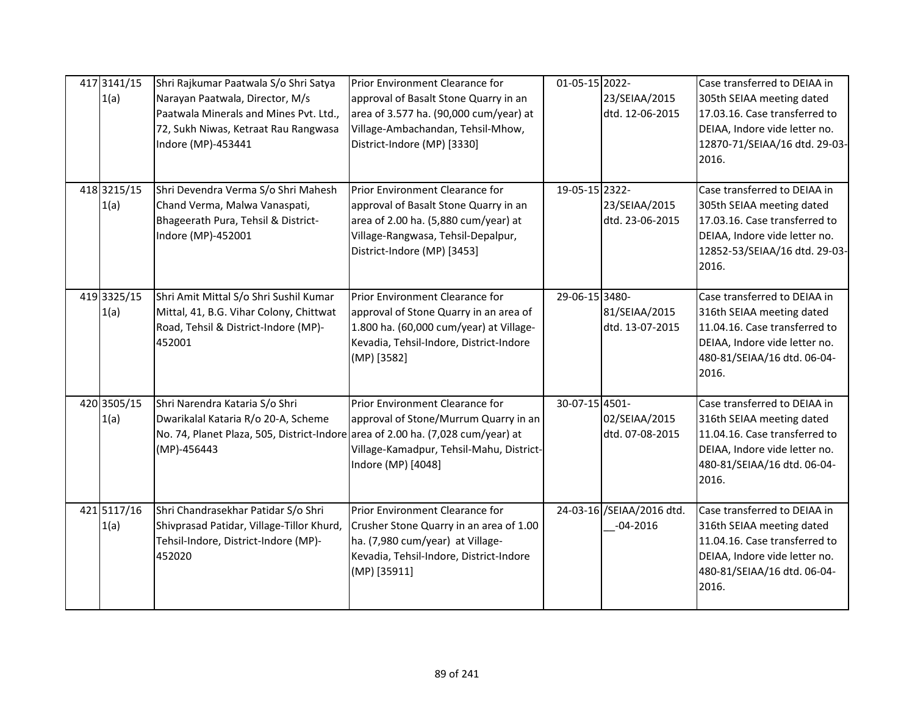| 417 3141/15<br>1(a) | Shri Rajkumar Paatwala S/o Shri Satya<br>Narayan Paatwala, Director, M/s<br>Paatwala Minerals and Mines Pvt. Ltd.,<br>72, Sukh Niwas, Ketraat Rau Rangwasa<br>Indore (MP)-453441 | Prior Environment Clearance for<br>approval of Basalt Stone Quarry in an<br>area of 3.577 ha. (90,000 cum/year) at<br>Village-Ambachandan, Tehsil-Mhow,<br>District-Indore (MP) [3330] | 01-05-15 2022- | 23/SEIAA/2015<br>dtd. 12-06-2015          | Case transferred to DEIAA in<br>305th SEIAA meeting dated<br>17.03.16. Case transferred to<br>DEIAA, Indore vide letter no.<br>12870-71/SEIAA/16 dtd. 29-03-<br>2016. |
|---------------------|----------------------------------------------------------------------------------------------------------------------------------------------------------------------------------|----------------------------------------------------------------------------------------------------------------------------------------------------------------------------------------|----------------|-------------------------------------------|-----------------------------------------------------------------------------------------------------------------------------------------------------------------------|
| 418 3215/15<br>1(a) | Shri Devendra Verma S/o Shri Mahesh<br>Chand Verma, Malwa Vanaspati,<br>Bhageerath Pura, Tehsil & District-<br>Indore (MP)-452001                                                | Prior Environment Clearance for<br>approval of Basalt Stone Quarry in an<br>area of 2.00 ha. (5,880 cum/year) at<br>Village-Rangwasa, Tehsil-Depalpur,<br>District-Indore (MP) [3453]  | 19-05-15 2322- | 23/SEIAA/2015<br>dtd. 23-06-2015          | Case transferred to DEIAA in<br>305th SEIAA meeting dated<br>17.03.16. Case transferred to<br>DEIAA, Indore vide letter no.<br>12852-53/SEIAA/16 dtd. 29-03-<br>2016. |
| 419 3325/15<br>1(a) | Shri Amit Mittal S/o Shri Sushil Kumar<br>Mittal, 41, B.G. Vihar Colony, Chittwat<br>Road, Tehsil & District-Indore (MP)-<br>452001                                              | Prior Environment Clearance for<br>approval of Stone Quarry in an area of<br>1.800 ha. (60,000 cum/year) at Village-<br>Kevadia, Tehsil-Indore, District-Indore<br>(MP) [3582]         | 29-06-15 3480- | 81/SEIAA/2015<br>dtd. 13-07-2015          | Case transferred to DEIAA in<br>316th SEIAA meeting dated<br>11.04.16. Case transferred to<br>DEIAA, Indore vide letter no.<br>480-81/SEIAA/16 dtd. 06-04-<br>2016.   |
| 420 3505/15<br>1(a) | Shri Narendra Kataria S/o Shri<br>Dwarikalal Kataria R/o 20-A, Scheme<br>No. 74, Planet Plaza, 505, District-Indore area of 2.00 ha. (7,028 cum/year) at<br>(MP)-456443          | Prior Environment Clearance for<br>approval of Stone/Murrum Quarry in an<br>Village-Kamadpur, Tehsil-Mahu, District-<br>Indore (MP) [4048]                                             | 30-07-15 4501- | 02/SEIAA/2015<br>dtd. 07-08-2015          | Case transferred to DEIAA in<br>316th SEIAA meeting dated<br>11.04.16. Case transferred to<br>DEIAA, Indore vide letter no.<br>480-81/SEIAA/16 dtd. 06-04-<br>2016.   |
| 421 5117/16<br>1(a) | Shri Chandrasekhar Patidar S/o Shri<br>Shivprasad Patidar, Village-Tillor Khurd,<br>Tehsil-Indore, District-Indore (MP)-<br>452020                                               | Prior Environment Clearance for<br>Crusher Stone Quarry in an area of 1.00<br>ha. (7,980 cum/year) at Village-<br>Kevadia, Tehsil-Indore, District-Indore<br>(MP) [35911]              |                | 24-03-16 /SEIAA/2016 dtd.<br>$-04 - 2016$ | Case transferred to DEIAA in<br>316th SEIAA meeting dated<br>11.04.16. Case transferred to<br>DEIAA, Indore vide letter no.<br>480-81/SEIAA/16 dtd. 06-04-<br>2016.   |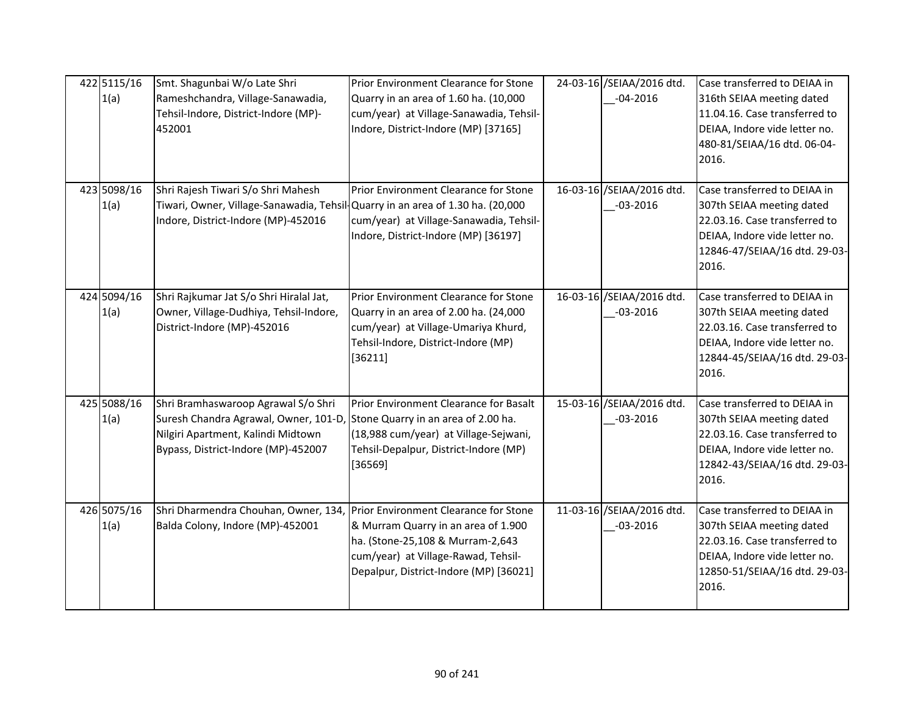| 422 5115/16<br>1(a) | Smt. Shagunbai W/o Late Shri<br>Rameshchandra, Village-Sanawadia,<br>Tehsil-Indore, District-Indore (MP)-<br>452001                                                                           | Prior Environment Clearance for Stone<br>Quarry in an area of 1.60 ha. (10,000<br>cum/year) at Village-Sanawadia, Tehsil-<br>Indore, District-Indore (MP) [37165]       | 24-03-16 /SEIAA/2016 dtd.<br>$-04 - 2016$  | Case transferred to DEIAA in<br>316th SEIAA meeting dated<br>11.04.16. Case transferred to<br>DEIAA, Indore vide letter no.<br>480-81/SEIAA/16 dtd. 06-04-<br>2016.   |
|---------------------|-----------------------------------------------------------------------------------------------------------------------------------------------------------------------------------------------|-------------------------------------------------------------------------------------------------------------------------------------------------------------------------|--------------------------------------------|-----------------------------------------------------------------------------------------------------------------------------------------------------------------------|
| 423 5098/16<br>1(a) | Shri Rajesh Tiwari S/o Shri Mahesh<br>Tiwari, Owner, Village-Sanawadia, Tehsil-Quarry in an area of 1.30 ha. (20,000<br>Indore, District-Indore (MP)-452016                                   | Prior Environment Clearance for Stone<br>cum/year) at Village-Sanawadia, Tehsil-<br>Indore, District-Indore (MP) [36197]                                                | 16-03-16 / SEIAA/2016 dtd.<br>$-03 - 2016$ | Case transferred to DEIAA in<br>307th SEIAA meeting dated<br>22.03.16. Case transferred to<br>DEIAA, Indore vide letter no.<br>12846-47/SEIAA/16 dtd. 29-03-<br>2016. |
| 424 5094/16<br>1(a) | Shri Rajkumar Jat S/o Shri Hiralal Jat,<br>Owner, Village-Dudhiya, Tehsil-Indore,<br>District-Indore (MP)-452016                                                                              | Prior Environment Clearance for Stone<br>Quarry in an area of 2.00 ha. (24,000<br>cum/year) at Village-Umariya Khurd,<br>Tehsil-Indore, District-Indore (MP)<br>[36211] | 16-03-16 / SEIAA/2016 dtd.<br>$-03 - 2016$ | Case transferred to DEIAA in<br>307th SEIAA meeting dated<br>22.03.16. Case transferred to<br>DEIAA, Indore vide letter no.<br>12844-45/SEIAA/16 dtd. 29-03-<br>2016. |
| 425 5088/16<br>1(a) | Shri Bramhaswaroop Agrawal S/o Shri<br>Suresh Chandra Agrawal, Owner, 101-D, Stone Quarry in an area of 2.00 ha.<br>Nilgiri Apartment, Kalindi Midtown<br>Bypass, District-Indore (MP)-452007 | Prior Environment Clearance for Basalt<br>(18,988 cum/year) at Village-Sejwani,<br>Tehsil-Depalpur, District-Indore (MP)<br>[36569]                                     | 15-03-16 /SEIAA/2016 dtd.<br>$-03 - 2016$  | Case transferred to DEIAA in<br>307th SEIAA meeting dated<br>22.03.16. Case transferred to<br>DEIAA, Indore vide letter no.<br>12842-43/SEIAA/16 dtd. 29-03-<br>2016. |
| 426 5075/16<br>1(a) | Shri Dharmendra Chouhan, Owner, 134, Prior Environment Clearance for Stone<br>Balda Colony, Indore (MP)-452001                                                                                | & Murram Quarry in an area of 1.900<br>ha. (Stone-25,108 & Murram-2,643<br>cum/year) at Village-Rawad, Tehsil-<br>Depalpur, District-Indore (MP) [36021]                | 11-03-16 / SEIAA/2016 dtd.<br>$-03 - 2016$ | Case transferred to DEIAA in<br>307th SEIAA meeting dated<br>22.03.16. Case transferred to<br>DEIAA, Indore vide letter no.<br>12850-51/SEIAA/16 dtd. 29-03-<br>2016. |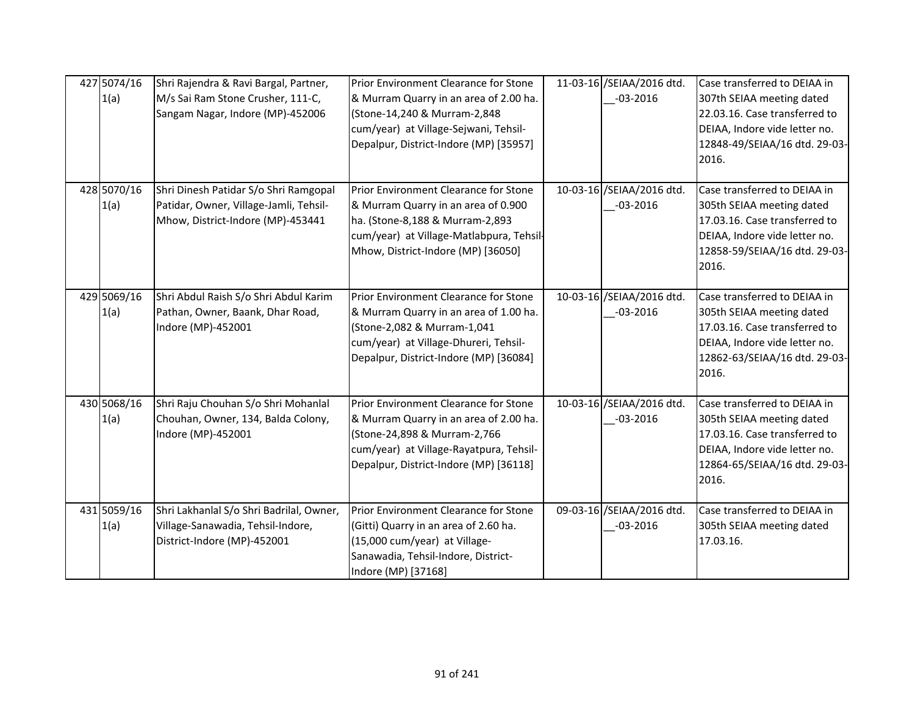| 427 5074/16<br>1(a) | Shri Rajendra & Ravi Bargal, Partner,<br>M/s Sai Ram Stone Crusher, 111-C,<br>Sangam Nagar, Indore (MP)-452006       | Prior Environment Clearance for Stone<br>& Murram Quarry in an area of 2.00 ha.<br>(Stone-14,240 & Murram-2,848<br>cum/year) at Village-Sejwani, Tehsil-<br>Depalpur, District-Indore (MP) [35957]   | 11-03-16 /SEIAA/2016 dtd.<br>$-03 - 2016$ | Case transferred to DEIAA in<br>307th SEIAA meeting dated<br>22.03.16. Case transferred to<br>DEIAA, Indore vide letter no.<br>12848-49/SEIAA/16 dtd. 29-03-<br>2016. |
|---------------------|----------------------------------------------------------------------------------------------------------------------|------------------------------------------------------------------------------------------------------------------------------------------------------------------------------------------------------|-------------------------------------------|-----------------------------------------------------------------------------------------------------------------------------------------------------------------------|
| 428 5070/16<br>1(a) | Shri Dinesh Patidar S/o Shri Ramgopal<br>Patidar, Owner, Village-Jamli, Tehsil-<br>Mhow, District-Indore (MP)-453441 | Prior Environment Clearance for Stone<br>& Murram Quarry in an area of 0.900<br>ha. (Stone-8,188 & Murram-2,893<br>cum/year) at Village-Matlabpura, Tehsil-<br>Mhow, District-Indore (MP) [36050]    | 10-03-16 /SEIAA/2016 dtd.<br>$-03 - 2016$ | Case transferred to DEIAA in<br>305th SEIAA meeting dated<br>17.03.16. Case transferred to<br>DEIAA, Indore vide letter no.<br>12858-59/SEIAA/16 dtd. 29-03-<br>2016. |
| 429 5069/16<br>1(a) | Shri Abdul Raish S/o Shri Abdul Karim<br>Pathan, Owner, Baank, Dhar Road,<br>Indore (MP)-452001                      | Prior Environment Clearance for Stone<br>& Murram Quarry in an area of 1.00 ha.<br>(Stone-2,082 & Murram-1,041<br>cum/year) at Village-Dhureri, Tehsil-<br>Depalpur, District-Indore (MP) [36084]    | 10-03-16 /SEIAA/2016 dtd.<br>$-03 - 2016$ | Case transferred to DEIAA in<br>305th SEIAA meeting dated<br>17.03.16. Case transferred to<br>DEIAA, Indore vide letter no.<br>12862-63/SEIAA/16 dtd. 29-03-<br>2016. |
| 430 5068/16<br>1(a) | Shri Raju Chouhan S/o Shri Mohanlal<br>Chouhan, Owner, 134, Balda Colony,<br>Indore (MP)-452001                      | Prior Environment Clearance for Stone<br>& Murram Quarry in an area of 2.00 ha.<br>(Stone-24,898 & Murram-2,766<br>cum/year) at Village-Rayatpura, Tehsil-<br>Depalpur, District-Indore (MP) [36118] | 10-03-16 /SEIAA/2016 dtd.<br>$-03 - 2016$ | Case transferred to DEIAA in<br>305th SEIAA meeting dated<br>17.03.16. Case transferred to<br>DEIAA, Indore vide letter no.<br>12864-65/SEIAA/16 dtd. 29-03-<br>2016. |
| 431 5059/16<br>1(a) | Shri Lakhanlal S/o Shri Badrilal, Owner,<br>Village-Sanawadia, Tehsil-Indore,<br>District-Indore (MP)-452001         | Prior Environment Clearance for Stone<br>(Gitti) Quarry in an area of 2.60 ha.<br>(15,000 cum/year) at Village-<br>Sanawadia, Tehsil-Indore, District-<br>Indore (MP) [37168]                        | 09-03-16 /SEIAA/2016 dtd.<br>$-03 - 2016$ | Case transferred to DEIAA in<br>305th SEIAA meeting dated<br>17.03.16.                                                                                                |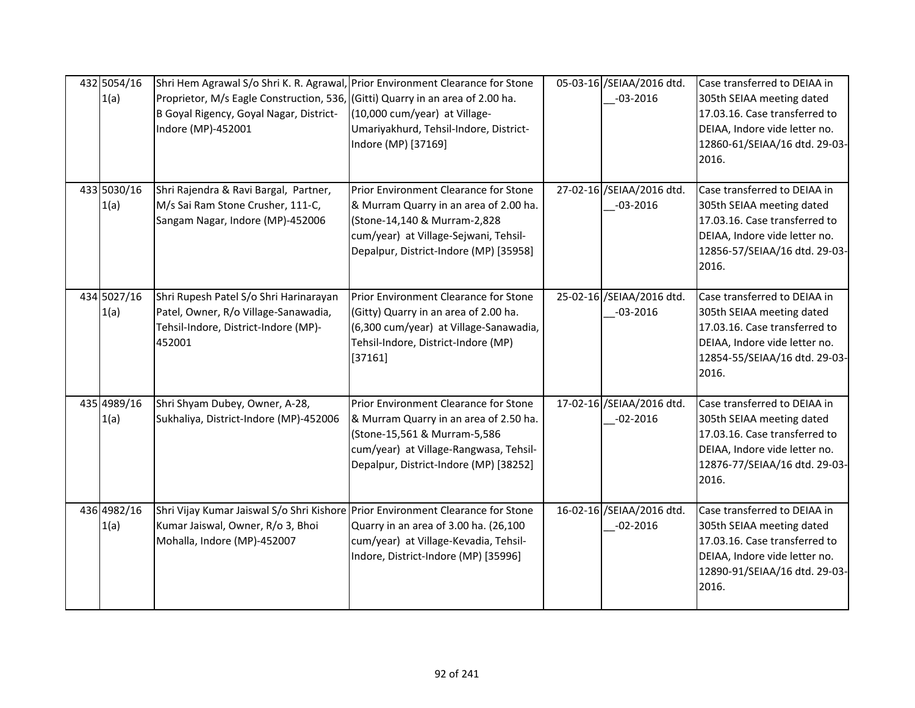| 432 5054/16<br>1(a) | Shri Hem Agrawal S/o Shri K. R. Agrawal, Prior Environment Clearance for Stone<br>Proprietor, M/s Eagle Construction, 536, (Gitti) Quarry in an area of 2.00 ha.<br>B Goyal Rigency, Goyal Nagar, District-<br>Indore (MP)-452001 | (10,000 cum/year) at Village-<br>Umariyakhurd, Tehsil-Indore, District-<br>Indore (MP) [37169]                                                                                                      | 05-03-16 /SEIAA/2016 dtd.<br>$-03 - 2016$ | Case transferred to DEIAA in<br>305th SEIAA meeting dated<br>17.03.16. Case transferred to<br>DEIAA, Indore vide letter no.<br>12860-61/SEIAA/16 dtd. 29-03-<br>2016. |
|---------------------|-----------------------------------------------------------------------------------------------------------------------------------------------------------------------------------------------------------------------------------|-----------------------------------------------------------------------------------------------------------------------------------------------------------------------------------------------------|-------------------------------------------|-----------------------------------------------------------------------------------------------------------------------------------------------------------------------|
| 433 5030/16<br>1(a) | Shri Rajendra & Ravi Bargal, Partner,<br>M/s Sai Ram Stone Crusher, 111-C,<br>Sangam Nagar, Indore (MP)-452006                                                                                                                    | Prior Environment Clearance for Stone<br>& Murram Quarry in an area of 2.00 ha.<br>(Stone-14,140 & Murram-2,828<br>cum/year) at Village-Sejwani, Tehsil-<br>Depalpur, District-Indore (MP) [35958]  | 27-02-16 /SEIAA/2016 dtd.<br>$-03 - 2016$ | Case transferred to DEIAA in<br>305th SEIAA meeting dated<br>17.03.16. Case transferred to<br>DEIAA, Indore vide letter no.<br>12856-57/SEIAA/16 dtd. 29-03-<br>2016. |
| 434 5027/16<br>1(a) | Shri Rupesh Patel S/o Shri Harinarayan<br>Patel, Owner, R/o Village-Sanawadia,<br>Tehsil-Indore, District-Indore (MP)-<br>452001                                                                                                  | Prior Environment Clearance for Stone<br>(Gitty) Quarry in an area of 2.00 ha.<br>(6,300 cum/year) at Village-Sanawadia,<br>Tehsil-Indore, District-Indore (MP)<br>[37161]                          | 25-02-16 /SEIAA/2016 dtd.<br>$-03 - 2016$ | Case transferred to DEIAA in<br>305th SEIAA meeting dated<br>17.03.16. Case transferred to<br>DEIAA, Indore vide letter no.<br>12854-55/SEIAA/16 dtd. 29-03-<br>2016. |
| 435 4989/16<br>1(a) | Shri Shyam Dubey, Owner, A-28,<br>Sukhaliya, District-Indore (MP)-452006                                                                                                                                                          | Prior Environment Clearance for Stone<br>& Murram Quarry in an area of 2.50 ha.<br>(Stone-15,561 & Murram-5,586<br>cum/year) at Village-Rangwasa, Tehsil-<br>Depalpur, District-Indore (MP) [38252] | 17-02-16 /SEIAA/2016 dtd.<br>$-02 - 2016$ | Case transferred to DEIAA in<br>305th SEIAA meeting dated<br>17.03.16. Case transferred to<br>DEIAA, Indore vide letter no.<br>12876-77/SEIAA/16 dtd. 29-03-<br>2016. |
| 436 4982/16<br>1(a) | Shri Vijay Kumar Jaiswal S/o Shri Kishore Prior Environment Clearance for Stone<br>Kumar Jaiswal, Owner, R/o 3, Bhoi<br>Mohalla, Indore (MP)-452007                                                                               | Quarry in an area of 3.00 ha. (26,100<br>cum/year) at Village-Kevadia, Tehsil-<br>Indore, District-Indore (MP) [35996]                                                                              | 16-02-16 /SEIAA/2016 dtd.<br>$-02 - 2016$ | Case transferred to DEIAA in<br>305th SEIAA meeting dated<br>17.03.16. Case transferred to<br>DEIAA, Indore vide letter no.<br>12890-91/SEIAA/16 dtd. 29-03-<br>2016. |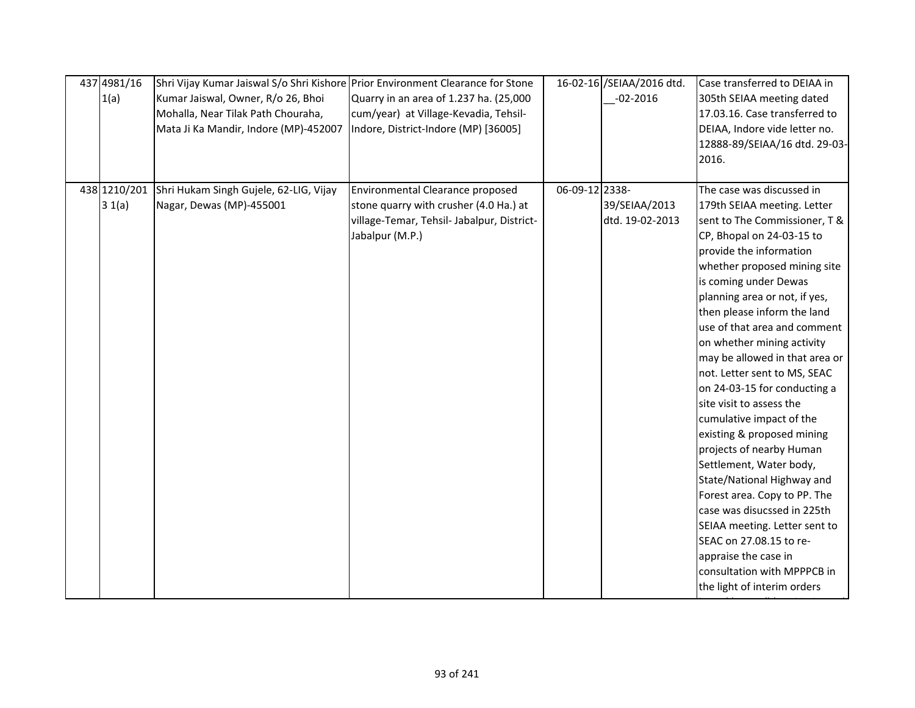| 437 4981/16<br>1(a)    | Shri Vijay Kumar Jaiswal S/o Shri Kishore Prior Environment Clearance for Stone<br>Kumar Jaiswal, Owner, R/o 26, Bhoi<br>Mohalla, Near Tilak Path Chouraha,<br>Mata Ji Ka Mandir, Indore (MP)-452007 | Quarry in an area of 1.237 ha. (25,000<br>cum/year) at Village-Kevadia, Tehsil-<br>Indore, District-Indore (MP) [36005]                     |                | 16-02-16 /SEIAA/2016 dtd.<br>$-02 - 2016$ | Case transferred to DEIAA in<br>305th SEIAA meeting dated<br>17.03.16. Case transferred to<br>DEIAA, Indore vide letter no.<br>12888-89/SEIAA/16 dtd. 29-03-<br>2016.                                                                                                                                                                                                                                                                                                                                                                                                                                                                                                                                                                                                                                                                  |
|------------------------|------------------------------------------------------------------------------------------------------------------------------------------------------------------------------------------------------|---------------------------------------------------------------------------------------------------------------------------------------------|----------------|-------------------------------------------|----------------------------------------------------------------------------------------------------------------------------------------------------------------------------------------------------------------------------------------------------------------------------------------------------------------------------------------------------------------------------------------------------------------------------------------------------------------------------------------------------------------------------------------------------------------------------------------------------------------------------------------------------------------------------------------------------------------------------------------------------------------------------------------------------------------------------------------|
| 438 1210/201<br>3 1(a) | Shri Hukam Singh Gujele, 62-LIG, Vijay<br>Nagar, Dewas (MP)-455001                                                                                                                                   | Environmental Clearance proposed<br>stone quarry with crusher (4.0 Ha.) at<br>village-Temar, Tehsil- Jabalpur, District-<br>Jabalpur (M.P.) | 06-09-12 2338- | 39/SEIAA/2013<br>dtd. 19-02-2013          | The case was discussed in<br>179th SEIAA meeting. Letter<br>sent to The Commissioner, T &<br>CP, Bhopal on 24-03-15 to<br>provide the information<br>whether proposed mining site<br>is coming under Dewas<br>planning area or not, if yes,<br>then please inform the land<br>use of that area and comment<br>on whether mining activity<br>may be allowed in that area or<br>not. Letter sent to MS, SEAC<br>on 24-03-15 for conducting a<br>site visit to assess the<br>cumulative impact of the<br>existing & proposed mining<br>projects of nearby Human<br>Settlement, Water body,<br>State/National Highway and<br>Forest area. Copy to PP. The<br>case was disucssed in 225th<br>SEIAA meeting. Letter sent to<br>SEAC on 27.08.15 to re-<br>appraise the case in<br>consultation with MPPPCB in<br>the light of interim orders |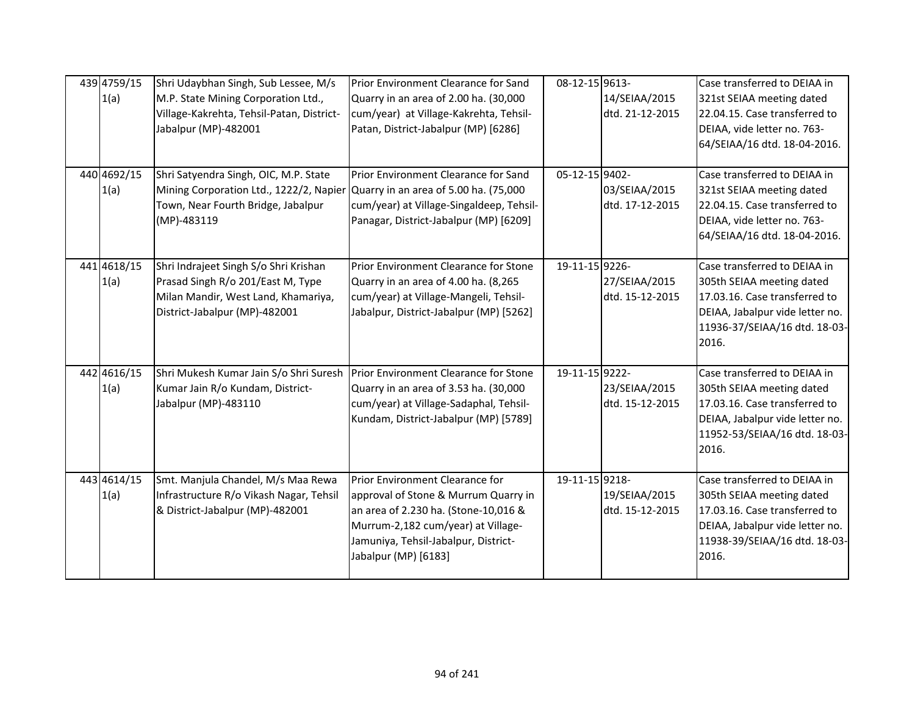| 439 4759/15<br>1(a) | Shri Udaybhan Singh, Sub Lessee, M/s<br>M.P. State Mining Corporation Ltd.,<br>Village-Kakrehta, Tehsil-Patan, District-<br>Jabalpur (MP)-482001                            | Prior Environment Clearance for Sand<br>Quarry in an area of 2.00 ha. (30,000<br>cum/year) at Village-Kakrehta, Tehsil-<br>Patan, District-Jabalpur (MP) [6286]                                                       | 08-12-15 9613- | 14/SEIAA/2015<br>dtd. 21-12-2015 | Case transferred to DEIAA in<br>321st SEIAA meeting dated<br>22.04.15. Case transferred to<br>DEIAA, vide letter no. 763-<br>64/SEIAA/16 dtd. 18-04-2016.               |
|---------------------|-----------------------------------------------------------------------------------------------------------------------------------------------------------------------------|-----------------------------------------------------------------------------------------------------------------------------------------------------------------------------------------------------------------------|----------------|----------------------------------|-------------------------------------------------------------------------------------------------------------------------------------------------------------------------|
| 440 4692/15<br>1(a) | Shri Satyendra Singh, OIC, M.P. State<br>Mining Corporation Ltd., 1222/2, Napier Quarry in an area of 5.00 ha. (75,000<br>Town, Near Fourth Bridge, Jabalpur<br>(MP)-483119 | Prior Environment Clearance for Sand<br>cum/year) at Village-Singaldeep, Tehsil-<br>Panagar, District-Jabalpur (MP) [6209]                                                                                            | 05-12-15 9402- | 03/SEIAA/2015<br>dtd. 17-12-2015 | Case transferred to DEIAA in<br>321st SEIAA meeting dated<br>22.04.15. Case transferred to<br>DEIAA, vide letter no. 763-<br>64/SEIAA/16 dtd. 18-04-2016.               |
| 441 4618/15<br>1(a) | Shri Indrajeet Singh S/o Shri Krishan<br>Prasad Singh R/o 201/East M, Type<br>Milan Mandir, West Land, Khamariya,<br>District-Jabalpur (MP)-482001                          | Prior Environment Clearance for Stone<br>Quarry in an area of 4.00 ha. (8,265<br>cum/year) at Village-Mangeli, Tehsil-<br>Jabalpur, District-Jabalpur (MP) [5262]                                                     | 19-11-15 9226- | 27/SEIAA/2015<br>dtd. 15-12-2015 | Case transferred to DEIAA in<br>305th SEIAA meeting dated<br>17.03.16. Case transferred to<br>DEIAA, Jabalpur vide letter no.<br>11936-37/SEIAA/16 dtd. 18-03-<br>2016. |
| 442 4616/15<br>1(a) | Shri Mukesh Kumar Jain S/o Shri Suresh<br>Kumar Jain R/o Kundam, District-<br>Jabalpur (MP)-483110                                                                          | Prior Environment Clearance for Stone<br>Quarry in an area of 3.53 ha. (30,000<br>cum/year) at Village-Sadaphal, Tehsil-<br>Kundam, District-Jabalpur (MP) [5789]                                                     | 19-11-15 9222- | 23/SEIAA/2015<br>dtd. 15-12-2015 | Case transferred to DEIAA in<br>305th SEIAA meeting dated<br>17.03.16. Case transferred to<br>DEIAA, Jabalpur vide letter no.<br>11952-53/SEIAA/16 dtd. 18-03-<br>2016. |
| 443 4614/15<br>1(a) | Smt. Manjula Chandel, M/s Maa Rewa<br>Infrastructure R/o Vikash Nagar, Tehsil<br>& District-Jabalpur (MP)-482001                                                            | Prior Environment Clearance for<br>approval of Stone & Murrum Quarry in<br>an area of 2.230 ha. (Stone-10,016 &<br>Murrum-2,182 cum/year) at Village-<br>Jamuniya, Tehsil-Jabalpur, District-<br>Jabalpur (MP) [6183] | 19-11-15 9218- | 19/SEIAA/2015<br>dtd. 15-12-2015 | Case transferred to DEIAA in<br>305th SEIAA meeting dated<br>17.03.16. Case transferred to<br>DEIAA, Jabalpur vide letter no.<br>11938-39/SEIAA/16 dtd. 18-03-<br>2016. |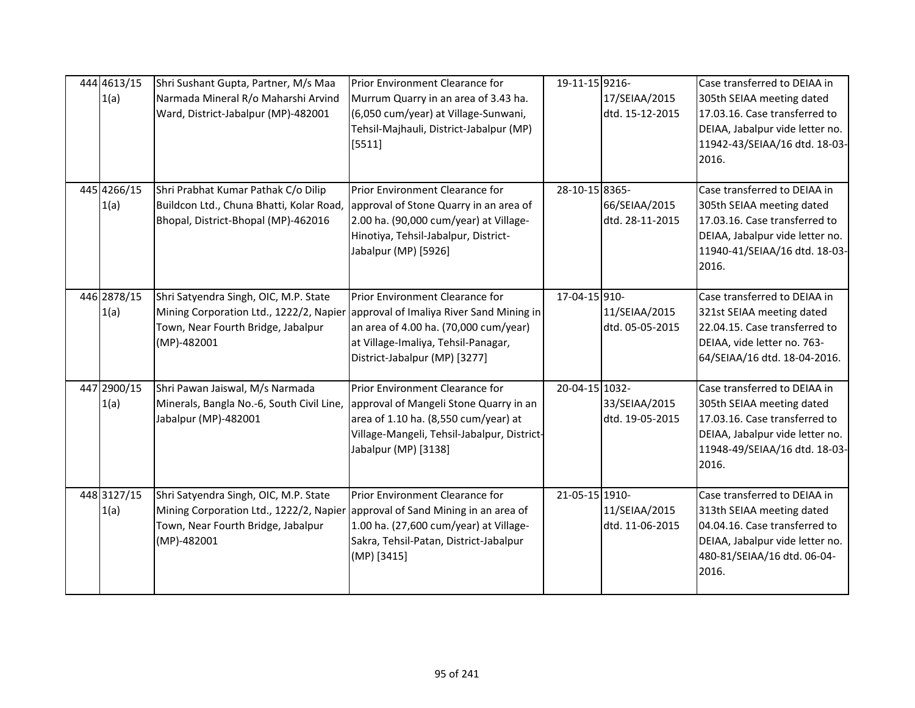| 444 4613/15<br>1(a) | Shri Sushant Gupta, Partner, M/s Maa<br>Narmada Mineral R/o Maharshi Arvind<br>Ward, District-Jabalpur (MP)-482001                                                          | Prior Environment Clearance for<br>Murrum Quarry in an area of 3.43 ha.<br>(6,050 cum/year) at Village-Sunwani,<br>Tehsil-Majhauli, District-Jabalpur (MP)<br>[5511]                         | 19-11-15 9216- | 17/SEIAA/2015<br>dtd. 15-12-2015 | Case transferred to DEIAA in<br>305th SEIAA meeting dated<br>17.03.16. Case transferred to<br>DEIAA, Jabalpur vide letter no.<br>11942-43/SEIAA/16 dtd. 18-03-<br>2016. |
|---------------------|-----------------------------------------------------------------------------------------------------------------------------------------------------------------------------|----------------------------------------------------------------------------------------------------------------------------------------------------------------------------------------------|----------------|----------------------------------|-------------------------------------------------------------------------------------------------------------------------------------------------------------------------|
| 445 4266/15<br>1(a) | Shri Prabhat Kumar Pathak C/o Dilip<br>Buildcon Ltd., Chuna Bhatti, Kolar Road, approval of Stone Quarry in an area of<br>Bhopal, District-Bhopal (MP)-462016               | Prior Environment Clearance for<br>2.00 ha. (90,000 cum/year) at Village-<br>Hinotiya, Tehsil-Jabalpur, District-<br>Jabalpur (MP) [5926]                                                    | 28-10-15 8365- | 66/SEIAA/2015<br>dtd. 28-11-2015 | Case transferred to DEIAA in<br>305th SEIAA meeting dated<br>17.03.16. Case transferred to<br>DEIAA, Jabalpur vide letter no.<br>11940-41/SEIAA/16 dtd. 18-03-<br>2016. |
| 446 2878/15<br>1(a) | Shri Satyendra Singh, OIC, M.P. State<br>Mining Corporation Ltd., 1222/2, Napier<br>Town, Near Fourth Bridge, Jabalpur<br>(MP)-482001                                       | Prior Environment Clearance for<br>approval of Imaliya River Sand Mining in<br>an area of 4.00 ha. (70,000 cum/year)<br>at Village-Imaliya, Tehsil-Panagar,<br>District-Jabalpur (MP) [3277] | 17-04-15 910-  | 11/SEIAA/2015<br>dtd. 05-05-2015 | Case transferred to DEIAA in<br>321st SEIAA meeting dated<br>22.04.15. Case transferred to<br>DEIAA, vide letter no. 763-<br>64/SEIAA/16 dtd. 18-04-2016.               |
| 447 2900/15<br>1(a) | Shri Pawan Jaiswal, M/s Narmada<br>Minerals, Bangla No.-6, South Civil Line,<br>Jabalpur (MP)-482001                                                                        | Prior Environment Clearance for<br>approval of Mangeli Stone Quarry in an<br>area of 1.10 ha. (8,550 cum/year) at<br>Village-Mangeli, Tehsil-Jabalpur, District-<br>Jabalpur (MP) [3138]     | 20-04-15 1032- | 33/SEIAA/2015<br>dtd. 19-05-2015 | Case transferred to DEIAA in<br>305th SEIAA meeting dated<br>17.03.16. Case transferred to<br>DEIAA, Jabalpur vide letter no.<br>11948-49/SEIAA/16 dtd. 18-03-<br>2016. |
| 448 3127/15<br>1(a) | Shri Satyendra Singh, OIC, M.P. State<br>Mining Corporation Ltd., 1222/2, Napier approval of Sand Mining in an area of<br>Town, Near Fourth Bridge, Jabalpur<br>(MP)-482001 | Prior Environment Clearance for<br>1.00 ha. (27,600 cum/year) at Village-<br>Sakra, Tehsil-Patan, District-Jabalpur<br>(MP) [3415]                                                           | 21-05-15 1910- | 11/SEIAA/2015<br>dtd. 11-06-2015 | Case transferred to DEIAA in<br>313th SEIAA meeting dated<br>04.04.16. Case transferred to<br>DEIAA, Jabalpur vide letter no.<br>480-81/SEIAA/16 dtd. 06-04-<br>2016.   |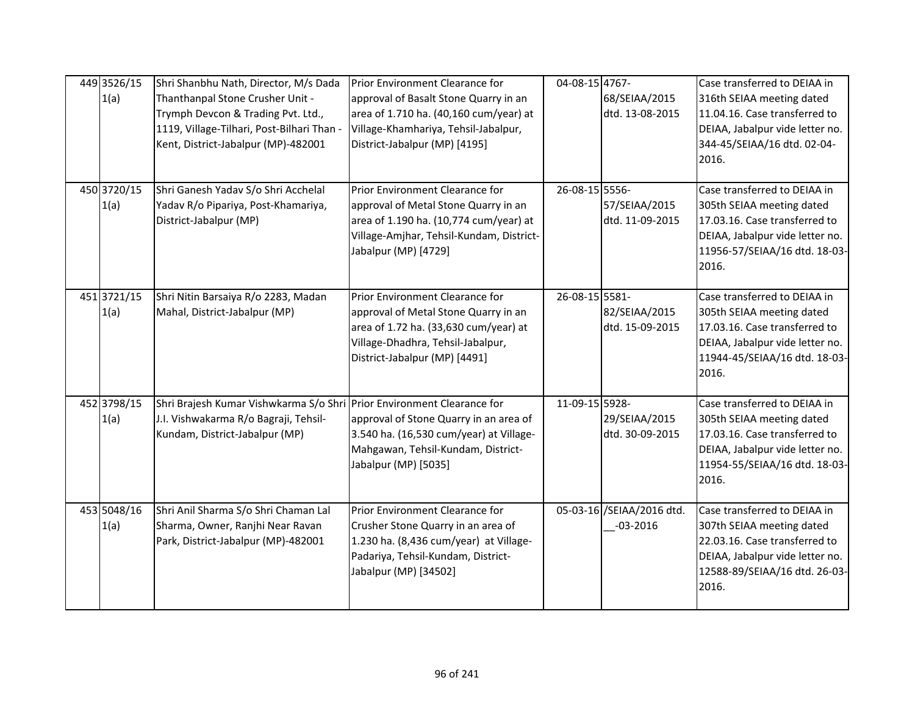| 449 3526/15<br>1(a) | Shri Shanbhu Nath, Director, M/s Dada<br>Thanthanpal Stone Crusher Unit -<br>Trymph Devcon & Trading Pvt. Ltd.,<br>1119, Village-Tilhari, Post-Bilhari Than -<br>Kent, District-Jabalpur (MP)-482001 | Prior Environment Clearance for<br>approval of Basalt Stone Quarry in an<br>area of 1.710 ha. (40,160 cum/year) at<br>Village-Khamhariya, Tehsil-Jabalpur,<br>District-Jabalpur (MP) [4195] | 04-08-15 4767- | 68/SEIAA/2015<br>dtd. 13-08-2015          | Case transferred to DEIAA in<br>316th SEIAA meeting dated<br>11.04.16. Case transferred to<br>DEIAA, Jabalpur vide letter no.<br>344-45/SEIAA/16 dtd. 02-04-<br>2016.   |
|---------------------|------------------------------------------------------------------------------------------------------------------------------------------------------------------------------------------------------|---------------------------------------------------------------------------------------------------------------------------------------------------------------------------------------------|----------------|-------------------------------------------|-------------------------------------------------------------------------------------------------------------------------------------------------------------------------|
| 450 3720/15<br>1(a) | Shri Ganesh Yadav S/o Shri Acchelal<br>Yadav R/o Pipariya, Post-Khamariya,<br>District-Jabalpur (MP)                                                                                                 | Prior Environment Clearance for<br>approval of Metal Stone Quarry in an<br>area of 1.190 ha. (10,774 cum/year) at<br>Village-Amjhar, Tehsil-Kundam, District-<br>Jabalpur (MP) [4729]       | 26-08-15 5556- | 57/SEIAA/2015<br>dtd. 11-09-2015          | Case transferred to DEIAA in<br>305th SEIAA meeting dated<br>17.03.16. Case transferred to<br>DEIAA, Jabalpur vide letter no.<br>11956-57/SEIAA/16 dtd. 18-03-<br>2016. |
| 451 3721/15<br>1(a) | Shri Nitin Barsaiya R/o 2283, Madan<br>Mahal, District-Jabalpur (MP)                                                                                                                                 | Prior Environment Clearance for<br>approval of Metal Stone Quarry in an<br>area of 1.72 ha. (33,630 cum/year) at<br>Village-Dhadhra, Tehsil-Jabalpur,<br>District-Jabalpur (MP) [4491]      | 26-08-15 5581- | 82/SEIAA/2015<br>dtd. 15-09-2015          | Case transferred to DEIAA in<br>305th SEIAA meeting dated<br>17.03.16. Case transferred to<br>DEIAA, Jabalpur vide letter no.<br>11944-45/SEIAA/16 dtd. 18-03-<br>2016. |
| 452 3798/15<br>1(a) | Shri Brajesh Kumar Vishwkarma S/o Shri Prior Environment Clearance for<br>J.I. Vishwakarma R/o Bagraji, Tehsil-<br>Kundam, District-Jabalpur (MP)                                                    | approval of Stone Quarry in an area of<br>3.540 ha. (16,530 cum/year) at Village-<br>Mahgawan, Tehsil-Kundam, District-<br>Jabalpur (MP) [5035]                                             | 11-09-15 5928- | 29/SEIAA/2015<br>dtd. 30-09-2015          | Case transferred to DEIAA in<br>305th SEIAA meeting dated<br>17.03.16. Case transferred to<br>DEIAA, Jabalpur vide letter no.<br>11954-55/SEIAA/16 dtd. 18-03-<br>2016. |
| 453 5048/16<br>1(a) | Shri Anil Sharma S/o Shri Chaman Lal<br>Sharma, Owner, Ranjhi Near Ravan<br>Park, District-Jabalpur (MP)-482001                                                                                      | Prior Environment Clearance for<br>Crusher Stone Quarry in an area of<br>1.230 ha. (8,436 cum/year) at Village-<br>Padariya, Tehsil-Kundam, District-<br>Jabalpur (MP) [34502]              |                | 05-03-16 /SEIAA/2016 dtd.<br>$-03 - 2016$ | Case transferred to DEIAA in<br>307th SEIAA meeting dated<br>22.03.16. Case transferred to<br>DEIAA, Jabalpur vide letter no.<br>12588-89/SEIAA/16 dtd. 26-03-<br>2016. |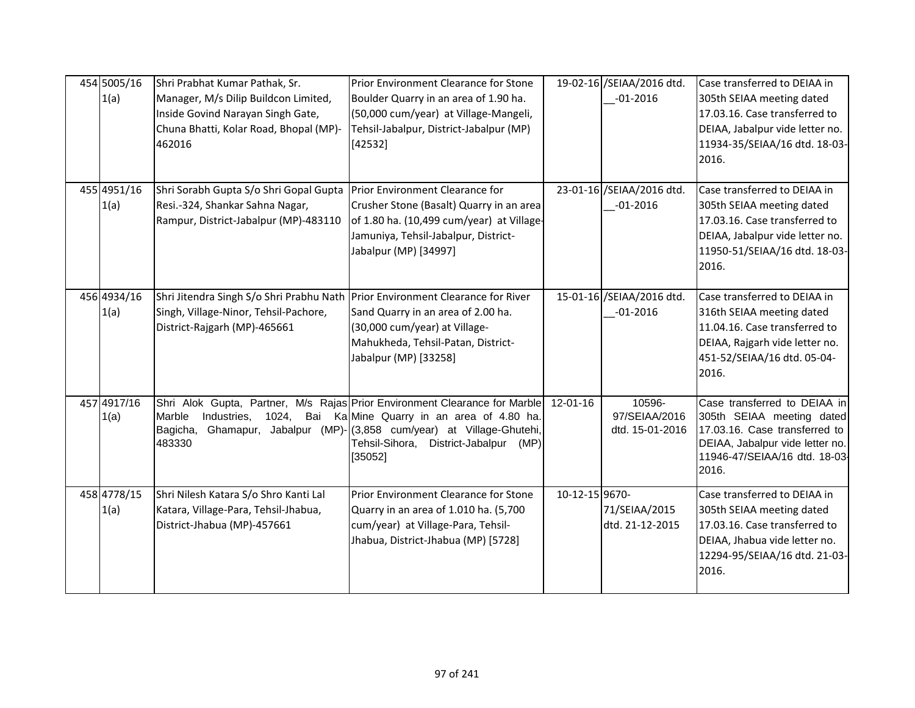| 454 5005/16<br>1(a) | Shri Prabhat Kumar Pathak, Sr.<br>Manager, M/s Dilip Buildcon Limited,<br>Inside Govind Narayan Singh Gate,<br>Chuna Bhatti, Kolar Road, Bhopal (MP)-<br>462016 | Prior Environment Clearance for Stone<br>Boulder Quarry in an area of 1.90 ha.<br>(50,000 cum/year) at Village-Mangeli,<br>Tehsil-Jabalpur, District-Jabalpur (MP)<br>[42532]                                                                                 |                | 19-02-16 /SEIAA/2016 dtd.<br>$-01 - 2016$  | Case transferred to DEIAA in<br>305th SEIAA meeting dated<br>17.03.16. Case transferred to<br>DEIAA, Jabalpur vide letter no.<br>11934-35/SEIAA/16 dtd. 18-03-<br>2016. |
|---------------------|-----------------------------------------------------------------------------------------------------------------------------------------------------------------|---------------------------------------------------------------------------------------------------------------------------------------------------------------------------------------------------------------------------------------------------------------|----------------|--------------------------------------------|-------------------------------------------------------------------------------------------------------------------------------------------------------------------------|
| 455 4951/16<br>1(a) | Shri Sorabh Gupta S/o Shri Gopal Gupta   Prior Environment Clearance for<br>Resi.-324, Shankar Sahna Nagar,<br>Rampur, District-Jabalpur (MP)-483110            | Crusher Stone (Basalt) Quarry in an area<br>of 1.80 ha. (10,499 cum/year) at Village-<br>Jamuniya, Tehsil-Jabalpur, District-<br>Jabalpur (MP) [34997]                                                                                                        |                | 23-01-16 /SEIAA/2016 dtd.<br>$-01 - 2016$  | Case transferred to DEIAA in<br>305th SEIAA meeting dated<br>17.03.16. Case transferred to<br>DEIAA, Jabalpur vide letter no.<br>11950-51/SEIAA/16 dtd. 18-03-<br>2016. |
| 456 4934/16<br>1(a) | Shri Jitendra Singh S/o Shri Prabhu Nath<br>Singh, Village-Ninor, Tehsil-Pachore,<br>District-Rajgarh (MP)-465661                                               | <b>Prior Environment Clearance for River</b><br>Sand Quarry in an area of 2.00 ha.<br>(30,000 cum/year) at Village-<br>Mahukheda, Tehsil-Patan, District-<br>Jabalpur (MP) [33258]                                                                            |                | 15-01-16 /SEIAA/2016 dtd.<br>$-01 - 2016$  | Case transferred to DEIAA in<br>316th SEIAA meeting dated<br>11.04.16. Case transferred to<br>DEIAA, Rajgarh vide letter no.<br>451-52/SEIAA/16 dtd. 05-04-<br>2016.    |
| 457 4917/16<br>1(a) | Marble<br>Industries,<br>Bagicha,<br>483330                                                                                                                     | Shri Alok Gupta, Partner, M/s Rajas Prior Environment Clearance for Marble 12-01-16<br>1024, Bai Ka Mine Quarry in an area of 4.80 ha.<br>Ghamapur, Jabalpur (MP)-(3,858 cum/year) at Village-Ghutehi,<br>Tehsil-Sihora,<br>District-Jabalpur (MP)<br>[35052] |                | 10596-<br>97/SEIAA/2016<br>dtd. 15-01-2016 | Case transferred to DEIAA in<br>305th SEIAA meeting dated<br>17.03.16. Case transferred to<br>DEIAA, Jabalpur vide letter no.<br>11946-47/SEIAA/16 dtd. 18-03-<br>2016. |
| 458 4778/15<br>1(a) | Shri Nilesh Katara S/o Shro Kanti Lal<br>Katara, Village-Para, Tehsil-Jhabua,<br>District-Jhabua (MP)-457661                                                    | Prior Environment Clearance for Stone<br>Quarry in an area of 1.010 ha. (5,700<br>cum/year) at Village-Para, Tehsil-<br>Jhabua, District-Jhabua (MP) [5728]                                                                                                   | 10-12-15 9670- | 71/SEIAA/2015<br>dtd. 21-12-2015           | Case transferred to DEIAA in<br>305th SEIAA meeting dated<br>17.03.16. Case transferred to<br>DEIAA, Jhabua vide letter no.<br>12294-95/SEIAA/16 dtd. 21-03-<br>2016.   |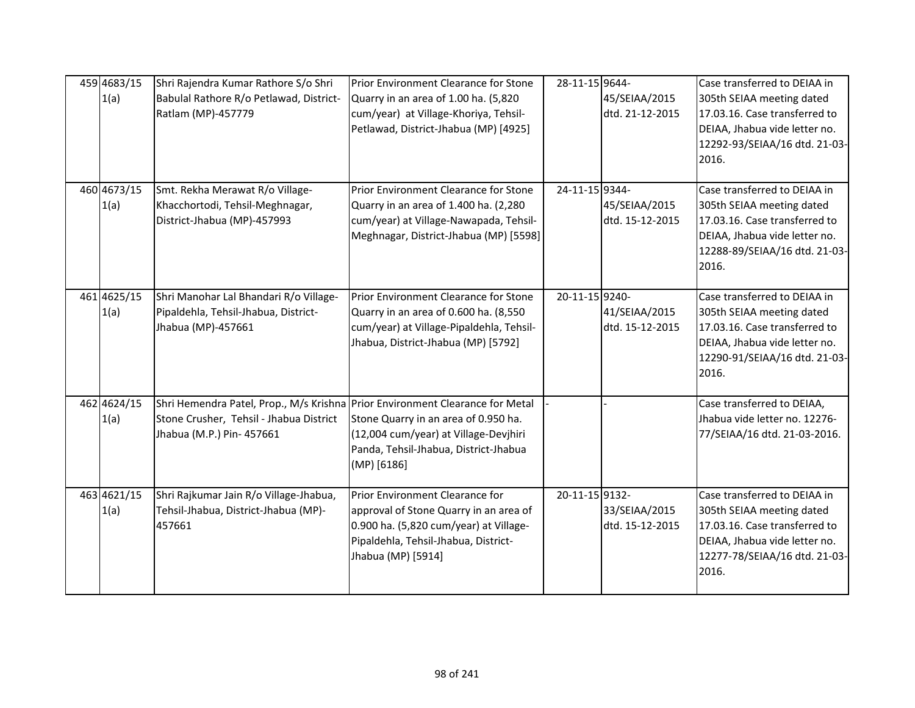| 459 4683/15<br>1(a) | Shri Rajendra Kumar Rathore S/o Shri<br>Babulal Rathore R/o Petlawad, District-<br>Ratlam (MP)-457779                                                 | Prior Environment Clearance for Stone<br>Quarry in an area of 1.00 ha. (5,820<br>cum/year) at Village-Khoriya, Tehsil-<br>Petlawad, District-Jhabua (MP) [4925]                   | 28-11-15 9644- | 45/SEIAA/2015<br>dtd. 21-12-2015 | Case transferred to DEIAA in<br>305th SEIAA meeting dated<br>17.03.16. Case transferred to<br>DEIAA, Jhabua vide letter no.<br>12292-93/SEIAA/16 dtd. 21-03-<br>2016. |
|---------------------|-------------------------------------------------------------------------------------------------------------------------------------------------------|-----------------------------------------------------------------------------------------------------------------------------------------------------------------------------------|----------------|----------------------------------|-----------------------------------------------------------------------------------------------------------------------------------------------------------------------|
| 460 4673/15<br>1(a) | Smt. Rekha Merawat R/o Village-<br>Khacchortodi, Tehsil-Meghnagar,<br>District-Jhabua (MP)-457993                                                     | Prior Environment Clearance for Stone<br>Quarry in an area of 1.400 ha. (2,280<br>cum/year) at Village-Nawapada, Tehsil-<br>Meghnagar, District-Jhabua (MP) [5598]                | 24-11-15 9344- | 45/SEIAA/2015<br>dtd. 15-12-2015 | Case transferred to DEIAA in<br>305th SEIAA meeting dated<br>17.03.16. Case transferred to<br>DEIAA, Jhabua vide letter no.<br>12288-89/SEIAA/16 dtd. 21-03-<br>2016. |
| 461 4625/15<br>1(a) | Shri Manohar Lal Bhandari R/o Village-<br>Pipaldehla, Tehsil-Jhabua, District-<br>Jhabua (MP)-457661                                                  | Prior Environment Clearance for Stone<br>Quarry in an area of 0.600 ha. (8,550<br>cum/year) at Village-Pipaldehla, Tehsil-<br>Jhabua, District-Jhabua (MP) [5792]                 | 20-11-15 9240- | 41/SEIAA/2015<br>dtd. 15-12-2015 | Case transferred to DEIAA in<br>305th SEIAA meeting dated<br>17.03.16. Case transferred to<br>DEIAA, Jhabua vide letter no.<br>12290-91/SEIAA/16 dtd. 21-03-<br>2016. |
| 462 4624/15<br>1(a) | Shri Hemendra Patel, Prop., M/s Krishna Prior Environment Clearance for Metal<br>Stone Crusher, Tehsil - Jhabua District<br>Jhabua (M.P.) Pin- 457661 | Stone Quarry in an area of 0.950 ha.<br>(12,004 cum/year) at Village-Devjhiri<br>Panda, Tehsil-Jhabua, District-Jhabua<br>(MP) [6186]                                             |                |                                  | Case transferred to DEIAA,<br>Jhabua vide letter no. 12276-<br>77/SEIAA/16 dtd. 21-03-2016.                                                                           |
| 463 4621/15<br>1(a) | Shri Rajkumar Jain R/o Village-Jhabua,<br>Tehsil-Jhabua, District-Jhabua (MP)-<br>457661                                                              | Prior Environment Clearance for<br>approval of Stone Quarry in an area of<br>0.900 ha. (5,820 cum/year) at Village-<br>Pipaldehla, Tehsil-Jhabua, District-<br>Jhabua (MP) [5914] | 20-11-15 9132- | 33/SEIAA/2015<br>dtd. 15-12-2015 | Case transferred to DEIAA in<br>305th SEIAA meeting dated<br>17.03.16. Case transferred to<br>DEIAA, Jhabua vide letter no.<br>12277-78/SEIAA/16 dtd. 21-03-<br>2016. |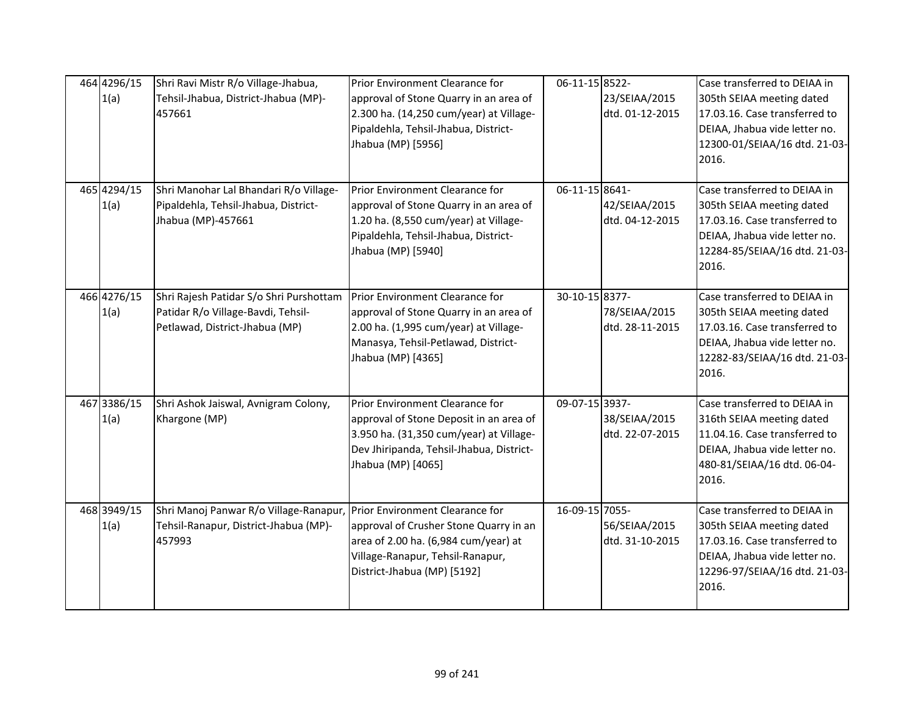| 464 4296/15<br>1(a) | Shri Ravi Mistr R/o Village-Jhabua,<br>Tehsil-Jhabua, District-Jhabua (MP)-<br>457661                                     | Prior Environment Clearance for<br>approval of Stone Quarry in an area of<br>2.300 ha. (14,250 cum/year) at Village-<br>Pipaldehla, Tehsil-Jhabua, District-<br>Jhabua (MP) [5956]      | 06-11-15 8522- | 23/SEIAA/2015<br>dtd. 01-12-2015 | Case transferred to DEIAA in<br>305th SEIAA meeting dated<br>17.03.16. Case transferred to<br>DEIAA, Jhabua vide letter no.<br>12300-01/SEIAA/16 dtd. 21-03-<br>2016. |
|---------------------|---------------------------------------------------------------------------------------------------------------------------|-----------------------------------------------------------------------------------------------------------------------------------------------------------------------------------------|----------------|----------------------------------|-----------------------------------------------------------------------------------------------------------------------------------------------------------------------|
| 465 4294/15<br>1(a) | Shri Manohar Lal Bhandari R/o Village-<br>Pipaldehla, Tehsil-Jhabua, District-<br>Jhabua (MP)-457661                      | Prior Environment Clearance for<br>approval of Stone Quarry in an area of<br>1.20 ha. (8,550 cum/year) at Village-<br>Pipaldehla, Tehsil-Jhabua, District-<br>Jhabua (MP) [5940]        | 06-11-15 8641- | 42/SEIAA/2015<br>dtd. 04-12-2015 | Case transferred to DEIAA in<br>305th SEIAA meeting dated<br>17.03.16. Case transferred to<br>DEIAA, Jhabua vide letter no.<br>12284-85/SEIAA/16 dtd. 21-03-<br>2016. |
| 466 4276/15<br>1(a) | Shri Rajesh Patidar S/o Shri Purshottam<br>Patidar R/o Village-Bavdi, Tehsil-<br>Petlawad, District-Jhabua (MP)           | Prior Environment Clearance for<br>approval of Stone Quarry in an area of<br>2.00 ha. (1,995 cum/year) at Village-<br>Manasya, Tehsil-Petlawad, District-<br>Jhabua (MP) [4365]         | 30-10-15 8377- | 78/SEIAA/2015<br>dtd. 28-11-2015 | Case transferred to DEIAA in<br>305th SEIAA meeting dated<br>17.03.16. Case transferred to<br>DEIAA, Jhabua vide letter no.<br>12282-83/SEIAA/16 dtd. 21-03-<br>2016. |
| 467 3386/15<br>1(a) | Shri Ashok Jaiswal, Avnigram Colony,<br>Khargone (MP)                                                                     | Prior Environment Clearance for<br>approval of Stone Deposit in an area of<br>3.950 ha. (31,350 cum/year) at Village-<br>Dev Jhiripanda, Tehsil-Jhabua, District-<br>Jhabua (MP) [4065] | 09-07-15 3937- | 38/SEIAA/2015<br>dtd. 22-07-2015 | Case transferred to DEIAA in<br>316th SEIAA meeting dated<br>11.04.16. Case transferred to<br>DEIAA, Jhabua vide letter no.<br>480-81/SEIAA/16 dtd. 06-04-<br>2016.   |
| 468 3949/15<br>1(a) | Shri Manoj Panwar R/o Village-Ranapur, Prior Environment Clearance for<br>Tehsil-Ranapur, District-Jhabua (MP)-<br>457993 | approval of Crusher Stone Quarry in an<br>area of 2.00 ha. (6,984 cum/year) at<br>Village-Ranapur, Tehsil-Ranapur,<br>District-Jhabua (MP) [5192]                                       | 16-09-15 7055- | 56/SEIAA/2015<br>dtd. 31-10-2015 | Case transferred to DEIAA in<br>305th SEIAA meeting dated<br>17.03.16. Case transferred to<br>DEIAA, Jhabua vide letter no.<br>12296-97/SEIAA/16 dtd. 21-03-<br>2016. |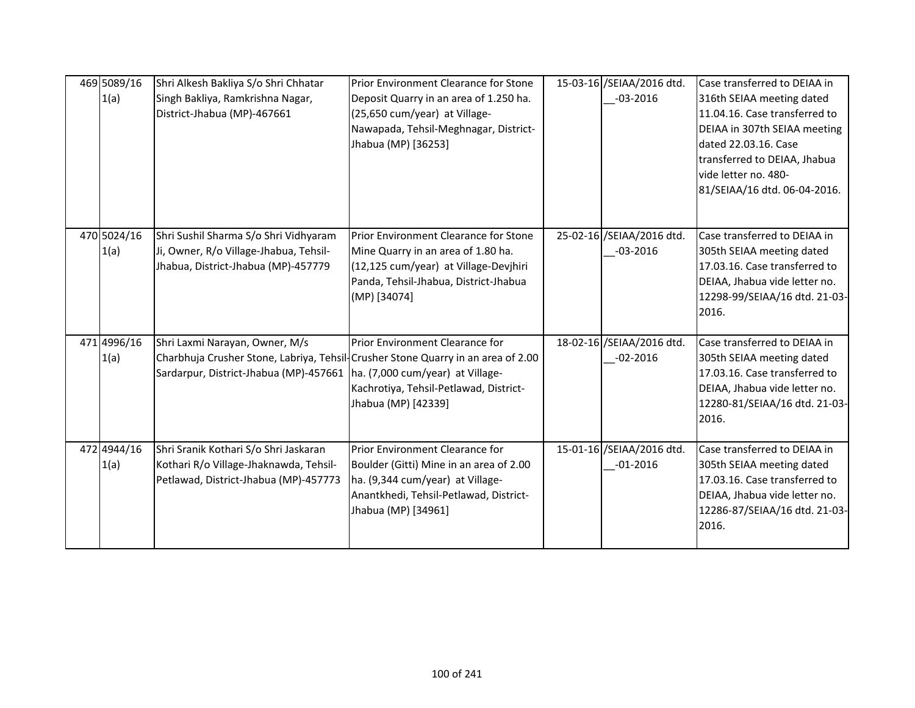| 469 5089/16<br>1(a) | Shri Alkesh Bakliya S/o Shri Chhatar<br>Singh Bakliya, Ramkrishna Nagar,<br>District-Jhabua (MP)-467661                  | Prior Environment Clearance for Stone<br>Deposit Quarry in an area of 1.250 ha.<br>(25,650 cum/year) at Village-<br>Nawapada, Tehsil-Meghnagar, District-<br>Jhabua (MP) [36253]     | 15-03-16 /SEIAA/2016 dtd.<br>$-03 - 2016$  | Case transferred to DEIAA in<br>316th SEIAA meeting dated<br>11.04.16. Case transferred to<br>DEIAA in 307th SEIAA meeting<br>dated 22.03.16. Case<br>transferred to DEIAA, Jhabua<br>vide letter no. 480-<br>81/SEIAA/16 dtd. 06-04-2016. |
|---------------------|--------------------------------------------------------------------------------------------------------------------------|--------------------------------------------------------------------------------------------------------------------------------------------------------------------------------------|--------------------------------------------|--------------------------------------------------------------------------------------------------------------------------------------------------------------------------------------------------------------------------------------------|
| 470 5024/16<br>1(a) | Shri Sushil Sharma S/o Shri Vidhyaram<br>Ji, Owner, R/o Village-Jhabua, Tehsil-<br>Jhabua, District-Jhabua (MP)-457779   | Prior Environment Clearance for Stone<br>Mine Quarry in an area of 1.80 ha.<br>(12,125 cum/year) at Village-Devjhiri<br>Panda, Tehsil-Jhabua, District-Jhabua<br>(MP) [34074]        | 25-02-16 /SEIAA/2016 dtd.<br>$-03 - 2016$  | Case transferred to DEIAA in<br>305th SEIAA meeting dated<br>17.03.16. Case transferred to<br>DEIAA, Jhabua vide letter no.<br>12298-99/SEIAA/16 dtd. 21-03-<br>2016.                                                                      |
| 471 4996/16<br>1(a) | Shri Laxmi Narayan, Owner, M/s<br>Sardarpur, District-Jhabua (MP)-457661 ha. (7,000 cum/year) at Village-                | Prior Environment Clearance for<br>Charbhuja Crusher Stone, Labriya, Tehsil-Crusher Stone Quarry in an area of 2.00<br>Kachrotiya, Tehsil-Petlawad, District-<br>Jhabua (MP) [42339] | 18-02-16 / SEIAA/2016 dtd.<br>$-02 - 2016$ | Case transferred to DEIAA in<br>305th SEIAA meeting dated<br>17.03.16. Case transferred to<br>DEIAA, Jhabua vide letter no.<br>12280-81/SEIAA/16 dtd. 21-03-<br>2016.                                                                      |
| 472 4944/16<br>1(a) | Shri Sranik Kothari S/o Shri Jaskaran<br>Kothari R/o Village-Jhaknawda, Tehsil-<br>Petlawad, District-Jhabua (MP)-457773 | Prior Environment Clearance for<br>Boulder (Gitti) Mine in an area of 2.00<br>ha. (9,344 cum/year) at Village-<br>Anantkhedi, Tehsil-Petlawad, District-<br>Jhabua (MP) [34961]      | 15-01-16 / SEIAA/2016 dtd.<br>$-01 - 2016$ | Case transferred to DEIAA in<br>305th SEIAA meeting dated<br>17.03.16. Case transferred to<br>DEIAA, Jhabua vide letter no.<br>12286-87/SEIAA/16 dtd. 21-03-<br>2016.                                                                      |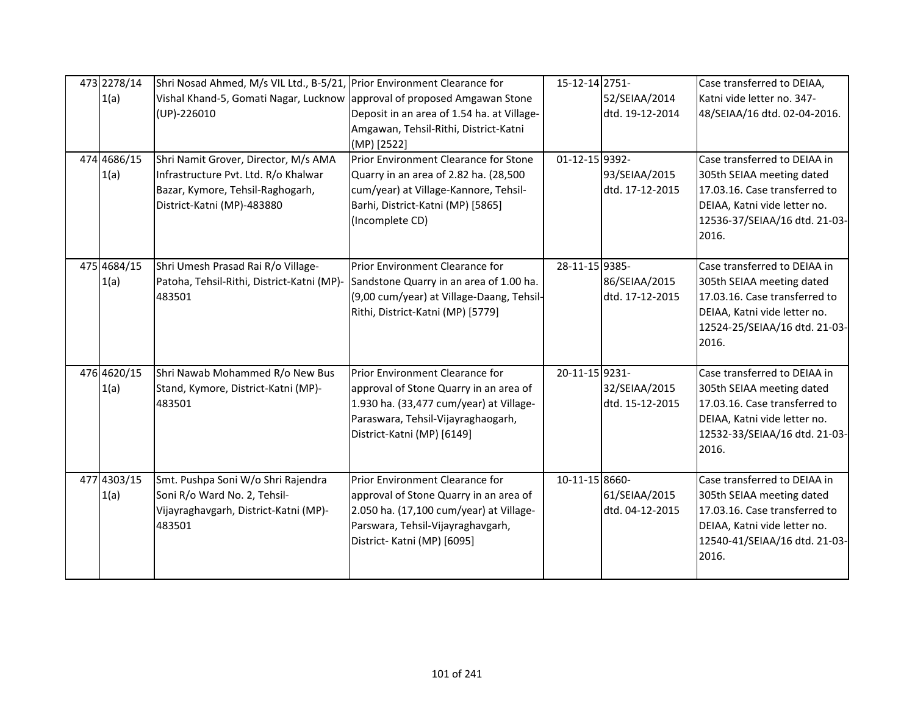| 473 2278/14<br>1(a)<br>474 4686/15<br>1(a) | Shri Nosad Ahmed, M/s VIL Ltd., B-5/21, Prior Environment Clearance for<br>Vishal Khand-5, Gomati Nagar, Lucknow approval of proposed Amgawan Stone<br>(UP)-226010<br>Shri Namit Grover, Director, M/s AMA<br>Infrastructure Pvt. Ltd. R/o Khalwar<br>Bazar, Kymore, Tehsil-Raghogarh, | Deposit in an area of 1.54 ha. at Village-<br>Amgawan, Tehsil-Rithi, District-Katni<br>(MP) [2522]<br>Prior Environment Clearance for Stone<br>Quarry in an area of 2.82 ha. (28,500<br>cum/year) at Village-Kannore, Tehsil- | 15-12-14 2751-<br>01-12-15 9392- | 52/SEIAA/2014<br>dtd. 19-12-2014<br>93/SEIAA/2015<br>dtd. 17-12-2015 | Case transferred to DEIAA,<br>Katni vide letter no. 347-<br>48/SEIAA/16 dtd. 02-04-2016.<br>Case transferred to DEIAA in<br>305th SEIAA meeting dated<br>17.03.16. Case transferred to |
|--------------------------------------------|----------------------------------------------------------------------------------------------------------------------------------------------------------------------------------------------------------------------------------------------------------------------------------------|-------------------------------------------------------------------------------------------------------------------------------------------------------------------------------------------------------------------------------|----------------------------------|----------------------------------------------------------------------|----------------------------------------------------------------------------------------------------------------------------------------------------------------------------------------|
|                                            | District-Katni (MP)-483880                                                                                                                                                                                                                                                             | Barhi, District-Katni (MP) [5865]<br>(Incomplete CD)                                                                                                                                                                          |                                  |                                                                      | DEIAA, Katni vide letter no.<br>12536-37/SEIAA/16 dtd. 21-03-<br>2016.                                                                                                                 |
| 475 4684/15<br>1(a)                        | Shri Umesh Prasad Rai R/o Village-<br>Patoha, Tehsil-Rithi, District-Katni (MP)- Sandstone Quarry in an area of 1.00 ha.<br>483501                                                                                                                                                     | Prior Environment Clearance for<br>(9,00 cum/year) at Village-Daang, Tehsil-<br>Rithi, District-Katni (MP) [5779]                                                                                                             | 28-11-15 9385-                   | 86/SEIAA/2015<br>dtd. 17-12-2015                                     | Case transferred to DEIAA in<br>305th SEIAA meeting dated<br>17.03.16. Case transferred to<br>DEIAA, Katni vide letter no.<br>12524-25/SEIAA/16 dtd. 21-03-<br>2016.                   |
| 476 4620/15<br>1(a)                        | Shri Nawab Mohammed R/o New Bus<br>Stand, Kymore, District-Katni (MP)-<br>483501                                                                                                                                                                                                       | Prior Environment Clearance for<br>approval of Stone Quarry in an area of<br>1.930 ha. (33,477 cum/year) at Village-<br>Paraswara, Tehsil-Vijayraghaogarh,<br>District-Katni (MP) [6149]                                      | 20-11-15 9231-                   | 32/SEIAA/2015<br>dtd. 15-12-2015                                     | Case transferred to DEIAA in<br>305th SEIAA meeting dated<br>17.03.16. Case transferred to<br>DEIAA, Katni vide letter no.<br>12532-33/SEIAA/16 dtd. 21-03-<br>2016.                   |
| 477 4303/15<br>1(a)                        | Smt. Pushpa Soni W/o Shri Rajendra<br>Soni R/o Ward No. 2, Tehsil-<br>Vijayraghavgarh, District-Katni (MP)-<br>483501                                                                                                                                                                  | Prior Environment Clearance for<br>approval of Stone Quarry in an area of<br>2.050 ha. (17,100 cum/year) at Village-<br>Parswara, Tehsil-Vijayraghavgarh,<br>District- Katni (MP) [6095]                                      | 10-11-15 8660-                   | 61/SEIAA/2015<br>dtd. 04-12-2015                                     | Case transferred to DEIAA in<br>305th SEIAA meeting dated<br>17.03.16. Case transferred to<br>DEIAA, Katni vide letter no.<br>12540-41/SEIAA/16 dtd. 21-03-<br>2016.                   |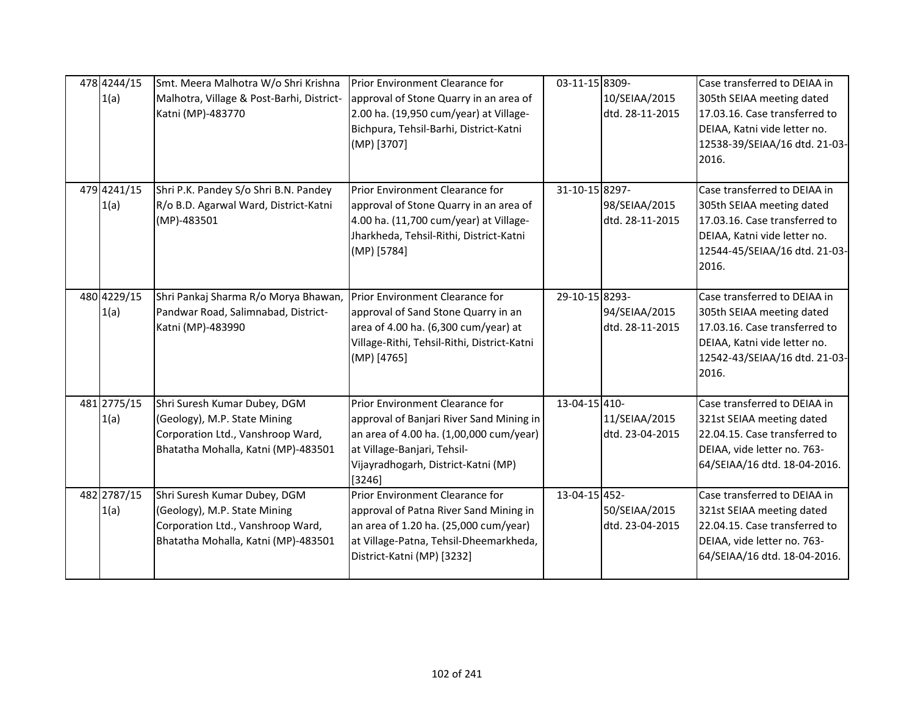| 478 4244/15<br>1(a) | Smt. Meera Malhotra W/o Shri Krishna<br>Malhotra, Village & Post-Barhi, District-<br>Katni (MP)-483770                                   | Prior Environment Clearance for<br>approval of Stone Quarry in an area of<br>2.00 ha. (19,950 cum/year) at Village-<br>Bichpura, Tehsil-Barhi, District-Katni<br>(MP) [3707]                           | 03-11-15 8309-<br>10/SEIAA/2015<br>dtd. 28-11-2015 | Case transferred to DEIAA in<br>305th SEIAA meeting dated<br>17.03.16. Case transferred to<br>DEIAA, Katni vide letter no.<br>12538-39/SEIAA/16 dtd. 21-03-<br>2016. |
|---------------------|------------------------------------------------------------------------------------------------------------------------------------------|--------------------------------------------------------------------------------------------------------------------------------------------------------------------------------------------------------|----------------------------------------------------|----------------------------------------------------------------------------------------------------------------------------------------------------------------------|
| 479 4241/15<br>1(a) | Shri P.K. Pandey S/o Shri B.N. Pandey<br>R/o B.D. Agarwal Ward, District-Katni<br>(MP)-483501                                            | Prior Environment Clearance for<br>approval of Stone Quarry in an area of<br>4.00 ha. (11,700 cum/year) at Village-<br>Jharkheda, Tehsil-Rithi, District-Katni<br>(MP) [5784]                          | 31-10-15 8297-<br>98/SEIAA/2015<br>dtd. 28-11-2015 | Case transferred to DEIAA in<br>305th SEIAA meeting dated<br>17.03.16. Case transferred to<br>DEIAA, Katni vide letter no.<br>12544-45/SEIAA/16 dtd. 21-03-<br>2016. |
| 480 4229/15<br>1(a) | Shri Pankaj Sharma R/o Morya Bhawan,<br>Pandwar Road, Salimnabad, District-<br>Katni (MP)-483990                                         | Prior Environment Clearance for<br>approval of Sand Stone Quarry in an<br>area of 4.00 ha. (6,300 cum/year) at<br>Village-Rithi, Tehsil-Rithi, District-Katni<br>(MP) [4765]                           | 29-10-15 8293-<br>94/SEIAA/2015<br>dtd. 28-11-2015 | Case transferred to DEIAA in<br>305th SEIAA meeting dated<br>17.03.16. Case transferred to<br>DEIAA, Katni vide letter no.<br>12542-43/SEIAA/16 dtd. 21-03-<br>2016. |
| 481 2775/15<br>1(a) | Shri Suresh Kumar Dubey, DGM<br>(Geology), M.P. State Mining<br>Corporation Ltd., Vanshroop Ward,<br>Bhatatha Mohalla, Katni (MP)-483501 | Prior Environment Clearance for<br>approval of Banjari River Sand Mining in<br>an area of 4.00 ha. (1,00,000 cum/year)<br>at Village-Banjari, Tehsil-<br>Vijayradhogarh, District-Katni (MP)<br>[3246] | 13-04-15 410-<br>11/SEIAA/2015<br>dtd. 23-04-2015  | Case transferred to DEIAA in<br>321st SEIAA meeting dated<br>22.04.15. Case transferred to<br>DEIAA, vide letter no. 763-<br>64/SEIAA/16 dtd. 18-04-2016.            |
| 482 2787/15<br>1(a) | Shri Suresh Kumar Dubey, DGM<br>(Geology), M.P. State Mining<br>Corporation Ltd., Vanshroop Ward,<br>Bhatatha Mohalla, Katni (MP)-483501 | Prior Environment Clearance for<br>approval of Patna River Sand Mining in<br>an area of 1.20 ha. (25,000 cum/year)<br>at Village-Patna, Tehsil-Dheemarkheda,<br>District-Katni (MP) [3232]             | 13-04-15 452-<br>50/SEIAA/2015<br>dtd. 23-04-2015  | Case transferred to DEIAA in<br>321st SEIAA meeting dated<br>22.04.15. Case transferred to<br>DEIAA, vide letter no. 763-<br>64/SEIAA/16 dtd. 18-04-2016.            |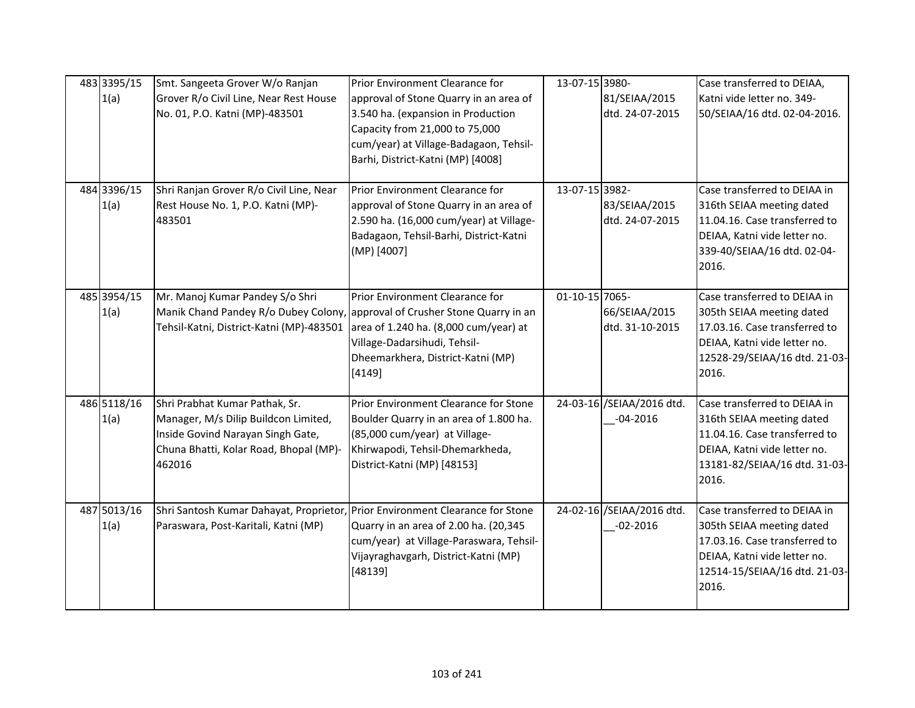| 483 3395/15<br>1(a) | Smt. Sangeeta Grover W/o Ranjan<br>Grover R/o Civil Line, Near Rest House<br>No. 01, P.O. Katni (MP)-483501                                                     | Prior Environment Clearance for<br>approval of Stone Quarry in an area of<br>3.540 ha. (expansion in Production<br>Capacity from 21,000 to 75,000<br>cum/year) at Village-Badagaon, Tehsil-<br>Barhi, District-Katni (MP) [4008] | 13-07-15 3980- | 81/SEIAA/2015<br>dtd. 24-07-2015          | Case transferred to DEIAA,<br>Katni vide letter no. 349-<br>50/SEIAA/16 dtd. 02-04-2016.                                                                             |
|---------------------|-----------------------------------------------------------------------------------------------------------------------------------------------------------------|----------------------------------------------------------------------------------------------------------------------------------------------------------------------------------------------------------------------------------|----------------|-------------------------------------------|----------------------------------------------------------------------------------------------------------------------------------------------------------------------|
| 484 3396/15<br>1(a) | Shri Ranjan Grover R/o Civil Line, Near<br>Rest House No. 1, P.O. Katni (MP)-<br>483501                                                                         | Prior Environment Clearance for<br>approval of Stone Quarry in an area of<br>2.590 ha. (16,000 cum/year) at Village-<br>Badagaon, Tehsil-Barhi, District-Katni<br>(MP) [4007]                                                    | 13-07-15 3982- | 83/SEIAA/2015<br>dtd. 24-07-2015          | Case transferred to DEIAA in<br>316th SEIAA meeting dated<br>11.04.16. Case transferred to<br>DEIAA, Katni vide letter no.<br>339-40/SEIAA/16 dtd. 02-04-<br>2016.   |
| 485 3954/15<br>1(a) | Mr. Manoj Kumar Pandey S/o Shri<br>Manik Chand Pandey R/o Dubey Colony,<br>Tehsil-Katni, District-Katni (MP)-483501                                             | Prior Environment Clearance for<br>approval of Crusher Stone Quarry in an<br>area of 1.240 ha. (8,000 cum/year) at<br>Village-Dadarsihudi, Tehsil-<br>Dheemarkhera, District-Katni (MP)<br>[4149]                                | 01-10-15 7065- | 66/SEIAA/2015<br>dtd. 31-10-2015          | Case transferred to DEIAA in<br>305th SEIAA meeting dated<br>17.03.16. Case transferred to<br>DEIAA, Katni vide letter no.<br>12528-29/SEIAA/16 dtd. 21-03-<br>2016. |
| 486 5118/16<br>1(a) | Shri Prabhat Kumar Pathak, Sr.<br>Manager, M/s Dilip Buildcon Limited,<br>Inside Govind Narayan Singh Gate,<br>Chuna Bhatti, Kolar Road, Bhopal (MP)-<br>462016 | Prior Environment Clearance for Stone<br>Boulder Quarry in an area of 1.800 ha.<br>(85,000 cum/year) at Village-<br>Khirwapodi, Tehsil-Dhemarkheda,<br>District-Katni (MP) [48153]                                               |                | 24-03-16 /SEIAA/2016 dtd.<br>$-04 - 2016$ | Case transferred to DEIAA in<br>316th SEIAA meeting dated<br>11.04.16. Case transferred to<br>DEIAA, Katni vide letter no.<br>13181-82/SEIAA/16 dtd. 31-03-<br>2016. |
| 487 5013/16<br>1(a) | Shri Santosh Kumar Dahayat, Proprietor, Prior Environment Clearance for Stone<br>Paraswara, Post-Karitali, Katni (MP)                                           | Quarry in an area of 2.00 ha. (20,345<br>cum/year) at Village-Paraswara, Tehsil-<br>Vijayraghavgarh, District-Katni (MP)<br>[48139]                                                                                              |                | 24-02-16 /SEIAA/2016 dtd.<br>$-02 - 2016$ | Case transferred to DEIAA in<br>305th SEIAA meeting dated<br>17.03.16. Case transferred to<br>DEIAA, Katni vide letter no.<br>12514-15/SEIAA/16 dtd. 21-03-<br>2016. |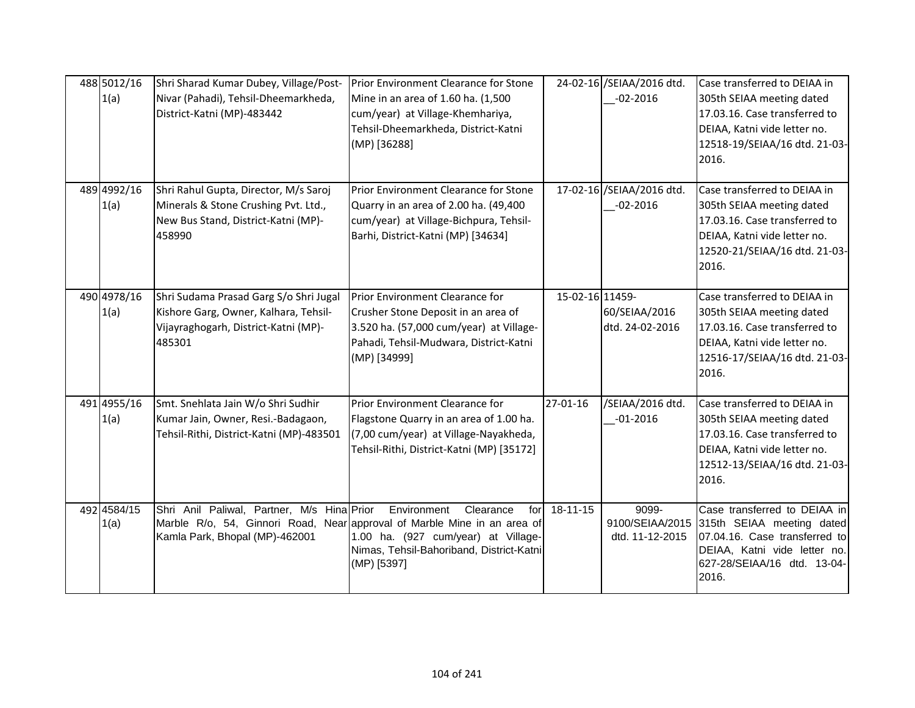| 488 5012/16<br>1(a) | Shri Sharad Kumar Dubey, Village/Post-<br>Nivar (Pahadi), Tehsil-Dheemarkheda,<br>District-Katni (MP)-483442                      | Prior Environment Clearance for Stone<br>Mine in an area of 1.60 ha. (1,500<br>cum/year) at Village-Khemhariya,<br>Tehsil-Dheemarkheda, District-Katni<br>(MP) [36288]                                        |                 | 24-02-16 /SEIAA/2016 dtd.<br>$-02 - 2016$   | Case transferred to DEIAA in<br>305th SEIAA meeting dated<br>17.03.16. Case transferred to<br>DEIAA, Katni vide letter no.<br>12518-19/SEIAA/16 dtd. 21-03-<br>2016. |
|---------------------|-----------------------------------------------------------------------------------------------------------------------------------|---------------------------------------------------------------------------------------------------------------------------------------------------------------------------------------------------------------|-----------------|---------------------------------------------|----------------------------------------------------------------------------------------------------------------------------------------------------------------------|
| 489 4992/16<br>1(a) | Shri Rahul Gupta, Director, M/s Saroj<br>Minerals & Stone Crushing Pvt. Ltd.,<br>New Bus Stand, District-Katni (MP)-<br>458990    | Prior Environment Clearance for Stone<br>Quarry in an area of 2.00 ha. (49,400<br>cum/year) at Village-Bichpura, Tehsil-<br>Barhi, District-Katni (MP) [34634]                                                |                 | 17-02-16 /SEIAA/2016 dtd.<br>$-02 - 2016$   | Case transferred to DEIAA in<br>305th SEIAA meeting dated<br>17.03.16. Case transferred to<br>DEIAA, Katni vide letter no.<br>12520-21/SEIAA/16 dtd. 21-03-<br>2016. |
| 490 4978/16<br>1(a) | Shri Sudama Prasad Garg S/o Shri Jugal<br>Kishore Garg, Owner, Kalhara, Tehsil-<br>Vijayraghogarh, District-Katni (MP)-<br>485301 | Prior Environment Clearance for<br>Crusher Stone Deposit in an area of<br>3.520 ha. (57,000 cum/year) at Village-<br>Pahadi, Tehsil-Mudwara, District-Katni<br>(MP) [34999]                                   | 15-02-16 11459- | 60/SEIAA/2016<br>dtd. 24-02-2016            | Case transferred to DEIAA in<br>305th SEIAA meeting dated<br>17.03.16. Case transferred to<br>DEIAA, Katni vide letter no.<br>12516-17/SEIAA/16 dtd. 21-03-<br>2016. |
| 491 4955/16<br>1(a) | Smt. Snehlata Jain W/o Shri Sudhir<br>Kumar Jain, Owner, Resi.-Badagaon,<br>Tehsil-Rithi, District-Katni (MP)-483501              | Prior Environment Clearance for<br>Flagstone Quarry in an area of 1.00 ha.<br>(7,00 cum/year) at Village-Nayakheda,<br>Tehsil-Rithi, District-Katni (MP) [35172]                                              | 27-01-16        | /SEIAA/2016 dtd.<br>$-01 - 2016$            | Case transferred to DEIAA in<br>305th SEIAA meeting dated<br>17.03.16. Case transferred to<br>DEIAA, Katni vide letter no.<br>12512-13/SEIAA/16 dtd. 21-03-<br>2016. |
| 492 4584/15<br>1(a) | Shri Anil Paliwal, Partner, M/s Hina Prior<br>Kamla Park, Bhopal (MP)-462001                                                      | Environment<br>Clearance<br>for<br>Marble R/o, 54, Ginnori Road, Near approval of Marble Mine in an area of<br>1.00 ha. (927 cum/year) at Village-<br>Nimas, Tehsil-Bahoriband, District-Katni<br>(MP) [5397] | $18 - 11 - 15$  | 9099-<br>9100/SEIAA/2015<br>dtd. 11-12-2015 | Case transferred to DEIAA in<br>315th SEIAA meeting dated<br>07.04.16. Case transferred to<br>DEIAA, Katni vide letter no.<br>627-28/SEIAA/16 dtd. 13-04-<br>2016.   |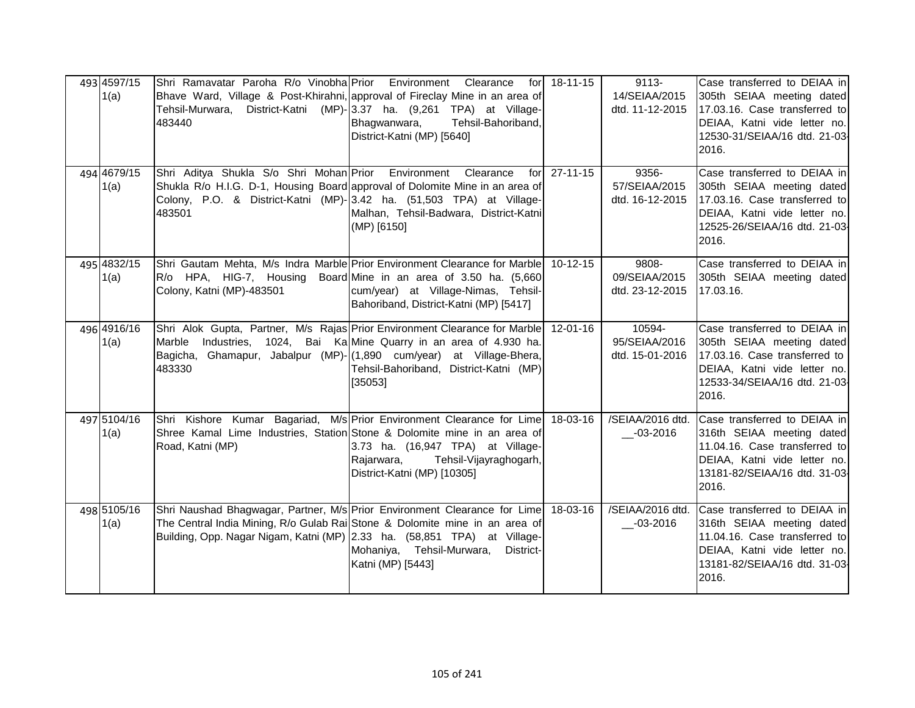| 493 4597/15<br>1(a) | 483440                    | Shri Ramavatar Paroha R/o Vinobha Prior Environment Clearance for 18-11-15<br>Bhave Ward, Village & Post-Khirahni, approval of Fireclay Mine in an area of<br>Tehsil-Murwara, District-Katni (MP)- 3.37 ha. (9,261 TPA) at Village-<br>Tehsil-Bahoriband,<br>Bhagwanwara,<br>District-Katni (MP) [5640]      | 9113-<br>14/SEIAA/2015<br>dtd. 11-12-2015  | Case transferred to DEIAA in<br>305th SEIAA meeting dated<br>17.03.16. Case transferred to<br>DEIAA, Katni vide letter no.<br>12530-31/SEIAA/16 dtd. 21-03-<br>2016. |
|---------------------|---------------------------|--------------------------------------------------------------------------------------------------------------------------------------------------------------------------------------------------------------------------------------------------------------------------------------------------------------|--------------------------------------------|----------------------------------------------------------------------------------------------------------------------------------------------------------------------|
| 494 4679/15<br>1(a) | 483501                    | Shri Aditya Shukla S/o Shri Mohan Prior Environment Clearance for 27-11-15<br>Shukla R/o H.I.G. D-1, Housing Board approval of Dolomite Mine in an area of<br>Colony, P.O. & District-Katni (MP)-33.42 ha. (51,503 TPA) at Village-<br>Malhan, Tehsil-Badwara, District-Katni<br>(MP) [6150]                 | 9356-<br>57/SEIAA/2015<br>dtd. 16-12-2015  | Case transferred to DEIAA in<br>305th SEIAA meeting dated<br>17.03.16. Case transferred to<br>DEIAA, Katni vide letter no.<br>12525-26/SEIAA/16 dtd. 21-03<br>2016.  |
| 495 4832/15<br>1(a) | Colony, Katni (MP)-483501 | Shri Gautam Mehta, M/s Indra Marble Prior Environment Clearance for Marble 10-12-15<br>R/o HPA, HIG-7, Housing Board Mine in an area of 3.50 ha. (5,660<br>cum/year) at Village-Nimas, Tehsil-<br>Bahoriband, District-Katni (MP) [5417]                                                                     | 9808-<br>09/SEIAA/2015<br>dtd. 23-12-2015  | Case transferred to DEIAA in<br>305th SEIAA meeting dated<br>17.03.16.                                                                                               |
| 496 4916/16<br>1(a) | 483330                    | Shri Alok Gupta, Partner, M/s Rajas Prior Environment Clearance for Marble 12-01-16<br>Marble Industries, 1024, Bai Ka Mine Quarry in an area of 4.930 ha.<br>Bagicha, Ghamapur, Jabalpur (MP)-(1,890 cum/year) at Village-Bhera,<br>Tehsil-Bahoriband, District-Katni (MP)<br>[35053]                       | 10594-<br>95/SEIAA/2016<br>dtd. 15-01-2016 | Case transferred to DEIAA in<br>305th SEIAA meeting dated<br>17.03.16. Case transferred to<br>DEIAA, Katni vide letter no.<br>12533-34/SEIAA/16 dtd. 21-03-<br>2016. |
| 497 5104/16<br>1(a) | Road, Katni (MP)          | Shri Kishore Kumar Bagariad, M/s Prior Environment Clearance for Lime 18-03-16<br>Shree Kamal Lime Industries, Station Stone & Dolomite mine in an area of<br>3.73 ha. (16,947 TPA) at Village-<br>Rajarwara,<br>Tehsil-Vijayraghogarh,<br>District-Katni (MP) [10305]                                       | /SEIAA/2016 dtd.<br>$-03 - 2016$           | Case transferred to DEIAA in<br>316th SEIAA meeting dated<br>11.04.16. Case transferred to<br>DEIAA, Katni vide letter no.<br>13181-82/SEIAA/16 dtd. 31-03<br>2016.  |
| 498 5105/16<br>1(a) |                           | Shri Naushad Bhagwagar, Partner, M/s Prior Environment Clearance for Lime 18-03-16<br>The Central India Mining, R/o Gulab Rai Stone & Dolomite mine in an area of<br>Building, Opp. Nagar Nigam, Katni (MP) 2.33 ha. (58,851 TPA) at Village-<br>Mohaniya, Tehsil-Murwara,<br>District-<br>Katni (MP) [5443] | /SEIAA/2016 dtd.<br>$-03 - 2016$           | Case transferred to DEIAA in<br>316th SEIAA meeting dated<br>11.04.16. Case transferred to<br>DEIAA, Katni vide letter no.<br>13181-82/SEIAA/16 dtd. 31-03-<br>2016. |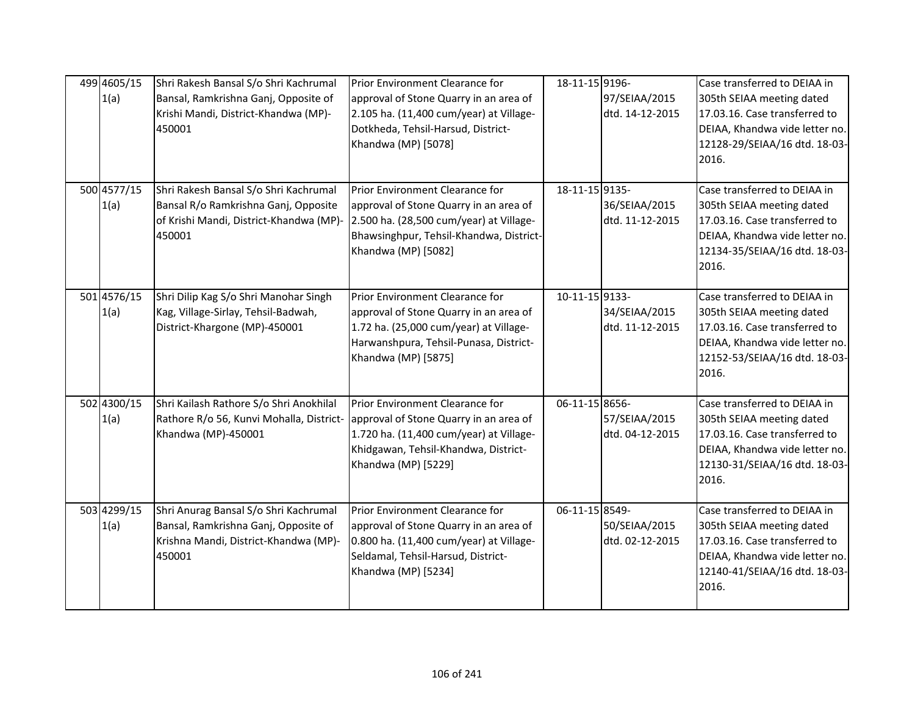| 499 4605/15<br>1(a) | Shri Rakesh Bansal S/o Shri Kachrumal<br>Bansal, Ramkrishna Ganj, Opposite of<br>Krishi Mandi, District-Khandwa (MP)-<br>450001    | Prior Environment Clearance for<br>approval of Stone Quarry in an area of<br>2.105 ha. (11,400 cum/year) at Village-<br>Dotkheda, Tehsil-Harsud, District-<br>Khandwa (MP) [5078]      | 18-11-15 9196- | 97/SEIAA/2015<br>dtd. 14-12-2015 | Case transferred to DEIAA in<br>305th SEIAA meeting dated<br>17.03.16. Case transferred to<br>DEIAA, Khandwa vide letter no.<br>12128-29/SEIAA/16 dtd. 18-03-<br>2016. |
|---------------------|------------------------------------------------------------------------------------------------------------------------------------|----------------------------------------------------------------------------------------------------------------------------------------------------------------------------------------|----------------|----------------------------------|------------------------------------------------------------------------------------------------------------------------------------------------------------------------|
| 500 4577/15<br>1(a) | Shri Rakesh Bansal S/o Shri Kachrumal<br>Bansal R/o Ramkrishna Ganj, Opposite<br>of Krishi Mandi, District-Khandwa (MP)-<br>450001 | Prior Environment Clearance for<br>approval of Stone Quarry in an area of<br>2.500 ha. (28,500 cum/year) at Village-<br>Bhawsinghpur, Tehsil-Khandwa, District-<br>Khandwa (MP) [5082] | 18-11-15 9135- | 36/SEIAA/2015<br>dtd. 11-12-2015 | Case transferred to DEIAA in<br>305th SEIAA meeting dated<br>17.03.16. Case transferred to<br>DEIAA, Khandwa vide letter no.<br>12134-35/SEIAA/16 dtd. 18-03-<br>2016. |
| 501 4576/15<br>1(a) | Shri Dilip Kag S/o Shri Manohar Singh<br>Kag, Village-Sirlay, Tehsil-Badwah,<br>District-Khargone (MP)-450001                      | Prior Environment Clearance for<br>approval of Stone Quarry in an area of<br>1.72 ha. (25,000 cum/year) at Village-<br>Harwanshpura, Tehsil-Punasa, District-<br>Khandwa (MP) [5875]   | 10-11-15 9133- | 34/SEIAA/2015<br>dtd. 11-12-2015 | Case transferred to DEIAA in<br>305th SEIAA meeting dated<br>17.03.16. Case transferred to<br>DEIAA, Khandwa vide letter no.<br>12152-53/SEIAA/16 dtd. 18-03-<br>2016. |
| 502 4300/15<br>1(a) | Shri Kailash Rathore S/o Shri Anokhilal<br>Rathore R/o 56, Kunvi Mohalla, District-<br>Khandwa (MP)-450001                         | Prior Environment Clearance for<br>approval of Stone Quarry in an area of<br>1.720 ha. (11,400 cum/year) at Village-<br>Khidgawan, Tehsil-Khandwa, District-<br>Khandwa (MP) [5229]    | 06-11-15 8656- | 57/SEIAA/2015<br>dtd. 04-12-2015 | Case transferred to DEIAA in<br>305th SEIAA meeting dated<br>17.03.16. Case transferred to<br>DEIAA, Khandwa vide letter no.<br>12130-31/SEIAA/16 dtd. 18-03-<br>2016. |
| 503 4299/15<br>1(a) | Shri Anurag Bansal S/o Shri Kachrumal<br>Bansal, Ramkrishna Ganj, Opposite of<br>Krishna Mandi, District-Khandwa (MP)-<br>450001   | Prior Environment Clearance for<br>approval of Stone Quarry in an area of<br>0.800 ha. (11,400 cum/year) at Village-<br>Seldamal, Tehsil-Harsud, District-<br>Khandwa (MP) [5234]      | 06-11-15 8549- | 50/SEIAA/2015<br>dtd. 02-12-2015 | Case transferred to DEIAA in<br>305th SEIAA meeting dated<br>17.03.16. Case transferred to<br>DEIAA, Khandwa vide letter no.<br>12140-41/SEIAA/16 dtd. 18-03-<br>2016. |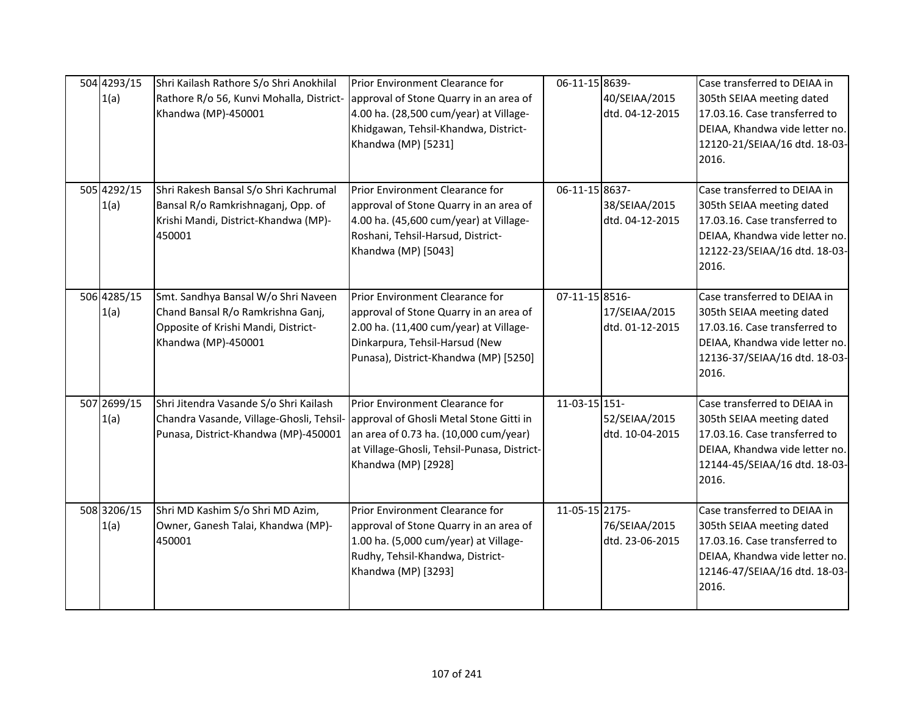| 504 4293/15<br>1(a) | Shri Kailash Rathore S/o Shri Anokhilal<br>Rathore R/o 56, Kunvi Mohalla, District-<br>Khandwa (MP)-450001                             | Prior Environment Clearance for<br>approval of Stone Quarry in an area of<br>4.00 ha. (28,500 cum/year) at Village-<br>Khidgawan, Tehsil-Khandwa, District-<br>Khandwa (MP) [5231]             | 06-11-15 8639-  | 40/SEIAA/2015<br>dtd. 04-12-2015 | Case transferred to DEIAA in<br>305th SEIAA meeting dated<br>17.03.16. Case transferred to<br>DEIAA, Khandwa vide letter no.<br>12120-21/SEIAA/16 dtd. 18-03-<br>2016. |
|---------------------|----------------------------------------------------------------------------------------------------------------------------------------|------------------------------------------------------------------------------------------------------------------------------------------------------------------------------------------------|-----------------|----------------------------------|------------------------------------------------------------------------------------------------------------------------------------------------------------------------|
| 505 4292/15<br>1(a) | Shri Rakesh Bansal S/o Shri Kachrumal<br>Bansal R/o Ramkrishnaganj, Opp. of<br>Krishi Mandi, District-Khandwa (MP)-<br>450001          | Prior Environment Clearance for<br>approval of Stone Quarry in an area of<br>4.00 ha. (45,600 cum/year) at Village-<br>Roshani, Tehsil-Harsud, District-<br>Khandwa (MP) [5043]                | 06-11-15 8637-  | 38/SEIAA/2015<br>dtd. 04-12-2015 | Case transferred to DEIAA in<br>305th SEIAA meeting dated<br>17.03.16. Case transferred to<br>DEIAA, Khandwa vide letter no.<br>12122-23/SEIAA/16 dtd. 18-03-<br>2016. |
| 506 4285/15<br>1(a) | Smt. Sandhya Bansal W/o Shri Naveen<br>Chand Bansal R/o Ramkrishna Ganj,<br>Opposite of Krishi Mandi, District-<br>Khandwa (MP)-450001 | Prior Environment Clearance for<br>approval of Stone Quarry in an area of<br>2.00 ha. (11,400 cum/year) at Village-<br>Dinkarpura, Tehsil-Harsud (New<br>Punasa), District-Khandwa (MP) [5250] | $07-11-158516-$ | 17/SEIAA/2015<br>dtd. 01-12-2015 | Case transferred to DEIAA in<br>305th SEIAA meeting dated<br>17.03.16. Case transferred to<br>DEIAA, Khandwa vide letter no.<br>12136-37/SEIAA/16 dtd. 18-03-<br>2016. |
| 507 2699/15<br>1(a) | Shri Jitendra Vasande S/o Shri Kailash<br>Chandra Vasande, Village-Ghosli, Tehsil-<br>Punasa, District-Khandwa (MP)-450001             | Prior Environment Clearance for<br>approval of Ghosli Metal Stone Gitti in<br>an area of 0.73 ha. (10,000 cum/year)<br>at Village-Ghosli, Tehsil-Punasa, District-<br>Khandwa (MP) [2928]      | 11-03-15 151-   | 52/SEIAA/2015<br>dtd. 10-04-2015 | Case transferred to DEIAA in<br>305th SEIAA meeting dated<br>17.03.16. Case transferred to<br>DEIAA, Khandwa vide letter no.<br>12144-45/SEIAA/16 dtd. 18-03-<br>2016. |
| 508 3206/15<br>1(a) | Shri MD Kashim S/o Shri MD Azim,<br>Owner, Ganesh Talai, Khandwa (MP)-<br>450001                                                       | Prior Environment Clearance for<br>approval of Stone Quarry in an area of<br>1.00 ha. (5,000 cum/year) at Village-<br>Rudhy, Tehsil-Khandwa, District-<br>Khandwa (MP) [3293]                  | 11-05-15 2175-  | 76/SEIAA/2015<br>dtd. 23-06-2015 | Case transferred to DEIAA in<br>305th SEIAA meeting dated<br>17.03.16. Case transferred to<br>DEIAA, Khandwa vide letter no.<br>12146-47/SEIAA/16 dtd. 18-03-<br>2016. |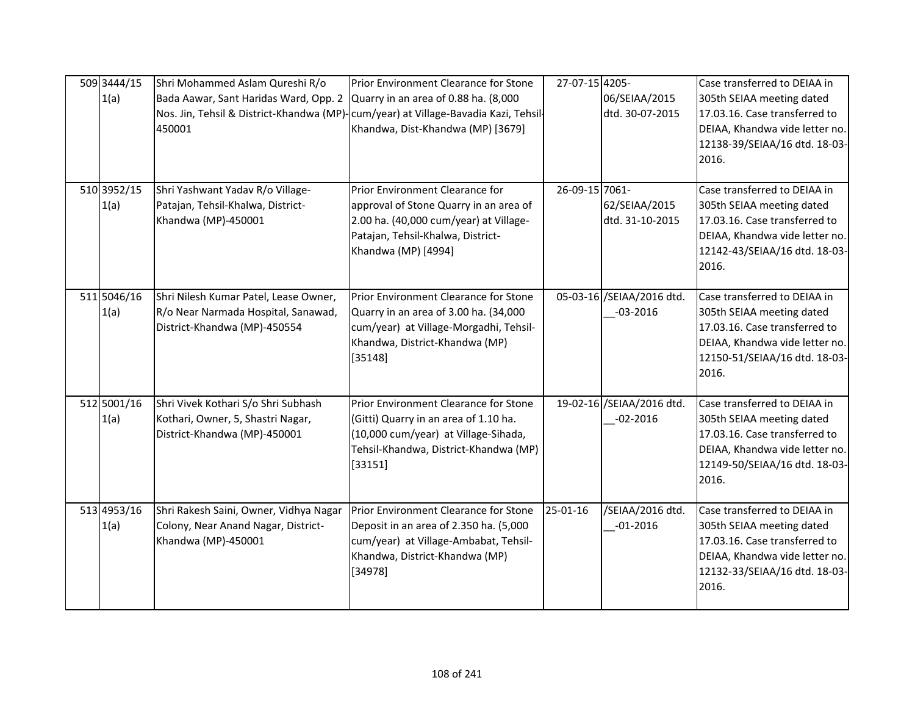| 509 3444/15<br>1(a) | Shri Mohammed Aslam Qureshi R/o<br>Bada Aawar, Sant Haridas Ward, Opp. 2<br>450001                           | Prior Environment Clearance for Stone<br>Quarry in an area of 0.88 ha. (8,000<br>Nos. Jin, Tehsil & District-Khandwa (MP)-cum/year) at Village-Bavadia Kazi, Tehsil-<br>Khandwa, Dist-Khandwa (MP) [3679] | 27-07-15 4205- | 06/SEIAA/2015<br>dtd. 30-07-2015          | Case transferred to DEIAA in<br>305th SEIAA meeting dated<br>17.03.16. Case transferred to<br>DEIAA, Khandwa vide letter no.                                           |
|---------------------|--------------------------------------------------------------------------------------------------------------|-----------------------------------------------------------------------------------------------------------------------------------------------------------------------------------------------------------|----------------|-------------------------------------------|------------------------------------------------------------------------------------------------------------------------------------------------------------------------|
|                     |                                                                                                              |                                                                                                                                                                                                           |                |                                           | 12138-39/SEIAA/16 dtd. 18-03-<br>2016.                                                                                                                                 |
| 510 3952/15<br>1(a) | Shri Yashwant Yadav R/o Village-<br>Patajan, Tehsil-Khalwa, District-<br>Khandwa (MP)-450001                 | Prior Environment Clearance for<br>approval of Stone Quarry in an area of<br>2.00 ha. (40,000 cum/year) at Village-<br>Patajan, Tehsil-Khalwa, District-<br>Khandwa (MP) [4994]                           | 26-09-15 7061- | 62/SEIAA/2015<br>dtd. 31-10-2015          | Case transferred to DEIAA in<br>305th SEIAA meeting dated<br>17.03.16. Case transferred to<br>DEIAA, Khandwa vide letter no.<br>12142-43/SEIAA/16 dtd. 18-03-<br>2016. |
| 511 5046/16<br>1(a) | Shri Nilesh Kumar Patel, Lease Owner,<br>R/o Near Narmada Hospital, Sanawad,<br>District-Khandwa (MP)-450554 | Prior Environment Clearance for Stone<br>Quarry in an area of 3.00 ha. (34,000<br>cum/year) at Village-Morgadhi, Tehsil-<br>Khandwa, District-Khandwa (MP)<br>[35148]                                     |                | 05-03-16 /SEIAA/2016 dtd.<br>$-03 - 2016$ | Case transferred to DEIAA in<br>305th SEIAA meeting dated<br>17.03.16. Case transferred to<br>DEIAA, Khandwa vide letter no.<br>12150-51/SEIAA/16 dtd. 18-03-<br>2016. |
| 512 5001/16<br>1(a) | Shri Vivek Kothari S/o Shri Subhash<br>Kothari, Owner, 5, Shastri Nagar,<br>District-Khandwa (MP)-450001     | Prior Environment Clearance for Stone<br>(Gitti) Quarry in an area of 1.10 ha.<br>(10,000 cum/year) at Village-Sihada,<br>Tehsil-Khandwa, District-Khandwa (MP)<br>[33151]                                |                | 19-02-16 /SEIAA/2016 dtd.<br>$-02 - 2016$ | Case transferred to DEIAA in<br>305th SEIAA meeting dated<br>17.03.16. Case transferred to<br>DEIAA, Khandwa vide letter no.<br>12149-50/SEIAA/16 dtd. 18-03-<br>2016. |
| 513 4953/16<br>1(a) | Shri Rakesh Saini, Owner, Vidhya Nagar<br>Colony, Near Anand Nagar, District-<br>Khandwa (MP)-450001         | Prior Environment Clearance for Stone<br>Deposit in an area of 2.350 ha. (5,000<br>cum/year) at Village-Ambabat, Tehsil-<br>Khandwa, District-Khandwa (MP)<br>[34978]                                     | 25-01-16       | /SEIAA/2016 dtd.<br>$-01 - 2016$          | Case transferred to DEIAA in<br>305th SEIAA meeting dated<br>17.03.16. Case transferred to<br>DEIAA, Khandwa vide letter no.<br>12132-33/SEIAA/16 dtd. 18-03-<br>2016. |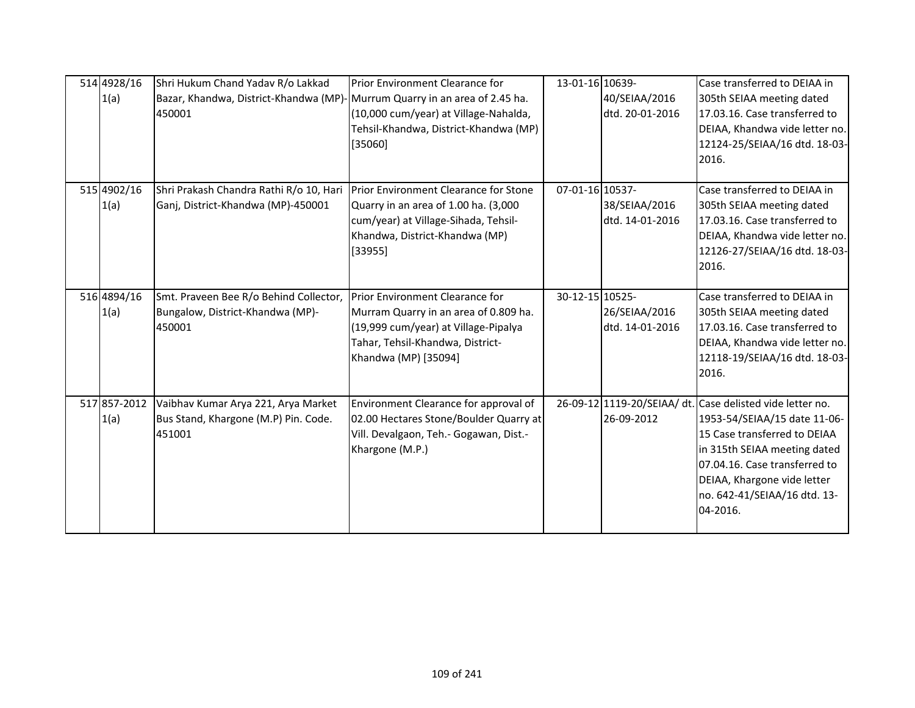| 514 4928/16<br>1(a)  | Shri Hukum Chand Yadav R/o Lakkad<br>Bazar, Khandwa, District-Khandwa (MP)-Murrum Quarry in an area of 2.45 ha.<br>450001 | Prior Environment Clearance for<br>(10,000 cum/year) at Village-Nahalda,<br>Tehsil-Khandwa, District-Khandwa (MP)<br>[35060]                                                 | 13-01-16 10639- | 40/SEIAA/2016<br>dtd. 20-01-2016 | Case transferred to DEIAA in<br>305th SEIAA meeting dated<br>17.03.16. Case transferred to<br>DEIAA, Khandwa vide letter no.<br>12124-25/SEIAA/16 dtd. 18-03-<br>2016.                                                                                                |
|----------------------|---------------------------------------------------------------------------------------------------------------------------|------------------------------------------------------------------------------------------------------------------------------------------------------------------------------|-----------------|----------------------------------|-----------------------------------------------------------------------------------------------------------------------------------------------------------------------------------------------------------------------------------------------------------------------|
| 515 4902/16<br>1(a)  | Shri Prakash Chandra Rathi R/o 10, Hari Prior Environment Clearance for Stone<br>Ganj, District-Khandwa (MP)-450001       | Quarry in an area of 1.00 ha. (3,000<br>cum/year) at Village-Sihada, Tehsil-<br>Khandwa, District-Khandwa (MP)<br>[33955]                                                    | 07-01-16 10537- | 38/SEIAA/2016<br>dtd. 14-01-2016 | Case transferred to DEIAA in<br>305th SEIAA meeting dated<br>17.03.16. Case transferred to<br>DEIAA, Khandwa vide letter no.<br>12126-27/SEIAA/16 dtd. 18-03-<br>2016.                                                                                                |
| 516 4894/16<br>1(a)  | Smt. Praveen Bee R/o Behind Collector,<br>Bungalow, District-Khandwa (MP)-<br>450001                                      | Prior Environment Clearance for<br>Murram Quarry in an area of 0.809 ha.<br>(19,999 cum/year) at Village-Pipalya<br>Tahar, Tehsil-Khandwa, District-<br>Khandwa (MP) [35094] | 30-12-15 10525- | 26/SEIAA/2016<br>dtd. 14-01-2016 | Case transferred to DEIAA in<br>305th SEIAA meeting dated<br>17.03.16. Case transferred to<br>DEIAA, Khandwa vide letter no.<br>12118-19/SEIAA/16 dtd. 18-03-<br>2016.                                                                                                |
| 517 857-2012<br>1(a) | Vaibhav Kumar Arya 221, Arya Market<br>Bus Stand, Khargone (M.P) Pin. Code.<br>451001                                     | Environment Clearance for approval of<br>02.00 Hectares Stone/Boulder Quarry at<br>Vill. Devalgaon, Teh.- Gogawan, Dist.-<br>Khargone (M.P.)                                 |                 | 26-09-2012                       | 26-09-12 1119-20/SEIAA/ dt. Case delisted vide letter no.<br>1953-54/SEIAA/15 date 11-06-<br>15 Case transferred to DEIAA<br>in 315th SEIAA meeting dated<br>07.04.16. Case transferred to<br>DEIAA, Khargone vide letter<br>no. 642-41/SEIAA/16 dtd. 13-<br>04-2016. |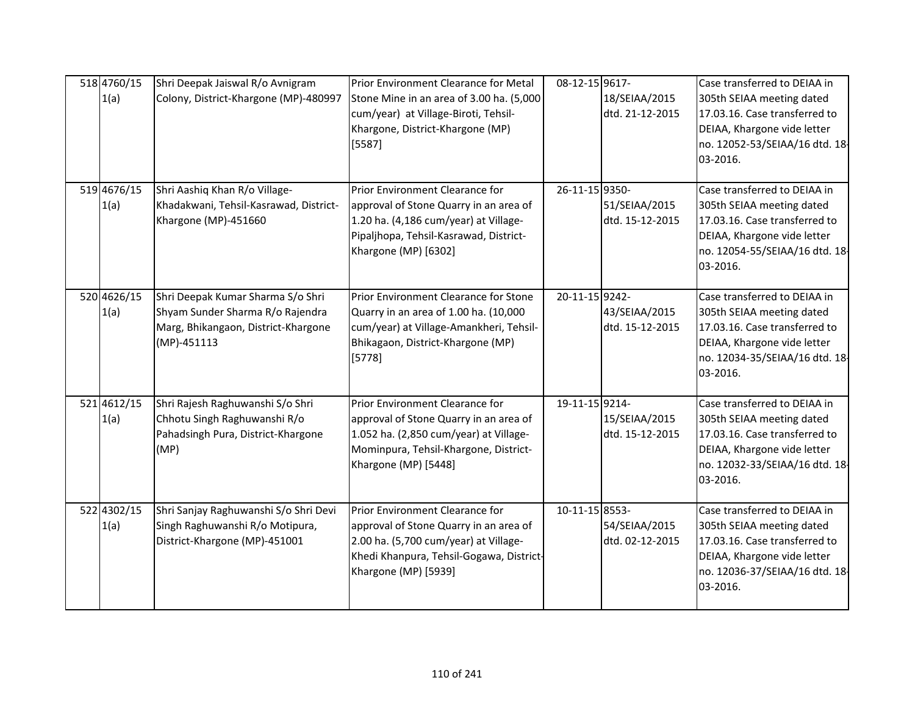| 518 4760/15<br>1(a) | Shri Deepak Jaiswal R/o Avnigram<br>Colony, District-Khargone (MP)-480997                                                   | Prior Environment Clearance for Metal<br>Stone Mine in an area of 3.00 ha. (5,000<br>cum/year) at Village-Biroti, Tehsil-<br>Khargone, District-Khargone (MP)<br>[5587]                | 08-12-15 9617- | 18/SEIAA/2015<br>dtd. 21-12-2015 | Case transferred to DEIAA in<br>305th SEIAA meeting dated<br>17.03.16. Case transferred to<br>DEIAA, Khargone vide letter<br>no. 12052-53/SEIAA/16 dtd. 18-<br>03-2016. |
|---------------------|-----------------------------------------------------------------------------------------------------------------------------|----------------------------------------------------------------------------------------------------------------------------------------------------------------------------------------|----------------|----------------------------------|-------------------------------------------------------------------------------------------------------------------------------------------------------------------------|
| 519 4676/15<br>1(a) | Shri Aashiq Khan R/o Village-<br>Khadakwani, Tehsil-Kasrawad, District-<br>Khargone (MP)-451660                             | Prior Environment Clearance for<br>approval of Stone Quarry in an area of<br>1.20 ha. (4,186 cum/year) at Village-<br>Pipaljhopa, Tehsil-Kasrawad, District-<br>Khargone (MP) [6302]   | 26-11-15 9350- | 51/SEIAA/2015<br>dtd. 15-12-2015 | Case transferred to DEIAA in<br>305th SEIAA meeting dated<br>17.03.16. Case transferred to<br>DEIAA, Khargone vide letter<br>no. 12054-55/SEIAA/16 dtd. 18-<br>03-2016. |
| 520 4626/15<br>1(a) | Shri Deepak Kumar Sharma S/o Shri<br>Shyam Sunder Sharma R/o Rajendra<br>Marg, Bhikangaon, District-Khargone<br>(MP)-451113 | Prior Environment Clearance for Stone<br>Quarry in an area of 1.00 ha. (10,000<br>cum/year) at Village-Amankheri, Tehsil-<br>Bhikagaon, District-Khargone (MP)<br>[5778]               | 20-11-15 9242- | 43/SEIAA/2015<br>dtd. 15-12-2015 | Case transferred to DEIAA in<br>305th SEIAA meeting dated<br>17.03.16. Case transferred to<br>DEIAA, Khargone vide letter<br>no. 12034-35/SEIAA/16 dtd. 18-<br>03-2016. |
| 521 4612/15<br>1(a) | Shri Rajesh Raghuwanshi S/o Shri<br>Chhotu Singh Raghuwanshi R/o<br>Pahadsingh Pura, District-Khargone<br>(MP)              | Prior Environment Clearance for<br>approval of Stone Quarry in an area of<br>1.052 ha. (2,850 cum/year) at Village-<br>Mominpura, Tehsil-Khargone, District-<br>Khargone (MP) [5448]   | 19-11-15 9214- | 15/SEIAA/2015<br>dtd. 15-12-2015 | Case transferred to DEIAA in<br>305th SEIAA meeting dated<br>17.03.16. Case transferred to<br>DEIAA, Khargone vide letter<br>no. 12032-33/SEIAA/16 dtd. 18-<br>03-2016. |
| 522 4302/15<br>1(a) | Shri Sanjay Raghuwanshi S/o Shri Devi<br>Singh Raghuwanshi R/o Motipura,<br>District-Khargone (MP)-451001                   | Prior Environment Clearance for<br>approval of Stone Quarry in an area of<br>2.00 ha. (5,700 cum/year) at Village-<br>Khedi Khanpura, Tehsil-Gogawa, District-<br>Khargone (MP) [5939] | 10-11-15 8553- | 54/SEIAA/2015<br>dtd. 02-12-2015 | Case transferred to DEIAA in<br>305th SEIAA meeting dated<br>17.03.16. Case transferred to<br>DEIAA, Khargone vide letter<br>no. 12036-37/SEIAA/16 dtd. 18-<br>03-2016. |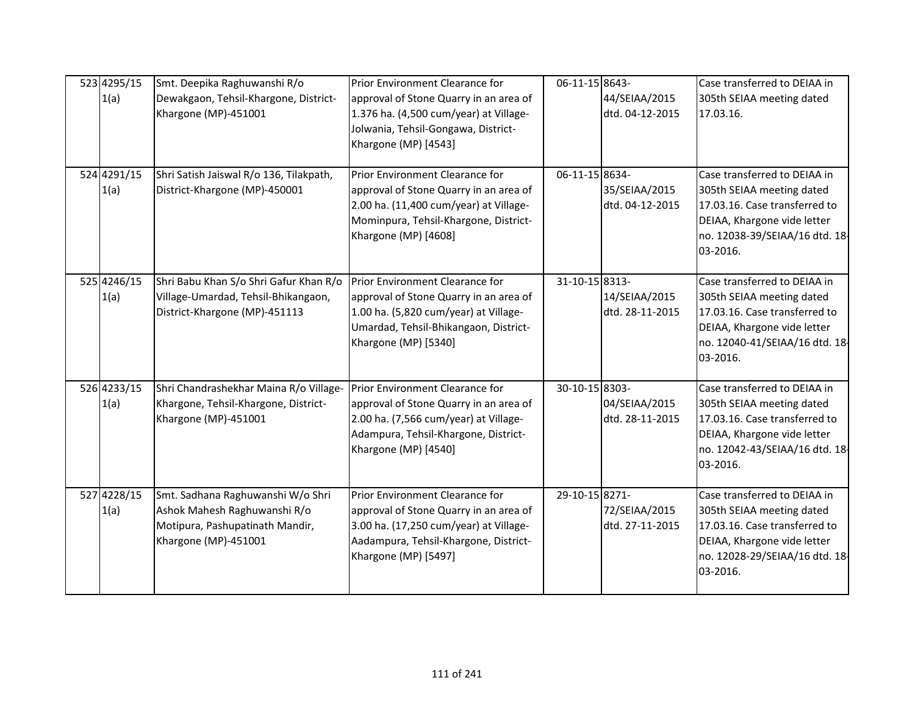| 523 4295/15<br>1(a) | Smt. Deepika Raghuwanshi R/o<br>Dewakgaon, Tehsil-Khargone, District-<br>Khargone (MP)-451001                                | Prior Environment Clearance for<br>approval of Stone Quarry in an area of<br>1.376 ha. (4,500 cum/year) at Village-<br>Jolwania, Tehsil-Gongawa, District-<br>Khargone (MP) [4543]          | 06-11-15 8643-<br>44/SEIAA/2015<br>dtd. 04-12-2015 | Case transferred to DEIAA in<br>305th SEIAA meeting dated<br>17.03.16.                                                                                                  |
|---------------------|------------------------------------------------------------------------------------------------------------------------------|---------------------------------------------------------------------------------------------------------------------------------------------------------------------------------------------|----------------------------------------------------|-------------------------------------------------------------------------------------------------------------------------------------------------------------------------|
| 524 4291/15<br>1(a) | Shri Satish Jaiswal R/o 136, Tilakpath,<br>District-Khargone (MP)-450001                                                     | <b>Prior Environment Clearance for</b><br>approval of Stone Quarry in an area of<br>2.00 ha. (11,400 cum/year) at Village-<br>Mominpura, Tehsil-Khargone, District-<br>Khargone (MP) [4608] | 06-11-15 8634-<br>35/SEIAA/2015<br>dtd. 04-12-2015 | Case transferred to DEIAA in<br>305th SEIAA meeting dated<br>17.03.16. Case transferred to<br>DEIAA, Khargone vide letter<br>no. 12038-39/SEIAA/16 dtd. 18-<br>03-2016. |
| 525 4246/15<br>1(a) | Shri Babu Khan S/o Shri Gafur Khan R/o<br>Village-Umardad, Tehsil-Bhikangaon,<br>District-Khargone (MP)-451113               | Prior Environment Clearance for<br>approval of Stone Quarry in an area of<br>1.00 ha. (5,820 cum/year) at Village-<br>Umardad, Tehsil-Bhikangaon, District-<br>Khargone (MP) [5340]         | 31-10-15 8313-<br>14/SEIAA/2015<br>dtd. 28-11-2015 | Case transferred to DEIAA in<br>305th SEIAA meeting dated<br>17.03.16. Case transferred to<br>DEIAA, Khargone vide letter<br>no. 12040-41/SEIAA/16 dtd. 18-<br>03-2016. |
| 526 4233/15<br>1(a) | Shri Chandrashekhar Maina R/o Village-<br>Khargone, Tehsil-Khargone, District-<br>Khargone (MP)-451001                       | Prior Environment Clearance for<br>approval of Stone Quarry in an area of<br>2.00 ha. (7,566 cum/year) at Village-<br>Adampura, Tehsil-Khargone, District-<br>Khargone (MP) [4540]          | 30-10-15 8303-<br>04/SEIAA/2015<br>dtd. 28-11-2015 | Case transferred to DEIAA in<br>305th SEIAA meeting dated<br>17.03.16. Case transferred to<br>DEIAA, Khargone vide letter<br>no. 12042-43/SEIAA/16 dtd. 18-<br>03-2016. |
| 527 4228/15<br>1(a) | Smt. Sadhana Raghuwanshi W/o Shri<br>Ashok Mahesh Raghuwanshi R/o<br>Motipura, Pashupatinath Mandir,<br>Khargone (MP)-451001 | Prior Environment Clearance for<br>approval of Stone Quarry in an area of<br>3.00 ha. (17,250 cum/year) at Village-<br>Aadampura, Tehsil-Khargone, District-<br>Khargone (MP) [5497]        | 29-10-15 8271-<br>72/SEIAA/2015<br>dtd. 27-11-2015 | Case transferred to DEIAA in<br>305th SEIAA meeting dated<br>17.03.16. Case transferred to<br>DEIAA, Khargone vide letter<br>no. 12028-29/SEIAA/16 dtd. 18-<br>03-2016. |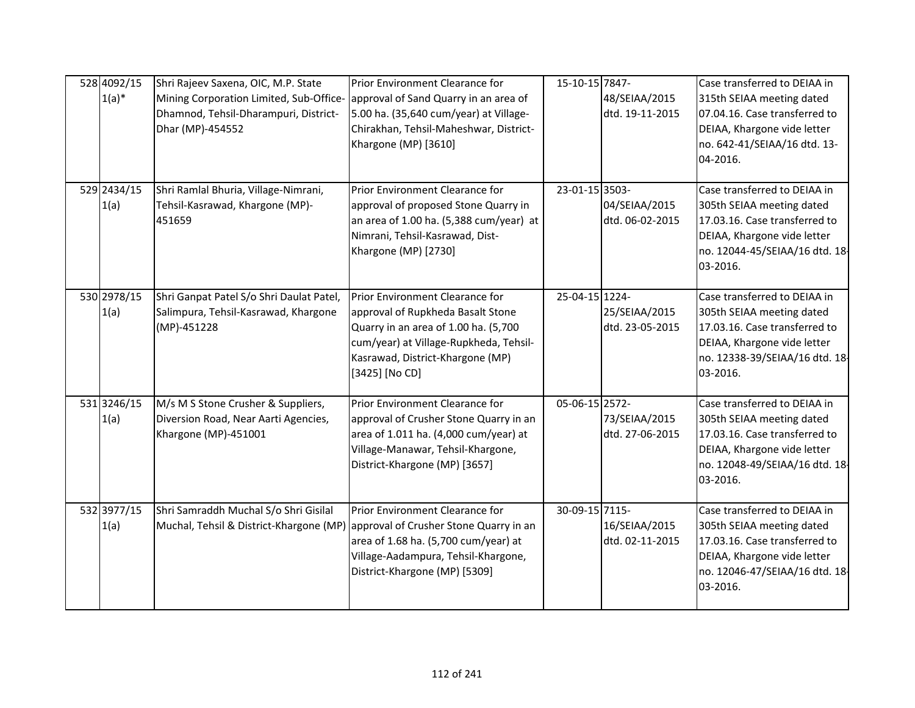| 528 4092/15<br>$1(a)^*$ | Shri Rajeev Saxena, OIC, M.P. State<br>Mining Corporation Limited, Sub-Office-<br>Dhamnod, Tehsil-Dharampuri, District-<br>Dhar (MP)-454552 | Prior Environment Clearance for<br>approval of Sand Quarry in an area of<br>5.00 ha. (35,640 cum/year) at Village-<br>Chirakhan, Tehsil-Maheshwar, District-<br>Khargone (MP) [3610]                         | 15-10-15 7847- | 48/SEIAA/2015<br>dtd. 19-11-2015 | Case transferred to DEIAA in<br>315th SEIAA meeting dated<br>07.04.16. Case transferred to<br>DEIAA, Khargone vide letter<br>no. 642-41/SEIAA/16 dtd. 13-<br>04-2016.   |
|-------------------------|---------------------------------------------------------------------------------------------------------------------------------------------|--------------------------------------------------------------------------------------------------------------------------------------------------------------------------------------------------------------|----------------|----------------------------------|-------------------------------------------------------------------------------------------------------------------------------------------------------------------------|
| 529 2434/15<br>1(a)     | Shri Ramlal Bhuria, Village-Nimrani,<br>Tehsil-Kasrawad, Khargone (MP)-<br>451659                                                           | Prior Environment Clearance for<br>approval of proposed Stone Quarry in<br>an area of 1.00 ha. (5,388 cum/year) at<br>Nimrani, Tehsil-Kasrawad, Dist-<br>Khargone (MP) [2730]                                | 23-01-15 3503- | 04/SEIAA/2015<br>dtd. 06-02-2015 | Case transferred to DEIAA in<br>305th SEIAA meeting dated<br>17.03.16. Case transferred to<br>DEIAA, Khargone vide letter<br>no. 12044-45/SEIAA/16 dtd. 18-<br>03-2016. |
| 530 2978/15<br>1(a)     | Shri Ganpat Patel S/o Shri Daulat Patel,<br>Salimpura, Tehsil-Kasrawad, Khargone<br>(MP)-451228                                             | Prior Environment Clearance for<br>approval of Rupkheda Basalt Stone<br>Quarry in an area of 1.00 ha. (5,700<br>cum/year) at Village-Rupkheda, Tehsil-<br>Kasrawad, District-Khargone (MP)<br>[3425] [No CD] | 25-04-15 1224- | 25/SEIAA/2015<br>dtd. 23-05-2015 | Case transferred to DEIAA in<br>305th SEIAA meeting dated<br>17.03.16. Case transferred to<br>DEIAA, Khargone vide letter<br>no. 12338-39/SEIAA/16 dtd. 18-<br>03-2016. |
| 531 3246/15<br>1(a)     | M/s M S Stone Crusher & Suppliers,<br>Diversion Road, Near Aarti Agencies,<br>Khargone (MP)-451001                                          | Prior Environment Clearance for<br>approval of Crusher Stone Quarry in an<br>area of 1.011 ha. (4,000 cum/year) at<br>Village-Manawar, Tehsil-Khargone,<br>District-Khargone (MP) [3657]                     | 05-06-15 2572- | 73/SEIAA/2015<br>dtd. 27-06-2015 | Case transferred to DEIAA in<br>305th SEIAA meeting dated<br>17.03.16. Case transferred to<br>DEIAA, Khargone vide letter<br>no. 12048-49/SEIAA/16 dtd. 18-<br>03-2016. |
| 532 3977/15<br>1(a)     | Shri Samraddh Muchal S/o Shri Gisilal<br>Muchal, Tehsil & District-Khargone (MP) approval of Crusher Stone Quarry in an                     | Prior Environment Clearance for<br>area of 1.68 ha. (5,700 cum/year) at<br>Village-Aadampura, Tehsil-Khargone,<br>District-Khargone (MP) [5309]                                                              | 30-09-15 7115- | 16/SEIAA/2015<br>dtd. 02-11-2015 | Case transferred to DEIAA in<br>305th SEIAA meeting dated<br>17.03.16. Case transferred to<br>DEIAA, Khargone vide letter<br>no. 12046-47/SEIAA/16 dtd. 18-<br>03-2016. |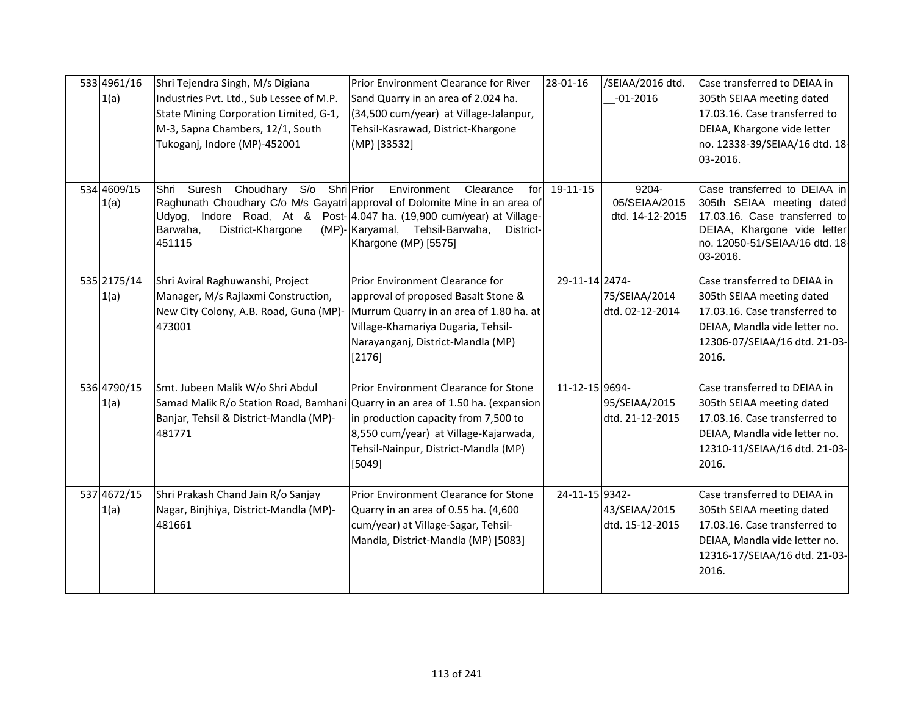| 533 4961/16<br>1(a) | Shri Tejendra Singh, M/s Digiana<br>Industries Pvt. Ltd., Sub Lessee of M.P.<br>State Mining Corporation Limited, G-1,<br>M-3, Sapna Chambers, 12/1, South<br>Tukoganj, Indore (MP)-452001 | Prior Environment Clearance for River<br>Sand Quarry in an area of 2.024 ha.<br>(34,500 cum/year) at Village-Jalanpur,<br>Tehsil-Kasrawad, District-Khargone<br>(MP) [33532]                                                                                           | 28-01-16       | /SEIAA/2016 dtd.<br>$-01 - 2016$          | Case transferred to DEIAA in<br>305th SEIAA meeting dated<br>17.03.16. Case transferred to<br>DEIAA, Khargone vide letter<br>no. 12338-39/SEIAA/16 dtd. 18-<br>03-2016. |
|---------------------|--------------------------------------------------------------------------------------------------------------------------------------------------------------------------------------------|------------------------------------------------------------------------------------------------------------------------------------------------------------------------------------------------------------------------------------------------------------------------|----------------|-------------------------------------------|-------------------------------------------------------------------------------------------------------------------------------------------------------------------------|
| 534 4609/15<br>1(a) | Suresh<br>Choudhary S/o<br>Shri<br>Udyog,<br>District-Khargone<br>Barwaha,<br>451115                                                                                                       | Shri Prior<br>Environment<br>Clearance<br>for<br>Raghunath Choudhary C/o M/s Gayatri approval of Dolomite Mine in an area of<br>Indore Road, At & Post- 4.047 ha. (19,900 cum/year) at Village-<br>(MP)-Karyamal, Tehsil-Barwaha,<br>District-<br>Khargone (MP) [5575] | 19-11-15       | 9204-<br>05/SEIAA/2015<br>dtd. 14-12-2015 | Case transferred to DEIAA in<br>305th SEIAA meeting dated<br>17.03.16. Case transferred to<br>DEIAA, Khargone vide letter<br>no. 12050-51/SEIAA/16 dtd. 18-<br>03-2016. |
| 535 2175/14<br>1(a) | Shri Aviral Raghuwanshi, Project<br>Manager, M/s Rajlaxmi Construction,<br>New City Colony, A.B. Road, Guna (MP)-<br>473001                                                                | Prior Environment Clearance for<br>approval of proposed Basalt Stone &<br>Murrum Quarry in an area of 1.80 ha. at<br>Village-Khamariya Dugaria, Tehsil-<br>Narayanganj, District-Mandla (MP)<br>[2176]                                                                 | 29-11-14 2474- | 75/SEIAA/2014<br>dtd. 02-12-2014          | Case transferred to DEIAA in<br>305th SEIAA meeting dated<br>17.03.16. Case transferred to<br>DEIAA, Mandla vide letter no.<br>12306-07/SEIAA/16 dtd. 21-03-<br>2016.   |
| 536 4790/15<br>1(a) | Smt. Jubeen Malik W/o Shri Abdul<br>Banjar, Tehsil & District-Mandla (MP)-<br>481771                                                                                                       | Prior Environment Clearance for Stone<br>Samad Malik R/o Station Road, Bamhani Quarry in an area of 1.50 ha. (expansion<br>in production capacity from 7,500 to<br>8,550 cum/year) at Village-Kajarwada,<br>Tehsil-Nainpur, District-Mandla (MP)<br>[5049]             | 11-12-15 9694- | 95/SEIAA/2015<br>dtd. 21-12-2015          | Case transferred to DEIAA in<br>305th SEIAA meeting dated<br>17.03.16. Case transferred to<br>DEIAA, Mandla vide letter no.<br>12310-11/SEIAA/16 dtd. 21-03-<br>2016.   |
| 537 4672/15<br>1(a) | Shri Prakash Chand Jain R/o Sanjay<br>Nagar, Binjhiya, District-Mandla (MP)-<br>481661                                                                                                     | Prior Environment Clearance for Stone<br>Quarry in an area of 0.55 ha. (4,600<br>cum/year) at Village-Sagar, Tehsil-<br>Mandla, District-Mandla (MP) [5083]                                                                                                            | 24-11-15 9342- | 43/SEIAA/2015<br>dtd. 15-12-2015          | Case transferred to DEIAA in<br>305th SEIAA meeting dated<br>17.03.16. Case transferred to<br>DEIAA, Mandla vide letter no.<br>12316-17/SEIAA/16 dtd. 21-03-<br>2016.   |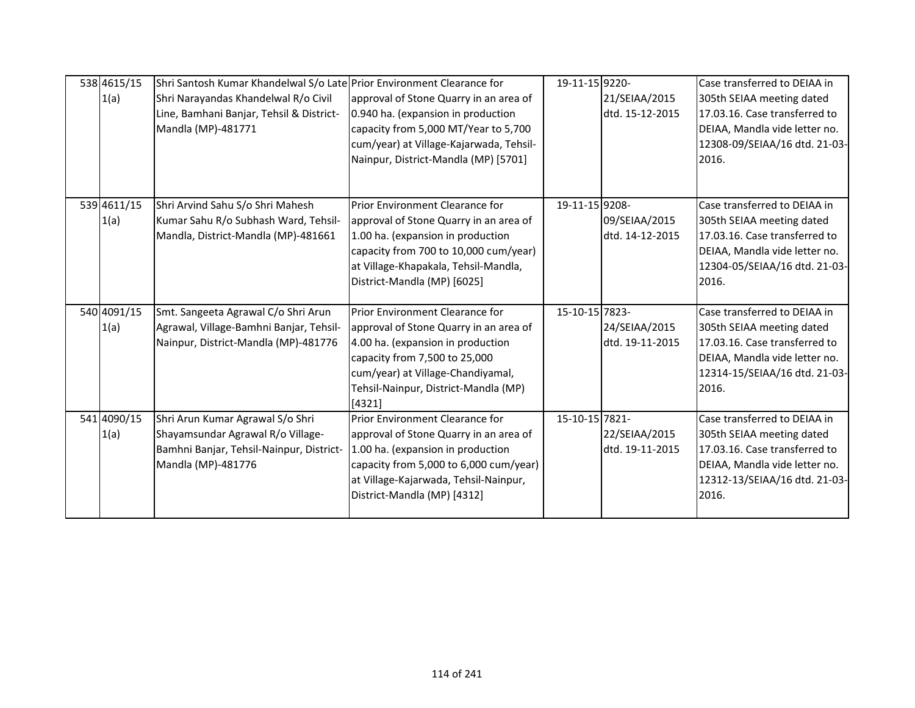| 538 4615/15<br>1(a) | Shri Santosh Kumar Khandelwal S/o Late Prior Environment Clearance for<br>Shri Narayandas Khandelwal R/o Civil<br>Line, Bamhani Banjar, Tehsil & District-<br>Mandla (MP)-481771 | approval of Stone Quarry in an area of<br>0.940 ha. (expansion in production<br>capacity from 5,000 MT/Year to 5,700<br>cum/year) at Village-Kajarwada, Tehsil-<br>Nainpur, District-Mandla (MP) [5701]                                | 19-11-15 9220- | 21/SEIAA/2015<br>dtd. 15-12-2015 | Case transferred to DEIAA in<br>305th SEIAA meeting dated<br>17.03.16. Case transferred to<br>DEIAA, Mandla vide letter no.<br>12308-09/SEIAA/16 dtd. 21-03-<br>2016. |
|---------------------|----------------------------------------------------------------------------------------------------------------------------------------------------------------------------------|----------------------------------------------------------------------------------------------------------------------------------------------------------------------------------------------------------------------------------------|----------------|----------------------------------|-----------------------------------------------------------------------------------------------------------------------------------------------------------------------|
| 539 4611/15<br>1(a) | Shri Arvind Sahu S/o Shri Mahesh<br>Kumar Sahu R/o Subhash Ward, Tehsil-<br>Mandla, District-Mandla (MP)-481661                                                                  | Prior Environment Clearance for<br>approval of Stone Quarry in an area of<br>1.00 ha. (expansion in production<br>capacity from 700 to 10,000 cum/year)<br>at Village-Khapakala, Tehsil-Mandla,<br>District-Mandla (MP) [6025]         | 19-11-15 9208- | 09/SEIAA/2015<br>dtd. 14-12-2015 | Case transferred to DEIAA in<br>305th SEIAA meeting dated<br>17.03.16. Case transferred to<br>DEIAA, Mandla vide letter no.<br>12304-05/SEIAA/16 dtd. 21-03-<br>2016. |
| 540 4091/15<br>1(a) | Smt. Sangeeta Agrawal C/o Shri Arun<br>Agrawal, Village-Bamhni Banjar, Tehsil-<br>Nainpur, District-Mandla (MP)-481776                                                           | Prior Environment Clearance for<br>approval of Stone Quarry in an area of<br>4.00 ha. (expansion in production<br>capacity from 7,500 to 25,000<br>cum/year) at Village-Chandiyamal,<br>Tehsil-Nainpur, District-Mandla (MP)<br>[4321] | 15-10-15 7823- | 24/SEIAA/2015<br>dtd. 19-11-2015 | Case transferred to DEIAA in<br>305th SEIAA meeting dated<br>17.03.16. Case transferred to<br>DEIAA, Mandla vide letter no.<br>12314-15/SEIAA/16 dtd. 21-03-<br>2016. |
| 541 4090/15<br>1(a) | Shri Arun Kumar Agrawal S/o Shri<br>Shayamsundar Agrawal R/o Village-<br>Bamhni Banjar, Tehsil-Nainpur, District-<br>Mandla (MP)-481776                                          | Prior Environment Clearance for<br>approval of Stone Quarry in an area of<br>1.00 ha. (expansion in production<br>capacity from 5,000 to 6,000 cum/year)<br>at Village-Kajarwada, Tehsil-Nainpur,<br>District-Mandla (MP) [4312]       | 15-10-15 7821- | 22/SEIAA/2015<br>dtd. 19-11-2015 | Case transferred to DEIAA in<br>305th SEIAA meeting dated<br>17.03.16. Case transferred to<br>DEIAA, Mandla vide letter no.<br>12312-13/SEIAA/16 dtd. 21-03-<br>2016. |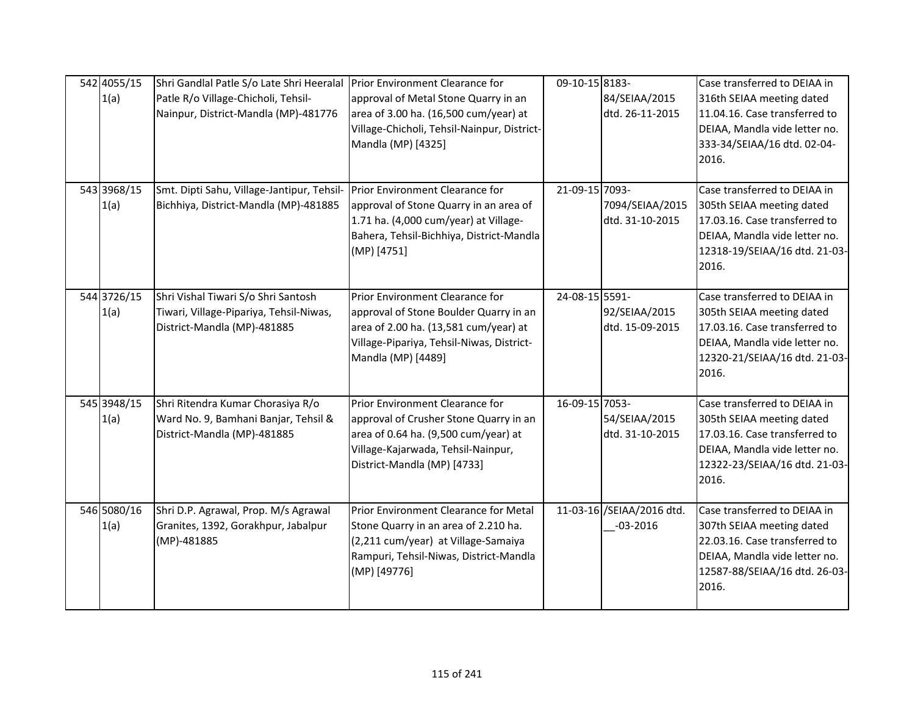| 542 4055/15<br>1(a) | Shri Gandlal Patle S/o Late Shri Heeralal<br>Patle R/o Village-Chicholi, Tehsil-<br>Nainpur, District-Mandla (MP)-481776 | Prior Environment Clearance for<br>approval of Metal Stone Quarry in an<br>area of 3.00 ha. (16,500 cum/year) at<br>Village-Chicholi, Tehsil-Nainpur, District-<br>Mandla (MP) [4325]  | 09-10-15 8183- | 84/SEIAA/2015<br>dtd. 26-11-2015          | Case transferred to DEIAA in<br>316th SEIAA meeting dated<br>11.04.16. Case transferred to<br>DEIAA, Mandla vide letter no.<br>333-34/SEIAA/16 dtd. 02-04-<br>2016.   |
|---------------------|--------------------------------------------------------------------------------------------------------------------------|----------------------------------------------------------------------------------------------------------------------------------------------------------------------------------------|----------------|-------------------------------------------|-----------------------------------------------------------------------------------------------------------------------------------------------------------------------|
| 543 3968/15<br>1(a) | Smt. Dipti Sahu, Village-Jantipur, Tehsil-<br>Bichhiya, District-Mandla (MP)-481885                                      | Prior Environment Clearance for<br>approval of Stone Quarry in an area of<br>1.71 ha. (4,000 cum/year) at Village-<br>Bahera, Tehsil-Bichhiya, District-Mandla<br>(MP) [4751]          | 21-09-15 7093- | 7094/SEIAA/2015<br>dtd. 31-10-2015        | Case transferred to DEIAA in<br>305th SEIAA meeting dated<br>17.03.16. Case transferred to<br>DEIAA, Mandla vide letter no.<br>12318-19/SEIAA/16 dtd. 21-03-<br>2016. |
| 544 3726/15<br>1(a) | Shri Vishal Tiwari S/o Shri Santosh<br>Tiwari, Village-Pipariya, Tehsil-Niwas,<br>District-Mandla (MP)-481885            | Prior Environment Clearance for<br>approval of Stone Boulder Quarry in an<br>area of 2.00 ha. (13,581 cum/year) at<br>Village-Pipariya, Tehsil-Niwas, District-<br>Mandla (MP) [4489]  | 24-08-15 5591- | 92/SEIAA/2015<br>dtd. 15-09-2015          | Case transferred to DEIAA in<br>305th SEIAA meeting dated<br>17.03.16. Case transferred to<br>DEIAA, Mandla vide letter no.<br>12320-21/SEIAA/16 dtd. 21-03-<br>2016. |
| 545 3948/15<br>1(a) | Shri Ritendra Kumar Chorasiya R/o<br>Ward No. 9, Bamhani Banjar, Tehsil &<br>District-Mandla (MP)-481885                 | Prior Environment Clearance for<br>approval of Crusher Stone Quarry in an<br>area of 0.64 ha. (9,500 cum/year) at<br>Village-Kajarwada, Tehsil-Nainpur,<br>District-Mandla (MP) [4733] | 16-09-15 7053- | 54/SEIAA/2015<br>dtd. 31-10-2015          | Case transferred to DEIAA in<br>305th SEIAA meeting dated<br>17.03.16. Case transferred to<br>DEIAA, Mandla vide letter no.<br>12322-23/SEIAA/16 dtd. 21-03-<br>2016. |
| 546 5080/16<br>1(a) | Shri D.P. Agrawal, Prop. M/s Agrawal<br>Granites, 1392, Gorakhpur, Jabalpur<br>(MP)-481885                               | Prior Environment Clearance for Metal<br>Stone Quarry in an area of 2.210 ha.<br>(2,211 cum/year) at Village-Samaiya<br>Rampuri, Tehsil-Niwas, District-Mandla<br>(MP) [49776]         |                | 11-03-16 /SEIAA/2016 dtd.<br>$-03 - 2016$ | Case transferred to DEIAA in<br>307th SEIAA meeting dated<br>22.03.16. Case transferred to<br>DEIAA, Mandla vide letter no.<br>12587-88/SEIAA/16 dtd. 26-03-<br>2016. |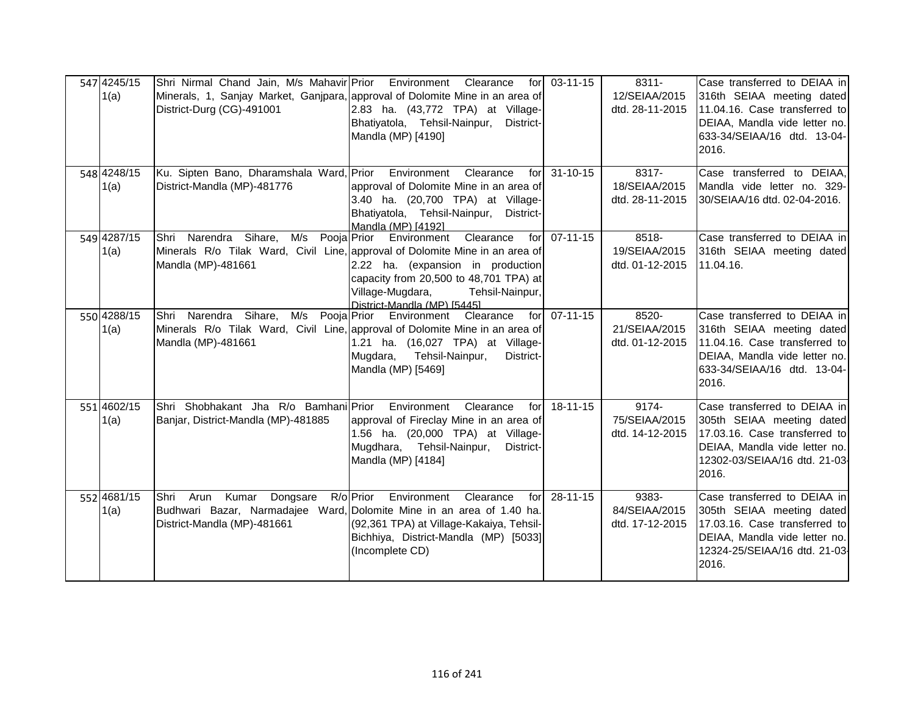| 547 4245/15<br>1(a) | Shri Nirmal Chand Jain, M/s Mahavir Prior Environment Clearance<br>District-Durg (CG)-491001 | for<br>Minerals, 1, Sanjay Market, Ganjpara, approval of Dolomite Mine in an area of<br>2.83 ha. (43,772 TPA) at Village-<br>Bhatiyatola, Tehsil-Nainpur,<br>District-<br>Mandla (MP) [4190]                                                                                  | 03-11-15       | 8311-<br>12/SEIAA/2015<br>dtd. 28-11-2015    | Case transferred to DEIAA in<br>316th SEIAA meeting dated<br>11.04.16. Case transferred to<br>DEIAA, Mandla vide letter no.<br>633-34/SEIAA/16 dtd. 13-04-1<br>2016.  |
|---------------------|----------------------------------------------------------------------------------------------|-------------------------------------------------------------------------------------------------------------------------------------------------------------------------------------------------------------------------------------------------------------------------------|----------------|----------------------------------------------|-----------------------------------------------------------------------------------------------------------------------------------------------------------------------|
| 548 4248/15<br>1(a) | Ku. Sipten Bano, Dharamshala Ward, Prior<br>District-Mandla (MP)-481776                      | Environment Clearance<br>for<br>approval of Dolomite Mine in an area of<br>3.40 ha. (20,700 TPA) at Village-<br>Bhatiyatola, Tehsil-Nainpur, District-<br>Mandla (MP) [4192]                                                                                                  | $31 - 10 - 15$ | 8317-<br>18/SEIAA/2015<br>dtd. 28-11-2015    | Case transferred to DEIAA,<br>Mandla vide letter no. 329-<br>30/SEIAA/16 dtd. 02-04-2016.                                                                             |
| 549 4287/15<br>1(a) | Shri Narendra Sihare,<br>M/s<br>Mandla (MP)-481661                                           | Pooja Prior Environment Clearance<br>for<br>Minerals R/o Tilak Ward, Civil Line, approval of Dolomite Mine in an area of<br>2.22 ha. (expansion in production<br>capacity from 20,500 to 48,701 TPA) at<br>Village-Mugdara,<br>Tehsil-Nainpur,<br>District-Mandla (MP) [5445] | $07 - 11 - 15$ | 8518-<br>19/SEIAA/2015<br>dtd. 01-12-2015    | Case transferred to DEIAA in<br>316th SEIAA meeting dated<br>11.04.16.                                                                                                |
| 550 4288/15<br>1(a) | Shri Narendra Sihare, M/s<br>Mandla (MP)-481661                                              | Pooja Prior Environment Clearance for<br>Minerals R/o Tilak Ward, Civil Line, approval of Dolomite Mine in an area of<br>1.21 ha. (16,027 TPA) at Village-<br>Mugdara, Tehsil-Nainpur,<br>District-<br>Mandla (MP) [5469]                                                     | $07-11-15$     | 8520-<br>21/SEIAA/2015<br>dtd. 01-12-2015    | Case transferred to DEIAA in<br>316th SEIAA meeting dated<br>11.04.16. Case transferred to<br>DEIAA, Mandla vide letter no.<br>633-34/SEIAA/16 dtd. 13-04-<br>2016.   |
| 551 4602/15<br>1(a) | Shri Shobhakant Jha R/o Bamhani Prior<br>Banjar, District-Mandla (MP)-481885                 | Environment Clearance<br>for<br>approval of Fireclay Mine in an area of<br>1.56 ha. (20,000 TPA) at Village-<br>Mugdhara, Tehsil-Nainpur,<br>District-<br>Mandla (MP) [4184]                                                                                                  | $18 - 11 - 15$ | $9174 -$<br>75/SEIAA/2015<br>dtd. 14-12-2015 | Case transferred to DEIAA in<br>305th SEIAA meeting dated<br>17.03.16. Case transferred to<br>DEIAA, Mandla vide letter no.<br>12302-03/SEIAA/16 dtd. 21-03-<br>2016. |
| 552 4681/15<br>1(a) | Shri Arun Kumar<br>Dongsare<br>District-Mandla (MP)-481661                                   | Environment Clearance<br>for<br>$R/O$ Prior<br>Budhwari Bazar, Narmadajee Ward, Dolomite Mine in an area of 1.40 ha.<br>(92,361 TPA) at Village-Kakaiya, Tehsil-<br>Bichhiya, District-Mandla (MP) [5033]<br>(Incomplete CD)                                                  | 28-11-15       | 9383-<br>84/SEIAA/2015<br>dtd. 17-12-2015    | Case transferred to DEIAA in<br>305th SEIAA meeting dated<br>17.03.16. Case transferred to<br>DEIAA, Mandla vide letter no.<br>12324-25/SEIAA/16 dtd. 21-03<br>2016.  |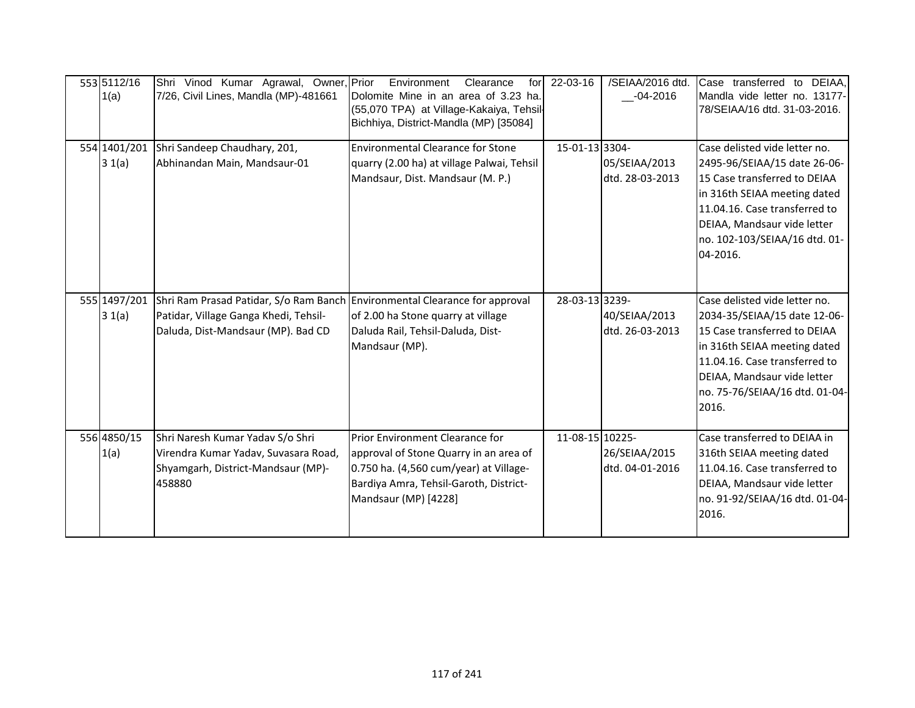| 553 5112/16<br>1(a)    | Shri Vinod Kumar Agrawal, Owner, Prior<br>7/26, Civil Lines, Mandla (MP)-481661                                                                            | Environment<br>Clearance<br>for<br>Dolomite Mine in an area of 3.23 ha.<br>(55,070 TPA) at Village-Kakaiya, Tehsil<br>Bichhiya, District-Mandla (MP) [35084]                          | 22-03-16        | /SEIAA/2016 dtd.<br>$-04 - 2016$ | Case transferred to DEIAA,<br>Mandla vide letter no. 13177-<br>78/SEIAA/16 dtd. 31-03-2016.                                                                                                                                                |
|------------------------|------------------------------------------------------------------------------------------------------------------------------------------------------------|---------------------------------------------------------------------------------------------------------------------------------------------------------------------------------------|-----------------|----------------------------------|--------------------------------------------------------------------------------------------------------------------------------------------------------------------------------------------------------------------------------------------|
| 554 1401/201<br>3 1(a) | Shri Sandeep Chaudhary, 201,<br>Abhinandan Main, Mandsaur-01                                                                                               | <b>Environmental Clearance for Stone</b><br>quarry (2.00 ha) at village Palwai, Tehsil<br>Mandsaur, Dist. Mandsaur (M. P.)                                                            | 15-01-13 3304-  | 05/SEIAA/2013<br>dtd. 28-03-2013 | Case delisted vide letter no.<br>2495-96/SEIAA/15 date 26-06-<br>15 Case transferred to DEIAA<br>in 316th SEIAA meeting dated<br>11.04.16. Case transferred to<br>DEIAA, Mandsaur vide letter<br>no. 102-103/SEIAA/16 dtd. 01-<br>04-2016. |
| 555 1497/201<br>3 1(a) | Shri Ram Prasad Patidar, S/o Ram Banch Environmental Clearance for approval<br>Patidar, Village Ganga Khedi, Tehsil-<br>Daluda, Dist-Mandsaur (MP). Bad CD | of 2.00 ha Stone quarry at village<br>Daluda Rail, Tehsil-Daluda, Dist-<br>Mandsaur (MP).                                                                                             | 28-03-13 3239-  | 40/SEIAA/2013<br>dtd. 26-03-2013 | Case delisted vide letter no.<br>2034-35/SEIAA/15 date 12-06-<br>15 Case transferred to DEIAA<br>in 316th SEIAA meeting dated<br>11.04.16. Case transferred to<br>DEIAA, Mandsaur vide letter<br>no. 75-76/SEIAA/16 dtd. 01-04-<br>2016.   |
| 556 4850/15<br>1(a)    | Shri Naresh Kumar Yadav S/o Shri<br>Virendra Kumar Yadav, Suvasara Road,<br>Shyamgarh, District-Mandsaur (MP)-<br>458880                                   | Prior Environment Clearance for<br>approval of Stone Quarry in an area of<br>0.750 ha. (4,560 cum/year) at Village-<br>Bardiya Amra, Tehsil-Garoth, District-<br>Mandsaur (MP) [4228] | 11-08-15 10225- | 26/SEIAA/2015<br>dtd. 04-01-2016 | Case transferred to DEIAA in<br>316th SEIAA meeting dated<br>11.04.16. Case transferred to<br>DEIAA, Mandsaur vide letter<br>no. 91-92/SEIAA/16 dtd. 01-04-<br>2016.                                                                       |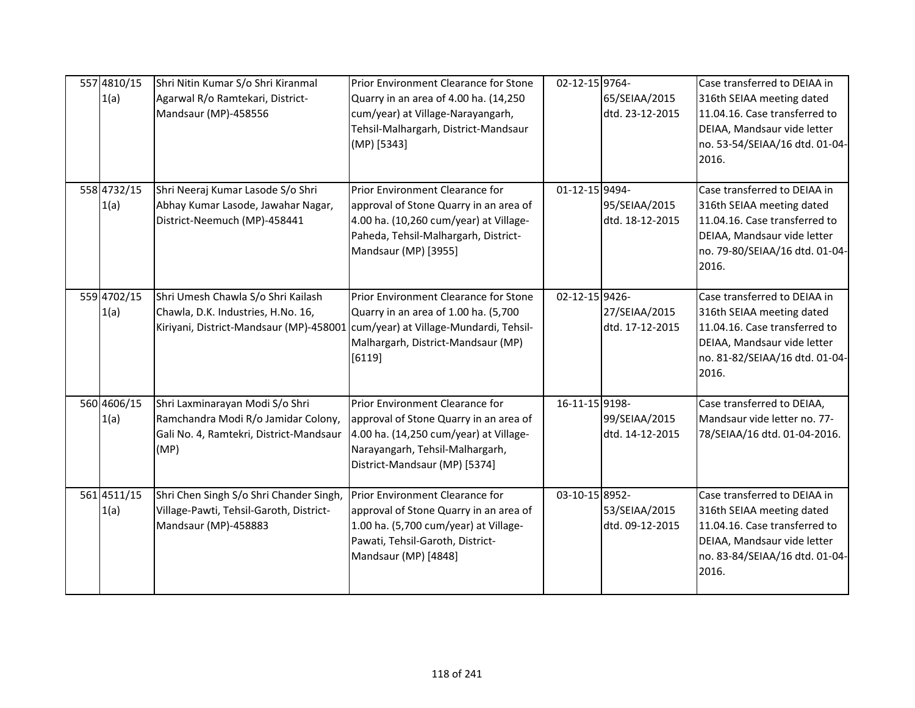| 557 4810/15<br>1(a) | Shri Nitin Kumar S/o Shri Kiranmal<br>Agarwal R/o Ramtekari, District-<br>Mandsaur (MP)-458556                                                             | Prior Environment Clearance for Stone<br>Quarry in an area of 4.00 ha. (14,250<br>cum/year) at Village-Narayangarh,<br>Tehsil-Malhargarh, District-Mandsaur<br>(MP) [5343]              | 02-12-15 9764- | 65/SEIAA/2015<br>dtd. 23-12-2015 | Case transferred to DEIAA in<br>316th SEIAA meeting dated<br>11.04.16. Case transferred to<br>DEIAA, Mandsaur vide letter<br>no. 53-54/SEIAA/16 dtd. 01-04-<br>2016. |
|---------------------|------------------------------------------------------------------------------------------------------------------------------------------------------------|-----------------------------------------------------------------------------------------------------------------------------------------------------------------------------------------|----------------|----------------------------------|----------------------------------------------------------------------------------------------------------------------------------------------------------------------|
| 558 4732/15<br>1(a) | Shri Neeraj Kumar Lasode S/o Shri<br>Abhay Kumar Lasode, Jawahar Nagar,<br>District-Neemuch (MP)-458441                                                    | Prior Environment Clearance for<br>approval of Stone Quarry in an area of<br>4.00 ha. (10,260 cum/year) at Village-<br>Paheda, Tehsil-Malhargarh, District-<br>Mandsaur (MP) [3955]     | 01-12-15 9494- | 95/SEIAA/2015<br>dtd. 18-12-2015 | Case transferred to DEIAA in<br>316th SEIAA meeting dated<br>11.04.16. Case transferred to<br>DEIAA, Mandsaur vide letter<br>no. 79-80/SEIAA/16 dtd. 01-04-<br>2016. |
| 559 4702/15<br>1(a) | Shri Umesh Chawla S/o Shri Kailash<br>Chawla, D.K. Industries, H.No. 16,<br>Kiriyani, District-Mandsaur (MP)-458001 cum/year) at Village-Mundardi, Tehsil- | Prior Environment Clearance for Stone<br>Quarry in an area of 1.00 ha. (5,700<br>Malhargarh, District-Mandsaur (MP)<br>[6119]                                                           | 02-12-15 9426- | 27/SEIAA/2015<br>dtd. 17-12-2015 | Case transferred to DEIAA in<br>316th SEIAA meeting dated<br>11.04.16. Case transferred to<br>DEIAA, Mandsaur vide letter<br>no. 81-82/SEIAA/16 dtd. 01-04-<br>2016. |
| 560 4606/15<br>1(a) | Shri Laxminarayan Modi S/o Shri<br>Ramchandra Modi R/o Jamidar Colony,<br>Gali No. 4, Ramtekri, District-Mandsaur<br>(MP)                                  | Prior Environment Clearance for<br>approval of Stone Quarry in an area of<br>4.00 ha. (14,250 cum/year) at Village-<br>Narayangarh, Tehsil-Malhargarh,<br>District-Mandsaur (MP) [5374] | 16-11-15 9198- | 99/SEIAA/2015<br>dtd. 14-12-2015 | Case transferred to DEIAA,<br>Mandsaur vide letter no. 77-<br>78/SEIAA/16 dtd. 01-04-2016.                                                                           |
| 561 4511/15<br>1(a) | Shri Chen Singh S/o Shri Chander Singh,<br>Village-Pawti, Tehsil-Garoth, District-<br>Mandsaur (MP)-458883                                                 | Prior Environment Clearance for<br>approval of Stone Quarry in an area of<br>1.00 ha. (5,700 cum/year) at Village-<br>Pawati, Tehsil-Garoth, District-<br>Mandsaur (MP) [4848]          | 03-10-15 8952- | 53/SEIAA/2015<br>dtd. 09-12-2015 | Case transferred to DEIAA in<br>316th SEIAA meeting dated<br>11.04.16. Case transferred to<br>DEIAA, Mandsaur vide letter<br>no. 83-84/SEIAA/16 dtd. 01-04-<br>2016. |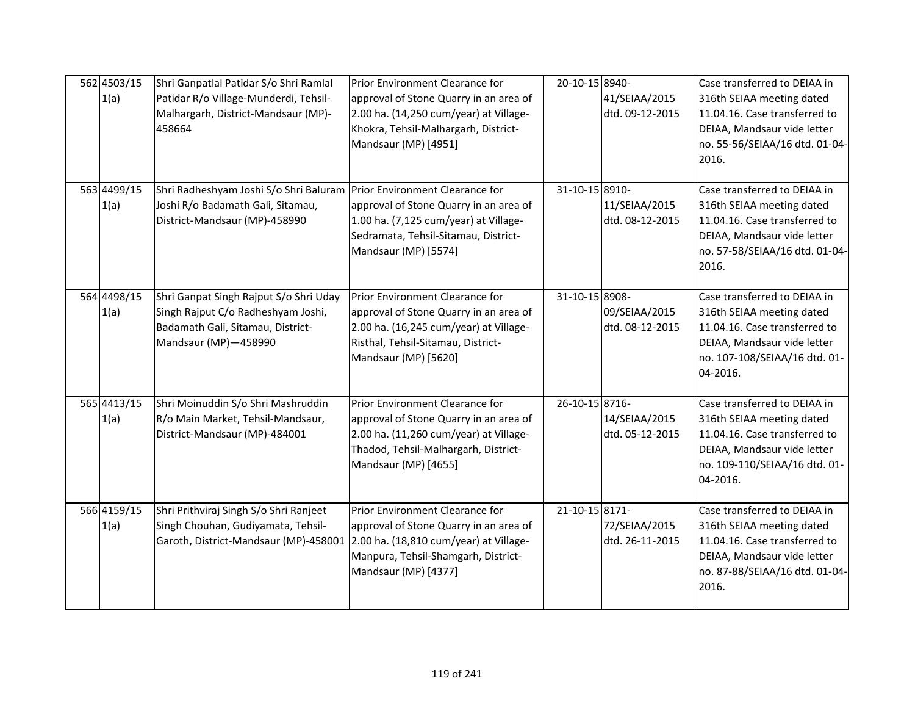| 562 4503/15<br>1(a) | Shri Ganpatlal Patidar S/o Shri Ramlal<br>Patidar R/o Village-Munderdi, Tehsil-<br>Malhargarh, District-Mandsaur (MP)-<br>458664             | Prior Environment Clearance for<br>approval of Stone Quarry in an area of<br>2.00 ha. (14,250 cum/year) at Village-<br>Khokra, Tehsil-Malhargarh, District-<br>Mandsaur (MP) [4951] | 20-10-15 8940-<br>41/SEIAA/2015<br>dtd. 09-12-2015 | Case transferred to DEIAA in<br>316th SEIAA meeting dated<br>11.04.16. Case transferred to<br>DEIAA, Mandsaur vide letter<br>no. 55-56/SEIAA/16 dtd. 01-04-<br>2016.   |
|---------------------|----------------------------------------------------------------------------------------------------------------------------------------------|-------------------------------------------------------------------------------------------------------------------------------------------------------------------------------------|----------------------------------------------------|------------------------------------------------------------------------------------------------------------------------------------------------------------------------|
| 563 4499/15<br>1(a) | Shri Radheshyam Joshi S/o Shri Baluram Prior Environment Clearance for<br>Joshi R/o Badamath Gali, Sitamau,<br>District-Mandsaur (MP)-458990 | approval of Stone Quarry in an area of<br>1.00 ha. (7,125 cum/year) at Village-<br>Sedramata, Tehsil-Sitamau, District-<br>Mandsaur (MP) [5574]                                     | 31-10-15 8910-<br>11/SEIAA/2015<br>dtd. 08-12-2015 | Case transferred to DEIAA in<br>316th SEIAA meeting dated<br>11.04.16. Case transferred to<br>DEIAA, Mandsaur vide letter<br>no. 57-58/SEIAA/16 dtd. 01-04-<br>2016.   |
| 564 4498/15<br>1(a) | Shri Ganpat Singh Rajput S/o Shri Uday<br>Singh Rajput C/o Radheshyam Joshi,<br>Badamath Gali, Sitamau, District-<br>Mandsaur (MP)-458990    | Prior Environment Clearance for<br>approval of Stone Quarry in an area of<br>2.00 ha. (16,245 cum/year) at Village-<br>Risthal, Tehsil-Sitamau, District-<br>Mandsaur (MP) [5620]   | 31-10-15 8908-<br>09/SEIAA/2015<br>dtd. 08-12-2015 | Case transferred to DEIAA in<br>316th SEIAA meeting dated<br>11.04.16. Case transferred to<br>DEIAA, Mandsaur vide letter<br>no. 107-108/SEIAA/16 dtd. 01-<br>04-2016. |
| 565 4413/15<br>1(a) | Shri Moinuddin S/o Shri Mashruddin<br>R/o Main Market, Tehsil-Mandsaur,<br>District-Mandsaur (MP)-484001                                     | Prior Environment Clearance for<br>approval of Stone Quarry in an area of<br>2.00 ha. (11,260 cum/year) at Village-<br>Thadod, Tehsil-Malhargarh, District-<br>Mandsaur (MP) [4655] | 26-10-15 8716-<br>14/SEIAA/2015<br>dtd. 05-12-2015 | Case transferred to DEIAA in<br>316th SEIAA meeting dated<br>11.04.16. Case transferred to<br>DEIAA, Mandsaur vide letter<br>no. 109-110/SEIAA/16 dtd. 01-<br>04-2016. |
| 566 4159/15<br>1(a) | Shri Prithviraj Singh S/o Shri Ranjeet<br>Singh Chouhan, Gudiyamata, Tehsil-<br>Garoth, District-Mandsaur (MP)-458001                        | Prior Environment Clearance for<br>approval of Stone Quarry in an area of<br>2.00 ha. (18,810 cum/year) at Village-<br>Manpura, Tehsil-Shamgarh, District-<br>Mandsaur (MP) [4377]  | 21-10-15 8171-<br>72/SEIAA/2015<br>dtd. 26-11-2015 | Case transferred to DEIAA in<br>316th SEIAA meeting dated<br>11.04.16. Case transferred to<br>DEIAA, Mandsaur vide letter<br>no. 87-88/SEIAA/16 dtd. 01-04-<br>2016.   |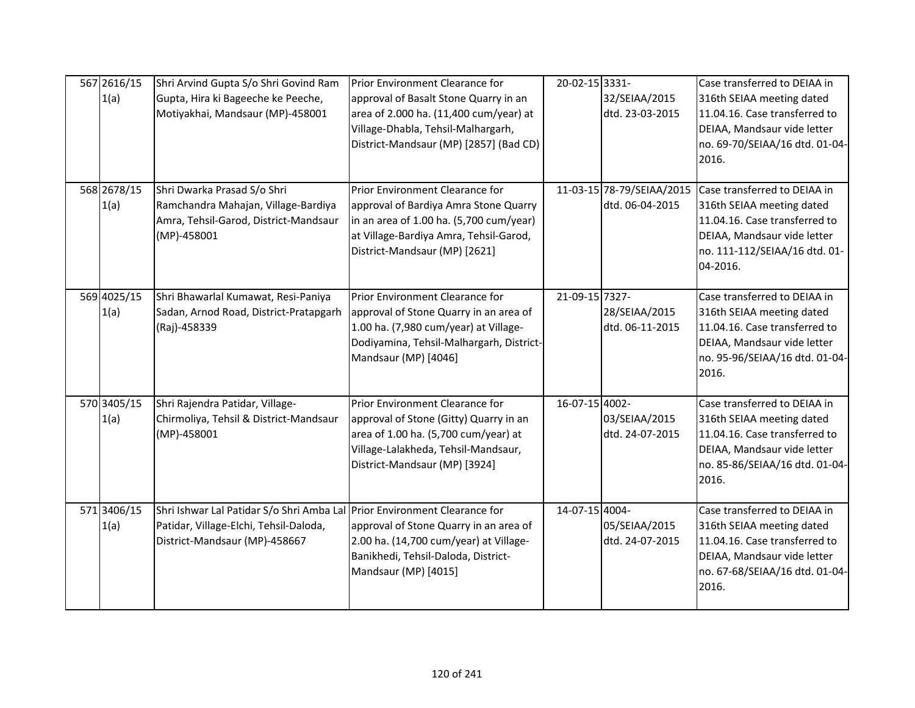| 567 2616/15<br>1(a) | Shri Arvind Gupta S/o Shri Govind Ram<br>Gupta, Hira ki Bageeche ke Peeche,<br>Motiyakhai, Mandsaur (MP)-458001                                      | Prior Environment Clearance for<br>approval of Basalt Stone Quarry in an<br>area of 2.000 ha. (11,400 cum/year) at<br>Village-Dhabla, Tehsil-Malhargarh,<br>District-Mandsaur (MP) [2857] (Bad CD) | 20-02-15 3331- | 32/SEIAA/2015<br>dtd. 23-03-2015             | Case transferred to DEIAA in<br>316th SEIAA meeting dated<br>11.04.16. Case transferred to<br>DEIAA, Mandsaur vide letter<br>no. 69-70/SEIAA/16 dtd. 01-04-<br>2016.   |
|---------------------|------------------------------------------------------------------------------------------------------------------------------------------------------|----------------------------------------------------------------------------------------------------------------------------------------------------------------------------------------------------|----------------|----------------------------------------------|------------------------------------------------------------------------------------------------------------------------------------------------------------------------|
| 568 2678/15<br>1(a) | Shri Dwarka Prasad S/o Shri<br>Ramchandra Mahajan, Village-Bardiya<br>Amra, Tehsil-Garod, District-Mandsaur<br>(MP)-458001                           | Prior Environment Clearance for<br>approval of Bardiya Amra Stone Quarry<br>in an area of 1.00 ha. (5,700 cum/year)<br>at Village-Bardiya Amra, Tehsil-Garod,<br>District-Mandsaur (MP) [2621]     |                | 11-03-15 78-79/SEIAA/2015<br>dtd. 06-04-2015 | Case transferred to DEIAA in<br>316th SEIAA meeting dated<br>11.04.16. Case transferred to<br>DEIAA, Mandsaur vide letter<br>no. 111-112/SEIAA/16 dtd. 01-<br>04-2016. |
| 569 4025/15<br>1(a) | Shri Bhawarlal Kumawat, Resi-Paniya<br>Sadan, Arnod Road, District-Pratapgarh<br>(Raj)-458339                                                        | Prior Environment Clearance for<br>approval of Stone Quarry in an area of<br>1.00 ha. (7,980 cum/year) at Village-<br>Dodiyamina, Tehsil-Malhargarh, District-<br>Mandsaur (MP) [4046]             | 21-09-15 7327- | 28/SEIAA/2015<br>dtd. 06-11-2015             | Case transferred to DEIAA in<br>316th SEIAA meeting dated<br>11.04.16. Case transferred to<br>DEIAA, Mandsaur vide letter<br>no. 95-96/SEIAA/16 dtd. 01-04-<br>2016.   |
| 570 3405/15<br>1(a) | Shri Rajendra Patidar, Village-<br>Chirmoliya, Tehsil & District-Mandsaur<br>(MP)-458001                                                             | Prior Environment Clearance for<br>approval of Stone (Gitty) Quarry in an<br>area of 1.00 ha. (5,700 cum/year) at<br>Village-Lalakheda, Tehsil-Mandsaur,<br>District-Mandsaur (MP) [3924]          | 16-07-15 4002- | 03/SEIAA/2015<br>dtd. 24-07-2015             | Case transferred to DEIAA in<br>316th SEIAA meeting dated<br>11.04.16. Case transferred to<br>DEIAA, Mandsaur vide letter<br>no. 85-86/SEIAA/16 dtd. 01-04-<br>2016.   |
| 571 3406/15<br>1(a) | Shri Ishwar Lal Patidar S/o Shri Amba Lal Prior Environment Clearance for<br>Patidar, Village-Elchi, Tehsil-Daloda,<br>District-Mandsaur (MP)-458667 | approval of Stone Quarry in an area of<br>2.00 ha. (14,700 cum/year) at Village-<br>Banikhedi, Tehsil-Daloda, District-<br>Mandsaur (MP) [4015]                                                    | 14-07-15 4004- | 05/SEIAA/2015<br>dtd. 24-07-2015             | Case transferred to DEIAA in<br>316th SEIAA meeting dated<br>11.04.16. Case transferred to<br>DEIAA, Mandsaur vide letter<br>no. 67-68/SEIAA/16 dtd. 01-04-<br>2016.   |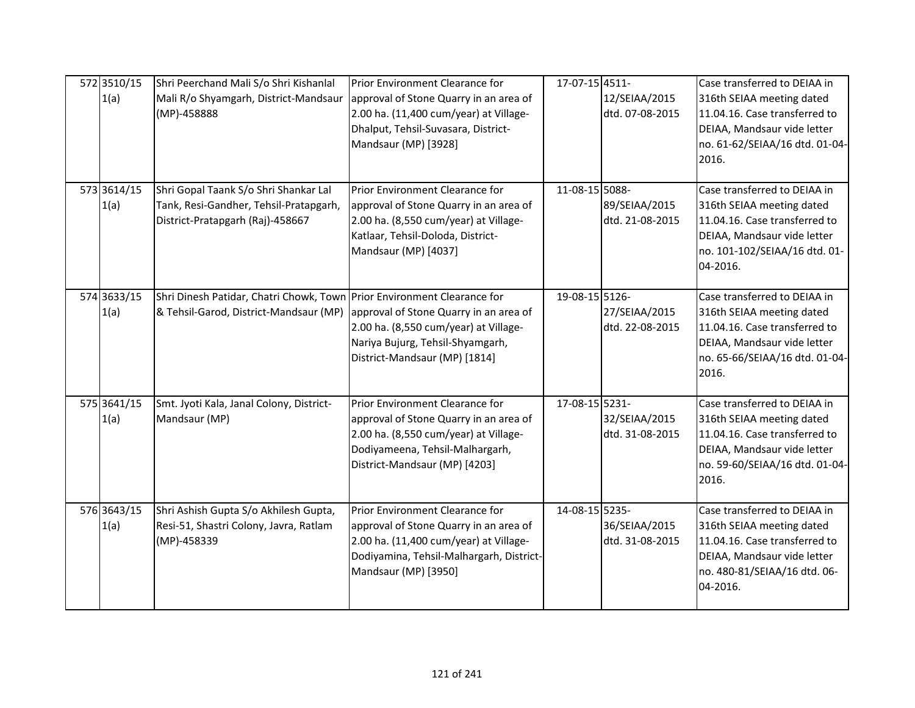| 572 3510/15<br>1(a) | Shri Peerchand Mali S/o Shri Kishanlal<br>Mali R/o Shyamgarh, District-Mandsaur approval of Stone Quarry in an area of<br>(MP)-458888 | Prior Environment Clearance for<br>2.00 ha. (11,400 cum/year) at Village-<br>Dhalput, Tehsil-Suvasara, District-<br>Mandsaur (MP) [3928]                                                | 17-07-15 4511- | 12/SEIAA/2015<br>dtd. 07-08-2015 | Case transferred to DEIAA in<br>316th SEIAA meeting dated<br>11.04.16. Case transferred to<br>DEIAA, Mandsaur vide letter<br>no. 61-62/SEIAA/16 dtd. 01-04-<br>2016.   |
|---------------------|---------------------------------------------------------------------------------------------------------------------------------------|-----------------------------------------------------------------------------------------------------------------------------------------------------------------------------------------|----------------|----------------------------------|------------------------------------------------------------------------------------------------------------------------------------------------------------------------|
| 573 3614/15<br>1(a) | Shri Gopal Taank S/o Shri Shankar Lal<br>Tank, Resi-Gandher, Tehsil-Pratapgarh,<br>District-Pratapgarh (Raj)-458667                   | Prior Environment Clearance for<br>approval of Stone Quarry in an area of<br>2.00 ha. (8,550 cum/year) at Village-<br>Katlaar, Tehsil-Doloda, District-<br>Mandsaur (MP) [4037]         | 11-08-15 5088- | 89/SEIAA/2015<br>dtd. 21-08-2015 | Case transferred to DEIAA in<br>316th SEIAA meeting dated<br>11.04.16. Case transferred to<br>DEIAA, Mandsaur vide letter<br>no. 101-102/SEIAA/16 dtd. 01-<br>04-2016. |
| 574 3633/15<br>1(a) | Shri Dinesh Patidar, Chatri Chowk, Town Prior Environment Clearance for<br>& Tehsil-Garod, District-Mandsaur (MP)                     | approval of Stone Quarry in an area of<br>2.00 ha. (8,550 cum/year) at Village-<br>Nariya Bujurg, Tehsil-Shyamgarh,<br>District-Mandsaur (MP) [1814]                                    | 19-08-15 5126- | 27/SEIAA/2015<br>dtd. 22-08-2015 | Case transferred to DEIAA in<br>316th SEIAA meeting dated<br>11.04.16. Case transferred to<br>DEIAA, Mandsaur vide letter<br>no. 65-66/SEIAA/16 dtd. 01-04-<br>2016.   |
| 575 3641/15<br>1(a) | Smt. Jyoti Kala, Janal Colony, District-<br>Mandsaur (MP)                                                                             | Prior Environment Clearance for<br>approval of Stone Quarry in an area of<br>2.00 ha. (8,550 cum/year) at Village-<br>Dodiyameena, Tehsil-Malhargarh,<br>District-Mandsaur (MP) [4203]  | 17-08-15 5231- | 32/SEIAA/2015<br>dtd. 31-08-2015 | Case transferred to DEIAA in<br>316th SEIAA meeting dated<br>11.04.16. Case transferred to<br>DEIAA, Mandsaur vide letter<br>no. 59-60/SEIAA/16 dtd. 01-04-<br>2016.   |
| 576 3643/15<br>1(a) | Shri Ashish Gupta S/o Akhilesh Gupta,<br>Resi-51, Shastri Colony, Javra, Ratlam<br>(MP)-458339                                        | Prior Environment Clearance for<br>approval of Stone Quarry in an area of<br>2.00 ha. (11,400 cum/year) at Village-<br>Dodiyamina, Tehsil-Malhargarh, District-<br>Mandsaur (MP) [3950] | 14-08-15 5235- | 36/SEIAA/2015<br>dtd. 31-08-2015 | Case transferred to DEIAA in<br>316th SEIAA meeting dated<br>11.04.16. Case transferred to<br>DEIAA, Mandsaur vide letter<br>no. 480-81/SEIAA/16 dtd. 06-<br>04-2016.  |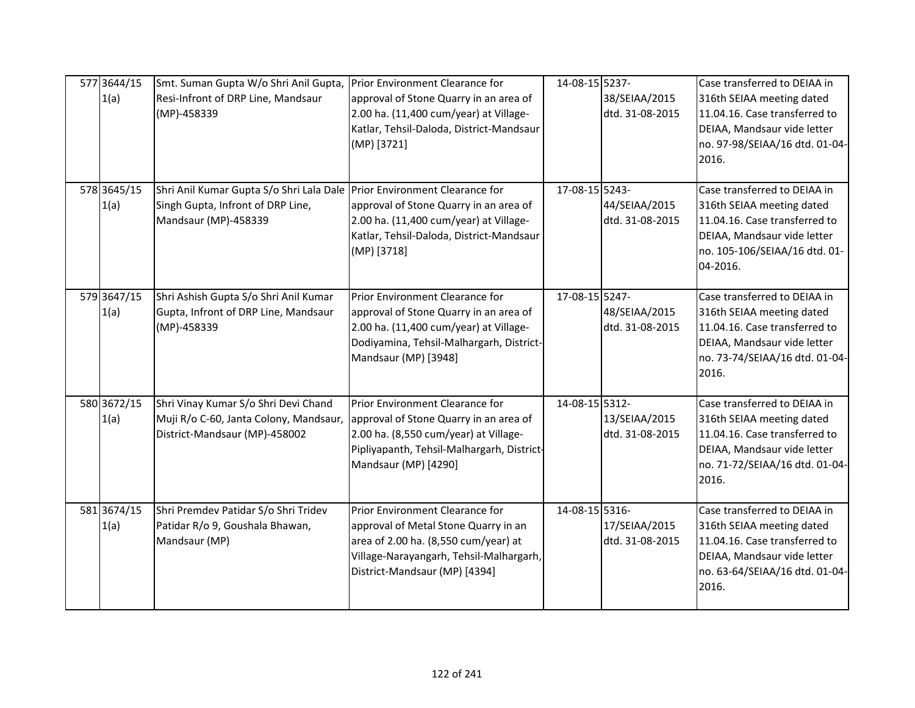| 577 3644/15<br>1(a) | Smt. Suman Gupta W/o Shri Anil Gupta,<br>Resi-Infront of DRP Line, Mandsaur<br>(MP)-458339                                            | Prior Environment Clearance for<br>approval of Stone Quarry in an area of<br>2.00 ha. (11,400 cum/year) at Village-<br>Katlar, Tehsil-Daloda, District-Mandsaur<br>(MP) [3721]              | 14-08-15 5237- | 38/SEIAA/2015<br>dtd. 31-08-2015 | Case transferred to DEIAA in<br>316th SEIAA meeting dated<br>11.04.16. Case transferred to<br>DEIAA, Mandsaur vide letter<br>no. 97-98/SEIAA/16 dtd. 01-04-<br>2016.   |
|---------------------|---------------------------------------------------------------------------------------------------------------------------------------|---------------------------------------------------------------------------------------------------------------------------------------------------------------------------------------------|----------------|----------------------------------|------------------------------------------------------------------------------------------------------------------------------------------------------------------------|
| 578 3645/15<br>1(a) | Shri Anil Kumar Gupta S/o Shri Lala Dale Prior Environment Clearance for<br>Singh Gupta, Infront of DRP Line,<br>Mandsaur (MP)-458339 | approval of Stone Quarry in an area of<br>2.00 ha. (11,400 cum/year) at Village-<br>Katlar, Tehsil-Daloda, District-Mandsaur<br>(MP) [3718]                                                 | 17-08-15 5243- | 44/SEIAA/2015<br>dtd. 31-08-2015 | Case transferred to DEIAA in<br>316th SEIAA meeting dated<br>11.04.16. Case transferred to<br>DEIAA, Mandsaur vide letter<br>no. 105-106/SEIAA/16 dtd. 01-<br>04-2016. |
| 579 3647/15<br>1(a) | Shri Ashish Gupta S/o Shri Anil Kumar<br>Gupta, Infront of DRP Line, Mandsaur<br>(MP)-458339                                          | Prior Environment Clearance for<br>approval of Stone Quarry in an area of<br>2.00 ha. (11,400 cum/year) at Village-<br>Dodiyamina, Tehsil-Malhargarh, District-<br>Mandsaur (MP) [3948]     | 17-08-15 5247- | 48/SEIAA/2015<br>dtd. 31-08-2015 | Case transferred to DEIAA in<br>316th SEIAA meeting dated<br>11.04.16. Case transferred to<br>DEIAA, Mandsaur vide letter<br>no. 73-74/SEIAA/16 dtd. 01-04-<br>2016.   |
| 580 3672/15<br>1(a) | Shri Vinay Kumar S/o Shri Devi Chand<br>Muji R/o C-60, Janta Colony, Mandsaur,<br>District-Mandsaur (MP)-458002                       | Prior Environment Clearance for<br>approval of Stone Quarry in an area of<br>2.00 ha. (8,550 cum/year) at Village-<br>Pipliyapanth, Tehsil-Malhargarh, District-<br>Mandsaur (MP) [4290]    | 14-08-15 5312- | 13/SEIAA/2015<br>dtd. 31-08-2015 | Case transferred to DEIAA in<br>316th SEIAA meeting dated<br>11.04.16. Case transferred to<br>DEIAA, Mandsaur vide letter<br>no. 71-72/SEIAA/16 dtd. 01-04-<br>2016.   |
| 581 3674/15<br>1(a) | Shri Premdev Patidar S/o Shri Tridev<br>Patidar R/o 9, Goushala Bhawan,<br>Mandsaur (MP)                                              | Prior Environment Clearance for<br>approval of Metal Stone Quarry in an<br>area of 2.00 ha. (8,550 cum/year) at<br>Village-Narayangarh, Tehsil-Malhargarh,<br>District-Mandsaur (MP) [4394] | 14-08-15 5316- | 17/SEIAA/2015<br>dtd. 31-08-2015 | Case transferred to DEIAA in<br>316th SEIAA meeting dated<br>11.04.16. Case transferred to<br>DEIAA, Mandsaur vide letter<br>no. 63-64/SEIAA/16 dtd. 01-04-<br>2016.   |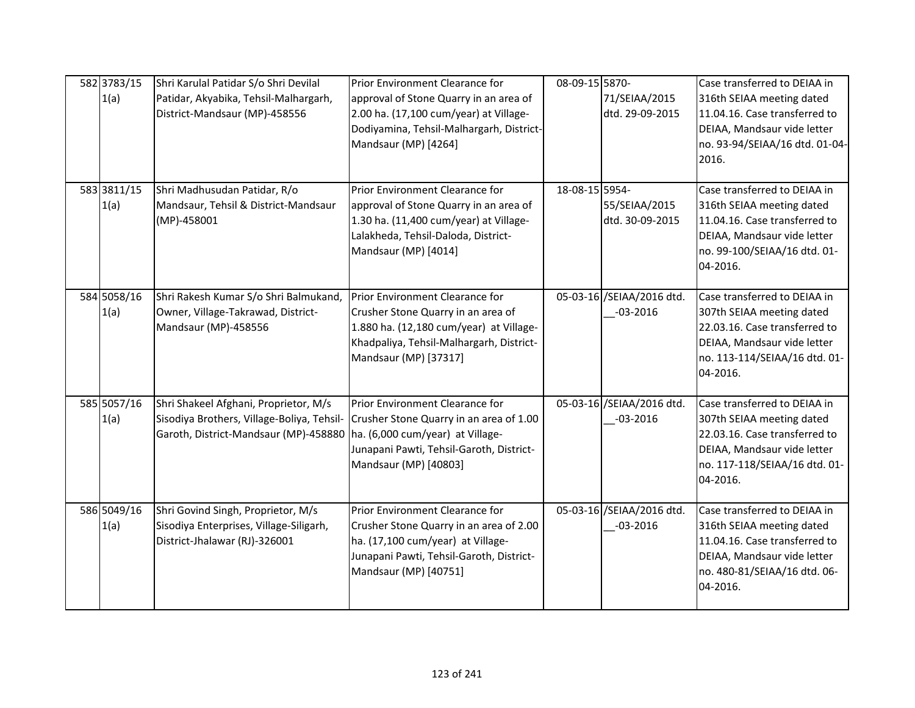| 582 3783/15<br>1(a) | Shri Karulal Patidar S/o Shri Devilal<br>Patidar, Akyabika, Tehsil-Malhargarh,<br>District-Mandsaur (MP)-458556              | Prior Environment Clearance for<br>approval of Stone Quarry in an area of<br>2.00 ha. (17,100 cum/year) at Village-<br>Dodiyamina, Tehsil-Malhargarh, District-<br>Mandsaur (MP) [4264] | 08-09-15 5870- | 71/SEIAA/2015<br>dtd. 29-09-2015          | Case transferred to DEIAA in<br>316th SEIAA meeting dated<br>11.04.16. Case transferred to<br>DEIAA, Mandsaur vide letter<br>no. 93-94/SEIAA/16 dtd. 01-04-<br>2016.   |
|---------------------|------------------------------------------------------------------------------------------------------------------------------|-----------------------------------------------------------------------------------------------------------------------------------------------------------------------------------------|----------------|-------------------------------------------|------------------------------------------------------------------------------------------------------------------------------------------------------------------------|
| 583 3811/15<br>1(a) | Shri Madhusudan Patidar, R/o<br>Mandsaur, Tehsil & District-Mandsaur<br>(MP)-458001                                          | Prior Environment Clearance for<br>approval of Stone Quarry in an area of<br>1.30 ha. (11,400 cum/year) at Village-<br>Lalakheda, Tehsil-Daloda, District-<br>Mandsaur (MP) [4014]      | 18-08-15 5954- | 55/SEIAA/2015<br>dtd. 30-09-2015          | Case transferred to DEIAA in<br>316th SEIAA meeting dated<br>11.04.16. Case transferred to<br>DEIAA, Mandsaur vide letter<br>no. 99-100/SEIAA/16 dtd. 01-<br>04-2016.  |
| 584 5058/16<br>1(a) | Shri Rakesh Kumar S/o Shri Balmukand,<br>Owner, Village-Takrawad, District-<br>Mandsaur (MP)-458556                          | Prior Environment Clearance for<br>Crusher Stone Quarry in an area of<br>1.880 ha. (12,180 cum/year) at Village-<br>Khadpaliya, Tehsil-Malhargarh, District-<br>Mandsaur (MP) [37317]   |                | 05-03-16 /SEIAA/2016 dtd.<br>$-03 - 2016$ | Case transferred to DEIAA in<br>307th SEIAA meeting dated<br>22.03.16. Case transferred to<br>DEIAA, Mandsaur vide letter<br>no. 113-114/SEIAA/16 dtd. 01-<br>04-2016. |
| 585 5057/16<br>1(a) | Shri Shakeel Afghani, Proprietor, M/s<br>Sisodiya Brothers, Village-Boliya, Tehsil-<br>Garoth, District-Mandsaur (MP)-458880 | Prior Environment Clearance for<br>Crusher Stone Quarry in an area of 1.00<br>ha. (6,000 cum/year) at Village-<br>Junapani Pawti, Tehsil-Garoth, District-<br>Mandsaur (MP) [40803]     |                | 05-03-16 /SEIAA/2016 dtd.<br>$-03 - 2016$ | Case transferred to DEIAA in<br>307th SEIAA meeting dated<br>22.03.16. Case transferred to<br>DEIAA, Mandsaur vide letter<br>no. 117-118/SEIAA/16 dtd. 01-<br>04-2016. |
| 586 5049/16<br>1(a) | Shri Govind Singh, Proprietor, M/s<br>Sisodiya Enterprises, Village-Siligarh,<br>District-Jhalawar (RJ)-326001               | Prior Environment Clearance for<br>Crusher Stone Quarry in an area of 2.00<br>ha. (17,100 cum/year) at Village-<br>Junapani Pawti, Tehsil-Garoth, District-<br>Mandsaur (MP) [40751]    |                | 05-03-16 /SEIAA/2016 dtd.<br>$-03 - 2016$ | Case transferred to DEIAA in<br>316th SEIAA meeting dated<br>11.04.16. Case transferred to<br>DEIAA, Mandsaur vide letter<br>no. 480-81/SEIAA/16 dtd. 06-<br>04-2016.  |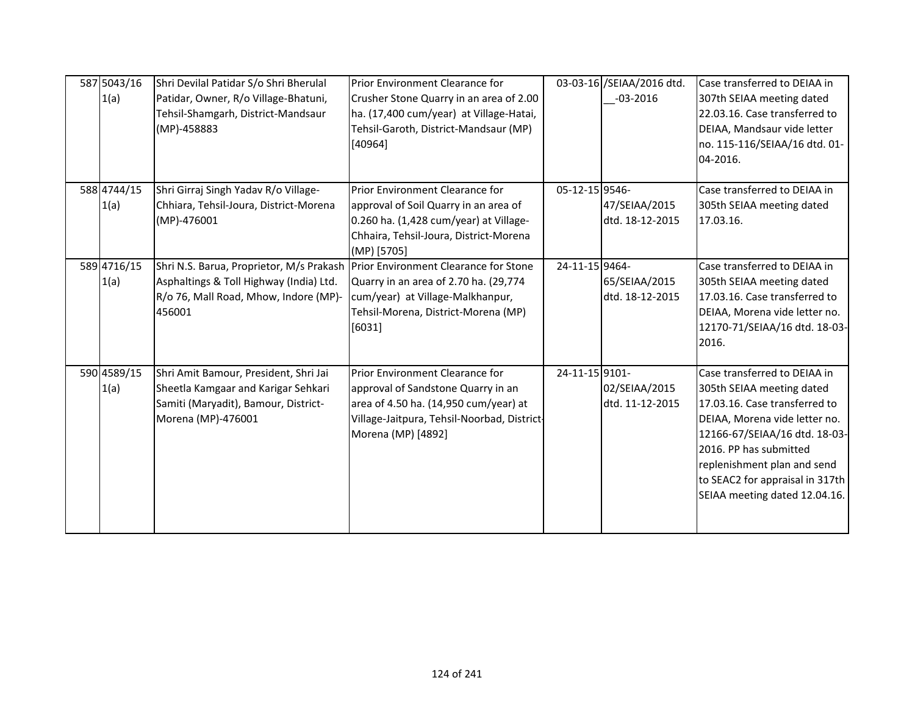| 587 5043/16<br>1(a) | Shri Devilal Patidar S/o Shri Bherulal<br>Patidar, Owner, R/o Village-Bhatuni,<br>Tehsil-Shamgarh, District-Mandsaur<br>(MP)-458883                                          | Prior Environment Clearance for<br>Crusher Stone Quarry in an area of 2.00<br>ha. (17,400 cum/year) at Village-Hatai,<br>Tehsil-Garoth, District-Mandsaur (MP)<br>[40964]           |                | 03-03-16 /SEIAA/2016 dtd.<br>$-03 - 2016$ | Case transferred to DEIAA in<br>307th SEIAA meeting dated<br>22.03.16. Case transferred to<br>DEIAA, Mandsaur vide letter<br>no. 115-116/SEIAA/16 dtd. 01-<br>04-2016.                                                                                                                    |
|---------------------|------------------------------------------------------------------------------------------------------------------------------------------------------------------------------|-------------------------------------------------------------------------------------------------------------------------------------------------------------------------------------|----------------|-------------------------------------------|-------------------------------------------------------------------------------------------------------------------------------------------------------------------------------------------------------------------------------------------------------------------------------------------|
| 588 4744/15<br>1(a) | Shri Girraj Singh Yadav R/o Village-<br>Chhiara, Tehsil-Joura, District-Morena<br>(MP)-476001                                                                                | Prior Environment Clearance for<br>approval of Soil Quarry in an area of<br>0.260 ha. (1,428 cum/year) at Village-<br>Chhaira, Tehsil-Joura, District-Morena<br>$(MP)$ [5705]       | 05-12-15 9546- | 47/SEIAA/2015<br>dtd. 18-12-2015          | Case transferred to DEIAA in<br>305th SEIAA meeting dated<br>17.03.16.                                                                                                                                                                                                                    |
| 589 4716/15<br>1(a) | Shri N.S. Barua, Proprietor, M/s Prakash Prior Environment Clearance for Stone<br>Asphaltings & Toll Highway (India) Ltd.<br>R/o 76, Mall Road, Mhow, Indore (MP)-<br>456001 | Quarry in an area of 2.70 ha. (29,774<br>cum/year) at Village-Malkhanpur,<br>Tehsil-Morena, District-Morena (MP)<br>[6031]                                                          | 24-11-15 9464- | 65/SEIAA/2015<br>dtd. 18-12-2015          | Case transferred to DEIAA in<br>305th SEIAA meeting dated<br>17.03.16. Case transferred to<br>DEIAA, Morena vide letter no.<br>12170-71/SEIAA/16 dtd. 18-03-<br>2016.                                                                                                                     |
| 590 4589/15<br>1(a) | Shri Amit Bamour, President, Shri Jai<br>Sheetla Kamgaar and Karigar Sehkari<br>Samiti (Maryadit), Bamour, District-<br>Morena (MP)-476001                                   | Prior Environment Clearance for<br>approval of Sandstone Quarry in an<br>area of 4.50 ha. (14,950 cum/year) at<br>Village-Jaitpura, Tehsil-Noorbad, District-<br>Morena (MP) [4892] | 24-11-15 9101- | 02/SEIAA/2015<br>dtd. 11-12-2015          | Case transferred to DEIAA in<br>305th SEIAA meeting dated<br>17.03.16. Case transferred to<br>DEIAA, Morena vide letter no.<br>12166-67/SEIAA/16 dtd. 18-03-<br>2016. PP has submitted<br>replenishment plan and send<br>to SEAC2 for appraisal in 317th<br>SEIAA meeting dated 12.04.16. |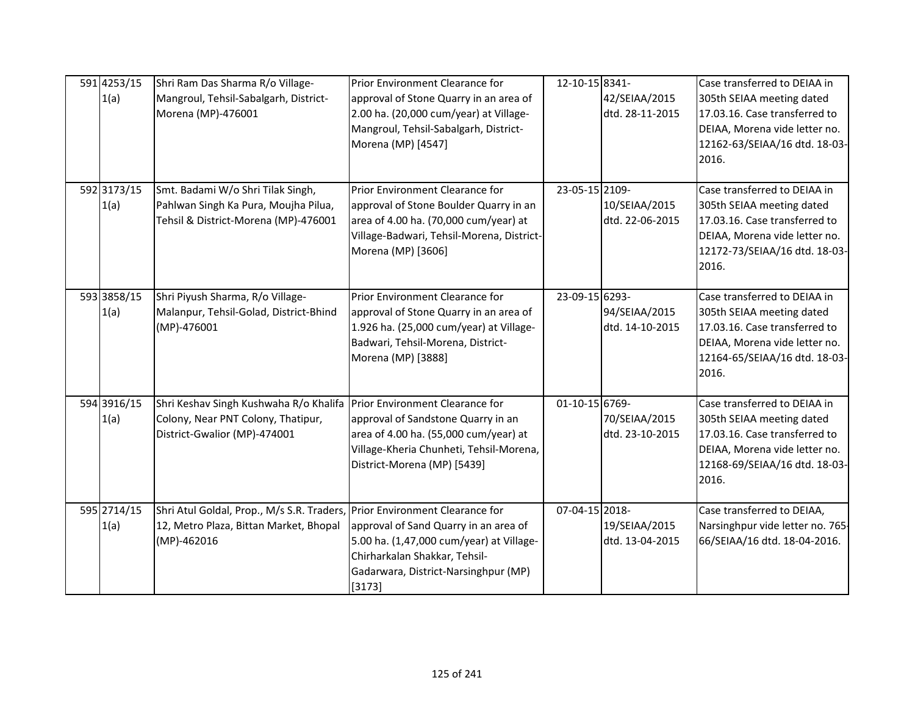| 591 4253/15<br>1(a) | Shri Ram Das Sharma R/o Village-<br>Mangroul, Tehsil-Sabalgarh, District-<br>Morena (MP)-476001                                     | Prior Environment Clearance for<br>approval of Stone Quarry in an area of<br>2.00 ha. (20,000 cum/year) at Village-<br>Mangroul, Tehsil-Sabalgarh, District-<br>Morena (MP) [4547]       | 12-10-15 8341- | 42/SEIAA/2015<br>dtd. 28-11-2015 | Case transferred to DEIAA in<br>305th SEIAA meeting dated<br>17.03.16. Case transferred to<br>DEIAA, Morena vide letter no.<br>12162-63/SEIAA/16 dtd. 18-03-<br>2016. |
|---------------------|-------------------------------------------------------------------------------------------------------------------------------------|------------------------------------------------------------------------------------------------------------------------------------------------------------------------------------------|----------------|----------------------------------|-----------------------------------------------------------------------------------------------------------------------------------------------------------------------|
| 592 3173/15<br>1(a) | Smt. Badami W/o Shri Tilak Singh,<br>Pahlwan Singh Ka Pura, Moujha Pilua,<br>Tehsil & District-Morena (MP)-476001                   | Prior Environment Clearance for<br>approval of Stone Boulder Quarry in an<br>area of 4.00 ha. (70,000 cum/year) at<br>Village-Badwari, Tehsil-Morena, District-<br>Morena (MP) [3606]    | 23-05-15 2109- | 10/SEIAA/2015<br>dtd. 22-06-2015 | Case transferred to DEIAA in<br>305th SEIAA meeting dated<br>17.03.16. Case transferred to<br>DEIAA, Morena vide letter no.<br>12172-73/SEIAA/16 dtd. 18-03-<br>2016. |
| 593 3858/15<br>1(a) | Shri Piyush Sharma, R/o Village-<br>Malanpur, Tehsil-Golad, District-Bhind<br>(MP)-476001                                           | Prior Environment Clearance for<br>approval of Stone Quarry in an area of<br>1.926 ha. (25,000 cum/year) at Village-<br>Badwari, Tehsil-Morena, District-<br>Morena (MP) [3888]          | 23-09-15 6293- | 94/SEIAA/2015<br>dtd. 14-10-2015 | Case transferred to DEIAA in<br>305th SEIAA meeting dated<br>17.03.16. Case transferred to<br>DEIAA, Morena vide letter no.<br>12164-65/SEIAA/16 dtd. 18-03-<br>2016. |
| 594 3916/15<br>1(a) | Shri Keshav Singh Kushwaha R/o Khalifa<br>Colony, Near PNT Colony, Thatipur,<br>District-Gwalior (MP)-474001                        | Prior Environment Clearance for<br>approval of Sandstone Quarry in an<br>area of 4.00 ha. (55,000 cum/year) at<br>Village-Kheria Chunheti, Tehsil-Morena,<br>District-Morena (MP) [5439] | 01-10-15 6769- | 70/SEIAA/2015<br>dtd. 23-10-2015 | Case transferred to DEIAA in<br>305th SEIAA meeting dated<br>17.03.16. Case transferred to<br>DEIAA, Morena vide letter no.<br>12168-69/SEIAA/16 dtd. 18-03-<br>2016. |
| 595 2714/15<br>1(a) | Shri Atul Goldal, Prop., M/s S.R. Traders, Prior Environment Clearance for<br>12, Metro Plaza, Bittan Market, Bhopal<br>(MP)-462016 | approval of Sand Quarry in an area of<br>5.00 ha. (1,47,000 cum/year) at Village-<br>Chirharkalan Shakkar, Tehsil-<br>Gadarwara, District-Narsinghpur (MP)<br>[3173]                     | 07-04-15 2018- | 19/SEIAA/2015<br>dtd. 13-04-2015 | Case transferred to DEIAA,<br>Narsinghpur vide letter no. 765-<br>66/SEIAA/16 dtd. 18-04-2016.                                                                        |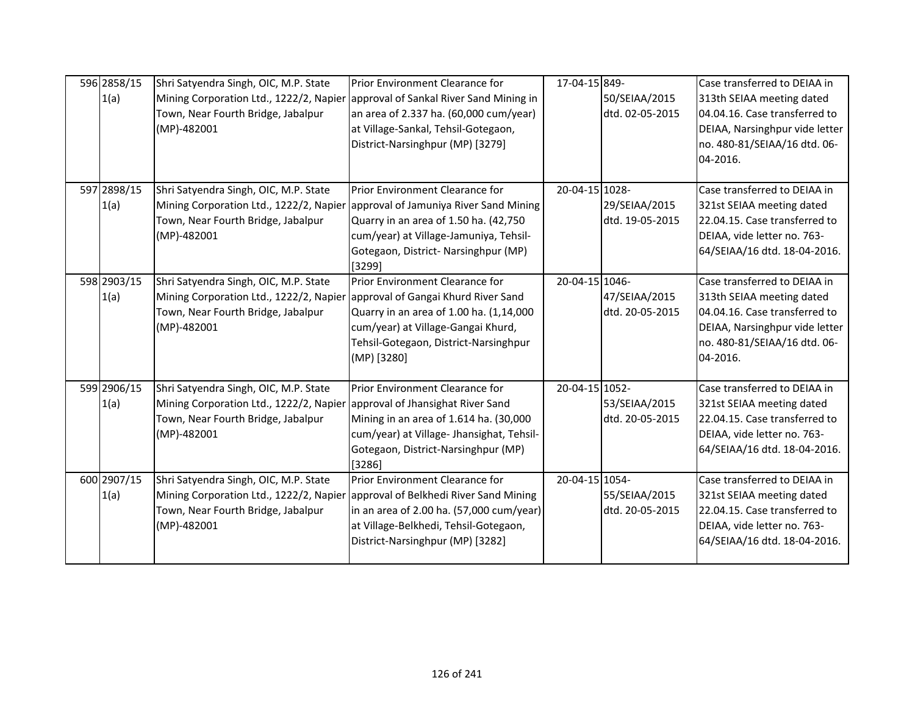| 596 2858/15<br>1(a) | Shri Satyendra Singh, OIC, M.P. State<br>Mining Corporation Ltd., 1222/2, Napier approval of Sankal River Sand Mining in<br>Town, Near Fourth Bridge, Jabalpur<br>(MP)-482001 | Prior Environment Clearance for<br>an area of 2.337 ha. (60,000 cum/year)<br>at Village-Sankal, Tehsil-Gotegaon,<br>District-Narsinghpur (MP) [3279]                                                            | 17-04-15 849-  | 50/SEIAA/2015<br>dtd. 02-05-2015 | Case transferred to DEIAA in<br>313th SEIAA meeting dated<br>04.04.16. Case transferred to<br>DEIAA, Narsinghpur vide letter<br>no. 480-81/SEIAA/16 dtd. 06-<br>04-2016. |
|---------------------|-------------------------------------------------------------------------------------------------------------------------------------------------------------------------------|-----------------------------------------------------------------------------------------------------------------------------------------------------------------------------------------------------------------|----------------|----------------------------------|--------------------------------------------------------------------------------------------------------------------------------------------------------------------------|
| 597 2898/15<br>1(a) | Shri Satyendra Singh, OIC, M.P. State<br>Mining Corporation Ltd., 1222/2, Napier<br>Town, Near Fourth Bridge, Jabalpur<br>(MP)-482001                                         | Prior Environment Clearance for<br>approval of Jamuniya River Sand Mining<br>Quarry in an area of 1.50 ha. (42,750<br>cum/year) at Village-Jamuniya, Tehsil-<br>Gotegaon, District- Narsinghpur (MP)<br>[3299]  | 20-04-15 1028- | 29/SEIAA/2015<br>dtd. 19-05-2015 | Case transferred to DEIAA in<br>321st SEIAA meeting dated<br>22.04.15. Case transferred to<br>DEIAA, vide letter no. 763-<br>64/SEIAA/16 dtd. 18-04-2016.                |
| 598 2903/15<br>1(a) | Shri Satyendra Singh, OIC, M.P. State<br>Mining Corporation Ltd., 1222/2, Napier<br>Town, Near Fourth Bridge, Jabalpur<br>(MP)-482001                                         | Prior Environment Clearance for<br>approval of Gangai Khurd River Sand<br>Quarry in an area of 1.00 ha. (1,14,000<br>cum/year) at Village-Gangai Khurd,<br>Tehsil-Gotegaon, District-Narsinghpur<br>(MP) [3280] | 20-04-15 1046- | 47/SEIAA/2015<br>dtd. 20-05-2015 | Case transferred to DEIAA in<br>313th SEIAA meeting dated<br>04.04.16. Case transferred to<br>DEIAA, Narsinghpur vide letter<br>no. 480-81/SEIAA/16 dtd. 06-<br>04-2016. |
| 599 2906/15<br>1(a) | Shri Satyendra Singh, OIC, M.P. State<br>Mining Corporation Ltd., 1222/2, Napier approval of Jhansighat River Sand<br>Town, Near Fourth Bridge, Jabalpur<br>(MP)-482001       | Prior Environment Clearance for<br>Mining in an area of 1.614 ha. (30,000<br>cum/year) at Village- Jhansighat, Tehsil-<br>Gotegaon, District-Narsinghpur (MP)<br>[3286]                                         | 20-04-15 1052- | 53/SEIAA/2015<br>dtd. 20-05-2015 | Case transferred to DEIAA in<br>321st SEIAA meeting dated<br>22.04.15. Case transferred to<br>DEIAA, vide letter no. 763-<br>64/SEIAA/16 dtd. 18-04-2016.                |
| 600 2907/15<br>1(a) | Shri Satyendra Singh, OIC, M.P. State<br>Mining Corporation Ltd., 1222/2, Napier approval of Belkhedi River Sand Mining<br>Town, Near Fourth Bridge, Jabalpur<br>(MP)-482001  | Prior Environment Clearance for<br>in an area of 2.00 ha. (57,000 cum/year)<br>at Village-Belkhedi, Tehsil-Gotegaon,<br>District-Narsinghpur (MP) [3282]                                                        | 20-04-15 1054- | 55/SEIAA/2015<br>dtd. 20-05-2015 | Case transferred to DEIAA in<br>321st SEIAA meeting dated<br>22.04.15. Case transferred to<br>DEIAA, vide letter no. 763-<br>64/SEIAA/16 dtd. 18-04-2016.                |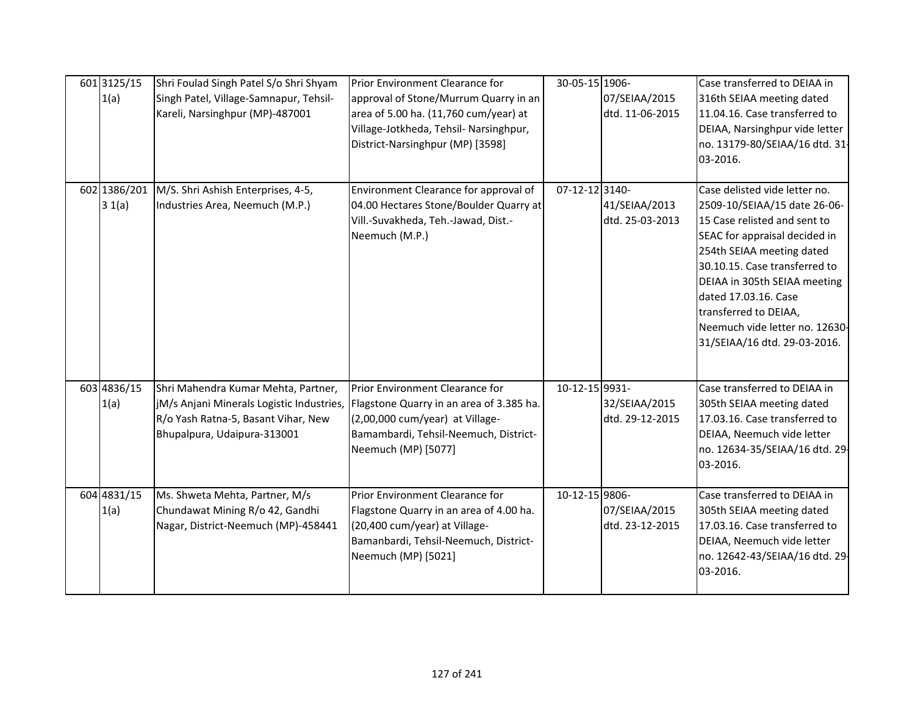| 601 3125/15<br>1(a)    | Shri Foulad Singh Patel S/o Shri Shyam<br>Singh Patel, Village-Samnapur, Tehsil-<br>Kareli, Narsinghpur (MP)-487001                                                                             | Prior Environment Clearance for<br>approval of Stone/Murrum Quarry in an<br>area of 5.00 ha. (11,760 cum/year) at<br>Village-Jotkheda, Tehsil- Narsinghpur,<br>District-Narsinghpur (MP) [3598] | 30-05-15 1906- | 07/SEIAA/2015<br>dtd. 11-06-2015 | Case transferred to DEIAA in<br>316th SEIAA meeting dated<br>11.04.16. Case transferred to<br>DEIAA, Narsinghpur vide letter<br>no. 13179-80/SEIAA/16 dtd. 31-<br>03-2016.                                                                                                                                                                      |
|------------------------|-------------------------------------------------------------------------------------------------------------------------------------------------------------------------------------------------|-------------------------------------------------------------------------------------------------------------------------------------------------------------------------------------------------|----------------|----------------------------------|-------------------------------------------------------------------------------------------------------------------------------------------------------------------------------------------------------------------------------------------------------------------------------------------------------------------------------------------------|
| 602 1386/201<br>3 1(a) | M/S. Shri Ashish Enterprises, 4-5,<br>Industries Area, Neemuch (M.P.)                                                                                                                           | Environment Clearance for approval of<br>04.00 Hectares Stone/Boulder Quarry at<br>Vill.-Suvakheda, Teh.-Jawad, Dist.-<br>Neemuch (M.P.)                                                        | 07-12-12 3140- | 41/SEIAA/2013<br>dtd. 25-03-2013 | Case delisted vide letter no.<br>2509-10/SEIAA/15 date 26-06-<br>15 Case relisted and sent to<br>SEAC for appraisal decided in<br>254th SEIAA meeting dated<br>30.10.15. Case transferred to<br>DEIAA in 305th SEIAA meeting<br>dated 17.03.16. Case<br>transferred to DEIAA,<br>Neemuch vide letter no. 12630-<br>31/SEIAA/16 dtd. 29-03-2016. |
| 603 4836/15<br>1(a)    | Shri Mahendra Kumar Mehta, Partner,<br>JM/s Anjani Minerals Logistic Industries, Flagstone Quarry in an area of 3.385 ha.<br>R/o Yash Ratna-5, Basant Vihar, New<br>Bhupalpura, Udaipura-313001 | Prior Environment Clearance for<br>(2,00,000 cum/year) at Village-<br>Bamambardi, Tehsil-Neemuch, District-<br>Neemuch (MP) [5077]                                                              | 10-12-15 9931- | 32/SEIAA/2015<br>dtd. 29-12-2015 | Case transferred to DEIAA in<br>305th SEIAA meeting dated<br>17.03.16. Case transferred to<br>DEIAA, Neemuch vide letter<br>no. 12634-35/SEIAA/16 dtd. 29-<br>03-2016.                                                                                                                                                                          |
| 604 4831/15<br>1(a)    | Ms. Shweta Mehta, Partner, M/s<br>Chundawat Mining R/o 42, Gandhi<br>Nagar, District-Neemuch (MP)-458441                                                                                        | Prior Environment Clearance for<br>Flagstone Quarry in an area of 4.00 ha.<br>(20,400 cum/year) at Village-<br>Bamanbardi, Tehsil-Neemuch, District-<br>Neemuch (MP) [5021]                     | 10-12-15 9806- | 07/SEIAA/2015<br>dtd. 23-12-2015 | Case transferred to DEIAA in<br>305th SEIAA meeting dated<br>17.03.16. Case transferred to<br>DEIAA, Neemuch vide letter<br>no. 12642-43/SEIAA/16 dtd. 29-<br>03-2016.                                                                                                                                                                          |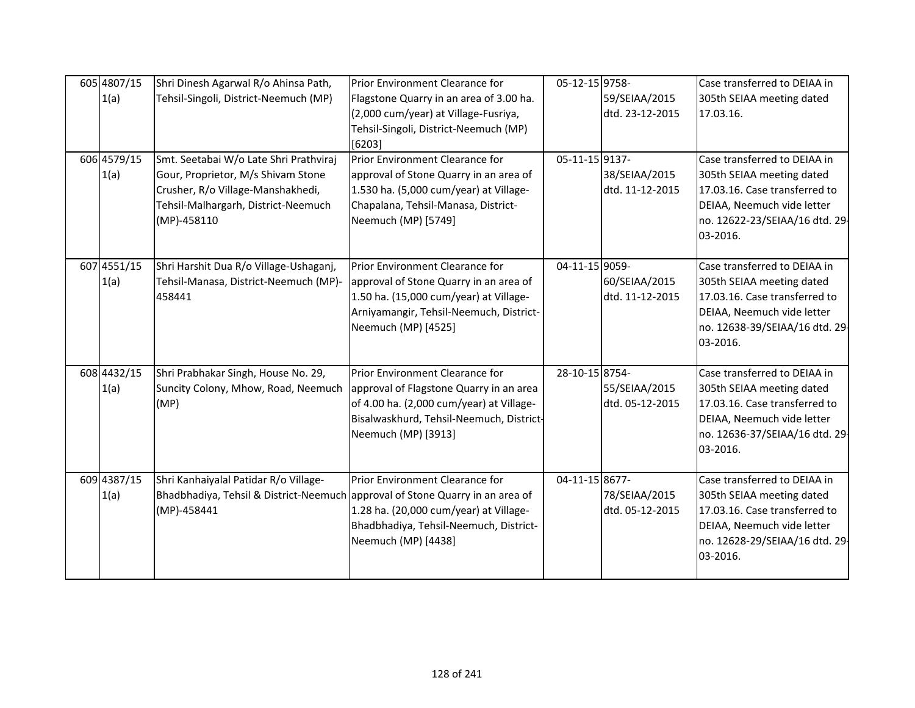| 605 4807/15<br>1(a)<br>606 4579/15<br>1(a) | Shri Dinesh Agarwal R/o Ahinsa Path,<br>Tehsil-Singoli, District-Neemuch (MP)<br>Smt. Seetabai W/o Late Shri Prathviraj<br>Gour, Proprietor, M/s Shivam Stone<br>Crusher, R/o Village-Manshakhedi,<br>Tehsil-Malhargarh, District-Neemuch | Prior Environment Clearance for<br>Flagstone Quarry in an area of 3.00 ha.<br>(2,000 cum/year) at Village-Fusriya,<br>Tehsil-Singoli, District-Neemuch (MP)<br>[6203]<br>Prior Environment Clearance for<br>approval of Stone Quarry in an area of<br>1.530 ha. (5,000 cum/year) at Village-<br>Chapalana, Tehsil-Manasa, District- | 05-12-15 9758-<br>05-11-15 9137- | 59/SEIAA/2015<br>dtd. 23-12-2015<br>38/SEIAA/2015<br>dtd. 11-12-2015 | Case transferred to DEIAA in<br>305th SEIAA meeting dated<br>17.03.16.<br>Case transferred to DEIAA in<br>305th SEIAA meeting dated<br>17.03.16. Case transferred to<br>DEIAA, Neemuch vide letter |
|--------------------------------------------|-------------------------------------------------------------------------------------------------------------------------------------------------------------------------------------------------------------------------------------------|-------------------------------------------------------------------------------------------------------------------------------------------------------------------------------------------------------------------------------------------------------------------------------------------------------------------------------------|----------------------------------|----------------------------------------------------------------------|----------------------------------------------------------------------------------------------------------------------------------------------------------------------------------------------------|
|                                            | (MP)-458110                                                                                                                                                                                                                               | Neemuch (MP) [5749]                                                                                                                                                                                                                                                                                                                 |                                  |                                                                      | no. 12622-23/SEIAA/16 dtd. 29-<br>03-2016.                                                                                                                                                         |
| 607 4551/15<br>1(a)                        | Shri Harshit Dua R/o Village-Ushaganj,<br>Tehsil-Manasa, District-Neemuch (MP)-<br>458441                                                                                                                                                 | Prior Environment Clearance for<br>approval of Stone Quarry in an area of<br>1.50 ha. (15,000 cum/year) at Village-<br>Arniyamangir, Tehsil-Neemuch, District-<br>Neemuch (MP) [4525]                                                                                                                                               | 04-11-15 9059-                   | 60/SEIAA/2015<br>dtd. 11-12-2015                                     | Case transferred to DEIAA in<br>305th SEIAA meeting dated<br>17.03.16. Case transferred to<br>DEIAA, Neemuch vide letter<br>no. 12638-39/SEIAA/16 dtd. 29-<br>03-2016.                             |
| 608 4432/15<br>1(a)                        | Shri Prabhakar Singh, House No. 29,<br>Suncity Colony, Mhow, Road, Neemuch<br>(MP)                                                                                                                                                        | Prior Environment Clearance for<br>approval of Flagstone Quarry in an area<br>of 4.00 ha. (2,000 cum/year) at Village-<br>Bisalwaskhurd, Tehsil-Neemuch, District-<br>Neemuch (MP) [3913]                                                                                                                                           | 28-10-15 8754-                   | 55/SEIAA/2015<br>dtd. 05-12-2015                                     | Case transferred to DEIAA in<br>305th SEIAA meeting dated<br>17.03.16. Case transferred to<br>DEIAA, Neemuch vide letter<br>no. 12636-37/SEIAA/16 dtd. 29-<br>03-2016.                             |
| 609 4387/15<br>1(a)                        | Shri Kanhaiyalal Patidar R/o Village-<br>Bhadbhadiya, Tehsil & District-Neemuch approval of Stone Quarry in an area of<br>(MP)-458441                                                                                                     | Prior Environment Clearance for<br>1.28 ha. (20,000 cum/year) at Village-<br>Bhadbhadiya, Tehsil-Neemuch, District-<br>Neemuch (MP) [4438]                                                                                                                                                                                          | 04-11-15 8677-                   | 78/SEIAA/2015<br>dtd. 05-12-2015                                     | Case transferred to DEIAA in<br>305th SEIAA meeting dated<br>17.03.16. Case transferred to<br>DEIAA, Neemuch vide letter<br>no. 12628-29/SEIAA/16 dtd. 29-<br>03-2016.                             |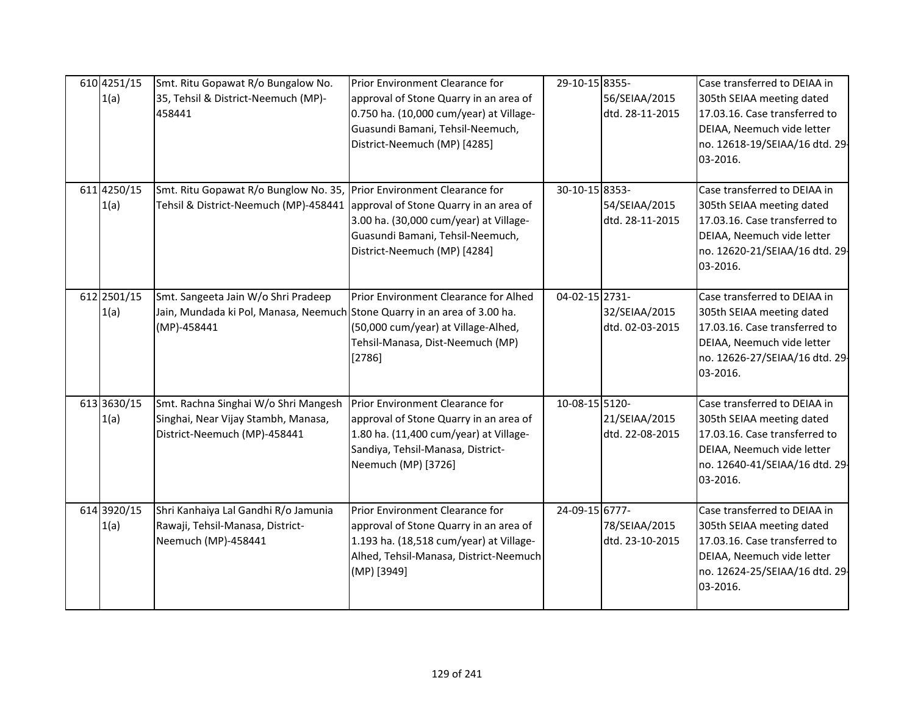| 610 4251/15<br>1(a) | Smt. Ritu Gopawat R/o Bungalow No.<br>35, Tehsil & District-Neemuch (MP)-<br>458441                                             | Prior Environment Clearance for<br>approval of Stone Quarry in an area of<br>0.750 ha. (10,000 cum/year) at Village-<br>Guasundi Bamani, Tehsil-Neemuch,<br>District-Neemuch (MP) [4285]       | 29-10-15 8355- | 56/SEIAA/2015<br>dtd. 28-11-2015 | Case transferred to DEIAA in<br>305th SEIAA meeting dated<br>17.03.16. Case transferred to<br>DEIAA, Neemuch vide letter<br>no. 12618-19/SEIAA/16 dtd. 29-<br>03-2016. |
|---------------------|---------------------------------------------------------------------------------------------------------------------------------|------------------------------------------------------------------------------------------------------------------------------------------------------------------------------------------------|----------------|----------------------------------|------------------------------------------------------------------------------------------------------------------------------------------------------------------------|
| 611 4250/15<br>1(a) | Smt. Ritu Gopawat R/o Bunglow No. 35,<br>Tehsil & District-Neemuch (MP)-458441                                                  | <b>Prior Environment Clearance for</b><br>approval of Stone Quarry in an area of<br>3.00 ha. (30,000 cum/year) at Village-<br>Guasundi Bamani, Tehsil-Neemuch,<br>District-Neemuch (MP) [4284] | 30-10-15 8353- | 54/SEIAA/2015<br>dtd. 28-11-2015 | Case transferred to DEIAA in<br>305th SEIAA meeting dated<br>17.03.16. Case transferred to<br>DEIAA, Neemuch vide letter<br>no. 12620-21/SEIAA/16 dtd. 29-<br>03-2016. |
| 612 2501/15<br>1(a) | Smt. Sangeeta Jain W/o Shri Pradeep<br>Jain, Mundada ki Pol, Manasa, Neemuch Stone Quarry in an area of 3.00 ha.<br>(MP)-458441 | Prior Environment Clearance for Alhed<br>(50,000 cum/year) at Village-Alhed,<br>Tehsil-Manasa, Dist-Neemuch (MP)<br>[2786]                                                                     | 04-02-15 2731- | 32/SEIAA/2015<br>dtd. 02-03-2015 | Case transferred to DEIAA in<br>305th SEIAA meeting dated<br>17.03.16. Case transferred to<br>DEIAA, Neemuch vide letter<br>no. 12626-27/SEIAA/16 dtd. 29-<br>03-2016. |
| 613 3630/15<br>1(a) | Smt. Rachna Singhai W/o Shri Mangesh<br>Singhai, Near Vijay Stambh, Manasa,<br>District-Neemuch (MP)-458441                     | Prior Environment Clearance for<br>approval of Stone Quarry in an area of<br>1.80 ha. (11,400 cum/year) at Village-<br>Sandiya, Tehsil-Manasa, District-<br>Neemuch (MP) [3726]                | 10-08-15 5120- | 21/SEIAA/2015<br>dtd. 22-08-2015 | Case transferred to DEIAA in<br>305th SEIAA meeting dated<br>17.03.16. Case transferred to<br>DEIAA, Neemuch vide letter<br>no. 12640-41/SEIAA/16 dtd. 29-<br>03-2016. |
| 614 3920/15<br>1(a) | Shri Kanhaiya Lal Gandhi R/o Jamunia<br>Rawaji, Tehsil-Manasa, District-<br>Neemuch (MP)-458441                                 | Prior Environment Clearance for<br>approval of Stone Quarry in an area of<br>1.193 ha. (18,518 cum/year) at Village-<br>Alhed, Tehsil-Manasa, District-Neemuch<br>(MP) [3949]                  | 24-09-15 6777- | 78/SEIAA/2015<br>dtd. 23-10-2015 | Case transferred to DEIAA in<br>305th SEIAA meeting dated<br>17.03.16. Case transferred to<br>DEIAA, Neemuch vide letter<br>no. 12624-25/SEIAA/16 dtd. 29-<br>03-2016. |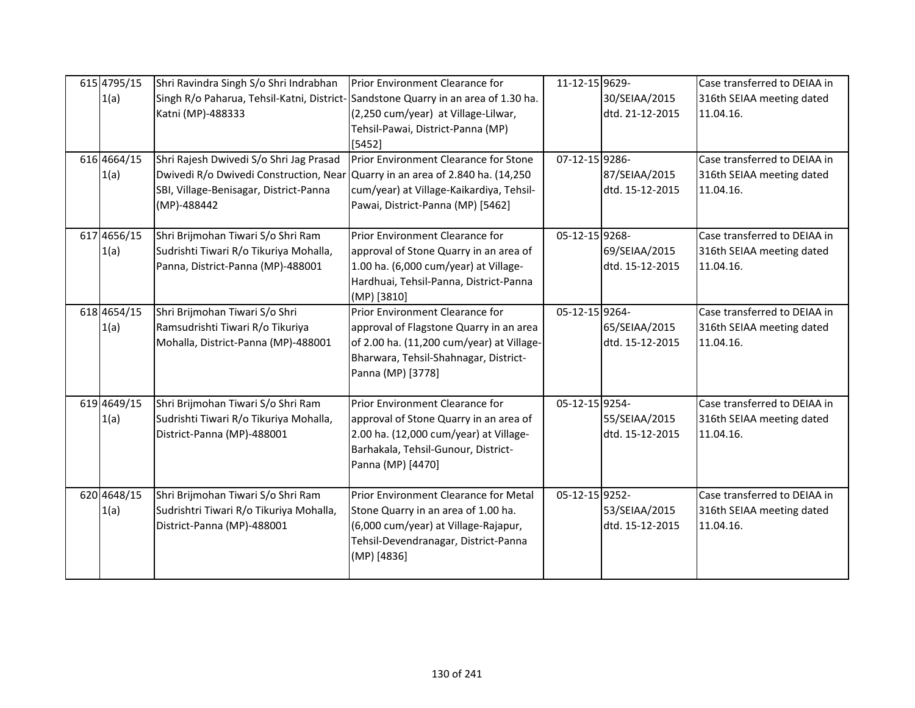| 615 4795/15<br>1(a)<br>616 4664/15<br>1(a) | Shri Ravindra Singh S/o Shri Indrabhan<br>Singh R/o Paharua, Tehsil-Katni, District-Sandstone Quarry in an area of 1.30 ha.<br>Katni (MP)-488333<br>Shri Rajesh Dwivedi S/o Shri Jag Prasad<br>Dwivedi R/o Dwivedi Construction, Near<br>SBI, Village-Benisagar, District-Panna<br>(MP)-488442 | Prior Environment Clearance for<br>(2,250 cum/year) at Village-Lilwar,<br>Tehsil-Pawai, District-Panna (MP)<br>[5452]<br>Prior Environment Clearance for Stone<br>Quarry in an area of 2.840 ha. (14,250<br>cum/year) at Village-Kaikardiya, Tehsil-<br>Pawai, District-Panna (MP) [5462] | 11-12-15 9629-<br>07-12-15 9286- | 30/SEIAA/2015<br>dtd. 21-12-2015<br>87/SEIAA/2015<br>dtd. 15-12-2015 | Case transferred to DEIAA in<br>316th SEIAA meeting dated<br>11.04.16.<br>Case transferred to DEIAA in<br>316th SEIAA meeting dated<br>11.04.16. |
|--------------------------------------------|------------------------------------------------------------------------------------------------------------------------------------------------------------------------------------------------------------------------------------------------------------------------------------------------|-------------------------------------------------------------------------------------------------------------------------------------------------------------------------------------------------------------------------------------------------------------------------------------------|----------------------------------|----------------------------------------------------------------------|--------------------------------------------------------------------------------------------------------------------------------------------------|
| 617 4656/15<br>1(a)                        | Shri Brijmohan Tiwari S/o Shri Ram<br>Sudrishti Tiwari R/o Tikuriya Mohalla,<br>Panna, District-Panna (MP)-488001                                                                                                                                                                              | Prior Environment Clearance for<br>approval of Stone Quarry in an area of<br>1.00 ha. (6,000 cum/year) at Village-<br>Hardhuai, Tehsil-Panna, District-Panna<br>(MP) [3810]                                                                                                               | 05-12-15 9268-                   | 69/SEIAA/2015<br>dtd. 15-12-2015                                     | Case transferred to DEIAA in<br>316th SEIAA meeting dated<br>11.04.16.                                                                           |
| 618 4654/15<br>1(a)                        | Shri Brijmohan Tiwari S/o Shri<br>Ramsudrishti Tiwari R/o Tikuriya<br>Mohalla, District-Panna (MP)-488001                                                                                                                                                                                      | Prior Environment Clearance for<br>approval of Flagstone Quarry in an area<br>of 2.00 ha. (11,200 cum/year) at Village-<br>Bharwara, Tehsil-Shahnagar, District-<br>Panna (MP) [3778]                                                                                                     | 05-12-15 9264-                   | 65/SEIAA/2015<br>dtd. 15-12-2015                                     | Case transferred to DEIAA in<br>316th SEIAA meeting dated<br>11.04.16.                                                                           |
| 619 4649/15<br>1(a)                        | Shri Brijmohan Tiwari S/o Shri Ram<br>Sudrishti Tiwari R/o Tikuriya Mohalla,<br>District-Panna (MP)-488001                                                                                                                                                                                     | Prior Environment Clearance for<br>approval of Stone Quarry in an area of<br>2.00 ha. (12,000 cum/year) at Village-<br>Barhakala, Tehsil-Gunour, District-<br>Panna (MP) [4470]                                                                                                           | 05-12-15 9254-                   | 55/SEIAA/2015<br>dtd. 15-12-2015                                     | Case transferred to DEIAA in<br>316th SEIAA meeting dated<br>11.04.16.                                                                           |
| 620 4648/15<br>1(a)                        | Shri Brijmohan Tiwari S/o Shri Ram<br>Sudrishtri Tiwari R/o Tikuriya Mohalla,<br>District-Panna (MP)-488001                                                                                                                                                                                    | Prior Environment Clearance for Metal<br>Stone Quarry in an area of 1.00 ha.<br>(6,000 cum/year) at Village-Rajapur,<br>Tehsil-Devendranagar, District-Panna<br>(MP) [4836]                                                                                                               | 05-12-15 9252-                   | 53/SEIAA/2015<br>dtd. 15-12-2015                                     | Case transferred to DEIAA in<br>316th SEIAA meeting dated<br>11.04.16.                                                                           |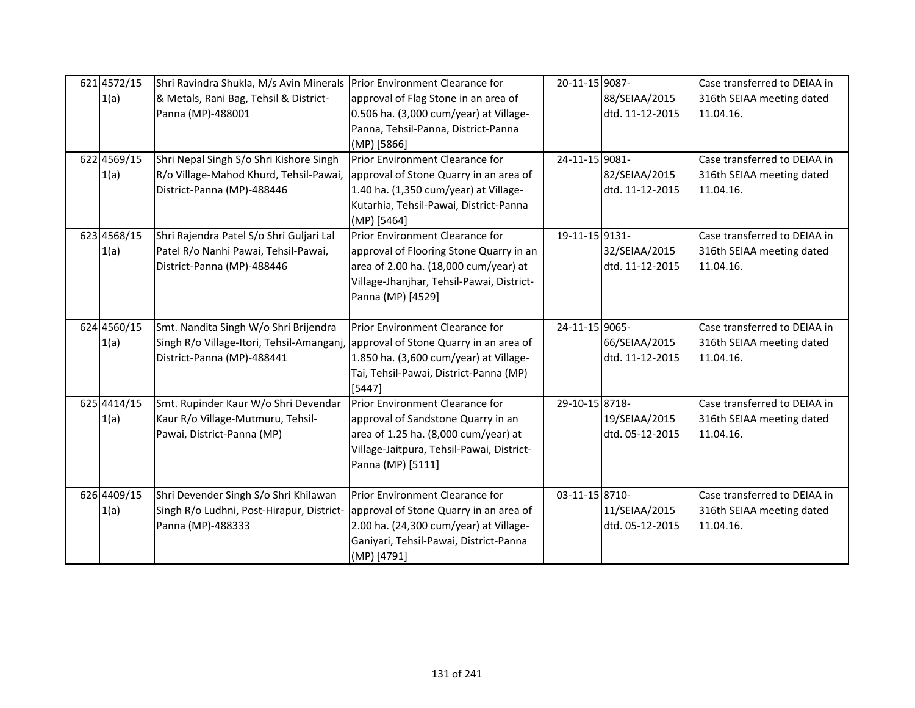| 621 4572/15<br>1(a)<br>622 4569/15<br>1(a) | Shri Ravindra Shukla, M/s Avin Minerals Prior Environment Clearance for<br>& Metals, Rani Bag, Tehsil & District-<br>Panna (MP)-488001<br>Shri Nepal Singh S/o Shri Kishore Singh<br>R/o Village-Mahod Khurd, Tehsil-Pawai,<br>District-Panna (MP)-488446 | approval of Flag Stone in an area of<br>0.506 ha. (3,000 cum/year) at Village-<br>Panna, Tehsil-Panna, District-Panna<br>(MP) [5866]<br>Prior Environment Clearance for<br>approval of Stone Quarry in an area of<br>1.40 ha. (1,350 cum/year) at Village-<br>Kutarhia, Tehsil-Pawai, District-Panna<br>(MP) [5464] | 20-11-15 9087-<br>24-11-15 9081- | 88/SEIAA/2015<br>dtd. 11-12-2015<br>82/SEIAA/2015<br>dtd. 11-12-2015 | Case transferred to DEIAA in<br>316th SEIAA meeting dated<br>11.04.16.<br>Case transferred to DEIAA in<br>316th SEIAA meeting dated<br>11.04.16. |
|--------------------------------------------|-----------------------------------------------------------------------------------------------------------------------------------------------------------------------------------------------------------------------------------------------------------|---------------------------------------------------------------------------------------------------------------------------------------------------------------------------------------------------------------------------------------------------------------------------------------------------------------------|----------------------------------|----------------------------------------------------------------------|--------------------------------------------------------------------------------------------------------------------------------------------------|
| 623 4568/15<br>1(a)                        | Shri Rajendra Patel S/o Shri Guljari Lal<br>Patel R/o Nanhi Pawai, Tehsil-Pawai,<br>District-Panna (MP)-488446                                                                                                                                            | Prior Environment Clearance for<br>approval of Flooring Stone Quarry in an<br>area of 2.00 ha. (18,000 cum/year) at<br>Village-Jhanjhar, Tehsil-Pawai, District-<br>Panna (MP) [4529]                                                                                                                               | 19-11-15 9131-                   | 32/SEIAA/2015<br>dtd. 11-12-2015                                     | Case transferred to DEIAA in<br>316th SEIAA meeting dated<br>11.04.16.                                                                           |
| 624 4560/15<br>1(a)                        | Smt. Nandita Singh W/o Shri Brijendra<br>Singh R/o Village-Itori, Tehsil-Amanganj,<br>District-Panna (MP)-488441                                                                                                                                          | Prior Environment Clearance for<br>approval of Stone Quarry in an area of<br>1.850 ha. (3,600 cum/year) at Village-<br>Tai, Tehsil-Pawai, District-Panna (MP)<br>[5447]                                                                                                                                             | 24-11-15 9065-                   | 66/SEIAA/2015<br>dtd. 11-12-2015                                     | Case transferred to DEIAA in<br>316th SEIAA meeting dated<br>11.04.16.                                                                           |
| 625 4414/15<br>1(a)                        | Smt. Rupinder Kaur W/o Shri Devendar<br>Kaur R/o Village-Mutmuru, Tehsil-<br>Pawai, District-Panna (MP)                                                                                                                                                   | Prior Environment Clearance for<br>approval of Sandstone Quarry in an<br>area of 1.25 ha. (8,000 cum/year) at<br>Village-Jaitpura, Tehsil-Pawai, District-<br>Panna (MP) [5111]                                                                                                                                     | 29-10-15 8718-                   | 19/SEIAA/2015<br>dtd. 05-12-2015                                     | Case transferred to DEIAA in<br>316th SEIAA meeting dated<br>11.04.16.                                                                           |
| 626 4409/15<br>1(a)                        | Shri Devender Singh S/o Shri Khilawan<br>Singh R/o Ludhni, Post-Hirapur, District- approval of Stone Quarry in an area of<br>Panna (MP)-488333                                                                                                            | Prior Environment Clearance for<br>2.00 ha. (24,300 cum/year) at Village-<br>Ganiyari, Tehsil-Pawai, District-Panna<br>(MP) [4791]                                                                                                                                                                                  | 03-11-15 8710-                   | 11/SEIAA/2015<br>dtd. 05-12-2015                                     | Case transferred to DEIAA in<br>316th SEIAA meeting dated<br>11.04.16.                                                                           |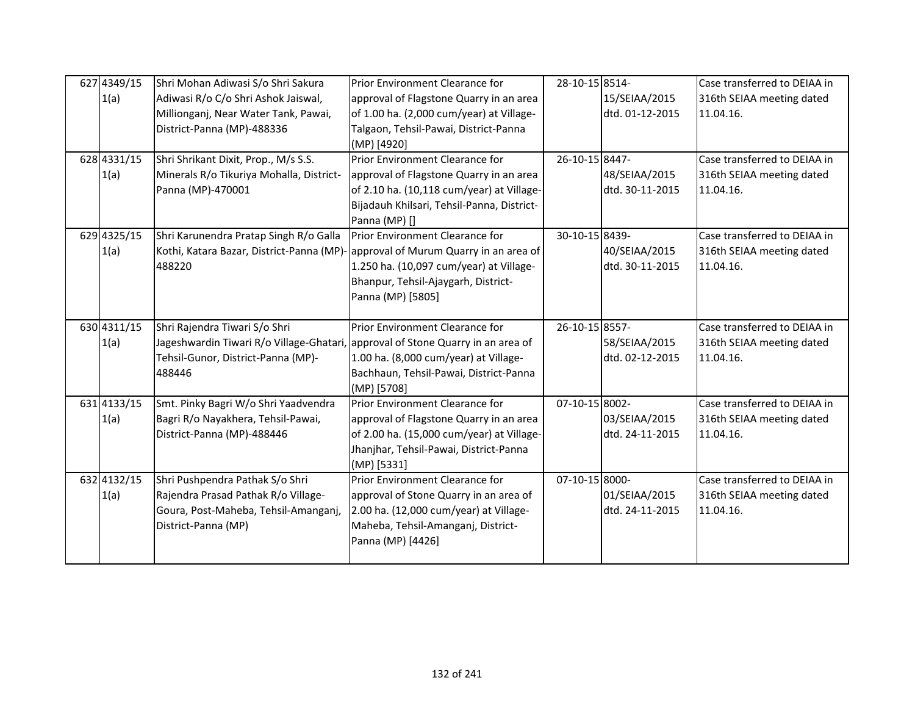| 627 4349/15<br>1(a)<br>628 4331/15<br>1(a) | Shri Mohan Adiwasi S/o Shri Sakura<br>Adiwasi R/o C/o Shri Ashok Jaiswal,<br>Millionganj, Near Water Tank, Pawai,<br>District-Panna (MP)-488336<br>Shri Shrikant Dixit, Prop., M/s S.S.<br>Minerals R/o Tikuriya Mohalla, District-<br>Panna (MP)-470001 | Prior Environment Clearance for<br>approval of Flagstone Quarry in an area<br>of 1.00 ha. (2,000 cum/year) at Village-<br>Talgaon, Tehsil-Pawai, District-Panna<br>(MP) [4920]<br>Prior Environment Clearance for<br>approval of Flagstone Quarry in an area<br>of 2.10 ha. (10,118 cum/year) at Village-<br>Bijadauh Khilsari, Tehsil-Panna, District-<br>Panna (MP) [] | 28-10-15 8514-<br>26-10-15 8447- | 15/SEIAA/2015<br>dtd. 01-12-2015<br>48/SEIAA/2015<br>dtd. 30-11-2015 | Case transferred to DEIAA in<br>316th SEIAA meeting dated<br>11.04.16.<br>Case transferred to DEIAA in<br>316th SEIAA meeting dated<br>11.04.16. |
|--------------------------------------------|----------------------------------------------------------------------------------------------------------------------------------------------------------------------------------------------------------------------------------------------------------|--------------------------------------------------------------------------------------------------------------------------------------------------------------------------------------------------------------------------------------------------------------------------------------------------------------------------------------------------------------------------|----------------------------------|----------------------------------------------------------------------|--------------------------------------------------------------------------------------------------------------------------------------------------|
| 629 4325/15<br>1(a)                        | Shri Karunendra Pratap Singh R/o Galla<br>488220                                                                                                                                                                                                         | Prior Environment Clearance for<br>Kothi, Katara Bazar, District-Panna (MP)- approval of Murum Quarry in an area of<br>1.250 ha. (10,097 cum/year) at Village-<br>Bhanpur, Tehsil-Ajaygarh, District-<br>Panna (MP) [5805]                                                                                                                                               | 30-10-15 8439-                   | 40/SEIAA/2015<br>dtd. 30-11-2015                                     | Case transferred to DEIAA in<br>316th SEIAA meeting dated<br>11.04.16.                                                                           |
| 630 4311/15<br>1(a)                        | Shri Rajendra Tiwari S/o Shri<br>Jageshwardin Tiwari R/o Village-Ghatari, approval of Stone Quarry in an area of<br>Tehsil-Gunor, District-Panna (MP)-<br>488446                                                                                         | Prior Environment Clearance for<br>1.00 ha. (8,000 cum/year) at Village-<br>Bachhaun, Tehsil-Pawai, District-Panna<br>(MP) [5708]                                                                                                                                                                                                                                        | 26-10-15 8557-                   | 58/SEIAA/2015<br>dtd. 02-12-2015                                     | Case transferred to DEIAA in<br>316th SEIAA meeting dated<br>11.04.16.                                                                           |
| 631 4133/15<br>1(a)                        | Smt. Pinky Bagri W/o Shri Yaadvendra<br>Bagri R/o Nayakhera, Tehsil-Pawai,<br>District-Panna (MP)-488446                                                                                                                                                 | Prior Environment Clearance for<br>approval of Flagstone Quarry in an area<br>of 2.00 ha. (15,000 cum/year) at Village-<br>Jhanjhar, Tehsil-Pawai, District-Panna<br>(MP) [5331]                                                                                                                                                                                         | 07-10-15 8002-                   | 03/SEIAA/2015<br>dtd. 24-11-2015                                     | Case transferred to DEIAA in<br>316th SEIAA meeting dated<br>11.04.16.                                                                           |
| 632 4132/15<br>1(a)                        | Shri Pushpendra Pathak S/o Shri<br>Rajendra Prasad Pathak R/o Village-<br>Goura, Post-Maheba, Tehsil-Amanganj,<br>District-Panna (MP)                                                                                                                    | Prior Environment Clearance for<br>approval of Stone Quarry in an area of<br>2.00 ha. (12,000 cum/year) at Village-<br>Maheba, Tehsil-Amanganj, District-<br>Panna (MP) [4426]                                                                                                                                                                                           | 07-10-15 8000-                   | 01/SEIAA/2015<br>dtd. 24-11-2015                                     | Case transferred to DEIAA in<br>316th SEIAA meeting dated<br>11.04.16.                                                                           |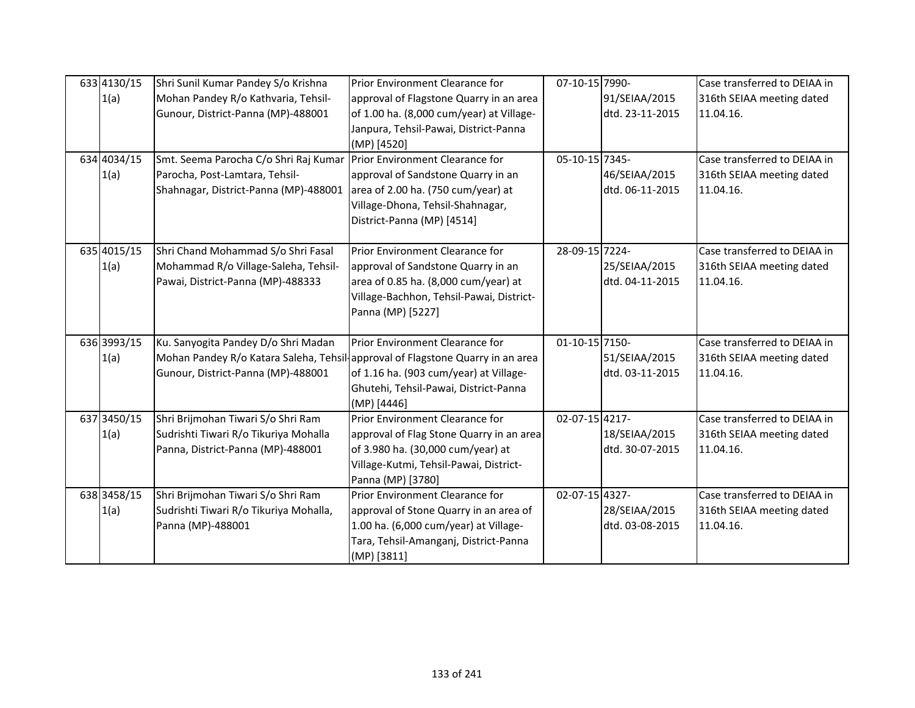| 633 4130/15<br>1(a)<br>634 4034/15<br>1(a) | Shri Sunil Kumar Pandey S/o Krishna<br>Mohan Pandey R/o Kathvaria, Tehsil-<br>Gunour, District-Panna (MP)-488001<br>Smt. Seema Parocha C/o Shri Raj Kumar<br>Parocha, Post-Lamtara, Tehsil-<br>Shahnagar, District-Panna (MP)-488001 | Prior Environment Clearance for<br>approval of Flagstone Quarry in an area<br>of 1.00 ha. (8,000 cum/year) at Village-<br>Janpura, Tehsil-Pawai, District-Panna<br>(MP) [4520]<br>Prior Environment Clearance for<br>approval of Sandstone Quarry in an<br>area of 2.00 ha. (750 cum/year) at<br>Village-Dhona, Tehsil-Shahnagar,<br>District-Panna (MP) [4514] | 07-10-15 7990-<br>05-10-15 7345- | 91/SEIAA/2015<br>dtd. 23-11-2015<br>46/SEIAA/2015<br>dtd. 06-11-2015 | Case transferred to DEIAA in<br>316th SEIAA meeting dated<br>11.04.16.<br>Case transferred to DEIAA in<br>316th SEIAA meeting dated<br>11.04.16. |
|--------------------------------------------|--------------------------------------------------------------------------------------------------------------------------------------------------------------------------------------------------------------------------------------|-----------------------------------------------------------------------------------------------------------------------------------------------------------------------------------------------------------------------------------------------------------------------------------------------------------------------------------------------------------------|----------------------------------|----------------------------------------------------------------------|--------------------------------------------------------------------------------------------------------------------------------------------------|
| 635 4015/15<br>1(a)                        | Shri Chand Mohammad S/o Shri Fasal<br>Mohammad R/o Village-Saleha, Tehsil-<br>Pawai, District-Panna (MP)-488333                                                                                                                      | Prior Environment Clearance for<br>approval of Sandstone Quarry in an<br>area of 0.85 ha. (8,000 cum/year) at<br>Village-Bachhon, Tehsil-Pawai, District-<br>Panna (MP) [5227]                                                                                                                                                                                  | 28-09-15 7224-                   | 25/SEIAA/2015<br>dtd. 04-11-2015                                     | Case transferred to DEIAA in<br>316th SEIAA meeting dated<br>11.04.16.                                                                           |
| 636 3993/15<br>1(a)                        | Ku. Sanyogita Pandey D/o Shri Madan<br>Gunour, District-Panna (MP)-488001                                                                                                                                                            | Prior Environment Clearance for<br>Mohan Pandey R/o Katara Saleha, Tehsil approval of Flagstone Quarry in an area<br>of 1.16 ha. (903 cum/year) at Village-<br>Ghutehi, Tehsil-Pawai, District-Panna<br>(MP) [4446]                                                                                                                                             | 01-10-15 7150-                   | 51/SEIAA/2015<br>dtd. 03-11-2015                                     | Case transferred to DEIAA in<br>316th SEIAA meeting dated<br>11.04.16.                                                                           |
| 637 3450/15<br>1(a)                        | Shri Brijmohan Tiwari S/o Shri Ram<br>Sudrishti Tiwari R/o Tikuriya Mohalla<br>Panna, District-Panna (MP)-488001                                                                                                                     | Prior Environment Clearance for<br>approval of Flag Stone Quarry in an area<br>of 3.980 ha. (30,000 cum/year) at<br>Village-Kutmi, Tehsil-Pawai, District-<br>Panna (MP) [3780]                                                                                                                                                                                 | 02-07-15 4217-                   | 18/SEIAA/2015<br>dtd. 30-07-2015                                     | Case transferred to DEIAA in<br>316th SEIAA meeting dated<br>11.04.16.                                                                           |
| 638 3458/15<br>1(a)                        | Shri Brijmohan Tiwari S/o Shri Ram<br>Sudrishti Tiwari R/o Tikuriya Mohalla,<br>Panna (MP)-488001                                                                                                                                    | Prior Environment Clearance for<br>approval of Stone Quarry in an area of<br>1.00 ha. (6,000 cum/year) at Village-<br>Tara, Tehsil-Amanganj, District-Panna<br>(MP) [3811]                                                                                                                                                                                      | 02-07-15 4327-                   | 28/SEIAA/2015<br>dtd. 03-08-2015                                     | Case transferred to DEIAA in<br>316th SEIAA meeting dated<br>11.04.16.                                                                           |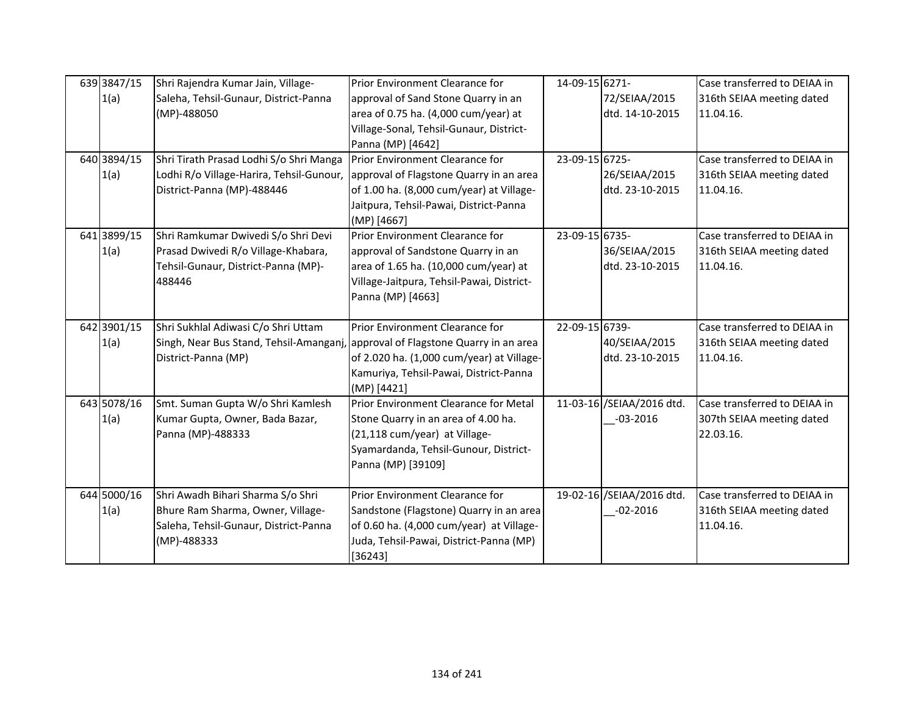| 639 3847/15 | Shri Rajendra Kumar Jain, Village-                                              | Prior Environment Clearance for                      | 14-09-15 6271- |                            | Case transferred to DEIAA in |
|-------------|---------------------------------------------------------------------------------|------------------------------------------------------|----------------|----------------------------|------------------------------|
| 1(a)        | Saleha, Tehsil-Gunaur, District-Panna                                           | approval of Sand Stone Quarry in an                  |                | 72/SEIAA/2015              | 316th SEIAA meeting dated    |
|             | (MP)-488050                                                                     | area of 0.75 ha. (4,000 cum/year) at                 |                | dtd. 14-10-2015            | 11.04.16.                    |
|             |                                                                                 | Village-Sonal, Tehsil-Gunaur, District-              |                |                            |                              |
|             |                                                                                 | Panna (MP) [4642]                                    |                |                            |                              |
| 640 3894/15 | Shri Tirath Prasad Lodhi S/o Shri Manga                                         | Prior Environment Clearance for                      | 23-09-15 6725- |                            | Case transferred to DEIAA in |
| 1(a)        | Lodhi R/o Village-Harira, Tehsil-Gunour,                                        | approval of Flagstone Quarry in an area              |                | 26/SEIAA/2015              | 316th SEIAA meeting dated    |
|             | District-Panna (MP)-488446                                                      | of 1.00 ha. (8,000 cum/year) at Village-             |                | dtd. 23-10-2015            | 11.04.16.                    |
|             |                                                                                 | Jaitpura, Tehsil-Pawai, District-Panna               |                |                            |                              |
|             |                                                                                 | (MP) [4667]                                          |                |                            |                              |
| 641 3899/15 | Shri Ramkumar Dwivedi S/o Shri Devi                                             | Prior Environment Clearance for                      | 23-09-15 6735- |                            | Case transferred to DEIAA in |
| 1(a)        | Prasad Dwivedi R/o Village-Khabara,                                             | approval of Sandstone Quarry in an                   |                | 36/SEIAA/2015              | 316th SEIAA meeting dated    |
|             | Tehsil-Gunaur, District-Panna (MP)-                                             | area of 1.65 ha. (10,000 cum/year) at                |                | dtd. 23-10-2015            | 11.04.16.                    |
|             | 488446                                                                          | Village-Jaitpura, Tehsil-Pawai, District-            |                |                            |                              |
|             |                                                                                 | Panna (MP) [4663]                                    |                |                            |                              |
| 642 3901/15 | Shri Sukhlal Adiwasi C/o Shri Uttam                                             | Prior Environment Clearance for                      | 22-09-15 6739- |                            | Case transferred to DEIAA in |
|             |                                                                                 |                                                      |                |                            |                              |
|             |                                                                                 |                                                      |                |                            |                              |
| 1(a)        | Singh, Near Bus Stand, Tehsil-Amanganj, approval of Flagstone Quarry in an area |                                                      |                | 40/SEIAA/2015              | 316th SEIAA meeting dated    |
|             | District-Panna (MP)                                                             | of 2.020 ha. (1,000 cum/year) at Village-            |                | dtd. 23-10-2015            | 11.04.16.                    |
|             |                                                                                 | Kamuriya, Tehsil-Pawai, District-Panna               |                |                            |                              |
| 643 5078/16 | Smt. Suman Gupta W/o Shri Kamlesh                                               | (MP) [4421]<br>Prior Environment Clearance for Metal |                | 11-03-16 / SEIAA/2016 dtd. | Case transferred to DEIAA in |
| 1(a)        | Kumar Gupta, Owner, Bada Bazar,                                                 | Stone Quarry in an area of 4.00 ha.                  |                | $-03 - 2016$               | 307th SEIAA meeting dated    |
|             | Panna (MP)-488333                                                               | (21,118 cum/year) at Village-                        |                |                            | 22.03.16.                    |
|             |                                                                                 | Syamardanda, Tehsil-Gunour, District-                |                |                            |                              |
|             |                                                                                 | Panna (MP) [39109]                                   |                |                            |                              |
|             |                                                                                 |                                                      |                |                            |                              |
| 644 5000/16 | Shri Awadh Bihari Sharma S/o Shri                                               | Prior Environment Clearance for                      |                | 19-02-16 /SEIAA/2016 dtd.  | Case transferred to DEIAA in |
| 1(a)        | Bhure Ram Sharma, Owner, Village-                                               | Sandstone (Flagstone) Quarry in an area              |                | $-02 - 2016$               | 316th SEIAA meeting dated    |
|             | Saleha, Tehsil-Gunaur, District-Panna                                           | of 0.60 ha. (4,000 cum/year) at Village-             |                |                            | 11.04.16.                    |
|             | (MP)-488333                                                                     | Juda, Tehsil-Pawai, District-Panna (MP)              |                |                            |                              |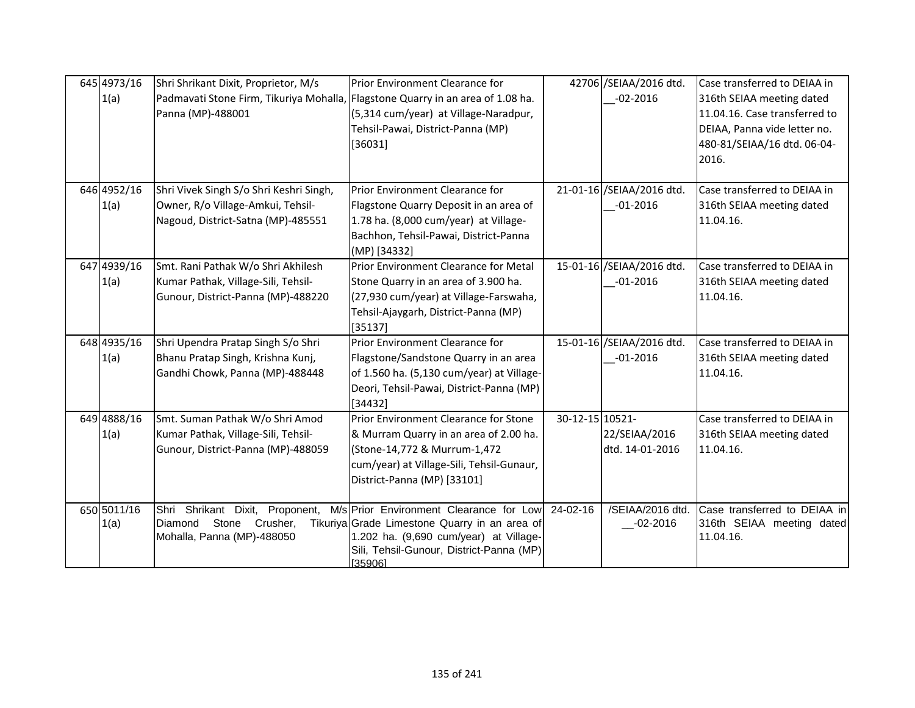| 645 4973/16<br>1(a) | Shri Shrikant Dixit, Proprietor, M/s<br>Padmavati Stone Firm, Tikuriya Mohalla, Flagstone Quarry in an area of 1.08 ha.<br>Panna (MP)-488001 | Prior Environment Clearance for<br>(5,314 cum/year) at Village-Naradpur,<br>Tehsil-Pawai, District-Panna (MP)<br>[36031]                                                                    |                 | 42706 /SEIAA/2016 dtd.<br>$-02 - 2016$     | Case transferred to DEIAA in<br>316th SEIAA meeting dated<br>11.04.16. Case transferred to<br>DEIAA, Panna vide letter no.<br>480-81/SEIAA/16 dtd. 06-04-<br>2016. |
|---------------------|----------------------------------------------------------------------------------------------------------------------------------------------|---------------------------------------------------------------------------------------------------------------------------------------------------------------------------------------------|-----------------|--------------------------------------------|--------------------------------------------------------------------------------------------------------------------------------------------------------------------|
| 646 4952/16<br>1(a) | Shri Vivek Singh S/o Shri Keshri Singh,<br>Owner, R/o Village-Amkui, Tehsil-<br>Nagoud, District-Satna (MP)-485551                           | Prior Environment Clearance for<br>Flagstone Quarry Deposit in an area of<br>1.78 ha. (8,000 cum/year) at Village-<br>Bachhon, Tehsil-Pawai, District-Panna<br>(MP) [34332]                 |                 | 21-01-16 /SEIAA/2016 dtd.<br>$-01 - 2016$  | Case transferred to DEIAA in<br>316th SEIAA meeting dated<br>11.04.16.                                                                                             |
| 647 4939/16<br>1(a) | Smt. Rani Pathak W/o Shri Akhilesh<br>Kumar Pathak, Village-Sili, Tehsil-<br>Gunour, District-Panna (MP)-488220                              | Prior Environment Clearance for Metal<br>Stone Quarry in an area of 3.900 ha.<br>(27,930 cum/year) at Village-Farswaha,<br>Tehsil-Ajaygarh, District-Panna (MP)<br>[35137]                  |                 | 15-01-16 / SEIAA/2016 dtd.<br>$-01 - 2016$ | Case transferred to DEIAA in<br>316th SEIAA meeting dated<br>11.04.16.                                                                                             |
| 648 4935/16<br>1(a) | Shri Upendra Pratap Singh S/o Shri<br>Bhanu Pratap Singh, Krishna Kunj,<br>Gandhi Chowk, Panna (MP)-488448                                   | Prior Environment Clearance for<br>Flagstone/Sandstone Quarry in an area<br>of 1.560 ha. (5,130 cum/year) at Village-<br>Deori, Tehsil-Pawai, District-Panna (MP)<br>[34432]                |                 | 15-01-16 / SEIAA/2016 dtd.<br>$-01 - 2016$ | Case transferred to DEIAA in<br>316th SEIAA meeting dated<br>11.04.16.                                                                                             |
| 649 4888/16<br>1(a) | Smt. Suman Pathak W/o Shri Amod<br>Kumar Pathak, Village-Sili, Tehsil-<br>Gunour, District-Panna (MP)-488059                                 | Prior Environment Clearance for Stone<br>& Murram Quarry in an area of 2.00 ha.<br>(Stone-14,772 & Murrum-1,472<br>cum/year) at Village-Sili, Tehsil-Gunaur,<br>District-Panna (MP) [33101] | 30-12-15 10521- | 22/SEIAA/2016<br>dtd. 14-01-2016           | Case transferred to DEIAA in<br>316th SEIAA meeting dated<br>11.04.16.                                                                                             |
| 650 5011/16<br>1(a) | Shri Shrikant Dixit,<br>Proponent,<br>Stone<br>Crusher,<br>Diamond<br>Mohalla, Panna (MP)-488050                                             | M/s Prior Environment Clearance for Low<br>Tikuriya Grade Limestone Quarry in an area of<br>1.202 ha. (9,690 cum/year) at Village-<br>Sili, Tehsil-Gunour, District-Panna (MP)<br>[35906]   | 24-02-16        | /SEIAA/2016 dtd.<br>$-02 - 2016$           | Case transferred to DEIAA in<br>316th SEIAA meeting dated<br>11.04.16.                                                                                             |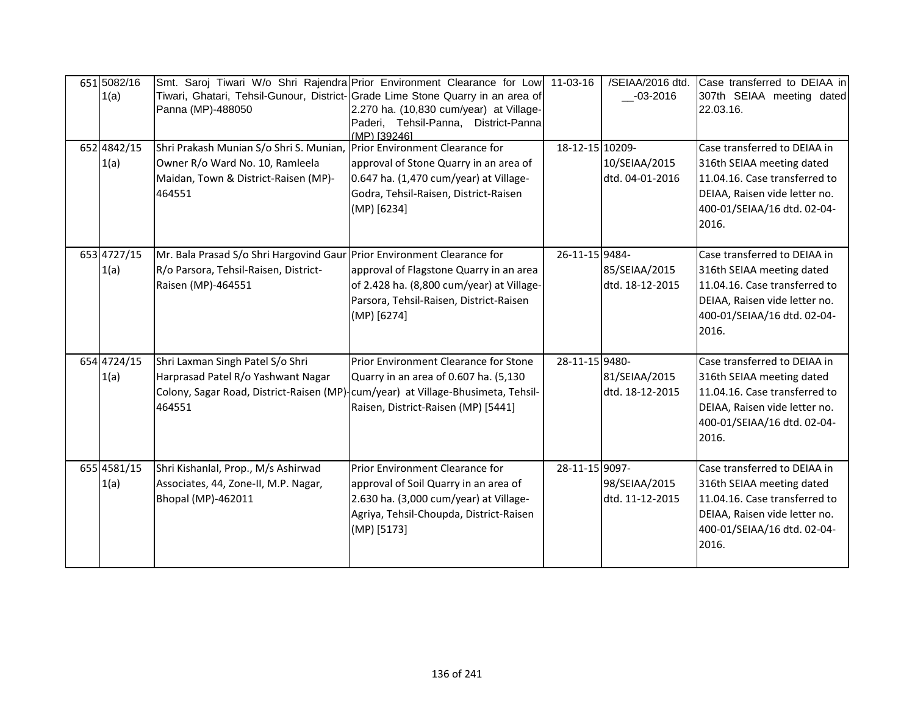| 651 5082/16<br>1(a)<br>652 4842/15 | Panna (MP)-488050<br>Shri Prakash Munian S/o Shri S. Munian,                                                                                                         | Smt. Saroj Tiwari W/o Shri Rajendra Prior Environment Clearance for Low 11-03-16<br>Tiwari, Ghatari, Tehsil-Gunour, District- Grade Lime Stone Quarry in an area of<br>2.270 ha. (10,830 cum/year) at Village-<br>Paderi, Tehsil-Panna, District-Panna<br>(MP) [39246]<br>Prior Environment Clearance for | 18-12-15 10209- | /SEIAA/2016 dtd.<br>$-03 - 2016$ | Case transferred to DEIAA in<br>307th SEIAA meeting dated<br>22.03.16.<br>Case transferred to DEIAA in                                                              |
|------------------------------------|----------------------------------------------------------------------------------------------------------------------------------------------------------------------|-----------------------------------------------------------------------------------------------------------------------------------------------------------------------------------------------------------------------------------------------------------------------------------------------------------|-----------------|----------------------------------|---------------------------------------------------------------------------------------------------------------------------------------------------------------------|
| 1(a)                               | Owner R/o Ward No. 10, Ramleela<br>Maidan, Town & District-Raisen (MP)-<br>464551                                                                                    | approval of Stone Quarry in an area of<br>0.647 ha. (1,470 cum/year) at Village-<br>Godra, Tehsil-Raisen, District-Raisen<br>(MP) [6234]                                                                                                                                                                  |                 | 10/SEIAA/2015<br>dtd. 04-01-2016 | 316th SEIAA meeting dated<br>11.04.16. Case transferred to<br>DEIAA, Raisen vide letter no.<br>400-01/SEIAA/16 dtd. 02-04-<br>2016.                                 |
| 653 4727/15<br>1(a)                | Mr. Bala Prasad S/o Shri Hargovind Gaur Prior Environment Clearance for<br>R/o Parsora, Tehsil-Raisen, District-<br>Raisen (MP)-464551                               | approval of Flagstone Quarry in an area<br>of 2.428 ha. (8,800 cum/year) at Village-<br>Parsora, Tehsil-Raisen, District-Raisen<br>(MP) [6274]                                                                                                                                                            | 26-11-15 9484-  | 85/SEIAA/2015<br>dtd. 18-12-2015 | Case transferred to DEIAA in<br>316th SEIAA meeting dated<br>11.04.16. Case transferred to<br>DEIAA, Raisen vide letter no.<br>400-01/SEIAA/16 dtd. 02-04-<br>2016. |
| 654 4724/15<br>1(a)                | Shri Laxman Singh Patel S/o Shri<br>Harprasad Patel R/o Yashwant Nagar<br>Colony, Sagar Road, District-Raisen (MP)-cum/year) at Village-Bhusimeta, Tehsil-<br>464551 | Prior Environment Clearance for Stone<br>Quarry in an area of 0.607 ha. (5,130<br>Raisen, District-Raisen (MP) [5441]                                                                                                                                                                                     | 28-11-15 9480-  | 81/SEIAA/2015<br>dtd. 18-12-2015 | Case transferred to DEIAA in<br>316th SEIAA meeting dated<br>11.04.16. Case transferred to<br>DEIAA, Raisen vide letter no.<br>400-01/SEIAA/16 dtd. 02-04-<br>2016. |
| 655 4581/15<br>1(a)                | Shri Kishanlal, Prop., M/s Ashirwad<br>Associates, 44, Zone-II, M.P. Nagar,<br>Bhopal (MP)-462011                                                                    | Prior Environment Clearance for<br>approval of Soil Quarry in an area of<br>2.630 ha. (3,000 cum/year) at Village-<br>Agriya, Tehsil-Choupda, District-Raisen<br>(MP) [5173]                                                                                                                              | 28-11-15 9097-  | 98/SEIAA/2015<br>dtd. 11-12-2015 | Case transferred to DEIAA in<br>316th SEIAA meeting dated<br>11.04.16. Case transferred to<br>DEIAA, Raisen vide letter no.<br>400-01/SEIAA/16 dtd. 02-04-<br>2016. |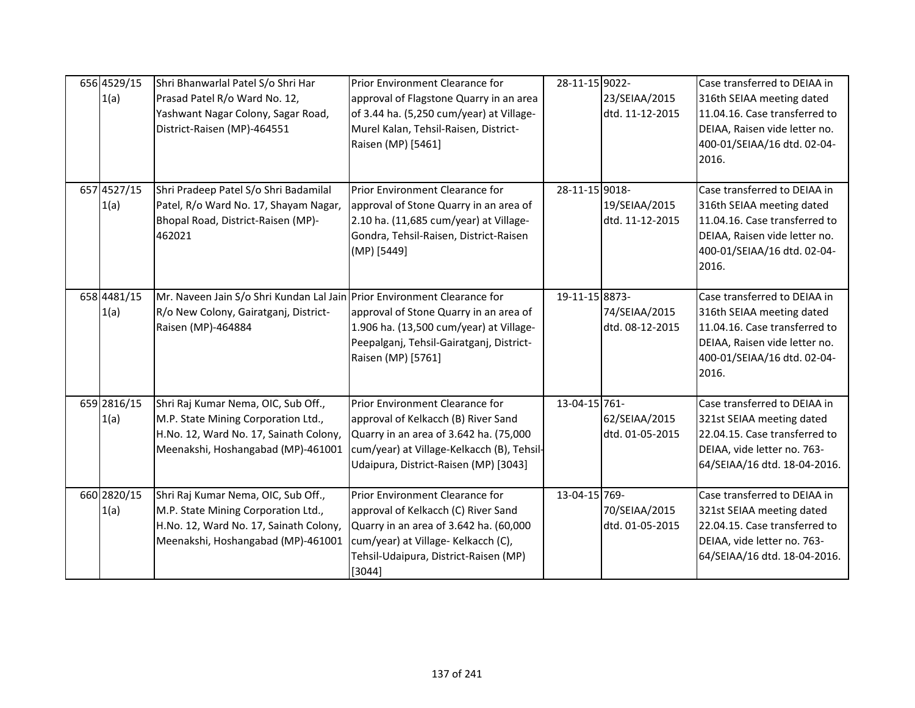| 656 4529/15<br>1(a) | Shri Bhanwarlal Patel S/o Shri Har<br>Prasad Patel R/o Ward No. 12,<br>Yashwant Nagar Colony, Sagar Road,<br>District-Raisen (MP)-464551                   | Prior Environment Clearance for<br>approval of Flagstone Quarry in an area<br>of 3.44 ha. (5,250 cum/year) at Village-<br>Murel Kalan, Tehsil-Raisen, District-<br>Raisen (MP) [5461]                      | 28-11-15 9022- | 23/SEIAA/2015<br>dtd. 11-12-2015 | Case transferred to DEIAA in<br>316th SEIAA meeting dated<br>11.04.16. Case transferred to<br>DEIAA, Raisen vide letter no.<br>400-01/SEIAA/16 dtd. 02-04-<br>2016. |
|---------------------|------------------------------------------------------------------------------------------------------------------------------------------------------------|------------------------------------------------------------------------------------------------------------------------------------------------------------------------------------------------------------|----------------|----------------------------------|---------------------------------------------------------------------------------------------------------------------------------------------------------------------|
| 657 4527/15<br>1(a) | Shri Pradeep Patel S/o Shri Badamilal<br>Patel, R/o Ward No. 17, Shayam Nagar,<br>Bhopal Road, District-Raisen (MP)-<br>462021                             | Prior Environment Clearance for<br>approval of Stone Quarry in an area of<br>2.10 ha. (11,685 cum/year) at Village-<br>Gondra, Tehsil-Raisen, District-Raisen<br>(MP) [5449]                               | 28-11-15 9018- | 19/SEIAA/2015<br>dtd. 11-12-2015 | Case transferred to DEIAA in<br>316th SEIAA meeting dated<br>11.04.16. Case transferred to<br>DEIAA, Raisen vide letter no.<br>400-01/SEIAA/16 dtd. 02-04-<br>2016. |
| 658 4481/15<br>1(a) | Mr. Naveen Jain S/o Shri Kundan Lal Jain Prior Environment Clearance for<br>R/o New Colony, Gairatganj, District-<br>Raisen (MP)-464884                    | approval of Stone Quarry in an area of<br>1.906 ha. (13,500 cum/year) at Village-<br>Peepalganj, Tehsil-Gairatganj, District-<br>Raisen (MP) [5761]                                                        | 19-11-15 8873- | 74/SEIAA/2015<br>dtd. 08-12-2015 | Case transferred to DEIAA in<br>316th SEIAA meeting dated<br>11.04.16. Case transferred to<br>DEIAA, Raisen vide letter no.<br>400-01/SEIAA/16 dtd. 02-04-<br>2016. |
| 659 2816/15<br>1(a) | Shri Raj Kumar Nema, OIC, Sub Off.,<br>M.P. State Mining Corporation Ltd.,<br>H.No. 12, Ward No. 17, Sainath Colony,<br>Meenakshi, Hoshangabad (MP)-461001 | Prior Environment Clearance for<br>approval of Kelkacch (B) River Sand<br>Quarry in an area of 3.642 ha. (75,000<br>cum/year) at Village-Kelkacch (B), Tehsil-<br>Udaipura, District-Raisen (MP) [3043]    | 13-04-15 761-  | 62/SEIAA/2015<br>dtd. 01-05-2015 | Case transferred to DEIAA in<br>321st SEIAA meeting dated<br>22.04.15. Case transferred to<br>DEIAA, vide letter no. 763-<br>64/SEIAA/16 dtd. 18-04-2016.           |
| 660 2820/15<br>1(a) | Shri Raj Kumar Nema, OIC, Sub Off.,<br>M.P. State Mining Corporation Ltd.,<br>H.No. 12, Ward No. 17, Sainath Colony,<br>Meenakshi, Hoshangabad (MP)-461001 | Prior Environment Clearance for<br>approval of Kelkacch (C) River Sand<br>Quarry in an area of 3.642 ha. (60,000<br>cum/year) at Village- Kelkacch (C),<br>Tehsil-Udaipura, District-Raisen (MP)<br>[3044] | 13-04-15 769-  | 70/SEIAA/2015<br>dtd. 01-05-2015 | Case transferred to DEIAA in<br>321st SEIAA meeting dated<br>22.04.15. Case transferred to<br>DEIAA, vide letter no. 763-<br>64/SEIAA/16 dtd. 18-04-2016.           |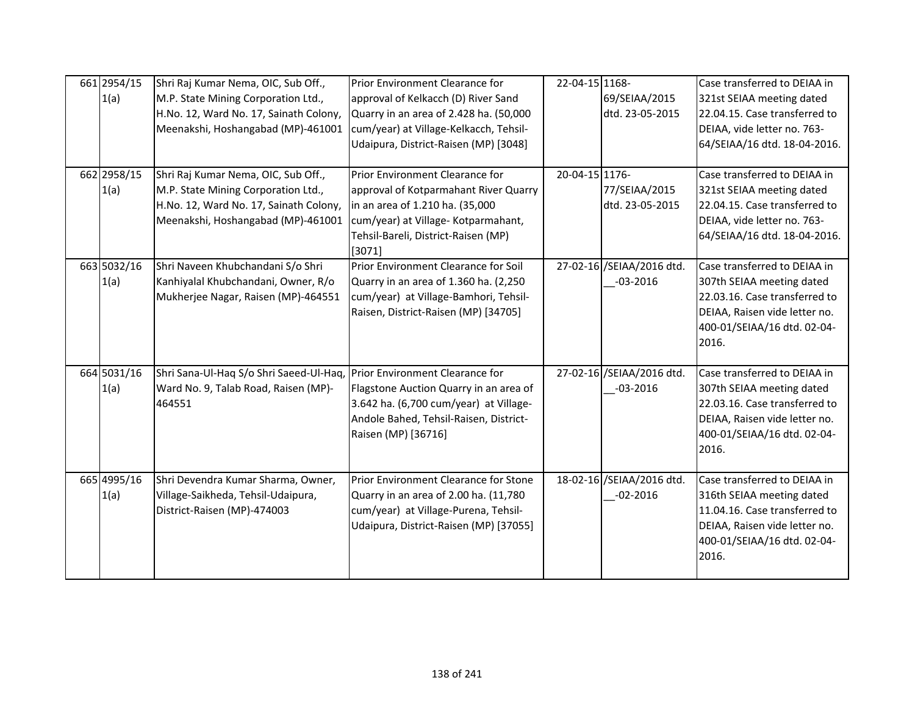| 661 2954/15<br>1(a) | Shri Raj Kumar Nema, OIC, Sub Off.,<br>M.P. State Mining Corporation Ltd.,<br>H.No. 12, Ward No. 17, Sainath Colony,<br>Meenakshi, Hoshangabad (MP)-461001 | Prior Environment Clearance for<br>approval of Kelkacch (D) River Sand<br>Quarry in an area of 2.428 ha. (50,000<br>cum/year) at Village-Kelkacch, Tehsil-<br>Udaipura, District-Raisen (MP) [3048] | 22-04-15 1168- | 69/SEIAA/2015<br>dtd. 23-05-2015          | Case transferred to DEIAA in<br>321st SEIAA meeting dated<br>22.04.15. Case transferred to<br>DEIAA, vide letter no. 763-<br>64/SEIAA/16 dtd. 18-04-2016.           |
|---------------------|------------------------------------------------------------------------------------------------------------------------------------------------------------|-----------------------------------------------------------------------------------------------------------------------------------------------------------------------------------------------------|----------------|-------------------------------------------|---------------------------------------------------------------------------------------------------------------------------------------------------------------------|
| 662 2958/15<br>1(a) | Shri Raj Kumar Nema, OIC, Sub Off.,<br>M.P. State Mining Corporation Ltd.,<br>H.No. 12, Ward No. 17, Sainath Colony,<br>Meenakshi, Hoshangabad (MP)-461001 | Prior Environment Clearance for<br>approval of Kotparmahant River Quarry<br>in an area of 1.210 ha. (35,000<br>cum/year) at Village- Kotparmahant,<br>Tehsil-Bareli, District-Raisen (MP)<br>[3071] | 20-04-15 1176- | 77/SEIAA/2015<br>dtd. 23-05-2015          | Case transferred to DEIAA in<br>321st SEIAA meeting dated<br>22.04.15. Case transferred to<br>DEIAA, vide letter no. 763-<br>64/SEIAA/16 dtd. 18-04-2016.           |
| 663 5032/16<br>1(a) | Shri Naveen Khubchandani S/o Shri<br>Kanhiyalal Khubchandani, Owner, R/o<br>Mukherjee Nagar, Raisen (MP)-464551                                            | Prior Environment Clearance for Soil<br>Quarry in an area of 1.360 ha. (2,250<br>cum/year) at Village-Bamhori, Tehsil-<br>Raisen, District-Raisen (MP) [34705]                                      |                | 27-02-16 /SEIAA/2016 dtd.<br>$-03 - 2016$ | Case transferred to DEIAA in<br>307th SEIAA meeting dated<br>22.03.16. Case transferred to<br>DEIAA, Raisen vide letter no.<br>400-01/SEIAA/16 dtd. 02-04-<br>2016. |
| 664 5031/16<br>1(a) | Shri Sana-Ul-Haq S/o Shri Saeed-Ul-Haq,<br>Ward No. 9, Talab Road, Raisen (MP)-<br>464551                                                                  | Prior Environment Clearance for<br>Flagstone Auction Quarry in an area of<br>3.642 ha. (6,700 cum/year) at Village-<br>Andole Bahed, Tehsil-Raisen, District-<br>Raisen (MP) [36716]                |                | 27-02-16 /SEIAA/2016 dtd.<br>$-03 - 2016$ | Case transferred to DEIAA in<br>307th SEIAA meeting dated<br>22.03.16. Case transferred to<br>DEIAA, Raisen vide letter no.<br>400-01/SEIAA/16 dtd. 02-04-<br>2016. |
| 665 4995/16<br>1(a) | Shri Devendra Kumar Sharma, Owner,<br>Village-Saikheda, Tehsil-Udaipura,<br>District-Raisen (MP)-474003                                                    | Prior Environment Clearance for Stone<br>Quarry in an area of 2.00 ha. (11,780<br>cum/year) at Village-Purena, Tehsil-<br>Udaipura, District-Raisen (MP) [37055]                                    |                | 18-02-16 /SEIAA/2016 dtd.<br>$-02 - 2016$ | Case transferred to DEIAA in<br>316th SEIAA meeting dated<br>11.04.16. Case transferred to<br>DEIAA, Raisen vide letter no.<br>400-01/SEIAA/16 dtd. 02-04-<br>2016. |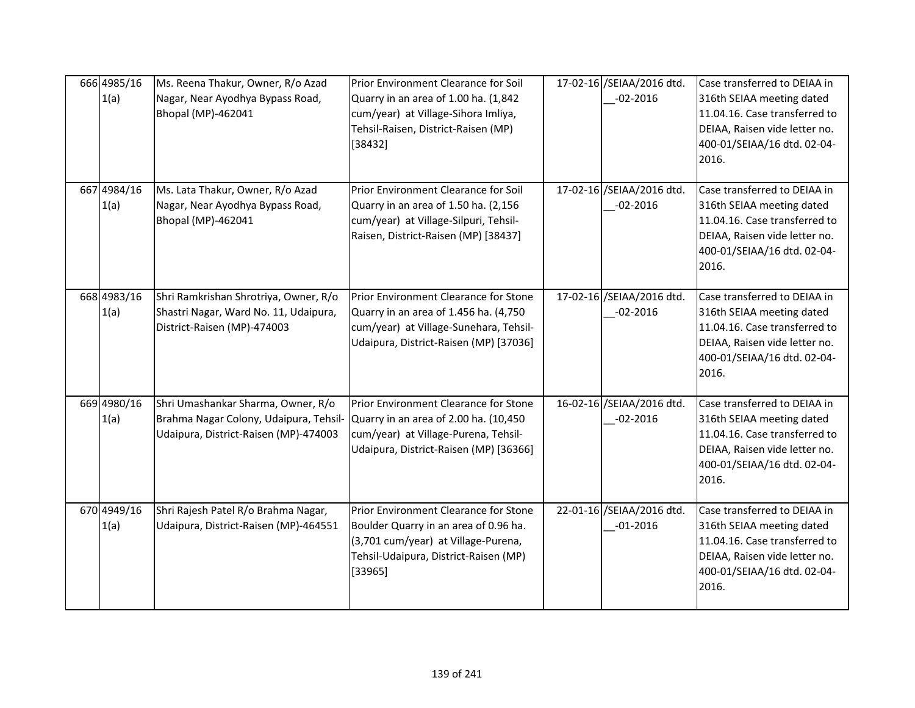| 666 4985/16<br>1(a) | Ms. Reena Thakur, Owner, R/o Azad<br>Nagar, Near Ayodhya Bypass Road,<br>Bhopal (MP)-462041                           | Prior Environment Clearance for Soil<br>Quarry in an area of 1.00 ha. (1,842<br>cum/year) at Village-Sihora Imliya,<br>Tehsil-Raisen, District-Raisen (MP)<br>[38432]     | 17-02-16 /SEIAA/2016 dtd.<br>$-02 - 2016$  | Case transferred to DEIAA in<br>316th SEIAA meeting dated<br>11.04.16. Case transferred to<br>DEIAA, Raisen vide letter no.<br>400-01/SEIAA/16 dtd. 02-04-<br>2016. |
|---------------------|-----------------------------------------------------------------------------------------------------------------------|---------------------------------------------------------------------------------------------------------------------------------------------------------------------------|--------------------------------------------|---------------------------------------------------------------------------------------------------------------------------------------------------------------------|
| 667 4984/16<br>1(a) | Ms. Lata Thakur, Owner, R/o Azad<br>Nagar, Near Ayodhya Bypass Road,<br>Bhopal (MP)-462041                            | Prior Environment Clearance for Soil<br>Quarry in an area of 1.50 ha. (2,156<br>cum/year) at Village-Silpuri, Tehsil-<br>Raisen, District-Raisen (MP) [38437]             | 17-02-16 /SEIAA/2016 dtd.<br>$-02 - 2016$  | Case transferred to DEIAA in<br>316th SEIAA meeting dated<br>11.04.16. Case transferred to<br>DEIAA, Raisen vide letter no.<br>400-01/SEIAA/16 dtd. 02-04-<br>2016. |
| 668 4983/16<br>1(a) | Shri Ramkrishan Shrotriya, Owner, R/o<br>Shastri Nagar, Ward No. 11, Udaipura,<br>District-Raisen (MP)-474003         | Prior Environment Clearance for Stone<br>Quarry in an area of 1.456 ha. (4,750<br>cum/year) at Village-Sunehara, Tehsil-<br>Udaipura, District-Raisen (MP) [37036]        | 17-02-16 /SEIAA/2016 dtd.<br>$-02 - 2016$  | Case transferred to DEIAA in<br>316th SEIAA meeting dated<br>11.04.16. Case transferred to<br>DEIAA, Raisen vide letter no.<br>400-01/SEIAA/16 dtd. 02-04-<br>2016. |
| 669 4980/16<br>1(a) | Shri Umashankar Sharma, Owner, R/o<br>Brahma Nagar Colony, Udaipura, Tehsil-<br>Udaipura, District-Raisen (MP)-474003 | Prior Environment Clearance for Stone<br>Quarry in an area of 2.00 ha. (10,450<br>cum/year) at Village-Purena, Tehsil-<br>Udaipura, District-Raisen (MP) [36366]          | 16-02-16 / SEIAA/2016 dtd.<br>$-02 - 2016$ | Case transferred to DEIAA in<br>316th SEIAA meeting dated<br>11.04.16. Case transferred to<br>DEIAA, Raisen vide letter no.<br>400-01/SEIAA/16 dtd. 02-04-<br>2016. |
| 670 4949/16<br>1(a) | Shri Rajesh Patel R/o Brahma Nagar,<br>Udaipura, District-Raisen (MP)-464551                                          | Prior Environment Clearance for Stone<br>Boulder Quarry in an area of 0.96 ha.<br>(3,701 cum/year) at Village-Purena,<br>Tehsil-Udaipura, District-Raisen (MP)<br>[33965] | 22-01-16 /SEIAA/2016 dtd.<br>$-01 - 2016$  | Case transferred to DEIAA in<br>316th SEIAA meeting dated<br>11.04.16. Case transferred to<br>DEIAA, Raisen vide letter no.<br>400-01/SEIAA/16 dtd. 02-04-<br>2016. |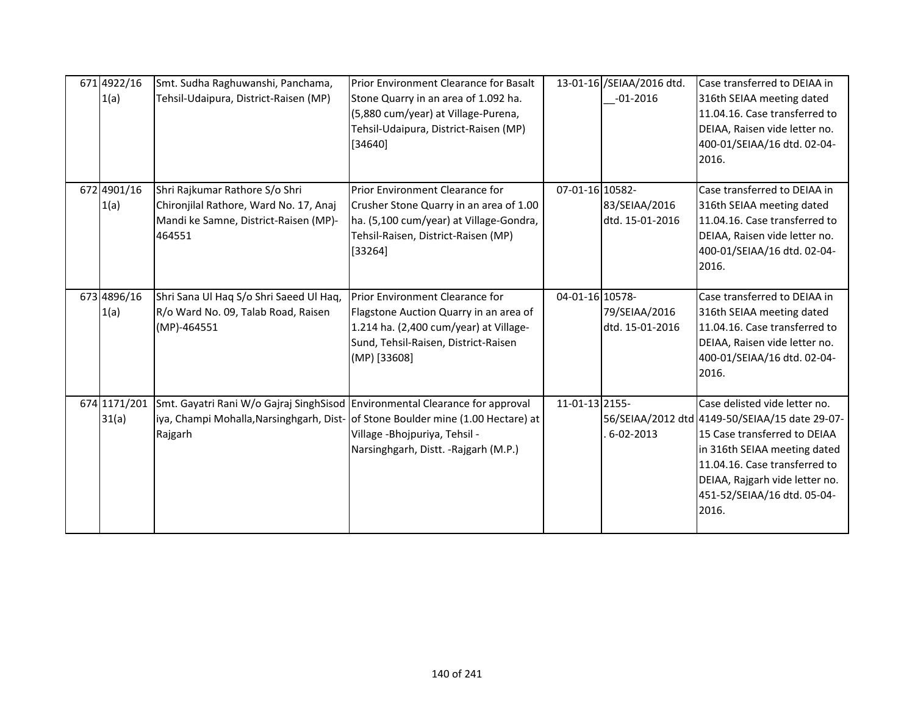| 671 4922/16<br>1(a)   | Smt. Sudha Raghuwanshi, Panchama,<br>Tehsil-Udaipura, District-Raisen (MP)                                                  | Prior Environment Clearance for Basalt<br>Stone Quarry in an area of 1.092 ha.<br>(5,880 cum/year) at Village-Purena,<br>Tehsil-Udaipura, District-Raisen (MP)<br>[34640]   |                 | 13-01-16 /SEIAA/2016 dtd.<br>$-01 - 2016$ | Case transferred to DEIAA in<br>316th SEIAA meeting dated<br>11.04.16. Case transferred to<br>DEIAA, Raisen vide letter no.<br>400-01/SEIAA/16 dtd. 02-04-<br>2016.                                                                                        |
|-----------------------|-----------------------------------------------------------------------------------------------------------------------------|-----------------------------------------------------------------------------------------------------------------------------------------------------------------------------|-----------------|-------------------------------------------|------------------------------------------------------------------------------------------------------------------------------------------------------------------------------------------------------------------------------------------------------------|
| 672 4901/16<br>1(a)   | Shri Rajkumar Rathore S/o Shri<br>Chironjilal Rathore, Ward No. 17, Anaj<br>Mandi ke Samne, District-Raisen (MP)-<br>464551 | Prior Environment Clearance for<br>Crusher Stone Quarry in an area of 1.00<br>ha. (5,100 cum/year) at Village-Gondra,<br>Tehsil-Raisen, District-Raisen (MP)<br>[33264]     | 07-01-16 10582- | 83/SEIAA/2016<br>dtd. 15-01-2016          | Case transferred to DEIAA in<br>316th SEIAA meeting dated<br>11.04.16. Case transferred to<br>DEIAA, Raisen vide letter no.<br>400-01/SEIAA/16 dtd. 02-04-<br>2016.                                                                                        |
| 673 4896/16<br>1(a)   | Shri Sana Ul Haq S/o Shri Saeed Ul Haq,<br>R/o Ward No. 09, Talab Road, Raisen<br>(MP)-464551                               | Prior Environment Clearance for<br>Flagstone Auction Quarry in an area of<br>1.214 ha. (2,400 cum/year) at Village-<br>Sund, Tehsil-Raisen, District-Raisen<br>(MP) [33608] | 04-01-16 10578- | 79/SEIAA/2016<br>dtd. 15-01-2016          | Case transferred to DEIAA in<br>316th SEIAA meeting dated<br>11.04.16. Case transferred to<br>DEIAA, Raisen vide letter no.<br>400-01/SEIAA/16 dtd. 02-04-<br>2016.                                                                                        |
| 674 1171/201<br>31(a) | Smt. Gayatri Rani W/o Gajraj SinghSisod Environmental Clearance for approval<br>Rajgarh                                     | iya, Champi Mohalla, Narsinghgarh, Dist- of Stone Boulder mine (1.00 Hectare) at<br>Village - Bhojpuriya, Tehsil -<br>Narsinghgarh, Distt. - Rajgarh (M.P.)                 | 11-01-13 2155-  | 6-02-2013                                 | Case delisted vide letter no.<br>56/SEIAA/2012 dtd 4149-50/SEIAA/15 date 29-07-<br>15 Case transferred to DEIAA<br>in 316th SEIAA meeting dated<br>11.04.16. Case transferred to<br>DEIAA, Rajgarh vide letter no.<br>451-52/SEIAA/16 dtd. 05-04-<br>2016. |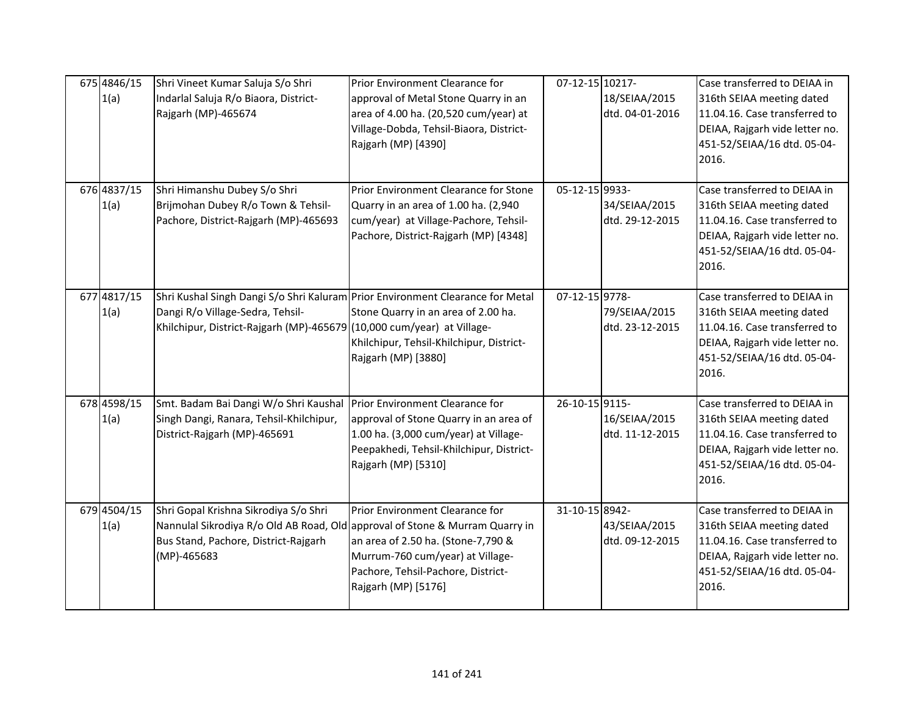| 675 4846/15<br>1(a) | Shri Vineet Kumar Saluja S/o Shri<br>Indarlal Saluja R/o Biaora, District-<br>Rajgarh (MP)-465674                                                                                            | Prior Environment Clearance for<br>approval of Metal Stone Quarry in an<br>area of 4.00 ha. (20,520 cum/year) at<br>Village-Dobda, Tehsil-Biaora, District-<br>Rajgarh (MP) [4390]    | 07-12-15 10217- | 18/SEIAA/2015<br>dtd. 04-01-2016 | Case transferred to DEIAA in<br>316th SEIAA meeting dated<br>11.04.16. Case transferred to<br>DEIAA, Rajgarh vide letter no.<br>451-52/SEIAA/16 dtd. 05-04-<br>2016. |
|---------------------|----------------------------------------------------------------------------------------------------------------------------------------------------------------------------------------------|---------------------------------------------------------------------------------------------------------------------------------------------------------------------------------------|-----------------|----------------------------------|----------------------------------------------------------------------------------------------------------------------------------------------------------------------|
| 676 4837/15<br>1(a) | Shri Himanshu Dubey S/o Shri<br>Brijmohan Dubey R/o Town & Tehsil-<br>Pachore, District-Rajgarh (MP)-465693                                                                                  | Prior Environment Clearance for Stone<br>Quarry in an area of 1.00 ha. (2,940<br>cum/year) at Village-Pachore, Tehsil-<br>Pachore, District-Rajgarh (MP) [4348]                       | 05-12-15 9933-  | 34/SEIAA/2015<br>dtd. 29-12-2015 | Case transferred to DEIAA in<br>316th SEIAA meeting dated<br>11.04.16. Case transferred to<br>DEIAA, Rajgarh vide letter no.<br>451-52/SEIAA/16 dtd. 05-04-<br>2016. |
| 677 4817/15<br>1(a) | Shri Kushal Singh Dangi S/o Shri Kaluram Prior Environment Clearance for Metal<br>Dangi R/o Village-Sedra, Tehsil-<br>Khilchipur, District-Rajgarh (MP)-465679 (10,000 cum/year) at Village- | Stone Quarry in an area of 2.00 ha.<br>Khilchipur, Tehsil-Khilchipur, District-<br>Rajgarh (MP) [3880]                                                                                | 07-12-15 9778-  | 79/SEIAA/2015<br>dtd. 23-12-2015 | Case transferred to DEIAA in<br>316th SEIAA meeting dated<br>11.04.16. Case transferred to<br>DEIAA, Rajgarh vide letter no.<br>451-52/SEIAA/16 dtd. 05-04-<br>2016. |
| 678 4598/15<br>1(a) | Smt. Badam Bai Dangi W/o Shri Kaushal<br>Singh Dangi, Ranara, Tehsil-Khilchipur,<br>District-Rajgarh (MP)-465691                                                                             | Prior Environment Clearance for<br>approval of Stone Quarry in an area of<br>1.00 ha. (3,000 cum/year) at Village-<br>Peepakhedi, Tehsil-Khilchipur, District-<br>Rajgarh (MP) [5310] | 26-10-15 9115-  | 16/SEIAA/2015<br>dtd. 11-12-2015 | Case transferred to DEIAA in<br>316th SEIAA meeting dated<br>11.04.16. Case transferred to<br>DEIAA, Rajgarh vide letter no.<br>451-52/SEIAA/16 dtd. 05-04-<br>2016. |
| 679 4504/15<br>1(a) | Shri Gopal Krishna Sikrodiya S/o Shri<br>Nannulal Sikrodiya R/o Old AB Road, Old approval of Stone & Murram Quarry in<br>Bus Stand, Pachore, District-Rajgarh<br>(MP)-465683                 | Prior Environment Clearance for<br>an area of 2.50 ha. (Stone-7,790 &<br>Murrum-760 cum/year) at Village-<br>Pachore, Tehsil-Pachore, District-<br>Rajgarh (MP) [5176]                | 31-10-15 8942-  | 43/SEIAA/2015<br>dtd. 09-12-2015 | Case transferred to DEIAA in<br>316th SEIAA meeting dated<br>11.04.16. Case transferred to<br>DEIAA, Rajgarh vide letter no.<br>451-52/SEIAA/16 dtd. 05-04-<br>2016. |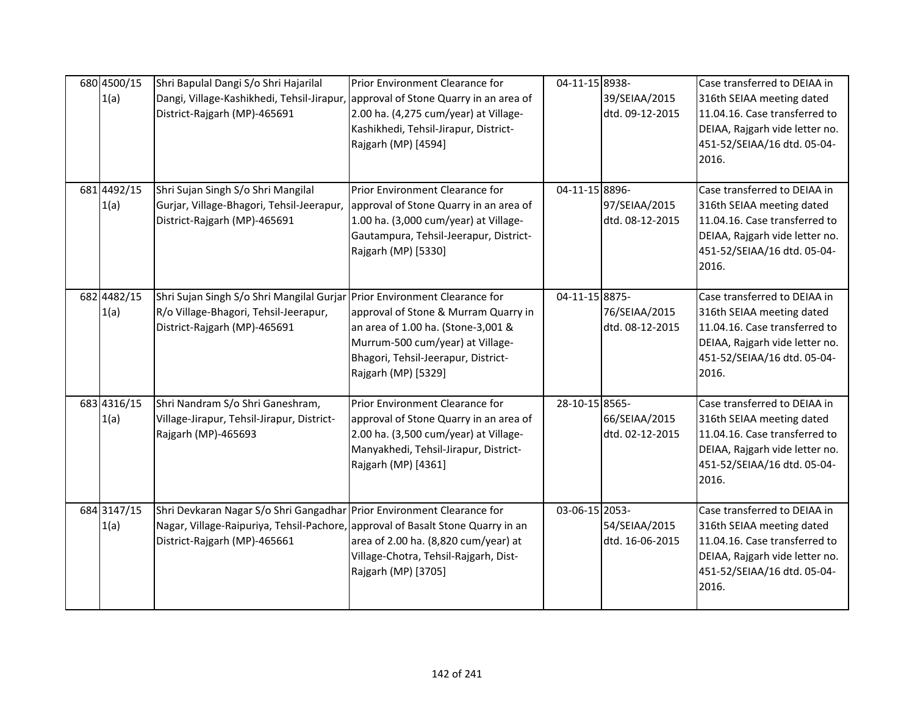| 680 4500/15<br>1(a) | Shri Bapulal Dangi S/o Shri Hajarilal<br>Dangi, Village-Kashikhedi, Tehsil-Jirapur, approval of Stone Quarry in an area of<br>District-Rajgarh (MP)-465691                                | Prior Environment Clearance for<br>2.00 ha. (4,275 cum/year) at Village-<br>Kashikhedi, Tehsil-Jirapur, District-<br>Rajgarh (MP) [4594]                                            | 04-11-15 8938- | 39/SEIAA/2015<br>dtd. 09-12-2015 | Case transferred to DEIAA in<br>316th SEIAA meeting dated<br>11.04.16. Case transferred to<br>DEIAA, Rajgarh vide letter no.<br>451-52/SEIAA/16 dtd. 05-04-<br>2016. |
|---------------------|-------------------------------------------------------------------------------------------------------------------------------------------------------------------------------------------|-------------------------------------------------------------------------------------------------------------------------------------------------------------------------------------|----------------|----------------------------------|----------------------------------------------------------------------------------------------------------------------------------------------------------------------|
| 681 4492/15<br>1(a) | Shri Sujan Singh S/o Shri Mangilal<br>Gurjar, Village-Bhagori, Tehsil-Jeerapur,<br>District-Rajgarh (MP)-465691                                                                           | Prior Environment Clearance for<br>approval of Stone Quarry in an area of<br>1.00 ha. (3,000 cum/year) at Village-<br>Gautampura, Tehsil-Jeerapur, District-<br>Rajgarh (MP) [5330] | 04-11-15 8896- | 97/SEIAA/2015<br>dtd. 08-12-2015 | Case transferred to DEIAA in<br>316th SEIAA meeting dated<br>11.04.16. Case transferred to<br>DEIAA, Rajgarh vide letter no.<br>451-52/SEIAA/16 dtd. 05-04-<br>2016. |
| 682 4482/15<br>1(a) | Shri Sujan Singh S/o Shri Mangilal Gurjar Prior Environment Clearance for<br>R/o Village-Bhagori, Tehsil-Jeerapur,<br>District-Rajgarh (MP)-465691                                        | approval of Stone & Murram Quarry in<br>an area of 1.00 ha. (Stone-3,001 &<br>Murrum-500 cum/year) at Village-<br>Bhagori, Tehsil-Jeerapur, District-<br>Rajgarh (MP) [5329]        | 04-11-15 8875- | 76/SEIAA/2015<br>dtd. 08-12-2015 | Case transferred to DEIAA in<br>316th SEIAA meeting dated<br>11.04.16. Case transferred to<br>DEIAA, Rajgarh vide letter no.<br>451-52/SEIAA/16 dtd. 05-04-<br>2016. |
| 683 4316/15<br>1(a) | Shri Nandram S/o Shri Ganeshram,<br>Village-Jirapur, Tehsil-Jirapur, District-<br>Rajgarh (MP)-465693                                                                                     | Prior Environment Clearance for<br>approval of Stone Quarry in an area of<br>2.00 ha. (3,500 cum/year) at Village-<br>Manyakhedi, Tehsil-Jirapur, District-<br>Rajgarh (MP) [4361]  | 28-10-15 8565- | 66/SEIAA/2015<br>dtd. 02-12-2015 | Case transferred to DEIAA in<br>316th SEIAA meeting dated<br>11.04.16. Case transferred to<br>DEIAA, Rajgarh vide letter no.<br>451-52/SEIAA/16 dtd. 05-04-<br>2016. |
| 684 3147/15<br>1(a) | Shri Devkaran Nagar S/o Shri Gangadhar Prior Environment Clearance for<br>Nagar, Village-Raipuriya, Tehsil-Pachore, approval of Basalt Stone Quarry in an<br>District-Rajgarh (MP)-465661 | area of 2.00 ha. (8,820 cum/year) at<br>Village-Chotra, Tehsil-Rajgarh, Dist-<br>Rajgarh (MP) [3705]                                                                                | 03-06-15 2053- | 54/SEIAA/2015<br>dtd. 16-06-2015 | Case transferred to DEIAA in<br>316th SEIAA meeting dated<br>11.04.16. Case transferred to<br>DEIAA, Rajgarh vide letter no.<br>451-52/SEIAA/16 dtd. 05-04-<br>2016. |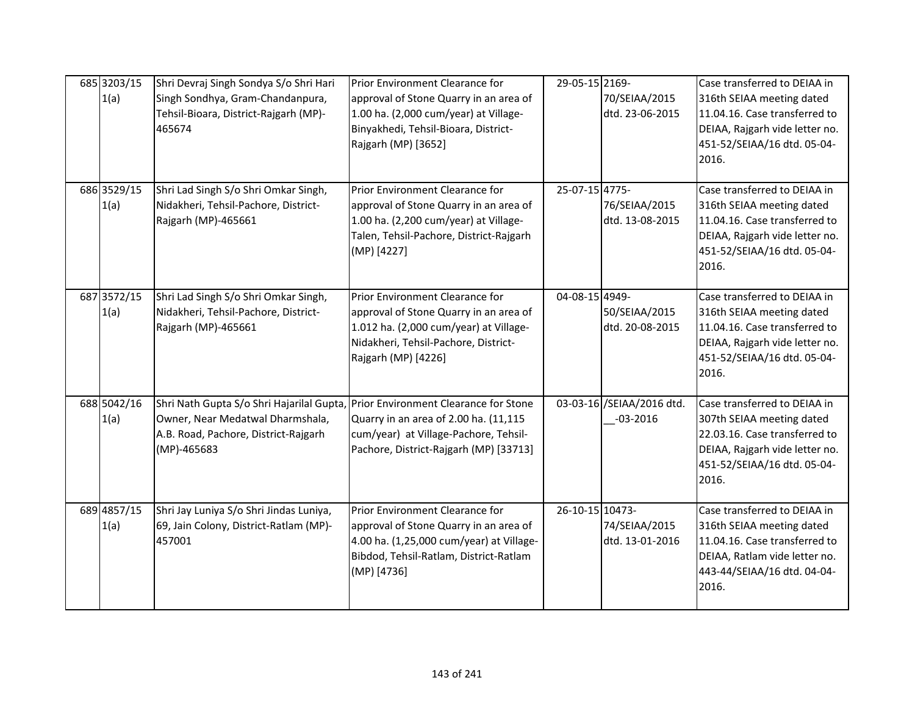| 685 3203/15<br>1(a) | Shri Devraj Singh Sondya S/o Shri Hari<br>Singh Sondhya, Gram-Chandanpura,<br>Tehsil-Bioara, District-Rajgarh (MP)-<br>465674                                              | Prior Environment Clearance for<br>approval of Stone Quarry in an area of<br>1.00 ha. (2,000 cum/year) at Village-<br>Binyakhedi, Tehsil-Bioara, District-<br>Rajgarh (MP) [3652]  | 29-05-15 2169-<br>70/SEIAA/2015           | Case transferred to DEIAA in<br>316th SEIAA meeting dated<br>dtd. 23-06-2015<br>11.04.16. Case transferred to<br>DEIAA, Rajgarh vide letter no.<br>451-52/SEIAA/16 dtd. 05-04-<br>2016. |
|---------------------|----------------------------------------------------------------------------------------------------------------------------------------------------------------------------|------------------------------------------------------------------------------------------------------------------------------------------------------------------------------------|-------------------------------------------|-----------------------------------------------------------------------------------------------------------------------------------------------------------------------------------------|
| 686 3529/15<br>1(a) | Shri Lad Singh S/o Shri Omkar Singh,<br>Nidakheri, Tehsil-Pachore, District-<br>Rajgarh (MP)-465661                                                                        | Prior Environment Clearance for<br>approval of Stone Quarry in an area of<br>1.00 ha. (2,200 cum/year) at Village-<br>Talen, Tehsil-Pachore, District-Rajgarh<br>(MP) [4227]       | 25-07-15 4775-<br>76/SEIAA/2015           | Case transferred to DEIAA in<br>316th SEIAA meeting dated<br>11.04.16. Case transferred to<br>dtd. 13-08-2015<br>DEIAA, Rajgarh vide letter no.<br>451-52/SEIAA/16 dtd. 05-04-<br>2016. |
| 687 3572/15<br>1(a) | Shri Lad Singh S/o Shri Omkar Singh,<br>Nidakheri, Tehsil-Pachore, District-<br>Rajgarh (MP)-465661                                                                        | Prior Environment Clearance for<br>approval of Stone Quarry in an area of<br>1.012 ha. (2,000 cum/year) at Village-<br>Nidakheri, Tehsil-Pachore, District-<br>Rajgarh (MP) [4226] | 04-08-15 4949-<br>50/SEIAA/2015           | Case transferred to DEIAA in<br>316th SEIAA meeting dated<br>dtd. 20-08-2015<br>11.04.16. Case transferred to<br>DEIAA, Rajgarh vide letter no.<br>451-52/SEIAA/16 dtd. 05-04-<br>2016. |
| 688 5042/16<br>1(a) | Shri Nath Gupta S/o Shri Hajarilal Gupta, Prior Environment Clearance for Stone<br>Owner, Near Medatwal Dharmshala,<br>A.B. Road, Pachore, District-Rajgarh<br>(MP)-465683 | Quarry in an area of 2.00 ha. (11,115<br>cum/year) at Village-Pachore, Tehsil-<br>Pachore, District-Rajgarh (MP) [33713]                                                           | 03-03-16 /SEIAA/2016 dtd.<br>$-03 - 2016$ | Case transferred to DEIAA in<br>307th SEIAA meeting dated<br>22.03.16. Case transferred to<br>DEIAA, Rajgarh vide letter no.<br>451-52/SEIAA/16 dtd. 05-04-<br>2016.                    |
| 689 4857/15<br>1(a) | Shri Jay Luniya S/o Shri Jindas Luniya,<br>69, Jain Colony, District-Ratlam (MP)-<br>457001                                                                                | Prior Environment Clearance for<br>approval of Stone Quarry in an area of<br>4.00 ha. (1,25,000 cum/year) at Village-<br>Bibdod, Tehsil-Ratlam, District-Ratlam<br>(MP) [4736]     | 26-10-15 10473-<br>74/SEIAA/2015          | Case transferred to DEIAA in<br>316th SEIAA meeting dated<br>11.04.16. Case transferred to<br>dtd. 13-01-2016<br>DEIAA, Ratlam vide letter no.<br>443-44/SEIAA/16 dtd. 04-04-<br>2016.  |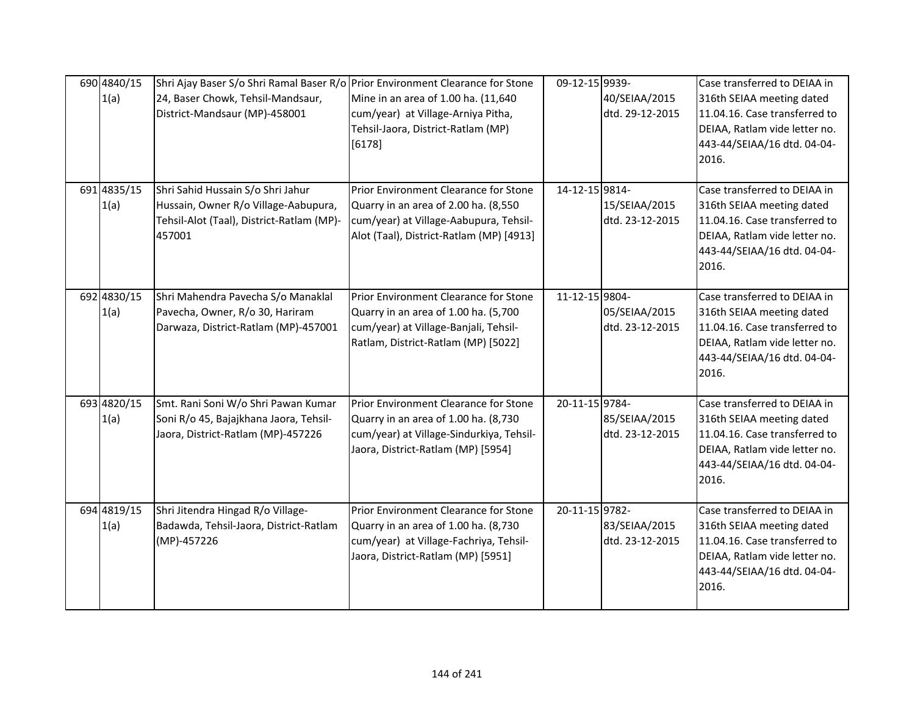| 690 4840/15<br>1(a) | Shri Ajay Baser S/o Shri Ramal Baser R/o<br>24, Baser Chowk, Tehsil-Mandsaur,<br>District-Mandsaur (MP)-458001                   | Prior Environment Clearance for Stone<br>Mine in an area of 1.00 ha. (11,640<br>cum/year) at Village-Arniya Pitha,<br>Tehsil-Jaora, District-Ratlam (MP)<br>[6178]  | 09-12-15 9939- | 40/SEIAA/2015<br>dtd. 29-12-2015 | Case transferred to DEIAA in<br>316th SEIAA meeting dated<br>11.04.16. Case transferred to<br>DEIAA, Ratlam vide letter no.<br>443-44/SEIAA/16 dtd. 04-04-<br>2016. |
|---------------------|----------------------------------------------------------------------------------------------------------------------------------|---------------------------------------------------------------------------------------------------------------------------------------------------------------------|----------------|----------------------------------|---------------------------------------------------------------------------------------------------------------------------------------------------------------------|
| 691 4835/15<br>1(a) | Shri Sahid Hussain S/o Shri Jahur<br>Hussain, Owner R/o Village-Aabupura,<br>Tehsil-Alot (Taal), District-Ratlam (MP)-<br>457001 | Prior Environment Clearance for Stone<br>Quarry in an area of 2.00 ha. (8,550<br>cum/year) at Village-Aabupura, Tehsil-<br>Alot (Taal), District-Ratlam (MP) [4913] | 14-12-15 9814- | 15/SEIAA/2015<br>dtd. 23-12-2015 | Case transferred to DEIAA in<br>316th SEIAA meeting dated<br>11.04.16. Case transferred to<br>DEIAA, Ratlam vide letter no.<br>443-44/SEIAA/16 dtd. 04-04-<br>2016. |
| 692 4830/15<br>1(a) | Shri Mahendra Pavecha S/o Manaklal<br>Pavecha, Owner, R/o 30, Hariram<br>Darwaza, District-Ratlam (MP)-457001                    | Prior Environment Clearance for Stone<br>Quarry in an area of 1.00 ha. (5,700<br>cum/year) at Village-Banjali, Tehsil-<br>Ratlam, District-Ratlam (MP) [5022]       | 11-12-15 9804- | 05/SEIAA/2015<br>dtd. 23-12-2015 | Case transferred to DEIAA in<br>316th SEIAA meeting dated<br>11.04.16. Case transferred to<br>DEIAA, Ratlam vide letter no.<br>443-44/SEIAA/16 dtd. 04-04-<br>2016. |
| 693 4820/15<br>1(a) | Smt. Rani Soni W/o Shri Pawan Kumar<br>Soni R/o 45, Bajajkhana Jaora, Tehsil-<br>Jaora, District-Ratlam (MP)-457226              | Prior Environment Clearance for Stone<br>Quarry in an area of 1.00 ha. (8,730<br>cum/year) at Village-Sindurkiya, Tehsil-<br>Jaora, District-Ratlam (MP) [5954]     | 20-11-15 9784- | 85/SEIAA/2015<br>dtd. 23-12-2015 | Case transferred to DEIAA in<br>316th SEIAA meeting dated<br>11.04.16. Case transferred to<br>DEIAA, Ratlam vide letter no.<br>443-44/SEIAA/16 dtd. 04-04-<br>2016. |
| 694 4819/15<br>1(a) | Shri Jitendra Hingad R/o Village-<br>Badawda, Tehsil-Jaora, District-Ratlam<br>(MP)-457226                                       | Prior Environment Clearance for Stone<br>Quarry in an area of 1.00 ha. (8,730<br>cum/year) at Village-Fachriya, Tehsil-<br>Jaora, District-Ratlam (MP) [5951]       | 20-11-15 9782- | 83/SEIAA/2015<br>dtd. 23-12-2015 | Case transferred to DEIAA in<br>316th SEIAA meeting dated<br>11.04.16. Case transferred to<br>DEIAA, Ratlam vide letter no.<br>443-44/SEIAA/16 dtd. 04-04-<br>2016. |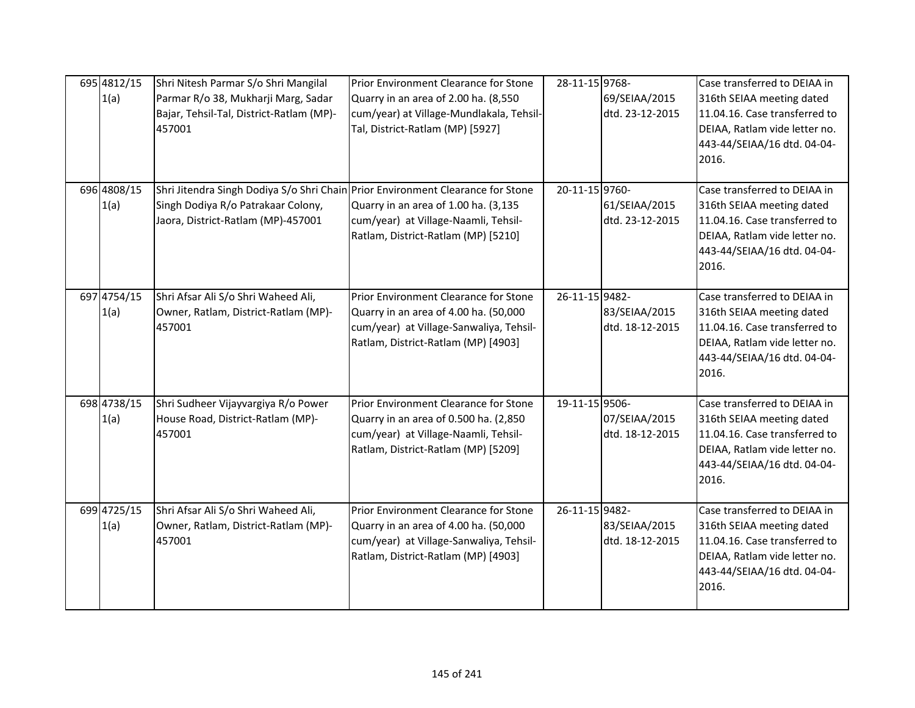| 695 4812/15<br>1(a) | Shri Nitesh Parmar S/o Shri Mangilal<br>Parmar R/o 38, Mukharji Marg, Sadar<br>Bajar, Tehsil-Tal, District-Ratlam (MP)-<br>457001                           | Prior Environment Clearance for Stone<br>Quarry in an area of 2.00 ha. (8,550<br>cum/year) at Village-Mundlakala, Tehsil-<br>Tal, District-Ratlam (MP) [5927]    | 28-11-15 9768- | 69/SEIAA/2015<br>dtd. 23-12-2015 | Case transferred to DEIAA in<br>316th SEIAA meeting dated<br>11.04.16. Case transferred to<br>DEIAA, Ratlam vide letter no.<br>443-44/SEIAA/16 dtd. 04-04-<br>2016. |
|---------------------|-------------------------------------------------------------------------------------------------------------------------------------------------------------|------------------------------------------------------------------------------------------------------------------------------------------------------------------|----------------|----------------------------------|---------------------------------------------------------------------------------------------------------------------------------------------------------------------|
| 696 4808/15<br>1(a) | Shri Jitendra Singh Dodiya S/o Shri Chain Prior Environment Clearance for Stone<br>Singh Dodiya R/o Patrakaar Colony,<br>Jaora, District-Ratlam (MP)-457001 | Quarry in an area of 1.00 ha. (3,135<br>cum/year) at Village-Naamli, Tehsil-<br>Ratlam, District-Ratlam (MP) [5210]                                              | 20-11-15 9760- | 61/SEIAA/2015<br>dtd. 23-12-2015 | Case transferred to DEIAA in<br>316th SEIAA meeting dated<br>11.04.16. Case transferred to<br>DEIAA, Ratlam vide letter no.<br>443-44/SEIAA/16 dtd. 04-04-<br>2016. |
| 697 4754/15<br>1(a) | Shri Afsar Ali S/o Shri Waheed Ali,<br>Owner, Ratlam, District-Ratlam (MP)-<br>457001                                                                       | Prior Environment Clearance for Stone<br>Quarry in an area of 4.00 ha. (50,000<br>cum/year) at Village-Sanwaliya, Tehsil-<br>Ratlam, District-Ratlam (MP) [4903] | 26-11-15 9482- | 83/SEIAA/2015<br>dtd. 18-12-2015 | Case transferred to DEIAA in<br>316th SEIAA meeting dated<br>11.04.16. Case transferred to<br>DEIAA, Ratlam vide letter no.<br>443-44/SEIAA/16 dtd. 04-04-<br>2016. |
| 698 4738/15<br>1(a) | Shri Sudheer Vijayvargiya R/o Power<br>House Road, District-Ratlam (MP)-<br>457001                                                                          | Prior Environment Clearance for Stone<br>Quarry in an area of 0.500 ha. (2,850<br>cum/year) at Village-Naamli, Tehsil-<br>Ratlam, District-Ratlam (MP) [5209]    | 19-11-15 9506- | 07/SEIAA/2015<br>dtd. 18-12-2015 | Case transferred to DEIAA in<br>316th SEIAA meeting dated<br>11.04.16. Case transferred to<br>DEIAA, Ratlam vide letter no.<br>443-44/SEIAA/16 dtd. 04-04-<br>2016. |
| 699 4725/15<br>1(a) | Shri Afsar Ali S/o Shri Waheed Ali,<br>Owner, Ratlam, District-Ratlam (MP)-<br>457001                                                                       | Prior Environment Clearance for Stone<br>Quarry in an area of 4.00 ha. (50,000<br>cum/year) at Village-Sanwaliya, Tehsil-<br>Ratlam, District-Ratlam (MP) [4903] | 26-11-15 9482- | 83/SEIAA/2015<br>dtd. 18-12-2015 | Case transferred to DEIAA in<br>316th SEIAA meeting dated<br>11.04.16. Case transferred to<br>DEIAA, Ratlam vide letter no.<br>443-44/SEIAA/16 dtd. 04-04-<br>2016. |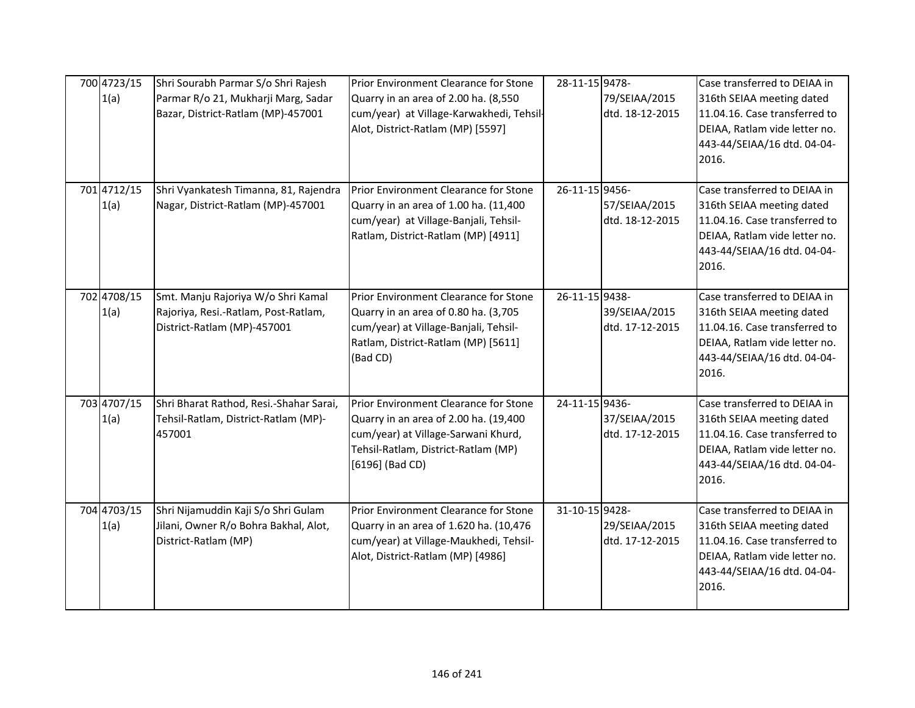| 700 4723/15<br>1(a) | Shri Sourabh Parmar S/o Shri Rajesh<br>Parmar R/o 21, Mukharji Marg, Sadar<br>Bazar, District-Ratlam (MP)-457001 | Prior Environment Clearance for Stone<br>Quarry in an area of 2.00 ha. (8,550<br>cum/year) at Village-Karwakhedi, Tehsil-<br>Alot, District-Ratlam (MP) [5597]                    | 28-11-15 9478- | 79/SEIAA/2015<br>dtd. 18-12-2015 | Case transferred to DEIAA in<br>316th SEIAA meeting dated<br>11.04.16. Case transferred to<br>DEIAA, Ratlam vide letter no.<br>443-44/SEIAA/16 dtd. 04-04-<br>2016. |
|---------------------|------------------------------------------------------------------------------------------------------------------|-----------------------------------------------------------------------------------------------------------------------------------------------------------------------------------|----------------|----------------------------------|---------------------------------------------------------------------------------------------------------------------------------------------------------------------|
| 701 4712/15<br>1(a) | Shri Vyankatesh Timanna, 81, Rajendra<br>Nagar, District-Ratlam (MP)-457001                                      | Prior Environment Clearance for Stone<br>Quarry in an area of 1.00 ha. (11,400<br>cum/year) at Village-Banjali, Tehsil-<br>Ratlam, District-Ratlam (MP) [4911]                    | 26-11-15 9456- | 57/SEIAA/2015<br>dtd. 18-12-2015 | Case transferred to DEIAA in<br>316th SEIAA meeting dated<br>11.04.16. Case transferred to<br>DEIAA, Ratlam vide letter no.<br>443-44/SEIAA/16 dtd. 04-04-<br>2016. |
| 702 4708/15<br>1(a) | Smt. Manju Rajoriya W/o Shri Kamal<br>Rajoriya, Resi.-Ratlam, Post-Ratlam,<br>District-Ratlam (MP)-457001        | Prior Environment Clearance for Stone<br>Quarry in an area of 0.80 ha. (3,705<br>cum/year) at Village-Banjali, Tehsil-<br>Ratlam, District-Ratlam (MP) [5611]<br>(Bad CD)         | 26-11-15 9438- | 39/SEIAA/2015<br>dtd. 17-12-2015 | Case transferred to DEIAA in<br>316th SEIAA meeting dated<br>11.04.16. Case transferred to<br>DEIAA, Ratlam vide letter no.<br>443-44/SEIAA/16 dtd. 04-04-<br>2016. |
| 703 4707/15<br>1(a) | Shri Bharat Rathod, Resi.-Shahar Sarai,<br>Tehsil-Ratlam, District-Ratlam (MP)-<br>457001                        | Prior Environment Clearance for Stone<br>Quarry in an area of 2.00 ha. (19,400<br>cum/year) at Village-Sarwani Khurd,<br>Tehsil-Ratlam, District-Ratlam (MP)<br>$[6196]$ (Bad CD) | 24-11-15 9436- | 37/SEIAA/2015<br>dtd. 17-12-2015 | Case transferred to DEIAA in<br>316th SEIAA meeting dated<br>11.04.16. Case transferred to<br>DEIAA, Ratlam vide letter no.<br>443-44/SEIAA/16 dtd. 04-04-<br>2016. |
| 704 4703/15<br>1(a) | Shri Nijamuddin Kaji S/o Shri Gulam<br>Jilani, Owner R/o Bohra Bakhal, Alot,<br>District-Ratlam (MP)             | Prior Environment Clearance for Stone<br>Quarry in an area of 1.620 ha. (10,476<br>cum/year) at Village-Maukhedi, Tehsil-<br>Alot, District-Ratlam (MP) [4986]                    | 31-10-15 9428- | 29/SEIAA/2015<br>dtd. 17-12-2015 | Case transferred to DEIAA in<br>316th SEIAA meeting dated<br>11.04.16. Case transferred to<br>DEIAA, Ratlam vide letter no.<br>443-44/SEIAA/16 dtd. 04-04-<br>2016. |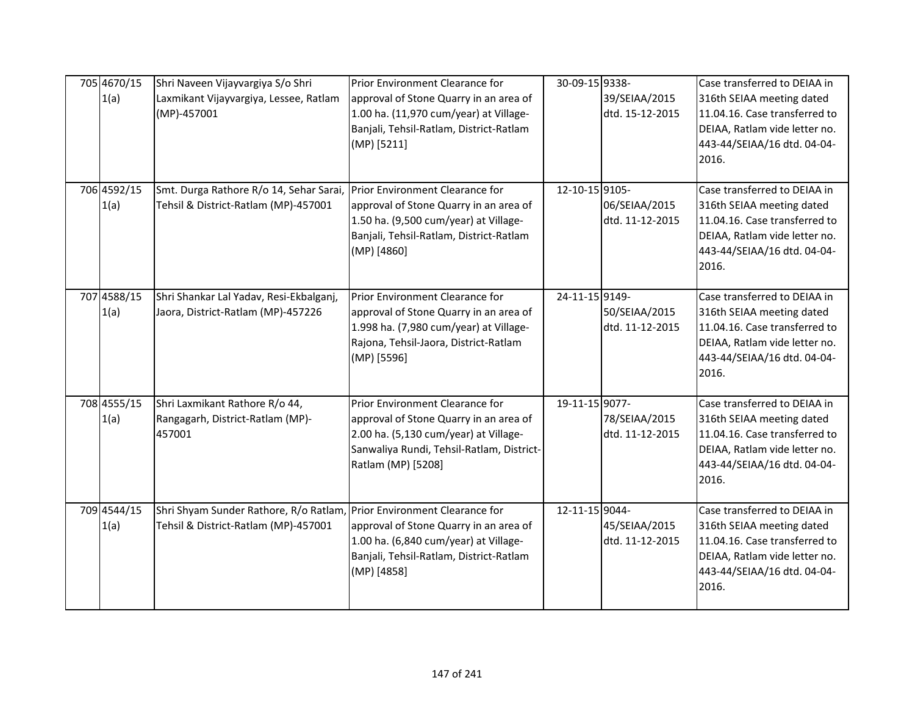| 705 4670/15<br>1(a) | Shri Naveen Vijayvargiya S/o Shri<br>Laxmikant Vijayvargiya, Lessee, Ratlam<br>(MP)-457001                     | Prior Environment Clearance for<br>approval of Stone Quarry in an area of<br>1.00 ha. (11,970 cum/year) at Village-<br>Banjali, Tehsil-Ratlam, District-Ratlam<br>(MP) [5211]         | 30-09-15 9338- | 39/SEIAA/2015<br>dtd. 15-12-2015 | Case transferred to DEIAA in<br>316th SEIAA meeting dated<br>11.04.16. Case transferred to<br>DEIAA, Ratlam vide letter no.<br>443-44/SEIAA/16 dtd. 04-04-<br>2016. |
|---------------------|----------------------------------------------------------------------------------------------------------------|---------------------------------------------------------------------------------------------------------------------------------------------------------------------------------------|----------------|----------------------------------|---------------------------------------------------------------------------------------------------------------------------------------------------------------------|
| 706 4592/15<br>1(a) | Smt. Durga Rathore R/o 14, Sehar Sarai,<br>Tehsil & District-Ratlam (MP)-457001                                | Prior Environment Clearance for<br>approval of Stone Quarry in an area of<br>1.50 ha. (9,500 cum/year) at Village-<br>Banjali, Tehsil-Ratlam, District-Ratlam<br>$(MP)$ [4860]        | 12-10-15 9105- | 06/SEIAA/2015<br>dtd. 11-12-2015 | Case transferred to DEIAA in<br>316th SEIAA meeting dated<br>11.04.16. Case transferred to<br>DEIAA, Ratlam vide letter no.<br>443-44/SEIAA/16 dtd. 04-04-<br>2016. |
| 707 4588/15<br>1(a) | Shri Shankar Lal Yadav, Resi-Ekbalganj,<br>Jaora, District-Ratlam (MP)-457226                                  | Prior Environment Clearance for<br>approval of Stone Quarry in an area of<br>1.998 ha. (7,980 cum/year) at Village-<br>Rajona, Tehsil-Jaora, District-Ratlam<br>(MP) [5596]           | 24-11-15 9149- | 50/SEIAA/2015<br>dtd. 11-12-2015 | Case transferred to DEIAA in<br>316th SEIAA meeting dated<br>11.04.16. Case transferred to<br>DEIAA, Ratlam vide letter no.<br>443-44/SEIAA/16 dtd. 04-04-<br>2016. |
| 708 4555/15<br>1(a) | Shri Laxmikant Rathore R/o 44,<br>Rangagarh, District-Ratlam (MP)-<br>457001                                   | Prior Environment Clearance for<br>approval of Stone Quarry in an area of<br>2.00 ha. (5,130 cum/year) at Village-<br>Sanwaliya Rundi, Tehsil-Ratlam, District-<br>Ratlam (MP) [5208] | 19-11-15 9077- | 78/SEIAA/2015<br>dtd. 11-12-2015 | Case transferred to DEIAA in<br>316th SEIAA meeting dated<br>11.04.16. Case transferred to<br>DEIAA, Ratlam vide letter no.<br>443-44/SEIAA/16 dtd. 04-04-<br>2016. |
| 709 4544/15<br>1(a) | Shri Shyam Sunder Rathore, R/o Ratlam, Prior Environment Clearance for<br>Tehsil & District-Ratlam (MP)-457001 | approval of Stone Quarry in an area of<br>1.00 ha. (6,840 cum/year) at Village-<br>Banjali, Tehsil-Ratlam, District-Ratlam<br>(MP) [4858]                                             | 12-11-15 9044- | 45/SEIAA/2015<br>dtd. 11-12-2015 | Case transferred to DEIAA in<br>316th SEIAA meeting dated<br>11.04.16. Case transferred to<br>DEIAA, Ratlam vide letter no.<br>443-44/SEIAA/16 dtd. 04-04-<br>2016. |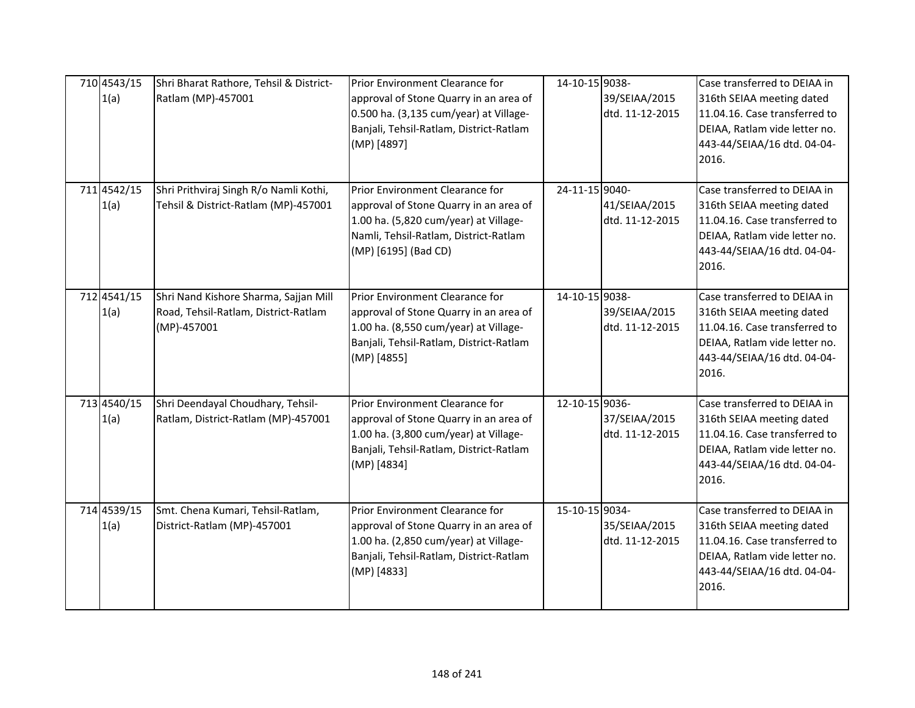| 710 4543/15<br>1(a) | Shri Bharat Rathore, Tehsil & District-<br>Ratlam (MP)-457001                                | Prior Environment Clearance for<br>approval of Stone Quarry in an area of<br>0.500 ha. (3,135 cum/year) at Village-<br>Banjali, Tehsil-Ratlam, District-Ratlam<br>(MP) [4897]       | 14-10-15 9038- | 39/SEIAA/2015<br>dtd. 11-12-2015 | Case transferred to DEIAA in<br>316th SEIAA meeting dated<br>11.04.16. Case transferred to<br>DEIAA, Ratlam vide letter no.<br>443-44/SEIAA/16 dtd. 04-04-<br>2016. |
|---------------------|----------------------------------------------------------------------------------------------|-------------------------------------------------------------------------------------------------------------------------------------------------------------------------------------|----------------|----------------------------------|---------------------------------------------------------------------------------------------------------------------------------------------------------------------|
| 711 4542/15<br>1(a) | Shri Prithviraj Singh R/o Namli Kothi,<br>Tehsil & District-Ratlam (MP)-457001               | Prior Environment Clearance for<br>approval of Stone Quarry in an area of<br>1.00 ha. (5,820 cum/year) at Village-<br>Namli, Tehsil-Ratlam, District-Ratlam<br>(MP) [6195] (Bad CD) | 24-11-15 9040- | 41/SEIAA/2015<br>dtd. 11-12-2015 | Case transferred to DEIAA in<br>316th SEIAA meeting dated<br>11.04.16. Case transferred to<br>DEIAA, Ratlam vide letter no.<br>443-44/SEIAA/16 dtd. 04-04-<br>2016. |
| 712 4541/15<br>1(a) | Shri Nand Kishore Sharma, Sajjan Mill<br>Road, Tehsil-Ratlam, District-Ratlam<br>(MP)-457001 | Prior Environment Clearance for<br>approval of Stone Quarry in an area of<br>1.00 ha. (8,550 cum/year) at Village-<br>Banjali, Tehsil-Ratlam, District-Ratlam<br>(MP) [4855]        | 14-10-15 9038- | 39/SEIAA/2015<br>dtd. 11-12-2015 | Case transferred to DEIAA in<br>316th SEIAA meeting dated<br>11.04.16. Case transferred to<br>DEIAA, Ratlam vide letter no.<br>443-44/SEIAA/16 dtd. 04-04-<br>2016. |
| 713 4540/15<br>1(a) | Shri Deendayal Choudhary, Tehsil-<br>Ratlam, District-Ratlam (MP)-457001                     | Prior Environment Clearance for<br>approval of Stone Quarry in an area of<br>1.00 ha. (3,800 cum/year) at Village-<br>Banjali, Tehsil-Ratlam, District-Ratlam<br>(MP) [4834]        | 12-10-15 9036- | 37/SEIAA/2015<br>dtd. 11-12-2015 | Case transferred to DEIAA in<br>316th SEIAA meeting dated<br>11.04.16. Case transferred to<br>DEIAA, Ratlam vide letter no.<br>443-44/SEIAA/16 dtd. 04-04-<br>2016. |
| 714 4539/15<br>1(a) | Smt. Chena Kumari, Tehsil-Ratlam,<br>District-Ratlam (MP)-457001                             | Prior Environment Clearance for<br>approval of Stone Quarry in an area of<br>1.00 ha. (2,850 cum/year) at Village-<br>Banjali, Tehsil-Ratlam, District-Ratlam<br>(MP) [4833]        | 15-10-15 9034- | 35/SEIAA/2015<br>dtd. 11-12-2015 | Case transferred to DEIAA in<br>316th SEIAA meeting dated<br>11.04.16. Case transferred to<br>DEIAA, Ratlam vide letter no.<br>443-44/SEIAA/16 dtd. 04-04-<br>2016. |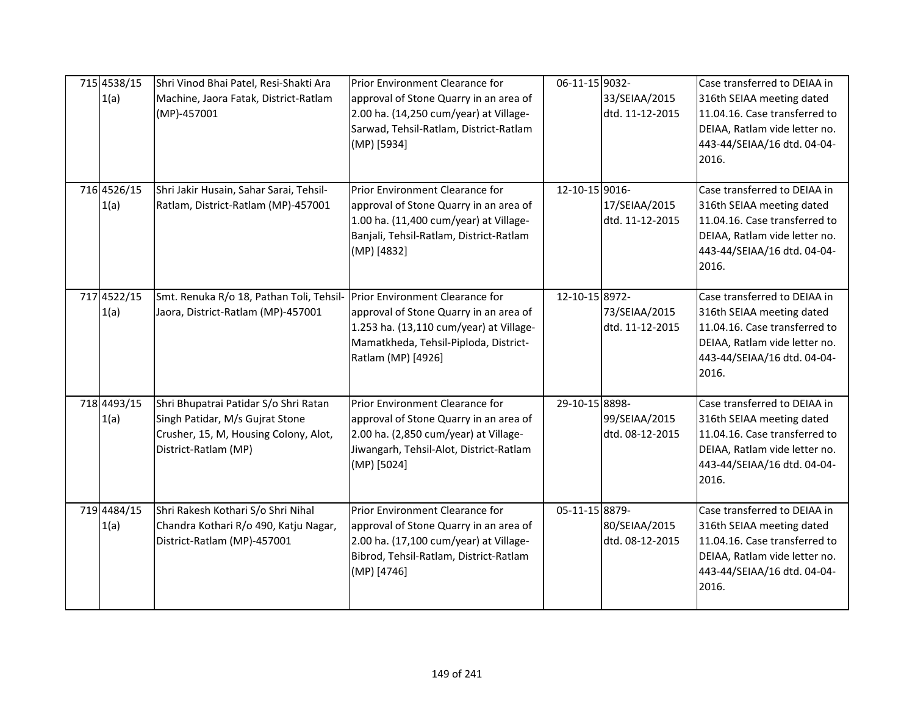| 715 4538/15<br>1(a) | Shri Vinod Bhai Patel, Resi-Shakti Ara<br>Machine, Jaora Fatak, District-Ratlam<br>(MP)-457001                                            | Prior Environment Clearance for<br>approval of Stone Quarry in an area of<br>2.00 ha. (14,250 cum/year) at Village-<br>Sarwad, Tehsil-Ratlam, District-Ratlam<br>(MP) [5934]        | 06-11-15 9032- | 33/SEIAA/2015<br>dtd. 11-12-2015 | Case transferred to DEIAA in<br>316th SEIAA meeting dated<br>11.04.16. Case transferred to<br>DEIAA, Ratlam vide letter no.<br>443-44/SEIAA/16 dtd. 04-04-<br>2016. |
|---------------------|-------------------------------------------------------------------------------------------------------------------------------------------|-------------------------------------------------------------------------------------------------------------------------------------------------------------------------------------|----------------|----------------------------------|---------------------------------------------------------------------------------------------------------------------------------------------------------------------|
| 716 4526/15<br>1(a) | Shri Jakir Husain, Sahar Sarai, Tehsil-<br>Ratlam, District-Ratlam (MP)-457001                                                            | Prior Environment Clearance for<br>approval of Stone Quarry in an area of<br>1.00 ha. (11,400 cum/year) at Village-<br>Banjali, Tehsil-Ratlam, District-Ratlam<br>(MP) [4832]       | 12-10-15 9016- | 17/SEIAA/2015<br>dtd. 11-12-2015 | Case transferred to DEIAA in<br>316th SEIAA meeting dated<br>11.04.16. Case transferred to<br>DEIAA, Ratlam vide letter no.<br>443-44/SEIAA/16 dtd. 04-04-<br>2016. |
| 717 4522/15<br>1(a) | Smt. Renuka R/o 18, Pathan Toli, Tehsil-<br>Jaora, District-Ratlam (MP)-457001                                                            | Prior Environment Clearance for<br>approval of Stone Quarry in an area of<br>1.253 ha. (13,110 cum/year) at Village-<br>Mamatkheda, Tehsil-Piploda, District-<br>Ratlam (MP) [4926] | 12-10-15 8972- | 73/SEIAA/2015<br>dtd. 11-12-2015 | Case transferred to DEIAA in<br>316th SEIAA meeting dated<br>11.04.16. Case transferred to<br>DEIAA, Ratlam vide letter no.<br>443-44/SEIAA/16 dtd. 04-04-<br>2016. |
| 718 4493/15<br>1(a) | Shri Bhupatrai Patidar S/o Shri Ratan<br>Singh Patidar, M/s Gujrat Stone<br>Crusher, 15, M, Housing Colony, Alot,<br>District-Ratlam (MP) | Prior Environment Clearance for<br>approval of Stone Quarry in an area of<br>2.00 ha. (2,850 cum/year) at Village-<br>Jiwangarh, Tehsil-Alot, District-Ratlam<br>(MP) [5024]        | 29-10-15 8898- | 99/SEIAA/2015<br>dtd. 08-12-2015 | Case transferred to DEIAA in<br>316th SEIAA meeting dated<br>11.04.16. Case transferred to<br>DEIAA, Ratlam vide letter no.<br>443-44/SEIAA/16 dtd. 04-04-<br>2016. |
| 719 4484/15<br>1(a) | Shri Rakesh Kothari S/o Shri Nihal<br>Chandra Kothari R/o 490, Katju Nagar,<br>District-Ratlam (MP)-457001                                | Prior Environment Clearance for<br>approval of Stone Quarry in an area of<br>2.00 ha. (17,100 cum/year) at Village-<br>Bibrod, Tehsil-Ratlam, District-Ratlam<br>(MP) [4746]        | 05-11-15 8879- | 80/SEIAA/2015<br>dtd. 08-12-2015 | Case transferred to DEIAA in<br>316th SEIAA meeting dated<br>11.04.16. Case transferred to<br>DEIAA, Ratlam vide letter no.<br>443-44/SEIAA/16 dtd. 04-04-<br>2016. |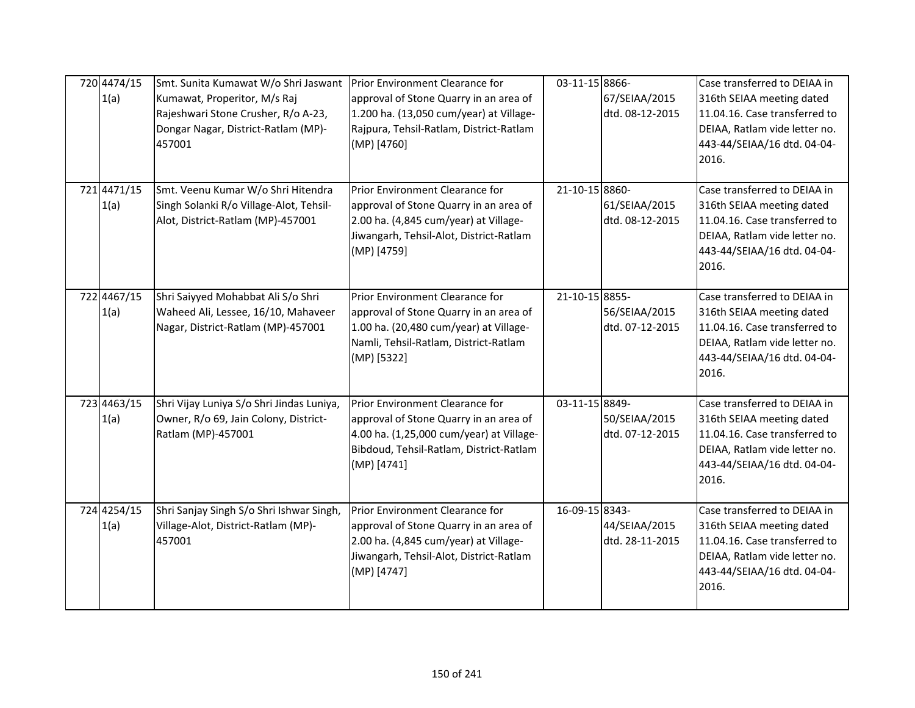| 720 4474/15<br>1(a) | Smt. Sunita Kumawat W/o Shri Jaswant<br>Kumawat, Properitor, M/s Raj<br>Rajeshwari Stone Crusher, R/o A-23,<br>Dongar Nagar, District-Ratlam (MP)-<br>457001 | Prior Environment Clearance for<br>approval of Stone Quarry in an area of<br>1.200 ha. (13,050 cum/year) at Village-<br>Rajpura, Tehsil-Ratlam, District-Ratlam<br>(MP) [4760]  | 03-11-15 8866- | 67/SEIAA/2015<br>dtd. 08-12-2015 | Case transferred to DEIAA in<br>316th SEIAA meeting dated<br>11.04.16. Case transferred to<br>DEIAA, Ratlam vide letter no.<br>443-44/SEIAA/16 dtd. 04-04-<br>2016. |
|---------------------|--------------------------------------------------------------------------------------------------------------------------------------------------------------|---------------------------------------------------------------------------------------------------------------------------------------------------------------------------------|----------------|----------------------------------|---------------------------------------------------------------------------------------------------------------------------------------------------------------------|
| 721 4471/15<br>1(a) | Smt. Veenu Kumar W/o Shri Hitendra<br>Singh Solanki R/o Village-Alot, Tehsil-<br>Alot, District-Ratlam (MP)-457001                                           | Prior Environment Clearance for<br>approval of Stone Quarry in an area of<br>2.00 ha. (4,845 cum/year) at Village-<br>Jiwangarh, Tehsil-Alot, District-Ratlam<br>(MP) [4759]    | 21-10-15 8860- | 61/SEIAA/2015<br>dtd. 08-12-2015 | Case transferred to DEIAA in<br>316th SEIAA meeting dated<br>11.04.16. Case transferred to<br>DEIAA, Ratlam vide letter no.<br>443-44/SEIAA/16 dtd. 04-04-<br>2016. |
| 722 4467/15<br>1(a) | Shri Saiyyed Mohabbat Ali S/o Shri<br>Waheed Ali, Lessee, 16/10, Mahaveer<br>Nagar, District-Ratlam (MP)-457001                                              | Prior Environment Clearance for<br>approval of Stone Quarry in an area of<br>1.00 ha. (20,480 cum/year) at Village-<br>Namli, Tehsil-Ratlam, District-Ratlam<br>(MP) [5322]     | 21-10-15 8855- | 56/SEIAA/2015<br>dtd. 07-12-2015 | Case transferred to DEIAA in<br>316th SEIAA meeting dated<br>11.04.16. Case transferred to<br>DEIAA, Ratlam vide letter no.<br>443-44/SEIAA/16 dtd. 04-04-<br>2016. |
| 723 4463/15<br>1(a) | Shri Vijay Luniya S/o Shri Jindas Luniya,<br>Owner, R/o 69, Jain Colony, District-<br>Ratlam (MP)-457001                                                     | Prior Environment Clearance for<br>approval of Stone Quarry in an area of<br>4.00 ha. (1,25,000 cum/year) at Village-<br>Bibdoud, Tehsil-Ratlam, District-Ratlam<br>(MP) [4741] | 03-11-15 8849- | 50/SEIAA/2015<br>dtd. 07-12-2015 | Case transferred to DEIAA in<br>316th SEIAA meeting dated<br>11.04.16. Case transferred to<br>DEIAA, Ratlam vide letter no.<br>443-44/SEIAA/16 dtd. 04-04-<br>2016. |
| 724 4254/15<br>1(a) | Shri Sanjay Singh S/o Shri Ishwar Singh,<br>Village-Alot, District-Ratlam (MP)-<br>457001                                                                    | Prior Environment Clearance for<br>approval of Stone Quarry in an area of<br>2.00 ha. (4,845 cum/year) at Village-<br>Jiwangarh, Tehsil-Alot, District-Ratlam<br>(MP) [4747]    | 16-09-15 8343- | 44/SEIAA/2015<br>dtd. 28-11-2015 | Case transferred to DEIAA in<br>316th SEIAA meeting dated<br>11.04.16. Case transferred to<br>DEIAA, Ratlam vide letter no.<br>443-44/SEIAA/16 dtd. 04-04-<br>2016. |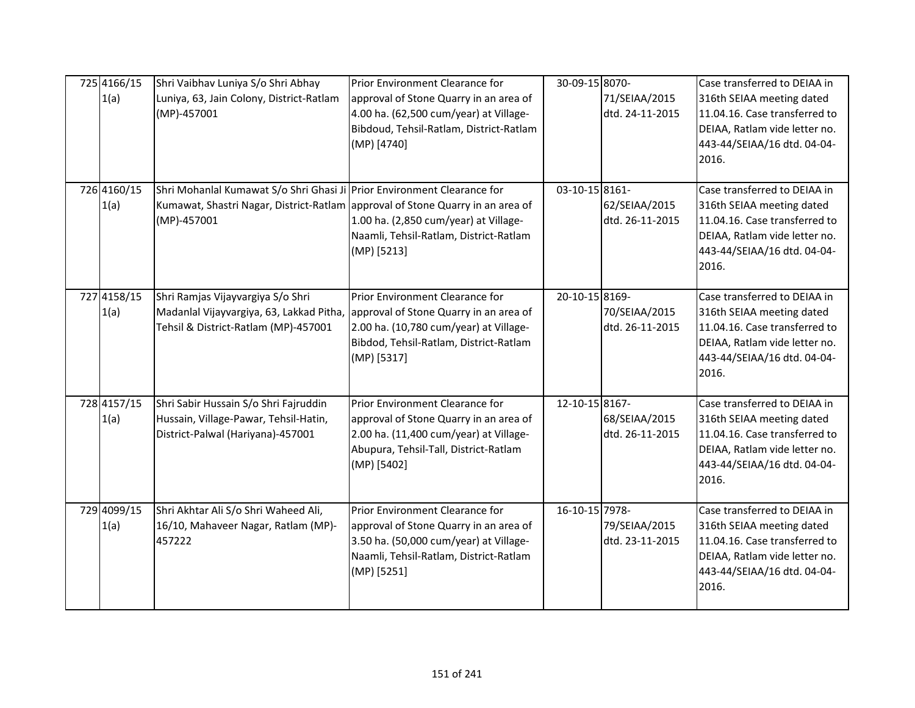| 725 4166/15<br>1(a) | Shri Vaibhav Luniya S/o Shri Abhay<br>Luniya, 63, Jain Colony, District-Ratlam<br>(MP)-457001                                                                            | Prior Environment Clearance for<br>approval of Stone Quarry in an area of<br>4.00 ha. (62,500 cum/year) at Village-<br>Bibdoud, Tehsil-Ratlam, District-Ratlam<br>(MP) [4740] | 30-09-15 8070- | 71/SEIAA/2015<br>dtd. 24-11-2015 | Case transferred to DEIAA in<br>316th SEIAA meeting dated<br>11.04.16. Case transferred to<br>DEIAA, Ratlam vide letter no.<br>443-44/SEIAA/16 dtd. 04-04-<br>2016. |
|---------------------|--------------------------------------------------------------------------------------------------------------------------------------------------------------------------|-------------------------------------------------------------------------------------------------------------------------------------------------------------------------------|----------------|----------------------------------|---------------------------------------------------------------------------------------------------------------------------------------------------------------------|
| 726 4160/15<br>1(a) | Shri Mohanlal Kumawat S/o Shri Ghasi Ji Prior Environment Clearance for<br>Kumawat, Shastri Nagar, District-Ratlam approval of Stone Quarry in an area of<br>(MP)-457001 | 1.00 ha. (2,850 cum/year) at Village-<br>Naamli, Tehsil-Ratlam, District-Ratlam<br>(MP) [5213]                                                                                | 03-10-15 8161- | 62/SEIAA/2015<br>dtd. 26-11-2015 | Case transferred to DEIAA in<br>316th SEIAA meeting dated<br>11.04.16. Case transferred to<br>DEIAA, Ratlam vide letter no.<br>443-44/SEIAA/16 dtd. 04-04-<br>2016. |
| 727 4158/15<br>1(a) | Shri Ramjas Vijayvargiya S/o Shri<br>Madanlal Vijayvargiya, 63, Lakkad Pitha,<br>Tehsil & District-Ratlam (MP)-457001                                                    | Prior Environment Clearance for<br>approval of Stone Quarry in an area of<br>2.00 ha. (10,780 cum/year) at Village-<br>Bibdod, Tehsil-Ratlam, District-Ratlam<br>(MP) [5317]  | 20-10-15 8169- | 70/SEIAA/2015<br>dtd. 26-11-2015 | Case transferred to DEIAA in<br>316th SEIAA meeting dated<br>11.04.16. Case transferred to<br>DEIAA, Ratlam vide letter no.<br>443-44/SEIAA/16 dtd. 04-04-<br>2016. |
| 728 4157/15<br>1(a) | Shri Sabir Hussain S/o Shri Fajruddin<br>Hussain, Village-Pawar, Tehsil-Hatin,<br>District-Palwal (Hariyana)-457001                                                      | Prior Environment Clearance for<br>approval of Stone Quarry in an area of<br>2.00 ha. (11,400 cum/year) at Village-<br>Abupura, Tehsil-Tall, District-Ratlam<br>(MP) [5402]   | 12-10-15 8167- | 68/SEIAA/2015<br>dtd. 26-11-2015 | Case transferred to DEIAA in<br>316th SEIAA meeting dated<br>11.04.16. Case transferred to<br>DEIAA, Ratlam vide letter no.<br>443-44/SEIAA/16 dtd. 04-04-<br>2016. |
| 729 4099/15<br>1(a) | Shri Akhtar Ali S/o Shri Waheed Ali,<br>16/10, Mahaveer Nagar, Ratlam (MP)-<br>457222                                                                                    | Prior Environment Clearance for<br>approval of Stone Quarry in an area of<br>3.50 ha. (50,000 cum/year) at Village-<br>Naamli, Tehsil-Ratlam, District-Ratlam<br>(MP) [5251]  | 16-10-15 7978- | 79/SEIAA/2015<br>dtd. 23-11-2015 | Case transferred to DEIAA in<br>316th SEIAA meeting dated<br>11.04.16. Case transferred to<br>DEIAA, Ratlam vide letter no.<br>443-44/SEIAA/16 dtd. 04-04-<br>2016. |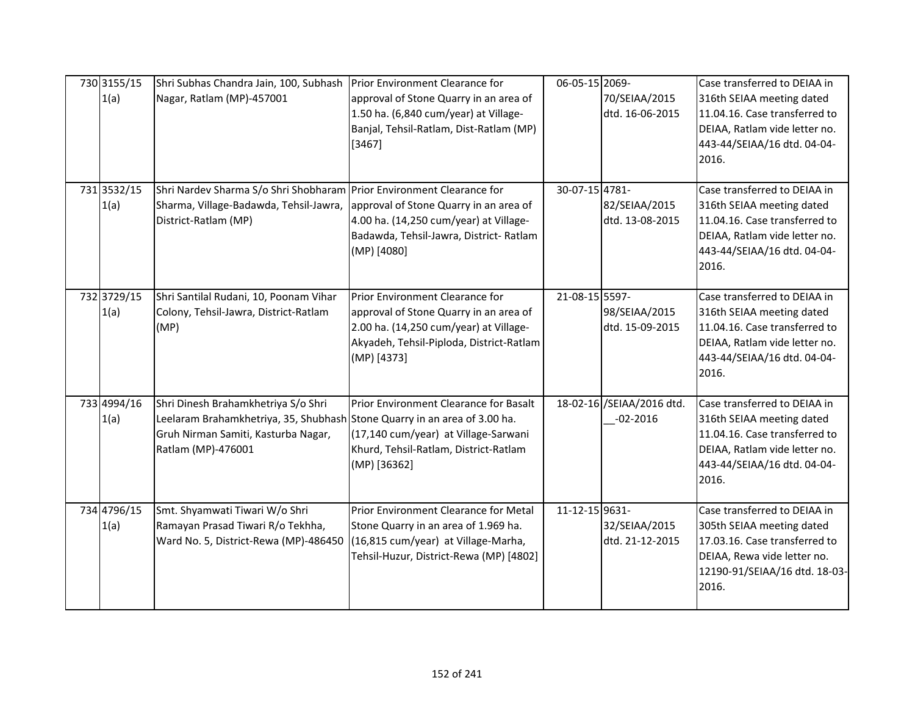| 730 3155/15<br>1(a) | Shri Subhas Chandra Jain, 100, Subhash<br>Nagar, Ratlam (MP)-457001                                                                                                            | Prior Environment Clearance for<br>approval of Stone Quarry in an area of<br>1.50 ha. (6,840 cum/year) at Village-<br>Banjal, Tehsil-Ratlam, Dist-Ratlam (MP)<br>[3467]        | 06-05-15 2069- | 70/SEIAA/2015<br>dtd. 16-06-2015           | Case transferred to DEIAA in<br>316th SEIAA meeting dated<br>11.04.16. Case transferred to<br>DEIAA, Ratlam vide letter no.<br>443-44/SEIAA/16 dtd. 04-04-<br>2016. |
|---------------------|--------------------------------------------------------------------------------------------------------------------------------------------------------------------------------|--------------------------------------------------------------------------------------------------------------------------------------------------------------------------------|----------------|--------------------------------------------|---------------------------------------------------------------------------------------------------------------------------------------------------------------------|
| 731 3532/15<br>1(a) | Shri Nardev Sharma S/o Shri Shobharam Prior Environment Clearance for<br>Sharma, Village-Badawda, Tehsil-Jawra, approval of Stone Quarry in an area of<br>District-Ratlam (MP) | 4.00 ha. (14,250 cum/year) at Village-<br>Badawda, Tehsil-Jawra, District- Ratlam<br>(MP) [4080]                                                                               | 30-07-15 4781- | 82/SEIAA/2015<br>dtd. 13-08-2015           | Case transferred to DEIAA in<br>316th SEIAA meeting dated<br>11.04.16. Case transferred to<br>DEIAA, Ratlam vide letter no.<br>443-44/SEIAA/16 dtd. 04-04-<br>2016. |
| 732 3729/15<br>1(a) | Shri Santilal Rudani, 10, Poonam Vihar<br>Colony, Tehsil-Jawra, District-Ratlam<br>(MP)                                                                                        | Prior Environment Clearance for<br>approval of Stone Quarry in an area of<br>2.00 ha. (14,250 cum/year) at Village-<br>Akyadeh, Tehsil-Piploda, District-Ratlam<br>(MP) [4373] | 21-08-15 5597- | 98/SEIAA/2015<br>dtd. 15-09-2015           | Case transferred to DEIAA in<br>316th SEIAA meeting dated<br>11.04.16. Case transferred to<br>DEIAA, Ratlam vide letter no.<br>443-44/SEIAA/16 dtd. 04-04-<br>2016. |
| 733 4994/16<br>1(a) | Shri Dinesh Brahamkhetriya S/o Shri<br>Leelaram Brahamkhetriya, 35, Shubhash Stone Quarry in an area of 3.00 ha.<br>Gruh Nirman Samiti, Kasturba Nagar,<br>Ratlam (MP)-476001  | Prior Environment Clearance for Basalt<br>(17,140 cum/year) at Village-Sarwani<br>Khurd, Tehsil-Ratlam, District-Ratlam<br>(MP) [36362]                                        |                | 18-02-16 / SEIAA/2016 dtd.<br>$-02 - 2016$ | Case transferred to DEIAA in<br>316th SEIAA meeting dated<br>11.04.16. Case transferred to<br>DEIAA, Ratlam vide letter no.<br>443-44/SEIAA/16 dtd. 04-04-<br>2016. |
| 734 4796/15<br>1(a) | Smt. Shyamwati Tiwari W/o Shri<br>Ramayan Prasad Tiwari R/o Tekhha,<br>Ward No. 5, District-Rewa (MP)-486450                                                                   | Prior Environment Clearance for Metal<br>Stone Quarry in an area of 1.969 ha.<br>(16,815 cum/year) at Village-Marha,<br>Tehsil-Huzur, District-Rewa (MP) [4802]                | 11-12-15 9631- | 32/SEIAA/2015<br>dtd. 21-12-2015           | Case transferred to DEIAA in<br>305th SEIAA meeting dated<br>17.03.16. Case transferred to<br>DEIAA, Rewa vide letter no.<br>12190-91/SEIAA/16 dtd. 18-03-<br>2016. |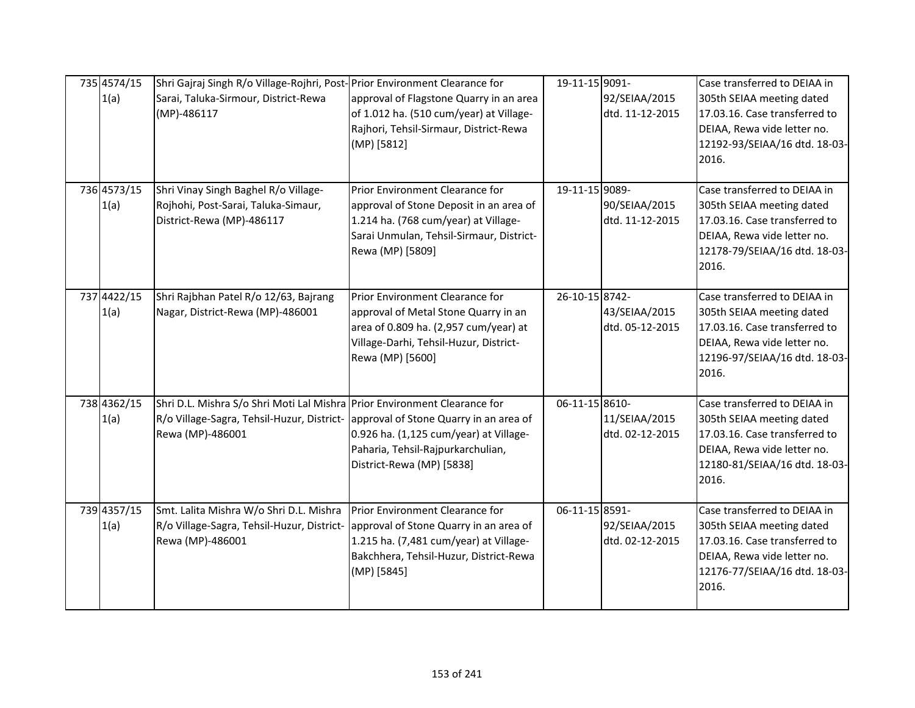| 735 4574/15<br>1(a) | Shri Gajraj Singh R/o Village-Rojhri, Post-Prior Environment Clearance for<br>Sarai, Taluka-Sirmour, District-Rewa<br>(MP)-486117                                                  | approval of Flagstone Quarry in an area<br>of 1.012 ha. (510 cum/year) at Village-<br>Rajhori, Tehsil-Sirmaur, District-Rewa<br>(MP) [5812]                                        | 19-11-15 9091- | 92/SEIAA/2015<br>dtd. 11-12-2015 | Case transferred to DEIAA in<br>305th SEIAA meeting dated<br>17.03.16. Case transferred to<br>DEIAA, Rewa vide letter no.<br>12192-93/SEIAA/16 dtd. 18-03-<br>2016. |
|---------------------|------------------------------------------------------------------------------------------------------------------------------------------------------------------------------------|------------------------------------------------------------------------------------------------------------------------------------------------------------------------------------|----------------|----------------------------------|---------------------------------------------------------------------------------------------------------------------------------------------------------------------|
| 736 4573/15<br>1(a) | Shri Vinay Singh Baghel R/o Village-<br>Rojhohi, Post-Sarai, Taluka-Simaur,<br>District-Rewa (MP)-486117                                                                           | Prior Environment Clearance for<br>approval of Stone Deposit in an area of<br>1.214 ha. (768 cum/year) at Village-<br>Sarai Unmulan, Tehsil-Sirmaur, District-<br>Rewa (MP) [5809] | 19-11-15 9089- | 90/SEIAA/2015<br>dtd. 11-12-2015 | Case transferred to DEIAA in<br>305th SEIAA meeting dated<br>17.03.16. Case transferred to<br>DEIAA, Rewa vide letter no.<br>12178-79/SEIAA/16 dtd. 18-03-<br>2016. |
| 737 4422/15<br>1(a) | Shri Rajbhan Patel R/o 12/63, Bajrang<br>Nagar, District-Rewa (MP)-486001                                                                                                          | Prior Environment Clearance for<br>approval of Metal Stone Quarry in an<br>area of 0.809 ha. (2,957 cum/year) at<br>Village-Darhi, Tehsil-Huzur, District-<br>Rewa (MP) [5600]     | 26-10-15 8742- | 43/SEIAA/2015<br>dtd. 05-12-2015 | Case transferred to DEIAA in<br>305th SEIAA meeting dated<br>17.03.16. Case transferred to<br>DEIAA, Rewa vide letter no.<br>12196-97/SEIAA/16 dtd. 18-03-<br>2016. |
| 738 4362/15<br>1(a) | Shri D.L. Mishra S/o Shri Moti Lal Mishra Prior Environment Clearance for<br>R/o Village-Sagra, Tehsil-Huzur, District- approval of Stone Quarry in an area of<br>Rewa (MP)-486001 | 0.926 ha. (1,125 cum/year) at Village-<br>Paharia, Tehsil-Rajpurkarchulian,<br>District-Rewa (MP) [5838]                                                                           | 06-11-15 8610- | 11/SEIAA/2015<br>dtd. 02-12-2015 | Case transferred to DEIAA in<br>305th SEIAA meeting dated<br>17.03.16. Case transferred to<br>DEIAA, Rewa vide letter no.<br>12180-81/SEIAA/16 dtd. 18-03-<br>2016. |
| 739 4357/15<br>1(a) | Smt. Lalita Mishra W/o Shri D.L. Mishra<br>R/o Village-Sagra, Tehsil-Huzur, District-<br>Rewa (MP)-486001                                                                          | Prior Environment Clearance for<br>approval of Stone Quarry in an area of<br>1.215 ha. (7,481 cum/year) at Village-<br>Bakchhera, Tehsil-Huzur, District-Rewa<br>(MP) [5845]       | 06-11-15 8591- | 92/SEIAA/2015<br>dtd. 02-12-2015 | Case transferred to DEIAA in<br>305th SEIAA meeting dated<br>17.03.16. Case transferred to<br>DEIAA, Rewa vide letter no.<br>12176-77/SEIAA/16 dtd. 18-03-<br>2016. |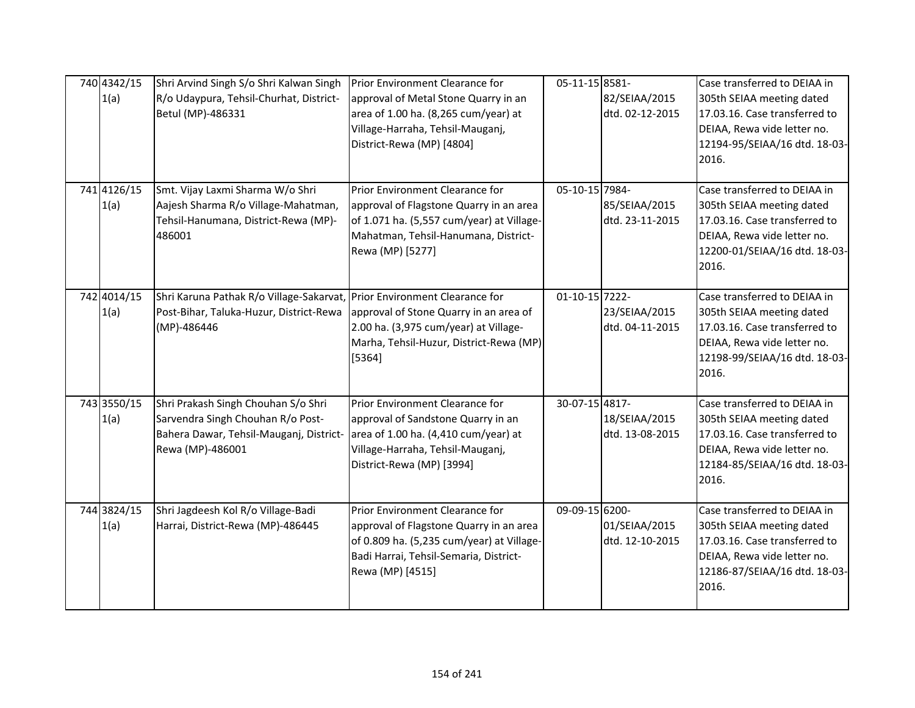| 740 4342/15<br>1(a) | Shri Arvind Singh S/o Shri Kalwan Singh<br>R/o Udaypura, Tehsil-Churhat, District-<br>Betul (MP)-486331                                 | Prior Environment Clearance for<br>approval of Metal Stone Quarry in an<br>area of 1.00 ha. (8,265 cum/year) at<br>Village-Harraha, Tehsil-Mauganj,<br>District-Rewa (MP) [4804]      | 05-11-15 8581- | 82/SEIAA/2015<br>dtd. 02-12-2015 | Case transferred to DEIAA in<br>305th SEIAA meeting dated<br>17.03.16. Case transferred to<br>DEIAA, Rewa vide letter no.<br>12194-95/SEIAA/16 dtd. 18-03-<br>2016. |
|---------------------|-----------------------------------------------------------------------------------------------------------------------------------------|---------------------------------------------------------------------------------------------------------------------------------------------------------------------------------------|----------------|----------------------------------|---------------------------------------------------------------------------------------------------------------------------------------------------------------------|
| 741 4126/15<br>1(a) | Smt. Vijay Laxmi Sharma W/o Shri<br>Aajesh Sharma R/o Village-Mahatman,<br>Tehsil-Hanumana, District-Rewa (MP)-<br>486001               | Prior Environment Clearance for<br>approval of Flagstone Quarry in an area<br>of 1.071 ha. (5,557 cum/year) at Village-<br>Mahatman, Tehsil-Hanumana, District-<br>Rewa (MP) [5277]   | 05-10-15 7984- | 85/SEIAA/2015<br>dtd. 23-11-2015 | Case transferred to DEIAA in<br>305th SEIAA meeting dated<br>17.03.16. Case transferred to<br>DEIAA, Rewa vide letter no.<br>12200-01/SEIAA/16 dtd. 18-03-<br>2016. |
| 742 4014/15<br>1(a) | Shri Karuna Pathak R/o Village-Sakarvat, Prior Environment Clearance for<br>Post-Bihar, Taluka-Huzur, District-Rewa<br>(MP)-486446      | approval of Stone Quarry in an area of<br>2.00 ha. (3,975 cum/year) at Village-<br>Marha, Tehsil-Huzur, District-Rewa (MP)<br>[5364]                                                  | 01-10-15 7222- | 23/SEIAA/2015<br>dtd. 04-11-2015 | Case transferred to DEIAA in<br>305th SEIAA meeting dated<br>17.03.16. Case transferred to<br>DEIAA, Rewa vide letter no.<br>12198-99/SEIAA/16 dtd. 18-03-<br>2016. |
| 743 3550/15<br>1(a) | Shri Prakash Singh Chouhan S/o Shri<br>Sarvendra Singh Chouhan R/o Post-<br>Bahera Dawar, Tehsil-Mauganj, District-<br>Rewa (MP)-486001 | Prior Environment Clearance for<br>approval of Sandstone Quarry in an<br>area of 1.00 ha. (4,410 cum/year) at<br>Village-Harraha, Tehsil-Mauganj,<br>District-Rewa (MP) [3994]        | 30-07-15 4817- | 18/SEIAA/2015<br>dtd. 13-08-2015 | Case transferred to DEIAA in<br>305th SEIAA meeting dated<br>17.03.16. Case transferred to<br>DEIAA, Rewa vide letter no.<br>12184-85/SEIAA/16 dtd. 18-03-<br>2016. |
| 744 3824/15<br>1(a) | Shri Jagdeesh Kol R/o Village-Badi<br>Harrai, District-Rewa (MP)-486445                                                                 | Prior Environment Clearance for<br>approval of Flagstone Quarry in an area<br>of 0.809 ha. (5,235 cum/year) at Village-<br>Badi Harrai, Tehsil-Semaria, District-<br>Rewa (MP) [4515] | 09-09-15 6200- | 01/SEIAA/2015<br>dtd. 12-10-2015 | Case transferred to DEIAA in<br>305th SEIAA meeting dated<br>17.03.16. Case transferred to<br>DEIAA, Rewa vide letter no.<br>12186-87/SEIAA/16 dtd. 18-03-<br>2016. |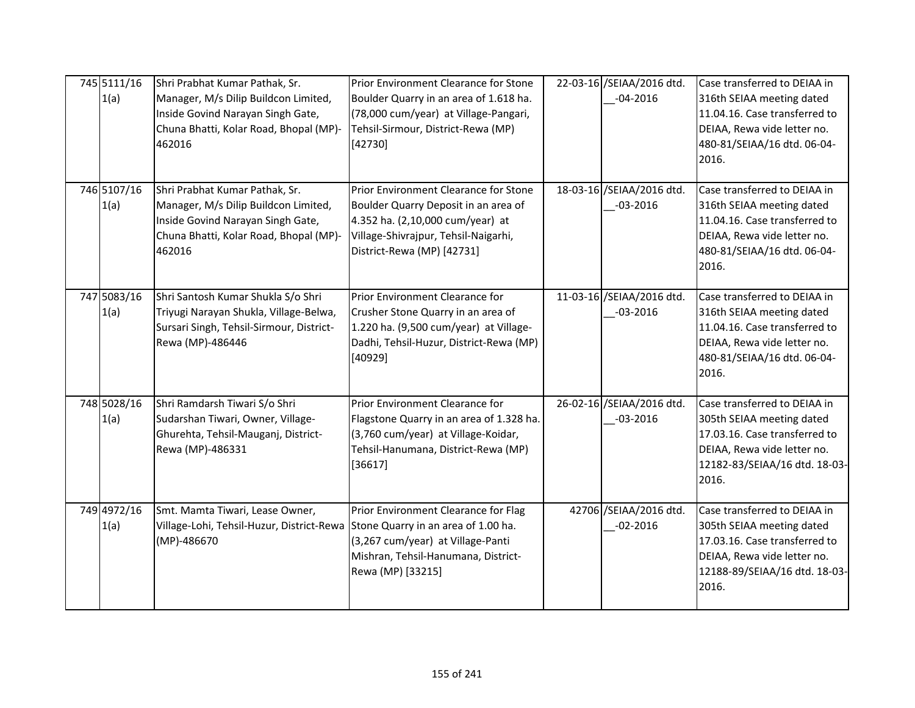| 745 5111/16<br>1(a) | Shri Prabhat Kumar Pathak, Sr.<br>Manager, M/s Dilip Buildcon Limited,<br>Inside Govind Narayan Singh Gate,<br>Chuna Bhatti, Kolar Road, Bhopal (MP)-<br>462016 | Prior Environment Clearance for Stone<br>Boulder Quarry in an area of 1.618 ha.<br>(78,000 cum/year) at Village-Pangari,<br>Tehsil-Sirmour, District-Rewa (MP)<br>[42730]               | 22-03-16 /SEIAA/2016 dtd.<br>$-04 - 2016$  | Case transferred to DEIAA in<br>316th SEIAA meeting dated<br>11.04.16. Case transferred to<br>DEIAA, Rewa vide letter no.<br>480-81/SEIAA/16 dtd. 06-04-<br>2016.   |
|---------------------|-----------------------------------------------------------------------------------------------------------------------------------------------------------------|-----------------------------------------------------------------------------------------------------------------------------------------------------------------------------------------|--------------------------------------------|---------------------------------------------------------------------------------------------------------------------------------------------------------------------|
| 746 5107/16<br>1(a) | Shri Prabhat Kumar Pathak, Sr.<br>Manager, M/s Dilip Buildcon Limited,<br>Inside Govind Narayan Singh Gate,<br>Chuna Bhatti, Kolar Road, Bhopal (MP)-<br>462016 | Prior Environment Clearance for Stone<br>Boulder Quarry Deposit in an area of<br>4.352 ha. (2,10,000 cum/year) at<br>Village-Shivrajpur, Tehsil-Naigarhi,<br>District-Rewa (MP) [42731] | 18-03-16 / SEIAA/2016 dtd.<br>$-03 - 2016$ | Case transferred to DEIAA in<br>316th SEIAA meeting dated<br>11.04.16. Case transferred to<br>DEIAA, Rewa vide letter no.<br>480-81/SEIAA/16 dtd. 06-04-<br>2016.   |
| 747 5083/16<br>1(a) | Shri Santosh Kumar Shukla S/o Shri<br>Triyugi Narayan Shukla, Village-Belwa,<br>Sursari Singh, Tehsil-Sirmour, District-<br>Rewa (MP)-486446                    | Prior Environment Clearance for<br>Crusher Stone Quarry in an area of<br>1.220 ha. (9,500 cum/year) at Village-<br>Dadhi, Tehsil-Huzur, District-Rewa (MP)<br>[40929]                   | 11-03-16 / SEIAA/2016 dtd.<br>$-03 - 2016$ | Case transferred to DEIAA in<br>316th SEIAA meeting dated<br>11.04.16. Case transferred to<br>DEIAA, Rewa vide letter no.<br>480-81/SEIAA/16 dtd. 06-04-<br>2016.   |
| 748 5028/16<br>1(a) | Shri Ramdarsh Tiwari S/o Shri<br>Sudarshan Tiwari, Owner, Village-<br>Ghurehta, Tehsil-Mauganj, District-<br>Rewa (MP)-486331                                   | Prior Environment Clearance for<br>Flagstone Quarry in an area of 1.328 ha.<br>(3,760 cum/year) at Village-Koidar,<br>Tehsil-Hanumana, District-Rewa (MP)<br>[36617]                    | 26-02-16 /SEIAA/2016 dtd.<br>$-03 - 2016$  | Case transferred to DEIAA in<br>305th SEIAA meeting dated<br>17.03.16. Case transferred to<br>DEIAA, Rewa vide letter no.<br>12182-83/SEIAA/16 dtd. 18-03-<br>2016. |
| 749 4972/16<br>1(a) | Smt. Mamta Tiwari, Lease Owner,<br>Village-Lohi, Tehsil-Huzur, District-Rewa<br>(MP)-486670                                                                     | Prior Environment Clearance for Flag<br>Stone Quarry in an area of 1.00 ha.<br>(3,267 cum/year) at Village-Panti<br>Mishran, Tehsil-Hanumana, District-<br>Rewa (MP) [33215]            | 42706 / SEIAA/2016 dtd.<br>$-02 - 2016$    | Case transferred to DEIAA in<br>305th SEIAA meeting dated<br>17.03.16. Case transferred to<br>DEIAA, Rewa vide letter no.<br>12188-89/SEIAA/16 dtd. 18-03-<br>2016. |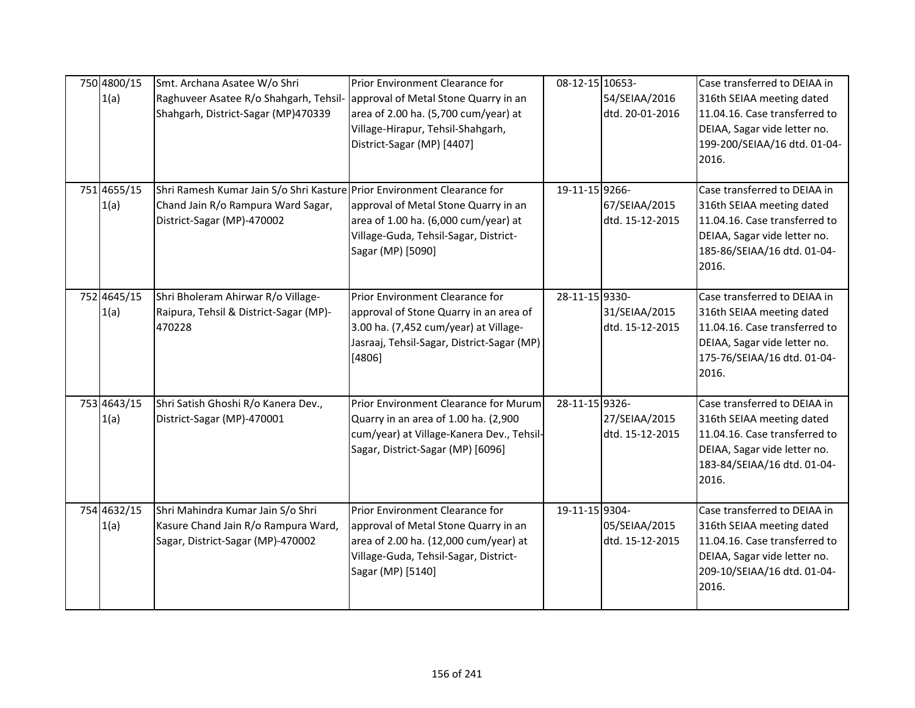| 750 4800/15<br>1(a) | Smt. Archana Asatee W/o Shri<br>Raghuveer Asatee R/o Shahgarh, Tehsil-<br>Shahgarh, District-Sagar (MP)470339                               | Prior Environment Clearance for<br>approval of Metal Stone Quarry in an<br>area of 2.00 ha. (5,700 cum/year) at<br>Village-Hirapur, Tehsil-Shahgarh,<br>District-Sagar (MP) [4407] | 08-12-15 10653- | 54/SEIAA/2016<br>dtd. 20-01-2016 | Case transferred to DEIAA in<br>316th SEIAA meeting dated<br>11.04.16. Case transferred to<br>DEIAA, Sagar vide letter no.<br>199-200/SEIAA/16 dtd. 01-04-<br>2016. |
|---------------------|---------------------------------------------------------------------------------------------------------------------------------------------|------------------------------------------------------------------------------------------------------------------------------------------------------------------------------------|-----------------|----------------------------------|---------------------------------------------------------------------------------------------------------------------------------------------------------------------|
| 751 4655/15<br>1(a) | Shri Ramesh Kumar Jain S/o Shri Kasture Prior Environment Clearance for<br>Chand Jain R/o Rampura Ward Sagar,<br>District-Sagar (MP)-470002 | approval of Metal Stone Quarry in an<br>area of 1.00 ha. (6,000 cum/year) at<br>Village-Guda, Tehsil-Sagar, District-<br>Sagar (MP) [5090]                                         | 19-11-15 9266-  | 67/SEIAA/2015<br>dtd. 15-12-2015 | Case transferred to DEIAA in<br>316th SEIAA meeting dated<br>11.04.16. Case transferred to<br>DEIAA, Sagar vide letter no.<br>185-86/SEIAA/16 dtd. 01-04-<br>2016.  |
| 752 4645/15<br>1(a) | Shri Bholeram Ahirwar R/o Village-<br>Raipura, Tehsil & District-Sagar (MP)-<br>470228                                                      | Prior Environment Clearance for<br>approval of Stone Quarry in an area of<br>3.00 ha. (7,452 cum/year) at Village-<br>Jasraaj, Tehsil-Sagar, District-Sagar (MP)<br>[4806]         | 28-11-15 9330-  | 31/SEIAA/2015<br>dtd. 15-12-2015 | Case transferred to DEIAA in<br>316th SEIAA meeting dated<br>11.04.16. Case transferred to<br>DEIAA, Sagar vide letter no.<br>175-76/SEIAA/16 dtd. 01-04-<br>2016.  |
| 753 4643/15<br>1(a) | Shri Satish Ghoshi R/o Kanera Dev.,<br>District-Sagar (MP)-470001                                                                           | Prior Environment Clearance for Murum<br>Quarry in an area of 1.00 ha. (2,900<br>cum/year) at Village-Kanera Dev., Tehsil-<br>Sagar, District-Sagar (MP) [6096]                    | 28-11-15 9326-  | 27/SEIAA/2015<br>dtd. 15-12-2015 | Case transferred to DEIAA in<br>316th SEIAA meeting dated<br>11.04.16. Case transferred to<br>DEIAA, Sagar vide letter no.<br>183-84/SEIAA/16 dtd. 01-04-<br>2016.  |
| 754 4632/15<br>1(a) | Shri Mahindra Kumar Jain S/o Shri<br>Kasure Chand Jain R/o Rampura Ward,<br>Sagar, District-Sagar (MP)-470002                               | Prior Environment Clearance for<br>approval of Metal Stone Quarry in an<br>area of 2.00 ha. (12,000 cum/year) at<br>Village-Guda, Tehsil-Sagar, District-<br>Sagar (MP) [5140]     | 19-11-15 9304-  | 05/SEIAA/2015<br>dtd. 15-12-2015 | Case transferred to DEIAA in<br>316th SEIAA meeting dated<br>11.04.16. Case transferred to<br>DEIAA, Sagar vide letter no.<br>209-10/SEIAA/16 dtd. 01-04-<br>2016.  |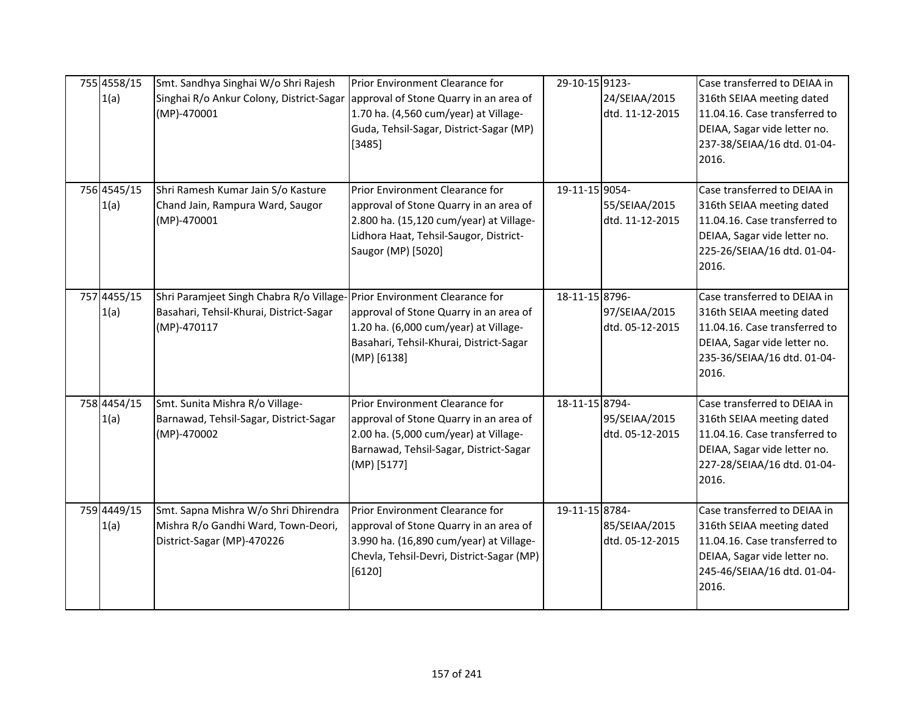| 755 4558/15<br>1(a) | Smt. Sandhya Singhai W/o Shri Rajesh<br>Singhai R/o Ankur Colony, District-Sagar<br>(MP)-470001           | Prior Environment Clearance for<br>approval of Stone Quarry in an area of<br>1.70 ha. (4,560 cum/year) at Village-<br>Guda, Tehsil-Sagar, District-Sagar (MP)<br>[3485]              | 29-10-15 9123- | 24/SEIAA/2015<br>dtd. 11-12-2015 | Case transferred to DEIAA in<br>316th SEIAA meeting dated<br>11.04.16. Case transferred to<br>DEIAA, Sagar vide letter no.<br>237-38/SEIAA/16 dtd. 01-04-<br>2016. |
|---------------------|-----------------------------------------------------------------------------------------------------------|--------------------------------------------------------------------------------------------------------------------------------------------------------------------------------------|----------------|----------------------------------|--------------------------------------------------------------------------------------------------------------------------------------------------------------------|
| 756 4545/15<br>1(a) | Shri Ramesh Kumar Jain S/o Kasture<br>Chand Jain, Rampura Ward, Saugor<br>(MP)-470001                     | Prior Environment Clearance for<br>approval of Stone Quarry in an area of<br>2.800 ha. (15,120 cum/year) at Village-<br>Lidhora Haat, Tehsil-Saugor, District-<br>Saugor (MP) [5020] | 19-11-15 9054- | 55/SEIAA/2015<br>dtd. 11-12-2015 | Case transferred to DEIAA in<br>316th SEIAA meeting dated<br>11.04.16. Case transferred to<br>DEIAA, Sagar vide letter no.<br>225-26/SEIAA/16 dtd. 01-04-<br>2016. |
| 757 4455/15<br>1(a) | Shri Paramjeet Singh Chabra R/o Village-<br>Basahari, Tehsil-Khurai, District-Sagar<br>(MP)-470117        | Prior Environment Clearance for<br>approval of Stone Quarry in an area of<br>1.20 ha. (6,000 cum/year) at Village-<br>Basahari, Tehsil-Khurai, District-Sagar<br>(MP) [6138]         | 18-11-15 8796- | 97/SEIAA/2015<br>dtd. 05-12-2015 | Case transferred to DEIAA in<br>316th SEIAA meeting dated<br>11.04.16. Case transferred to<br>DEIAA, Sagar vide letter no.<br>235-36/SEIAA/16 dtd. 01-04-<br>2016. |
| 758 4454/15<br>1(a) | Smt. Sunita Mishra R/o Village-<br>Barnawad, Tehsil-Sagar, District-Sagar<br>(MP)-470002                  | Prior Environment Clearance for<br>approval of Stone Quarry in an area of<br>2.00 ha. (5,000 cum/year) at Village-<br>Barnawad, Tehsil-Sagar, District-Sagar<br>(MP) [5177]          | 18-11-15 8794- | 95/SEIAA/2015<br>dtd. 05-12-2015 | Case transferred to DEIAA in<br>316th SEIAA meeting dated<br>11.04.16. Case transferred to<br>DEIAA, Sagar vide letter no.<br>227-28/SEIAA/16 dtd. 01-04-<br>2016. |
| 759 4449/15<br>1(a) | Smt. Sapna Mishra W/o Shri Dhirendra<br>Mishra R/o Gandhi Ward, Town-Deori,<br>District-Sagar (MP)-470226 | Prior Environment Clearance for<br>approval of Stone Quarry in an area of<br>3.990 ha. (16,890 cum/year) at Village-<br>Chevla, Tehsil-Devri, District-Sagar (MP)<br>[6120]          | 19-11-15 8784- | 85/SEIAA/2015<br>dtd. 05-12-2015 | Case transferred to DEIAA in<br>316th SEIAA meeting dated<br>11.04.16. Case transferred to<br>DEIAA, Sagar vide letter no.<br>245-46/SEIAA/16 dtd. 01-04-<br>2016. |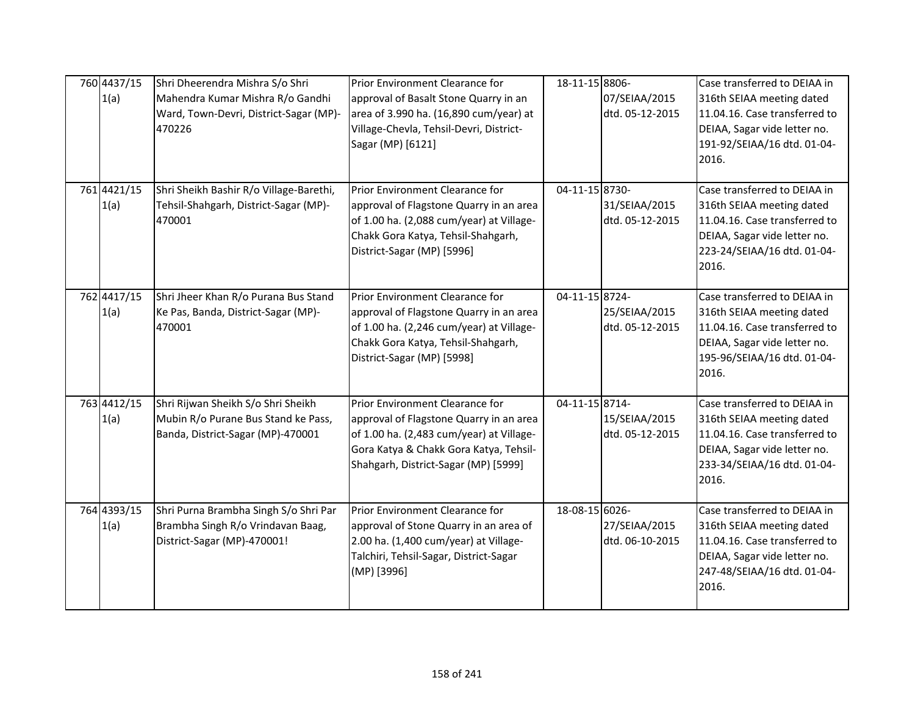| 760 4437/15<br>1(a) | Shri Dheerendra Mishra S/o Shri<br>Mahendra Kumar Mishra R/o Gandhi<br>Ward, Town-Devri, District-Sagar (MP)-<br>470226 | Prior Environment Clearance for<br>approval of Basalt Stone Quarry in an<br>area of 3.990 ha. (16,890 cum/year) at<br>Village-Chevla, Tehsil-Devri, District-<br>Sagar (MP) [6121]                       | 18-11-15 8806-     | 07/SEIAA/2015<br>dtd. 05-12-2015 | Case transferred to DEIAA in<br>316th SEIAA meeting dated<br>11.04.16. Case transferred to<br>DEIAA, Sagar vide letter no.<br>191-92/SEIAA/16 dtd. 01-04-<br>2016. |
|---------------------|-------------------------------------------------------------------------------------------------------------------------|----------------------------------------------------------------------------------------------------------------------------------------------------------------------------------------------------------|--------------------|----------------------------------|--------------------------------------------------------------------------------------------------------------------------------------------------------------------|
| 761 4421/15<br>1(a) | Shri Sheikh Bashir R/o Village-Barethi,<br>Tehsil-Shahgarh, District-Sagar (MP)-<br>470001                              | Prior Environment Clearance for<br>approval of Flagstone Quarry in an area<br>of 1.00 ha. (2,088 cum/year) at Village-<br>Chakk Gora Katya, Tehsil-Shahgarh,<br>District-Sagar (MP) [5996]               | 04-11-15 8730-     | 31/SEIAA/2015<br>dtd. 05-12-2015 | Case transferred to DEIAA in<br>316th SEIAA meeting dated<br>11.04.16. Case transferred to<br>DEIAA, Sagar vide letter no.<br>223-24/SEIAA/16 dtd. 01-04-<br>2016. |
| 762 4417/15<br>1(a) | Shri Jheer Khan R/o Purana Bus Stand<br>Ke Pas, Banda, District-Sagar (MP)-<br>470001                                   | Prior Environment Clearance for<br>approval of Flagstone Quarry in an area<br>of 1.00 ha. (2,246 cum/year) at Village-<br>Chakk Gora Katya, Tehsil-Shahgarh,<br>District-Sagar (MP) [5998]               | 04-11-15 8724-     | 25/SEIAA/2015<br>dtd. 05-12-2015 | Case transferred to DEIAA in<br>316th SEIAA meeting dated<br>11.04.16. Case transferred to<br>DEIAA, Sagar vide letter no.<br>195-96/SEIAA/16 dtd. 01-04-<br>2016. |
| 763 4412/15<br>1(a) | Shri Rijwan Sheikh S/o Shri Sheikh<br>Mubin R/o Purane Bus Stand ke Pass,<br>Banda, District-Sagar (MP)-470001          | Prior Environment Clearance for<br>approval of Flagstone Quarry in an area<br>of 1.00 ha. (2,483 cum/year) at Village-<br>Gora Katya & Chakk Gora Katya, Tehsil-<br>Shahgarh, District-Sagar (MP) [5999] | $04 - 11 - 158714$ | 15/SEIAA/2015<br>dtd. 05-12-2015 | Case transferred to DEIAA in<br>316th SEIAA meeting dated<br>11.04.16. Case transferred to<br>DEIAA, Sagar vide letter no.<br>233-34/SEIAA/16 dtd. 01-04-<br>2016. |
| 764 4393/15<br>1(a) | Shri Purna Brambha Singh S/o Shri Par<br>Brambha Singh R/o Vrindavan Baag,<br>District-Sagar (MP)-470001!               | Prior Environment Clearance for<br>approval of Stone Quarry in an area of<br>2.00 ha. (1,400 cum/year) at Village-<br>Talchiri, Tehsil-Sagar, District-Sagar<br>(MP) [3996]                              | 18-08-15 6026-     | 27/SEIAA/2015<br>dtd. 06-10-2015 | Case transferred to DEIAA in<br>316th SEIAA meeting dated<br>11.04.16. Case transferred to<br>DEIAA, Sagar vide letter no.<br>247-48/SEIAA/16 dtd. 01-04-<br>2016. |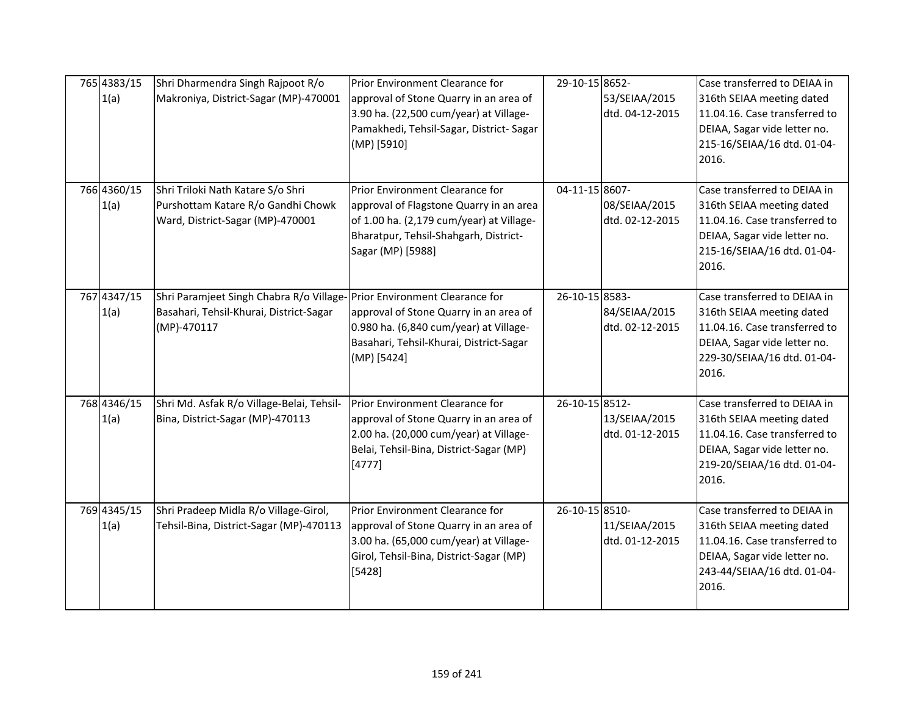| 765 4383/15<br>1(a) | Shri Dharmendra Singh Rajpoot R/o<br>Makroniya, District-Sagar (MP)-470001                                  | Prior Environment Clearance for<br>approval of Stone Quarry in an area of<br>3.90 ha. (22,500 cum/year) at Village-<br>Pamakhedi, Tehsil-Sagar, District-Sagar<br>(MP) [5910]        | 29-10-15 8652- | 53/SEIAA/2015<br>dtd. 04-12-2015 | Case transferred to DEIAA in<br>316th SEIAA meeting dated<br>11.04.16. Case transferred to<br>DEIAA, Sagar vide letter no.<br>215-16/SEIAA/16 dtd. 01-04-<br>2016. |
|---------------------|-------------------------------------------------------------------------------------------------------------|--------------------------------------------------------------------------------------------------------------------------------------------------------------------------------------|----------------|----------------------------------|--------------------------------------------------------------------------------------------------------------------------------------------------------------------|
| 766 4360/15<br>1(a) | Shri Triloki Nath Katare S/o Shri<br>Purshottam Katare R/o Gandhi Chowk<br>Ward, District-Sagar (MP)-470001 | Prior Environment Clearance for<br>approval of Flagstone Quarry in an area<br>of 1.00 ha. (2,179 cum/year) at Village-<br>Bharatpur, Tehsil-Shahgarh, District-<br>Sagar (MP) [5988] | 04-11-15 8607- | 08/SEIAA/2015<br>dtd. 02-12-2015 | Case transferred to DEIAA in<br>316th SEIAA meeting dated<br>11.04.16. Case transferred to<br>DEIAA, Sagar vide letter no.<br>215-16/SEIAA/16 dtd. 01-04-<br>2016. |
| 767 4347/15<br>1(a) | Shri Paramjeet Singh Chabra R/o Village-<br>Basahari, Tehsil-Khurai, District-Sagar<br>(MP)-470117          | Prior Environment Clearance for<br>approval of Stone Quarry in an area of<br>0.980 ha. (6,840 cum/year) at Village-<br>Basahari, Tehsil-Khurai, District-Sagar<br>(MP) [5424]        | 26-10-15 8583- | 84/SEIAA/2015<br>dtd. 02-12-2015 | Case transferred to DEIAA in<br>316th SEIAA meeting dated<br>11.04.16. Case transferred to<br>DEIAA, Sagar vide letter no.<br>229-30/SEIAA/16 dtd. 01-04-<br>2016. |
| 768 4346/15<br>1(a) | Shri Md. Asfak R/o Village-Belai, Tehsil-<br>Bina, District-Sagar (MP)-470113                               | Prior Environment Clearance for<br>approval of Stone Quarry in an area of<br>2.00 ha. (20,000 cum/year) at Village-<br>Belai, Tehsil-Bina, District-Sagar (MP)<br>[4777]             | 26-10-15 8512- | 13/SEIAA/2015<br>dtd. 01-12-2015 | Case transferred to DEIAA in<br>316th SEIAA meeting dated<br>11.04.16. Case transferred to<br>DEIAA, Sagar vide letter no.<br>219-20/SEIAA/16 dtd. 01-04-<br>2016. |
| 769 4345/15<br>1(a) | Shri Pradeep Midla R/o Village-Girol,<br>Tehsil-Bina, District-Sagar (MP)-470113                            | Prior Environment Clearance for<br>approval of Stone Quarry in an area of<br>3.00 ha. (65,000 cum/year) at Village-<br>Girol, Tehsil-Bina, District-Sagar (MP)<br>[5428]             | 26-10-15 8510- | 11/SEIAA/2015<br>dtd. 01-12-2015 | Case transferred to DEIAA in<br>316th SEIAA meeting dated<br>11.04.16. Case transferred to<br>DEIAA, Sagar vide letter no.<br>243-44/SEIAA/16 dtd. 01-04-<br>2016. |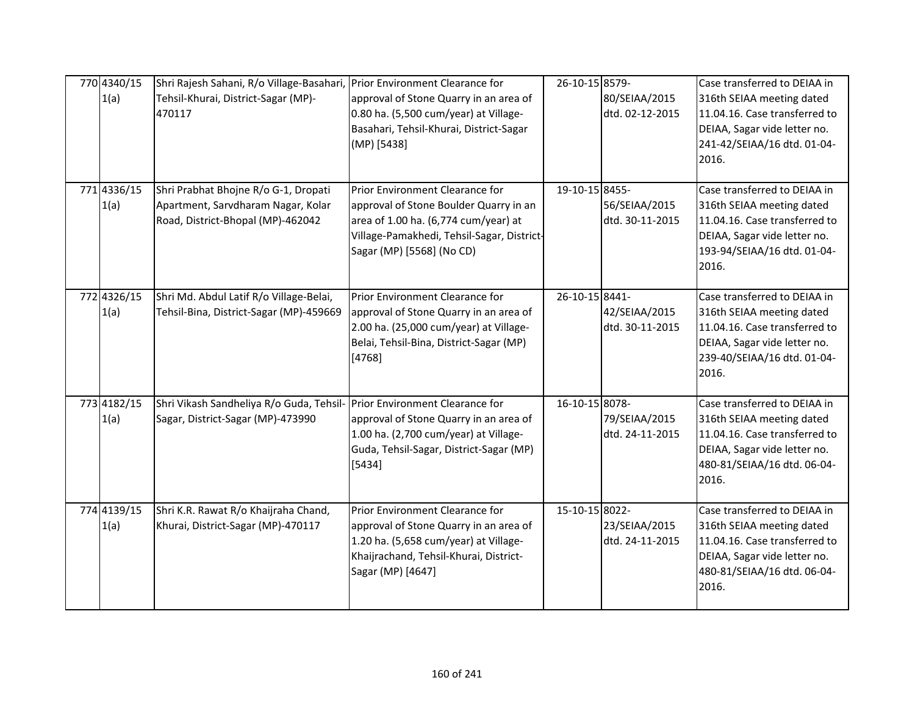| 770 4340/15<br>1(a) | Shri Rajesh Sahani, R/o Village-Basahari,<br>Tehsil-Khurai, District-Sagar (MP)-<br>470117                      | Prior Environment Clearance for<br>approval of Stone Quarry in an area of<br>0.80 ha. (5,500 cum/year) at Village-<br>Basahari, Tehsil-Khurai, District-Sagar<br>(MP) [5438]                 | 26-10-15 8579- | 80/SEIAA/2015<br>dtd. 02-12-2015 | Case transferred to DEIAA in<br>316th SEIAA meeting dated<br>11.04.16. Case transferred to<br>DEIAA, Sagar vide letter no.<br>241-42/SEIAA/16 dtd. 01-04-<br>2016. |
|---------------------|-----------------------------------------------------------------------------------------------------------------|----------------------------------------------------------------------------------------------------------------------------------------------------------------------------------------------|----------------|----------------------------------|--------------------------------------------------------------------------------------------------------------------------------------------------------------------|
| 771 4336/15<br>1(a) | Shri Prabhat Bhojne R/o G-1, Dropati<br>Apartment, Sarvdharam Nagar, Kolar<br>Road, District-Bhopal (MP)-462042 | Prior Environment Clearance for<br>approval of Stone Boulder Quarry in an<br>area of 1.00 ha. (6,774 cum/year) at<br>Village-Pamakhedi, Tehsil-Sagar, District-<br>Sagar (MP) [5568] (No CD) | 19-10-15 8455- | 56/SEIAA/2015<br>dtd. 30-11-2015 | Case transferred to DEIAA in<br>316th SEIAA meeting dated<br>11.04.16. Case transferred to<br>DEIAA, Sagar vide letter no.<br>193-94/SEIAA/16 dtd. 01-04-<br>2016. |
| 772 4326/15<br>1(a) | Shri Md. Abdul Latif R/o Village-Belai,<br>Tehsil-Bina, District-Sagar (MP)-459669                              | Prior Environment Clearance for<br>approval of Stone Quarry in an area of<br>2.00 ha. (25,000 cum/year) at Village-<br>Belai, Tehsil-Bina, District-Sagar (MP)<br>[4768]                     | 26-10-15 8441- | 42/SEIAA/2015<br>dtd. 30-11-2015 | Case transferred to DEIAA in<br>316th SEIAA meeting dated<br>11.04.16. Case transferred to<br>DEIAA, Sagar vide letter no.<br>239-40/SEIAA/16 dtd. 01-04-<br>2016. |
| 773 4182/15<br>1(a) | Shri Vikash Sandheliya R/o Guda, Tehsil- Prior Environment Clearance for<br>Sagar, District-Sagar (MP)-473990   | approval of Stone Quarry in an area of<br>1.00 ha. (2,700 cum/year) at Village-<br>Guda, Tehsil-Sagar, District-Sagar (MP)<br>[5434]                                                         | 16-10-15 8078- | 79/SEIAA/2015<br>dtd. 24-11-2015 | Case transferred to DEIAA in<br>316th SEIAA meeting dated<br>11.04.16. Case transferred to<br>DEIAA, Sagar vide letter no.<br>480-81/SEIAA/16 dtd. 06-04-<br>2016. |
| 774 4139/15<br>1(a) | Shri K.R. Rawat R/o Khaijraha Chand,<br>Khurai, District-Sagar (MP)-470117                                      | Prior Environment Clearance for<br>approval of Stone Quarry in an area of<br>1.20 ha. (5,658 cum/year) at Village-<br>Khaijrachand, Tehsil-Khurai, District-<br>Sagar (MP) [4647]            | 15-10-15 8022- | 23/SEIAA/2015<br>dtd. 24-11-2015 | Case transferred to DEIAA in<br>316th SEIAA meeting dated<br>11.04.16. Case transferred to<br>DEIAA, Sagar vide letter no.<br>480-81/SEIAA/16 dtd. 06-04-<br>2016. |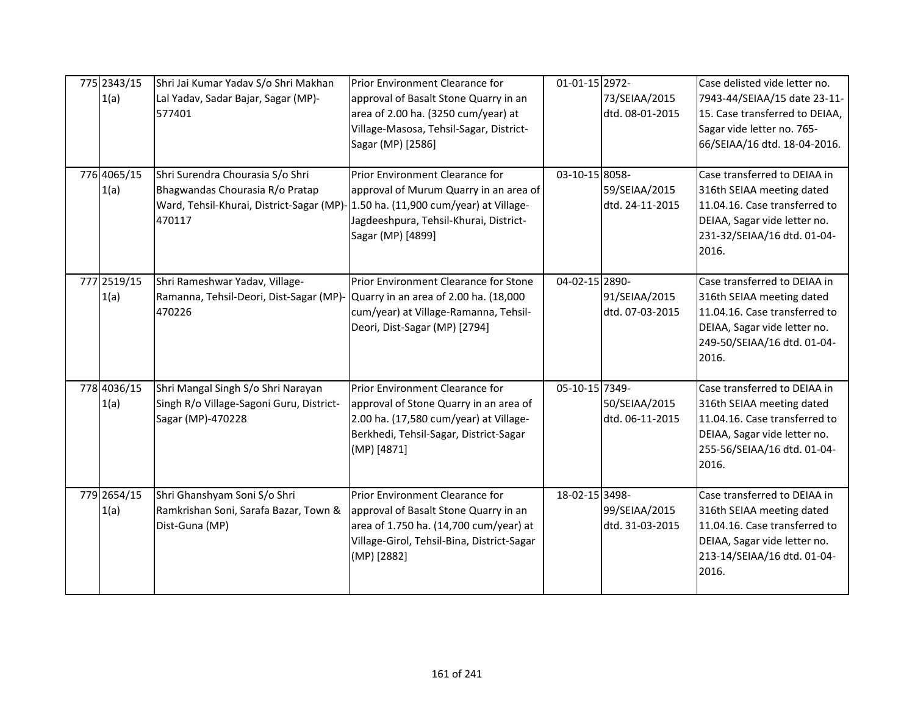| 775 2343/15<br>1(a) | Shri Jai Kumar Yadav S/o Shri Makhan<br>Lal Yadav, Sadar Bajar, Sagar (MP)-<br>577401                                                                            | Prior Environment Clearance for<br>approval of Basalt Stone Quarry in an<br>area of 2.00 ha. (3250 cum/year) at<br>Village-Masosa, Tehsil-Sagar, District-<br>Sagar (MP) [2586] | 01-01-15 2972- | 73/SEIAA/2015<br>dtd. 08-01-2015 | Case delisted vide letter no.<br>7943-44/SEIAA/15 date 23-11-<br>15. Case transferred to DEIAA,<br>Sagar vide letter no. 765-<br>66/SEIAA/16 dtd. 18-04-2016.      |
|---------------------|------------------------------------------------------------------------------------------------------------------------------------------------------------------|---------------------------------------------------------------------------------------------------------------------------------------------------------------------------------|----------------|----------------------------------|--------------------------------------------------------------------------------------------------------------------------------------------------------------------|
| 776 4065/15<br>1(a) | Shri Surendra Chourasia S/o Shri<br>Bhagwandas Chourasia R/o Pratap<br>Ward, Tehsil-Khurai, District-Sagar (MP)-1.50 ha. (11,900 cum/year) at Village-<br>470117 | Prior Environment Clearance for<br>approval of Murum Quarry in an area of<br>Jagdeeshpura, Tehsil-Khurai, District-<br>Sagar (MP) [4899]                                        | 03-10-15 8058- | 59/SEIAA/2015<br>dtd. 24-11-2015 | Case transferred to DEIAA in<br>316th SEIAA meeting dated<br>11.04.16. Case transferred to<br>DEIAA, Sagar vide letter no.<br>231-32/SEIAA/16 dtd. 01-04-<br>2016. |
| 777 2519/15<br>1(a) | Shri Rameshwar Yadav, Village-<br>Ramanna, Tehsil-Deori, Dist-Sagar (MP)-<br>470226                                                                              | Prior Environment Clearance for Stone<br>Quarry in an area of 2.00 ha. (18,000<br>cum/year) at Village-Ramanna, Tehsil-<br>Deori, Dist-Sagar (MP) [2794]                        | 04-02-15 2890- | 91/SEIAA/2015<br>dtd. 07-03-2015 | Case transferred to DEIAA in<br>316th SEIAA meeting dated<br>11.04.16. Case transferred to<br>DEIAA, Sagar vide letter no.<br>249-50/SEIAA/16 dtd. 01-04-<br>2016. |
| 778 4036/15<br>1(a) | Shri Mangal Singh S/o Shri Narayan<br>Singh R/o Village-Sagoni Guru, District-<br>Sagar (MP)-470228                                                              | Prior Environment Clearance for<br>approval of Stone Quarry in an area of<br>2.00 ha. (17,580 cum/year) at Village-<br>Berkhedi, Tehsil-Sagar, District-Sagar<br>(MP) [4871]    | 05-10-15 7349- | 50/SEIAA/2015<br>dtd. 06-11-2015 | Case transferred to DEIAA in<br>316th SEIAA meeting dated<br>11.04.16. Case transferred to<br>DEIAA, Sagar vide letter no.<br>255-56/SEIAA/16 dtd. 01-04-<br>2016. |
| 779 2654/15<br>1(a) | Shri Ghanshyam Soni S/o Shri<br>Ramkrishan Soni, Sarafa Bazar, Town &<br>Dist-Guna (MP)                                                                          | Prior Environment Clearance for<br>approval of Basalt Stone Quarry in an<br>area of 1.750 ha. (14,700 cum/year) at<br>Village-Girol, Tehsil-Bina, District-Sagar<br>(MP) [2882] | 18-02-15 3498- | 99/SEIAA/2015<br>dtd. 31-03-2015 | Case transferred to DEIAA in<br>316th SEIAA meeting dated<br>11.04.16. Case transferred to<br>DEIAA, Sagar vide letter no.<br>213-14/SEIAA/16 dtd. 01-04-<br>2016. |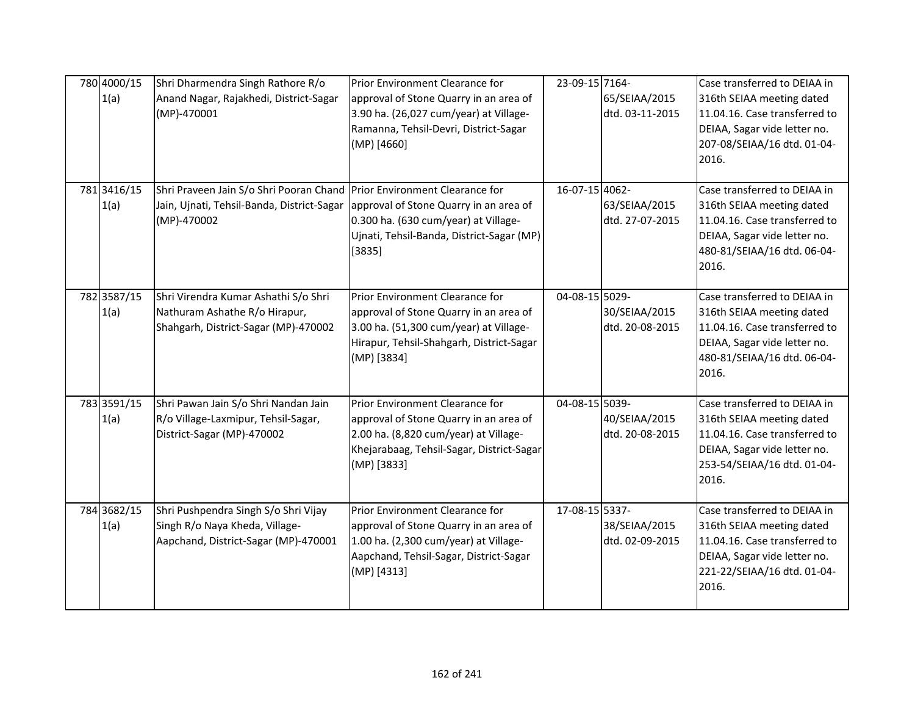| 780 4000/15<br>1(a) | Shri Dharmendra Singh Rathore R/o<br>Anand Nagar, Rajakhedi, District-Sagar<br>(MP)-470001                     | Prior Environment Clearance for<br>approval of Stone Quarry in an area of<br>3.90 ha. (26,027 cum/year) at Village-<br>Ramanna, Tehsil-Devri, District-Sagar<br>(MP) [4660]    | 23-09-15 7164- | 65/SEIAA/2015<br>dtd. 03-11-2015 | Case transferred to DEIAA in<br>316th SEIAA meeting dated<br>11.04.16. Case transferred to<br>DEIAA, Sagar vide letter no.<br>207-08/SEIAA/16 dtd. 01-04-<br>2016. |
|---------------------|----------------------------------------------------------------------------------------------------------------|--------------------------------------------------------------------------------------------------------------------------------------------------------------------------------|----------------|----------------------------------|--------------------------------------------------------------------------------------------------------------------------------------------------------------------|
| 781 3416/15<br>1(a) | Shri Praveen Jain S/o Shri Pooran Chand<br>Jain, Ujnati, Tehsil-Banda, District-Sagar<br>(MP)-470002           | Prior Environment Clearance for<br>approval of Stone Quarry in an area of<br>0.300 ha. (630 cum/year) at Village-<br>Ujnati, Tehsil-Banda, District-Sagar (MP)<br>[3835]       | 16-07-15 4062- | 63/SEIAA/2015<br>dtd. 27-07-2015 | Case transferred to DEIAA in<br>316th SEIAA meeting dated<br>11.04.16. Case transferred to<br>DEIAA, Sagar vide letter no.<br>480-81/SEIAA/16 dtd. 06-04-<br>2016. |
| 782 3587/15<br>1(a) | Shri Virendra Kumar Ashathi S/o Shri<br>Nathuram Ashathe R/o Hirapur,<br>Shahgarh, District-Sagar (MP)-470002  | Prior Environment Clearance for<br>approval of Stone Quarry in an area of<br>3.00 ha. (51,300 cum/year) at Village-<br>Hirapur, Tehsil-Shahgarh, District-Sagar<br>(MP) [3834] | 04-08-15 5029- | 30/SEIAA/2015<br>dtd. 20-08-2015 | Case transferred to DEIAA in<br>316th SEIAA meeting dated<br>11.04.16. Case transferred to<br>DEIAA, Sagar vide letter no.<br>480-81/SEIAA/16 dtd. 06-04-<br>2016. |
| 783 3591/15<br>1(a) | Shri Pawan Jain S/o Shri Nandan Jain<br>R/o Village-Laxmipur, Tehsil-Sagar,<br>District-Sagar (MP)-470002      | Prior Environment Clearance for<br>approval of Stone Quarry in an area of<br>2.00 ha. (8,820 cum/year) at Village-<br>Khejarabaag, Tehsil-Sagar, District-Sagar<br>(MP) [3833] | 04-08-15 5039- | 40/SEIAA/2015<br>dtd. 20-08-2015 | Case transferred to DEIAA in<br>316th SEIAA meeting dated<br>11.04.16. Case transferred to<br>DEIAA, Sagar vide letter no.<br>253-54/SEIAA/16 dtd. 01-04-<br>2016. |
| 784 3682/15<br>1(a) | Shri Pushpendra Singh S/o Shri Vijay<br>Singh R/o Naya Kheda, Village-<br>Aapchand, District-Sagar (MP)-470001 | Prior Environment Clearance for<br>approval of Stone Quarry in an area of<br>1.00 ha. (2,300 cum/year) at Village-<br>Aapchand, Tehsil-Sagar, District-Sagar<br>(MP) [4313]    | 17-08-15 5337- | 38/SEIAA/2015<br>dtd. 02-09-2015 | Case transferred to DEIAA in<br>316th SEIAA meeting dated<br>11.04.16. Case transferred to<br>DEIAA, Sagar vide letter no.<br>221-22/SEIAA/16 dtd. 01-04-<br>2016. |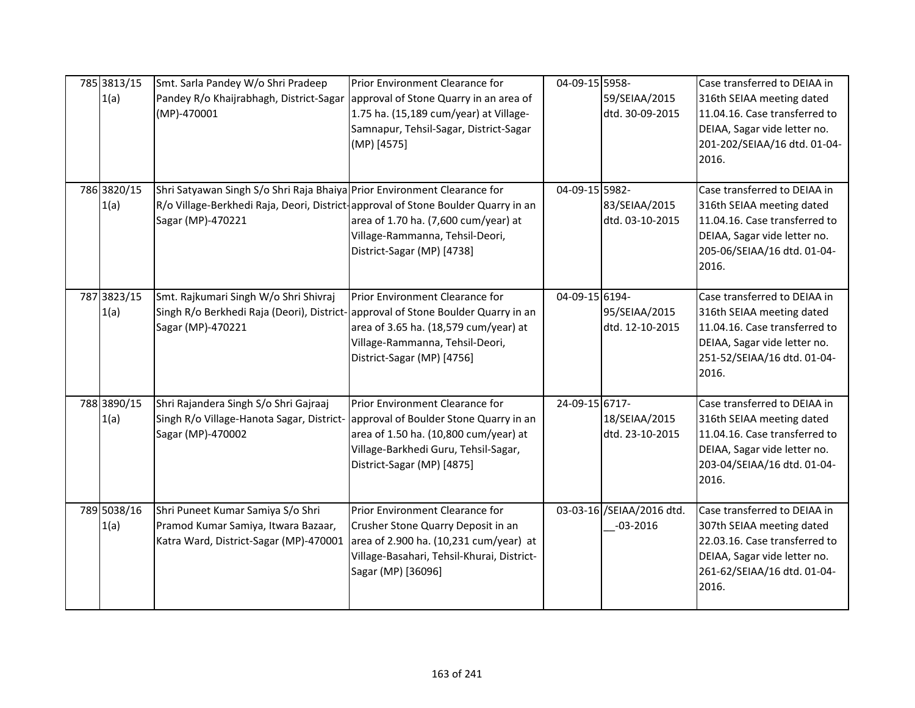| 785 3813/15<br>1(a) | Smt. Sarla Pandey W/o Shri Pradeep<br>Pandey R/o Khaijrabhagh, District-Sagar<br>(MP)-470001                                                                                       | Prior Environment Clearance for<br>approval of Stone Quarry in an area of<br>1.75 ha. (15,189 cum/year) at Village-<br>Samnapur, Tehsil-Sagar, District-Sagar<br>(MP) [4575]             | 04-09-15 5958- | 59/SEIAA/2015<br>dtd. 30-09-2015          | Case transferred to DEIAA in<br>316th SEIAA meeting dated<br>11.04.16. Case transferred to<br>DEIAA, Sagar vide letter no.<br>201-202/SEIAA/16 dtd. 01-04-<br>2016. |
|---------------------|------------------------------------------------------------------------------------------------------------------------------------------------------------------------------------|------------------------------------------------------------------------------------------------------------------------------------------------------------------------------------------|----------------|-------------------------------------------|---------------------------------------------------------------------------------------------------------------------------------------------------------------------|
| 786 3820/15<br>1(a) | Shri Satyawan Singh S/o Shri Raja Bhaiya Prior Environment Clearance for<br>R/o Village-Berkhedi Raja, Deori, District-approval of Stone Boulder Quarry in an<br>Sagar (MP)-470221 | area of 1.70 ha. (7,600 cum/year) at<br>Village-Rammanna, Tehsil-Deori,<br>District-Sagar (MP) [4738]                                                                                    | 04-09-15 5982- | 83/SEIAA/2015<br>dtd. 03-10-2015          | Case transferred to DEIAA in<br>316th SEIAA meeting dated<br>11.04.16. Case transferred to<br>DEIAA, Sagar vide letter no.<br>205-06/SEIAA/16 dtd. 01-04-<br>2016.  |
| 787 3823/15<br>1(a) | Smt. Rajkumari Singh W/o Shri Shivraj<br>Singh R/o Berkhedi Raja (Deori), District- approval of Stone Boulder Quarry in an<br>Sagar (MP)-470221                                    | Prior Environment Clearance for<br>area of 3.65 ha. (18,579 cum/year) at<br>Village-Rammanna, Tehsil-Deori,<br>District-Sagar (MP) [4756]                                                | 04-09-15 6194- | 95/SEIAA/2015<br>dtd. 12-10-2015          | Case transferred to DEIAA in<br>316th SEIAA meeting dated<br>11.04.16. Case transferred to<br>DEIAA, Sagar vide letter no.<br>251-52/SEIAA/16 dtd. 01-04-<br>2016.  |
| 788 3890/15<br>1(a) | Shri Rajandera Singh S/o Shri Gajraaj<br>Singh R/o Village-Hanota Sagar, District-<br>Sagar (MP)-470002                                                                            | Prior Environment Clearance for<br>approval of Boulder Stone Quarry in an<br>area of 1.50 ha. (10,800 cum/year) at<br>Village-Barkhedi Guru, Tehsil-Sagar,<br>District-Sagar (MP) [4875] | 24-09-15 6717- | 18/SEIAA/2015<br>dtd. 23-10-2015          | Case transferred to DEIAA in<br>316th SEIAA meeting dated<br>11.04.16. Case transferred to<br>DEIAA, Sagar vide letter no.<br>203-04/SEIAA/16 dtd. 01-04-<br>2016.  |
| 789 5038/16<br>1(a) | Shri Puneet Kumar Samiya S/o Shri<br>Pramod Kumar Samiya, Itwara Bazaar,<br>Katra Ward, District-Sagar (MP)-470001                                                                 | Prior Environment Clearance for<br>Crusher Stone Quarry Deposit in an<br>area of 2.900 ha. (10,231 cum/year) at<br>Village-Basahari, Tehsil-Khurai, District-<br>Sagar (MP) [36096]      |                | 03-03-16 /SEIAA/2016 dtd.<br>$-03 - 2016$ | Case transferred to DEIAA in<br>307th SEIAA meeting dated<br>22.03.16. Case transferred to<br>DEIAA, Sagar vide letter no.<br>261-62/SEIAA/16 dtd. 01-04-<br>2016.  |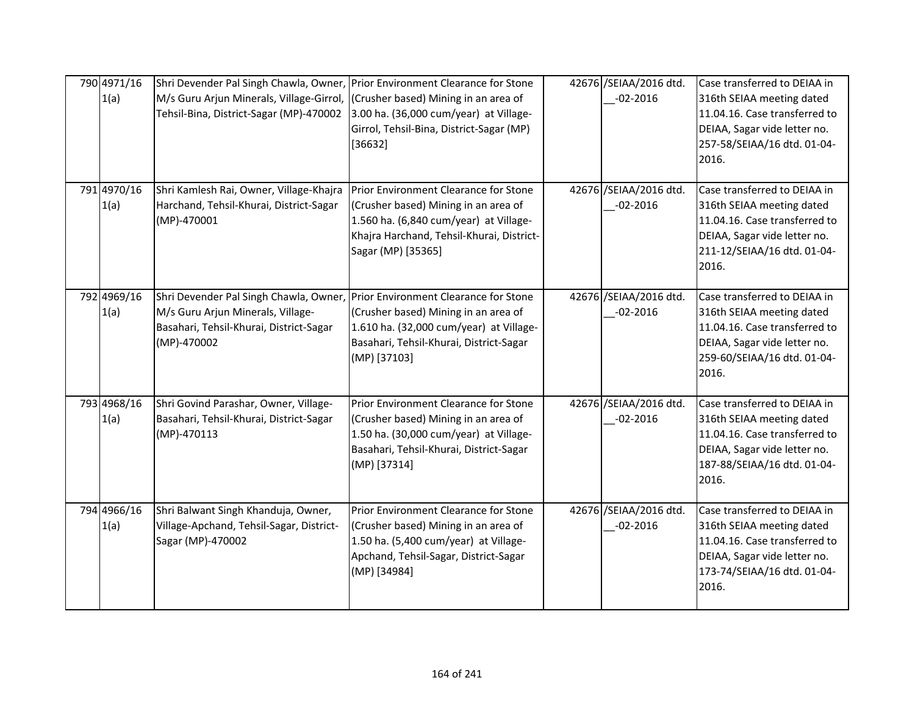| 790 4971/16<br>1(a) | Shri Devender Pal Singh Chawla, Owner, Prior Environment Clearance for Stone<br>M/s Guru Arjun Minerals, Village-Girrol, (Crusher based) Mining in an area of<br>Tehsil-Bina, District-Sagar (MP)-470002 | 3.00 ha. (36,000 cum/year) at Village-<br>Girrol, Tehsil-Bina, District-Sagar (MP)<br>[36632]                                                                                              | 42676 /SEIAA/2016 dtd.<br>$-02 - 2016$ | Case transferred to DEIAA in<br>316th SEIAA meeting dated<br>11.04.16. Case transferred to<br>DEIAA, Sagar vide letter no.<br>257-58/SEIAA/16 dtd. 01-04-<br>2016. |
|---------------------|----------------------------------------------------------------------------------------------------------------------------------------------------------------------------------------------------------|--------------------------------------------------------------------------------------------------------------------------------------------------------------------------------------------|----------------------------------------|--------------------------------------------------------------------------------------------------------------------------------------------------------------------|
| 791 4970/16<br>1(a) | Shri Kamlesh Rai, Owner, Village-Khajra<br>Harchand, Tehsil-Khurai, District-Sagar<br>(MP)-470001                                                                                                        | Prior Environment Clearance for Stone<br>(Crusher based) Mining in an area of<br>1.560 ha. (6,840 cum/year) at Village-<br>Khajra Harchand, Tehsil-Khurai, District-<br>Sagar (MP) [35365] | 42676 /SEIAA/2016 dtd.<br>$-02 - 2016$ | Case transferred to DEIAA in<br>316th SEIAA meeting dated<br>11.04.16. Case transferred to<br>DEIAA, Sagar vide letter no.<br>211-12/SEIAA/16 dtd. 01-04-<br>2016. |
| 792 4969/16<br>1(a) | Shri Devender Pal Singh Chawla, Owner, Prior Environment Clearance for Stone<br>M/s Guru Arjun Minerals, Village-<br>Basahari, Tehsil-Khurai, District-Sagar<br>(MP)-470002                              | (Crusher based) Mining in an area of<br>1.610 ha. (32,000 cum/year) at Village-<br>Basahari, Tehsil-Khurai, District-Sagar<br>(MP) [37103]                                                 | 42676 /SEIAA/2016 dtd.<br>$-02 - 2016$ | Case transferred to DEIAA in<br>316th SEIAA meeting dated<br>11.04.16. Case transferred to<br>DEIAA, Sagar vide letter no.<br>259-60/SEIAA/16 dtd. 01-04-<br>2016. |
| 793 4968/16<br>1(a) | Shri Govind Parashar, Owner, Village-<br>Basahari, Tehsil-Khurai, District-Sagar<br>(MP)-470113                                                                                                          | Prior Environment Clearance for Stone<br>(Crusher based) Mining in an area of<br>1.50 ha. (30,000 cum/year) at Village-<br>Basahari, Tehsil-Khurai, District-Sagar<br>(MP) [37314]         | 42676 /SEIAA/2016 dtd.<br>$-02 - 2016$ | Case transferred to DEIAA in<br>316th SEIAA meeting dated<br>11.04.16. Case transferred to<br>DEIAA, Sagar vide letter no.<br>187-88/SEIAA/16 dtd. 01-04-<br>2016. |
| 794 4966/16<br>1(a) | Shri Balwant Singh Khanduja, Owner,<br>Village-Apchand, Tehsil-Sagar, District-<br>Sagar (MP)-470002                                                                                                     | Prior Environment Clearance for Stone<br>(Crusher based) Mining in an area of<br>1.50 ha. (5,400 cum/year) at Village-<br>Apchand, Tehsil-Sagar, District-Sagar<br>(MP) [34984]            | 42676 /SEIAA/2016 dtd.<br>$-02 - 2016$ | Case transferred to DEIAA in<br>316th SEIAA meeting dated<br>11.04.16. Case transferred to<br>DEIAA, Sagar vide letter no.<br>173-74/SEIAA/16 dtd. 01-04-<br>2016. |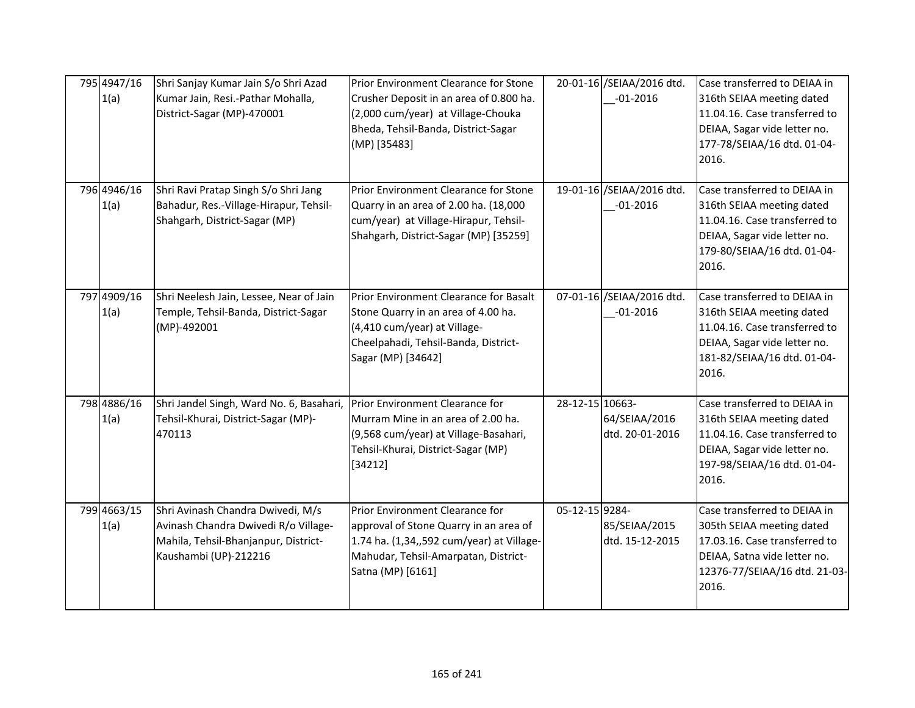| 795 4947/16<br>1(a) | Shri Sanjay Kumar Jain S/o Shri Azad<br>Kumar Jain, Resi.-Pathar Mohalla,<br>District-Sagar (MP)-470001                                    | Prior Environment Clearance for Stone<br>Crusher Deposit in an area of 0.800 ha.<br>(2,000 cum/year) at Village-Chouka<br>Bheda, Tehsil-Banda, District-Sagar<br>(MP) [35483]       |                 | 20-01-16 /SEIAA/2016 dtd.<br>$-01 - 2016$  | Case transferred to DEIAA in<br>316th SEIAA meeting dated<br>11.04.16. Case transferred to<br>DEIAA, Sagar vide letter no.<br>177-78/SEIAA/16 dtd. 01-04-<br>2016.   |
|---------------------|--------------------------------------------------------------------------------------------------------------------------------------------|-------------------------------------------------------------------------------------------------------------------------------------------------------------------------------------|-----------------|--------------------------------------------|----------------------------------------------------------------------------------------------------------------------------------------------------------------------|
| 796 4946/16<br>1(a) | Shri Ravi Pratap Singh S/o Shri Jang<br>Bahadur, Res.-Village-Hirapur, Tehsil-<br>Shahgarh, District-Sagar (MP)                            | Prior Environment Clearance for Stone<br>Quarry in an area of 2.00 ha. (18,000<br>cum/year) at Village-Hirapur, Tehsil-<br>Shahgarh, District-Sagar (MP) [35259]                    |                 | 19-01-16 / SEIAA/2016 dtd.<br>$-01 - 2016$ | Case transferred to DEIAA in<br>316th SEIAA meeting dated<br>11.04.16. Case transferred to<br>DEIAA, Sagar vide letter no.<br>179-80/SEIAA/16 dtd. 01-04-<br>2016.   |
| 797 4909/16<br>1(a) | Shri Neelesh Jain, Lessee, Near of Jain<br>Temple, Tehsil-Banda, District-Sagar<br>(MP)-492001                                             | Prior Environment Clearance for Basalt<br>Stone Quarry in an area of 4.00 ha.<br>(4,410 cum/year) at Village-<br>Cheelpahadi, Tehsil-Banda, District-<br>Sagar (MP) [34642]         |                 | 07-01-16 /SEIAA/2016 dtd.<br>$-01 - 2016$  | Case transferred to DEIAA in<br>316th SEIAA meeting dated<br>11.04.16. Case transferred to<br>DEIAA, Sagar vide letter no.<br>181-82/SEIAA/16 dtd. 01-04-<br>2016.   |
| 798 4886/16<br>1(a) | Shri Jandel Singh, Ward No. 6, Basahari,<br>Tehsil-Khurai, District-Sagar (MP)-<br>470113                                                  | <b>Prior Environment Clearance for</b><br>Murram Mine in an area of 2.00 ha.<br>(9,568 cum/year) at Village-Basahari,<br>Tehsil-Khurai, District-Sagar (MP)<br>[34212]              | 28-12-15 10663- | 64/SEIAA/2016<br>dtd. 20-01-2016           | Case transferred to DEIAA in<br>316th SEIAA meeting dated<br>11.04.16. Case transferred to<br>DEIAA, Sagar vide letter no.<br>197-98/SEIAA/16 dtd. 01-04-<br>2016.   |
| 799 4663/15<br>1(a) | Shri Avinash Chandra Dwivedi, M/s<br>Avinash Chandra Dwivedi R/o Village-<br>Mahila, Tehsil-Bhanjanpur, District-<br>Kaushambi (UP)-212216 | Prior Environment Clearance for<br>approval of Stone Quarry in an area of<br>1.74 ha. (1,34,,592 cum/year) at Village-<br>Mahudar, Tehsil-Amarpatan, District-<br>Satna (MP) [6161] | 05-12-15 9284-  | 85/SEIAA/2015<br>dtd. 15-12-2015           | Case transferred to DEIAA in<br>305th SEIAA meeting dated<br>17.03.16. Case transferred to<br>DEIAA, Satna vide letter no.<br>12376-77/SEIAA/16 dtd. 21-03-<br>2016. |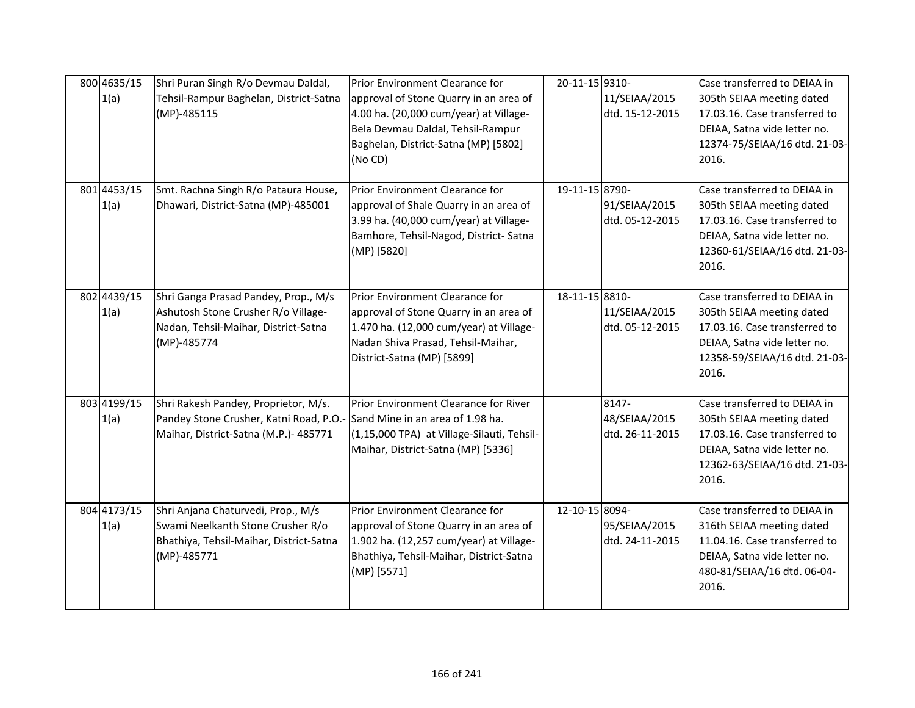| 800 4635/15<br>1(a) | Shri Puran Singh R/o Devmau Daldal,<br>Tehsil-Rampur Baghelan, District-Satna<br>(MP)-485115                                                              | Prior Environment Clearance for<br>approval of Stone Quarry in an area of<br>4.00 ha. (20,000 cum/year) at Village-<br>Bela Devmau Daldal, Tehsil-Rampur<br>Baghelan, District-Satna (MP) [5802]<br>(No CD) | 20-11-15 9310-<br>11/SEIAA/2015<br>dtd. 15-12-2015 | Case transferred to DEIAA in<br>305th SEIAA meeting dated<br>17.03.16. Case transferred to<br>DEIAA, Satna vide letter no.<br>12374-75/SEIAA/16 dtd. 21-03-<br>2016. |
|---------------------|-----------------------------------------------------------------------------------------------------------------------------------------------------------|-------------------------------------------------------------------------------------------------------------------------------------------------------------------------------------------------------------|----------------------------------------------------|----------------------------------------------------------------------------------------------------------------------------------------------------------------------|
| 801 4453/15<br>1(a) | Smt. Rachna Singh R/o Pataura House,<br>Dhawari, District-Satna (MP)-485001                                                                               | Prior Environment Clearance for<br>approval of Shale Quarry in an area of<br>3.99 ha. (40,000 cum/year) at Village-<br>Bamhore, Tehsil-Nagod, District-Satna<br>(MP) [5820]                                 | 19-11-15 8790-<br>91/SEIAA/2015<br>dtd. 05-12-2015 | Case transferred to DEIAA in<br>305th SEIAA meeting dated<br>17.03.16. Case transferred to<br>DEIAA, Satna vide letter no.<br>12360-61/SEIAA/16 dtd. 21-03-<br>2016. |
| 802 4439/15<br>1(a) | Shri Ganga Prasad Pandey, Prop., M/s<br>Ashutosh Stone Crusher R/o Village-<br>Nadan, Tehsil-Maihar, District-Satna<br>(MP)-485774                        | Prior Environment Clearance for<br>approval of Stone Quarry in an area of<br>1.470 ha. (12,000 cum/year) at Village-<br>Nadan Shiva Prasad, Tehsil-Maihar,<br>District-Satna (MP) [5899]                    | 18-11-15 8810-<br>11/SEIAA/2015<br>dtd. 05-12-2015 | Case transferred to DEIAA in<br>305th SEIAA meeting dated<br>17.03.16. Case transferred to<br>DEIAA, Satna vide letter no.<br>12358-59/SEIAA/16 dtd. 21-03-<br>2016. |
| 803 4199/15<br>1(a) | Shri Rakesh Pandey, Proprietor, M/s.<br>Pandey Stone Crusher, Katni Road, P.O.- Sand Mine in an area of 1.98 ha.<br>Maihar, District-Satna (M.P.)- 485771 | Prior Environment Clearance for River<br>(1,15,000 TPA) at Village-Silauti, Tehsil-<br>Maihar, District-Satna (MP) [5336]                                                                                   | 8147-<br>48/SEIAA/2015<br>dtd. 26-11-2015          | Case transferred to DEIAA in<br>305th SEIAA meeting dated<br>17.03.16. Case transferred to<br>DEIAA, Satna vide letter no.<br>12362-63/SEIAA/16 dtd. 21-03-<br>2016. |
| 804 4173/15<br>1(a) | Shri Anjana Chaturvedi, Prop., M/s<br>Swami Neelkanth Stone Crusher R/o<br>Bhathiya, Tehsil-Maihar, District-Satna<br>(MP)-485771                         | Prior Environment Clearance for<br>approval of Stone Quarry in an area of<br>1.902 ha. (12,257 cum/year) at Village-<br>Bhathiya, Tehsil-Maihar, District-Satna<br>(MP) [5571]                              | 12-10-15 8094-<br>95/SEIAA/2015<br>dtd. 24-11-2015 | Case transferred to DEIAA in<br>316th SEIAA meeting dated<br>11.04.16. Case transferred to<br>DEIAA, Satna vide letter no.<br>480-81/SEIAA/16 dtd. 06-04-<br>2016.   |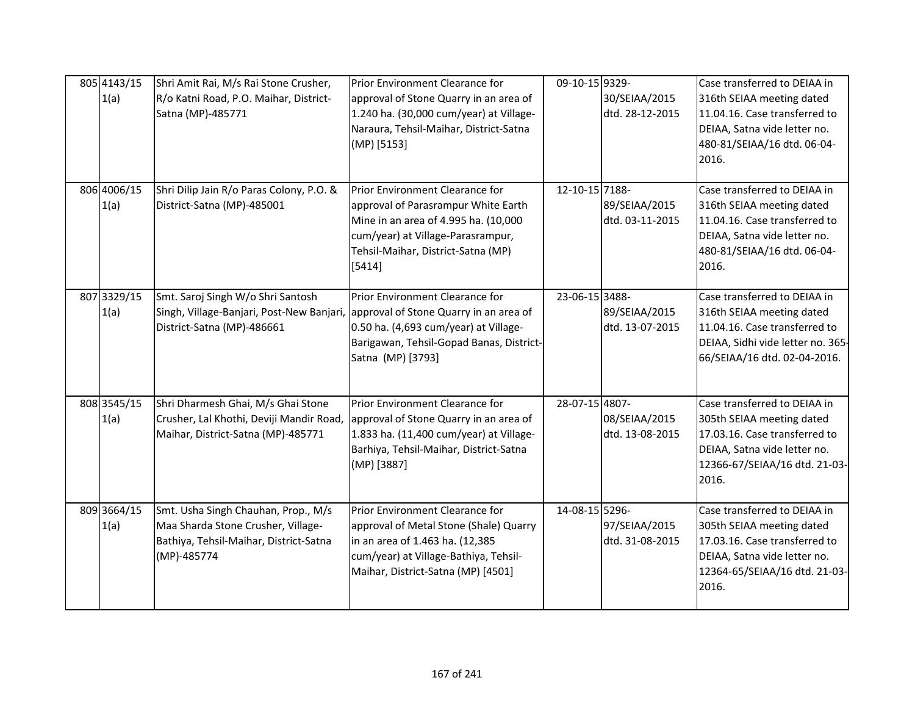| 805 4143/15<br>1(a) | Shri Amit Rai, M/s Rai Stone Crusher,<br>R/o Katni Road, P.O. Maihar, District-<br>Satna (MP)-485771                               | Prior Environment Clearance for<br>approval of Stone Quarry in an area of<br>1.240 ha. (30,000 cum/year) at Village-<br>Naraura, Tehsil-Maihar, District-Satna<br>(MP) [5153]                       | 09-10-15 9329- | 30/SEIAA/2015<br>dtd. 28-12-2015 | Case transferred to DEIAA in<br>316th SEIAA meeting dated<br>11.04.16. Case transferred to<br>DEIAA, Satna vide letter no.<br>480-81/SEIAA/16 dtd. 06-04-<br>2016.   |
|---------------------|------------------------------------------------------------------------------------------------------------------------------------|-----------------------------------------------------------------------------------------------------------------------------------------------------------------------------------------------------|----------------|----------------------------------|----------------------------------------------------------------------------------------------------------------------------------------------------------------------|
| 806 4006/15<br>1(a) | Shri Dilip Jain R/o Paras Colony, P.O. &<br>District-Satna (MP)-485001                                                             | Prior Environment Clearance for<br>approval of Parasrampur White Earth<br>Mine in an area of 4.995 ha. (10,000<br>cum/year) at Village-Parasrampur,<br>Tehsil-Maihar, District-Satna (MP)<br>[5414] | 12-10-15 7188- | 89/SEIAA/2015<br>dtd. 03-11-2015 | Case transferred to DEIAA in<br>316th SEIAA meeting dated<br>11.04.16. Case transferred to<br>DEIAA, Satna vide letter no.<br>480-81/SEIAA/16 dtd. 06-04-<br>2016.   |
| 807 3329/15<br>1(a) | Smt. Saroj Singh W/o Shri Santosh<br>Singh, Village-Banjari, Post-New Banjari,<br>District-Satna (MP)-486661                       | Prior Environment Clearance for<br>approval of Stone Quarry in an area of<br>0.50 ha. (4,693 cum/year) at Village-<br>Barigawan, Tehsil-Gopad Banas, District-<br>Satna (MP) [3793]                 | 23-06-15 3488- | 89/SEIAA/2015<br>dtd. 13-07-2015 | Case transferred to DEIAA in<br>316th SEIAA meeting dated<br>11.04.16. Case transferred to<br>DEIAA, Sidhi vide letter no. 365-<br>66/SEIAA/16 dtd. 02-04-2016.      |
| 808 3545/15<br>1(a) | Shri Dharmesh Ghai, M/s Ghai Stone<br>Crusher, Lal Khothi, Deviji Mandir Road,<br>Maihar, District-Satna (MP)-485771               | Prior Environment Clearance for<br>approval of Stone Quarry in an area of<br>1.833 ha. (11,400 cum/year) at Village-<br>Barhiya, Tehsil-Maihar, District-Satna<br>(MP) [3887]                       | 28-07-15 4807- | 08/SEIAA/2015<br>dtd. 13-08-2015 | Case transferred to DEIAA in<br>305th SEIAA meeting dated<br>17.03.16. Case transferred to<br>DEIAA, Satna vide letter no.<br>12366-67/SEIAA/16 dtd. 21-03-<br>2016. |
| 809 3664/15<br>1(a) | Smt. Usha Singh Chauhan, Prop., M/s<br>Maa Sharda Stone Crusher, Village-<br>Bathiya, Tehsil-Maihar, District-Satna<br>(MP)-485774 | Prior Environment Clearance for<br>approval of Metal Stone (Shale) Quarry<br>in an area of 1.463 ha. (12,385<br>cum/year) at Village-Bathiya, Tehsil-<br>Maihar, District-Satna (MP) [4501]         | 14-08-15 5296- | 97/SEIAA/2015<br>dtd. 31-08-2015 | Case transferred to DEIAA in<br>305th SEIAA meeting dated<br>17.03.16. Case transferred to<br>DEIAA, Satna vide letter no.<br>12364-65/SEIAA/16 dtd. 21-03-<br>2016. |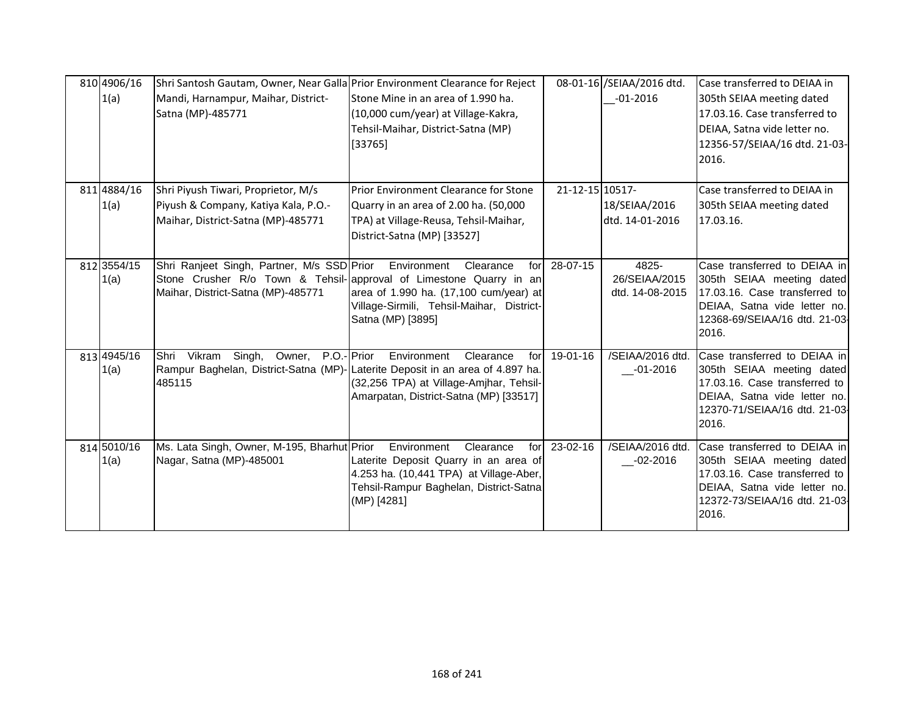| 810 4906/16<br>1(a) | Shri Santosh Gautam, Owner, Near Galla Prior Environment Clearance for Reject<br>Mandi, Harnampur, Maihar, District-<br>Satna (MP)-485771 | Stone Mine in an area of 1.990 ha.<br>(10,000 cum/year) at Village-Kakra,<br>Tehsil-Maihar, District-Satna (MP)<br>[33765]                                                                                          |                 | 08-01-16 /SEIAA/2016 dtd.<br>$-01 - 2016$ | Case transferred to DEIAA in<br>305th SEIAA meeting dated<br>17.03.16. Case transferred to<br>DEIAA, Satna vide letter no.<br>12356-57/SEIAA/16 dtd. 21-03-<br>2016. |
|---------------------|-------------------------------------------------------------------------------------------------------------------------------------------|---------------------------------------------------------------------------------------------------------------------------------------------------------------------------------------------------------------------|-----------------|-------------------------------------------|----------------------------------------------------------------------------------------------------------------------------------------------------------------------|
| 811 4884/16<br>1(a) | Shri Piyush Tiwari, Proprietor, M/s<br>Piyush & Company, Katiya Kala, P.O.-<br>Maihar, District-Satna (MP)-485771                         | Prior Environment Clearance for Stone<br>Quarry in an area of 2.00 ha. (50,000<br>TPA) at Village-Reusa, Tehsil-Maihar,<br>District-Satna (MP) [33527]                                                              | 21-12-15 10517- | 18/SEIAA/2016<br>dtd. 14-01-2016          | Case transferred to DEIAA in<br>305th SEIAA meeting dated<br>17.03.16.                                                                                               |
| 812 3554/15<br>1(a) | Shri Ranjeet Singh, Partner, M/s SSD Prior<br>Maihar, District-Satna (MP)-485771                                                          | Environment<br>Clearance<br>forl<br>Stone Crusher R/o Town & Tehsil- approval of Limestone Quarry in an<br>area of 1.990 ha. (17,100 cum/year) at<br>Village-Sirmili, Tehsil-Maihar, District-<br>Satna (MP) [3895] | 28-07-15        | 4825-<br>26/SEIAA/2015<br>dtd. 14-08-2015 | Case transferred to DEIAA in<br>305th SEIAA meeting dated<br>17.03.16. Case transferred to<br>DEIAA, Satna vide letter no.<br>12368-69/SEIAA/16 dtd. 21-03<br>2016.  |
| 813 4945/16<br>1(a) | Singh,<br>Shri<br>Vikram<br>Owner,<br>Rampur Baghelan, District-Satna (MP)- Laterite Deposit in an area of 4.897 ha.<br>485115            | P.O.- Prior<br>Environment<br>Clearance<br>for<br>(32,256 TPA) at Village-Amjhar, Tehsil-<br>Amarpatan, District-Satna (MP) [33517]                                                                                 | 19-01-16        | /SEIAA/2016 dtd.<br>$-01 - 2016$          | Case transferred to DEIAA in<br>305th SEIAA meeting dated<br>17.03.16. Case transferred to<br>DEIAA, Satna vide letter no.<br>12370-71/SEIAA/16 dtd. 21-03<br>2016.  |
| 814 5010/16<br>1(a) | Ms. Lata Singh, Owner, M-195, Bharhut Prior<br>Nagar, Satna (MP)-485001                                                                   | Environment<br>Clearance<br>for<br>Laterite Deposit Quarry in an area of<br>4.253 ha. (10,441 TPA) at Village-Aber,<br>Tehsil-Rampur Baghelan, District-Satna<br>(MP) [4281]                                        | 23-02-16        | /SEIAA/2016 dtd.<br>$-02 - 2016$          | Case transferred to DEIAA in<br>305th SEIAA meeting dated<br>17.03.16. Case transferred to<br>DEIAA, Satna vide letter no.<br>12372-73/SEIAA/16 dtd. 21-03-<br>2016. |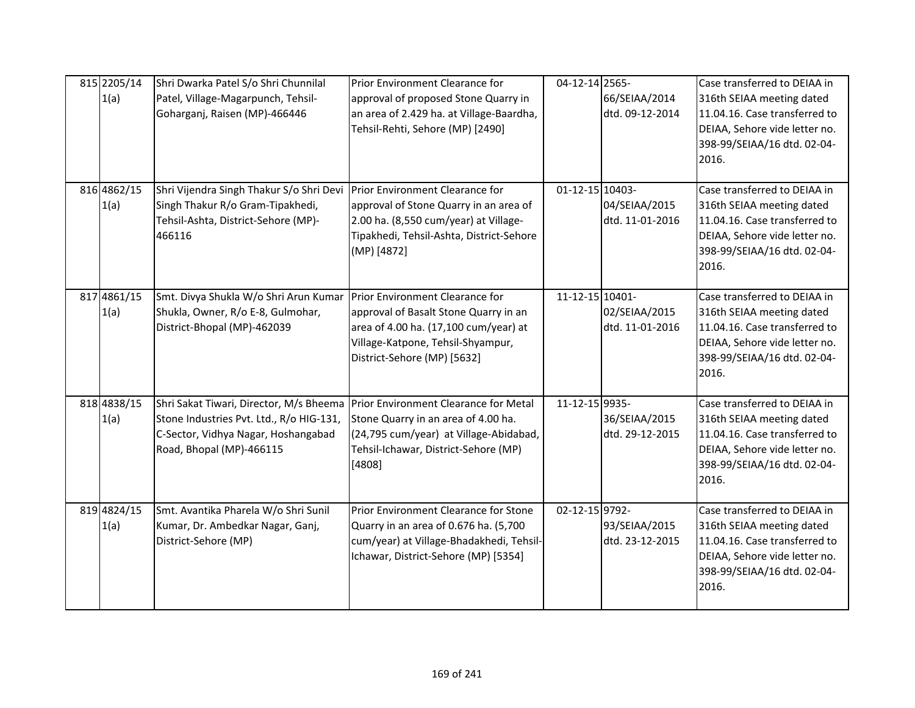| 815 2205/14<br>1(a) | Shri Dwarka Patel S/o Shri Chunnilal<br>Patel, Village-Magarpunch, Tehsil-<br>Goharganj, Raisen (MP)-466446                                            | Prior Environment Clearance for<br>approval of proposed Stone Quarry in<br>an area of 2.429 ha. at Village-Baardha,<br>Tehsil-Rehti, Sehore (MP) [2490]                               | 04-12-14 2565-  | 66/SEIAA/2014<br>dtd. 09-12-2014 | Case transferred to DEIAA in<br>316th SEIAA meeting dated<br>11.04.16. Case transferred to<br>DEIAA, Sehore vide letter no.<br>398-99/SEIAA/16 dtd. 02-04-<br>2016. |
|---------------------|--------------------------------------------------------------------------------------------------------------------------------------------------------|---------------------------------------------------------------------------------------------------------------------------------------------------------------------------------------|-----------------|----------------------------------|---------------------------------------------------------------------------------------------------------------------------------------------------------------------|
| 816 4862/15<br>1(a) | Shri Vijendra Singh Thakur S/o Shri Devi<br>Singh Thakur R/o Gram-Tipakhedi,<br>Tehsil-Ashta, District-Sehore (MP)-<br>466116                          | Prior Environment Clearance for<br>approval of Stone Quarry in an area of<br>2.00 ha. (8,550 cum/year) at Village-<br>Tipakhedi, Tehsil-Ashta, District-Sehore<br>(MP) [4872]         | 01-12-15 10403- | 04/SEIAA/2015<br>dtd. 11-01-2016 | Case transferred to DEIAA in<br>316th SEIAA meeting dated<br>11.04.16. Case transferred to<br>DEIAA, Sehore vide letter no.<br>398-99/SEIAA/16 dtd. 02-04-<br>2016. |
| 817 4861/15<br>1(a) | Smt. Divya Shukla W/o Shri Arun Kumar<br>Shukla, Owner, R/o E-8, Gulmohar,<br>District-Bhopal (MP)-462039                                              | Prior Environment Clearance for<br>approval of Basalt Stone Quarry in an<br>area of 4.00 ha. (17,100 cum/year) at<br>Village-Katpone, Tehsil-Shyampur,<br>District-Sehore (MP) [5632] | 11-12-15 10401- | 02/SEIAA/2015<br>dtd. 11-01-2016 | Case transferred to DEIAA in<br>316th SEIAA meeting dated<br>11.04.16. Case transferred to<br>DEIAA, Sehore vide letter no.<br>398-99/SEIAA/16 dtd. 02-04-<br>2016. |
| 818 4838/15<br>1(a) | Shri Sakat Tiwari, Director, M/s Bheema<br>Stone Industries Pvt. Ltd., R/o HIG-131,<br>C-Sector, Vidhya Nagar, Hoshangabad<br>Road, Bhopal (MP)-466115 | Prior Environment Clearance for Metal<br>Stone Quarry in an area of 4.00 ha.<br>(24,795 cum/year) at Village-Abidabad,<br>Tehsil-Ichawar, District-Sehore (MP)<br>[4808]              | 11-12-15 9935-  | 36/SEIAA/2015<br>dtd. 29-12-2015 | Case transferred to DEIAA in<br>316th SEIAA meeting dated<br>11.04.16. Case transferred to<br>DEIAA, Sehore vide letter no.<br>398-99/SEIAA/16 dtd. 02-04-<br>2016. |
| 819 4824/15<br>1(a) | Smt. Avantika Pharela W/o Shri Sunil<br>Kumar, Dr. Ambedkar Nagar, Ganj,<br>District-Sehore (MP)                                                       | Prior Environment Clearance for Stone<br>Quarry in an area of 0.676 ha. (5,700<br>cum/year) at Village-Bhadakhedi, Tehsil-<br>Ichawar, District-Sehore (MP) [5354]                    | 02-12-15 9792-  | 93/SEIAA/2015<br>dtd. 23-12-2015 | Case transferred to DEIAA in<br>316th SEIAA meeting dated<br>11.04.16. Case transferred to<br>DEIAA, Sehore vide letter no.<br>398-99/SEIAA/16 dtd. 02-04-<br>2016. |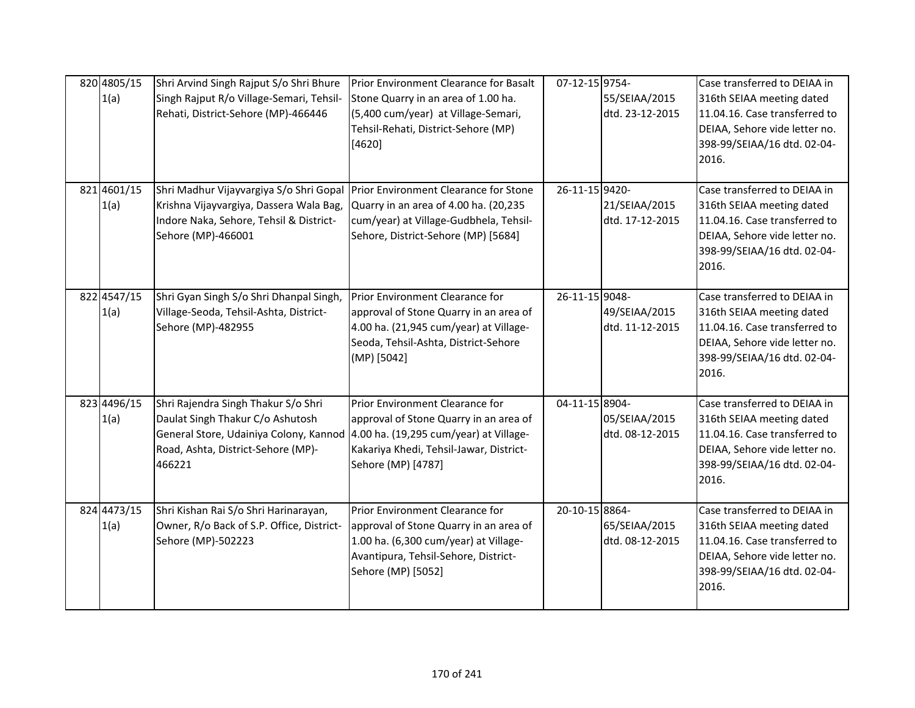| 820 4805/15<br>1(a) | Shri Arvind Singh Rajput S/o Shri Bhure<br>Singh Rajput R/o Village-Semari, Tehsil-<br>Rehati, District-Sehore (MP)-466446                                                                               | Prior Environment Clearance for Basalt<br>Stone Quarry in an area of 1.00 ha.<br>(5,400 cum/year) at Village-Semari,<br>Tehsil-Rehati, District-Sehore (MP)<br>[4620]            | 07-12-15 9754- | 55/SEIAA/2015<br>dtd. 23-12-2015 | Case transferred to DEIAA in<br>316th SEIAA meeting dated<br>11.04.16. Case transferred to<br>DEIAA, Sehore vide letter no.<br>398-99/SEIAA/16 dtd. 02-04-<br>2016. |
|---------------------|----------------------------------------------------------------------------------------------------------------------------------------------------------------------------------------------------------|----------------------------------------------------------------------------------------------------------------------------------------------------------------------------------|----------------|----------------------------------|---------------------------------------------------------------------------------------------------------------------------------------------------------------------|
| 821 4601/15<br>1(a) | Shri Madhur Vijayvargiya S/o Shri Gopal<br>Krishna Vijayvargiya, Dassera Wala Bag,<br>Indore Naka, Sehore, Tehsil & District-<br>Sehore (MP)-466001                                                      | Prior Environment Clearance for Stone<br>Quarry in an area of 4.00 ha. (20,235<br>cum/year) at Village-Gudbhela, Tehsil-<br>Sehore, District-Sehore (MP) [5684]                  | 26-11-15 9420- | 21/SEIAA/2015<br>dtd. 17-12-2015 | Case transferred to DEIAA in<br>316th SEIAA meeting dated<br>11.04.16. Case transferred to<br>DEIAA, Sehore vide letter no.<br>398-99/SEIAA/16 dtd. 02-04-<br>2016. |
| 822 4547/15<br>1(a) | Shri Gyan Singh S/o Shri Dhanpal Singh,<br>Village-Seoda, Tehsil-Ashta, District-<br>Sehore (MP)-482955                                                                                                  | Prior Environment Clearance for<br>approval of Stone Quarry in an area of<br>4.00 ha. (21,945 cum/year) at Village-<br>Seoda, Tehsil-Ashta, District-Sehore<br>(MP) [5042]       | 26-11-15 9048- | 49/SEIAA/2015<br>dtd. 11-12-2015 | Case transferred to DEIAA in<br>316th SEIAA meeting dated<br>11.04.16. Case transferred to<br>DEIAA, Sehore vide letter no.<br>398-99/SEIAA/16 dtd. 02-04-<br>2016. |
| 823 4496/15<br>1(a) | Shri Rajendra Singh Thakur S/o Shri<br>Daulat Singh Thakur C/o Ashutosh<br>General Store, Udainiya Colony, Kannod 4.00 ha. (19,295 cum/year) at Village-<br>Road, Ashta, District-Sehore (MP)-<br>466221 | Prior Environment Clearance for<br>approval of Stone Quarry in an area of<br>Kakariya Khedi, Tehsil-Jawar, District-<br>Sehore (MP) [4787]                                       | 04-11-15 8904- | 05/SEIAA/2015<br>dtd. 08-12-2015 | Case transferred to DEIAA in<br>316th SEIAA meeting dated<br>11.04.16. Case transferred to<br>DEIAA, Sehore vide letter no.<br>398-99/SEIAA/16 dtd. 02-04-<br>2016. |
| 824 4473/15<br>1(a) | Shri Kishan Rai S/o Shri Harinarayan,<br>Owner, R/o Back of S.P. Office, District-<br>Sehore (MP)-502223                                                                                                 | Prior Environment Clearance for<br>approval of Stone Quarry in an area of<br>1.00 ha. (6,300 cum/year) at Village-<br>Avantipura, Tehsil-Sehore, District-<br>Sehore (MP) [5052] | 20-10-15 8864- | 65/SEIAA/2015<br>dtd. 08-12-2015 | Case transferred to DEIAA in<br>316th SEIAA meeting dated<br>11.04.16. Case transferred to<br>DEIAA, Sehore vide letter no.<br>398-99/SEIAA/16 dtd. 02-04-<br>2016. |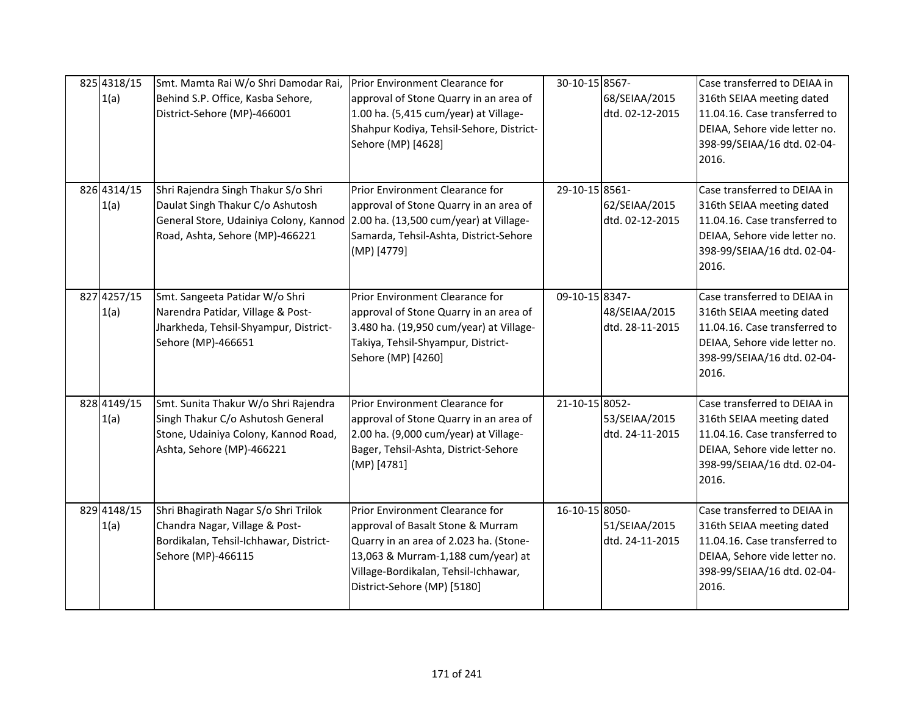| 825 4318/15<br>1(a) | Smt. Mamta Rai W/o Shri Damodar Rai,<br>Behind S.P. Office, Kasba Sehore,<br>District-Sehore (MP)-466001                                                                                    | Prior Environment Clearance for<br>approval of Stone Quarry in an area of<br>1.00 ha. (5,415 cum/year) at Village-<br>Shahpur Kodiya, Tehsil-Sehore, District-<br>Sehore (MP) [4628]                                        | 30-10-15 8567- | 68/SEIAA/2015<br>dtd. 02-12-2015 | Case transferred to DEIAA in<br>316th SEIAA meeting dated<br>11.04.16. Case transferred to<br>DEIAA, Sehore vide letter no.<br>398-99/SEIAA/16 dtd. 02-04-<br>2016. |
|---------------------|---------------------------------------------------------------------------------------------------------------------------------------------------------------------------------------------|-----------------------------------------------------------------------------------------------------------------------------------------------------------------------------------------------------------------------------|----------------|----------------------------------|---------------------------------------------------------------------------------------------------------------------------------------------------------------------|
| 826 4314/15<br>1(a) | Shri Rajendra Singh Thakur S/o Shri<br>Daulat Singh Thakur C/o Ashutosh<br>General Store, Udainiya Colony, Kannod 2.00 ha. (13,500 cum/year) at Village-<br>Road, Ashta, Sehore (MP)-466221 | Prior Environment Clearance for<br>approval of Stone Quarry in an area of<br>Samarda, Tehsil-Ashta, District-Sehore<br>(MP) [4779]                                                                                          | 29-10-15 8561- | 62/SEIAA/2015<br>dtd. 02-12-2015 | Case transferred to DEIAA in<br>316th SEIAA meeting dated<br>11.04.16. Case transferred to<br>DEIAA, Sehore vide letter no.<br>398-99/SEIAA/16 dtd. 02-04-<br>2016. |
| 827 4257/15<br>1(a) | Smt. Sangeeta Patidar W/o Shri<br>Narendra Patidar, Village & Post-<br>Jharkheda, Tehsil-Shyampur, District-<br>Sehore (MP)-466651                                                          | Prior Environment Clearance for<br>approval of Stone Quarry in an area of<br>3.480 ha. (19,950 cum/year) at Village-<br>Takiya, Tehsil-Shyampur, District-<br>Sehore (MP) [4260]                                            | 09-10-15 8347- | 48/SEIAA/2015<br>dtd. 28-11-2015 | Case transferred to DEIAA in<br>316th SEIAA meeting dated<br>11.04.16. Case transferred to<br>DEIAA, Sehore vide letter no.<br>398-99/SEIAA/16 dtd. 02-04-<br>2016. |
| 828 4149/15<br>1(a) | Smt. Sunita Thakur W/o Shri Rajendra<br>Singh Thakur C/o Ashutosh General<br>Stone, Udainiya Colony, Kannod Road,<br>Ashta, Sehore (MP)-466221                                              | Prior Environment Clearance for<br>approval of Stone Quarry in an area of<br>2.00 ha. (9,000 cum/year) at Village-<br>Bager, Tehsil-Ashta, District-Sehore<br>(MP) [4781]                                                   | 21-10-15 8052- | 53/SEIAA/2015<br>dtd. 24-11-2015 | Case transferred to DEIAA in<br>316th SEIAA meeting dated<br>11.04.16. Case transferred to<br>DEIAA, Sehore vide letter no.<br>398-99/SEIAA/16 dtd. 02-04-<br>2016. |
| 829 4148/15<br>1(a) | Shri Bhagirath Nagar S/o Shri Trilok<br>Chandra Nagar, Village & Post-<br>Bordikalan, Tehsil-Ichhawar, District-<br>Sehore (MP)-466115                                                      | Prior Environment Clearance for<br>approval of Basalt Stone & Murram<br>Quarry in an area of 2.023 ha. (Stone-<br>13,063 & Murram-1,188 cum/year) at<br>Village-Bordikalan, Tehsil-Ichhawar,<br>District-Sehore (MP) [5180] | 16-10-15 8050- | 51/SEIAA/2015<br>dtd. 24-11-2015 | Case transferred to DEIAA in<br>316th SEIAA meeting dated<br>11.04.16. Case transferred to<br>DEIAA, Sehore vide letter no.<br>398-99/SEIAA/16 dtd. 02-04-<br>2016. |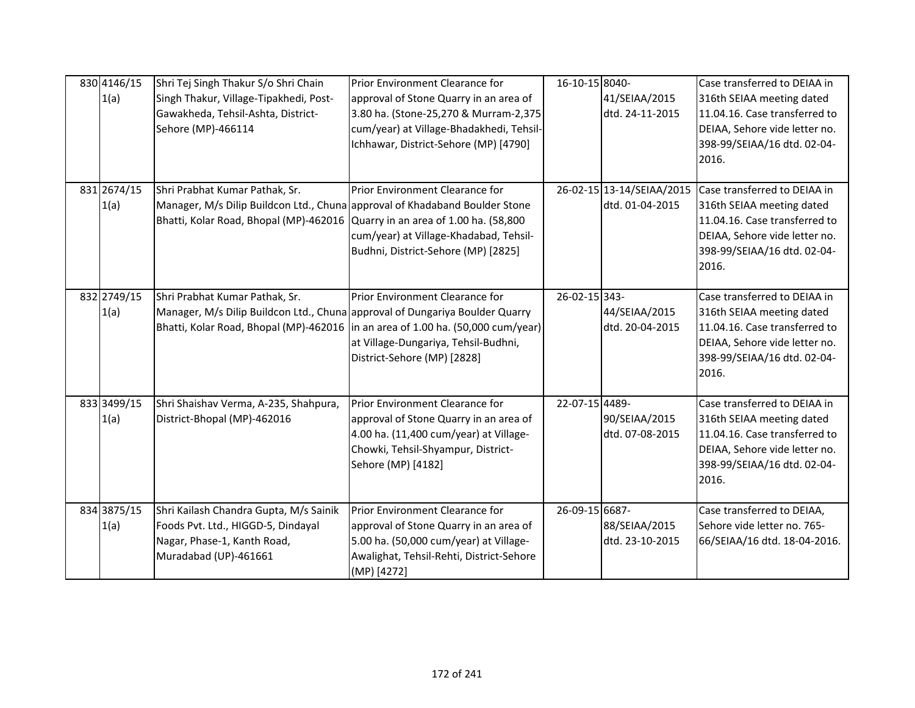| 830 4146/15<br>1(a) | Shri Tej Singh Thakur S/o Shri Chain<br>Singh Thakur, Village-Tipakhedi, Post-<br>Gawakheda, Tehsil-Ashta, District-<br>Sehore (MP)-466114                                                    | Prior Environment Clearance for<br>approval of Stone Quarry in an area of<br>3.80 ha. (Stone-25,270 & Murram-2,375<br>cum/year) at Village-Bhadakhedi, Tehsil-<br>Ichhawar, District-Sehore (MP) [4790] | 16-10-15 8040- | 41/SEIAA/2015<br>dtd. 24-11-2015             | Case transferred to DEIAA in<br>316th SEIAA meeting dated<br>11.04.16. Case transferred to<br>DEIAA, Sehore vide letter no.<br>398-99/SEIAA/16 dtd. 02-04-<br>2016. |
|---------------------|-----------------------------------------------------------------------------------------------------------------------------------------------------------------------------------------------|---------------------------------------------------------------------------------------------------------------------------------------------------------------------------------------------------------|----------------|----------------------------------------------|---------------------------------------------------------------------------------------------------------------------------------------------------------------------|
| 831 2674/15<br>1(a) | Shri Prabhat Kumar Pathak, Sr.<br>Manager, M/s Dilip Buildcon Ltd., Chuna approval of Khadaband Boulder Stone<br>Bhatti, Kolar Road, Bhopal (MP)-462016 Quarry in an area of 1.00 ha. (58,800 | Prior Environment Clearance for<br>cum/year) at Village-Khadabad, Tehsil-<br>Budhni, District-Sehore (MP) [2825]                                                                                        |                | 26-02-15 13-14/SEIAA/2015<br>dtd. 01-04-2015 | Case transferred to DEIAA in<br>316th SEIAA meeting dated<br>11.04.16. Case transferred to<br>DEIAA, Sehore vide letter no.<br>398-99/SEIAA/16 dtd. 02-04-<br>2016. |
| 832 2749/15<br>1(a) | Shri Prabhat Kumar Pathak, Sr.<br>Manager, M/s Dilip Buildcon Ltd., Chuna approval of Dungariya Boulder Quarry                                                                                | Prior Environment Clearance for<br>Bhatti, Kolar Road, Bhopal (MP)-462016 in an area of 1.00 ha. (50,000 cum/year)<br>at Village-Dungariya, Tehsil-Budhni,<br>District-Sehore (MP) [2828]               | 26-02-15 343-  | 44/SEIAA/2015<br>dtd. 20-04-2015             | Case transferred to DEIAA in<br>316th SEIAA meeting dated<br>11.04.16. Case transferred to<br>DEIAA, Sehore vide letter no.<br>398-99/SEIAA/16 dtd. 02-04-<br>2016. |
| 833 3499/15<br>1(a) | Shri Shaishav Verma, A-235, Shahpura,<br>District-Bhopal (MP)-462016                                                                                                                          | Prior Environment Clearance for<br>approval of Stone Quarry in an area of<br>4.00 ha. (11,400 cum/year) at Village-<br>Chowki, Tehsil-Shyampur, District-<br>Sehore (MP) [4182]                         | 22-07-15 4489- | 90/SEIAA/2015<br>dtd. 07-08-2015             | Case transferred to DEIAA in<br>316th SEIAA meeting dated<br>11.04.16. Case transferred to<br>DEIAA, Sehore vide letter no.<br>398-99/SEIAA/16 dtd. 02-04-<br>2016. |
| 834 3875/15<br>1(a) | Shri Kailash Chandra Gupta, M/s Sainik<br>Foods Pvt. Ltd., HIGGD-5, Dindayal<br>Nagar, Phase-1, Kanth Road,<br>Muradabad (UP)-461661                                                          | Prior Environment Clearance for<br>approval of Stone Quarry in an area of<br>5.00 ha. (50,000 cum/year) at Village-<br>Awalighat, Tehsil-Rehti, District-Sehore<br>(MP) [4272]                          | 26-09-15 6687- | 88/SEIAA/2015<br>dtd. 23-10-2015             | Case transferred to DEIAA,<br>Sehore vide letter no. 765-<br>66/SEIAA/16 dtd. 18-04-2016.                                                                           |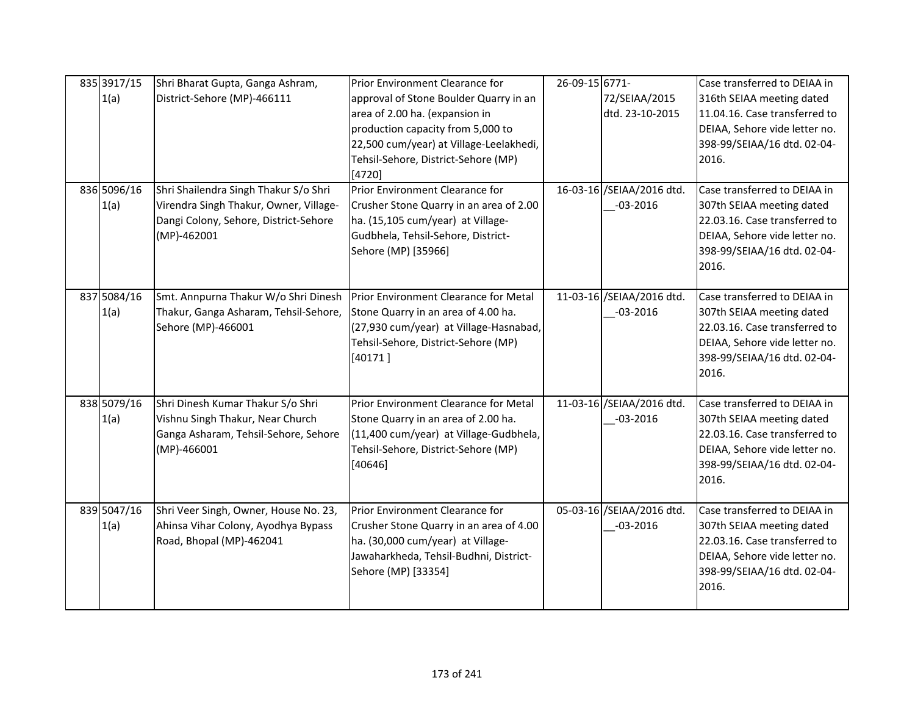| 835 3917/15<br>1(a) | Shri Bharat Gupta, Ganga Ashram,<br>District-Sehore (MP)-466111                                                                         | Prior Environment Clearance for<br>approval of Stone Boulder Quarry in an<br>area of 2.00 ha. (expansion in<br>production capacity from 5,000 to<br>22,500 cum/year) at Village-Leelakhedi,<br>Tehsil-Sehore, District-Sehore (MP) | 26-09-15 6771-<br>72/SEIAA/2015<br>dtd. 23-10-2015 | Case transferred to DEIAA in<br>316th SEIAA meeting dated<br>11.04.16. Case transferred to<br>DEIAA, Sehore vide letter no.<br>398-99/SEIAA/16 dtd. 02-04-<br>2016. |
|---------------------|-----------------------------------------------------------------------------------------------------------------------------------------|------------------------------------------------------------------------------------------------------------------------------------------------------------------------------------------------------------------------------------|----------------------------------------------------|---------------------------------------------------------------------------------------------------------------------------------------------------------------------|
| 836 5096/16<br>1(a) | Shri Shailendra Singh Thakur S/o Shri<br>Virendra Singh Thakur, Owner, Village-<br>Dangi Colony, Sehore, District-Sehore<br>(MP)-462001 | [4720]<br>Prior Environment Clearance for<br>Crusher Stone Quarry in an area of 2.00<br>ha. (15,105 cum/year) at Village-<br>Gudbhela, Tehsil-Sehore, District-<br>Sehore (MP) [35966]                                             | 16-03-16 / SEIAA/2016 dtd.<br>$-03 - 2016$         | Case transferred to DEIAA in<br>307th SEIAA meeting dated<br>22.03.16. Case transferred to<br>DEIAA, Sehore vide letter no.<br>398-99/SEIAA/16 dtd. 02-04-<br>2016. |
| 837 5084/16<br>1(a) | Smt. Annpurna Thakur W/o Shri Dinesh<br>Thakur, Ganga Asharam, Tehsil-Sehore,<br>Sehore (MP)-466001                                     | Prior Environment Clearance for Metal<br>Stone Quarry in an area of 4.00 ha.<br>(27,930 cum/year) at Village-Hasnabad,<br>Tehsil-Sehore, District-Sehore (MP)<br>[40171]                                                           | 11-03-16 /SEIAA/2016 dtd.<br>$-03 - 2016$          | Case transferred to DEIAA in<br>307th SEIAA meeting dated<br>22.03.16. Case transferred to<br>DEIAA, Sehore vide letter no.<br>398-99/SEIAA/16 dtd. 02-04-<br>2016. |
| 838 5079/16<br>1(a) | Shri Dinesh Kumar Thakur S/o Shri<br>Vishnu Singh Thakur, Near Church<br>Ganga Asharam, Tehsil-Sehore, Sehore<br>(MP)-466001            | Prior Environment Clearance for Metal<br>Stone Quarry in an area of 2.00 ha.<br>(11,400 cum/year) at Village-Gudbhela,<br>Tehsil-Sehore, District-Sehore (MP)<br>[40646]                                                           | 11-03-16 /SEIAA/2016 dtd.<br>$-03 - 2016$          | Case transferred to DEIAA in<br>307th SEIAA meeting dated<br>22.03.16. Case transferred to<br>DEIAA, Sehore vide letter no.<br>398-99/SEIAA/16 dtd. 02-04-<br>2016. |
| 839 5047/16<br>1(a) | Shri Veer Singh, Owner, House No. 23,<br>Ahinsa Vihar Colony, Ayodhya Bypass<br>Road, Bhopal (MP)-462041                                | Prior Environment Clearance for<br>Crusher Stone Quarry in an area of 4.00<br>ha. (30,000 cum/year) at Village-<br>Jawaharkheda, Tehsil-Budhni, District-<br>Sehore (MP) [33354]                                                   | 05-03-16 /SEIAA/2016 dtd.<br>$-03 - 2016$          | Case transferred to DEIAA in<br>307th SEIAA meeting dated<br>22.03.16. Case transferred to<br>DEIAA, Sehore vide letter no.<br>398-99/SEIAA/16 dtd. 02-04-<br>2016. |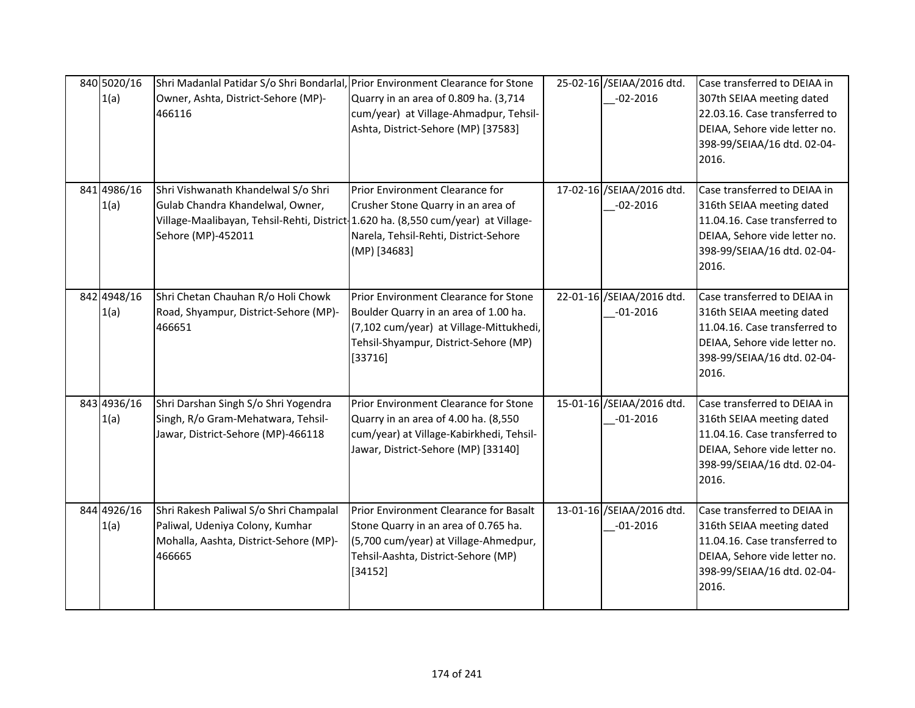| 840 5020/16<br>1(a) | Shri Madanlal Patidar S/o Shri Bondarlal, Prior Environment Clearance for Stone<br>Owner, Ashta, District-Sehore (MP)-<br>466116                                                   | Quarry in an area of 0.809 ha. (3,714<br>cum/year) at Village-Ahmadpur, Tehsil-<br>Ashta, District-Sehore (MP) [37583]                                                        | 25-02-16 /SEIAA/2016 dtd.<br>$-02 - 2016$  | Case transferred to DEIAA in<br>307th SEIAA meeting dated<br>22.03.16. Case transferred to<br>DEIAA, Sehore vide letter no.<br>398-99/SEIAA/16 dtd. 02-04-<br>2016. |
|---------------------|------------------------------------------------------------------------------------------------------------------------------------------------------------------------------------|-------------------------------------------------------------------------------------------------------------------------------------------------------------------------------|--------------------------------------------|---------------------------------------------------------------------------------------------------------------------------------------------------------------------|
| 841 4986/16<br>1(a) | Shri Vishwanath Khandelwal S/o Shri<br>Gulab Chandra Khandelwal, Owner,<br>Village-Maalibayan, Tehsil-Rehti, District 1.620 ha. (8,550 cum/year) at Village-<br>Sehore (MP)-452011 | Prior Environment Clearance for<br>Crusher Stone Quarry in an area of<br>Narela, Tehsil-Rehti, District-Sehore<br>(MP) [34683]                                                | 17-02-16 /SEIAA/2016 dtd.<br>$-02 - 2016$  | Case transferred to DEIAA in<br>316th SEIAA meeting dated<br>11.04.16. Case transferred to<br>DEIAA, Sehore vide letter no.<br>398-99/SEIAA/16 dtd. 02-04-<br>2016. |
| 842 4948/16<br>1(a) | Shri Chetan Chauhan R/o Holi Chowk<br>Road, Shyampur, District-Sehore (MP)-<br>466651                                                                                              | Prior Environment Clearance for Stone<br>Boulder Quarry in an area of 1.00 ha.<br>(7,102 cum/year) at Village-Mittukhedi,<br>Tehsil-Shyampur, District-Sehore (MP)<br>[33716] | 22-01-16 /SEIAA/2016 dtd.<br>$-01 - 2016$  | Case transferred to DEIAA in<br>316th SEIAA meeting dated<br>11.04.16. Case transferred to<br>DEIAA, Sehore vide letter no.<br>398-99/SEIAA/16 dtd. 02-04-<br>2016. |
| 843 4936/16<br>1(a) | Shri Darshan Singh S/o Shri Yogendra<br>Singh, R/o Gram-Mehatwara, Tehsil-<br>Jawar, District-Sehore (MP)-466118                                                                   | Prior Environment Clearance for Stone<br>Quarry in an area of 4.00 ha. (8,550<br>cum/year) at Village-Kabirkhedi, Tehsil-<br>Jawar, District-Sehore (MP) [33140]              | 15-01-16 / SEIAA/2016 dtd.<br>$-01 - 2016$ | Case transferred to DEIAA in<br>316th SEIAA meeting dated<br>11.04.16. Case transferred to<br>DEIAA, Sehore vide letter no.<br>398-99/SEIAA/16 dtd. 02-04-<br>2016. |
| 844 4926/16<br>1(a) | Shri Rakesh Paliwal S/o Shri Champalal<br>Paliwal, Udeniya Colony, Kumhar<br>Mohalla, Aashta, District-Sehore (MP)-<br>466665                                                      | Prior Environment Clearance for Basalt<br>Stone Quarry in an area of 0.765 ha.<br>(5,700 cum/year) at Village-Ahmedpur,<br>Tehsil-Aashta, District-Sehore (MP)<br>[34152]     | 13-01-16 / SEIAA/2016 dtd.<br>$-01 - 2016$ | Case transferred to DEIAA in<br>316th SEIAA meeting dated<br>11.04.16. Case transferred to<br>DEIAA, Sehore vide letter no.<br>398-99/SEIAA/16 dtd. 02-04-<br>2016. |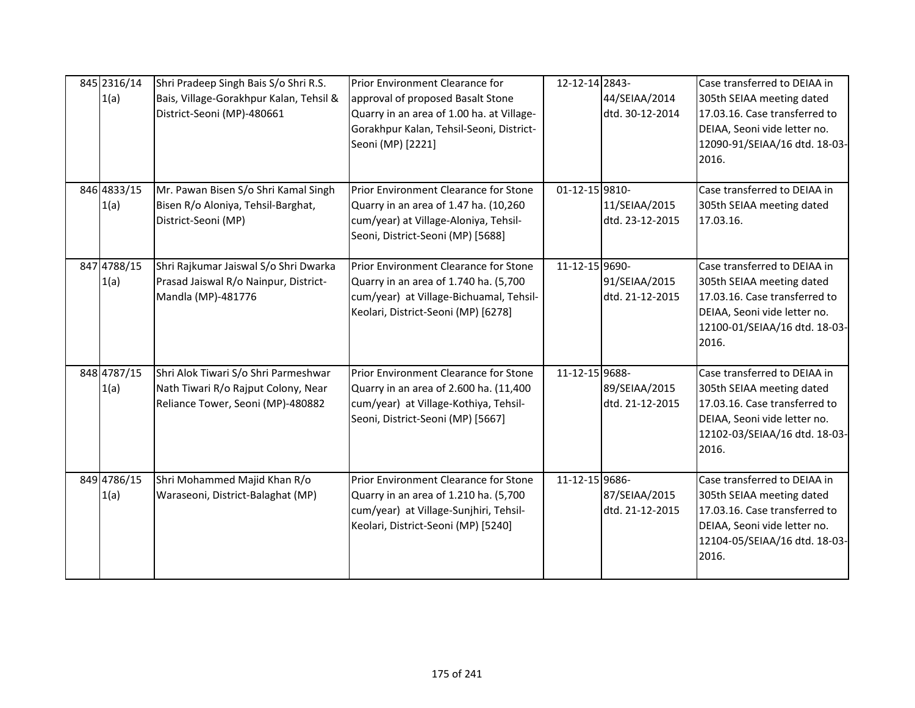| 845 2316/14<br>1(a)<br>846 4833/15 | Shri Pradeep Singh Bais S/o Shri R.S.<br>Bais, Village-Gorakhpur Kalan, Tehsil &<br>District-Seoni (MP)-480661<br>Mr. Pawan Bisen S/o Shri Kamal Singh | Prior Environment Clearance for<br>approval of proposed Basalt Stone<br>Quarry in an area of 1.00 ha. at Village-<br>Gorakhpur Kalan, Tehsil-Seoni, District-<br>Seoni (MP) [2221]<br>Prior Environment Clearance for Stone | 12-12-14 2843-<br>44/SEIAA/2014<br>dtd. 30-12-2014<br>01-12-15 9810- | Case transferred to DEIAA in<br>305th SEIAA meeting dated<br>17.03.16. Case transferred to<br>DEIAA, Seoni vide letter no.<br>12090-91/SEIAA/16 dtd. 18-03-<br>2016.<br>Case transferred to DEIAA in |
|------------------------------------|--------------------------------------------------------------------------------------------------------------------------------------------------------|-----------------------------------------------------------------------------------------------------------------------------------------------------------------------------------------------------------------------------|----------------------------------------------------------------------|------------------------------------------------------------------------------------------------------------------------------------------------------------------------------------------------------|
| 1(a)                               | Bisen R/o Aloniya, Tehsil-Barghat,<br>District-Seoni (MP)                                                                                              | Quarry in an area of 1.47 ha. (10,260<br>cum/year) at Village-Aloniya, Tehsil-<br>Seoni, District-Seoni (MP) [5688]                                                                                                         | 11/SEIAA/2015<br>dtd. 23-12-2015                                     | 305th SEIAA meeting dated<br>17.03.16.                                                                                                                                                               |
| 847 4788/15<br>1(a)                | Shri Rajkumar Jaiswal S/o Shri Dwarka<br>Prasad Jaiswal R/o Nainpur, District-<br>Mandla (MP)-481776                                                   | Prior Environment Clearance for Stone<br>Quarry in an area of 1.740 ha. (5,700<br>cum/year) at Village-Bichuamal, Tehsil-<br>Keolari, District-Seoni (MP) [6278]                                                            | 11-12-15 9690-<br>91/SEIAA/2015<br>dtd. 21-12-2015                   | Case transferred to DEIAA in<br>305th SEIAA meeting dated<br>17.03.16. Case transferred to<br>DEIAA, Seoni vide letter no.<br>12100-01/SEIAA/16 dtd. 18-03-<br>2016.                                 |
| 848 4787/15<br>1(a)                | Shri Alok Tiwari S/o Shri Parmeshwar<br>Nath Tiwari R/o Rajput Colony, Near<br>Reliance Tower, Seoni (MP)-480882                                       | Prior Environment Clearance for Stone<br>Quarry in an area of 2.600 ha. (11,400<br>cum/year) at Village-Kothiya, Tehsil-<br>Seoni, District-Seoni (MP) [5667]                                                               | 11-12-15 9688-<br>89/SEIAA/2015<br>dtd. 21-12-2015                   | Case transferred to DEIAA in<br>305th SEIAA meeting dated<br>17.03.16. Case transferred to<br>DEIAA, Seoni vide letter no.<br>12102-03/SEIAA/16 dtd. 18-03-<br>2016.                                 |
| 849 4786/15<br>1(a)                | Shri Mohammed Majid Khan R/o<br>Waraseoni, District-Balaghat (MP)                                                                                      | Prior Environment Clearance for Stone<br>Quarry in an area of 1.210 ha. (5,700<br>cum/year) at Village-Sunjhiri, Tehsil-<br>Keolari, District-Seoni (MP) [5240]                                                             | 11-12-15 9686-<br>87/SEIAA/2015<br>dtd. 21-12-2015                   | Case transferred to DEIAA in<br>305th SEIAA meeting dated<br>17.03.16. Case transferred to<br>DEIAA, Seoni vide letter no.<br>12104-05/SEIAA/16 dtd. 18-03-<br>2016.                                 |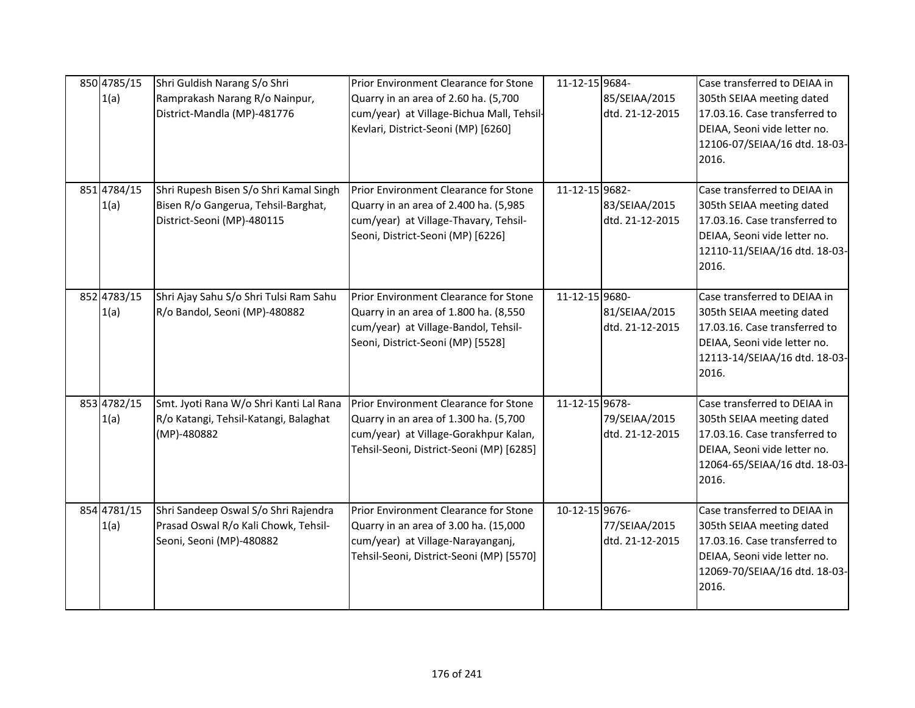| 850 4785/15<br>1(a) | Shri Guldish Narang S/o Shri<br>Ramprakash Narang R/o Nainpur,<br>District-Mandla (MP)-481776               | Prior Environment Clearance for Stone<br>Quarry in an area of 2.60 ha. (5,700<br>cum/year) at Village-Bichua Mall, Tehsil-<br>Kevlari, District-Seoni (MP) [6260]   | 11-12-15 9684- | 85/SEIAA/2015<br>dtd. 21-12-2015 | Case transferred to DEIAA in<br>305th SEIAA meeting dated<br>17.03.16. Case transferred to<br>DEIAA, Seoni vide letter no.<br>12106-07/SEIAA/16 dtd. 18-03-<br>2016. |
|---------------------|-------------------------------------------------------------------------------------------------------------|---------------------------------------------------------------------------------------------------------------------------------------------------------------------|----------------|----------------------------------|----------------------------------------------------------------------------------------------------------------------------------------------------------------------|
| 851 4784/15<br>1(a) | Shri Rupesh Bisen S/o Shri Kamal Singh<br>Bisen R/o Gangerua, Tehsil-Barghat,<br>District-Seoni (MP)-480115 | Prior Environment Clearance for Stone<br>Quarry in an area of 2.400 ha. (5,985<br>cum/year) at Village-Thavary, Tehsil-<br>Seoni, District-Seoni (MP) [6226]        | 11-12-15 9682- | 83/SEIAA/2015<br>dtd. 21-12-2015 | Case transferred to DEIAA in<br>305th SEIAA meeting dated<br>17.03.16. Case transferred to<br>DEIAA, Seoni vide letter no.<br>12110-11/SEIAA/16 dtd. 18-03-<br>2016. |
| 852 4783/15<br>1(a) | Shri Ajay Sahu S/o Shri Tulsi Ram Sahu<br>R/o Bandol, Seoni (MP)-480882                                     | Prior Environment Clearance for Stone<br>Quarry in an area of 1.800 ha. (8,550<br>cum/year) at Village-Bandol, Tehsil-<br>Seoni, District-Seoni (MP) [5528]         | 11-12-15 9680- | 81/SEIAA/2015<br>dtd. 21-12-2015 | Case transferred to DEIAA in<br>305th SEIAA meeting dated<br>17.03.16. Case transferred to<br>DEIAA, Seoni vide letter no.<br>12113-14/SEIAA/16 dtd. 18-03-<br>2016. |
| 853 4782/15<br>1(a) | Smt. Jyoti Rana W/o Shri Kanti Lal Rana<br>R/o Katangi, Tehsil-Katangi, Balaghat<br>(MP)-480882             | Prior Environment Clearance for Stone<br>Quarry in an area of 1.300 ha. (5,700<br>cum/year) at Village-Gorakhpur Kalan,<br>Tehsil-Seoni, District-Seoni (MP) [6285] | 11-12-15 9678- | 79/SEIAA/2015<br>dtd. 21-12-2015 | Case transferred to DEIAA in<br>305th SEIAA meeting dated<br>17.03.16. Case transferred to<br>DEIAA, Seoni vide letter no.<br>12064-65/SEIAA/16 dtd. 18-03-<br>2016. |
| 854 4781/15<br>1(a) | Shri Sandeep Oswal S/o Shri Rajendra<br>Prasad Oswal R/o Kali Chowk, Tehsil-<br>Seoni, Seoni (MP)-480882    | Prior Environment Clearance for Stone<br>Quarry in an area of 3.00 ha. (15,000<br>cum/year) at Village-Narayanganj,<br>Tehsil-Seoni, District-Seoni (MP) [5570]     | 10-12-15 9676- | 77/SEIAA/2015<br>dtd. 21-12-2015 | Case transferred to DEIAA in<br>305th SEIAA meeting dated<br>17.03.16. Case transferred to<br>DEIAA, Seoni vide letter no.<br>12069-70/SEIAA/16 dtd. 18-03-<br>2016. |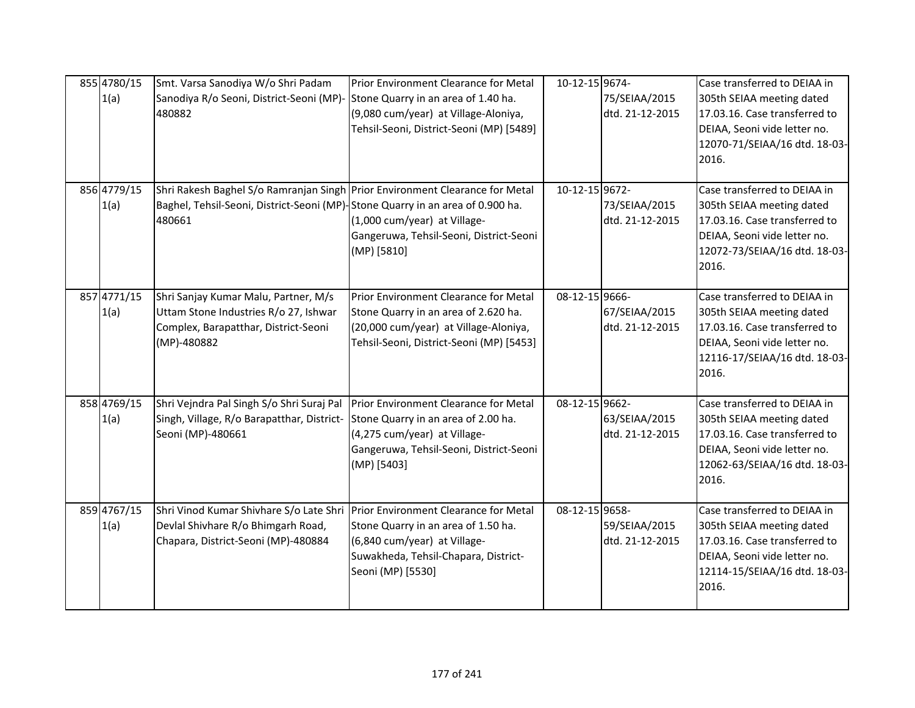| 855 4780/15<br>1(a) | Smt. Varsa Sanodiya W/o Shri Padam<br>Sanodiya R/o Seoni, District-Seoni (MP)-<br>480882                                                                                 | Prior Environment Clearance for Metal<br>Stone Quarry in an area of 1.40 ha.<br>(9,080 cum/year) at Village-Aloniya,<br>Tehsil-Seoni, District-Seoni (MP) [5489]   | 10-12-15 9674- | 75/SEIAA/2015<br>dtd. 21-12-2015 | Case transferred to DEIAA in<br>305th SEIAA meeting dated<br>17.03.16. Case transferred to<br>DEIAA, Seoni vide letter no.<br>12070-71/SEIAA/16 dtd. 18-03-<br>2016. |
|---------------------|--------------------------------------------------------------------------------------------------------------------------------------------------------------------------|--------------------------------------------------------------------------------------------------------------------------------------------------------------------|----------------|----------------------------------|----------------------------------------------------------------------------------------------------------------------------------------------------------------------|
| 856 4779/15<br>1(a) | Shri Rakesh Baghel S/o Ramranjan Singh Prior Environment Clearance for Metal<br>Baghel, Tehsil-Seoni, District-Seoni (MP)-Stone Quarry in an area of 0.900 ha.<br>480661 | (1,000 cum/year) at Village-<br>Gangeruwa, Tehsil-Seoni, District-Seoni<br>(MP) [5810]                                                                             | 10-12-15 9672- | 73/SEIAA/2015<br>dtd. 21-12-2015 | Case transferred to DEIAA in<br>305th SEIAA meeting dated<br>17.03.16. Case transferred to<br>DEIAA, Seoni vide letter no.<br>12072-73/SEIAA/16 dtd. 18-03-<br>2016. |
| 857 4771/15<br>1(a) | Shri Sanjay Kumar Malu, Partner, M/s<br>Uttam Stone Industries R/o 27, Ishwar<br>Complex, Barapatthar, District-Seoni<br>(MP)-480882                                     | Prior Environment Clearance for Metal<br>Stone Quarry in an area of 2.620 ha.<br>(20,000 cum/year) at Village-Aloniya,<br>Tehsil-Seoni, District-Seoni (MP) [5453] | 08-12-15 9666- | 67/SEIAA/2015<br>dtd. 21-12-2015 | Case transferred to DEIAA in<br>305th SEIAA meeting dated<br>17.03.16. Case transferred to<br>DEIAA, Seoni vide letter no.<br>12116-17/SEIAA/16 dtd. 18-03-<br>2016. |
| 858 4769/15<br>1(a) | Shri Vejndra Pal Singh S/o Shri Suraj Pal<br>Singh, Village, R/o Barapatthar, District- Stone Quarry in an area of 2.00 ha.<br>Seoni (MP)-480661                         | Prior Environment Clearance for Metal<br>(4,275 cum/year) at Village-<br>Gangeruwa, Tehsil-Seoni, District-Seoni<br>(MP) [5403]                                    | 08-12-15 9662- | 63/SEIAA/2015<br>dtd. 21-12-2015 | Case transferred to DEIAA in<br>305th SEIAA meeting dated<br>17.03.16. Case transferred to<br>DEIAA, Seoni vide letter no.<br>12062-63/SEIAA/16 dtd. 18-03-<br>2016. |
| 859 4767/15<br>1(a) | Shri Vinod Kumar Shivhare S/o Late Shri Prior Environment Clearance for Metal<br>Devlal Shivhare R/o Bhimgarh Road,<br>Chapara, District-Seoni (MP)-480884               | Stone Quarry in an area of 1.50 ha.<br>(6,840 cum/year) at Village-<br>Suwakheda, Tehsil-Chapara, District-<br>Seoni (MP) [5530]                                   | 08-12-15 9658- | 59/SEIAA/2015<br>dtd. 21-12-2015 | Case transferred to DEIAA in<br>305th SEIAA meeting dated<br>17.03.16. Case transferred to<br>DEIAA, Seoni vide letter no.<br>12114-15/SEIAA/16 dtd. 18-03-<br>2016. |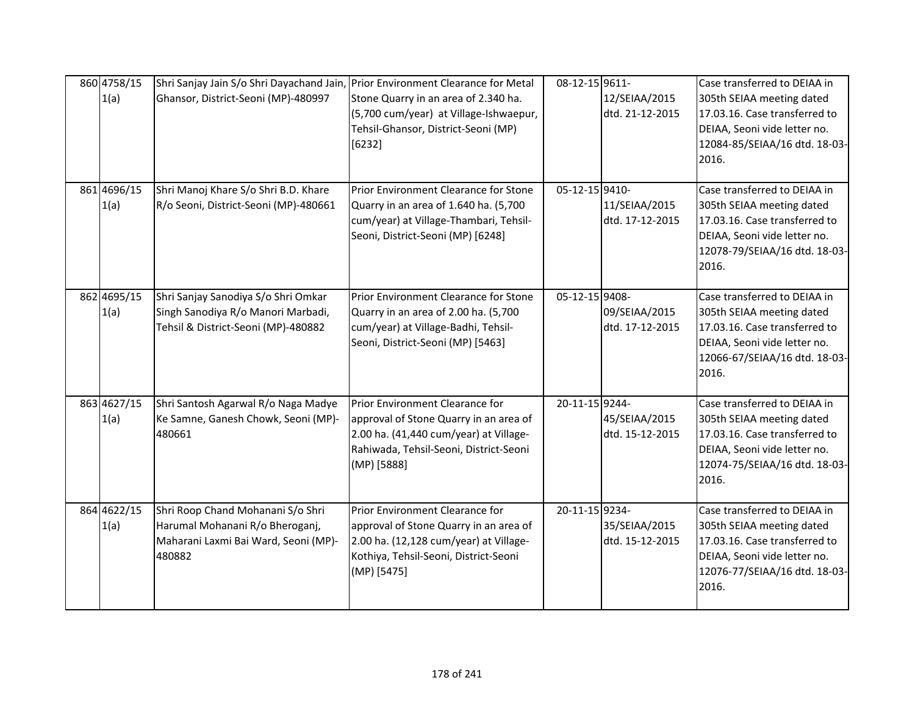| 860 4758/15<br>1(a) | Shri Sanjay Jain S/o Shri Dayachand Jain, Prior Environment Clearance for Metal<br>Ghansor, District-Seoni (MP)-480997 | Stone Quarry in an area of 2.340 ha.<br>(5,700 cum/year) at Village-Ishwaepur,<br>Tehsil-Ghansor, District-Seoni (MP)<br>[6232]                                              | 08-12-15 9611- | 12/SEIAA/2015<br>dtd. 21-12-2015 | Case transferred to DEIAA in<br>305th SEIAA meeting dated<br>17.03.16. Case transferred to<br>DEIAA, Seoni vide letter no.<br>12084-85/SEIAA/16 dtd. 18-03-<br>2016. |
|---------------------|------------------------------------------------------------------------------------------------------------------------|------------------------------------------------------------------------------------------------------------------------------------------------------------------------------|----------------|----------------------------------|----------------------------------------------------------------------------------------------------------------------------------------------------------------------|
| 861 4696/15<br>1(a) | Shri Manoj Khare S/o Shri B.D. Khare<br>R/o Seoni, District-Seoni (MP)-480661                                          | Prior Environment Clearance for Stone<br>Quarry in an area of 1.640 ha. (5,700<br>cum/year) at Village-Thambari, Tehsil-<br>Seoni, District-Seoni (MP) [6248]                | 05-12-15 9410- | 11/SEIAA/2015<br>dtd. 17-12-2015 | Case transferred to DEIAA in<br>305th SEIAA meeting dated<br>17.03.16. Case transferred to<br>DEIAA, Seoni vide letter no.<br>12078-79/SEIAA/16 dtd. 18-03-<br>2016. |
| 862 4695/15<br>1(a) | Shri Sanjay Sanodiya S/o Shri Omkar<br>Singh Sanodiya R/o Manori Marbadi,<br>Tehsil & District-Seoni (MP)-480882       | Prior Environment Clearance for Stone<br>Quarry in an area of 2.00 ha. (5,700<br>cum/year) at Village-Badhi, Tehsil-<br>Seoni, District-Seoni (MP) [5463]                    | 05-12-15 9408- | 09/SEIAA/2015<br>dtd. 17-12-2015 | Case transferred to DEIAA in<br>305th SEIAA meeting dated<br>17.03.16. Case transferred to<br>DEIAA, Seoni vide letter no.<br>12066-67/SEIAA/16 dtd. 18-03-<br>2016. |
| 863 4627/15<br>1(a) | Shri Santosh Agarwal R/o Naga Madye<br>Ke Samne, Ganesh Chowk, Seoni (MP)-<br>480661                                   | Prior Environment Clearance for<br>approval of Stone Quarry in an area of<br>2.00 ha. (41,440 cum/year) at Village-<br>Rahiwada, Tehsil-Seoni, District-Seoni<br>(MP) [5888] | 20-11-15 9244- | 45/SEIAA/2015<br>dtd. 15-12-2015 | Case transferred to DEIAA in<br>305th SEIAA meeting dated<br>17.03.16. Case transferred to<br>DEIAA, Seoni vide letter no.<br>12074-75/SEIAA/16 dtd. 18-03-<br>2016. |
| 864 4622/15<br>1(a) | Shri Roop Chand Mohanani S/o Shri<br>Harumal Mohanani R/o Bheroganj,<br>Maharani Laxmi Bai Ward, Seoni (MP)-<br>480882 | Prior Environment Clearance for<br>approval of Stone Quarry in an area of<br>2.00 ha. (12,128 cum/year) at Village-<br>Kothiya, Tehsil-Seoni, District-Seoni<br>(MP) [5475]  | 20-11-15 9234- | 35/SEIAA/2015<br>dtd. 15-12-2015 | Case transferred to DEIAA in<br>305th SEIAA meeting dated<br>17.03.16. Case transferred to<br>DEIAA, Seoni vide letter no.<br>12076-77/SEIAA/16 dtd. 18-03-<br>2016. |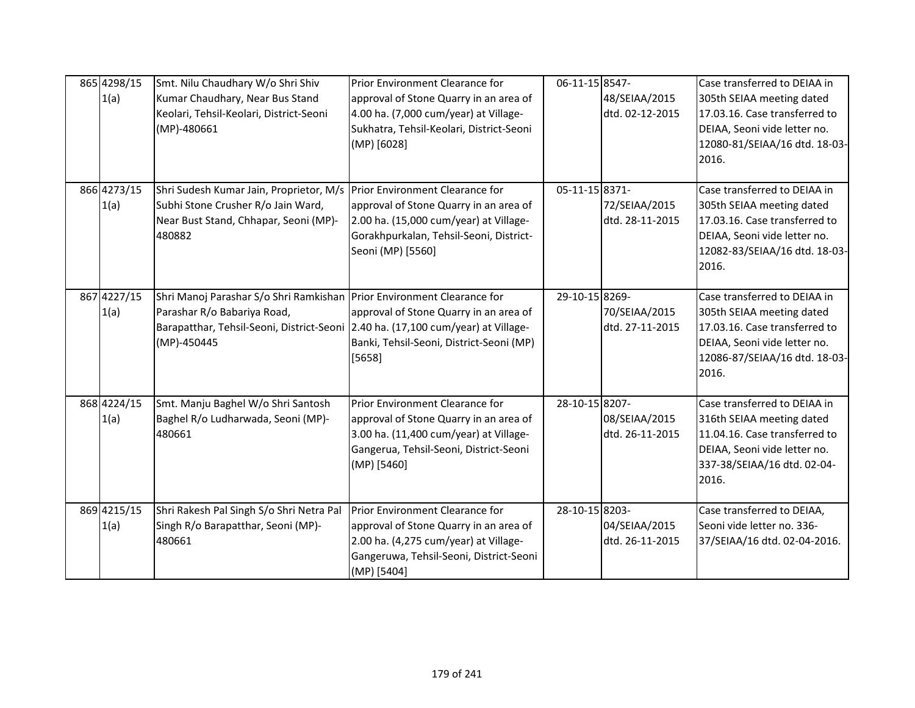| 865 4298/15<br>1(a) | Smt. Nilu Chaudhary W/o Shri Shiv<br>Kumar Chaudhary, Near Bus Stand<br>Keolari, Tehsil-Keolari, District-Seoni<br>$(MP) - 480661$                                                                       | Prior Environment Clearance for<br>approval of Stone Quarry in an area of<br>4.00 ha. (7,000 cum/year) at Village-<br>Sukhatra, Tehsil-Keolari, District-Seoni<br>(MP) [6028]       | 06-11-15 8547- | 48/SEIAA/2015<br>dtd. 02-12-2015 | Case transferred to DEIAA in<br>305th SEIAA meeting dated<br>17.03.16. Case transferred to<br>DEIAA, Seoni vide letter no.<br>12080-81/SEIAA/16 dtd. 18-03-<br>2016. |
|---------------------|----------------------------------------------------------------------------------------------------------------------------------------------------------------------------------------------------------|-------------------------------------------------------------------------------------------------------------------------------------------------------------------------------------|----------------|----------------------------------|----------------------------------------------------------------------------------------------------------------------------------------------------------------------|
| 866 4273/15<br>1(a) | Shri Sudesh Kumar Jain, Proprietor, M/s<br>Subhi Stone Crusher R/o Jain Ward,<br>Near Bust Stand, Chhapar, Seoni (MP)-<br>480882                                                                         | Prior Environment Clearance for<br>approval of Stone Quarry in an area of<br>2.00 ha. (15,000 cum/year) at Village-<br>Gorakhpurkalan, Tehsil-Seoni, District-<br>Seoni (MP) [5560] | 05-11-15 8371- | 72/SEIAA/2015<br>dtd. 28-11-2015 | Case transferred to DEIAA in<br>305th SEIAA meeting dated<br>17.03.16. Case transferred to<br>DEIAA, Seoni vide letter no.<br>12082-83/SEIAA/16 dtd. 18-03-<br>2016. |
| 867 4227/15<br>1(a) | Shri Manoj Parashar S/o Shri Ramkishan Prior Environment Clearance for<br>Parashar R/o Babariya Road,<br>Barapatthar, Tehsil-Seoni, District-Seoni 2.40 ha. (17,100 cum/year) at Village-<br>(MP)-450445 | approval of Stone Quarry in an area of<br>Banki, Tehsil-Seoni, District-Seoni (MP)<br>[5658]                                                                                        | 29-10-15 8269- | 70/SEIAA/2015<br>dtd. 27-11-2015 | Case transferred to DEIAA in<br>305th SEIAA meeting dated<br>17.03.16. Case transferred to<br>DEIAA, Seoni vide letter no.<br>12086-87/SEIAA/16 dtd. 18-03-<br>2016. |
| 868 4224/15<br>1(a) | Smt. Manju Baghel W/o Shri Santosh<br>Baghel R/o Ludharwada, Seoni (MP)-<br>480661                                                                                                                       | Prior Environment Clearance for<br>approval of Stone Quarry in an area of<br>3.00 ha. (11,400 cum/year) at Village-<br>Gangerua, Tehsil-Seoni, District-Seoni<br>(MP) [5460]        | 28-10-15 8207- | 08/SEIAA/2015<br>dtd. 26-11-2015 | Case transferred to DEIAA in<br>316th SEIAA meeting dated<br>11.04.16. Case transferred to<br>DEIAA, Seoni vide letter no.<br>337-38/SEIAA/16 dtd. 02-04-<br>2016.   |
| 869 4215/15<br>1(a) | Shri Rakesh Pal Singh S/o Shri Netra Pal<br>Singh R/o Barapatthar, Seoni (MP)-<br>480661                                                                                                                 | <b>Prior Environment Clearance for</b><br>approval of Stone Quarry in an area of<br>2.00 ha. (4,275 cum/year) at Village-<br>Gangeruwa, Tehsil-Seoni, District-Seoni<br>(MP) [5404] | 28-10-15 8203- | 04/SEIAA/2015<br>dtd. 26-11-2015 | Case transferred to DEIAA,<br>Seoni vide letter no. 336-<br>37/SEIAA/16 dtd. 02-04-2016.                                                                             |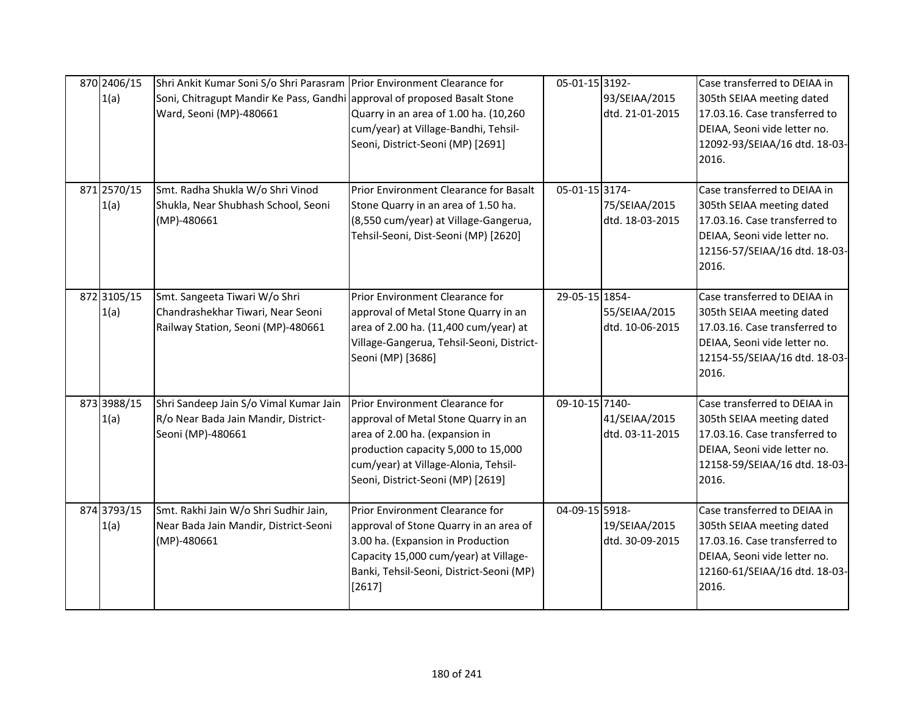| 870 2406/15<br>1(a) | Shri Ankit Kumar Soni S/o Shri Parasram Prior Environment Clearance for<br>Soni, Chitragupt Mandir Ke Pass, Gandhi approval of proposed Basalt Stone<br>Ward, Seoni (MP)-480661 | Quarry in an area of 1.00 ha. (10,260<br>cum/year) at Village-Bandhi, Tehsil-<br>Seoni, District-Seoni (MP) [2691]                                                                                                                   | 05-01-15 3192- | 93/SEIAA/2015<br>dtd. 21-01-2015 | Case transferred to DEIAA in<br>305th SEIAA meeting dated<br>17.03.16. Case transferred to<br>DEIAA, Seoni vide letter no.<br>12092-93/SEIAA/16 dtd. 18-03-<br>2016. |
|---------------------|---------------------------------------------------------------------------------------------------------------------------------------------------------------------------------|--------------------------------------------------------------------------------------------------------------------------------------------------------------------------------------------------------------------------------------|----------------|----------------------------------|----------------------------------------------------------------------------------------------------------------------------------------------------------------------|
| 871 2570/15<br>1(a) | Smt. Radha Shukla W/o Shri Vinod<br>Shukla, Near Shubhash School, Seoni<br>(MP)-480661                                                                                          | Prior Environment Clearance for Basalt<br>Stone Quarry in an area of 1.50 ha.<br>(8,550 cum/year) at Village-Gangerua,<br>Tehsil-Seoni, Dist-Seoni (MP) [2620]                                                                       | 05-01-15 3174- | 75/SEIAA/2015<br>dtd. 18-03-2015 | Case transferred to DEIAA in<br>305th SEIAA meeting dated<br>17.03.16. Case transferred to<br>DEIAA, Seoni vide letter no.<br>12156-57/SEIAA/16 dtd. 18-03-<br>2016. |
| 872 3105/15<br>1(a) | Smt. Sangeeta Tiwari W/o Shri<br>Chandrashekhar Tiwari, Near Seoni<br>Railway Station, Seoni (MP)-480661                                                                        | Prior Environment Clearance for<br>approval of Metal Stone Quarry in an<br>area of 2.00 ha. (11,400 cum/year) at<br>Village-Gangerua, Tehsil-Seoni, District-<br>Seoni (MP) [3686]                                                   | 29-05-15 1854- | 55/SEIAA/2015<br>dtd. 10-06-2015 | Case transferred to DEIAA in<br>305th SEIAA meeting dated<br>17.03.16. Case transferred to<br>DEIAA, Seoni vide letter no.<br>12154-55/SEIAA/16 dtd. 18-03-<br>2016. |
| 873 3988/15<br>1(a) | Shri Sandeep Jain S/o Vimal Kumar Jain<br>R/o Near Bada Jain Mandir, District-<br>Seoni (MP)-480661                                                                             | <b>Prior Environment Clearance for</b><br>approval of Metal Stone Quarry in an<br>area of 2.00 ha. (expansion in<br>production capacity 5,000 to 15,000<br>cum/year) at Village-Alonia, Tehsil-<br>Seoni, District-Seoni (MP) [2619] | 09-10-15 7140- | 41/SEIAA/2015<br>dtd. 03-11-2015 | Case transferred to DEIAA in<br>305th SEIAA meeting dated<br>17.03.16. Case transferred to<br>DEIAA, Seoni vide letter no.<br>12158-59/SEIAA/16 dtd. 18-03-<br>2016. |
| 874 3793/15<br>1(a) | Smt. Rakhi Jain W/o Shri Sudhir Jain,<br>Near Bada Jain Mandir, District-Seoni<br>(MP)-480661                                                                                   | Prior Environment Clearance for<br>approval of Stone Quarry in an area of<br>3.00 ha. (Expansion in Production<br>Capacity 15,000 cum/year) at Village-<br>Banki, Tehsil-Seoni, District-Seoni (MP)<br>[2617]                        | 04-09-15 5918- | 19/SEIAA/2015<br>dtd. 30-09-2015 | Case transferred to DEIAA in<br>305th SEIAA meeting dated<br>17.03.16. Case transferred to<br>DEIAA, Seoni vide letter no.<br>12160-61/SEIAA/16 dtd. 18-03-<br>2016. |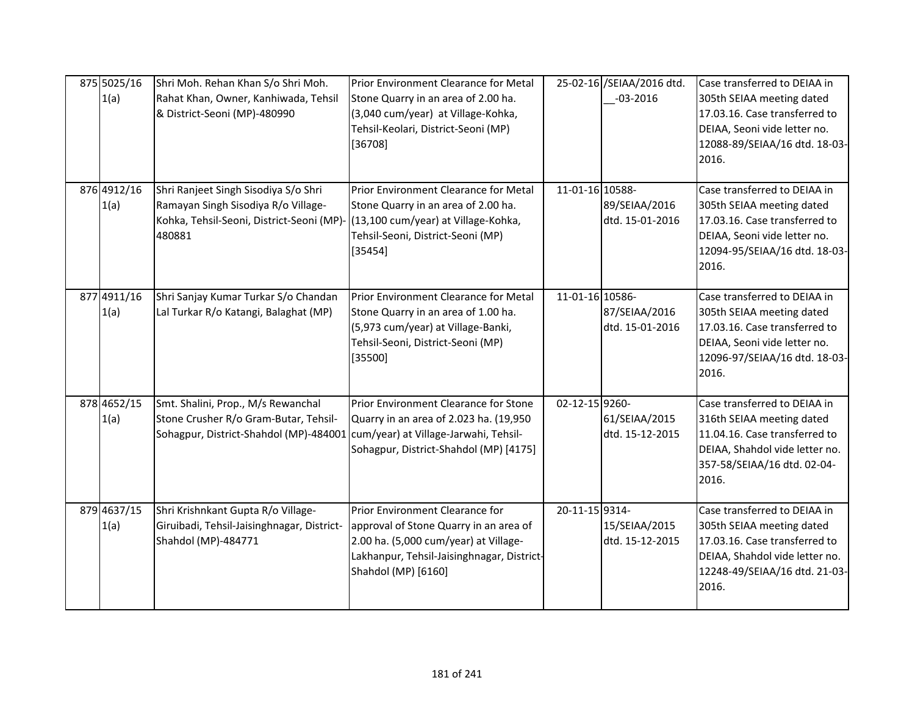| 875 5025/16<br>1(a) | Shri Moh. Rehan Khan S/o Shri Moh.<br>Rahat Khan, Owner, Kanhiwada, Tehsil<br>& District-Seoni (MP)-480990                                                             | Prior Environment Clearance for Metal<br>Stone Quarry in an area of 2.00 ha.<br>(3,040 cum/year) at Village-Kohka,<br>Tehsil-Keolari, District-Seoni (MP)<br>[36708]                    |                    | 25-02-16 /SEIAA/2016 dtd.<br>$-03 - 2016$ | Case transferred to DEIAA in<br>305th SEIAA meeting dated<br>17.03.16. Case transferred to<br>DEIAA, Seoni vide letter no.<br>12088-89/SEIAA/16 dtd. 18-03-<br>2016.   |
|---------------------|------------------------------------------------------------------------------------------------------------------------------------------------------------------------|-----------------------------------------------------------------------------------------------------------------------------------------------------------------------------------------|--------------------|-------------------------------------------|------------------------------------------------------------------------------------------------------------------------------------------------------------------------|
| 876 4912/16<br>1(a) | Shri Ranjeet Singh Sisodiya S/o Shri<br>Ramayan Singh Sisodiya R/o Village-<br>Kohka, Tehsil-Seoni, District-Seoni (MP)- (13,100 cum/year) at Village-Kohka,<br>480881 | Prior Environment Clearance for Metal<br>Stone Quarry in an area of 2.00 ha.<br>Tehsil-Seoni, District-Seoni (MP)<br>[35454]                                                            | 11-01-16 10588-    | 89/SEIAA/2016<br>dtd. 15-01-2016          | Case transferred to DEIAA in<br>305th SEIAA meeting dated<br>17.03.16. Case transferred to<br>DEIAA, Seoni vide letter no.<br>12094-95/SEIAA/16 dtd. 18-03-<br>2016.   |
| 877 4911/16<br>1(a) | Shri Sanjay Kumar Turkar S/o Chandan<br>Lal Turkar R/o Katangi, Balaghat (MP)                                                                                          | Prior Environment Clearance for Metal<br>Stone Quarry in an area of 1.00 ha.<br>(5,973 cum/year) at Village-Banki,<br>Tehsil-Seoni, District-Seoni (MP)<br>[35500]                      | 11-01-16 10586-    | 87/SEIAA/2016<br>dtd. 15-01-2016          | Case transferred to DEIAA in<br>305th SEIAA meeting dated<br>17.03.16. Case transferred to<br>DEIAA, Seoni vide letter no.<br>12096-97/SEIAA/16 dtd. 18-03-<br>2016.   |
| 878 4652/15<br>1(a) | Smt. Shalini, Prop., M/s Rewanchal<br>Stone Crusher R/o Gram-Butar, Tehsil-<br>Sohagpur, District-Shahdol (MP)-484001                                                  | Prior Environment Clearance for Stone<br>Quarry in an area of 2.023 ha. (19,950<br>cum/year) at Village-Jarwahi, Tehsil-<br>Sohagpur, District-Shahdol (MP) [4175]                      | 02-12-15 9260-     | 61/SEIAA/2015<br>dtd. 15-12-2015          | Case transferred to DEIAA in<br>316th SEIAA meeting dated<br>11.04.16. Case transferred to<br>DEIAA, Shahdol vide letter no.<br>357-58/SEIAA/16 dtd. 02-04-<br>2016.   |
| 879 4637/15<br>1(a) | Shri Krishnkant Gupta R/o Village-<br>Giruibadi, Tehsil-Jaisinghnagar, District-<br>Shahdol (MP)-484771                                                                | Prior Environment Clearance for<br>approval of Stone Quarry in an area of<br>2.00 ha. (5,000 cum/year) at Village-<br>Lakhanpur, Tehsil-Jaisinghnagar, District-<br>Shahdol (MP) [6160] | $20 - 11 - 159314$ | 15/SEIAA/2015<br>dtd. 15-12-2015          | Case transferred to DEIAA in<br>305th SEIAA meeting dated<br>17.03.16. Case transferred to<br>DEIAA, Shahdol vide letter no.<br>12248-49/SEIAA/16 dtd. 21-03-<br>2016. |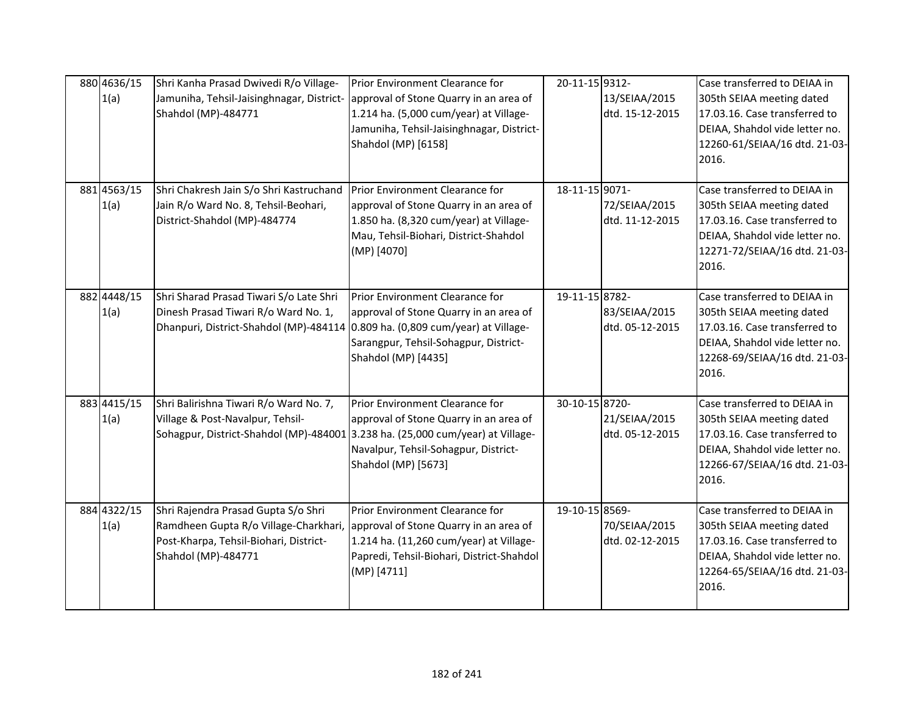| 880 4636/15<br>1(a) | Shri Kanha Prasad Dwivedi R/o Village-<br>Jamuniha, Tehsil-Jaisinghnagar, District-<br>Shahdol (MP)-484771                                                                           | Prior Environment Clearance for<br>approval of Stone Quarry in an area of<br>1.214 ha. (5,000 cum/year) at Village-<br>Jamuniha, Tehsil-Jaisinghnagar, District-<br>Shahdol (MP) [6158] | 20-11-15 9312- | 13/SEIAA/2015<br>dtd. 15-12-2015 | Case transferred to DEIAA in<br>305th SEIAA meeting dated<br>17.03.16. Case transferred to<br>DEIAA, Shahdol vide letter no.<br>12260-61/SEIAA/16 dtd. 21-03-<br>2016. |
|---------------------|--------------------------------------------------------------------------------------------------------------------------------------------------------------------------------------|-----------------------------------------------------------------------------------------------------------------------------------------------------------------------------------------|----------------|----------------------------------|------------------------------------------------------------------------------------------------------------------------------------------------------------------------|
| 881 4563/15<br>1(a) | Shri Chakresh Jain S/o Shri Kastruchand<br>Jain R/o Ward No. 8, Tehsil-Beohari,<br>District-Shahdol (MP)-484774                                                                      | Prior Environment Clearance for<br>approval of Stone Quarry in an area of<br>1.850 ha. (8,320 cum/year) at Village-<br>Mau, Tehsil-Biohari, District-Shahdol<br>(MP) [4070]             | 18-11-15 9071- | 72/SEIAA/2015<br>dtd. 11-12-2015 | Case transferred to DEIAA in<br>305th SEIAA meeting dated<br>17.03.16. Case transferred to<br>DEIAA, Shahdol vide letter no.<br>12271-72/SEIAA/16 dtd. 21-03-<br>2016. |
| 882 4448/15<br>1(a) | Shri Sharad Prasad Tiwari S/o Late Shri<br>Dinesh Prasad Tiwari R/o Ward No. 1,<br>Dhanpuri, District-Shahdol (MP)-484114 0.809 ha. (0,809 cum/year) at Village-                     | Prior Environment Clearance for<br>approval of Stone Quarry in an area of<br>Sarangpur, Tehsil-Sohagpur, District-<br>Shahdol (MP) [4435]                                               | 19-11-15 8782- | 83/SEIAA/2015<br>dtd. 05-12-2015 | Case transferred to DEIAA in<br>305th SEIAA meeting dated<br>17.03.16. Case transferred to<br>DEIAA, Shahdol vide letter no.<br>12268-69/SEIAA/16 dtd. 21-03-<br>2016. |
| 883 4415/15<br>1(a) | Shri Balirishna Tiwari R/o Ward No. 7,<br>Village & Post-Navalpur, Tehsil-<br>Sohagpur, District-Shahdol (MP)-484001 3.238 ha. (25,000 cum/year) at Village-                         | Prior Environment Clearance for<br>approval of Stone Quarry in an area of<br>Navalpur, Tehsil-Sohagpur, District-<br>Shahdol (MP) [5673]                                                | 30-10-15 8720- | 21/SEIAA/2015<br>dtd. 05-12-2015 | Case transferred to DEIAA in<br>305th SEIAA meeting dated<br>17.03.16. Case transferred to<br>DEIAA, Shahdol vide letter no.<br>12266-67/SEIAA/16 dtd. 21-03-<br>2016. |
| 884 4322/15<br>1(a) | Shri Rajendra Prasad Gupta S/o Shri<br>Ramdheen Gupta R/o Village-Charkhari, approval of Stone Quarry in an area of<br>Post-Kharpa, Tehsil-Biohari, District-<br>Shahdol (MP)-484771 | Prior Environment Clearance for<br>1.214 ha. (11,260 cum/year) at Village-<br>Papredi, Tehsil-Biohari, District-Shahdol<br>(MP) [4711]                                                  | 19-10-15 8569- | 70/SEIAA/2015<br>dtd. 02-12-2015 | Case transferred to DEIAA in<br>305th SEIAA meeting dated<br>17.03.16. Case transferred to<br>DEIAA, Shahdol vide letter no.<br>12264-65/SEIAA/16 dtd. 21-03-<br>2016. |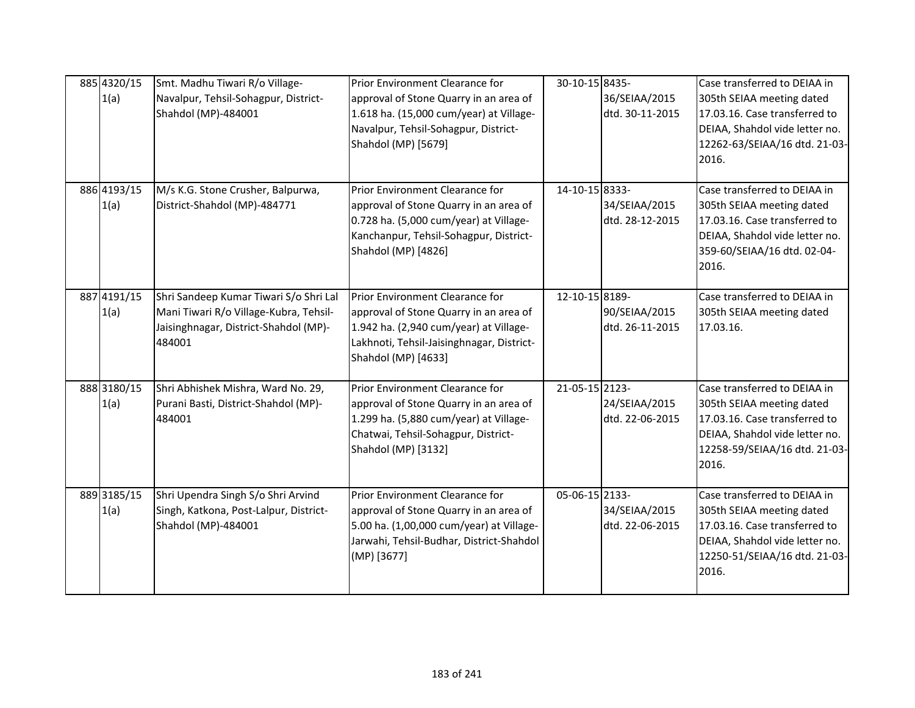| 885 4320/15<br>1(a) | Smt. Madhu Tiwari R/o Village-<br>Navalpur, Tehsil-Sohagpur, District-<br>Shahdol (MP)-484001                                       | Prior Environment Clearance for<br>approval of Stone Quarry in an area of<br>1.618 ha. (15,000 cum/year) at Village-<br>Navalpur, Tehsil-Sohagpur, District-<br>Shahdol (MP) [5679]     | 30-10-15 8435-<br>36/SEIAA/2015<br>dtd. 30-11-2015 | Case transferred to DEIAA in<br>305th SEIAA meeting dated<br>17.03.16. Case transferred to<br>DEIAA, Shahdol vide letter no.<br>12262-63/SEIAA/16 dtd. 21-03-<br>2016. |
|---------------------|-------------------------------------------------------------------------------------------------------------------------------------|-----------------------------------------------------------------------------------------------------------------------------------------------------------------------------------------|----------------------------------------------------|------------------------------------------------------------------------------------------------------------------------------------------------------------------------|
| 886 4193/15<br>1(a) | M/s K.G. Stone Crusher, Balpurwa,<br>District-Shahdol (MP)-484771                                                                   | Prior Environment Clearance for<br>approval of Stone Quarry in an area of<br>0.728 ha. (5,000 cum/year) at Village-<br>Kanchanpur, Tehsil-Sohagpur, District-<br>Shahdol (MP) [4826]    | 14-10-15 8333-<br>34/SEIAA/2015<br>dtd. 28-12-2015 | Case transferred to DEIAA in<br>305th SEIAA meeting dated<br>17.03.16. Case transferred to<br>DEIAA, Shahdol vide letter no.<br>359-60/SEIAA/16 dtd. 02-04-<br>2016.   |
| 887 4191/15<br>1(a) | Shri Sandeep Kumar Tiwari S/o Shri Lal<br>Mani Tiwari R/o Village-Kubra, Tehsil-<br>Jaisinghnagar, District-Shahdol (MP)-<br>484001 | Prior Environment Clearance for<br>approval of Stone Quarry in an area of<br>1.942 ha. (2,940 cum/year) at Village-<br>Lakhnoti, Tehsil-Jaisinghnagar, District-<br>Shahdol (MP) [4633] | 12-10-15 8189-<br>90/SEIAA/2015<br>dtd. 26-11-2015 | Case transferred to DEIAA in<br>305th SEIAA meeting dated<br>17.03.16.                                                                                                 |
| 888 3180/15<br>1(a) | Shri Abhishek Mishra, Ward No. 29,<br>Purani Basti, District-Shahdol (MP)-<br>484001                                                | Prior Environment Clearance for<br>approval of Stone Quarry in an area of<br>1.299 ha. (5,880 cum/year) at Village-<br>Chatwai, Tehsil-Sohagpur, District-<br>Shahdol (MP) [3132]       | 21-05-15 2123-<br>24/SEIAA/2015<br>dtd. 22-06-2015 | Case transferred to DEIAA in<br>305th SEIAA meeting dated<br>17.03.16. Case transferred to<br>DEIAA, Shahdol vide letter no.<br>12258-59/SEIAA/16 dtd. 21-03-<br>2016. |
| 889 3185/15<br>1(a) | Shri Upendra Singh S/o Shri Arvind<br>Singh, Katkona, Post-Lalpur, District-<br>Shahdol (MP)-484001                                 | Prior Environment Clearance for<br>approval of Stone Quarry in an area of<br>5.00 ha. (1,00,000 cum/year) at Village-<br>Jarwahi, Tehsil-Budhar, District-Shahdol<br>(MP) [3677]        | 05-06-15 2133-<br>34/SEIAA/2015<br>dtd. 22-06-2015 | Case transferred to DEIAA in<br>305th SEIAA meeting dated<br>17.03.16. Case transferred to<br>DEIAA, Shahdol vide letter no.<br>12250-51/SEIAA/16 dtd. 21-03-<br>2016. |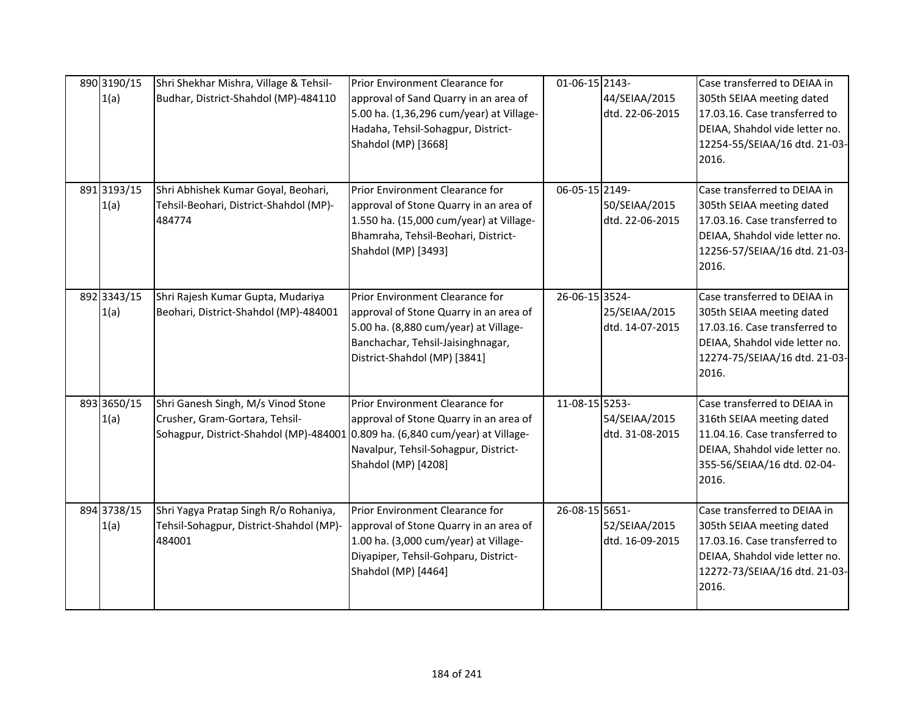| 890 3190/15<br>1(a) | Shri Shekhar Mishra, Village & Tehsil-<br>Budhar, District-Shahdol (MP)-484110                                                                        | Prior Environment Clearance for<br>approval of Sand Quarry in an area of<br>5.00 ha. (1,36,296 cum/year) at Village-<br>Hadaha, Tehsil-Sohagpur, District-<br>Shahdol (MP) [3668]       | 01-06-15 2143- | 44/SEIAA/2015<br>dtd. 22-06-2015 | Case transferred to DEIAA in<br>305th SEIAA meeting dated<br>17.03.16. Case transferred to<br>DEIAA, Shahdol vide letter no.<br>12254-55/SEIAA/16 dtd. 21-03-<br>2016. |
|---------------------|-------------------------------------------------------------------------------------------------------------------------------------------------------|-----------------------------------------------------------------------------------------------------------------------------------------------------------------------------------------|----------------|----------------------------------|------------------------------------------------------------------------------------------------------------------------------------------------------------------------|
| 891 3193/15<br>1(a) | Shri Abhishek Kumar Goyal, Beohari,<br>Tehsil-Beohari, District-Shahdol (MP)-<br>484774                                                               | Prior Environment Clearance for<br>approval of Stone Quarry in an area of<br>1.550 ha. (15,000 cum/year) at Village-<br>Bhamraha, Tehsil-Beohari, District-<br>Shahdol (MP) [3493]      | 06-05-15 2149- | 50/SEIAA/2015<br>dtd. 22-06-2015 | Case transferred to DEIAA in<br>305th SEIAA meeting dated<br>17.03.16. Case transferred to<br>DEIAA, Shahdol vide letter no.<br>12256-57/SEIAA/16 dtd. 21-03-<br>2016. |
| 892 3343/15<br>1(a) | Shri Rajesh Kumar Gupta, Mudariya<br>Beohari, District-Shahdol (MP)-484001                                                                            | Prior Environment Clearance for<br>approval of Stone Quarry in an area of<br>5.00 ha. (8,880 cum/year) at Village-<br>Banchachar, Tehsil-Jaisinghnagar,<br>District-Shahdol (MP) [3841] | 26-06-15 3524- | 25/SEIAA/2015<br>dtd. 14-07-2015 | Case transferred to DEIAA in<br>305th SEIAA meeting dated<br>17.03.16. Case transferred to<br>DEIAA, Shahdol vide letter no.<br>12274-75/SEIAA/16 dtd. 21-03-<br>2016. |
| 893 3650/15<br>1(a) | Shri Ganesh Singh, M/s Vinod Stone<br>Crusher, Gram-Gortara, Tehsil-<br>Sohagpur, District-Shahdol (MP)-484001 0.809 ha. (6,840 cum/year) at Village- | Prior Environment Clearance for<br>approval of Stone Quarry in an area of<br>Navalpur, Tehsil-Sohagpur, District-<br>Shahdol (MP) [4208]                                                | 11-08-15 5253- | 54/SEIAA/2015<br>dtd. 31-08-2015 | Case transferred to DEIAA in<br>316th SEIAA meeting dated<br>11.04.16. Case transferred to<br>DEIAA, Shahdol vide letter no.<br>355-56/SEIAA/16 dtd. 02-04-<br>2016.   |
| 894 3738/15<br>1(a) | Shri Yagya Pratap Singh R/o Rohaniya,<br>Tehsil-Sohagpur, District-Shahdol (MP)-<br>484001                                                            | Prior Environment Clearance for<br>approval of Stone Quarry in an area of<br>1.00 ha. (3,000 cum/year) at Village-<br>Diyapiper, Tehsil-Gohparu, District-<br>Shahdol (MP) [4464]       | 26-08-15 5651- | 52/SEIAA/2015<br>dtd. 16-09-2015 | Case transferred to DEIAA in<br>305th SEIAA meeting dated<br>17.03.16. Case transferred to<br>DEIAA, Shahdol vide letter no.<br>12272-73/SEIAA/16 dtd. 21-03-<br>2016. |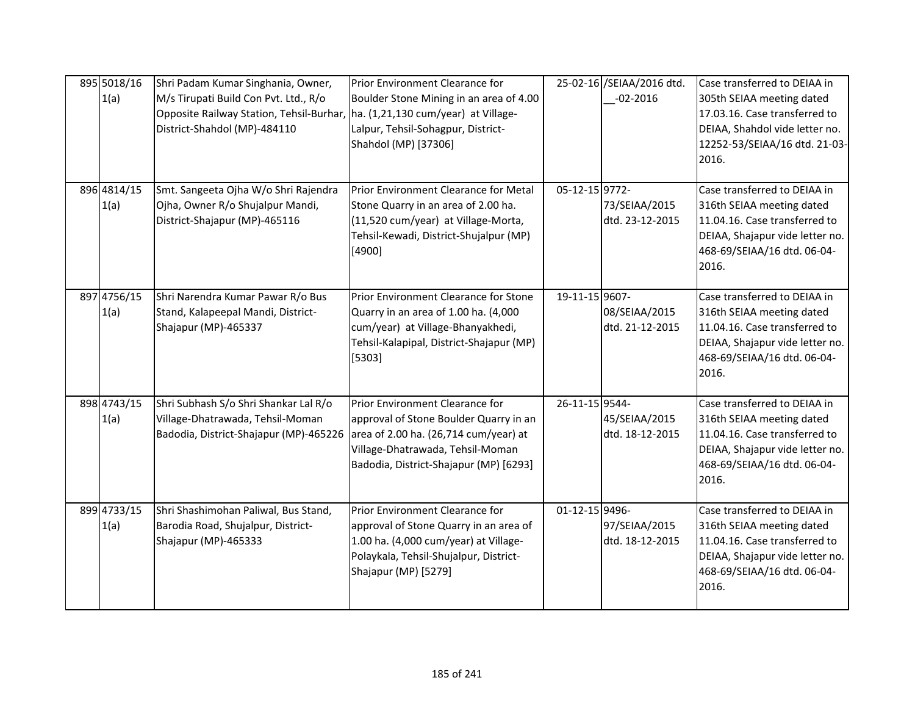| 895 5018/16<br>1(a) | Shri Padam Kumar Singhania, Owner,<br>M/s Tirupati Build Con Pvt. Ltd., R/o<br>Opposite Railway Station, Tehsil-Burhar, ha. (1,21,130 cum/year) at Village-<br>District-Shahdol (MP)-484110 | Prior Environment Clearance for<br>Boulder Stone Mining in an area of 4.00<br>Lalpur, Tehsil-Sohagpur, District-<br>Shahdol (MP) [37306]                                                         |                | 25-02-16 /SEIAA/2016 dtd.<br>$-02 - 2016$ | Case transferred to DEIAA in<br>305th SEIAA meeting dated<br>17.03.16. Case transferred to<br>DEIAA, Shahdol vide letter no.<br>12252-53/SEIAA/16 dtd. 21-03-<br>2016. |
|---------------------|---------------------------------------------------------------------------------------------------------------------------------------------------------------------------------------------|--------------------------------------------------------------------------------------------------------------------------------------------------------------------------------------------------|----------------|-------------------------------------------|------------------------------------------------------------------------------------------------------------------------------------------------------------------------|
| 896 4814/15<br>1(a) | Smt. Sangeeta Ojha W/o Shri Rajendra<br>Ojha, Owner R/o Shujalpur Mandi,<br>District-Shajapur (MP)-465116                                                                                   | Prior Environment Clearance for Metal<br>Stone Quarry in an area of 2.00 ha.<br>(11,520 cum/year) at Village-Morta,<br>Tehsil-Kewadi, District-Shujalpur (MP)<br>[4900]                          | 05-12-15 9772- | 73/SEIAA/2015<br>dtd. 23-12-2015          | Case transferred to DEIAA in<br>316th SEIAA meeting dated<br>11.04.16. Case transferred to<br>DEIAA, Shajapur vide letter no.<br>468-69/SEIAA/16 dtd. 06-04-<br>2016.  |
| 897 4756/15<br>1(a) | Shri Narendra Kumar Pawar R/o Bus<br>Stand, Kalapeepal Mandi, District-<br>Shajapur (MP)-465337                                                                                             | Prior Environment Clearance for Stone<br>Quarry in an area of 1.00 ha. (4,000<br>cum/year) at Village-Bhanyakhedi,<br>Tehsil-Kalapipal, District-Shajapur (MP)<br>[5303]                         | 19-11-15 9607- | 08/SEIAA/2015<br>dtd. 21-12-2015          | Case transferred to DEIAA in<br>316th SEIAA meeting dated<br>11.04.16. Case transferred to<br>DEIAA, Shajapur vide letter no.<br>468-69/SEIAA/16 dtd. 06-04-<br>2016.  |
| 898 4743/15<br>1(a) | Shri Subhash S/o Shri Shankar Lal R/o<br>Village-Dhatrawada, Tehsil-Moman<br>Badodia, District-Shajapur (MP)-465226                                                                         | Prior Environment Clearance for<br>approval of Stone Boulder Quarry in an<br>area of 2.00 ha. (26,714 cum/year) at<br>Village-Dhatrawada, Tehsil-Moman<br>Badodia, District-Shajapur (MP) [6293] | 26-11-15 9544- | 45/SEIAA/2015<br>dtd. 18-12-2015          | Case transferred to DEIAA in<br>316th SEIAA meeting dated<br>11.04.16. Case transferred to<br>DEIAA, Shajapur vide letter no.<br>468-69/SEIAA/16 dtd. 06-04-<br>2016.  |
| 899 4733/15<br>1(a) | Shri Shashimohan Paliwal, Bus Stand,<br>Barodia Road, Shujalpur, District-<br>Shajapur (MP)-465333                                                                                          | Prior Environment Clearance for<br>approval of Stone Quarry in an area of<br>1.00 ha. (4,000 cum/year) at Village-<br>Polaykala, Tehsil-Shujalpur, District-<br>Shajapur (MP) [5279]             | 01-12-15 9496- | 97/SEIAA/2015<br>dtd. 18-12-2015          | Case transferred to DEIAA in<br>316th SEIAA meeting dated<br>11.04.16. Case transferred to<br>DEIAA, Shajapur vide letter no.<br>468-69/SEIAA/16 dtd. 06-04-<br>2016.  |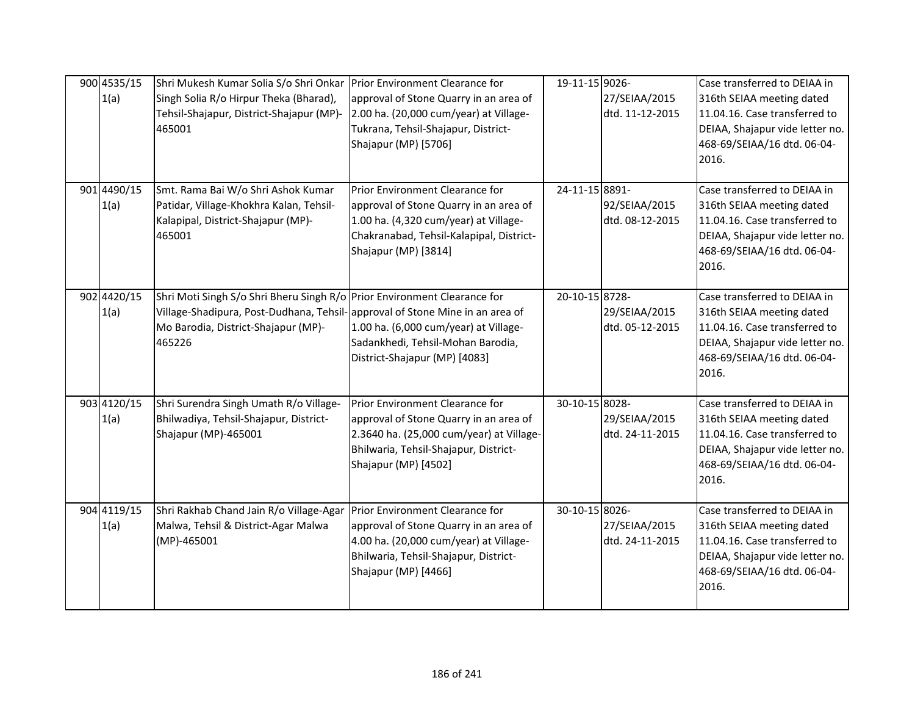| 900 4535/15<br>1(a) | Shri Mukesh Kumar Solia S/o Shri Onkar<br>Singh Solia R/o Hirpur Theka (Bharad),<br>Tehsil-Shajapur, District-Shajapur (MP)-<br>465001                                                                     | Prior Environment Clearance for<br>approval of Stone Quarry in an area of<br>2.00 ha. (20,000 cum/year) at Village-<br>Tukrana, Tehsil-Shajapur, District-<br>Shajapur (MP) [5706]     | 19-11-15 9026- | 27/SEIAA/2015<br>dtd. 11-12-2015 | Case transferred to DEIAA in<br>316th SEIAA meeting dated<br>11.04.16. Case transferred to<br>DEIAA, Shajapur vide letter no.<br>468-69/SEIAA/16 dtd. 06-04-<br>2016. |
|---------------------|------------------------------------------------------------------------------------------------------------------------------------------------------------------------------------------------------------|----------------------------------------------------------------------------------------------------------------------------------------------------------------------------------------|----------------|----------------------------------|-----------------------------------------------------------------------------------------------------------------------------------------------------------------------|
| 901 4490/15<br>1(a) | Smt. Rama Bai W/o Shri Ashok Kumar<br>Patidar, Village-Khokhra Kalan, Tehsil-<br>Kalapipal, District-Shajapur (MP)-<br>465001                                                                              | Prior Environment Clearance for<br>approval of Stone Quarry in an area of<br>1.00 ha. (4,320 cum/year) at Village-<br>Chakranabad, Tehsil-Kalapipal, District-<br>Shajapur (MP) [3814] | 24-11-15 8891- | 92/SEIAA/2015<br>dtd. 08-12-2015 | Case transferred to DEIAA in<br>316th SEIAA meeting dated<br>11.04.16. Case transferred to<br>DEIAA, Shajapur vide letter no.<br>468-69/SEIAA/16 dtd. 06-04-<br>2016. |
| 902 4420/15<br>1(a) | Shri Moti Singh S/o Shri Bheru Singh R/o Prior Environment Clearance for<br>Village-Shadipura, Post-Dudhana, Tehsil- approval of Stone Mine in an area of<br>Mo Barodia, District-Shajapur (MP)-<br>465226 | 1.00 ha. (6,000 cum/year) at Village-<br>Sadankhedi, Tehsil-Mohan Barodia,<br>District-Shajapur (MP) [4083]                                                                            | 20-10-15 8728- | 29/SEIAA/2015<br>dtd. 05-12-2015 | Case transferred to DEIAA in<br>316th SEIAA meeting dated<br>11.04.16. Case transferred to<br>DEIAA, Shajapur vide letter no.<br>468-69/SEIAA/16 dtd. 06-04-<br>2016. |
| 903 4120/15<br>1(a) | Shri Surendra Singh Umath R/o Village-<br>Bhilwadiya, Tehsil-Shajapur, District-<br>Shajapur (MP)-465001                                                                                                   | Prior Environment Clearance for<br>approval of Stone Quarry in an area of<br>2.3640 ha. (25,000 cum/year) at Village-<br>Bhilwaria, Tehsil-Shajapur, District-<br>Shajapur (MP) [4502] | 30-10-15 8028- | 29/SEIAA/2015<br>dtd. 24-11-2015 | Case transferred to DEIAA in<br>316th SEIAA meeting dated<br>11.04.16. Case transferred to<br>DEIAA, Shajapur vide letter no.<br>468-69/SEIAA/16 dtd. 06-04-<br>2016. |
| 904 4119/15<br>1(a) | Shri Rakhab Chand Jain R/o Village-Agar<br>Malwa, Tehsil & District-Agar Malwa<br>$(MP) - 465001$                                                                                                          | Prior Environment Clearance for<br>approval of Stone Quarry in an area of<br>4.00 ha. (20,000 cum/year) at Village-<br>Bhilwaria, Tehsil-Shajapur, District-<br>Shajapur (MP) [4466]   | 30-10-15 8026- | 27/SEIAA/2015<br>dtd. 24-11-2015 | Case transferred to DEIAA in<br>316th SEIAA meeting dated<br>11.04.16. Case transferred to<br>DEIAA, Shajapur vide letter no.<br>468-69/SEIAA/16 dtd. 06-04-<br>2016. |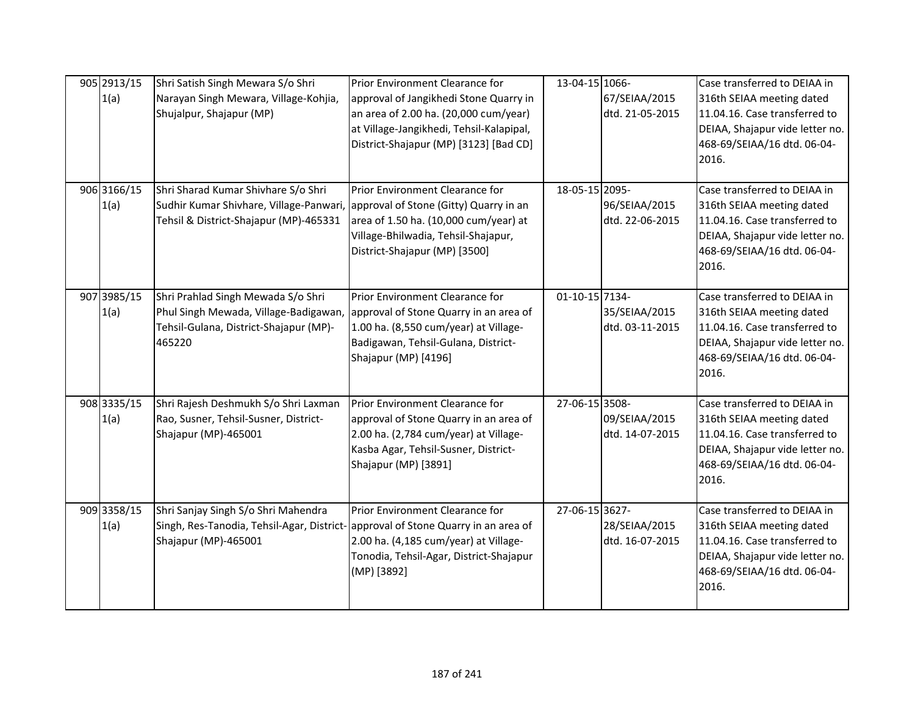| 905 2913/15<br>1(a) | Shri Satish Singh Mewara S/o Shri<br>Narayan Singh Mewara, Village-Kohjia,<br>Shujalpur, Shajapur (MP)                                                          | Prior Environment Clearance for<br>approval of Jangikhedi Stone Quarry in<br>an area of 2.00 ha. (20,000 cum/year)<br>at Village-Jangikhedi, Tehsil-Kalapipal,<br>District-Shajapur (MP) [3123] [Bad CD] | 13-04-15 1066- | 67/SEIAA/2015<br>dtd. 21-05-2015 | Case transferred to DEIAA in<br>316th SEIAA meeting dated<br>11.04.16. Case transferred to<br>DEIAA, Shajapur vide letter no.<br>468-69/SEIAA/16 dtd. 06-04-<br>2016. |
|---------------------|-----------------------------------------------------------------------------------------------------------------------------------------------------------------|----------------------------------------------------------------------------------------------------------------------------------------------------------------------------------------------------------|----------------|----------------------------------|-----------------------------------------------------------------------------------------------------------------------------------------------------------------------|
| 906 3166/15<br>1(a) | Shri Sharad Kumar Shivhare S/o Shri<br>Sudhir Kumar Shivhare, Village-Panwari, approval of Stone (Gitty) Quarry in an<br>Tehsil & District-Shajapur (MP)-465331 | Prior Environment Clearance for<br>area of 1.50 ha. (10,000 cum/year) at<br>Village-Bhilwadia, Tehsil-Shajapur,<br>District-Shajapur (MP) [3500]                                                         | 18-05-15 2095- | 96/SEIAA/2015<br>dtd. 22-06-2015 | Case transferred to DEIAA in<br>316th SEIAA meeting dated<br>11.04.16. Case transferred to<br>DEIAA, Shajapur vide letter no.<br>468-69/SEIAA/16 dtd. 06-04-<br>2016. |
| 907 3985/15<br>1(a) | Shri Prahlad Singh Mewada S/o Shri<br>Phul Singh Mewada, Village-Badigawan,<br>Tehsil-Gulana, District-Shajapur (MP)-<br>465220                                 | Prior Environment Clearance for<br>approval of Stone Quarry in an area of<br>1.00 ha. (8,550 cum/year) at Village-<br>Badigawan, Tehsil-Gulana, District-<br>Shajapur (MP) [4196]                        | 01-10-15 7134- | 35/SEIAA/2015<br>dtd. 03-11-2015 | Case transferred to DEIAA in<br>316th SEIAA meeting dated<br>11.04.16. Case transferred to<br>DEIAA, Shajapur vide letter no.<br>468-69/SEIAA/16 dtd. 06-04-<br>2016. |
| 908 3335/15<br>1(a) | Shri Rajesh Deshmukh S/o Shri Laxman<br>Rao, Susner, Tehsil-Susner, District-<br>Shajapur (MP)-465001                                                           | Prior Environment Clearance for<br>approval of Stone Quarry in an area of<br>2.00 ha. (2,784 cum/year) at Village-<br>Kasba Agar, Tehsil-Susner, District-<br>Shajapur (MP) [3891]                       | 27-06-15 3508- | 09/SEIAA/2015<br>dtd. 14-07-2015 | Case transferred to DEIAA in<br>316th SEIAA meeting dated<br>11.04.16. Case transferred to<br>DEIAA, Shajapur vide letter no.<br>468-69/SEIAA/16 dtd. 06-04-<br>2016. |
| 909 3358/15<br>1(a) | Shri Sanjay Singh S/o Shri Mahendra<br>Singh, Res-Tanodia, Tehsil-Agar, District- approval of Stone Quarry in an area of<br>Shajapur (MP)-465001                | Prior Environment Clearance for<br>2.00 ha. (4,185 cum/year) at Village-<br>Tonodia, Tehsil-Agar, District-Shajapur<br>(MP) [3892]                                                                       | 27-06-15 3627- | 28/SEIAA/2015<br>dtd. 16-07-2015 | Case transferred to DEIAA in<br>316th SEIAA meeting dated<br>11.04.16. Case transferred to<br>DEIAA, Shajapur vide letter no.<br>468-69/SEIAA/16 dtd. 06-04-<br>2016. |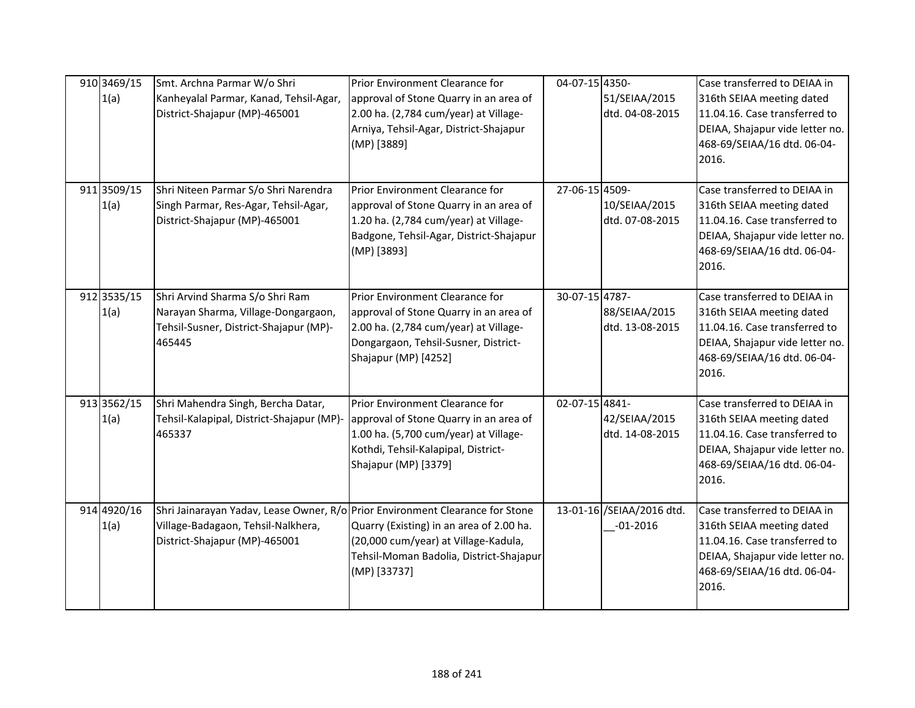| 910 3469/15<br>1(a) | Smt. Archna Parmar W/o Shri<br>Kanheyalal Parmar, Kanad, Tehsil-Agar,<br>District-Shajapur (MP)-465001                                               | Prior Environment Clearance for<br>approval of Stone Quarry in an area of<br>2.00 ha. (2,784 cum/year) at Village-<br>Arniya, Tehsil-Agar, District-Shajapur<br>(MP) [3889]        | 04-07-15 4350- | 51/SEIAA/2015<br>dtd. 04-08-2015           | Case transferred to DEIAA in<br>316th SEIAA meeting dated<br>11.04.16. Case transferred to<br>DEIAA, Shajapur vide letter no.<br>468-69/SEIAA/16 dtd. 06-04-<br>2016. |
|---------------------|------------------------------------------------------------------------------------------------------------------------------------------------------|------------------------------------------------------------------------------------------------------------------------------------------------------------------------------------|----------------|--------------------------------------------|-----------------------------------------------------------------------------------------------------------------------------------------------------------------------|
| 911 3509/15<br>1(a) | Shri Niteen Parmar S/o Shri Narendra<br>Singh Parmar, Res-Agar, Tehsil-Agar,<br>District-Shajapur (MP)-465001                                        | Prior Environment Clearance for<br>approval of Stone Quarry in an area of<br>1.20 ha. (2,784 cum/year) at Village-<br>Badgone, Tehsil-Agar, District-Shajapur<br>(MP) [3893]       | 27-06-15 4509- | 10/SEIAA/2015<br>dtd. 07-08-2015           | Case transferred to DEIAA in<br>316th SEIAA meeting dated<br>11.04.16. Case transferred to<br>DEIAA, Shajapur vide letter no.<br>468-69/SEIAA/16 dtd. 06-04-<br>2016. |
| 912 3535/15<br>1(a) | Shri Arvind Sharma S/o Shri Ram<br>Narayan Sharma, Village-Dongargaon,<br>Tehsil-Susner, District-Shajapur (MP)-<br>465445                           | Prior Environment Clearance for<br>approval of Stone Quarry in an area of<br>2.00 ha. (2,784 cum/year) at Village-<br>Dongargaon, Tehsil-Susner, District-<br>Shajapur (MP) [4252] | 30-07-15 4787- | 88/SEIAA/2015<br>dtd. 13-08-2015           | Case transferred to DEIAA in<br>316th SEIAA meeting dated<br>11.04.16. Case transferred to<br>DEIAA, Shajapur vide letter no.<br>468-69/SEIAA/16 dtd. 06-04-<br>2016. |
| 913 3562/15<br>1(a) | Shri Mahendra Singh, Bercha Datar,<br>Tehsil-Kalapipal, District-Shajapur (MP)-<br>465337                                                            | Prior Environment Clearance for<br>approval of Stone Quarry in an area of<br>1.00 ha. (5,700 cum/year) at Village-<br>Kothdi, Tehsil-Kalapipal, District-<br>Shajapur (MP) [3379]  | 02-07-15 4841- | 42/SEIAA/2015<br>dtd. 14-08-2015           | Case transferred to DEIAA in<br>316th SEIAA meeting dated<br>11.04.16. Case transferred to<br>DEIAA, Shajapur vide letter no.<br>468-69/SEIAA/16 dtd. 06-04-<br>2016. |
| 914 4920/16<br>1(a) | Shri Jainarayan Yadav, Lease Owner, R/o Prior Environment Clearance for Stone<br>Village-Badagaon, Tehsil-Nalkhera,<br>District-Shajapur (MP)-465001 | Quarry (Existing) in an area of 2.00 ha.<br>(20,000 cum/year) at Village-Kadula,<br>Tehsil-Moman Badolia, District-Shajapur<br>(MP) [33737]                                        |                | 13-01-16 / SEIAA/2016 dtd.<br>$-01 - 2016$ | Case transferred to DEIAA in<br>316th SEIAA meeting dated<br>11.04.16. Case transferred to<br>DEIAA, Shajapur vide letter no.<br>468-69/SEIAA/16 dtd. 06-04-<br>2016. |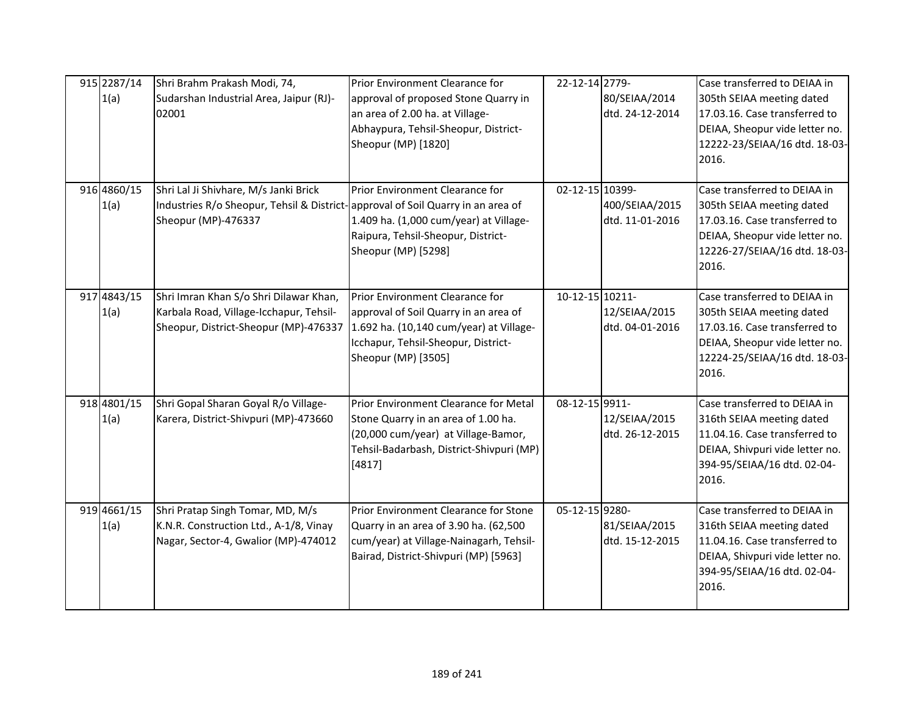| 915 2287/14<br>1(a) | Shri Brahm Prakash Modi, 74,<br>Sudarshan Industrial Area, Jaipur (RJ)-<br>02001                                                                 | Prior Environment Clearance for<br>approval of proposed Stone Quarry in<br>an area of 2.00 ha. at Village-<br>Abhaypura, Tehsil-Sheopur, District-<br>Sheopur (MP) [1820]         | 22-12-14 2779-  | 80/SEIAA/2014<br>dtd. 24-12-2014  | Case transferred to DEIAA in<br>305th SEIAA meeting dated<br>17.03.16. Case transferred to<br>DEIAA, Sheopur vide letter no.<br>12222-23/SEIAA/16 dtd. 18-03-<br>2016. |
|---------------------|--------------------------------------------------------------------------------------------------------------------------------------------------|-----------------------------------------------------------------------------------------------------------------------------------------------------------------------------------|-----------------|-----------------------------------|------------------------------------------------------------------------------------------------------------------------------------------------------------------------|
| 916 4860/15<br>1(a) | Shri Lal Ji Shivhare, M/s Janki Brick<br>Industries R/o Sheopur, Tehsil & District- approval of Soil Quarry in an area of<br>Sheopur (MP)-476337 | Prior Environment Clearance for<br>1.409 ha. (1,000 cum/year) at Village-<br>Raipura, Tehsil-Sheopur, District-<br>Sheopur (MP) [5298]                                            | 02-12-15 10399- | 400/SEIAA/2015<br>dtd. 11-01-2016 | Case transferred to DEIAA in<br>305th SEIAA meeting dated<br>17.03.16. Case transferred to<br>DEIAA, Sheopur vide letter no.<br>12226-27/SEIAA/16 dtd. 18-03-<br>2016. |
| 917 4843/15<br>1(a) | Shri Imran Khan S/o Shri Dilawar Khan,<br>Karbala Road, Village-Icchapur, Tehsil-<br>Sheopur, District-Sheopur (MP)-476337                       | Prior Environment Clearance for<br>approval of Soil Quarry in an area of<br>1.692 ha. (10,140 cum/year) at Village-<br>Icchapur, Tehsil-Sheopur, District-<br>Sheopur (MP) [3505] | 10-12-15 10211- | 12/SEIAA/2015<br>dtd. 04-01-2016  | Case transferred to DEIAA in<br>305th SEIAA meeting dated<br>17.03.16. Case transferred to<br>DEIAA, Sheopur vide letter no.<br>12224-25/SEIAA/16 dtd. 18-03-<br>2016. |
| 918 4801/15<br>1(a) | Shri Gopal Sharan Goyal R/o Village-<br>Karera, District-Shivpuri (MP)-473660                                                                    | Prior Environment Clearance for Metal<br>Stone Quarry in an area of 1.00 ha.<br>(20,000 cum/year) at Village-Bamor,<br>Tehsil-Badarbash, District-Shivpuri (MP)<br>[4817]         | 08-12-15 9911-  | 12/SEIAA/2015<br>dtd. 26-12-2015  | Case transferred to DEIAA in<br>316th SEIAA meeting dated<br>11.04.16. Case transferred to<br>DEIAA, Shivpuri vide letter no.<br>394-95/SEIAA/16 dtd. 02-04-<br>2016.  |
| 919 4661/15<br>1(a) | Shri Pratap Singh Tomar, MD, M/s<br>K.N.R. Construction Ltd., A-1/8, Vinay<br>Nagar, Sector-4, Gwalior (MP)-474012                               | Prior Environment Clearance for Stone<br>Quarry in an area of 3.90 ha. (62,500<br>cum/year) at Village-Nainagarh, Tehsil-<br>Bairad, District-Shivpuri (MP) [5963]                | 05-12-15 9280-  | 81/SEIAA/2015<br>dtd. 15-12-2015  | Case transferred to DEIAA in<br>316th SEIAA meeting dated<br>11.04.16. Case transferred to<br>DEIAA, Shivpuri vide letter no.<br>394-95/SEIAA/16 dtd. 02-04-<br>2016.  |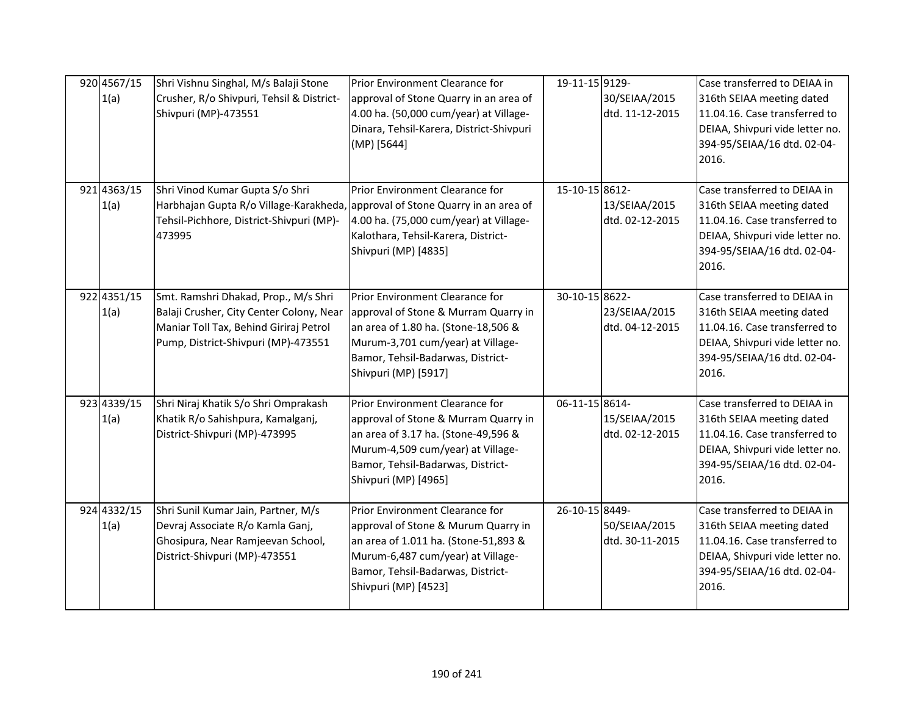| 920 4567/15<br>1(a) | Shri Vishnu Singhal, M/s Balaji Stone<br>Crusher, R/o Shivpuri, Tehsil & District-<br>Shivpuri (MP)-473551                                                             | Prior Environment Clearance for<br>approval of Stone Quarry in an area of<br>4.00 ha. (50,000 cum/year) at Village-<br>Dinara, Tehsil-Karera, District-Shivpuri<br>(MP) [5644]                                   | 19-11-15 9129- | 30/SEIAA/2015<br>dtd. 11-12-2015 | Case transferred to DEIAA in<br>316th SEIAA meeting dated<br>11.04.16. Case transferred to<br>DEIAA, Shivpuri vide letter no.<br>394-95/SEIAA/16 dtd. 02-04-<br>2016. |
|---------------------|------------------------------------------------------------------------------------------------------------------------------------------------------------------------|------------------------------------------------------------------------------------------------------------------------------------------------------------------------------------------------------------------|----------------|----------------------------------|-----------------------------------------------------------------------------------------------------------------------------------------------------------------------|
| 921 4363/15<br>1(a) | Shri Vinod Kumar Gupta S/o Shri<br>Harbhajan Gupta R/o Village-Karakheda, approval of Stone Quarry in an area of<br>Tehsil-Pichhore, District-Shivpuri (MP)-<br>473995 | Prior Environment Clearance for<br>4.00 ha. (75,000 cum/year) at Village-<br>Kalothara, Tehsil-Karera, District-<br>Shivpuri (MP) [4835]                                                                         | 15-10-15 8612- | 13/SEIAA/2015<br>dtd. 02-12-2015 | Case transferred to DEIAA in<br>316th SEIAA meeting dated<br>11.04.16. Case transferred to<br>DEIAA, Shivpuri vide letter no.<br>394-95/SEIAA/16 dtd. 02-04-<br>2016. |
| 922 4351/15<br>1(a) | Smt. Ramshri Dhakad, Prop., M/s Shri<br>Balaji Crusher, City Center Colony, Near<br>Maniar Toll Tax, Behind Giriraj Petrol<br>Pump, District-Shivpuri (MP)-473551      | Prior Environment Clearance for<br>approval of Stone & Murram Quarry in<br>an area of 1.80 ha. (Stone-18,506 &<br>Murum-3,701 cum/year) at Village-<br>Bamor, Tehsil-Badarwas, District-<br>Shivpuri (MP) [5917] | 30-10-15 8622- | 23/SEIAA/2015<br>dtd. 04-12-2015 | Case transferred to DEIAA in<br>316th SEIAA meeting dated<br>11.04.16. Case transferred to<br>DEIAA, Shivpuri vide letter no.<br>394-95/SEIAA/16 dtd. 02-04-<br>2016. |
| 923 4339/15<br>1(a) | Shri Niraj Khatik S/o Shri Omprakash<br>Khatik R/o Sahishpura, Kamalganj,<br>District-Shivpuri (MP)-473995                                                             | Prior Environment Clearance for<br>approval of Stone & Murram Quarry in<br>an area of 3.17 ha. (Stone-49,596 &<br>Murum-4,509 cum/year) at Village-<br>Bamor, Tehsil-Badarwas, District-<br>Shivpuri (MP) [4965] | 06-11-15 8614- | 15/SEIAA/2015<br>dtd. 02-12-2015 | Case transferred to DEIAA in<br>316th SEIAA meeting dated<br>11.04.16. Case transferred to<br>DEIAA, Shivpuri vide letter no.<br>394-95/SEIAA/16 dtd. 02-04-<br>2016. |
| 924 4332/15<br>1(a) | Shri Sunil Kumar Jain, Partner, M/s<br>Devraj Associate R/o Kamla Ganj,<br>Ghosipura, Near Ramjeevan School,<br>District-Shivpuri (MP)-473551                          | Prior Environment Clearance for<br>approval of Stone & Murum Quarry in<br>an area of 1.011 ha. (Stone-51,893 &<br>Murum-6,487 cum/year) at Village-<br>Bamor, Tehsil-Badarwas, District-<br>Shivpuri (MP) [4523] | 26-10-15 8449- | 50/SEIAA/2015<br>dtd. 30-11-2015 | Case transferred to DEIAA in<br>316th SEIAA meeting dated<br>11.04.16. Case transferred to<br>DEIAA, Shivpuri vide letter no.<br>394-95/SEIAA/16 dtd. 02-04-<br>2016. |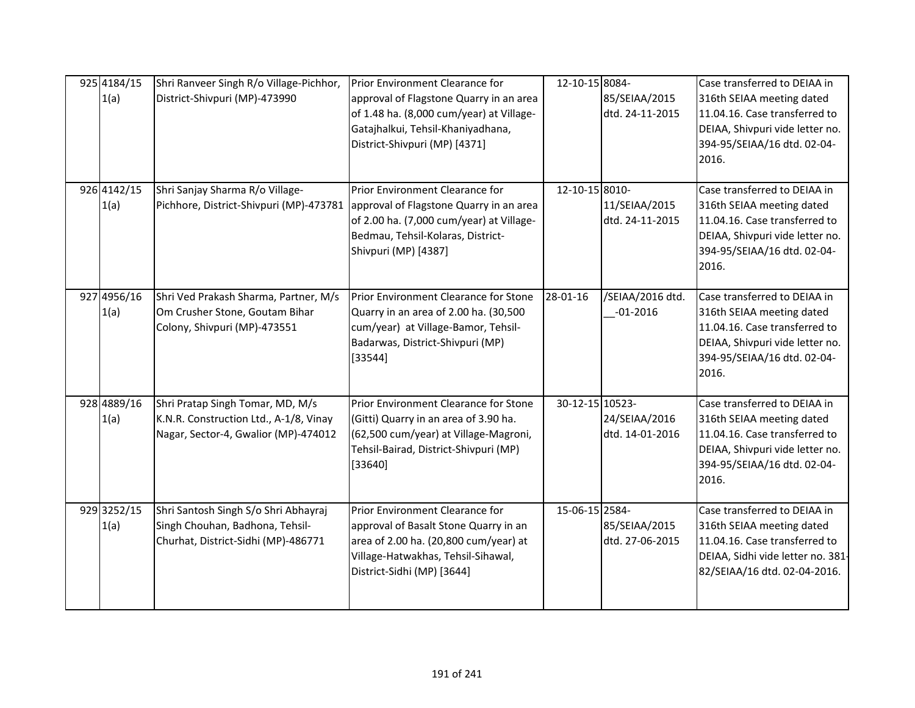| 925 4184/15<br>1(a) | Shri Ranveer Singh R/o Village-Pichhor,<br>District-Shivpuri (MP)-473990                                           | Prior Environment Clearance for<br>approval of Flagstone Quarry in an area<br>of 1.48 ha. (8,000 cum/year) at Village-<br>Gatajhalkui, Tehsil-Khaniyadhana,<br>District-Shivpuri (MP) [4371] | 12-10-15 8084-  | 85/SEIAA/2015<br>dtd. 24-11-2015 | Case transferred to DEIAA in<br>316th SEIAA meeting dated<br>11.04.16. Case transferred to<br>DEIAA, Shivpuri vide letter no.<br>394-95/SEIAA/16 dtd. 02-04-<br>2016. |
|---------------------|--------------------------------------------------------------------------------------------------------------------|----------------------------------------------------------------------------------------------------------------------------------------------------------------------------------------------|-----------------|----------------------------------|-----------------------------------------------------------------------------------------------------------------------------------------------------------------------|
| 926 4142/15<br>1(a) | Shri Sanjay Sharma R/o Village-<br>Pichhore, District-Shivpuri (MP)-473781                                         | Prior Environment Clearance for<br>approval of Flagstone Quarry in an area<br>of 2.00 ha. (7,000 cum/year) at Village-<br>Bedmau, Tehsil-Kolaras, District-<br>Shivpuri (MP) [4387]          | 12-10-15 8010-  | 11/SEIAA/2015<br>dtd. 24-11-2015 | Case transferred to DEIAA in<br>316th SEIAA meeting dated<br>11.04.16. Case transferred to<br>DEIAA, Shivpuri vide letter no.<br>394-95/SEIAA/16 dtd. 02-04-<br>2016. |
| 927 4956/16<br>1(a) | Shri Ved Prakash Sharma, Partner, M/s<br>Om Crusher Stone, Goutam Bihar<br>Colony, Shivpuri (MP)-473551            | Prior Environment Clearance for Stone<br>Quarry in an area of 2.00 ha. (30,500<br>cum/year) at Village-Bamor, Tehsil-<br>Badarwas, District-Shivpuri (MP)<br>[33544]                         | 28-01-16        | /SEIAA/2016 dtd.<br>$-01 - 2016$ | Case transferred to DEIAA in<br>316th SEIAA meeting dated<br>11.04.16. Case transferred to<br>DEIAA, Shivpuri vide letter no.<br>394-95/SEIAA/16 dtd. 02-04-<br>2016. |
| 928 4889/16<br>1(a) | Shri Pratap Singh Tomar, MD, M/s<br>K.N.R. Construction Ltd., A-1/8, Vinay<br>Nagar, Sector-4, Gwalior (MP)-474012 | Prior Environment Clearance for Stone<br>(Gitti) Quarry in an area of 3.90 ha.<br>(62,500 cum/year) at Village-Magroni,<br>Tehsil-Bairad, District-Shivpuri (MP)<br>[33640]                  | 30-12-15 10523- | 24/SEIAA/2016<br>dtd. 14-01-2016 | Case transferred to DEIAA in<br>316th SEIAA meeting dated<br>11.04.16. Case transferred to<br>DEIAA, Shivpuri vide letter no.<br>394-95/SEIAA/16 dtd. 02-04-<br>2016. |
| 929 3252/15<br>1(a) | Shri Santosh Singh S/o Shri Abhayraj<br>Singh Chouhan, Badhona, Tehsil-<br>Churhat, District-Sidhi (MP)-486771     | Prior Environment Clearance for<br>approval of Basalt Stone Quarry in an<br>area of 2.00 ha. (20,800 cum/year) at<br>Village-Hatwakhas, Tehsil-Sihawal,<br>District-Sidhi (MP) [3644]        | 15-06-15 2584-  | 85/SEIAA/2015<br>dtd. 27-06-2015 | Case transferred to DEIAA in<br>316th SEIAA meeting dated<br>11.04.16. Case transferred to<br>DEIAA, Sidhi vide letter no. 381-<br>82/SEIAA/16 dtd. 02-04-2016.       |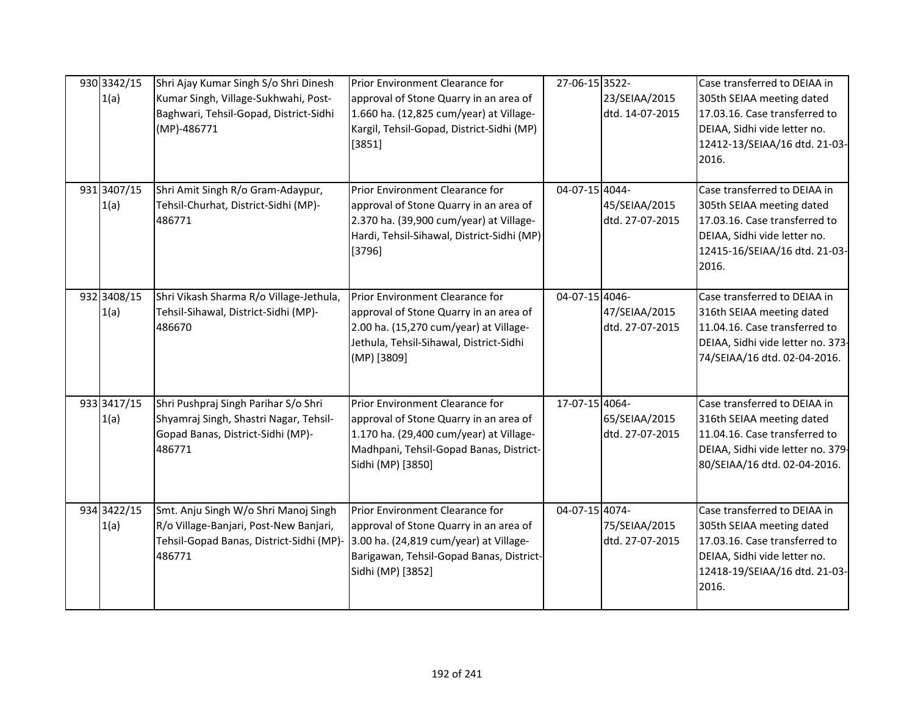| 930 3342/15<br>1(a) | Shri Ajay Kumar Singh S/o Shri Dinesh<br>Kumar Singh, Village-Sukhwahi, Post-<br>Baghwari, Tehsil-Gopad, District-Sidhi<br>(MP)-486771 | Prior Environment Clearance for<br>approval of Stone Quarry in an area of<br>1.660 ha. (12,825 cum/year) at Village-<br>Kargil, Tehsil-Gopad, District-Sidhi (MP)<br>[3851]          | 27-06-15 3522- | 23/SEIAA/2015<br>dtd. 14-07-2015 | Case transferred to DEIAA in<br>305th SEIAA meeting dated<br>17.03.16. Case transferred to<br>DEIAA, Sidhi vide letter no.<br>12412-13/SEIAA/16 dtd. 21-03-<br>2016. |
|---------------------|----------------------------------------------------------------------------------------------------------------------------------------|--------------------------------------------------------------------------------------------------------------------------------------------------------------------------------------|----------------|----------------------------------|----------------------------------------------------------------------------------------------------------------------------------------------------------------------|
| 931 3407/15<br>1(a) | Shri Amit Singh R/o Gram-Adaypur,<br>Tehsil-Churhat, District-Sidhi (MP)-<br>486771                                                    | Prior Environment Clearance for<br>approval of Stone Quarry in an area of<br>2.370 ha. (39,900 cum/year) at Village-<br>Hardi, Tehsil-Sihawal, District-Sidhi (MP)<br>[3796]         | 04-07-15 4044- | 45/SEIAA/2015<br>dtd. 27-07-2015 | Case transferred to DEIAA in<br>305th SEIAA meeting dated<br>17.03.16. Case transferred to<br>DEIAA, Sidhi vide letter no.<br>12415-16/SEIAA/16 dtd. 21-03-<br>2016. |
| 932 3408/15<br>1(a) | Shri Vikash Sharma R/o Village-Jethula,<br>Tehsil-Sihawal, District-Sidhi (MP)-<br>486670                                              | Prior Environment Clearance for<br>approval of Stone Quarry in an area of<br>2.00 ha. (15,270 cum/year) at Village-<br>Jethula, Tehsil-Sihawal, District-Sidhi<br>(MP) [3809]        | 04-07-15 4046- | 47/SEIAA/2015<br>dtd. 27-07-2015 | Case transferred to DEIAA in<br>316th SEIAA meeting dated<br>11.04.16. Case transferred to<br>DEIAA, Sidhi vide letter no. 373-<br>74/SEIAA/16 dtd. 02-04-2016.      |
| 933 3417/15<br>1(a) | Shri Pushpraj Singh Parihar S/o Shri<br>Shyamraj Singh, Shastri Nagar, Tehsil-<br>Gopad Banas, District-Sidhi (MP)-<br>486771          | Prior Environment Clearance for<br>approval of Stone Quarry in an area of<br>1.170 ha. (29,400 cum/year) at Village-<br>Madhpani, Tehsil-Gopad Banas, District-<br>Sidhi (MP) [3850] | 17-07-15 4064- | 65/SEIAA/2015<br>dtd. 27-07-2015 | Case transferred to DEIAA in<br>316th SEIAA meeting dated<br>11.04.16. Case transferred to<br>DEIAA, Sidhi vide letter no. 379-<br>80/SEIAA/16 dtd. 02-04-2016.      |
| 934 3422/15<br>1(a) | Smt. Anju Singh W/o Shri Manoj Singh<br>R/o Village-Banjari, Post-New Banjari,<br>Tehsil-Gopad Banas, District-Sidhi (MP)-<br>486771   | Prior Environment Clearance for<br>approval of Stone Quarry in an area of<br>3.00 ha. (24,819 cum/year) at Village-<br>Barigawan, Tehsil-Gopad Banas, District-<br>Sidhi (MP) [3852] | 04-07-15 4074- | 75/SEIAA/2015<br>dtd. 27-07-2015 | Case transferred to DEIAA in<br>305th SEIAA meeting dated<br>17.03.16. Case transferred to<br>DEIAA, Sidhi vide letter no.<br>12418-19/SEIAA/16 dtd. 21-03-<br>2016. |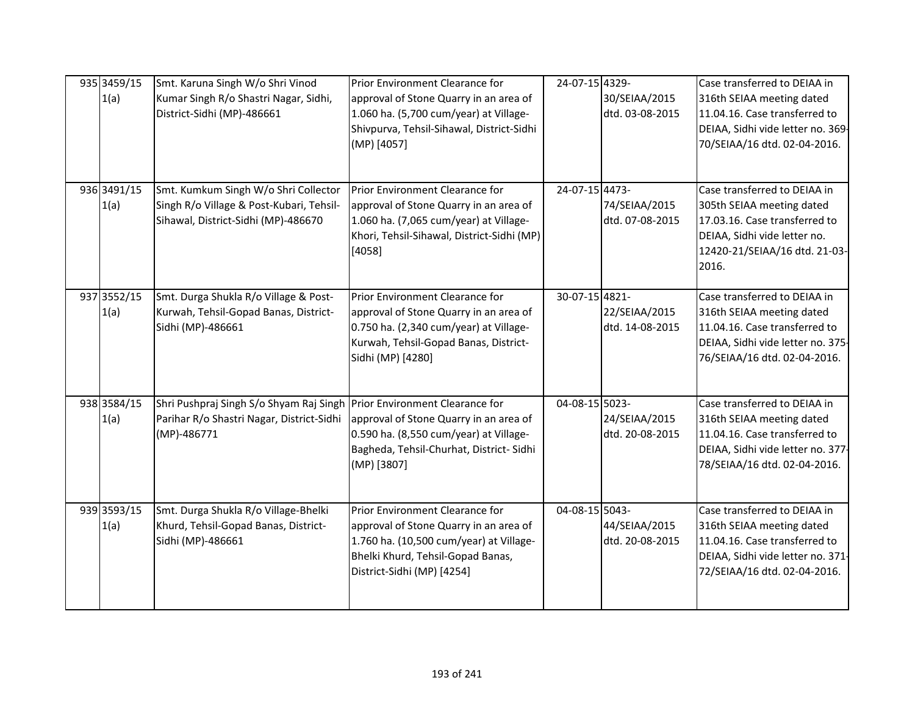| 935 3459/15<br>1(a) | Smt. Karuna Singh W/o Shri Vinod<br>Kumar Singh R/o Shastri Nagar, Sidhi,<br>District-Sidhi (MP)-486661                             | Prior Environment Clearance for<br>approval of Stone Quarry in an area of<br>1.060 ha. (5,700 cum/year) at Village-<br>Shivpurva, Tehsil-Sihawal, District-Sidhi<br>(MP) [4057]         | 24-07-15 4329- | 30/SEIAA/2015<br>dtd. 03-08-2015 | Case transferred to DEIAA in<br>316th SEIAA meeting dated<br>11.04.16. Case transferred to<br>DEIAA, Sidhi vide letter no. 369-<br>70/SEIAA/16 dtd. 02-04-2016.      |
|---------------------|-------------------------------------------------------------------------------------------------------------------------------------|-----------------------------------------------------------------------------------------------------------------------------------------------------------------------------------------|----------------|----------------------------------|----------------------------------------------------------------------------------------------------------------------------------------------------------------------|
| 936 3491/15<br>1(a) | Smt. Kumkum Singh W/o Shri Collector<br>Singh R/o Village & Post-Kubari, Tehsil-<br>Sihawal, District-Sidhi (MP)-486670             | Prior Environment Clearance for<br>approval of Stone Quarry in an area of<br>1.060 ha. (7,065 cum/year) at Village-<br>Khori, Tehsil-Sihawal, District-Sidhi (MP)<br>[4058]             | 24-07-15 4473- | 74/SEIAA/2015<br>dtd. 07-08-2015 | Case transferred to DEIAA in<br>305th SEIAA meeting dated<br>17.03.16. Case transferred to<br>DEIAA, Sidhi vide letter no.<br>12420-21/SEIAA/16 dtd. 21-03-<br>2016. |
| 937 3552/15<br>1(a) | Smt. Durga Shukla R/o Village & Post-<br>Kurwah, Tehsil-Gopad Banas, District-<br>Sidhi (MP)-486661                                 | Prior Environment Clearance for<br>approval of Stone Quarry in an area of<br>0.750 ha. (2,340 cum/year) at Village-<br>Kurwah, Tehsil-Gopad Banas, District-<br>Sidhi (MP) [4280]       | 30-07-15 4821- | 22/SEIAA/2015<br>dtd. 14-08-2015 | Case transferred to DEIAA in<br>316th SEIAA meeting dated<br>11.04.16. Case transferred to<br>DEIAA, Sidhi vide letter no. 375-<br>76/SEIAA/16 dtd. 02-04-2016.      |
| 938 3584/15<br>1(a) | Shri Pushpraj Singh S/o Shyam Raj Singh Prior Environment Clearance for<br>Parihar R/o Shastri Nagar, District-Sidhi<br>(MP)-486771 | approval of Stone Quarry in an area of<br>0.590 ha. (8,550 cum/year) at Village-<br>Bagheda, Tehsil-Churhat, District- Sidhi<br>(MP) [3807]                                             | 04-08-15 5023- | 24/SEIAA/2015<br>dtd. 20-08-2015 | Case transferred to DEIAA in<br>316th SEIAA meeting dated<br>11.04.16. Case transferred to<br>DEIAA, Sidhi vide letter no. 377-<br>78/SEIAA/16 dtd. 02-04-2016.      |
| 939 3593/15<br>1(a) | Smt. Durga Shukla R/o Village-Bhelki<br>Khurd, Tehsil-Gopad Banas, District-<br>Sidhi (MP)-486661                                   | Prior Environment Clearance for<br>approval of Stone Quarry in an area of<br>1.760 ha. (10,500 cum/year) at Village-<br>Bhelki Khurd, Tehsil-Gopad Banas,<br>District-Sidhi (MP) [4254] | 04-08-15 5043- | 44/SEIAA/2015<br>dtd. 20-08-2015 | Case transferred to DEIAA in<br>316th SEIAA meeting dated<br>11.04.16. Case transferred to<br>DEIAA, Sidhi vide letter no. 371-<br>72/SEIAA/16 dtd. 02-04-2016.      |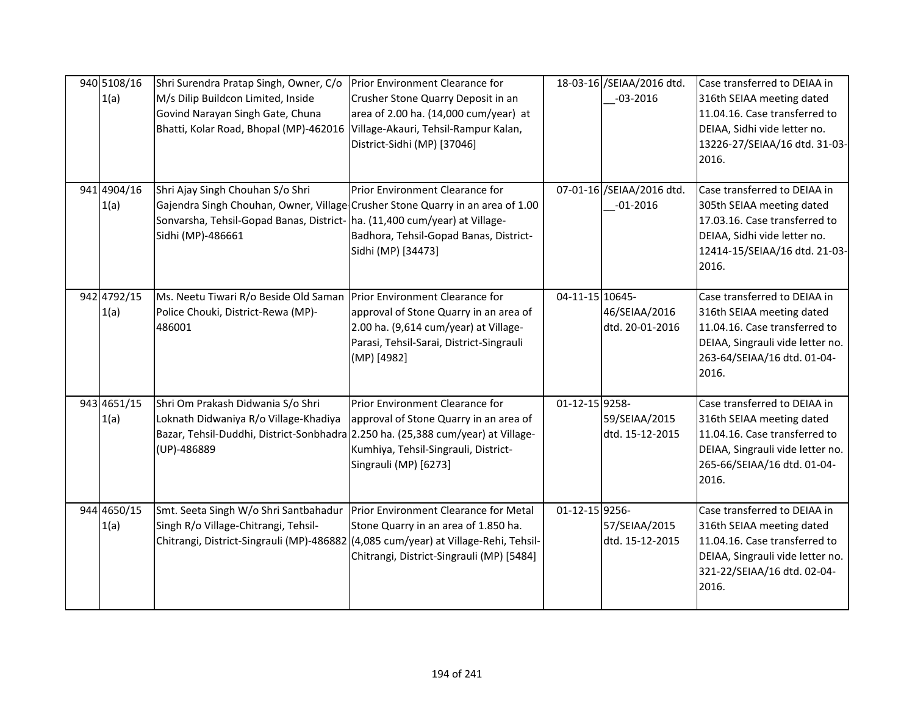| 940 5108/16<br>1(a) | Shri Surendra Pratap Singh, Owner, C/o<br>M/s Dilip Buildcon Limited, Inside<br>Govind Narayan Singh Gate, Chuna<br>Bhatti, Kolar Road, Bhopal (MP)-462016                                                            | Prior Environment Clearance for<br>Crusher Stone Quarry Deposit in an<br>area of 2.00 ha. (14,000 cum/year) at<br>Village-Akauri, Tehsil-Rampur Kalan,<br>District-Sidhi (MP) [37046] |                 | 18-03-16 /SEIAA/2016 dtd.<br>$-03 - 2016$ | Case transferred to DEIAA in<br>316th SEIAA meeting dated<br>11.04.16. Case transferred to<br>DEIAA, Sidhi vide letter no.<br>13226-27/SEIAA/16 dtd. 31-03-<br>2016.   |
|---------------------|-----------------------------------------------------------------------------------------------------------------------------------------------------------------------------------------------------------------------|---------------------------------------------------------------------------------------------------------------------------------------------------------------------------------------|-----------------|-------------------------------------------|------------------------------------------------------------------------------------------------------------------------------------------------------------------------|
| 941 4904/16<br>1(a) | Shri Ajay Singh Chouhan S/o Shri<br>Gajendra Singh Chouhan, Owner, Village Crusher Stone Quarry in an area of 1.00<br>Sonvarsha, Tehsil-Gopad Banas, District- ha. (11,400 cum/year) at Village-<br>Sidhi (MP)-486661 | Prior Environment Clearance for<br>Badhora, Tehsil-Gopad Banas, District-<br>Sidhi (MP) [34473]                                                                                       |                 | 07-01-16 /SEIAA/2016 dtd.<br>$-01 - 2016$ | Case transferred to DEIAA in<br>305th SEIAA meeting dated<br>17.03.16. Case transferred to<br>DEIAA, Sidhi vide letter no.<br>12414-15/SEIAA/16 dtd. 21-03-<br>2016.   |
| 942 4792/15<br>1(a) | Ms. Neetu Tiwari R/o Beside Old Saman<br>Police Chouki, District-Rewa (MP)-<br>486001                                                                                                                                 | Prior Environment Clearance for<br>approval of Stone Quarry in an area of<br>2.00 ha. (9,614 cum/year) at Village-<br>Parasi, Tehsil-Sarai, District-Singrauli<br>(MP) [4982]         | 04-11-15 10645- | 46/SEIAA/2016<br>dtd. 20-01-2016          | Case transferred to DEIAA in<br>316th SEIAA meeting dated<br>11.04.16. Case transferred to<br>DEIAA, Singrauli vide letter no.<br>263-64/SEIAA/16 dtd. 01-04-<br>2016. |
| 943 4651/15<br>1(a) | Shri Om Prakash Didwania S/o Shri<br>Loknath Didwaniya R/o Village-Khadiya<br>Bazar, Tehsil-Duddhi, District-Sonbhadra 2.250 ha. (25,388 cum/year) at Village-<br>(UP)-486889                                         | Prior Environment Clearance for<br>approval of Stone Quarry in an area of<br>Kumhiya, Tehsil-Singrauli, District-<br>Singrauli (MP) [6273]                                            | 01-12-15 9258-  | 59/SEIAA/2015<br>dtd. 15-12-2015          | Case transferred to DEIAA in<br>316th SEIAA meeting dated<br>11.04.16. Case transferred to<br>DEIAA, Singrauli vide letter no.<br>265-66/SEIAA/16 dtd. 01-04-<br>2016. |
| 944 4650/15<br>1(a) | Smt. Seeta Singh W/o Shri Santbahadur   Prior Environment Clearance for Metal<br>Singh R/o Village-Chitrangi, Tehsil-                                                                                                 | Stone Quarry in an area of 1.850 ha.<br>Chitrangi, District-Singrauli (MP)-486882 (4,085 cum/year) at Village-Rehi, Tehsil-<br>Chitrangi, District-Singrauli (MP) [5484]              | 01-12-15 9256-  | 57/SEIAA/2015<br>dtd. 15-12-2015          | Case transferred to DEIAA in<br>316th SEIAA meeting dated<br>11.04.16. Case transferred to<br>DEIAA, Singrauli vide letter no.<br>321-22/SEIAA/16 dtd. 02-04-<br>2016. |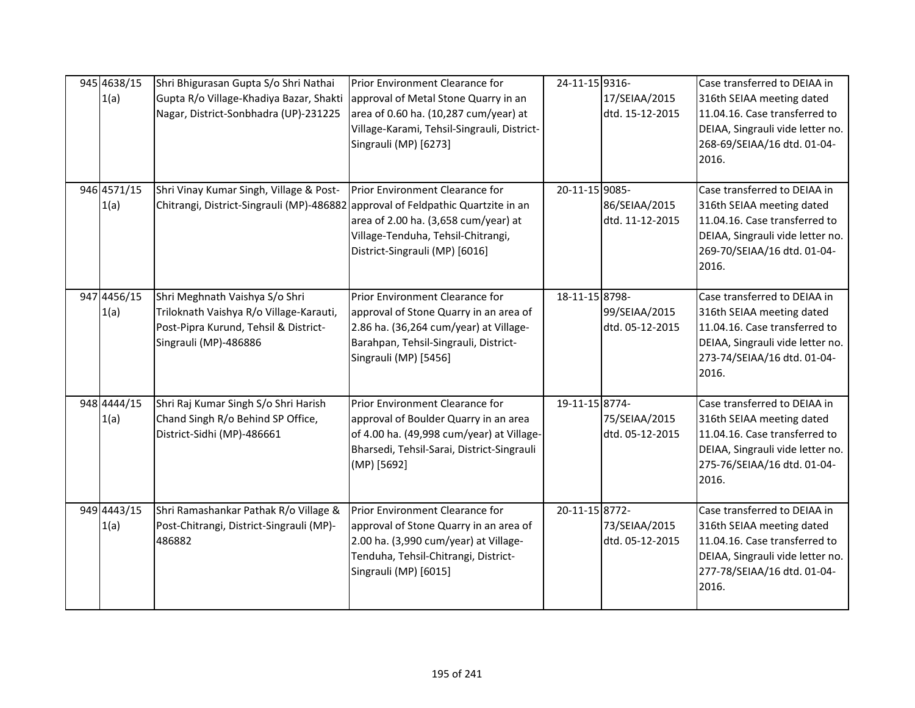| 945 4638/15<br>1(a) | Shri Bhigurasan Gupta S/o Shri Nathai<br>Gupta R/o Village-Khadiya Bazar, Shakti<br>Nagar, District-Sonbhadra (UP)-231225                   | Prior Environment Clearance for<br>approval of Metal Stone Quarry in an<br>area of 0.60 ha. (10,287 cum/year) at<br>Village-Karami, Tehsil-Singrauli, District-<br>Singrauli (MP) [6273] | 24-11-15 9316- | 17/SEIAA/2015<br>dtd. 15-12-2015 | Case transferred to DEIAA in<br>316th SEIAA meeting dated<br>11.04.16. Case transferred to<br>DEIAA, Singrauli vide letter no.<br>268-69/SEIAA/16 dtd. 01-04-<br>2016. |
|---------------------|---------------------------------------------------------------------------------------------------------------------------------------------|------------------------------------------------------------------------------------------------------------------------------------------------------------------------------------------|----------------|----------------------------------|------------------------------------------------------------------------------------------------------------------------------------------------------------------------|
| 946 4571/15<br>1(a) | Shri Vinay Kumar Singh, Village & Post-<br>Chitrangi, District-Singrauli (MP)-486882 approval of Feldpathic Quartzite in an                 | Prior Environment Clearance for<br>area of 2.00 ha. (3,658 cum/year) at<br>Village-Tenduha, Tehsil-Chitrangi,<br>District-Singrauli (MP) [6016]                                          | 20-11-15 9085- | 86/SEIAA/2015<br>dtd. 11-12-2015 | Case transferred to DEIAA in<br>316th SEIAA meeting dated<br>11.04.16. Case transferred to<br>DEIAA, Singrauli vide letter no.<br>269-70/SEIAA/16 dtd. 01-04-<br>2016. |
| 947 4456/15<br>1(a) | Shri Meghnath Vaishya S/o Shri<br>Triloknath Vaishya R/o Village-Karauti,<br>Post-Pipra Kurund, Tehsil & District-<br>Singrauli (MP)-486886 | Prior Environment Clearance for<br>approval of Stone Quarry in an area of<br>2.86 ha. (36,264 cum/year) at Village-<br>Barahpan, Tehsil-Singrauli, District-<br>Singrauli (MP) [5456]    | 18-11-15 8798- | 99/SEIAA/2015<br>dtd. 05-12-2015 | Case transferred to DEIAA in<br>316th SEIAA meeting dated<br>11.04.16. Case transferred to<br>DEIAA, Singrauli vide letter no.<br>273-74/SEIAA/16 dtd. 01-04-<br>2016. |
| 948 4444/15<br>1(a) | Shri Raj Kumar Singh S/o Shri Harish<br>Chand Singh R/o Behind SP Office,<br>District-Sidhi (MP)-486661                                     | Prior Environment Clearance for<br>approval of Boulder Quarry in an area<br>of 4.00 ha. (49,998 cum/year) at Village-<br>Bharsedi, Tehsil-Sarai, District-Singrauli<br>(MP) [5692]       | 19-11-15 8774- | 75/SEIAA/2015<br>dtd. 05-12-2015 | Case transferred to DEIAA in<br>316th SEIAA meeting dated<br>11.04.16. Case transferred to<br>DEIAA, Singrauli vide letter no.<br>275-76/SEIAA/16 dtd. 01-04-<br>2016. |
| 949 4443/15<br>1(a) | Shri Ramashankar Pathak R/o Village &<br>Post-Chitrangi, District-Singrauli (MP)-<br>486882                                                 | Prior Environment Clearance for<br>approval of Stone Quarry in an area of<br>2.00 ha. (3,990 cum/year) at Village-<br>Tenduha, Tehsil-Chitrangi, District-<br>Singrauli (MP) [6015]      | 20-11-15 8772- | 73/SEIAA/2015<br>dtd. 05-12-2015 | Case transferred to DEIAA in<br>316th SEIAA meeting dated<br>11.04.16. Case transferred to<br>DEIAA, Singrauli vide letter no.<br>277-78/SEIAA/16 dtd. 01-04-<br>2016. |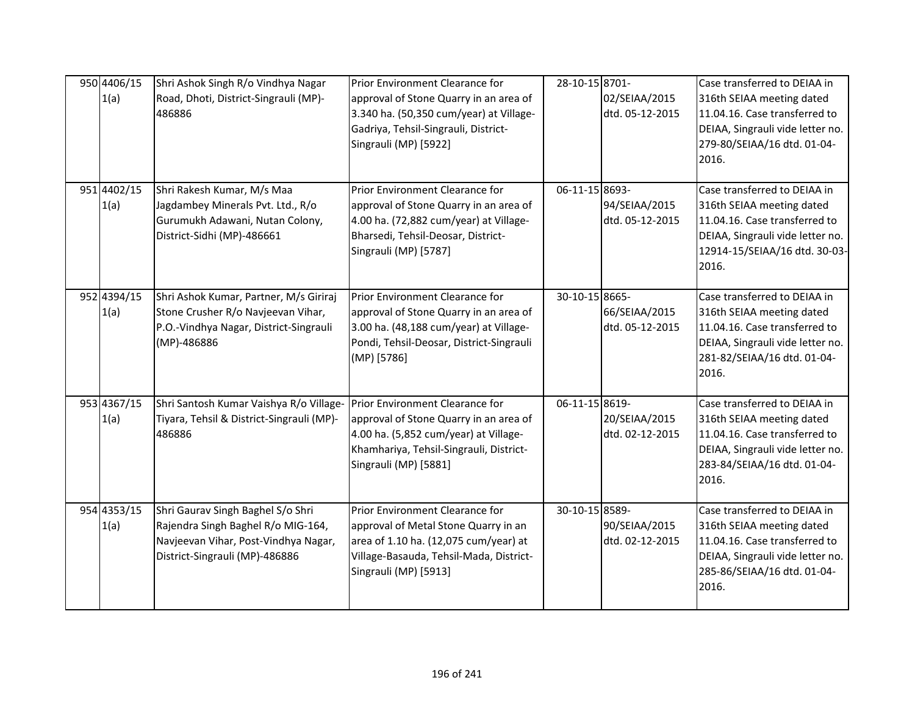| 950 4406/15<br>1(a) | Shri Ashok Singh R/o Vindhya Nagar<br>Road, Dhoti, District-Singrauli (MP)-<br>486886                                                             | Prior Environment Clearance for<br>approval of Stone Quarry in an area of<br>3.340 ha. (50,350 cum/year) at Village-<br>Gadriya, Tehsil-Singrauli, District-<br>Singrauli (MP) [5922]  | 28-10-15 8701- | 02/SEIAA/2015<br>dtd. 05-12-2015 | Case transferred to DEIAA in<br>316th SEIAA meeting dated<br>11.04.16. Case transferred to<br>DEIAA, Singrauli vide letter no.<br>279-80/SEIAA/16 dtd. 01-04-<br>2016.   |
|---------------------|---------------------------------------------------------------------------------------------------------------------------------------------------|----------------------------------------------------------------------------------------------------------------------------------------------------------------------------------------|----------------|----------------------------------|--------------------------------------------------------------------------------------------------------------------------------------------------------------------------|
| 951 4402/15<br>1(a) | Shri Rakesh Kumar, M/s Maa<br>Jagdambey Minerals Pvt. Ltd., R/o<br>Gurumukh Adawani, Nutan Colony,<br>District-Sidhi (MP)-486661                  | Prior Environment Clearance for<br>approval of Stone Quarry in an area of<br>4.00 ha. (72,882 cum/year) at Village-<br>Bharsedi, Tehsil-Deosar, District-<br>Singrauli (MP) [5787]     | 06-11-15 8693- | 94/SEIAA/2015<br>dtd. 05-12-2015 | Case transferred to DEIAA in<br>316th SEIAA meeting dated<br>11.04.16. Case transferred to<br>DEIAA, Singrauli vide letter no.<br>12914-15/SEIAA/16 dtd. 30-03-<br>2016. |
| 952 4394/15<br>1(a) | Shri Ashok Kumar, Partner, M/s Giriraj<br>Stone Crusher R/o Navjeevan Vihar,<br>P.O.-Vindhya Nagar, District-Singrauli<br>(MP)-486886             | Prior Environment Clearance for<br>approval of Stone Quarry in an area of<br>3.00 ha. (48,188 cum/year) at Village-<br>Pondi, Tehsil-Deosar, District-Singrauli<br>(MP) [5786]         | 30-10-15 8665- | 66/SEIAA/2015<br>dtd. 05-12-2015 | Case transferred to DEIAA in<br>316th SEIAA meeting dated<br>11.04.16. Case transferred to<br>DEIAA, Singrauli vide letter no.<br>281-82/SEIAA/16 dtd. 01-04-<br>2016.   |
| 953 4367/15<br>1(a) | Shri Santosh Kumar Vaishya R/o Village-<br>Tiyara, Tehsil & District-Singrauli (MP)-<br>486886                                                    | Prior Environment Clearance for<br>approval of Stone Quarry in an area of<br>4.00 ha. (5,852 cum/year) at Village-<br>Khamhariya, Tehsil-Singrauli, District-<br>Singrauli (MP) [5881] | 06-11-15 8619- | 20/SEIAA/2015<br>dtd. 02-12-2015 | Case transferred to DEIAA in<br>316th SEIAA meeting dated<br>11.04.16. Case transferred to<br>DEIAA, Singrauli vide letter no.<br>283-84/SEIAA/16 dtd. 01-04-<br>2016.   |
| 954 4353/15<br>1(a) | Shri Gaurav Singh Baghel S/o Shri<br>Rajendra Singh Baghel R/o MIG-164,<br>Navjeevan Vihar, Post-Vindhya Nagar,<br>District-Singrauli (MP)-486886 | Prior Environment Clearance for<br>approval of Metal Stone Quarry in an<br>area of 1.10 ha. (12,075 cum/year) at<br>Village-Basauda, Tehsil-Mada, District-<br>Singrauli (MP) [5913]   | 30-10-15 8589- | 90/SEIAA/2015<br>dtd. 02-12-2015 | Case transferred to DEIAA in<br>316th SEIAA meeting dated<br>11.04.16. Case transferred to<br>DEIAA, Singrauli vide letter no.<br>285-86/SEIAA/16 dtd. 01-04-<br>2016.   |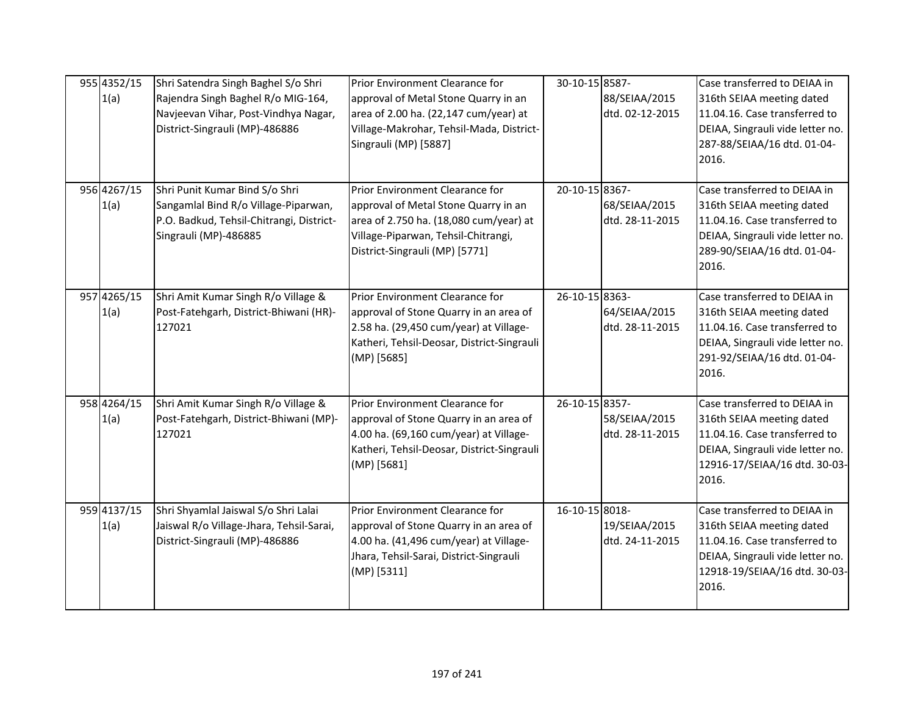| 955 4352/15<br>1(a) | Shri Satendra Singh Baghel S/o Shri<br>Rajendra Singh Baghel R/o MIG-164,<br>Navjeevan Vihar, Post-Vindhya Nagar,<br>District-Singrauli (MP)-486886 | Prior Environment Clearance for<br>approval of Metal Stone Quarry in an<br>area of 2.00 ha. (22,147 cum/year) at<br>Village-Makrohar, Tehsil-Mada, District-<br>Singrauli (MP) [5887]      | 30-10-15 8587- | 88/SEIAA/2015<br>dtd. 02-12-2015 | Case transferred to DEIAA in<br>316th SEIAA meeting dated<br>11.04.16. Case transferred to<br>DEIAA, Singrauli vide letter no.<br>287-88/SEIAA/16 dtd. 01-04-<br>2016.   |
|---------------------|-----------------------------------------------------------------------------------------------------------------------------------------------------|--------------------------------------------------------------------------------------------------------------------------------------------------------------------------------------------|----------------|----------------------------------|--------------------------------------------------------------------------------------------------------------------------------------------------------------------------|
| 956 4267/15<br>1(a) | Shri Punit Kumar Bind S/o Shri<br>Sangamlal Bind R/o Village-Piparwan,<br>P.O. Badkud, Tehsil-Chitrangi, District-<br>Singrauli (MP)-486885         | Prior Environment Clearance for<br>approval of Metal Stone Quarry in an<br>area of 2.750 ha. (18,080 cum/year) at<br>Village-Piparwan, Tehsil-Chitrangi,<br>District-Singrauli (MP) [5771] | 20-10-15 8367- | 68/SEIAA/2015<br>dtd. 28-11-2015 | Case transferred to DEIAA in<br>316th SEIAA meeting dated<br>11.04.16. Case transferred to<br>DEIAA, Singrauli vide letter no.<br>289-90/SEIAA/16 dtd. 01-04-<br>2016.   |
| 957 4265/15<br>1(a) | Shri Amit Kumar Singh R/o Village &<br>Post-Fatehgarh, District-Bhiwani (HR)-<br>127021                                                             | Prior Environment Clearance for<br>approval of Stone Quarry in an area of<br>2.58 ha. (29,450 cum/year) at Village-<br>Katheri, Tehsil-Deosar, District-Singrauli<br>(MP) [5685]           | 26-10-15 8363- | 64/SEIAA/2015<br>dtd. 28-11-2015 | Case transferred to DEIAA in<br>316th SEIAA meeting dated<br>11.04.16. Case transferred to<br>DEIAA, Singrauli vide letter no.<br>291-92/SEIAA/16 dtd. 01-04-<br>2016.   |
| 958 4264/15<br>1(a) | Shri Amit Kumar Singh R/o Village &<br>Post-Fatehgarh, District-Bhiwani (MP)-<br>127021                                                             | Prior Environment Clearance for<br>approval of Stone Quarry in an area of<br>4.00 ha. (69,160 cum/year) at Village-<br>Katheri, Tehsil-Deosar, District-Singrauli<br>(MP) [5681]           | 26-10-15 8357- | 58/SEIAA/2015<br>dtd. 28-11-2015 | Case transferred to DEIAA in<br>316th SEIAA meeting dated<br>11.04.16. Case transferred to<br>DEIAA, Singrauli vide letter no.<br>12916-17/SEIAA/16 dtd. 30-03-<br>2016. |
| 959 4137/15<br>1(a) | Shri Shyamlal Jaiswal S/o Shri Lalai<br>Jaiswal R/o Village-Jhara, Tehsil-Sarai,<br>District-Singrauli (MP)-486886                                  | Prior Environment Clearance for<br>approval of Stone Quarry in an area of<br>4.00 ha. (41,496 cum/year) at Village-<br>Jhara, Tehsil-Sarai, District-Singrauli<br>(MP) [5311]              | 16-10-15 8018- | 19/SEIAA/2015<br>dtd. 24-11-2015 | Case transferred to DEIAA in<br>316th SEIAA meeting dated<br>11.04.16. Case transferred to<br>DEIAA, Singrauli vide letter no.<br>12918-19/SEIAA/16 dtd. 30-03-<br>2016. |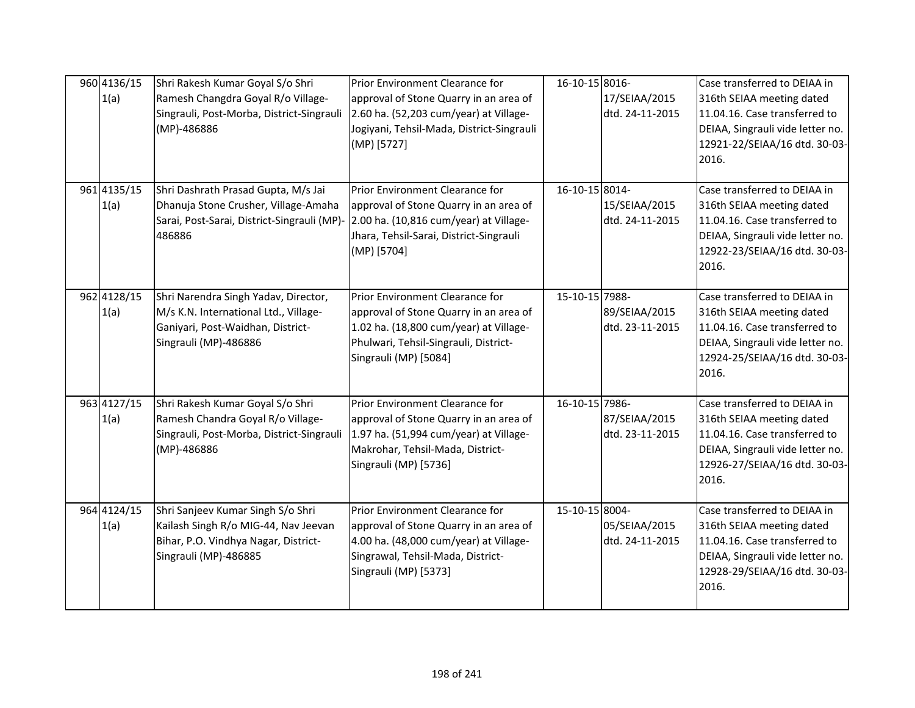| 960 4136/15<br>1(a) | Shri Rakesh Kumar Goyal S/o Shri<br>Ramesh Changdra Goyal R/o Village-<br>Singrauli, Post-Morba, District-Singrauli<br>(MP)-486886                                          | Prior Environment Clearance for<br>approval of Stone Quarry in an area of<br>2.60 ha. (52,203 cum/year) at Village-<br>Jogiyani, Tehsil-Mada, District-Singrauli<br>(MP) [5727]       | 16-10-15 8016- | 17/SEIAA/2015<br>dtd. 24-11-2015 | Case transferred to DEIAA in<br>316th SEIAA meeting dated<br>11.04.16. Case transferred to<br>DEIAA, Singrauli vide letter no.<br>12921-22/SEIAA/16 dtd. 30-03-<br>2016. |
|---------------------|-----------------------------------------------------------------------------------------------------------------------------------------------------------------------------|---------------------------------------------------------------------------------------------------------------------------------------------------------------------------------------|----------------|----------------------------------|--------------------------------------------------------------------------------------------------------------------------------------------------------------------------|
| 961 4135/15<br>1(a) | Shri Dashrath Prasad Gupta, M/s Jai<br>Dhanuja Stone Crusher, Village-Amaha<br>Sarai, Post-Sarai, District-Singrauli (MP)- 2.00 ha. (10,816 cum/year) at Village-<br>486886 | Prior Environment Clearance for<br>approval of Stone Quarry in an area of<br>Jhara, Tehsil-Sarai, District-Singrauli<br>(MP) [5704]                                                   | 16-10-15 8014- | 15/SEIAA/2015<br>dtd. 24-11-2015 | Case transferred to DEIAA in<br>316th SEIAA meeting dated<br>11.04.16. Case transferred to<br>DEIAA, Singrauli vide letter no.<br>12922-23/SEIAA/16 dtd. 30-03-<br>2016. |
| 962 4128/15<br>1(a) | Shri Narendra Singh Yadav, Director,<br>M/s K.N. International Ltd., Village-<br>Ganiyari, Post-Waidhan, District-<br>Singrauli (MP)-486886                                 | Prior Environment Clearance for<br>approval of Stone Quarry in an area of<br>1.02 ha. (18,800 cum/year) at Village-<br>Phulwari, Tehsil-Singrauli, District-<br>Singrauli (MP) [5084] | 15-10-15 7988- | 89/SEIAA/2015<br>dtd. 23-11-2015 | Case transferred to DEIAA in<br>316th SEIAA meeting dated<br>11.04.16. Case transferred to<br>DEIAA, Singrauli vide letter no.<br>12924-25/SEIAA/16 dtd. 30-03-<br>2016. |
| 963 4127/15<br>1(a) | Shri Rakesh Kumar Goyal S/o Shri<br>Ramesh Chandra Goyal R/o Village-<br>Singrauli, Post-Morba, District-Singrauli<br>(MP)-486886                                           | Prior Environment Clearance for<br>approval of Stone Quarry in an area of<br>1.97 ha. (51,994 cum/year) at Village-<br>Makrohar, Tehsil-Mada, District-<br>Singrauli (MP) [5736]      | 16-10-15 7986- | 87/SEIAA/2015<br>dtd. 23-11-2015 | Case transferred to DEIAA in<br>316th SEIAA meeting dated<br>11.04.16. Case transferred to<br>DEIAA, Singrauli vide letter no.<br>12926-27/SEIAA/16 dtd. 30-03-<br>2016. |
| 964 4124/15<br>1(a) | Shri Sanjeev Kumar Singh S/o Shri<br>Kailash Singh R/o MIG-44, Nav Jeevan<br>Bihar, P.O. Vindhya Nagar, District-<br>Singrauli (MP)-486885                                  | Prior Environment Clearance for<br>approval of Stone Quarry in an area of<br>4.00 ha. (48,000 cum/year) at Village-<br>Singrawal, Tehsil-Mada, District-<br>Singrauli (MP) [5373]     | 15-10-15 8004- | 05/SEIAA/2015<br>dtd. 24-11-2015 | Case transferred to DEIAA in<br>316th SEIAA meeting dated<br>11.04.16. Case transferred to<br>DEIAA, Singrauli vide letter no.<br>12928-29/SEIAA/16 dtd. 30-03-<br>2016. |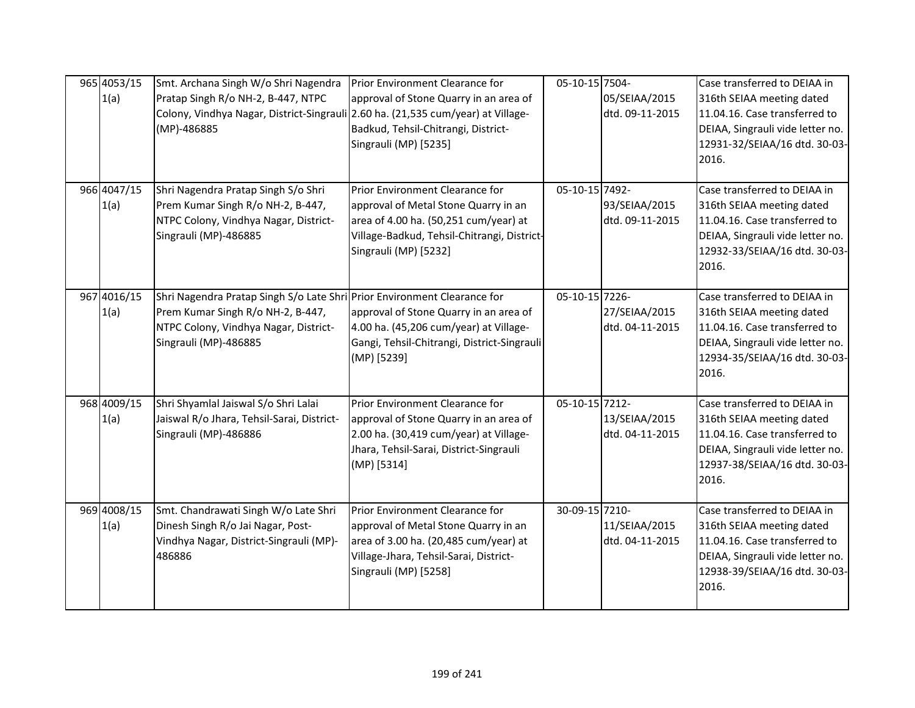| 965 4053/15<br>1(a) | Smt. Archana Singh W/o Shri Nagendra<br>Pratap Singh R/o NH-2, B-447, NTPC<br>Colony, Vindhya Nagar, District-Singrauli 2.60 ha. (21,535 cum/year) at Village-<br>(MP)-486885   | Prior Environment Clearance for<br>approval of Stone Quarry in an area of<br>Badkud, Tehsil-Chitrangi, District-<br>Singrauli (MP) [5235]                                                | 05-10-15 7504- | 05/SEIAA/2015<br>dtd. 09-11-2015 | Case transferred to DEIAA in<br>316th SEIAA meeting dated<br>11.04.16. Case transferred to<br>DEIAA, Singrauli vide letter no.<br>12931-32/SEIAA/16 dtd. 30-03-<br>2016. |
|---------------------|---------------------------------------------------------------------------------------------------------------------------------------------------------------------------------|------------------------------------------------------------------------------------------------------------------------------------------------------------------------------------------|----------------|----------------------------------|--------------------------------------------------------------------------------------------------------------------------------------------------------------------------|
| 966 4047/15<br>1(a) | Shri Nagendra Pratap Singh S/o Shri<br>Prem Kumar Singh R/o NH-2, B-447,<br>NTPC Colony, Vindhya Nagar, District-<br>Singrauli (MP)-486885                                      | Prior Environment Clearance for<br>approval of Metal Stone Quarry in an<br>area of 4.00 ha. (50,251 cum/year) at<br>Village-Badkud, Tehsil-Chitrangi, District-<br>Singrauli (MP) [5232] | 05-10-15 7492- | 93/SEIAA/2015<br>dtd. 09-11-2015 | Case transferred to DEIAA in<br>316th SEIAA meeting dated<br>11.04.16. Case transferred to<br>DEIAA, Singrauli vide letter no.<br>12932-33/SEIAA/16 dtd. 30-03-<br>2016. |
| 967 4016/15<br>1(a) | Shri Nagendra Pratap Singh S/o Late Shri Prior Environment Clearance for<br>Prem Kumar Singh R/o NH-2, B-447,<br>NTPC Colony, Vindhya Nagar, District-<br>Singrauli (MP)-486885 | approval of Stone Quarry in an area of<br>4.00 ha. (45,206 cum/year) at Village-<br>Gangi, Tehsil-Chitrangi, District-Singrauli<br>(MP) [5239]                                           | 05-10-15 7226- | 27/SEIAA/2015<br>dtd. 04-11-2015 | Case transferred to DEIAA in<br>316th SEIAA meeting dated<br>11.04.16. Case transferred to<br>DEIAA, Singrauli vide letter no.<br>12934-35/SEIAA/16 dtd. 30-03-<br>2016. |
| 968 4009/15<br>1(a) | Shri Shyamlal Jaiswal S/o Shri Lalai<br>Jaiswal R/o Jhara, Tehsil-Sarai, District-<br>Singrauli (MP)-486886                                                                     | Prior Environment Clearance for<br>approval of Stone Quarry in an area of<br>2.00 ha. (30,419 cum/year) at Village-<br>Jhara, Tehsil-Sarai, District-Singrauli<br>(MP) [5314]            | 05-10-15 7212- | 13/SEIAA/2015<br>dtd. 04-11-2015 | Case transferred to DEIAA in<br>316th SEIAA meeting dated<br>11.04.16. Case transferred to<br>DEIAA, Singrauli vide letter no.<br>12937-38/SEIAA/16 dtd. 30-03-<br>2016. |
| 969 4008/15<br>1(a) | Smt. Chandrawati Singh W/o Late Shri<br>Dinesh Singh R/o Jai Nagar, Post-<br>Vindhya Nagar, District-Singrauli (MP)-<br>486886                                                  | Prior Environment Clearance for<br>approval of Metal Stone Quarry in an<br>area of 3.00 ha. (20,485 cum/year) at<br>Village-Jhara, Tehsil-Sarai, District-<br>Singrauli (MP) [5258]      | 30-09-15 7210- | 11/SEIAA/2015<br>dtd. 04-11-2015 | Case transferred to DEIAA in<br>316th SEIAA meeting dated<br>11.04.16. Case transferred to<br>DEIAA, Singrauli vide letter no.<br>12938-39/SEIAA/16 dtd. 30-03-<br>2016. |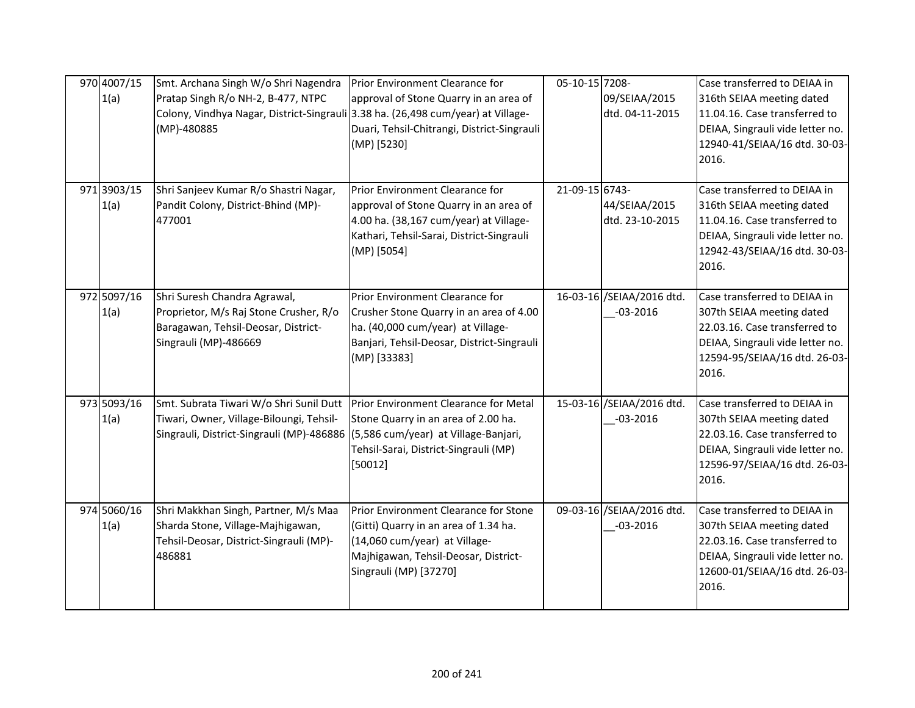| 970 4007/15<br>1(a) | Smt. Archana Singh W/o Shri Nagendra<br>Pratap Singh R/o NH-2, B-477, NTPC<br>Colony, Vindhya Nagar, District-Singrauli 3.38 ha. (26,498 cum/year) at Village-<br>(MP)-480885                                 | Prior Environment Clearance for<br>approval of Stone Quarry in an area of<br>Duari, Tehsil-Chitrangi, District-Singrauli<br>(MP) [5230]                                           | 05-10-15 7208- | 09/SEIAA/2015<br>dtd. 04-11-2015           | Case transferred to DEIAA in<br>316th SEIAA meeting dated<br>11.04.16. Case transferred to<br>DEIAA, Singrauli vide letter no.<br>12940-41/SEIAA/16 dtd. 30-03-<br>2016. |
|---------------------|---------------------------------------------------------------------------------------------------------------------------------------------------------------------------------------------------------------|-----------------------------------------------------------------------------------------------------------------------------------------------------------------------------------|----------------|--------------------------------------------|--------------------------------------------------------------------------------------------------------------------------------------------------------------------------|
| 971 3903/15<br>1(a) | Shri Sanjeev Kumar R/o Shastri Nagar,<br>Pandit Colony, District-Bhind (MP)-<br>477001                                                                                                                        | Prior Environment Clearance for<br>approval of Stone Quarry in an area of<br>4.00 ha. (38,167 cum/year) at Village-<br>Kathari, Tehsil-Sarai, District-Singrauli<br>(MP) [5054]   | 21-09-15 6743- | 44/SEIAA/2015<br>dtd. 23-10-2015           | Case transferred to DEIAA in<br>316th SEIAA meeting dated<br>11.04.16. Case transferred to<br>DEIAA, Singrauli vide letter no.<br>12942-43/SEIAA/16 dtd. 30-03-<br>2016. |
| 972 5097/16<br>1(a) | Shri Suresh Chandra Agrawal,<br>Proprietor, M/s Raj Stone Crusher, R/o<br>Baragawan, Tehsil-Deosar, District-<br>Singrauli (MP)-486669                                                                        | Prior Environment Clearance for<br>Crusher Stone Quarry in an area of 4.00<br>ha. (40,000 cum/year) at Village-<br>Banjari, Tehsil-Deosar, District-Singrauli<br>(MP) [33383]     |                | 16-03-16 /SEIAA/2016 dtd.<br>$-03 - 2016$  | Case transferred to DEIAA in<br>307th SEIAA meeting dated<br>22.03.16. Case transferred to<br>DEIAA, Singrauli vide letter no.<br>12594-95/SEIAA/16 dtd. 26-03-<br>2016. |
| 973 5093/16<br>1(a) | Smt. Subrata Tiwari W/o Shri Sunil Dutt   Prior Environment Clearance for Metal<br>Tiwari, Owner, Village-Biloungi, Tehsil-<br>Singrauli, District-Singrauli (MP)-486886 (5,586 cum/year) at Village-Banjari, | Stone Quarry in an area of 2.00 ha.<br>Tehsil-Sarai, District-Singrauli (MP)<br>[50012]                                                                                           |                | 15-03-16 / SEIAA/2016 dtd.<br>$-03 - 2016$ | Case transferred to DEIAA in<br>307th SEIAA meeting dated<br>22.03.16. Case transferred to<br>DEIAA, Singrauli vide letter no.<br>12596-97/SEIAA/16 dtd. 26-03-<br>2016. |
| 974 5060/16<br>1(a) | Shri Makkhan Singh, Partner, M/s Maa<br>Sharda Stone, Village-Majhigawan,<br>Tehsil-Deosar, District-Singrauli (MP)-<br>486881                                                                                | Prior Environment Clearance for Stone<br>(Gitti) Quarry in an area of 1.34 ha.<br>(14,060 cum/year) at Village-<br>Majhigawan, Tehsil-Deosar, District-<br>Singrauli (MP) [37270] |                | 09-03-16 /SEIAA/2016 dtd.<br>$-03 - 2016$  | Case transferred to DEIAA in<br>307th SEIAA meeting dated<br>22.03.16. Case transferred to<br>DEIAA, Singrauli vide letter no.<br>12600-01/SEIAA/16 dtd. 26-03-<br>2016. |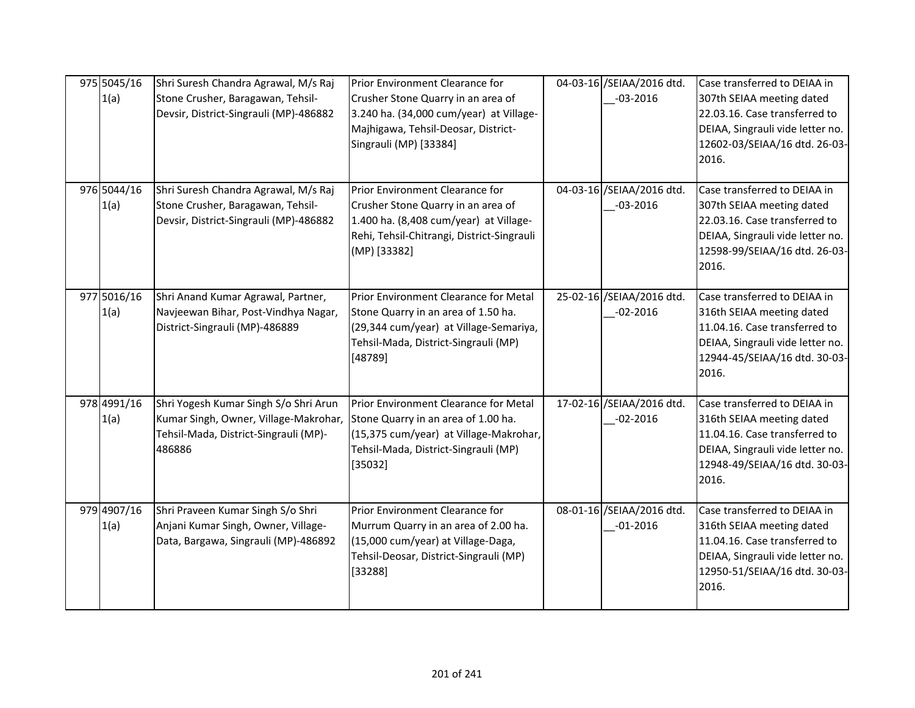| 975 5045/16<br>1(a) | Shri Suresh Chandra Agrawal, M/s Raj<br>Stone Crusher, Baragawan, Tehsil-<br>Devsir, District-Singrauli (MP)-486882               | Prior Environment Clearance for<br>Crusher Stone Quarry in an area of<br>3.240 ha. (34,000 cum/year) at Village-<br>Majhigawa, Tehsil-Deosar, District-<br>Singrauli (MP) [33384] | 04-03-16 /SEIAA/2016 dtd.<br>$-03 - 2016$ | Case transferred to DEIAA in<br>307th SEIAA meeting dated<br>22.03.16. Case transferred to<br>DEIAA, Singrauli vide letter no.<br>12602-03/SEIAA/16 dtd. 26-03-<br>2016. |
|---------------------|-----------------------------------------------------------------------------------------------------------------------------------|-----------------------------------------------------------------------------------------------------------------------------------------------------------------------------------|-------------------------------------------|--------------------------------------------------------------------------------------------------------------------------------------------------------------------------|
| 976 5044/16<br>1(a) | Shri Suresh Chandra Agrawal, M/s Raj<br>Stone Crusher, Baragawan, Tehsil-<br>Devsir, District-Singrauli (MP)-486882               | Prior Environment Clearance for<br>Crusher Stone Quarry in an area of<br>1.400 ha. (8,408 cum/year) at Village-<br>Rehi, Tehsil-Chitrangi, District-Singrauli<br>(MP) [33382]     | 04-03-16 /SEIAA/2016 dtd.<br>$-03 - 2016$ | Case transferred to DEIAA in<br>307th SEIAA meeting dated<br>22.03.16. Case transferred to<br>DEIAA, Singrauli vide letter no.<br>12598-99/SEIAA/16 dtd. 26-03-<br>2016. |
| 977 5016/16<br>1(a) | Shri Anand Kumar Agrawal, Partner,<br>Navjeewan Bihar, Post-Vindhya Nagar,<br>District-Singrauli (MP)-486889                      | Prior Environment Clearance for Metal<br>Stone Quarry in an area of 1.50 ha.<br>(29,344 cum/year) at Village-Semariya,<br>Tehsil-Mada, District-Singrauli (MP)<br>[48789]         | 25-02-16 /SEIAA/2016 dtd.<br>$-02 - 2016$ | Case transferred to DEIAA in<br>316th SEIAA meeting dated<br>11.04.16. Case transferred to<br>DEIAA, Singrauli vide letter no.<br>12944-45/SEIAA/16 dtd. 30-03-<br>2016. |
| 978 4991/16<br>1(a) | Shri Yogesh Kumar Singh S/o Shri Arun<br>Kumar Singh, Owner, Village-Makrohar,<br>Tehsil-Mada, District-Singrauli (MP)-<br>486886 | Prior Environment Clearance for Metal<br>Stone Quarry in an area of 1.00 ha.<br>(15,375 cum/year) at Village-Makrohar,<br>Tehsil-Mada, District-Singrauli (MP)<br>[35032]         | 17-02-16 /SEIAA/2016 dtd.<br>$-02 - 2016$ | Case transferred to DEIAA in<br>316th SEIAA meeting dated<br>11.04.16. Case transferred to<br>DEIAA, Singrauli vide letter no.<br>12948-49/SEIAA/16 dtd. 30-03-<br>2016. |
| 979 4907/16<br>1(a) | Shri Praveen Kumar Singh S/o Shri<br>Anjani Kumar Singh, Owner, Village-<br>Data, Bargawa, Singrauli (MP)-486892                  | Prior Environment Clearance for<br>Murrum Quarry in an area of 2.00 ha.<br>(15,000 cum/year) at Village-Daga,<br>Tehsil-Deosar, District-Singrauli (MP)<br>[33288]                | 08-01-16 /SEIAA/2016 dtd.<br>$-01 - 2016$ | Case transferred to DEIAA in<br>316th SEIAA meeting dated<br>11.04.16. Case transferred to<br>DEIAA, Singrauli vide letter no.<br>12950-51/SEIAA/16 dtd. 30-03-<br>2016. |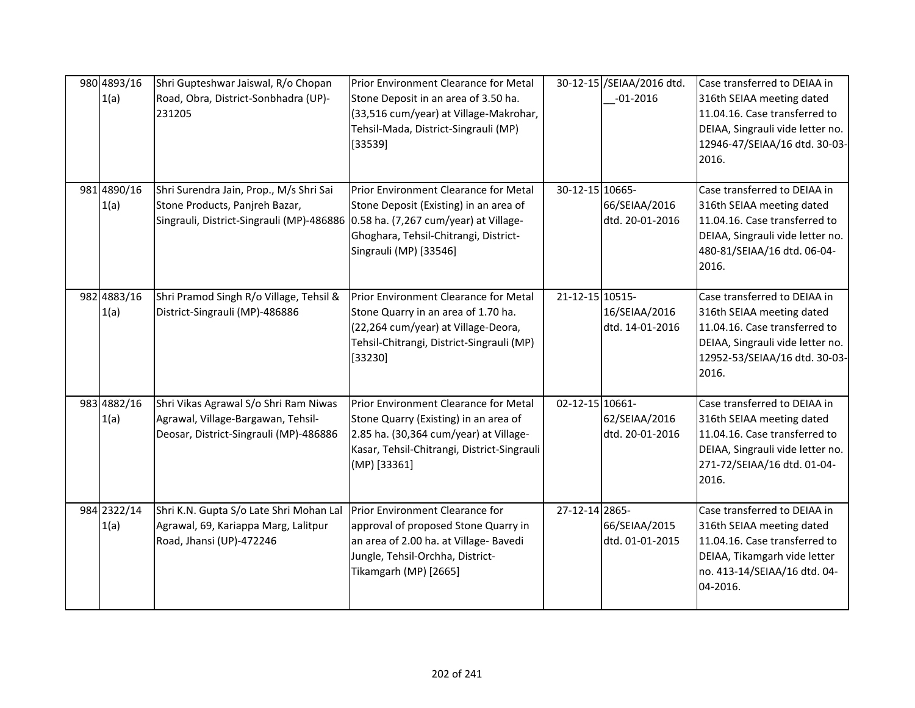| 980 4893/16<br>1(a) | Shri Gupteshwar Jaiswal, R/o Chopan<br>Road, Obra, District-Sonbhadra (UP)-<br>231205                                                                        | Prior Environment Clearance for Metal<br>Stone Deposit in an area of 3.50 ha.<br>(33,516 cum/year) at Village-Makrohar,<br>Tehsil-Mada, District-Singrauli (MP)<br>[33539]              |                 | 30-12-15 /SEIAA/2016 dtd.<br>$-01 - 2016$ | Case transferred to DEIAA in<br>316th SEIAA meeting dated<br>11.04.16. Case transferred to<br>DEIAA, Singrauli vide letter no.<br>12946-47/SEIAA/16 dtd. 30-03-<br>2016. |
|---------------------|--------------------------------------------------------------------------------------------------------------------------------------------------------------|-----------------------------------------------------------------------------------------------------------------------------------------------------------------------------------------|-----------------|-------------------------------------------|--------------------------------------------------------------------------------------------------------------------------------------------------------------------------|
| 981 4890/16<br>1(a) | Shri Surendra Jain, Prop., M/s Shri Sai<br>Stone Products, Panjreh Bazar,<br>Singrauli, District-Singrauli (MP)-486886 0.58 ha. (7,267 cum/year) at Village- | Prior Environment Clearance for Metal<br>Stone Deposit (Existing) in an area of<br>Ghoghara, Tehsil-Chitrangi, District-<br>Singrauli (MP) [33546]                                      | 30-12-15 10665- | 66/SEIAA/2016<br>dtd. 20-01-2016          | Case transferred to DEIAA in<br>316th SEIAA meeting dated<br>11.04.16. Case transferred to<br>DEIAA, Singrauli vide letter no.<br>480-81/SEIAA/16 dtd. 06-04-<br>2016.   |
| 982 4883/16<br>1(a) | Shri Pramod Singh R/o Village, Tehsil &<br>District-Singrauli (MP)-486886                                                                                    | Prior Environment Clearance for Metal<br>Stone Quarry in an area of 1.70 ha.<br>(22,264 cum/year) at Village-Deora,<br>Tehsil-Chitrangi, District-Singrauli (MP)<br>[33230]             | 21-12-15 10515- | 16/SEIAA/2016<br>dtd. 14-01-2016          | Case transferred to DEIAA in<br>316th SEIAA meeting dated<br>11.04.16. Case transferred to<br>DEIAA, Singrauli vide letter no.<br>12952-53/SEIAA/16 dtd. 30-03-<br>2016. |
| 983 4882/16<br>1(a) | Shri Vikas Agrawal S/o Shri Ram Niwas<br>Agrawal, Village-Bargawan, Tehsil-<br>Deosar, District-Singrauli (MP)-486886                                        | Prior Environment Clearance for Metal<br>Stone Quarry (Existing) in an area of<br>2.85 ha. (30,364 cum/year) at Village-<br>Kasar, Tehsil-Chitrangi, District-Singrauli<br>(MP) [33361] | 02-12-15 10661- | 62/SEIAA/2016<br>dtd. 20-01-2016          | Case transferred to DEIAA in<br>316th SEIAA meeting dated<br>11.04.16. Case transferred to<br>DEIAA, Singrauli vide letter no.<br>271-72/SEIAA/16 dtd. 01-04-<br>2016.   |
| 984 2322/14<br>1(a) | Shri K.N. Gupta S/o Late Shri Mohan Lal<br>Agrawal, 69, Kariappa Marg, Lalitpur<br>Road, Jhansi (UP)-472246                                                  | Prior Environment Clearance for<br>approval of proposed Stone Quarry in<br>an area of 2.00 ha. at Village- Bavedi<br>Jungle, Tehsil-Orchha, District-<br>Tikamgarh (MP) [2665]          | 27-12-14 2865-  | 66/SEIAA/2015<br>dtd. 01-01-2015          | Case transferred to DEIAA in<br>316th SEIAA meeting dated<br>11.04.16. Case transferred to<br>DEIAA, Tikamgarh vide letter<br>no. 413-14/SEIAA/16 dtd. 04-<br>04-2016.   |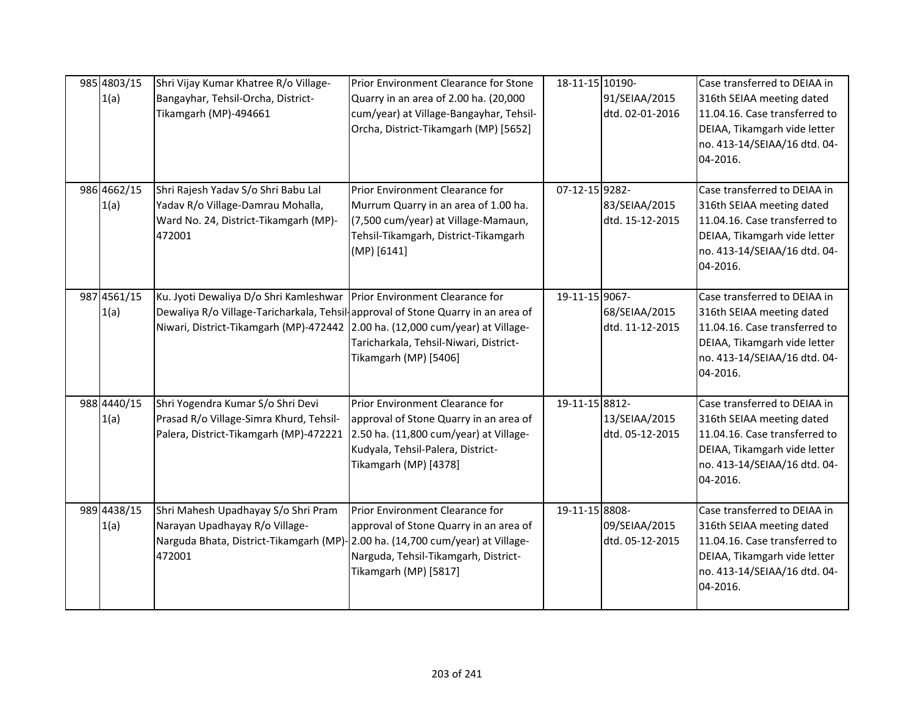| 985 4803/15<br>1(a) | Shri Vijay Kumar Khatree R/o Village-<br>Bangayhar, Tehsil-Orcha, District-<br>Tikamgarh (MP)-494661                                                                                                                                          | Prior Environment Clearance for Stone<br>Quarry in an area of 2.00 ha. (20,000<br>cum/year) at Village-Bangayhar, Tehsil-<br>Orcha, District-Tikamgarh (MP) [5652]                | 18-11-15 10190- | 91/SEIAA/2015<br>dtd. 02-01-2016 | Case transferred to DEIAA in<br>316th SEIAA meeting dated<br>11.04.16. Case transferred to<br>DEIAA, Tikamgarh vide letter<br>no. 413-14/SEIAA/16 dtd. 04-<br>04-2016. |
|---------------------|-----------------------------------------------------------------------------------------------------------------------------------------------------------------------------------------------------------------------------------------------|-----------------------------------------------------------------------------------------------------------------------------------------------------------------------------------|-----------------|----------------------------------|------------------------------------------------------------------------------------------------------------------------------------------------------------------------|
| 986 4662/15<br>1(a) | Shri Rajesh Yadav S/o Shri Babu Lal<br>Yadav R/o Village-Damrau Mohalla,<br>Ward No. 24, District-Tikamgarh (MP)-<br>472001                                                                                                                   | Prior Environment Clearance for<br>Murrum Quarry in an area of 1.00 ha.<br>(7,500 cum/year) at Village-Mamaun,<br>Tehsil-Tikamgarh, District-Tikamgarh<br>(MP) [6141]             | 07-12-15 9282-  | 83/SEIAA/2015<br>dtd. 15-12-2015 | Case transferred to DEIAA in<br>316th SEIAA meeting dated<br>11.04.16. Case transferred to<br>DEIAA, Tikamgarh vide letter<br>no. 413-14/SEIAA/16 dtd. 04-<br>04-2016. |
| 987 4561/15<br>1(a) | Ku. Jyoti Dewaliya D/o Shri Kamleshwar   Prior Environment Clearance for<br>Dewaliya R/o Village-Taricharkala, Tehsil-approval of Stone Quarry in an area of<br>Niwari, District-Tikamgarh (MP)-472442 2.00 ha. (12,000 cum/year) at Village- | Taricharkala, Tehsil-Niwari, District-<br>Tikamgarh (MP) [5406]                                                                                                                   | 19-11-15 9067-  | 68/SEIAA/2015<br>dtd. 11-12-2015 | Case transferred to DEIAA in<br>316th SEIAA meeting dated<br>11.04.16. Case transferred to<br>DEIAA, Tikamgarh vide letter<br>no. 413-14/SEIAA/16 dtd. 04-<br>04-2016. |
| 988 4440/15<br>1(a) | Shri Yogendra Kumar S/o Shri Devi<br>Prasad R/o Village-Simra Khurd, Tehsil-<br>Palera, District-Tikamgarh (MP)-472221                                                                                                                        | Prior Environment Clearance for<br>approval of Stone Quarry in an area of<br>2.50 ha. (11,800 cum/year) at Village-<br>Kudyala, Tehsil-Palera, District-<br>Tikamgarh (MP) [4378] | 19-11-15 8812-  | 13/SEIAA/2015<br>dtd. 05-12-2015 | Case transferred to DEIAA in<br>316th SEIAA meeting dated<br>11.04.16. Case transferred to<br>DEIAA, Tikamgarh vide letter<br>no. 413-14/SEIAA/16 dtd. 04-<br>04-2016. |
| 989 4438/15<br>1(a) | Shri Mahesh Upadhayay S/o Shri Pram<br>Narayan Upadhayay R/o Village-<br>Narguda Bhata, District-Tikamgarh (MP)-2.00 ha. (14,700 cum/year) at Village-<br>472001                                                                              | Prior Environment Clearance for<br>approval of Stone Quarry in an area of<br>Narguda, Tehsil-Tikamgarh, District-<br>Tikamgarh (MP) [5817]                                        | 19-11-15 8808-  | 09/SEIAA/2015<br>dtd. 05-12-2015 | Case transferred to DEIAA in<br>316th SEIAA meeting dated<br>11.04.16. Case transferred to<br>DEIAA, Tikamgarh vide letter<br>no. 413-14/SEIAA/16 dtd. 04-<br>04-2016. |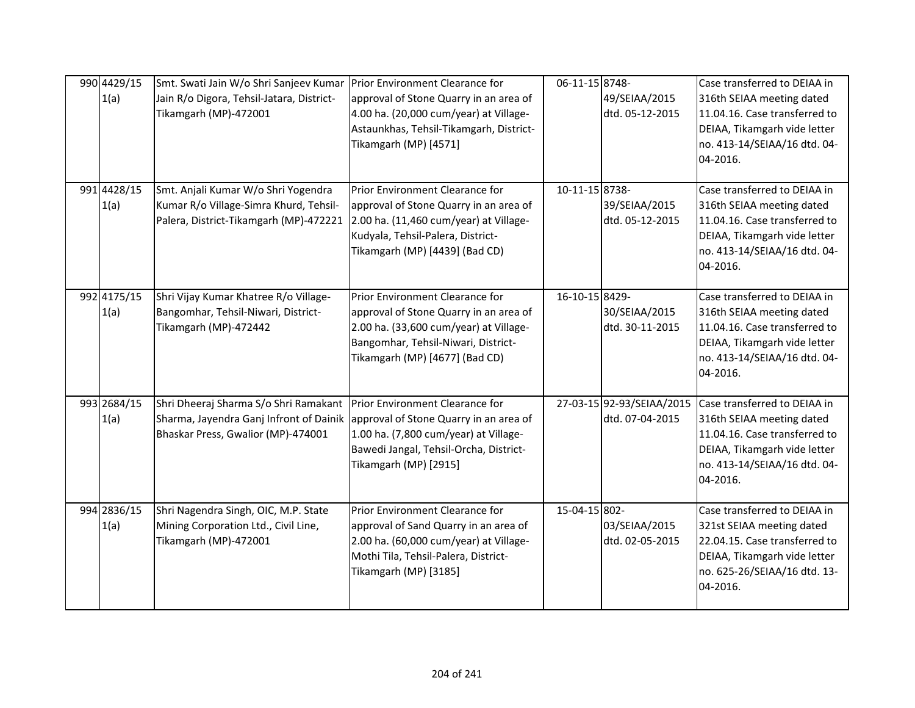| 990 4429/15<br>1(a) | Smt. Swati Jain W/o Shri Sanjeev Kumar<br>Jain R/o Digora, Tehsil-Jatara, District-<br>Tikamgarh (MP)-472001                                                  | Prior Environment Clearance for<br>approval of Stone Quarry in an area of<br>4.00 ha. (20,000 cum/year) at Village-<br>Astaunkhas, Tehsil-Tikamgarh, District-<br>Tikamgarh (MP) [4571]      | 06-11-15 8748- | 49/SEIAA/2015<br>dtd. 05-12-2015             | Case transferred to DEIAA in<br>316th SEIAA meeting dated<br>11.04.16. Case transferred to<br>DEIAA, Tikamgarh vide letter<br>no. 413-14/SEIAA/16 dtd. 04-<br>04-2016. |
|---------------------|---------------------------------------------------------------------------------------------------------------------------------------------------------------|----------------------------------------------------------------------------------------------------------------------------------------------------------------------------------------------|----------------|----------------------------------------------|------------------------------------------------------------------------------------------------------------------------------------------------------------------------|
| 991 4428/15<br>1(a) | Smt. Anjali Kumar W/o Shri Yogendra<br>Kumar R/o Village-Simra Khurd, Tehsil-<br>Palera, District-Tikamgarh (MP)-472221                                       | Prior Environment Clearance for<br>approval of Stone Quarry in an area of<br>2.00 ha. (11,460 cum/year) at Village-<br>Kudyala, Tehsil-Palera, District-<br>Tikamgarh (MP) [4439] (Bad CD)   | 10-11-15 8738- | 39/SEIAA/2015<br>dtd. 05-12-2015             | Case transferred to DEIAA in<br>316th SEIAA meeting dated<br>11.04.16. Case transferred to<br>DEIAA, Tikamgarh vide letter<br>no. 413-14/SEIAA/16 dtd. 04-<br>04-2016. |
| 992 4175/15<br>1(a) | Shri Vijay Kumar Khatree R/o Village-<br>Bangomhar, Tehsil-Niwari, District-<br>Tikamgarh (MP)-472442                                                         | Prior Environment Clearance for<br>approval of Stone Quarry in an area of<br>2.00 ha. (33,600 cum/year) at Village-<br>Bangomhar, Tehsil-Niwari, District-<br>Tikamgarh (MP) [4677] (Bad CD) | 16-10-15 8429- | 30/SEIAA/2015<br>dtd. 30-11-2015             | Case transferred to DEIAA in<br>316th SEIAA meeting dated<br>11.04.16. Case transferred to<br>DEIAA, Tikamgarh vide letter<br>no. 413-14/SEIAA/16 dtd. 04-<br>04-2016. |
| 993 2684/15<br>1(a) | Shri Dheeraj Sharma S/o Shri Ramakant<br>Sharma, Jayendra Ganj Infront of Dainik approval of Stone Quarry in an area of<br>Bhaskar Press, Gwalior (MP)-474001 | Prior Environment Clearance for<br>1.00 ha. (7,800 cum/year) at Village-<br>Bawedi Jangal, Tehsil-Orcha, District-<br>Tikamgarh (MP) [2915]                                                  |                | 27-03-15 92-93/SEIAA/2015<br>dtd. 07-04-2015 | Case transferred to DEIAA in<br>316th SEIAA meeting dated<br>11.04.16. Case transferred to<br>DEIAA, Tikamgarh vide letter<br>no. 413-14/SEIAA/16 dtd. 04-<br>04-2016. |
| 994 2836/15<br>1(a) | Shri Nagendra Singh, OIC, M.P. State<br>Mining Corporation Ltd., Civil Line,<br>Tikamgarh (MP)-472001                                                         | Prior Environment Clearance for<br>approval of Sand Quarry in an area of<br>2.00 ha. (60,000 cum/year) at Village-<br>Mothi Tila, Tehsil-Palera, District-<br>Tikamgarh (MP) [3185]          | 15-04-15 802-  | 03/SEIAA/2015<br>dtd. 02-05-2015             | Case transferred to DEIAA in<br>321st SEIAA meeting dated<br>22.04.15. Case transferred to<br>DEIAA, Tikamgarh vide letter<br>no. 625-26/SEIAA/16 dtd. 13-<br>04-2016. |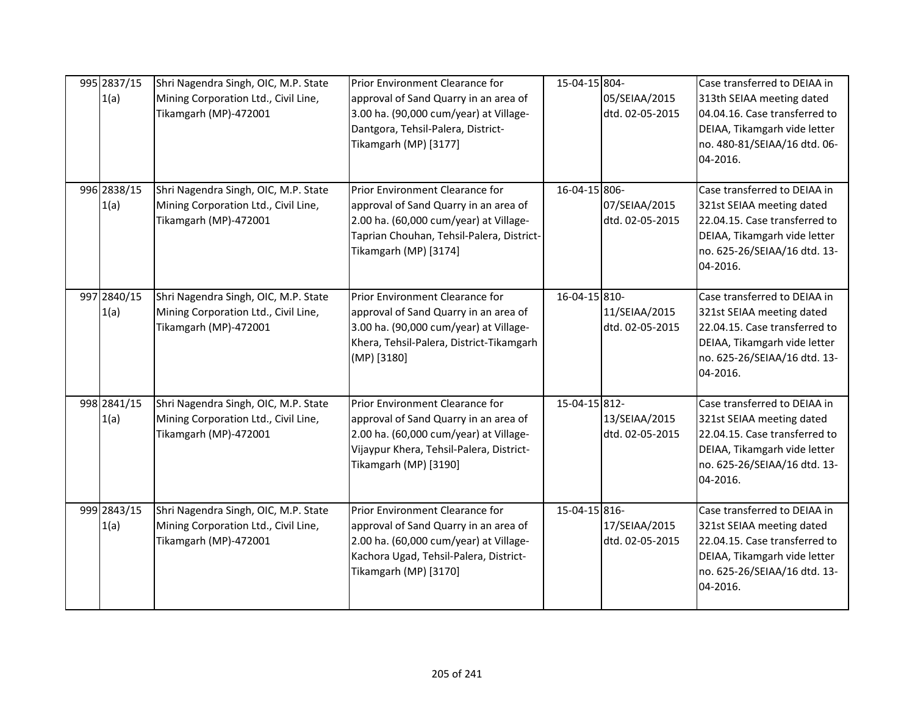| 995 2837/15<br>1(a) | Shri Nagendra Singh, OIC, M.P. State<br>Mining Corporation Ltd., Civil Line,<br>Tikamgarh (MP)-472001 | Prior Environment Clearance for<br>approval of Sand Quarry in an area of<br>3.00 ha. (90,000 cum/year) at Village-<br>Dantgora, Tehsil-Palera, District-<br>Tikamgarh (MP) [3177]        | 15-04-15 804- | 05/SEIAA/2015<br>dtd. 02-05-2015 | Case transferred to DEIAA in<br>313th SEIAA meeting dated<br>04.04.16. Case transferred to<br>DEIAA, Tikamgarh vide letter<br>no. 480-81/SEIAA/16 dtd. 06-<br>04-2016. |
|---------------------|-------------------------------------------------------------------------------------------------------|------------------------------------------------------------------------------------------------------------------------------------------------------------------------------------------|---------------|----------------------------------|------------------------------------------------------------------------------------------------------------------------------------------------------------------------|
| 996 2838/15<br>1(a) | Shri Nagendra Singh, OIC, M.P. State<br>Mining Corporation Ltd., Civil Line,<br>Tikamgarh (MP)-472001 | Prior Environment Clearance for<br>approval of Sand Quarry in an area of<br>2.00 ha. (60,000 cum/year) at Village-<br>Taprian Chouhan, Tehsil-Palera, District-<br>Tikamgarh (MP) [3174] | 16-04-15 806- | 07/SEIAA/2015<br>dtd. 02-05-2015 | Case transferred to DEIAA in<br>321st SEIAA meeting dated<br>22.04.15. Case transferred to<br>DEIAA, Tikamgarh vide letter<br>no. 625-26/SEIAA/16 dtd. 13-<br>04-2016. |
| 997 2840/15<br>1(a) | Shri Nagendra Singh, OIC, M.P. State<br>Mining Corporation Ltd., Civil Line,<br>Tikamgarh (MP)-472001 | Prior Environment Clearance for<br>approval of Sand Quarry in an area of<br>3.00 ha. (90,000 cum/year) at Village-<br>Khera, Tehsil-Palera, District-Tikamgarh<br>(MP) [3180]            | 16-04-15 810- | 11/SEIAA/2015<br>dtd. 02-05-2015 | Case transferred to DEIAA in<br>321st SEIAA meeting dated<br>22.04.15. Case transferred to<br>DEIAA, Tikamgarh vide letter<br>no. 625-26/SEIAA/16 dtd. 13-<br>04-2016. |
| 998 2841/15<br>1(a) | Shri Nagendra Singh, OIC, M.P. State<br>Mining Corporation Ltd., Civil Line,<br>Tikamgarh (MP)-472001 | Prior Environment Clearance for<br>approval of Sand Quarry in an area of<br>2.00 ha. (60,000 cum/year) at Village-<br>Vijaypur Khera, Tehsil-Palera, District-<br>Tikamgarh (MP) [3190]  | 15-04-15 812- | 13/SEIAA/2015<br>dtd. 02-05-2015 | Case transferred to DEIAA in<br>321st SEIAA meeting dated<br>22.04.15. Case transferred to<br>DEIAA, Tikamgarh vide letter<br>no. 625-26/SEIAA/16 dtd. 13-<br>04-2016. |
| 999 2843/15<br>1(a) | Shri Nagendra Singh, OIC, M.P. State<br>Mining Corporation Ltd., Civil Line,<br>Tikamgarh (MP)-472001 | Prior Environment Clearance for<br>approval of Sand Quarry in an area of<br>2.00 ha. (60,000 cum/year) at Village-<br>Kachora Ugad, Tehsil-Palera, District-<br>Tikamgarh (MP) [3170]    | 15-04-15 816- | 17/SEIAA/2015<br>dtd. 02-05-2015 | Case transferred to DEIAA in<br>321st SEIAA meeting dated<br>22.04.15. Case transferred to<br>DEIAA, Tikamgarh vide letter<br>no. 625-26/SEIAA/16 dtd. 13-<br>04-2016. |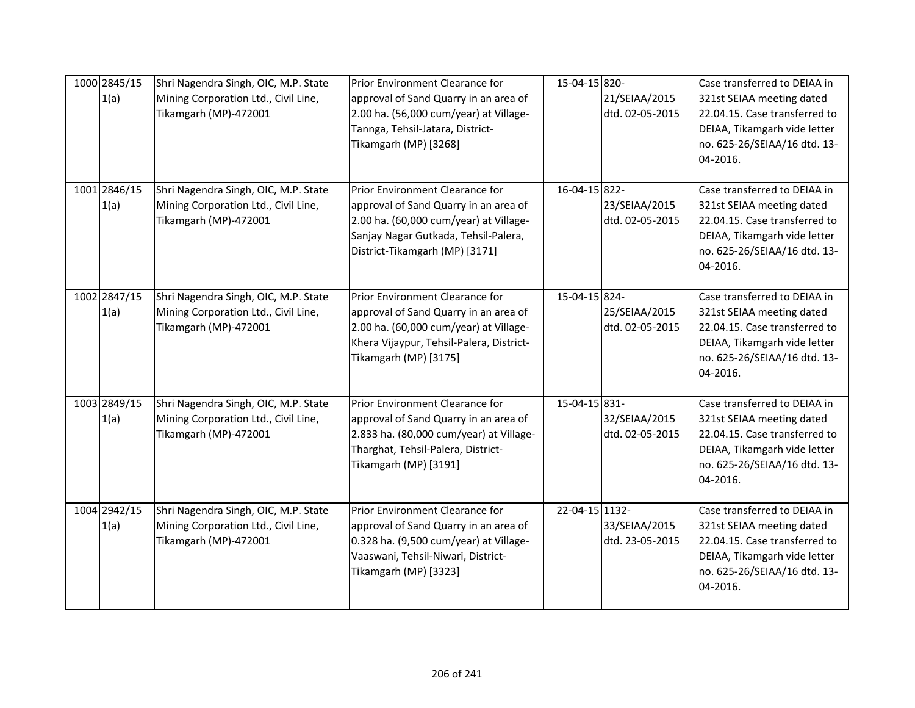| 1000 2845/15<br>1(a) | Shri Nagendra Singh, OIC, M.P. State<br>Mining Corporation Ltd., Civil Line,<br>Tikamgarh (MP)-472001 | Prior Environment Clearance for<br>approval of Sand Quarry in an area of<br>2.00 ha. (56,000 cum/year) at Village-<br>Tannga, Tehsil-Jatara, District-<br>Tikamgarh (MP) [3268]              | 15-04-15 820-  | 21/SEIAA/2015<br>dtd. 02-05-2015 | Case transferred to DEIAA in<br>321st SEIAA meeting dated<br>22.04.15. Case transferred to<br>DEIAA, Tikamgarh vide letter<br>no. 625-26/SEIAA/16 dtd. 13-<br>04-2016. |
|----------------------|-------------------------------------------------------------------------------------------------------|----------------------------------------------------------------------------------------------------------------------------------------------------------------------------------------------|----------------|----------------------------------|------------------------------------------------------------------------------------------------------------------------------------------------------------------------|
| 1001 2846/15<br>1(a) | Shri Nagendra Singh, OIC, M.P. State<br>Mining Corporation Ltd., Civil Line,<br>Tikamgarh (MP)-472001 | Prior Environment Clearance for<br>approval of Sand Quarry in an area of<br>2.00 ha. (60,000 cum/year) at Village-<br>Sanjay Nagar Gutkada, Tehsil-Palera,<br>District-Tikamgarh (MP) [3171] | 16-04-15 822-  | 23/SEIAA/2015<br>dtd. 02-05-2015 | Case transferred to DEIAA in<br>321st SEIAA meeting dated<br>22.04.15. Case transferred to<br>DEIAA, Tikamgarh vide letter<br>no. 625-26/SEIAA/16 dtd. 13-<br>04-2016. |
| 1002 2847/15<br>1(a) | Shri Nagendra Singh, OIC, M.P. State<br>Mining Corporation Ltd., Civil Line,<br>Tikamgarh (MP)-472001 | Prior Environment Clearance for<br>approval of Sand Quarry in an area of<br>2.00 ha. (60,000 cum/year) at Village-<br>Khera Vijaypur, Tehsil-Palera, District-<br>Tikamgarh (MP) [3175]      | 15-04-15 824-  | 25/SEIAA/2015<br>dtd. 02-05-2015 | Case transferred to DEIAA in<br>321st SEIAA meeting dated<br>22.04.15. Case transferred to<br>DEIAA, Tikamgarh vide letter<br>no. 625-26/SEIAA/16 dtd. 13-<br>04-2016. |
| 1003 2849/15<br>1(a) | Shri Nagendra Singh, OIC, M.P. State<br>Mining Corporation Ltd., Civil Line,<br>Tikamgarh (MP)-472001 | Prior Environment Clearance for<br>approval of Sand Quarry in an area of<br>2.833 ha. (80,000 cum/year) at Village-<br>Tharghat, Tehsil-Palera, District-<br>Tikamgarh (MP) [3191]           | 15-04-15 831-  | 32/SEIAA/2015<br>dtd. 02-05-2015 | Case transferred to DEIAA in<br>321st SEIAA meeting dated<br>22.04.15. Case transferred to<br>DEIAA, Tikamgarh vide letter<br>no. 625-26/SEIAA/16 dtd. 13-<br>04-2016. |
| 1004 2942/15<br>1(a) | Shri Nagendra Singh, OIC, M.P. State<br>Mining Corporation Ltd., Civil Line,<br>Tikamgarh (MP)-472001 | Prior Environment Clearance for<br>approval of Sand Quarry in an area of<br>0.328 ha. (9,500 cum/year) at Village-<br>Vaaswani, Tehsil-Niwari, District-<br>Tikamgarh (MP) [3323]            | 22-04-15 1132- | 33/SEIAA/2015<br>dtd. 23-05-2015 | Case transferred to DEIAA in<br>321st SEIAA meeting dated<br>22.04.15. Case transferred to<br>DEIAA, Tikamgarh vide letter<br>no. 625-26/SEIAA/16 dtd. 13-<br>04-2016. |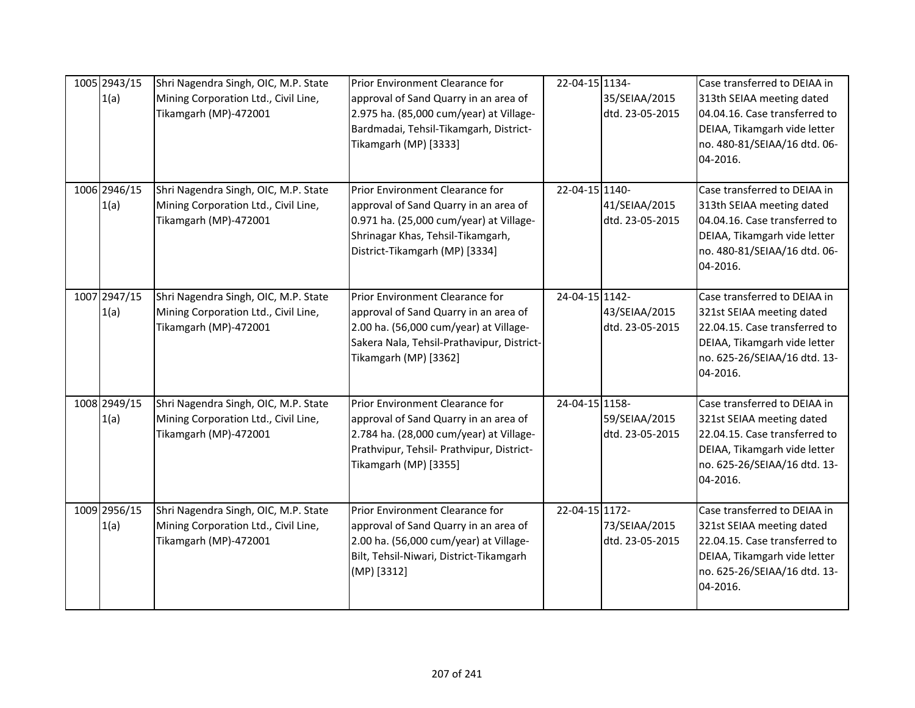| 1005 2943/15<br>1(a) | Shri Nagendra Singh, OIC, M.P. State<br>Mining Corporation Ltd., Civil Line,<br>Tikamgarh (MP)-472001 | Prior Environment Clearance for<br>approval of Sand Quarry in an area of<br>2.975 ha. (85,000 cum/year) at Village-<br>Bardmadai, Tehsil-Tikamgarh, District-<br>Tikamgarh (MP) [3333]     | 22-04-15 1134- | 35/SEIAA/2015<br>dtd. 23-05-2015 | Case transferred to DEIAA in<br>313th SEIAA meeting dated<br>04.04.16. Case transferred to<br>DEIAA, Tikamgarh vide letter<br>no. 480-81/SEIAA/16 dtd. 06-<br>04-2016. |
|----------------------|-------------------------------------------------------------------------------------------------------|--------------------------------------------------------------------------------------------------------------------------------------------------------------------------------------------|----------------|----------------------------------|------------------------------------------------------------------------------------------------------------------------------------------------------------------------|
| 1006 2946/15<br>1(a) | Shri Nagendra Singh, OIC, M.P. State<br>Mining Corporation Ltd., Civil Line,<br>Tikamgarh (MP)-472001 | Prior Environment Clearance for<br>approval of Sand Quarry in an area of<br>0.971 ha. (25,000 cum/year) at Village-<br>Shrinagar Khas, Tehsil-Tikamgarh,<br>District-Tikamgarh (MP) [3334] | 22-04-15 1140- | 41/SEIAA/2015<br>dtd. 23-05-2015 | Case transferred to DEIAA in<br>313th SEIAA meeting dated<br>04.04.16. Case transferred to<br>DEIAA, Tikamgarh vide letter<br>no. 480-81/SEIAA/16 dtd. 06-<br>04-2016. |
| 1007 2947/15<br>1(a) | Shri Nagendra Singh, OIC, M.P. State<br>Mining Corporation Ltd., Civil Line,<br>Tikamgarh (MP)-472001 | Prior Environment Clearance for<br>approval of Sand Quarry in an area of<br>2.00 ha. (56,000 cum/year) at Village-<br>Sakera Nala, Tehsil-Prathavipur, District-<br>Tikamgarh (MP) [3362]  | 24-04-15 1142- | 43/SEIAA/2015<br>dtd. 23-05-2015 | Case transferred to DEIAA in<br>321st SEIAA meeting dated<br>22.04.15. Case transferred to<br>DEIAA, Tikamgarh vide letter<br>no. 625-26/SEIAA/16 dtd. 13-<br>04-2016. |
| 1008 2949/15<br>1(a) | Shri Nagendra Singh, OIC, M.P. State<br>Mining Corporation Ltd., Civil Line,<br>Tikamgarh (MP)-472001 | Prior Environment Clearance for<br>approval of Sand Quarry in an area of<br>2.784 ha. (28,000 cum/year) at Village-<br>Prathvipur, Tehsil- Prathvipur, District-<br>Tikamgarh (MP) [3355]  | 24-04-15 1158- | 59/SEIAA/2015<br>dtd. 23-05-2015 | Case transferred to DEIAA in<br>321st SEIAA meeting dated<br>22.04.15. Case transferred to<br>DEIAA, Tikamgarh vide letter<br>no. 625-26/SEIAA/16 dtd. 13-<br>04-2016. |
| 1009 2956/15<br>1(a) | Shri Nagendra Singh, OIC, M.P. State<br>Mining Corporation Ltd., Civil Line,<br>Tikamgarh (MP)-472001 | Prior Environment Clearance for<br>approval of Sand Quarry in an area of<br>2.00 ha. (56,000 cum/year) at Village-<br>Bilt, Tehsil-Niwari, District-Tikamgarh<br>(MP) [3312]               | 22-04-15 1172- | 73/SEIAA/2015<br>dtd. 23-05-2015 | Case transferred to DEIAA in<br>321st SEIAA meeting dated<br>22.04.15. Case transferred to<br>DEIAA, Tikamgarh vide letter<br>no. 625-26/SEIAA/16 dtd. 13-<br>04-2016. |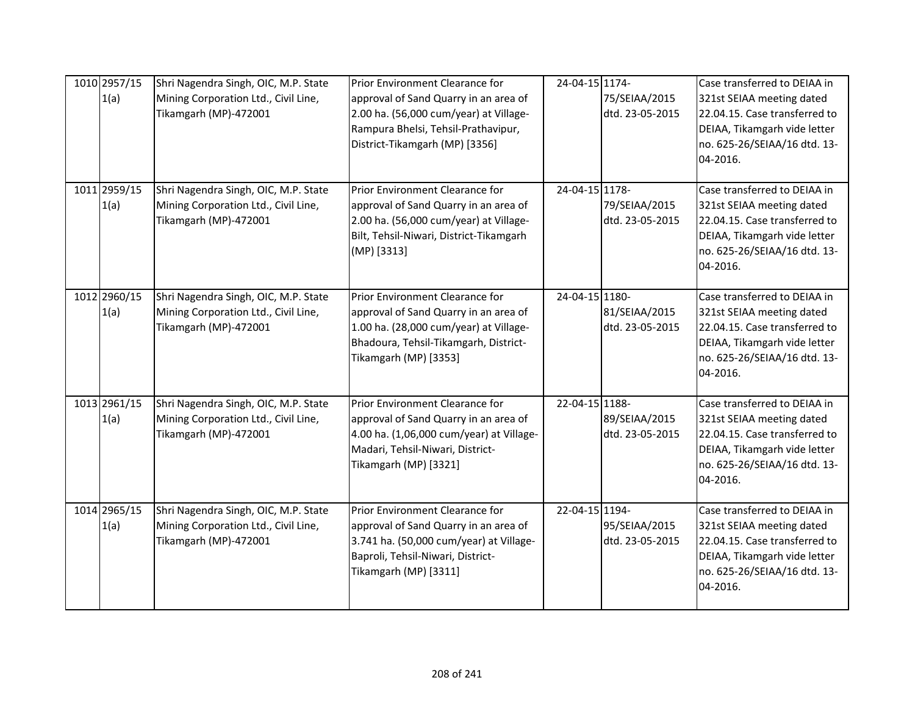| 1010 2957/15<br>1(a) | Shri Nagendra Singh, OIC, M.P. State<br>Mining Corporation Ltd., Civil Line,<br>Tikamgarh (MP)-472001 | Prior Environment Clearance for<br>approval of Sand Quarry in an area of<br>2.00 ha. (56,000 cum/year) at Village-<br>Rampura Bhelsi, Tehsil-Prathavipur,<br>District-Tikamgarh (MP) [3356] | 24-04-15 1174- | 75/SEIAA/2015<br>dtd. 23-05-2015 | Case transferred to DEIAA in<br>321st SEIAA meeting dated<br>22.04.15. Case transferred to<br>DEIAA, Tikamgarh vide letter<br>no. 625-26/SEIAA/16 dtd. 13-<br>04-2016. |
|----------------------|-------------------------------------------------------------------------------------------------------|---------------------------------------------------------------------------------------------------------------------------------------------------------------------------------------------|----------------|----------------------------------|------------------------------------------------------------------------------------------------------------------------------------------------------------------------|
| 1011 2959/15<br>1(a) | Shri Nagendra Singh, OIC, M.P. State<br>Mining Corporation Ltd., Civil Line,<br>Tikamgarh (MP)-472001 | Prior Environment Clearance for<br>approval of Sand Quarry in an area of<br>2.00 ha. (56,000 cum/year) at Village-<br>Bilt, Tehsil-Niwari, District-Tikamgarh<br>(MP) [3313]                | 24-04-15 1178- | 79/SEIAA/2015<br>dtd. 23-05-2015 | Case transferred to DEIAA in<br>321st SEIAA meeting dated<br>22.04.15. Case transferred to<br>DEIAA, Tikamgarh vide letter<br>no. 625-26/SEIAA/16 dtd. 13-<br>04-2016. |
| 1012 2960/15<br>1(a) | Shri Nagendra Singh, OIC, M.P. State<br>Mining Corporation Ltd., Civil Line,<br>Tikamgarh (MP)-472001 | Prior Environment Clearance for<br>approval of Sand Quarry in an area of<br>1.00 ha. (28,000 cum/year) at Village-<br>Bhadoura, Tehsil-Tikamgarh, District-<br>Tikamgarh (MP) [3353]        | 24-04-15 1180- | 81/SEIAA/2015<br>dtd. 23-05-2015 | Case transferred to DEIAA in<br>321st SEIAA meeting dated<br>22.04.15. Case transferred to<br>DEIAA, Tikamgarh vide letter<br>no. 625-26/SEIAA/16 dtd. 13-<br>04-2016. |
| 1013 2961/15<br>1(a) | Shri Nagendra Singh, OIC, M.P. State<br>Mining Corporation Ltd., Civil Line,<br>Tikamgarh (MP)-472001 | Prior Environment Clearance for<br>approval of Sand Quarry in an area of<br>4.00 ha. (1,06,000 cum/year) at Village-<br>Madari, Tehsil-Niwari, District-<br>Tikamgarh (MP) [3321]           | 22-04-15 1188- | 89/SEIAA/2015<br>dtd. 23-05-2015 | Case transferred to DEIAA in<br>321st SEIAA meeting dated<br>22.04.15. Case transferred to<br>DEIAA, Tikamgarh vide letter<br>no. 625-26/SEIAA/16 dtd. 13-<br>04-2016. |
| 1014 2965/15<br>1(a) | Shri Nagendra Singh, OIC, M.P. State<br>Mining Corporation Ltd., Civil Line,<br>Tikamgarh (MP)-472001 | Prior Environment Clearance for<br>approval of Sand Quarry in an area of<br>3.741 ha. (50,000 cum/year) at Village-<br>Baproli, Tehsil-Niwari, District-<br>Tikamgarh (MP) [3311]           | 22-04-15 1194- | 95/SEIAA/2015<br>dtd. 23-05-2015 | Case transferred to DEIAA in<br>321st SEIAA meeting dated<br>22.04.15. Case transferred to<br>DEIAA, Tikamgarh vide letter<br>no. 625-26/SEIAA/16 dtd. 13-<br>04-2016. |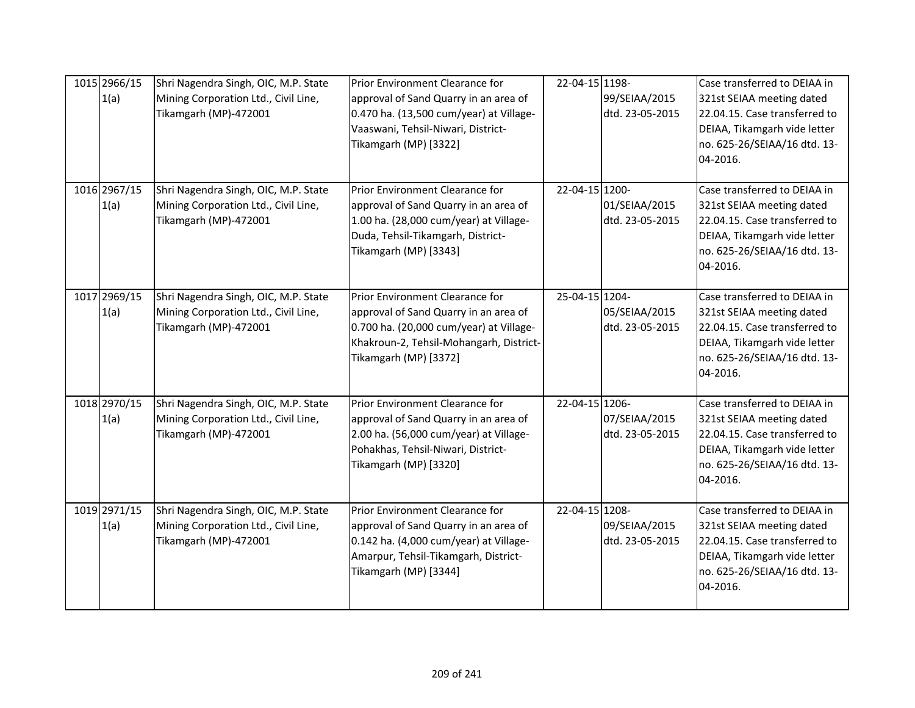| 1015 2966/15<br>1(a) | Shri Nagendra Singh, OIC, M.P. State<br>Mining Corporation Ltd., Civil Line,<br>Tikamgarh (MP)-472001 | Prior Environment Clearance for<br>approval of Sand Quarry in an area of<br>0.470 ha. (13,500 cum/year) at Village-<br>Vaaswani, Tehsil-Niwari, District-<br>Tikamgarh (MP) [3322]      | 22-04-15 1198- | 99/SEIAA/2015<br>dtd. 23-05-2015 | Case transferred to DEIAA in<br>321st SEIAA meeting dated<br>22.04.15. Case transferred to<br>DEIAA, Tikamgarh vide letter<br>no. 625-26/SEIAA/16 dtd. 13-<br>04-2016. |
|----------------------|-------------------------------------------------------------------------------------------------------|-----------------------------------------------------------------------------------------------------------------------------------------------------------------------------------------|----------------|----------------------------------|------------------------------------------------------------------------------------------------------------------------------------------------------------------------|
| 1016 2967/15<br>1(a) | Shri Nagendra Singh, OIC, M.P. State<br>Mining Corporation Ltd., Civil Line,<br>Tikamgarh (MP)-472001 | Prior Environment Clearance for<br>approval of Sand Quarry in an area of<br>1.00 ha. (28,000 cum/year) at Village-<br>Duda, Tehsil-Tikamgarh, District-<br>Tikamgarh (MP) [3343]        | 22-04-15 1200- | 01/SEIAA/2015<br>dtd. 23-05-2015 | Case transferred to DEIAA in<br>321st SEIAA meeting dated<br>22.04.15. Case transferred to<br>DEIAA, Tikamgarh vide letter<br>no. 625-26/SEIAA/16 dtd. 13-<br>04-2016. |
| 1017 2969/15<br>1(a) | Shri Nagendra Singh, OIC, M.P. State<br>Mining Corporation Ltd., Civil Line,<br>Tikamgarh (MP)-472001 | Prior Environment Clearance for<br>approval of Sand Quarry in an area of<br>0.700 ha. (20,000 cum/year) at Village-<br>Khakroun-2, Tehsil-Mohangarh, District-<br>Tikamgarh (MP) [3372] | 25-04-15 1204- | 05/SEIAA/2015<br>dtd. 23-05-2015 | Case transferred to DEIAA in<br>321st SEIAA meeting dated<br>22.04.15. Case transferred to<br>DEIAA, Tikamgarh vide letter<br>no. 625-26/SEIAA/16 dtd. 13-<br>04-2016. |
| 1018 2970/15<br>1(a) | Shri Nagendra Singh, OIC, M.P. State<br>Mining Corporation Ltd., Civil Line,<br>Tikamgarh (MP)-472001 | Prior Environment Clearance for<br>approval of Sand Quarry in an area of<br>2.00 ha. (56,000 cum/year) at Village-<br>Pohakhas, Tehsil-Niwari, District-<br>Tikamgarh (MP) [3320]       | 22-04-15 1206- | 07/SEIAA/2015<br>dtd. 23-05-2015 | Case transferred to DEIAA in<br>321st SEIAA meeting dated<br>22.04.15. Case transferred to<br>DEIAA, Tikamgarh vide letter<br>no. 625-26/SEIAA/16 dtd. 13-<br>04-2016. |
| 1019 2971/15<br>1(a) | Shri Nagendra Singh, OIC, M.P. State<br>Mining Corporation Ltd., Civil Line,<br>Tikamgarh (MP)-472001 | Prior Environment Clearance for<br>approval of Sand Quarry in an area of<br>0.142 ha. (4,000 cum/year) at Village-<br>Amarpur, Tehsil-Tikamgarh, District-<br>Tikamgarh (MP) [3344]     | 22-04-15 1208- | 09/SEIAA/2015<br>dtd. 23-05-2015 | Case transferred to DEIAA in<br>321st SEIAA meeting dated<br>22.04.15. Case transferred to<br>DEIAA, Tikamgarh vide letter<br>no. 625-26/SEIAA/16 dtd. 13-<br>04-2016. |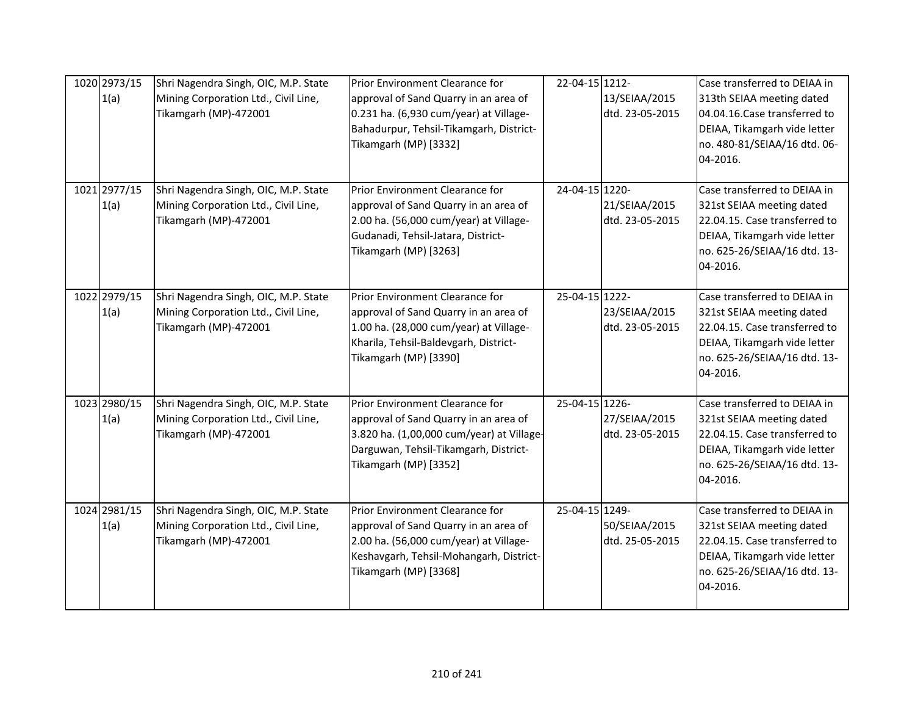| 1020 2973/15<br>1(a) | Shri Nagendra Singh, OIC, M.P. State<br>Mining Corporation Ltd., Civil Line,<br>Tikamgarh (MP)-472001 | Prior Environment Clearance for<br>approval of Sand Quarry in an area of<br>0.231 ha. (6,930 cum/year) at Village-<br>Bahadurpur, Tehsil-Tikamgarh, District-<br>Tikamgarh (MP) [3332]  | 22-04-15 1212- | 13/SEIAA/2015<br>dtd. 23-05-2015 | Case transferred to DEIAA in<br>313th SEIAA meeting dated<br>04.04.16.Case transferred to<br>DEIAA, Tikamgarh vide letter<br>no. 480-81/SEIAA/16 dtd. 06-<br>04-2016.  |
|----------------------|-------------------------------------------------------------------------------------------------------|-----------------------------------------------------------------------------------------------------------------------------------------------------------------------------------------|----------------|----------------------------------|------------------------------------------------------------------------------------------------------------------------------------------------------------------------|
| 1021 2977/15<br>1(a) | Shri Nagendra Singh, OIC, M.P. State<br>Mining Corporation Ltd., Civil Line,<br>Tikamgarh (MP)-472001 | Prior Environment Clearance for<br>approval of Sand Quarry in an area of<br>2.00 ha. (56,000 cum/year) at Village-<br>Gudanadi, Tehsil-Jatara, District-<br>Tikamgarh (MP) [3263]       | 24-04-15 1220- | 21/SEIAA/2015<br>dtd. 23-05-2015 | Case transferred to DEIAA in<br>321st SEIAA meeting dated<br>22.04.15. Case transferred to<br>DEIAA, Tikamgarh vide letter<br>no. 625-26/SEIAA/16 dtd. 13-<br>04-2016. |
| 1022 2979/15<br>1(a) | Shri Nagendra Singh, OIC, M.P. State<br>Mining Corporation Ltd., Civil Line,<br>Tikamgarh (MP)-472001 | Prior Environment Clearance for<br>approval of Sand Quarry in an area of<br>1.00 ha. (28,000 cum/year) at Village-<br>Kharila, Tehsil-Baldevgarh, District-<br>Tikamgarh (MP) [3390]    | 25-04-15 1222- | 23/SEIAA/2015<br>dtd. 23-05-2015 | Case transferred to DEIAA in<br>321st SEIAA meeting dated<br>22.04.15. Case transferred to<br>DEIAA, Tikamgarh vide letter<br>no. 625-26/SEIAA/16 dtd. 13-<br>04-2016. |
| 1023 2980/15<br>1(a) | Shri Nagendra Singh, OIC, M.P. State<br>Mining Corporation Ltd., Civil Line,<br>Tikamgarh (MP)-472001 | Prior Environment Clearance for<br>approval of Sand Quarry in an area of<br>3.820 ha. (1,00,000 cum/year) at Village-<br>Darguwan, Tehsil-Tikamgarh, District-<br>Tikamgarh (MP) [3352] | 25-04-15 1226- | 27/SEIAA/2015<br>dtd. 23-05-2015 | Case transferred to DEIAA in<br>321st SEIAA meeting dated<br>22.04.15. Case transferred to<br>DEIAA, Tikamgarh vide letter<br>no. 625-26/SEIAA/16 dtd. 13-<br>04-2016. |
| 1024 2981/15<br>1(a) | Shri Nagendra Singh, OIC, M.P. State<br>Mining Corporation Ltd., Civil Line,<br>Tikamgarh (MP)-472001 | Prior Environment Clearance for<br>approval of Sand Quarry in an area of<br>2.00 ha. (56,000 cum/year) at Village-<br>Keshavgarh, Tehsil-Mohangarh, District-<br>Tikamgarh (MP) [3368]  | 25-04-15 1249- | 50/SEIAA/2015<br>dtd. 25-05-2015 | Case transferred to DEIAA in<br>321st SEIAA meeting dated<br>22.04.15. Case transferred to<br>DEIAA, Tikamgarh vide letter<br>no. 625-26/SEIAA/16 dtd. 13-<br>04-2016. |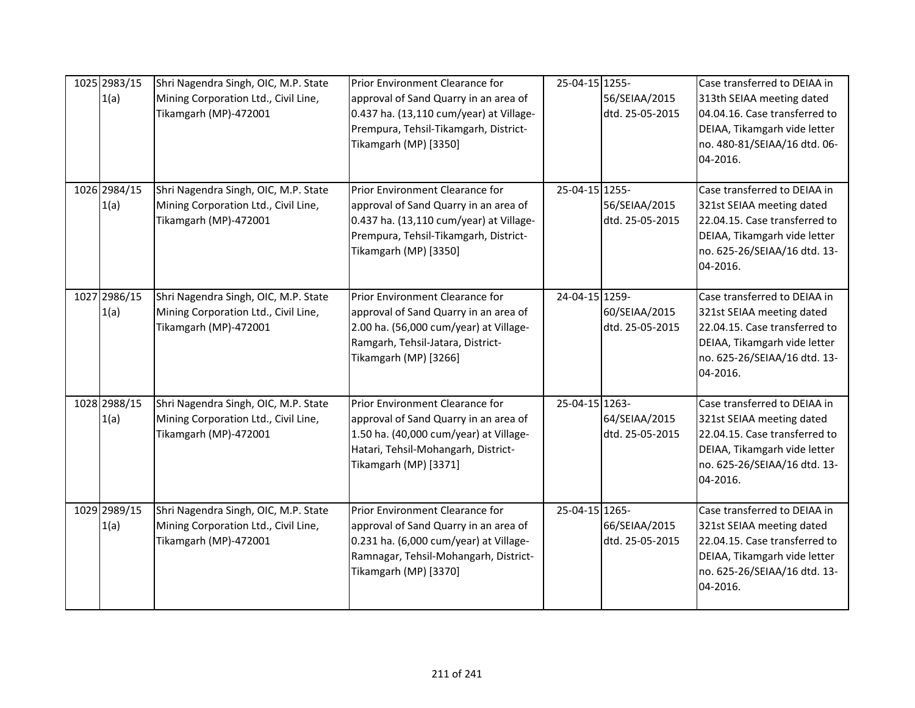| 1025 2983/15<br>1(a) | Shri Nagendra Singh, OIC, M.P. State<br>Mining Corporation Ltd., Civil Line,<br>Tikamgarh (MP)-472001 | Prior Environment Clearance for<br>approval of Sand Quarry in an area of<br>0.437 ha. (13,110 cum/year) at Village-<br>Prempura, Tehsil-Tikamgarh, District-<br>Tikamgarh (MP) [3350] | 25-04-15 1255- | 56/SEIAA/2015<br>dtd. 25-05-2015 | Case transferred to DEIAA in<br>313th SEIAA meeting dated<br>04.04.16. Case transferred to<br>DEIAA, Tikamgarh vide letter<br>no. 480-81/SEIAA/16 dtd. 06-<br>04-2016. |
|----------------------|-------------------------------------------------------------------------------------------------------|---------------------------------------------------------------------------------------------------------------------------------------------------------------------------------------|----------------|----------------------------------|------------------------------------------------------------------------------------------------------------------------------------------------------------------------|
| 1026 2984/15<br>1(a) | Shri Nagendra Singh, OIC, M.P. State<br>Mining Corporation Ltd., Civil Line,<br>Tikamgarh (MP)-472001 | Prior Environment Clearance for<br>approval of Sand Quarry in an area of<br>0.437 ha. (13,110 cum/year) at Village-<br>Prempura, Tehsil-Tikamgarh, District-<br>Tikamgarh (MP) [3350] | 25-04-15 1255- | 56/SEIAA/2015<br>dtd. 25-05-2015 | Case transferred to DEIAA in<br>321st SEIAA meeting dated<br>22.04.15. Case transferred to<br>DEIAA, Tikamgarh vide letter<br>no. 625-26/SEIAA/16 dtd. 13-<br>04-2016. |
| 1027 2986/15<br>1(a) | Shri Nagendra Singh, OIC, M.P. State<br>Mining Corporation Ltd., Civil Line,<br>Tikamgarh (MP)-472001 | Prior Environment Clearance for<br>approval of Sand Quarry in an area of<br>2.00 ha. (56,000 cum/year) at Village-<br>Ramgarh, Tehsil-Jatara, District-<br>Tikamgarh (MP) [3266]      | 24-04-15 1259- | 60/SEIAA/2015<br>dtd. 25-05-2015 | Case transferred to DEIAA in<br>321st SEIAA meeting dated<br>22.04.15. Case transferred to<br>DEIAA, Tikamgarh vide letter<br>no. 625-26/SEIAA/16 dtd. 13-<br>04-2016. |
| 1028 2988/15<br>1(a) | Shri Nagendra Singh, OIC, M.P. State<br>Mining Corporation Ltd., Civil Line,<br>Tikamgarh (MP)-472001 | Prior Environment Clearance for<br>approval of Sand Quarry in an area of<br>1.50 ha. (40,000 cum/year) at Village-<br>Hatari, Tehsil-Mohangarh, District-<br>Tikamgarh (MP) [3371]    | 25-04-15 1263- | 64/SEIAA/2015<br>dtd. 25-05-2015 | Case transferred to DEIAA in<br>321st SEIAA meeting dated<br>22.04.15. Case transferred to<br>DEIAA, Tikamgarh vide letter<br>no. 625-26/SEIAA/16 dtd. 13-<br>04-2016. |
| 1029 2989/15<br>1(a) | Shri Nagendra Singh, OIC, M.P. State<br>Mining Corporation Ltd., Civil Line,<br>Tikamgarh (MP)-472001 | Prior Environment Clearance for<br>approval of Sand Quarry in an area of<br>0.231 ha. (6,000 cum/year) at Village-<br>Ramnagar, Tehsil-Mohangarh, District-<br>Tikamgarh (MP) [3370]  | 25-04-15 1265- | 66/SEIAA/2015<br>dtd. 25-05-2015 | Case transferred to DEIAA in<br>321st SEIAA meeting dated<br>22.04.15. Case transferred to<br>DEIAA, Tikamgarh vide letter<br>no. 625-26/SEIAA/16 dtd. 13-<br>04-2016. |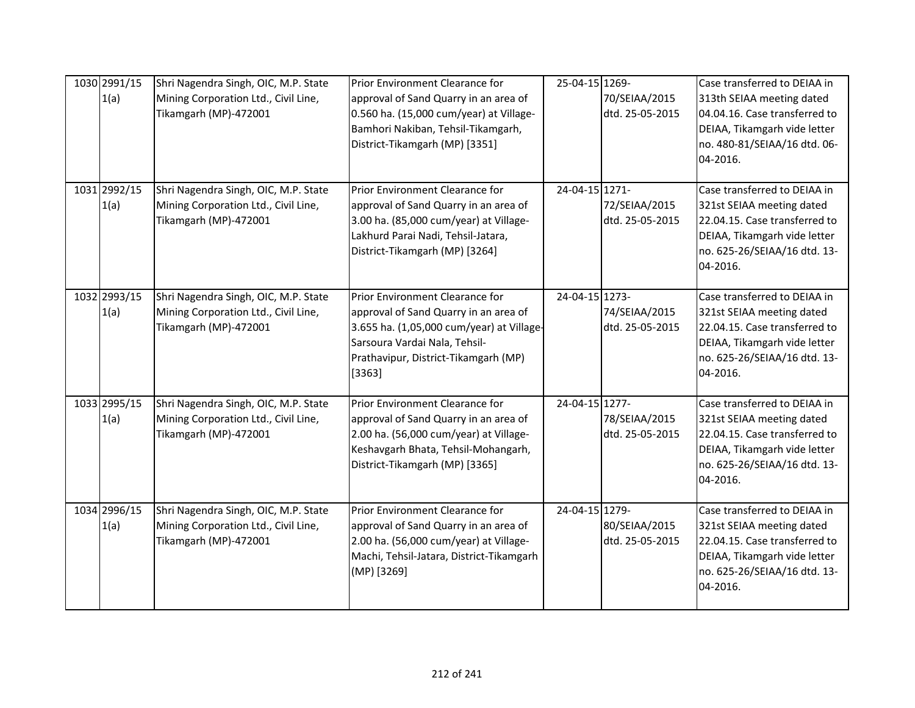| 1030 2991/15<br>1(a) | Shri Nagendra Singh, OIC, M.P. State<br>Mining Corporation Ltd., Civil Line,<br>Tikamgarh (MP)-472001 | Prior Environment Clearance for<br>approval of Sand Quarry in an area of<br>0.560 ha. (15,000 cum/year) at Village-<br>Bamhori Nakiban, Tehsil-Tikamgarh,<br>District-Tikamgarh (MP) [3351]              | 25-04-15 1269- | 70/SEIAA/2015<br>dtd. 25-05-2015 | Case transferred to DEIAA in<br>313th SEIAA meeting dated<br>04.04.16. Case transferred to<br>DEIAA, Tikamgarh vide letter<br>no. 480-81/SEIAA/16 dtd. 06-<br>04-2016. |
|----------------------|-------------------------------------------------------------------------------------------------------|----------------------------------------------------------------------------------------------------------------------------------------------------------------------------------------------------------|----------------|----------------------------------|------------------------------------------------------------------------------------------------------------------------------------------------------------------------|
| 1031 2992/15<br>1(a) | Shri Nagendra Singh, OIC, M.P. State<br>Mining Corporation Ltd., Civil Line,<br>Tikamgarh (MP)-472001 | Prior Environment Clearance for<br>approval of Sand Quarry in an area of<br>3.00 ha. (85,000 cum/year) at Village-<br>Lakhurd Parai Nadi, Tehsil-Jatara,<br>District-Tikamgarh (MP) [3264]               | 24-04-15 1271- | 72/SEIAA/2015<br>dtd. 25-05-2015 | Case transferred to DEIAA in<br>321st SEIAA meeting dated<br>22.04.15. Case transferred to<br>DEIAA, Tikamgarh vide letter<br>no. 625-26/SEIAA/16 dtd. 13-<br>04-2016. |
| 1032 2993/15<br>1(a) | Shri Nagendra Singh, OIC, M.P. State<br>Mining Corporation Ltd., Civil Line,<br>Tikamgarh (MP)-472001 | Prior Environment Clearance for<br>approval of Sand Quarry in an area of<br>3.655 ha. (1,05,000 cum/year) at Village-<br>Sarsoura Vardai Nala, Tehsil-<br>Prathavipur, District-Tikamgarh (MP)<br>[3363] | 24-04-15 1273- | 74/SEIAA/2015<br>dtd. 25-05-2015 | Case transferred to DEIAA in<br>321st SEIAA meeting dated<br>22.04.15. Case transferred to<br>DEIAA, Tikamgarh vide letter<br>no. 625-26/SEIAA/16 dtd. 13-<br>04-2016. |
| 1033 2995/15<br>1(a) | Shri Nagendra Singh, OIC, M.P. State<br>Mining Corporation Ltd., Civil Line,<br>Tikamgarh (MP)-472001 | Prior Environment Clearance for<br>approval of Sand Quarry in an area of<br>2.00 ha. (56,000 cum/year) at Village-<br>Keshavgarh Bhata, Tehsil-Mohangarh,<br>District-Tikamgarh (MP) [3365]              | 24-04-15 1277- | 78/SEIAA/2015<br>dtd. 25-05-2015 | Case transferred to DEIAA in<br>321st SEIAA meeting dated<br>22.04.15. Case transferred to<br>DEIAA, Tikamgarh vide letter<br>no. 625-26/SEIAA/16 dtd. 13-<br>04-2016. |
| 1034 2996/15<br>1(a) | Shri Nagendra Singh, OIC, M.P. State<br>Mining Corporation Ltd., Civil Line,<br>Tikamgarh (MP)-472001 | Prior Environment Clearance for<br>approval of Sand Quarry in an area of<br>2.00 ha. (56,000 cum/year) at Village-<br>Machi, Tehsil-Jatara, District-Tikamgarh<br>(MP) [3269]                            | 24-04-15 1279- | 80/SEIAA/2015<br>dtd. 25-05-2015 | Case transferred to DEIAA in<br>321st SEIAA meeting dated<br>22.04.15. Case transferred to<br>DEIAA, Tikamgarh vide letter<br>no. 625-26/SEIAA/16 dtd. 13-<br>04-2016. |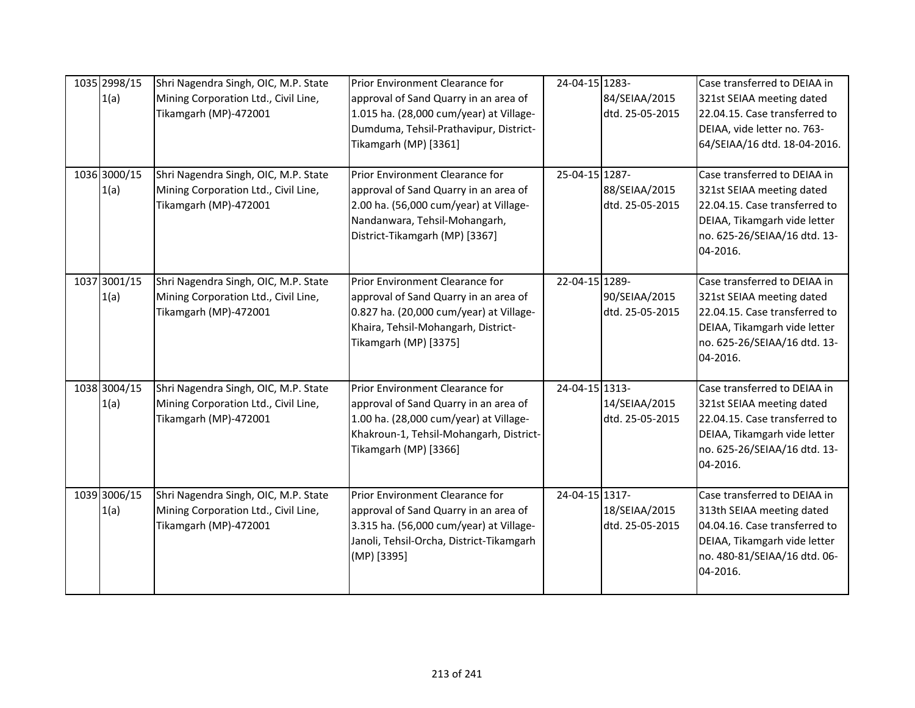| 1035 2998/15<br>1(a) | Shri Nagendra Singh, OIC, M.P. State<br>Mining Corporation Ltd., Civil Line,<br>Tikamgarh (MP)-472001 | Prior Environment Clearance for<br>approval of Sand Quarry in an area of<br>1.015 ha. (28,000 cum/year) at Village-<br>Dumduma, Tehsil-Prathavipur, District-<br>Tikamgarh (MP) [3361] | 24-04-15 1283- | 84/SEIAA/2015<br>dtd. 25-05-2015 | Case transferred to DEIAA in<br>321st SEIAA meeting dated<br>22.04.15. Case transferred to<br>DEIAA, vide letter no. 763-<br>64/SEIAA/16 dtd. 18-04-2016.              |
|----------------------|-------------------------------------------------------------------------------------------------------|----------------------------------------------------------------------------------------------------------------------------------------------------------------------------------------|----------------|----------------------------------|------------------------------------------------------------------------------------------------------------------------------------------------------------------------|
| 1036 3000/15<br>1(a) | Shri Nagendra Singh, OIC, M.P. State<br>Mining Corporation Ltd., Civil Line,<br>Tikamgarh (MP)-472001 | Prior Environment Clearance for<br>approval of Sand Quarry in an area of<br>2.00 ha. (56,000 cum/year) at Village-<br>Nandanwara, Tehsil-Mohangarh,<br>District-Tikamgarh (MP) [3367]  | 25-04-15 1287- | 88/SEIAA/2015<br>dtd. 25-05-2015 | Case transferred to DEIAA in<br>321st SEIAA meeting dated<br>22.04.15. Case transferred to<br>DEIAA, Tikamgarh vide letter<br>no. 625-26/SEIAA/16 dtd. 13-<br>04-2016. |
| 1037 3001/15<br>1(a) | Shri Nagendra Singh, OIC, M.P. State<br>Mining Corporation Ltd., Civil Line,<br>Tikamgarh (MP)-472001 | Prior Environment Clearance for<br>approval of Sand Quarry in an area of<br>0.827 ha. (20,000 cum/year) at Village-<br>Khaira, Tehsil-Mohangarh, District-<br>Tikamgarh (MP) [3375]    | 22-04-15 1289- | 90/SEIAA/2015<br>dtd. 25-05-2015 | Case transferred to DEIAA in<br>321st SEIAA meeting dated<br>22.04.15. Case transferred to<br>DEIAA, Tikamgarh vide letter<br>no. 625-26/SEIAA/16 dtd. 13-<br>04-2016. |
| 1038 3004/15<br>1(a) | Shri Nagendra Singh, OIC, M.P. State<br>Mining Corporation Ltd., Civil Line,<br>Tikamgarh (MP)-472001 | Prior Environment Clearance for<br>approval of Sand Quarry in an area of<br>1.00 ha. (28,000 cum/year) at Village-<br>Khakroun-1, Tehsil-Mohangarh, District-<br>Tikamgarh (MP) [3366] | 24-04-15 1313- | 14/SEIAA/2015<br>dtd. 25-05-2015 | Case transferred to DEIAA in<br>321st SEIAA meeting dated<br>22.04.15. Case transferred to<br>DEIAA, Tikamgarh vide letter<br>no. 625-26/SEIAA/16 dtd. 13-<br>04-2016. |
| 1039 3006/15<br>1(a) | Shri Nagendra Singh, OIC, M.P. State<br>Mining Corporation Ltd., Civil Line,<br>Tikamgarh (MP)-472001 | Prior Environment Clearance for<br>approval of Sand Quarry in an area of<br>3.315 ha. (56,000 cum/year) at Village-<br>Janoli, Tehsil-Orcha, District-Tikamgarh<br>(MP) [3395]         | 24-04-15 1317- | 18/SEIAA/2015<br>dtd. 25-05-2015 | Case transferred to DEIAA in<br>313th SEIAA meeting dated<br>04.04.16. Case transferred to<br>DEIAA, Tikamgarh vide letter<br>no. 480-81/SEIAA/16 dtd. 06-<br>04-2016. |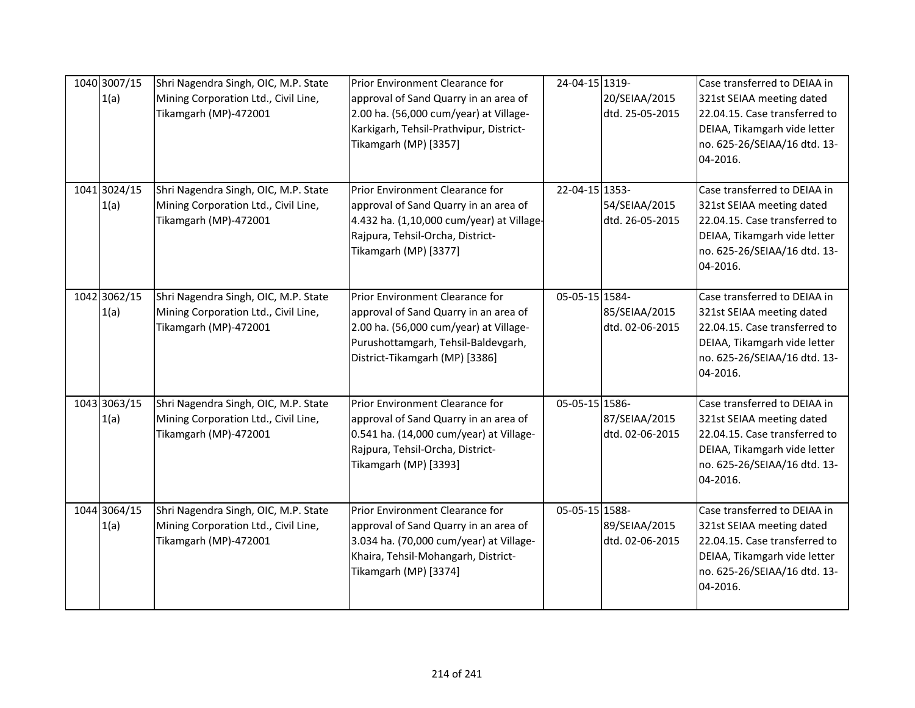| 1040 3007/15<br>1(a) | Shri Nagendra Singh, OIC, M.P. State<br>Mining Corporation Ltd., Civil Line,<br>Tikamgarh (MP)-472001 | Prior Environment Clearance for<br>approval of Sand Quarry in an area of<br>2.00 ha. (56,000 cum/year) at Village-<br>Karkigarh, Tehsil-Prathvipur, District-<br>Tikamgarh (MP) [3357]      | 24-04-15 1319- | 20/SEIAA/2015<br>dtd. 25-05-2015 | Case transferred to DEIAA in<br>321st SEIAA meeting dated<br>22.04.15. Case transferred to<br>DEIAA, Tikamgarh vide letter<br>no. 625-26/SEIAA/16 dtd. 13-<br>04-2016. |
|----------------------|-------------------------------------------------------------------------------------------------------|---------------------------------------------------------------------------------------------------------------------------------------------------------------------------------------------|----------------|----------------------------------|------------------------------------------------------------------------------------------------------------------------------------------------------------------------|
| 1041 3024/15<br>1(a) | Shri Nagendra Singh, OIC, M.P. State<br>Mining Corporation Ltd., Civil Line,<br>Tikamgarh (MP)-472001 | Prior Environment Clearance for<br>approval of Sand Quarry in an area of<br>4.432 ha. (1,10,000 cum/year) at Village-<br>Rajpura, Tehsil-Orcha, District-<br>Tikamgarh (MP) [3377]          | 22-04-15 1353- | 54/SEIAA/2015<br>dtd. 26-05-2015 | Case transferred to DEIAA in<br>321st SEIAA meeting dated<br>22.04.15. Case transferred to<br>DEIAA, Tikamgarh vide letter<br>no. 625-26/SEIAA/16 dtd. 13-<br>04-2016. |
| 1042 3062/15<br>1(a) | Shri Nagendra Singh, OIC, M.P. State<br>Mining Corporation Ltd., Civil Line,<br>Tikamgarh (MP)-472001 | Prior Environment Clearance for<br>approval of Sand Quarry in an area of<br>2.00 ha. (56,000 cum/year) at Village-<br>Purushottamgarh, Tehsil-Baldevgarh,<br>District-Tikamgarh (MP) [3386] | 05-05-15 1584- | 85/SEIAA/2015<br>dtd. 02-06-2015 | Case transferred to DEIAA in<br>321st SEIAA meeting dated<br>22.04.15. Case transferred to<br>DEIAA, Tikamgarh vide letter<br>no. 625-26/SEIAA/16 dtd. 13-<br>04-2016. |
| 1043 3063/15<br>1(a) | Shri Nagendra Singh, OIC, M.P. State<br>Mining Corporation Ltd., Civil Line,<br>Tikamgarh (MP)-472001 | Prior Environment Clearance for<br>approval of Sand Quarry in an area of<br>0.541 ha. (14,000 cum/year) at Village-<br>Rajpura, Tehsil-Orcha, District-<br>Tikamgarh (MP) [3393]            | 05-05-15 1586- | 87/SEIAA/2015<br>dtd. 02-06-2015 | Case transferred to DEIAA in<br>321st SEIAA meeting dated<br>22.04.15. Case transferred to<br>DEIAA, Tikamgarh vide letter<br>no. 625-26/SEIAA/16 dtd. 13-<br>04-2016. |
| 1044 3064/15<br>1(a) | Shri Nagendra Singh, OIC, M.P. State<br>Mining Corporation Ltd., Civil Line,<br>Tikamgarh (MP)-472001 | Prior Environment Clearance for<br>approval of Sand Quarry in an area of<br>3.034 ha. (70,000 cum/year) at Village-<br>Khaira, Tehsil-Mohangarh, District-<br>Tikamgarh (MP) [3374]         | 05-05-15 1588- | 89/SEIAA/2015<br>dtd. 02-06-2015 | Case transferred to DEIAA in<br>321st SEIAA meeting dated<br>22.04.15. Case transferred to<br>DEIAA, Tikamgarh vide letter<br>no. 625-26/SEIAA/16 dtd. 13-<br>04-2016. |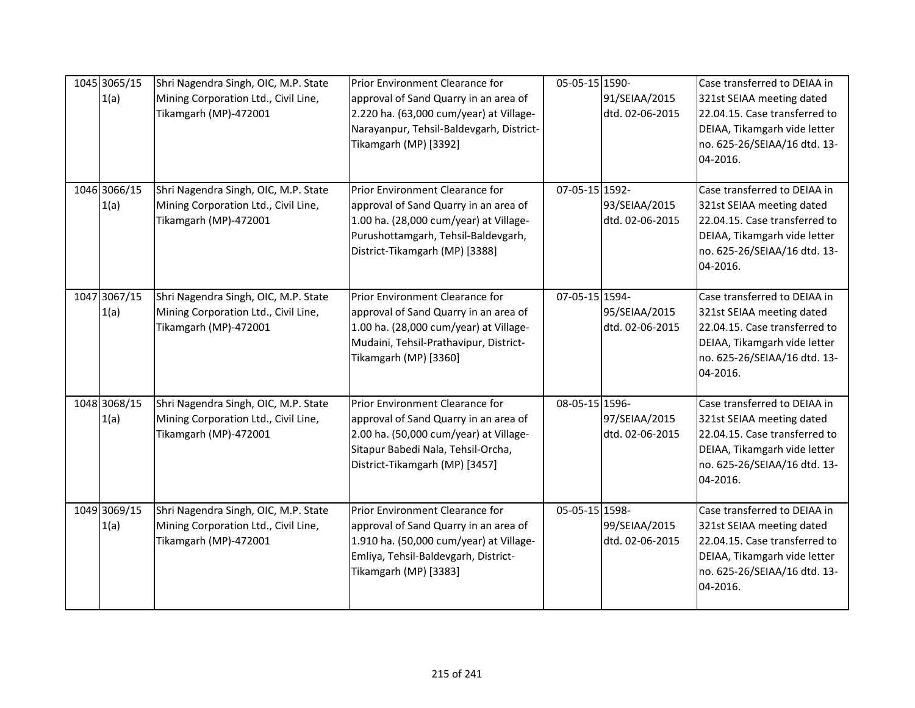| 1045 3065/15<br>1(a) | Shri Nagendra Singh, OIC, M.P. State<br>Mining Corporation Ltd., Civil Line,<br>Tikamgarh (MP)-472001 | Prior Environment Clearance for<br>approval of Sand Quarry in an area of<br>2.220 ha. (63,000 cum/year) at Village-<br>Narayanpur, Tehsil-Baldevgarh, District-<br>Tikamgarh (MP) [3392]    | 05-05-15 1590- | 91/SEIAA/2015<br>dtd. 02-06-2015 | Case transferred to DEIAA in<br>321st SEIAA meeting dated<br>22.04.15. Case transferred to<br>DEIAA, Tikamgarh vide letter<br>no. 625-26/SEIAA/16 dtd. 13-<br>04-2016. |
|----------------------|-------------------------------------------------------------------------------------------------------|---------------------------------------------------------------------------------------------------------------------------------------------------------------------------------------------|----------------|----------------------------------|------------------------------------------------------------------------------------------------------------------------------------------------------------------------|
| 1046 3066/15<br>1(a) | Shri Nagendra Singh, OIC, M.P. State<br>Mining Corporation Ltd., Civil Line,<br>Tikamgarh (MP)-472001 | Prior Environment Clearance for<br>approval of Sand Quarry in an area of<br>1.00 ha. (28,000 cum/year) at Village-<br>Purushottamgarh, Tehsil-Baldevgarh,<br>District-Tikamgarh (MP) [3388] | 07-05-15 1592- | 93/SEIAA/2015<br>dtd. 02-06-2015 | Case transferred to DEIAA in<br>321st SEIAA meeting dated<br>22.04.15. Case transferred to<br>DEIAA, Tikamgarh vide letter<br>no. 625-26/SEIAA/16 dtd. 13-<br>04-2016. |
| 1047 3067/15<br>1(a) | Shri Nagendra Singh, OIC, M.P. State<br>Mining Corporation Ltd., Civil Line,<br>Tikamgarh (MP)-472001 | Prior Environment Clearance for<br>approval of Sand Quarry in an area of<br>1.00 ha. (28,000 cum/year) at Village-<br>Mudaini, Tehsil-Prathavipur, District-<br>Tikamgarh (MP) [3360]       | 07-05-15 1594- | 95/SEIAA/2015<br>dtd. 02-06-2015 | Case transferred to DEIAA in<br>321st SEIAA meeting dated<br>22.04.15. Case transferred to<br>DEIAA, Tikamgarh vide letter<br>no. 625-26/SEIAA/16 dtd. 13-<br>04-2016. |
| 1048 3068/15<br>1(a) | Shri Nagendra Singh, OIC, M.P. State<br>Mining Corporation Ltd., Civil Line,<br>Tikamgarh (MP)-472001 | Prior Environment Clearance for<br>approval of Sand Quarry in an area of<br>2.00 ha. (50,000 cum/year) at Village-<br>Sitapur Babedi Nala, Tehsil-Orcha,<br>District-Tikamgarh (MP) [3457]  | 08-05-15 1596- | 97/SEIAA/2015<br>dtd. 02-06-2015 | Case transferred to DEIAA in<br>321st SEIAA meeting dated<br>22.04.15. Case transferred to<br>DEIAA, Tikamgarh vide letter<br>no. 625-26/SEIAA/16 dtd. 13-<br>04-2016. |
| 1049 3069/15<br>1(a) | Shri Nagendra Singh, OIC, M.P. State<br>Mining Corporation Ltd., Civil Line,<br>Tikamgarh (MP)-472001 | Prior Environment Clearance for<br>approval of Sand Quarry in an area of<br>1.910 ha. (50,000 cum/year) at Village-<br>Emliya, Tehsil-Baldevgarh, District-<br>Tikamgarh (MP) [3383]        | 05-05-15 1598- | 99/SEIAA/2015<br>dtd. 02-06-2015 | Case transferred to DEIAA in<br>321st SEIAA meeting dated<br>22.04.15. Case transferred to<br>DEIAA, Tikamgarh vide letter<br>no. 625-26/SEIAA/16 dtd. 13-<br>04-2016. |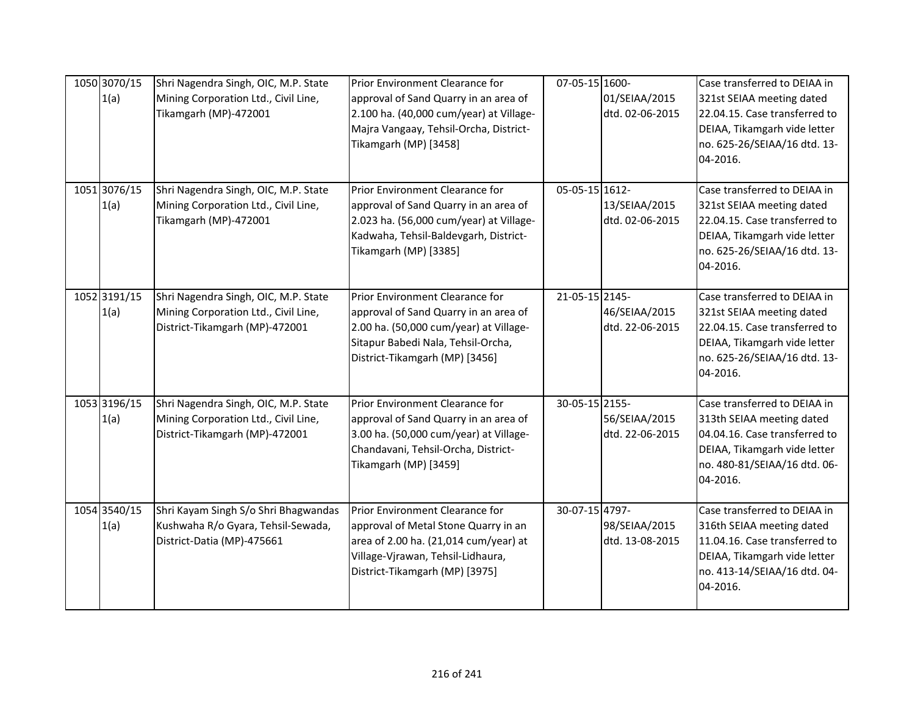| 1050 3070/15<br>1(a) | Shri Nagendra Singh, OIC, M.P. State<br>Mining Corporation Ltd., Civil Line,<br>Tikamgarh (MP)-472001          | Prior Environment Clearance for<br>approval of Sand Quarry in an area of<br>2.100 ha. (40,000 cum/year) at Village-<br>Majra Vangaay, Tehsil-Orcha, District-<br>Tikamgarh (MP) [3458]     | 07-05-15 1600- | 01/SEIAA/2015<br>dtd. 02-06-2015 | Case transferred to DEIAA in<br>321st SEIAA meeting dated<br>22.04.15. Case transferred to<br>DEIAA, Tikamgarh vide letter<br>no. 625-26/SEIAA/16 dtd. 13-<br>04-2016. |
|----------------------|----------------------------------------------------------------------------------------------------------------|--------------------------------------------------------------------------------------------------------------------------------------------------------------------------------------------|----------------|----------------------------------|------------------------------------------------------------------------------------------------------------------------------------------------------------------------|
| 1051 3076/15<br>1(a) | Shri Nagendra Singh, OIC, M.P. State<br>Mining Corporation Ltd., Civil Line,<br>Tikamgarh (MP)-472001          | Prior Environment Clearance for<br>approval of Sand Quarry in an area of<br>2.023 ha. (56,000 cum/year) at Village-<br>Kadwaha, Tehsil-Baldevgarh, District-<br>Tikamgarh (MP) [3385]      | 05-05-15 1612- | 13/SEIAA/2015<br>dtd. 02-06-2015 | Case transferred to DEIAA in<br>321st SEIAA meeting dated<br>22.04.15. Case transferred to<br>DEIAA, Tikamgarh vide letter<br>no. 625-26/SEIAA/16 dtd. 13-<br>04-2016. |
| 1052 3191/15<br>1(a) | Shri Nagendra Singh, OIC, M.P. State<br>Mining Corporation Ltd., Civil Line,<br>District-Tikamgarh (MP)-472001 | Prior Environment Clearance for<br>approval of Sand Quarry in an area of<br>2.00 ha. (50,000 cum/year) at Village-<br>Sitapur Babedi Nala, Tehsil-Orcha,<br>District-Tikamgarh (MP) [3456] | 21-05-15 2145- | 46/SEIAA/2015<br>dtd. 22-06-2015 | Case transferred to DEIAA in<br>321st SEIAA meeting dated<br>22.04.15. Case transferred to<br>DEIAA, Tikamgarh vide letter<br>no. 625-26/SEIAA/16 dtd. 13-<br>04-2016. |
| 1053 3196/15<br>1(a) | Shri Nagendra Singh, OIC, M.P. State<br>Mining Corporation Ltd., Civil Line,<br>District-Tikamgarh (MP)-472001 | Prior Environment Clearance for<br>approval of Sand Quarry in an area of<br>3.00 ha. (50,000 cum/year) at Village-<br>Chandavani, Tehsil-Orcha, District-<br>Tikamgarh (MP) [3459]         | 30-05-15 2155- | 56/SEIAA/2015<br>dtd. 22-06-2015 | Case transferred to DEIAA in<br>313th SEIAA meeting dated<br>04.04.16. Case transferred to<br>DEIAA, Tikamgarh vide letter<br>no. 480-81/SEIAA/16 dtd. 06-<br>04-2016. |
| 1054 3540/15<br>1(a) | Shri Kayam Singh S/o Shri Bhagwandas<br>Kushwaha R/o Gyara, Tehsil-Sewada,<br>District-Datia (MP)-475661       | Prior Environment Clearance for<br>approval of Metal Stone Quarry in an<br>area of 2.00 ha. (21,014 cum/year) at<br>Village-Vjrawan, Tehsil-Lidhaura,<br>District-Tikamgarh (MP) [3975]    | 30-07-15 4797- | 98/SEIAA/2015<br>dtd. 13-08-2015 | Case transferred to DEIAA in<br>316th SEIAA meeting dated<br>11.04.16. Case transferred to<br>DEIAA, Tikamgarh vide letter<br>no. 413-14/SEIAA/16 dtd. 04-<br>04-2016. |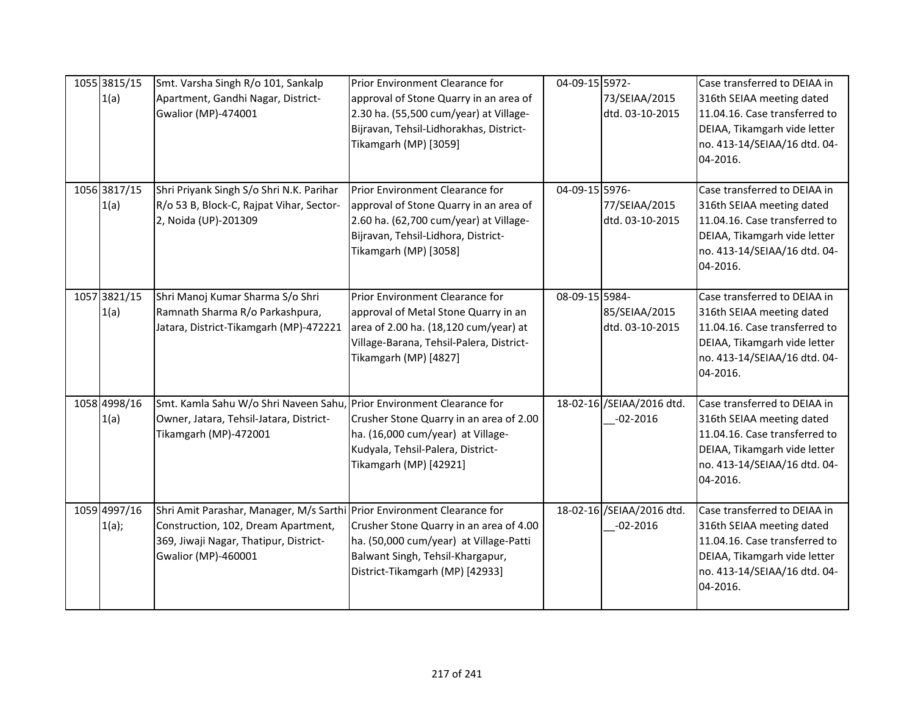| 1055 3815/15<br>1(a)  | Smt. Varsha Singh R/o 101, Sankalp<br>Apartment, Gandhi Nagar, District-<br><b>Gwalior (MP)-474001</b>                                                                          | Prior Environment Clearance for<br>approval of Stone Quarry in an area of<br>2.30 ha. (55,500 cum/year) at Village-<br>Bijravan, Tehsil-Lidhorakhas, District-<br>Tikamgarh (MP) [3059] | 04-09-15 5972- | 73/SEIAA/2015<br>dtd. 03-10-2015           | Case transferred to DEIAA in<br>316th SEIAA meeting dated<br>11.04.16. Case transferred to<br>DEIAA, Tikamgarh vide letter<br>no. 413-14/SEIAA/16 dtd. 04-<br>04-2016. |
|-----------------------|---------------------------------------------------------------------------------------------------------------------------------------------------------------------------------|-----------------------------------------------------------------------------------------------------------------------------------------------------------------------------------------|----------------|--------------------------------------------|------------------------------------------------------------------------------------------------------------------------------------------------------------------------|
| 1056 3817/15<br>1(a)  | Shri Priyank Singh S/o Shri N.K. Parihar<br>R/o 53 B, Block-C, Rajpat Vihar, Sector-<br>2, Noida (UP)-201309                                                                    | Prior Environment Clearance for<br>approval of Stone Quarry in an area of<br>2.60 ha. (62,700 cum/year) at Village-<br>Bijravan, Tehsil-Lidhora, District-<br>Tikamgarh (MP) [3058]     | 04-09-15 5976- | 77/SEIAA/2015<br>dtd. 03-10-2015           | Case transferred to DEIAA in<br>316th SEIAA meeting dated<br>11.04.16. Case transferred to<br>DEIAA, Tikamgarh vide letter<br>no. 413-14/SEIAA/16 dtd. 04-<br>04-2016. |
| 1057 3821/15<br>1(a)  | Shri Manoj Kumar Sharma S/o Shri<br>Ramnath Sharma R/o Parkashpura,<br>Jatara, District-Tikamgarh (MP)-472221                                                                   | Prior Environment Clearance for<br>approval of Metal Stone Quarry in an<br>area of 2.00 ha. (18,120 cum/year) at<br>Village-Barana, Tehsil-Palera, District-<br>Tikamgarh (MP) [4827]   | 08-09-15 5984- | 85/SEIAA/2015<br>dtd. 03-10-2015           | Case transferred to DEIAA in<br>316th SEIAA meeting dated<br>11.04.16. Case transferred to<br>DEIAA, Tikamgarh vide letter<br>no. 413-14/SEIAA/16 dtd. 04-<br>04-2016. |
| 1058 4998/16<br>1(a)  | Smt. Kamla Sahu W/o Shri Naveen Sahu, Prior Environment Clearance for<br>Owner, Jatara, Tehsil-Jatara, District-<br>Tikamgarh (MP)-472001                                       | Crusher Stone Quarry in an area of 2.00<br>ha. (16,000 cum/year) at Village-<br>Kudyala, Tehsil-Palera, District-<br>Tikamgarh (MP) [42921]                                             |                | 18-02-16 / SEIAA/2016 dtd.<br>$-02 - 2016$ | Case transferred to DEIAA in<br>316th SEIAA meeting dated<br>11.04.16. Case transferred to<br>DEIAA, Tikamgarh vide letter<br>no. 413-14/SEIAA/16 dtd. 04-<br>04-2016. |
| 1059 4997/16<br>1(a); | Shri Amit Parashar, Manager, M/s Sarthi Prior Environment Clearance for<br>Construction, 102, Dream Apartment,<br>369, Jiwaji Nagar, Thatipur, District-<br>Gwalior (MP)-460001 | Crusher Stone Quarry in an area of 4.00<br>ha. (50,000 cum/year) at Village-Patti<br>Balwant Singh, Tehsil-Khargapur,<br>District-Tikamgarh (MP) [42933]                                |                | 18-02-16 / SEIAA/2016 dtd.<br>$-02 - 2016$ | Case transferred to DEIAA in<br>316th SEIAA meeting dated<br>11.04.16. Case transferred to<br>DEIAA, Tikamgarh vide letter<br>no. 413-14/SEIAA/16 dtd. 04-<br>04-2016. |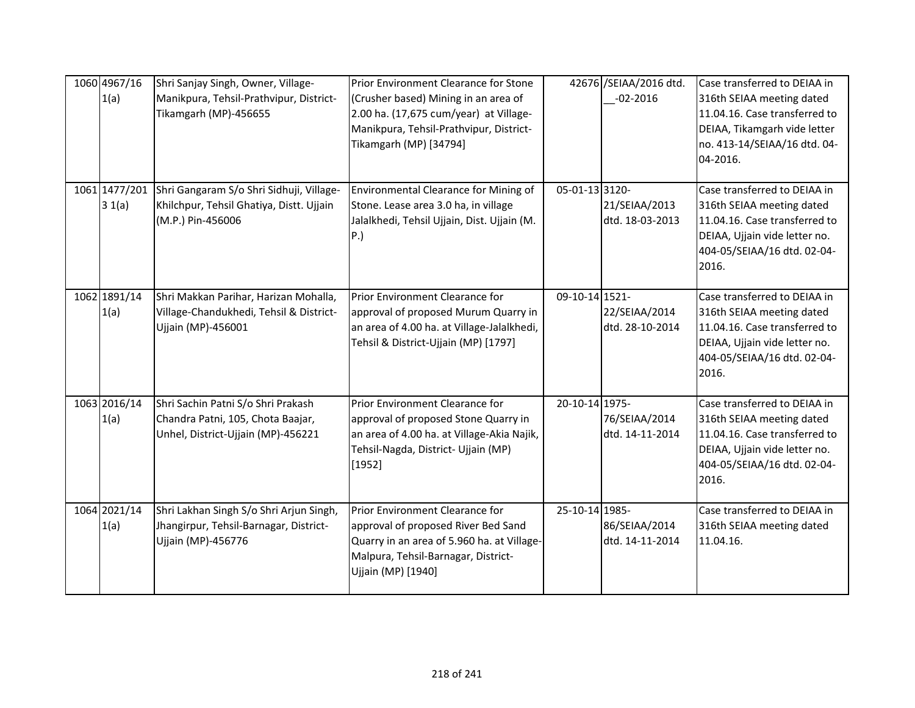| 1060 4967/16<br>1(a)    | Shri Sanjay Singh, Owner, Village-<br>Manikpura, Tehsil-Prathvipur, District-<br>Tikamgarh (MP)-456655        | Prior Environment Clearance for Stone<br>(Crusher based) Mining in an area of<br>2.00 ha. (17,675 cum/year) at Village-<br>Manikpura, Tehsil-Prathvipur, District-<br>Tikamgarh (MP) [34794] |                | 42676 /SEIAA/2016 dtd.<br>$-02 - 2016$ | Case transferred to DEIAA in<br>316th SEIAA meeting dated<br>11.04.16. Case transferred to<br>DEIAA, Tikamgarh vide letter<br>no. 413-14/SEIAA/16 dtd. 04-<br>04-2016. |
|-------------------------|---------------------------------------------------------------------------------------------------------------|----------------------------------------------------------------------------------------------------------------------------------------------------------------------------------------------|----------------|----------------------------------------|------------------------------------------------------------------------------------------------------------------------------------------------------------------------|
| 1061 1477/201<br>3 1(a) | Shri Gangaram S/o Shri Sidhuji, Village-<br>Khilchpur, Tehsil Ghatiya, Distt. Ujjain<br>(M.P.) Pin-456006     | Environmental Clearance for Mining of<br>Stone. Lease area 3.0 ha, in village<br>Jalalkhedi, Tehsil Ujjain, Dist. Ujjain (M.<br>P.                                                           | 05-01-13 3120- | 21/SEIAA/2013<br>dtd. 18-03-2013       | Case transferred to DEIAA in<br>316th SEIAA meeting dated<br>11.04.16. Case transferred to<br>DEIAA, Ujjain vide letter no.<br>404-05/SEIAA/16 dtd. 02-04-<br>2016.    |
| 1062 1891/14<br>1(a)    | Shri Makkan Parihar, Harizan Mohalla,<br>Village-Chandukhedi, Tehsil & District-<br>Ujjain (MP)-456001        | Prior Environment Clearance for<br>approval of proposed Murum Quarry in<br>an area of 4.00 ha. at Village-Jalalkhedi,<br>Tehsil & District-Ujjain (MP) [1797]                                | 09-10-14 1521- | 22/SEIAA/2014<br>dtd. 28-10-2014       | Case transferred to DEIAA in<br>316th SEIAA meeting dated<br>11.04.16. Case transferred to<br>DEIAA, Ujjain vide letter no.<br>404-05/SEIAA/16 dtd. 02-04-<br>2016.    |
| 1063 2016/14<br>1(a)    | Shri Sachin Patni S/o Shri Prakash<br>Chandra Patni, 105, Chota Baajar,<br>Unhel, District-Ujjain (MP)-456221 | Prior Environment Clearance for<br>approval of proposed Stone Quarry in<br>an area of 4.00 ha. at Village-Akia Najik,<br>Tehsil-Nagda, District- Ujjain (MP)<br>[1952]                       | 20-10-14 1975- | 76/SEIAA/2014<br>dtd. 14-11-2014       | Case transferred to DEIAA in<br>316th SEIAA meeting dated<br>11.04.16. Case transferred to<br>DEIAA, Ujjain vide letter no.<br>404-05/SEIAA/16 dtd. 02-04-<br>2016.    |
| 1064 2021/14<br>1(a)    | Shri Lakhan Singh S/o Shri Arjun Singh,<br>Jhangirpur, Tehsil-Barnagar, District-<br>Ujjain (MP)-456776       | Prior Environment Clearance for<br>approval of proposed River Bed Sand<br>Quarry in an area of 5.960 ha. at Village-<br>Malpura, Tehsil-Barnagar, District-<br>Ujjain (MP) [1940]            | 25-10-14 1985- | 86/SEIAA/2014<br>dtd. 14-11-2014       | Case transferred to DEIAA in<br>316th SEIAA meeting dated<br>11.04.16.                                                                                                 |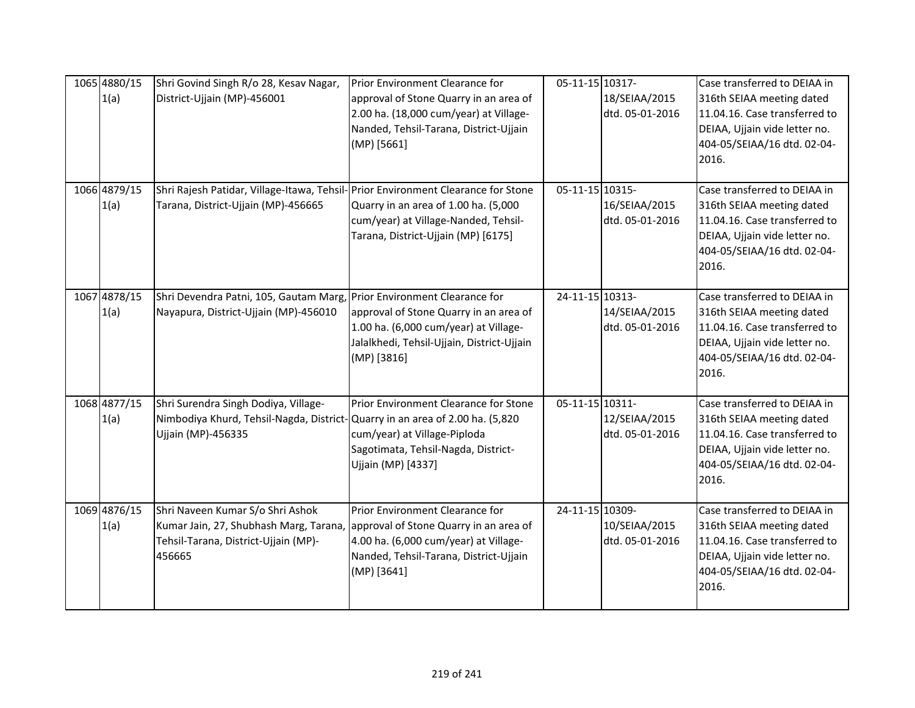| 1065 4880/15<br>1(a) | Shri Govind Singh R/o 28, Kesav Nagar,<br>District-Ujjain (MP)-456001                                                                      | Prior Environment Clearance for<br>approval of Stone Quarry in an area of<br>2.00 ha. (18,000 cum/year) at Village-<br>Nanded, Tehsil-Tarana, District-Ujjain<br>(MP) [5661] | 05-11-15 10317- | 18/SEIAA/2015<br>dtd. 05-01-2016 | Case transferred to DEIAA in<br>316th SEIAA meeting dated<br>11.04.16. Case transferred to<br>DEIAA, Ujjain vide letter no.<br>404-05/SEIAA/16 dtd. 02-04-<br>2016. |
|----------------------|--------------------------------------------------------------------------------------------------------------------------------------------|------------------------------------------------------------------------------------------------------------------------------------------------------------------------------|-----------------|----------------------------------|---------------------------------------------------------------------------------------------------------------------------------------------------------------------|
| 1066 4879/15<br>1(a) | Shri Rajesh Patidar, Village-Itawa, Tehsil- Prior Environment Clearance for Stone<br>Tarana, District-Ujjain (MP)-456665                   | Quarry in an area of 1.00 ha. (5,000<br>cum/year) at Village-Nanded, Tehsil-<br>Tarana, District-Ujjain (MP) [6175]                                                          | 05-11-15 10315- | 16/SEIAA/2015<br>dtd. 05-01-2016 | Case transferred to DEIAA in<br>316th SEIAA meeting dated<br>11.04.16. Case transferred to<br>DEIAA, Ujjain vide letter no.<br>404-05/SEIAA/16 dtd. 02-04-<br>2016. |
| 1067 4878/15<br>1(a) | Shri Devendra Patni, 105, Gautam Marg, Prior Environment Clearance for<br>Nayapura, District-Ujjain (MP)-456010                            | approval of Stone Quarry in an area of<br>1.00 ha. (6,000 cum/year) at Village-<br>Jalalkhedi, Tehsil-Ujjain, District-Ujjain<br>(MP) [3816]                                 | 24-11-15 10313- | 14/SEIAA/2015<br>dtd. 05-01-2016 | Case transferred to DEIAA in<br>316th SEIAA meeting dated<br>11.04.16. Case transferred to<br>DEIAA, Ujjain vide letter no.<br>404-05/SEIAA/16 dtd. 02-04-<br>2016. |
| 1068 4877/15<br>1(a) | Shri Surendra Singh Dodiya, Village-<br>Nimbodiya Khurd, Tehsil-Nagda, District-Quarry in an area of 2.00 ha. (5,820<br>Ujjain (MP)-456335 | Prior Environment Clearance for Stone<br>cum/year) at Village-Piploda<br>Sagotimata, Tehsil-Nagda, District-<br>Ujjain (MP) [4337]                                           | 05-11-15 10311- | 12/SEIAA/2015<br>dtd. 05-01-2016 | Case transferred to DEIAA in<br>316th SEIAA meeting dated<br>11.04.16. Case transferred to<br>DEIAA, Ujjain vide letter no.<br>404-05/SEIAA/16 dtd. 02-04-<br>2016. |
| 1069 4876/15<br>1(a) | Shri Naveen Kumar S/o Shri Ashok<br>Kumar Jain, 27, Shubhash Marg, Tarana,<br>Tehsil-Tarana, District-Ujjain (MP)-<br>456665               | Prior Environment Clearance for<br>approval of Stone Quarry in an area of<br>4.00 ha. (6,000 cum/year) at Village-<br>Nanded, Tehsil-Tarana, District-Ujjain<br>(MP) [3641]  | 24-11-15 10309- | 10/SEIAA/2015<br>dtd. 05-01-2016 | Case transferred to DEIAA in<br>316th SEIAA meeting dated<br>11.04.16. Case transferred to<br>DEIAA, Ujjain vide letter no.<br>404-05/SEIAA/16 dtd. 02-04-<br>2016. |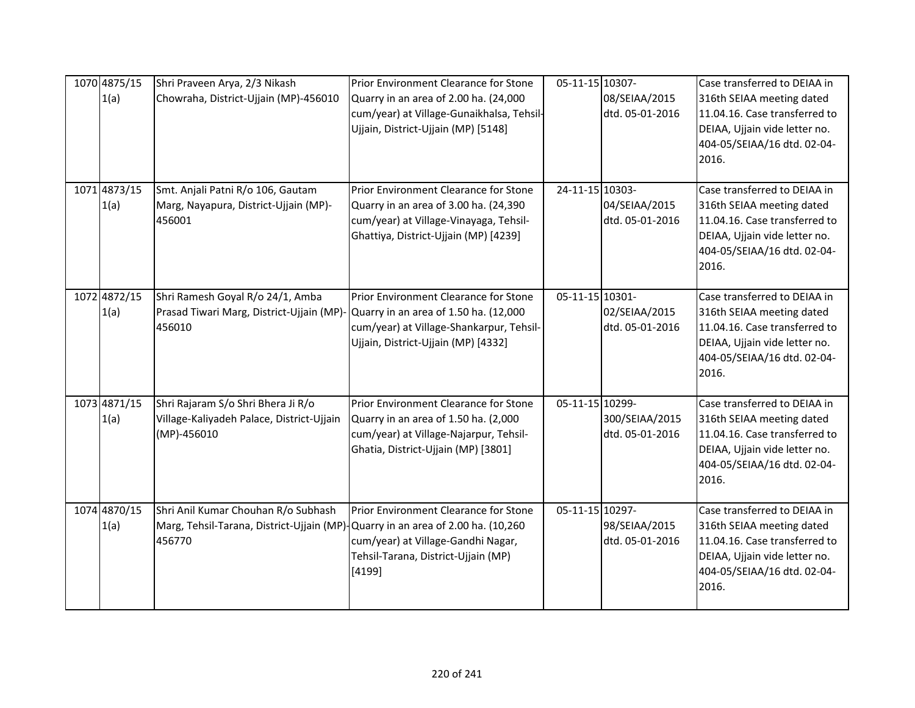| 1070 4875/15<br>1(a) | Shri Praveen Arya, 2/3 Nikash<br>Chowraha, District-Ujjain (MP)-456010                                                           | Prior Environment Clearance for Stone<br>Quarry in an area of 2.00 ha. (24,000<br>cum/year) at Village-Gunaikhalsa, Tehsil-<br>Ujjain, District-Ujjain (MP) [5148] | 05-11-15 10307- | 08/SEIAA/2015<br>dtd. 05-01-2016  | Case transferred to DEIAA in<br>316th SEIAA meeting dated<br>11.04.16. Case transferred to<br>DEIAA, Ujjain vide letter no.<br>404-05/SEIAA/16 dtd. 02-04-<br>2016. |
|----------------------|----------------------------------------------------------------------------------------------------------------------------------|--------------------------------------------------------------------------------------------------------------------------------------------------------------------|-----------------|-----------------------------------|---------------------------------------------------------------------------------------------------------------------------------------------------------------------|
| 1071 4873/15<br>1(a) | Smt. Anjali Patni R/o 106, Gautam<br>Marg, Nayapura, District-Ujjain (MP)-<br>456001                                             | Prior Environment Clearance for Stone<br>Quarry in an area of 3.00 ha. (24,390<br>cum/year) at Village-Vinayaga, Tehsil-<br>Ghattiya, District-Ujjain (MP) [4239]  | 24-11-15 10303- | 04/SEIAA/2015<br>dtd. 05-01-2016  | Case transferred to DEIAA in<br>316th SEIAA meeting dated<br>11.04.16. Case transferred to<br>DEIAA, Ujjain vide letter no.<br>404-05/SEIAA/16 dtd. 02-04-<br>2016. |
| 1072 4872/15<br>1(a) | Shri Ramesh Goyal R/o 24/1, Amba<br>Prasad Tiwari Marg, District-Ujjain (MP)-<br>456010                                          | Prior Environment Clearance for Stone<br>Quarry in an area of 1.50 ha. (12,000<br>cum/year) at Village-Shankarpur, Tehsil-<br>Ujjain, District-Ujjain (MP) [4332]  | 05-11-15 10301- | 02/SEIAA/2015<br>dtd. 05-01-2016  | Case transferred to DEIAA in<br>316th SEIAA meeting dated<br>11.04.16. Case transferred to<br>DEIAA, Ujjain vide letter no.<br>404-05/SEIAA/16 dtd. 02-04-<br>2016. |
| 1073 4871/15<br>1(a) | Shri Rajaram S/o Shri Bhera Ji R/o<br>Village-Kaliyadeh Palace, District-Ujjain<br>(MP)-456010                                   | Prior Environment Clearance for Stone<br>Quarry in an area of 1.50 ha. (2,000<br>cum/year) at Village-Najarpur, Tehsil-<br>Ghatia, District-Ujjain (MP) [3801]     | 05-11-15 10299- | 300/SEIAA/2015<br>dtd. 05-01-2016 | Case transferred to DEIAA in<br>316th SEIAA meeting dated<br>11.04.16. Case transferred to<br>DEIAA, Ujjain vide letter no.<br>404-05/SEIAA/16 dtd. 02-04-<br>2016. |
| 1074 4870/15<br>1(a) | Shri Anil Kumar Chouhan R/o Subhash<br>Marg, Tehsil-Tarana, District-Ujjain (MP)-Quarry in an area of 2.00 ha. (10,260<br>456770 | Prior Environment Clearance for Stone<br>cum/year) at Village-Gandhi Nagar,<br>Tehsil-Tarana, District-Ujjain (MP)<br>[4199]                                       | 05-11-15 10297- | 98/SEIAA/2015<br>dtd. 05-01-2016  | Case transferred to DEIAA in<br>316th SEIAA meeting dated<br>11.04.16. Case transferred to<br>DEIAA, Ujjain vide letter no.<br>404-05/SEIAA/16 dtd. 02-04-<br>2016. |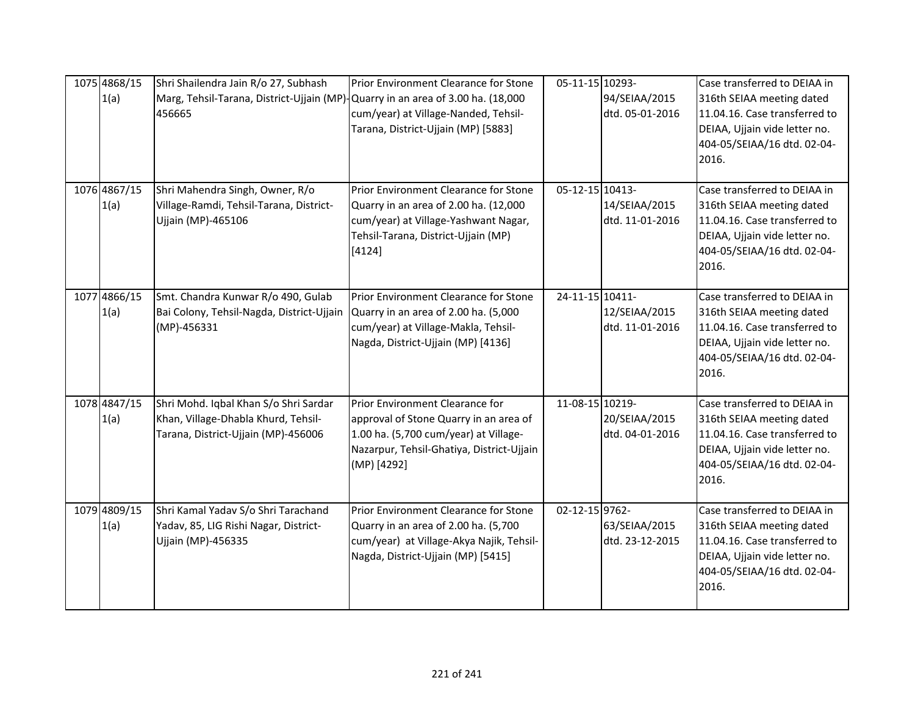| 1075 4868/15<br>1(a) | Shri Shailendra Jain R/o 27, Subhash<br>Marg, Tehsil-Tarana, District-Ujjain (MP)-Quarry in an area of 3.00 ha. (18,000<br>456665 | Prior Environment Clearance for Stone<br>cum/year) at Village-Nanded, Tehsil-<br>Tarana, District-Ujjain (MP) [5883]                                                           | 05-11-15 10293- | 94/SEIAA/2015<br>dtd. 05-01-2016 | Case transferred to DEIAA in<br>316th SEIAA meeting dated<br>11.04.16. Case transferred to<br>DEIAA, Ujjain vide letter no.<br>404-05/SEIAA/16 dtd. 02-04-<br>2016. |
|----------------------|-----------------------------------------------------------------------------------------------------------------------------------|--------------------------------------------------------------------------------------------------------------------------------------------------------------------------------|-----------------|----------------------------------|---------------------------------------------------------------------------------------------------------------------------------------------------------------------|
| 1076 4867/15<br>1(a) | Shri Mahendra Singh, Owner, R/o<br>Village-Ramdi, Tehsil-Tarana, District-<br>Ujjain (MP)-465106                                  | Prior Environment Clearance for Stone<br>Quarry in an area of 2.00 ha. (12,000<br>cum/year) at Village-Yashwant Nagar,<br>Tehsil-Tarana, District-Ujjain (MP)<br>[4124]        | 05-12-15 10413- | 14/SEIAA/2015<br>dtd. 11-01-2016 | Case transferred to DEIAA in<br>316th SEIAA meeting dated<br>11.04.16. Case transferred to<br>DEIAA, Ujjain vide letter no.<br>404-05/SEIAA/16 dtd. 02-04-<br>2016. |
| 1077 4866/15<br>1(a) | Smt. Chandra Kunwar R/o 490, Gulab<br>Bai Colony, Tehsil-Nagda, District-Ujjain<br>(MP)-456331                                    | Prior Environment Clearance for Stone<br>Quarry in an area of 2.00 ha. (5,000<br>cum/year) at Village-Makla, Tehsil-<br>Nagda, District-Ujjain (MP) [4136]                     | 24-11-15 10411- | 12/SEIAA/2015<br>dtd. 11-01-2016 | Case transferred to DEIAA in<br>316th SEIAA meeting dated<br>11.04.16. Case transferred to<br>DEIAA, Ujjain vide letter no.<br>404-05/SEIAA/16 dtd. 02-04-<br>2016. |
| 1078 4847/15<br>1(a) | Shri Mohd. Iqbal Khan S/o Shri Sardar<br>Khan, Village-Dhabla Khurd, Tehsil-<br>Tarana, District-Ujjain (MP)-456006               | Prior Environment Clearance for<br>approval of Stone Quarry in an area of<br>1.00 ha. (5,700 cum/year) at Village-<br>Nazarpur, Tehsil-Ghatiya, District-Ujjain<br>(MP) [4292] | 11-08-15 10219- | 20/SEIAA/2015<br>dtd. 04-01-2016 | Case transferred to DEIAA in<br>316th SEIAA meeting dated<br>11.04.16. Case transferred to<br>DEIAA, Ujjain vide letter no.<br>404-05/SEIAA/16 dtd. 02-04-<br>2016. |
| 1079 4809/15<br>1(a) | Shri Kamal Yadav S/o Shri Tarachand<br>Yadav, 85, LIG Rishi Nagar, District-<br>Ujjain (MP)-456335                                | Prior Environment Clearance for Stone<br>Quarry in an area of 2.00 ha. (5,700<br>cum/year) at Village-Akya Najik, Tehsil-<br>Nagda, District-Ujjain (MP) [5415]                | 02-12-15 9762-  | 63/SEIAA/2015<br>dtd. 23-12-2015 | Case transferred to DEIAA in<br>316th SEIAA meeting dated<br>11.04.16. Case transferred to<br>DEIAA, Ujjain vide letter no.<br>404-05/SEIAA/16 dtd. 02-04-<br>2016. |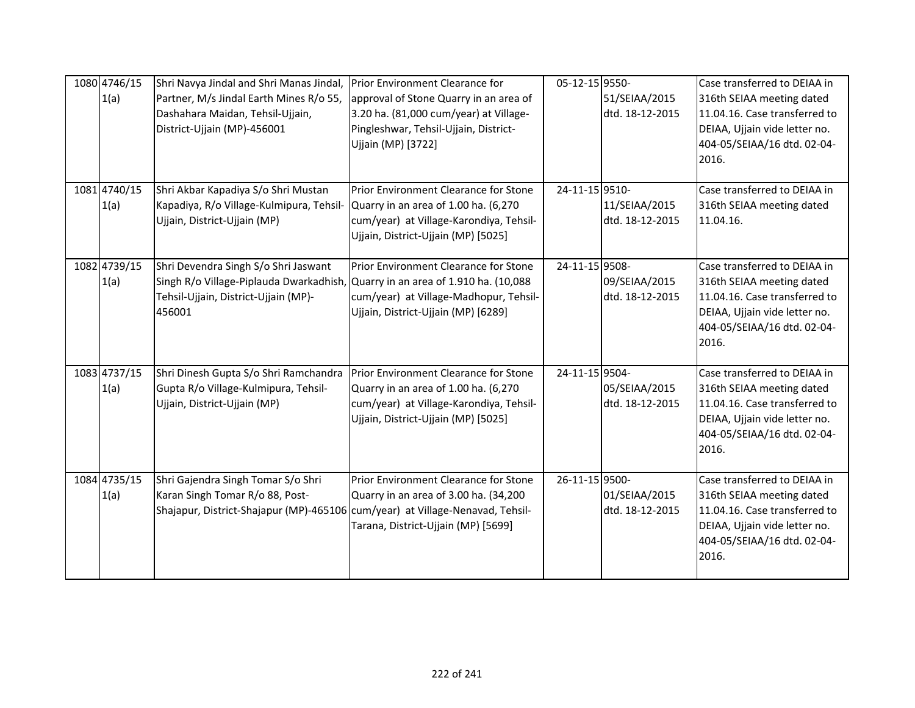| 1080 4746/15<br>1(a) | Shri Navya Jindal and Shri Manas Jindal,<br>Partner, M/s Jindal Earth Mines R/o 55,<br>Dashahara Maidan, Tehsil-Ujjain,<br>District-Ujjain (MP)-456001                   | Prior Environment Clearance for<br>approval of Stone Quarry in an area of<br>3.20 ha. (81,000 cum/year) at Village-<br>Pingleshwar, Tehsil-Ujjain, District-<br>Ujjain (MP) [3722] | 05-12-15 9550- | 51/SEIAA/2015<br>dtd. 18-12-2015 | Case transferred to DEIAA in<br>316th SEIAA meeting dated<br>11.04.16. Case transferred to<br>DEIAA, Ujjain vide letter no.<br>404-05/SEIAA/16 dtd. 02-04-<br>2016. |
|----------------------|--------------------------------------------------------------------------------------------------------------------------------------------------------------------------|------------------------------------------------------------------------------------------------------------------------------------------------------------------------------------|----------------|----------------------------------|---------------------------------------------------------------------------------------------------------------------------------------------------------------------|
| 1081 4740/15<br>1(a) | Shri Akbar Kapadiya S/o Shri Mustan<br>Kapadiya, R/o Village-Kulmipura, Tehsil-<br>Ujjain, District-Ujjain (MP)                                                          | Prior Environment Clearance for Stone<br>Quarry in an area of 1.00 ha. (6,270<br>cum/year) at Village-Karondiya, Tehsil-<br>Ujjain, District-Ujjain (MP) [5025]                    | 24-11-15 9510- | 11/SEIAA/2015<br>dtd. 18-12-2015 | Case transferred to DEIAA in<br>316th SEIAA meeting dated<br>11.04.16.                                                                                              |
| 1082 4739/15<br>1(a) | Shri Devendra Singh S/o Shri Jaswant<br>Singh R/o Village-Piplauda Dwarkadhish, Quarry in an area of 1.910 ha. (10,088<br>Tehsil-Ujjain, District-Ujjain (MP)-<br>456001 | Prior Environment Clearance for Stone<br>cum/year) at Village-Madhopur, Tehsil-<br>Ujjain, District-Ujjain (MP) [6289]                                                             | 24-11-15 9508- | 09/SEIAA/2015<br>dtd. 18-12-2015 | Case transferred to DEIAA in<br>316th SEIAA meeting dated<br>11.04.16. Case transferred to<br>DEIAA, Ujjain vide letter no.<br>404-05/SEIAA/16 dtd. 02-04-<br>2016. |
| 1083 4737/15<br>1(a) | Shri Dinesh Gupta S/o Shri Ramchandra<br>Gupta R/o Village-Kulmipura, Tehsil-<br>Ujjain, District-Ujjain (MP)                                                            | Prior Environment Clearance for Stone<br>Quarry in an area of 1.00 ha. (6,270<br>cum/year) at Village-Karondiya, Tehsil-<br>Ujjain, District-Ujjain (MP) [5025]                    | 24-11-15 9504- | 05/SEIAA/2015<br>dtd. 18-12-2015 | Case transferred to DEIAA in<br>316th SEIAA meeting dated<br>11.04.16. Case transferred to<br>DEIAA, Ujjain vide letter no.<br>404-05/SEIAA/16 dtd. 02-04-<br>2016. |
| 1084 4735/15<br>1(a) | Shri Gajendra Singh Tomar S/o Shri<br>Karan Singh Tomar R/o 88, Post-<br>Shajapur, District-Shajapur (MP)-465106 cum/year) at Village-Nenavad, Tehsil-                   | Prior Environment Clearance for Stone<br>Quarry in an area of 3.00 ha. (34,200<br>Tarana, District-Ujjain (MP) [5699]                                                              | 26-11-15 9500- | 01/SEIAA/2015<br>dtd. 18-12-2015 | Case transferred to DEIAA in<br>316th SEIAA meeting dated<br>11.04.16. Case transferred to<br>DEIAA, Ujjain vide letter no.<br>404-05/SEIAA/16 dtd. 02-04-<br>2016. |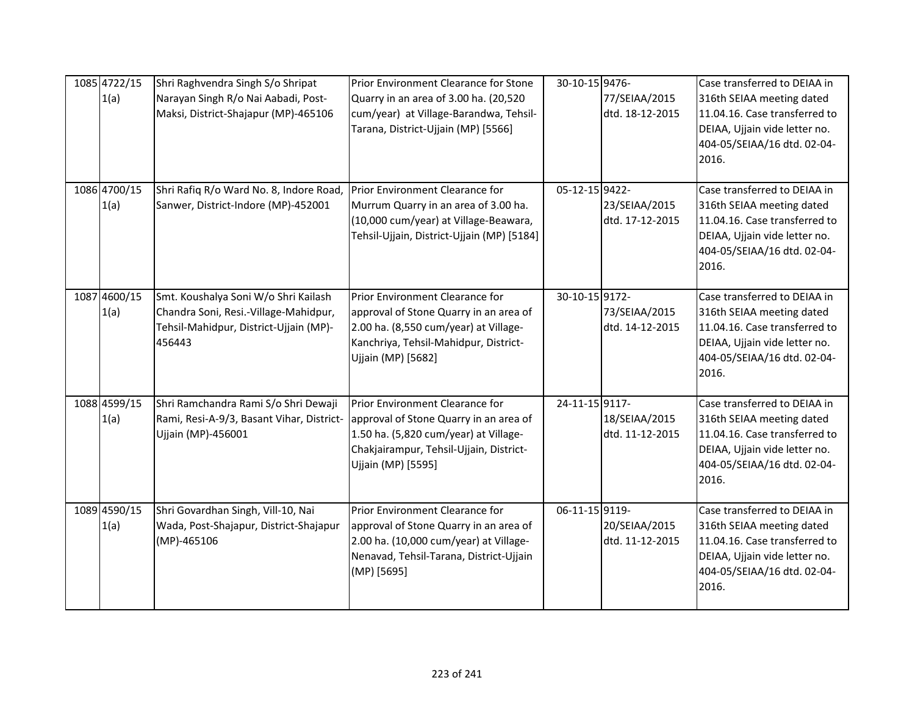| 1085 4722/15<br>1(a) | Shri Raghvendra Singh S/o Shripat<br>Narayan Singh R/o Nai Aabadi, Post-<br>Maksi, District-Shajapur (MP)-465106                  | Prior Environment Clearance for Stone<br>Quarry in an area of 3.00 ha. (20,520<br>cum/year) at Village-Barandwa, Tehsil-<br>Tarana, District-Ujjain (MP) [5566]                     | 30-10-15 9476- | 77/SEIAA/2015<br>dtd. 18-12-2015 | Case transferred to DEIAA in<br>316th SEIAA meeting dated<br>11.04.16. Case transferred to<br>DEIAA, Ujjain vide letter no.<br>404-05/SEIAA/16 dtd. 02-04-<br>2016. |
|----------------------|-----------------------------------------------------------------------------------------------------------------------------------|-------------------------------------------------------------------------------------------------------------------------------------------------------------------------------------|----------------|----------------------------------|---------------------------------------------------------------------------------------------------------------------------------------------------------------------|
| 1086 4700/15<br>1(a) | Shri Rafiq R/o Ward No. 8, Indore Road,<br>Sanwer, District-Indore (MP)-452001                                                    | Prior Environment Clearance for<br>Murrum Quarry in an area of 3.00 ha.<br>(10,000 cum/year) at Village-Beawara,<br>Tehsil-Ujjain, District-Ujjain (MP) [5184]                      | 05-12-15 9422- | 23/SEIAA/2015<br>dtd. 17-12-2015 | Case transferred to DEIAA in<br>316th SEIAA meeting dated<br>11.04.16. Case transferred to<br>DEIAA, Ujjain vide letter no.<br>404-05/SEIAA/16 dtd. 02-04-<br>2016. |
| 1087 4600/15<br>1(a) | Smt. Koushalya Soni W/o Shri Kailash<br>Chandra Soni, Resi.-Village-Mahidpur,<br>Tehsil-Mahidpur, District-Ujjain (MP)-<br>456443 | Prior Environment Clearance for<br>approval of Stone Quarry in an area of<br>2.00 ha. (8,550 cum/year) at Village-<br>Kanchriya, Tehsil-Mahidpur, District-<br>Ujjain (MP) [5682]   | 30-10-15 9172- | 73/SEIAA/2015<br>dtd. 14-12-2015 | Case transferred to DEIAA in<br>316th SEIAA meeting dated<br>11.04.16. Case transferred to<br>DEIAA, Ujjain vide letter no.<br>404-05/SEIAA/16 dtd. 02-04-<br>2016. |
| 1088 4599/15<br>1(a) | Shri Ramchandra Rami S/o Shri Dewaji<br>Rami, Resi-A-9/3, Basant Vihar, District-<br>Ujjain (MP)-456001                           | Prior Environment Clearance for<br>approval of Stone Quarry in an area of<br>1.50 ha. (5,820 cum/year) at Village-<br>Chakjairampur, Tehsil-Ujjain, District-<br>Ujjain (MP) [5595] | 24-11-15 9117- | 18/SEIAA/2015<br>dtd. 11-12-2015 | Case transferred to DEIAA in<br>316th SEIAA meeting dated<br>11.04.16. Case transferred to<br>DEIAA, Ujjain vide letter no.<br>404-05/SEIAA/16 dtd. 02-04-<br>2016. |
| 1089 4590/15<br>1(a) | Shri Govardhan Singh, Vill-10, Nai<br>Wada, Post-Shajapur, District-Shajapur<br>(MP)-465106                                       | Prior Environment Clearance for<br>approval of Stone Quarry in an area of<br>2.00 ha. (10,000 cum/year) at Village-<br>Nenavad, Tehsil-Tarana, District-Ujjain<br>(MP) [5695]       | 06-11-15 9119- | 20/SEIAA/2015<br>dtd. 11-12-2015 | Case transferred to DEIAA in<br>316th SEIAA meeting dated<br>11.04.16. Case transferred to<br>DEIAA, Ujjain vide letter no.<br>404-05/SEIAA/16 dtd. 02-04-<br>2016. |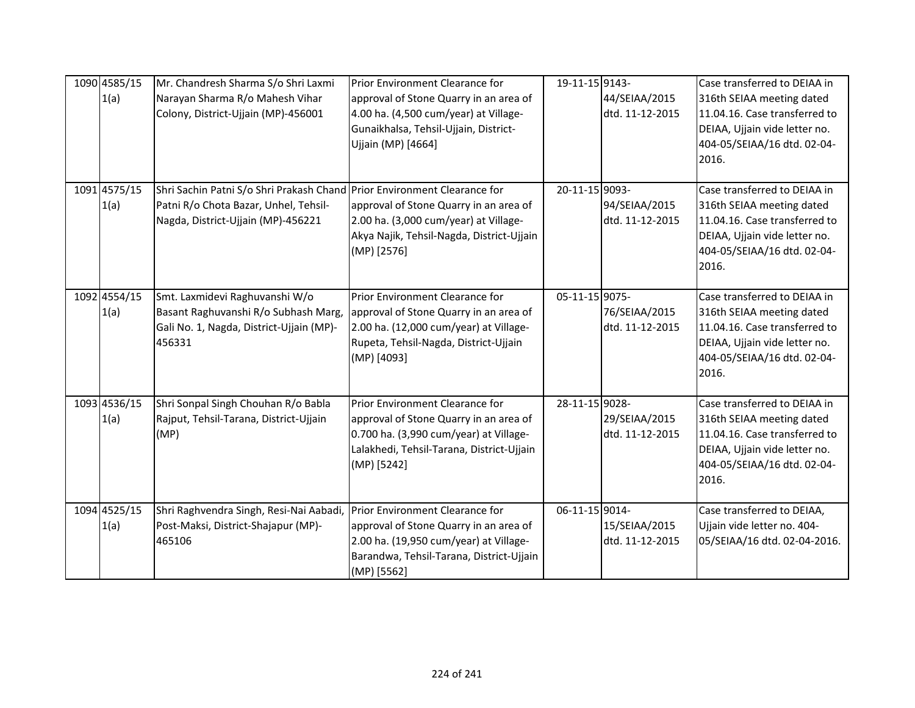| 1090 4585/15<br>1(a) | Mr. Chandresh Sharma S/o Shri Laxmi<br>Narayan Sharma R/o Mahesh Vihar<br>Colony, District-Ujjain (MP)-456001                                           | Prior Environment Clearance for<br>approval of Stone Quarry in an area of<br>4.00 ha. (4,500 cum/year) at Village-<br>Gunaikhalsa, Tehsil-Ujjain, District-<br>Ujjain (MP) [4664] | 19-11-15 9143- | 44/SEIAA/2015<br>dtd. 11-12-2015 | Case transferred to DEIAA in<br>316th SEIAA meeting dated<br>11.04.16. Case transferred to<br>DEIAA, Ujjain vide letter no.<br>404-05/SEIAA/16 dtd. 02-04-<br>2016. |
|----------------------|---------------------------------------------------------------------------------------------------------------------------------------------------------|-----------------------------------------------------------------------------------------------------------------------------------------------------------------------------------|----------------|----------------------------------|---------------------------------------------------------------------------------------------------------------------------------------------------------------------|
| 1091 4575/15<br>1(a) | Shri Sachin Patni S/o Shri Prakash Chand Prior Environment Clearance for<br>Patni R/o Chota Bazar, Unhel, Tehsil-<br>Nagda, District-Ujjain (MP)-456221 | approval of Stone Quarry in an area of<br>2.00 ha. (3,000 cum/year) at Village-<br>Akya Najik, Tehsil-Nagda, District-Ujjain<br>(MP) [2576]                                       | 20-11-15 9093- | 94/SEIAA/2015<br>dtd. 11-12-2015 | Case transferred to DEIAA in<br>316th SEIAA meeting dated<br>11.04.16. Case transferred to<br>DEIAA, Ujjain vide letter no.<br>404-05/SEIAA/16 dtd. 02-04-<br>2016. |
| 1092 4554/15<br>1(a) | Smt. Laxmidevi Raghuvanshi W/o<br>Basant Raghuvanshi R/o Subhash Marg,<br>Gali No. 1, Nagda, District-Ujjain (MP)-<br>456331                            | Prior Environment Clearance for<br>approval of Stone Quarry in an area of<br>2.00 ha. (12,000 cum/year) at Village-<br>Rupeta, Tehsil-Nagda, District-Ujjain<br>(MP) [4093]       | 05-11-15 9075- | 76/SEIAA/2015<br>dtd. 11-12-2015 | Case transferred to DEIAA in<br>316th SEIAA meeting dated<br>11.04.16. Case transferred to<br>DEIAA, Ujjain vide letter no.<br>404-05/SEIAA/16 dtd. 02-04-<br>2016. |
| 1093 4536/15<br>1(a) | Shri Sonpal Singh Chouhan R/o Babla<br>Rajput, Tehsil-Tarana, District-Ujjain<br>(MP)                                                                   | Prior Environment Clearance for<br>approval of Stone Quarry in an area of<br>0.700 ha. (3,990 cum/year) at Village-<br>Lalakhedi, Tehsil-Tarana, District-Ujjain<br>(MP) [5242]   | 28-11-15 9028- | 29/SEIAA/2015<br>dtd. 11-12-2015 | Case transferred to DEIAA in<br>316th SEIAA meeting dated<br>11.04.16. Case transferred to<br>DEIAA, Ujjain vide letter no.<br>404-05/SEIAA/16 dtd. 02-04-<br>2016. |
| 1094 4525/15<br>1(a) | Shri Raghvendra Singh, Resi-Nai Aabadi, Prior Environment Clearance for<br>Post-Maksi, District-Shajapur (MP)-<br>465106                                | approval of Stone Quarry in an area of<br>2.00 ha. (19,950 cum/year) at Village-<br>Barandwa, Tehsil-Tarana, District-Ujjain<br>(MP) [5562]                                       | 06-11-15 9014- | 15/SEIAA/2015<br>dtd. 11-12-2015 | Case transferred to DEIAA,<br>Ujjain vide letter no. 404-<br>05/SEIAA/16 dtd. 02-04-2016.                                                                           |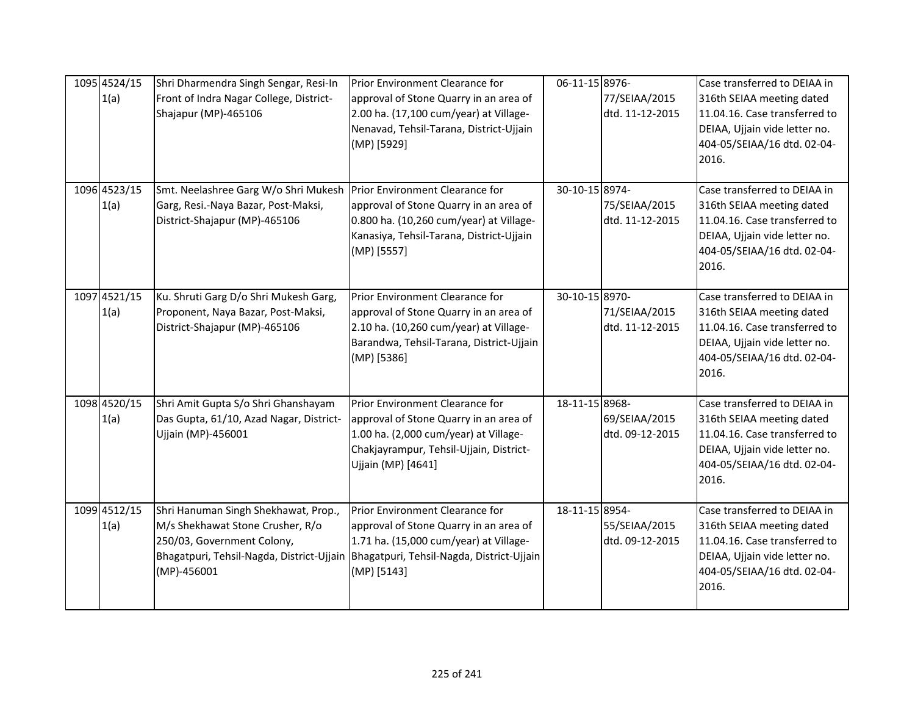| 1095 4524/15<br>1(a) | Shri Dharmendra Singh Sengar, Resi-In<br>Front of Indra Nagar College, District-<br>Shajapur (MP)-465106                                                           | Prior Environment Clearance for<br>approval of Stone Quarry in an area of<br>2.00 ha. (17,100 cum/year) at Village-<br>Nenavad, Tehsil-Tarana, District-Ujjain<br>(MP) [5929]       | 06-11-15 8976- | 77/SEIAA/2015<br>dtd. 11-12-2015 | Case transferred to DEIAA in<br>316th SEIAA meeting dated<br>11.04.16. Case transferred to<br>DEIAA, Ujjain vide letter no.<br>404-05/SEIAA/16 dtd. 02-04-<br>2016. |
|----------------------|--------------------------------------------------------------------------------------------------------------------------------------------------------------------|-------------------------------------------------------------------------------------------------------------------------------------------------------------------------------------|----------------|----------------------------------|---------------------------------------------------------------------------------------------------------------------------------------------------------------------|
| 1096 4523/15<br>1(a) | Smt. Neelashree Garg W/o Shri Mukesh<br>Garg, Resi.-Naya Bazar, Post-Maksi,<br>District-Shajapur (MP)-465106                                                       | Prior Environment Clearance for<br>approval of Stone Quarry in an area of<br>0.800 ha. (10,260 cum/year) at Village-<br>Kanasiya, Tehsil-Tarana, District-Ujjain<br>(MP) [5557]     | 30-10-15 8974- | 75/SEIAA/2015<br>dtd. 11-12-2015 | Case transferred to DEIAA in<br>316th SEIAA meeting dated<br>11.04.16. Case transferred to<br>DEIAA, Ujjain vide letter no.<br>404-05/SEIAA/16 dtd. 02-04-<br>2016. |
| 1097 4521/15<br>1(a) | Ku. Shruti Garg D/o Shri Mukesh Garg,<br>Proponent, Naya Bazar, Post-Maksi,<br>District-Shajapur (MP)-465106                                                       | Prior Environment Clearance for<br>approval of Stone Quarry in an area of<br>2.10 ha. (10,260 cum/year) at Village-<br>Barandwa, Tehsil-Tarana, District-Ujjain<br>(MP) [5386]      | 30-10-15 8970- | 71/SEIAA/2015<br>dtd. 11-12-2015 | Case transferred to DEIAA in<br>316th SEIAA meeting dated<br>11.04.16. Case transferred to<br>DEIAA, Ujjain vide letter no.<br>404-05/SEIAA/16 dtd. 02-04-<br>2016. |
| 1098 4520/15<br>1(a) | Shri Amit Gupta S/o Shri Ghanshayam<br>Das Gupta, 61/10, Azad Nagar, District-<br>Ujjain (MP)-456001                                                               | Prior Environment Clearance for<br>approval of Stone Quarry in an area of<br>1.00 ha. (2,000 cum/year) at Village-<br>Chakjayrampur, Tehsil-Ujjain, District-<br>Ujjain (MP) [4641] | 18-11-15 8968- | 69/SEIAA/2015<br>dtd. 09-12-2015 | Case transferred to DEIAA in<br>316th SEIAA meeting dated<br>11.04.16. Case transferred to<br>DEIAA, Ujjain vide letter no.<br>404-05/SEIAA/16 dtd. 02-04-<br>2016. |
| 1099 4512/15<br>1(a) | Shri Hanuman Singh Shekhawat, Prop.,<br>M/s Shekhawat Stone Crusher, R/o<br>250/03, Government Colony,<br>Bhagatpuri, Tehsil-Nagda, District-Ujjain<br>(MP)-456001 | Prior Environment Clearance for<br>approval of Stone Quarry in an area of<br>1.71 ha. (15,000 cum/year) at Village-<br>Bhagatpuri, Tehsil-Nagda, District-Ujjain<br>(MP) [5143]     | 18-11-15 8954- | 55/SEIAA/2015<br>dtd. 09-12-2015 | Case transferred to DEIAA in<br>316th SEIAA meeting dated<br>11.04.16. Case transferred to<br>DEIAA, Ujjain vide letter no.<br>404-05/SEIAA/16 dtd. 02-04-<br>2016. |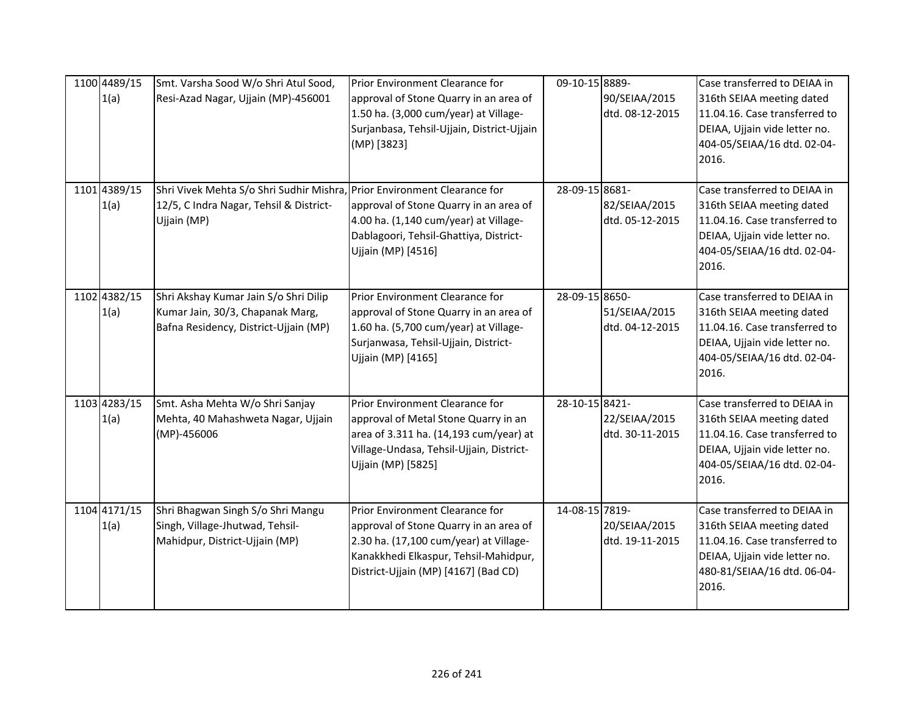| 1100 4489/15<br>1(a) | Smt. Varsha Sood W/o Shri Atul Sood,<br>Resi-Azad Nagar, Ujjain (MP)-456001                                                        | Prior Environment Clearance for<br>approval of Stone Quarry in an area of<br>1.50 ha. (3,000 cum/year) at Village-<br>Surjanbasa, Tehsil-Ujjain, District-Ujjain<br>(MP) [3823]                      | 09-10-15 8889- | 90/SEIAA/2015<br>dtd. 08-12-2015 | Case transferred to DEIAA in<br>316th SEIAA meeting dated<br>11.04.16. Case transferred to<br>DEIAA, Ujjain vide letter no.<br>404-05/SEIAA/16 dtd. 02-04-<br>2016. |
|----------------------|------------------------------------------------------------------------------------------------------------------------------------|------------------------------------------------------------------------------------------------------------------------------------------------------------------------------------------------------|----------------|----------------------------------|---------------------------------------------------------------------------------------------------------------------------------------------------------------------|
| 1101 4389/15<br>1(a) | Shri Vivek Mehta S/o Shri Sudhir Mishra, Prior Environment Clearance for<br>12/5, C Indra Nagar, Tehsil & District-<br>Ujjain (MP) | approval of Stone Quarry in an area of<br>4.00 ha. (1,140 cum/year) at Village-<br>Dablagoori, Tehsil-Ghattiya, District-<br>Ujjain (MP) [4516]                                                      | 28-09-15 8681- | 82/SEIAA/2015<br>dtd. 05-12-2015 | Case transferred to DEIAA in<br>316th SEIAA meeting dated<br>11.04.16. Case transferred to<br>DEIAA, Ujjain vide letter no.<br>404-05/SEIAA/16 dtd. 02-04-<br>2016. |
| 1102 4382/15<br>1(a) | Shri Akshay Kumar Jain S/o Shri Dilip<br>Kumar Jain, 30/3, Chapanak Marg,<br>Bafna Residency, District-Ujjain (MP)                 | Prior Environment Clearance for<br>approval of Stone Quarry in an area of<br>1.60 ha. (5,700 cum/year) at Village-<br>Surjanwasa, Tehsil-Ujjain, District-<br>Ujjain (MP) [4165]                     | 28-09-15 8650- | 51/SEIAA/2015<br>dtd. 04-12-2015 | Case transferred to DEIAA in<br>316th SEIAA meeting dated<br>11.04.16. Case transferred to<br>DEIAA, Ujjain vide letter no.<br>404-05/SEIAA/16 dtd. 02-04-<br>2016. |
| 1103 4283/15<br>1(a) | Smt. Asha Mehta W/o Shri Sanjay<br>Mehta, 40 Mahashweta Nagar, Ujjain<br>(MP)-456006                                               | Prior Environment Clearance for<br>approval of Metal Stone Quarry in an<br>area of 3.311 ha. (14,193 cum/year) at<br>Village-Undasa, Tehsil-Ujjain, District-<br>Ujjain (MP) [5825]                  | 28-10-15 8421- | 22/SEIAA/2015<br>dtd. 30-11-2015 | Case transferred to DEIAA in<br>316th SEIAA meeting dated<br>11.04.16. Case transferred to<br>DEIAA, Ujjain vide letter no.<br>404-05/SEIAA/16 dtd. 02-04-<br>2016. |
| 1104 4171/15<br>1(a) | Shri Bhagwan Singh S/o Shri Mangu<br>Singh, Village-Jhutwad, Tehsil-<br>Mahidpur, District-Ujjain (MP)                             | Prior Environment Clearance for<br>approval of Stone Quarry in an area of<br>2.30 ha. (17,100 cum/year) at Village-<br>Kanakkhedi Elkaspur, Tehsil-Mahidpur,<br>District-Ujjain (MP) [4167] (Bad CD) | 14-08-15 7819- | 20/SEIAA/2015<br>dtd. 19-11-2015 | Case transferred to DEIAA in<br>316th SEIAA meeting dated<br>11.04.16. Case transferred to<br>DEIAA, Ujjain vide letter no.<br>480-81/SEIAA/16 dtd. 06-04-<br>2016. |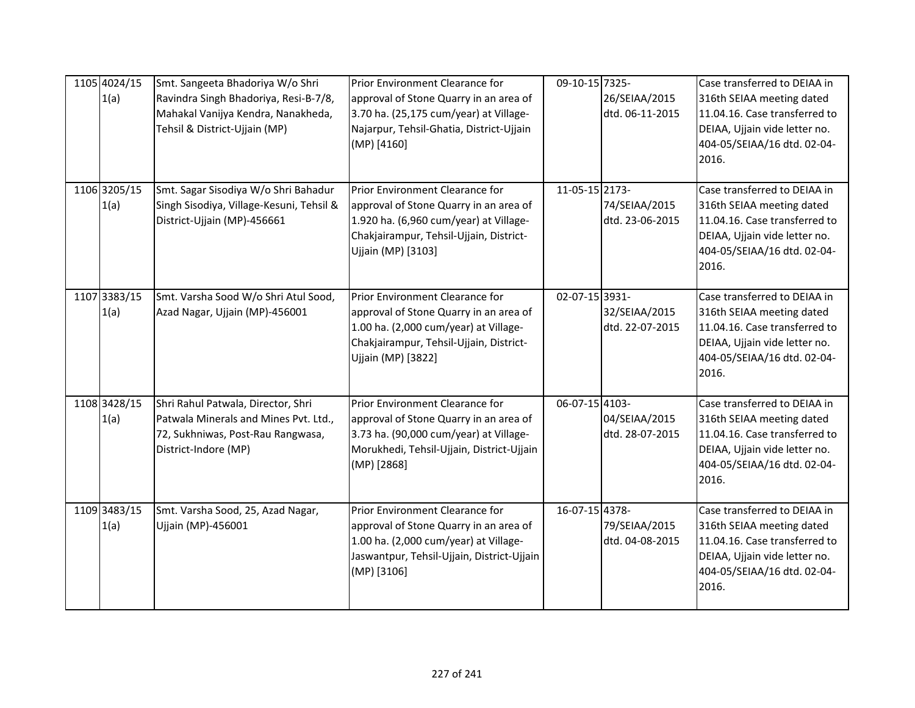| 1105 4024/15<br>1(a) | Smt. Sangeeta Bhadoriya W/o Shri<br>Ravindra Singh Bhadoriya, Resi-B-7/8,<br>Mahakal Vanijya Kendra, Nanakheda,<br>Tehsil & District-Ujjain (MP) | Prior Environment Clearance for<br>approval of Stone Quarry in an area of<br>3.70 ha. (25,175 cum/year) at Village-<br>Najarpur, Tehsil-Ghatia, District-Ujjain<br>(MP) [4160]       | 09-10-15 7325- | 26/SEIAA/2015<br>dtd. 06-11-2015 | Case transferred to DEIAA in<br>316th SEIAA meeting dated<br>11.04.16. Case transferred to<br>DEIAA, Ujjain vide letter no.<br>404-05/SEIAA/16 dtd. 02-04-<br>2016. |
|----------------------|--------------------------------------------------------------------------------------------------------------------------------------------------|--------------------------------------------------------------------------------------------------------------------------------------------------------------------------------------|----------------|----------------------------------|---------------------------------------------------------------------------------------------------------------------------------------------------------------------|
| 1106 3205/15<br>1(a) | Smt. Sagar Sisodiya W/o Shri Bahadur<br>Singh Sisodiya, Village-Kesuni, Tehsil &<br>District-Ujjain (MP)-456661                                  | Prior Environment Clearance for<br>approval of Stone Quarry in an area of<br>1.920 ha. (6,960 cum/year) at Village-<br>Chakjairampur, Tehsil-Ujjain, District-<br>Ujjain (MP) [3103] | 11-05-15 2173- | 74/SEIAA/2015<br>dtd. 23-06-2015 | Case transferred to DEIAA in<br>316th SEIAA meeting dated<br>11.04.16. Case transferred to<br>DEIAA, Ujjain vide letter no.<br>404-05/SEIAA/16 dtd. 02-04-<br>2016. |
| 1107 3383/15<br>1(a) | Smt. Varsha Sood W/o Shri Atul Sood,<br>Azad Nagar, Ujjain (MP)-456001                                                                           | Prior Environment Clearance for<br>approval of Stone Quarry in an area of<br>1.00 ha. (2,000 cum/year) at Village-<br>Chakjairampur, Tehsil-Ujjain, District-<br>Ujjain (MP) [3822]  | 02-07-15 3931- | 32/SEIAA/2015<br>dtd. 22-07-2015 | Case transferred to DEIAA in<br>316th SEIAA meeting dated<br>11.04.16. Case transferred to<br>DEIAA, Ujjain vide letter no.<br>404-05/SEIAA/16 dtd. 02-04-<br>2016. |
| 1108 3428/15<br>1(a) | Shri Rahul Patwala, Director, Shri<br>Patwala Minerals and Mines Pvt. Ltd.,<br>72, Sukhniwas, Post-Rau Rangwasa,<br>District-Indore (MP)         | Prior Environment Clearance for<br>approval of Stone Quarry in an area of<br>3.73 ha. (90,000 cum/year) at Village-<br>Morukhedi, Tehsil-Ujjain, District-Ujjain<br>(MP) [2868]      | 06-07-15 4103- | 04/SEIAA/2015<br>dtd. 28-07-2015 | Case transferred to DEIAA in<br>316th SEIAA meeting dated<br>11.04.16. Case transferred to<br>DEIAA, Ujjain vide letter no.<br>404-05/SEIAA/16 dtd. 02-04-<br>2016. |
| 1109 3483/15<br>1(a) | Smt. Varsha Sood, 25, Azad Nagar,<br>Ujjain (MP)-456001                                                                                          | Prior Environment Clearance for<br>approval of Stone Quarry in an area of<br>1.00 ha. (2,000 cum/year) at Village-<br>Jaswantpur, Tehsil-Ujjain, District-Ujjain<br>(MP) [3106]      | 16-07-15 4378- | 79/SEIAA/2015<br>dtd. 04-08-2015 | Case transferred to DEIAA in<br>316th SEIAA meeting dated<br>11.04.16. Case transferred to<br>DEIAA, Ujjain vide letter no.<br>404-05/SEIAA/16 dtd. 02-04-<br>2016. |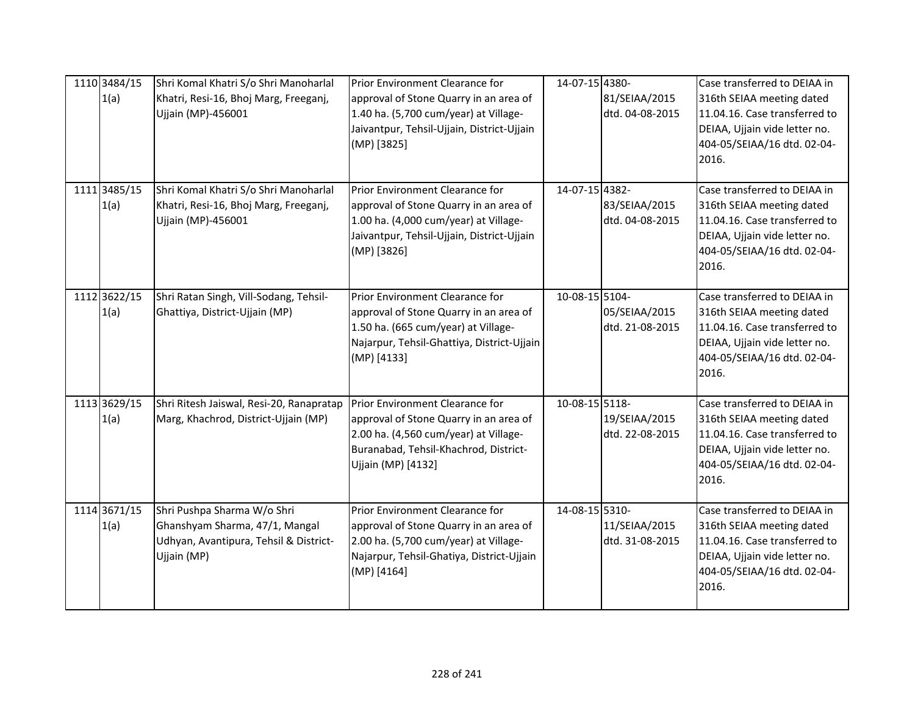| 1110 3484/15<br>1(a) | Shri Komal Khatri S/o Shri Manoharlal<br>Khatri, Resi-16, Bhoj Marg, Freeganj,<br>Ujjain (MP)-456001                   | Prior Environment Clearance for<br>approval of Stone Quarry in an area of<br>1.40 ha. (5,700 cum/year) at Village-<br>Jaivantpur, Tehsil-Ujjain, District-Ujjain<br>(MP) [3825]   | 14-07-15 4380- | 81/SEIAA/2015<br>dtd. 04-08-2015 | Case transferred to DEIAA in<br>316th SEIAA meeting dated<br>11.04.16. Case transferred to<br>DEIAA, Ujjain vide letter no.<br>404-05/SEIAA/16 dtd. 02-04-<br>2016. |
|----------------------|------------------------------------------------------------------------------------------------------------------------|-----------------------------------------------------------------------------------------------------------------------------------------------------------------------------------|----------------|----------------------------------|---------------------------------------------------------------------------------------------------------------------------------------------------------------------|
| 1111 3485/15<br>1(a) | Shri Komal Khatri S/o Shri Manoharlal<br>Khatri, Resi-16, Bhoj Marg, Freeganj,<br>Ujjain (MP)-456001                   | Prior Environment Clearance for<br>approval of Stone Quarry in an area of<br>1.00 ha. (4,000 cum/year) at Village-<br>Jaivantpur, Tehsil-Ujjain, District-Ujjain<br>(MP) [3826]   | 14-07-15 4382- | 83/SEIAA/2015<br>dtd. 04-08-2015 | Case transferred to DEIAA in<br>316th SEIAA meeting dated<br>11.04.16. Case transferred to<br>DEIAA, Ujjain vide letter no.<br>404-05/SEIAA/16 dtd. 02-04-<br>2016. |
| 1112 3622/15<br>1(a) | Shri Ratan Singh, Vill-Sodang, Tehsil-<br>Ghattiya, District-Ujjain (MP)                                               | Prior Environment Clearance for<br>approval of Stone Quarry in an area of<br>1.50 ha. (665 cum/year) at Village-<br>Najarpur, Tehsil-Ghattiya, District-Ujjain<br>(MP) [4133]     | 10-08-15 5104- | 05/SEIAA/2015<br>dtd. 21-08-2015 | Case transferred to DEIAA in<br>316th SEIAA meeting dated<br>11.04.16. Case transferred to<br>DEIAA, Ujjain vide letter no.<br>404-05/SEIAA/16 dtd. 02-04-<br>2016. |
| 1113 3629/15<br>1(a) | Shri Ritesh Jaiswal, Resi-20, Ranapratap<br>Marg, Khachrod, District-Ujjain (MP)                                       | Prior Environment Clearance for<br>approval of Stone Quarry in an area of<br>2.00 ha. (4,560 cum/year) at Village-<br>Buranabad, Tehsil-Khachrod, District-<br>Ujjain (MP) [4132] | 10-08-15 5118- | 19/SEIAA/2015<br>dtd. 22-08-2015 | Case transferred to DEIAA in<br>316th SEIAA meeting dated<br>11.04.16. Case transferred to<br>DEIAA, Ujjain vide letter no.<br>404-05/SEIAA/16 dtd. 02-04-<br>2016. |
| 1114 3671/15<br>1(a) | Shri Pushpa Sharma W/o Shri<br>Ghanshyam Sharma, 47/1, Mangal<br>Udhyan, Avantipura, Tehsil & District-<br>Ujjain (MP) | Prior Environment Clearance for<br>approval of Stone Quarry in an area of<br>2.00 ha. (5,700 cum/year) at Village-<br>Najarpur, Tehsil-Ghatiya, District-Ujjain<br>(MP) [4164]    | 14-08-15 5310- | 11/SEIAA/2015<br>dtd. 31-08-2015 | Case transferred to DEIAA in<br>316th SEIAA meeting dated<br>11.04.16. Case transferred to<br>DEIAA, Ujjain vide letter no.<br>404-05/SEIAA/16 dtd. 02-04-<br>2016. |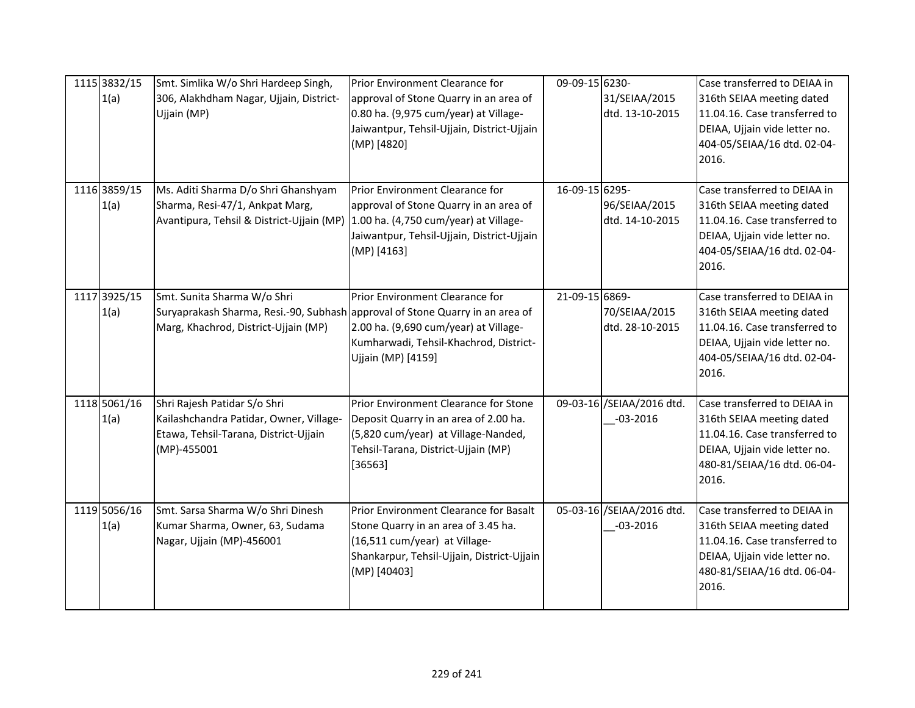| 1115 3832/15<br>1(a) | Smt. Simlika W/o Shri Hardeep Singh,<br>306, Alakhdham Nagar, Ujjain, District-<br>Ujjain (MP)                                                       | Prior Environment Clearance for<br>approval of Stone Quarry in an area of<br>0.80 ha. (9,975 cum/year) at Village-<br>Jaiwantpur, Tehsil-Ujjain, District-Ujjain<br>(MP) [4820] | 09-09-15 6230- | 31/SEIAA/2015<br>dtd. 13-10-2015          | Case transferred to DEIAA in<br>316th SEIAA meeting dated<br>11.04.16. Case transferred to<br>DEIAA, Ujjain vide letter no.<br>404-05/SEIAA/16 dtd. 02-04-<br>2016. |
|----------------------|------------------------------------------------------------------------------------------------------------------------------------------------------|---------------------------------------------------------------------------------------------------------------------------------------------------------------------------------|----------------|-------------------------------------------|---------------------------------------------------------------------------------------------------------------------------------------------------------------------|
| 1116 3859/15<br>1(a) | Ms. Aditi Sharma D/o Shri Ghanshyam<br>Sharma, Resi-47/1, Ankpat Marg,<br>Avantipura, Tehsil & District-Ujjain (MP)                                  | Prior Environment Clearance for<br>approval of Stone Quarry in an area of<br>1.00 ha. (4,750 cum/year) at Village-<br>Jaiwantpur, Tehsil-Ujjain, District-Ujjain<br>(MP) [4163] | 16-09-15 6295- | 96/SEIAA/2015<br>dtd. 14-10-2015          | Case transferred to DEIAA in<br>316th SEIAA meeting dated<br>11.04.16. Case transferred to<br>DEIAA, Ujjain vide letter no.<br>404-05/SEIAA/16 dtd. 02-04-<br>2016. |
| 1117 3925/15<br>1(a) | Smt. Sunita Sharma W/o Shri<br>Suryaprakash Sharma, Resi.-90, Subhash approval of Stone Quarry in an area of<br>Marg, Khachrod, District-Ujjain (MP) | Prior Environment Clearance for<br>2.00 ha. (9,690 cum/year) at Village-<br>Kumharwadi, Tehsil-Khachrod, District-<br>Ujjain (MP) [4159]                                        | 21-09-15 6869- | 70/SEIAA/2015<br>dtd. 28-10-2015          | Case transferred to DEIAA in<br>316th SEIAA meeting dated<br>11.04.16. Case transferred to<br>DEIAA, Ujjain vide letter no.<br>404-05/SEIAA/16 dtd. 02-04-<br>2016. |
| 1118 5061/16<br>1(a) | Shri Rajesh Patidar S/o Shri<br>Kailashchandra Patidar, Owner, Village-<br>Etawa, Tehsil-Tarana, District-Ujjain<br>(MP)-455001                      | Prior Environment Clearance for Stone<br>Deposit Quarry in an area of 2.00 ha.<br>(5,820 cum/year) at Village-Nanded,<br>Tehsil-Tarana, District-Ujjain (MP)<br>[36563]         |                | 09-03-16 /SEIAA/2016 dtd.<br>$-03 - 2016$ | Case transferred to DEIAA in<br>316th SEIAA meeting dated<br>11.04.16. Case transferred to<br>DEIAA, Ujjain vide letter no.<br>480-81/SEIAA/16 dtd. 06-04-<br>2016. |
| 1119 5056/16<br>1(a) | Smt. Sarsa Sharma W/o Shri Dinesh<br>Kumar Sharma, Owner, 63, Sudama<br>Nagar, Ujjain (MP)-456001                                                    | Prior Environment Clearance for Basalt<br>Stone Quarry in an area of 3.45 ha.<br>(16,511 cum/year) at Village-<br>Shankarpur, Tehsil-Ujjain, District-Ujjain<br>(MP) [40403]    |                | 05-03-16 /SEIAA/2016 dtd.<br>$-03 - 2016$ | Case transferred to DEIAA in<br>316th SEIAA meeting dated<br>11.04.16. Case transferred to<br>DEIAA, Ujjain vide letter no.<br>480-81/SEIAA/16 dtd. 06-04-<br>2016. |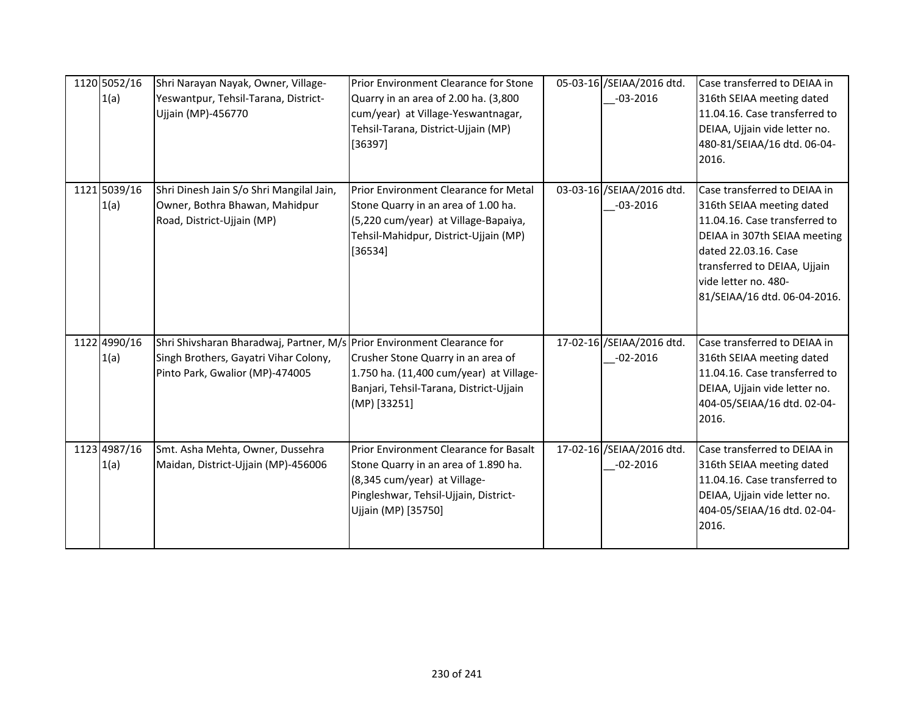| 1120 5052/16<br>1(a) | Shri Narayan Nayak, Owner, Village-<br>Yeswantpur, Tehsil-Tarana, District-<br>Ujjain (MP)-456770                                                   | Prior Environment Clearance for Stone<br>Quarry in an area of 2.00 ha. (3,800<br>cum/year) at Village-Yeswantnagar,<br>Tehsil-Tarana, District-Ujjain (MP)<br>[36397]          | 05-03-16 /SEIAA/2016 dtd.<br>$-03 - 2016$  | Case transferred to DEIAA in<br>316th SEIAA meeting dated<br>11.04.16. Case transferred to<br>DEIAA, Ujjain vide letter no.<br>480-81/SEIAA/16 dtd. 06-04-<br>2016.                                                                        |
|----------------------|-----------------------------------------------------------------------------------------------------------------------------------------------------|--------------------------------------------------------------------------------------------------------------------------------------------------------------------------------|--------------------------------------------|--------------------------------------------------------------------------------------------------------------------------------------------------------------------------------------------------------------------------------------------|
| 1121 5039/16<br>1(a) | Shri Dinesh Jain S/o Shri Mangilal Jain,<br>Owner, Bothra Bhawan, Mahidpur<br>Road, District-Ujjain (MP)                                            | Prior Environment Clearance for Metal<br>Stone Quarry in an area of 1.00 ha.<br>(5,220 cum/year) at Village-Bapaiya,<br>Tehsil-Mahidpur, District-Ujjain (MP)<br>[36534]       | 03-03-16 /SEIAA/2016 dtd.<br>$-03 - 2016$  | Case transferred to DEIAA in<br>316th SEIAA meeting dated<br>11.04.16. Case transferred to<br>DEIAA in 307th SEIAA meeting<br>dated 22.03.16. Case<br>transferred to DEIAA, Ujjain<br>vide letter no. 480-<br>81/SEIAA/16 dtd. 06-04-2016. |
| 1122 4990/16<br>1(a) | Shri Shivsharan Bharadwaj, Partner, M/s Prior Environment Clearance for<br>Singh Brothers, Gayatri Vihar Colony,<br>Pinto Park, Gwalior (MP)-474005 | Crusher Stone Quarry in an area of<br>1.750 ha. (11,400 cum/year) at Village-<br>Banjari, Tehsil-Tarana, District-Ujjain<br>(MP) [33251]                                       | 17-02-16 / SEIAA/2016 dtd.<br>$-02 - 2016$ | Case transferred to DEIAA in<br>316th SEIAA meeting dated<br>11.04.16. Case transferred to<br>DEIAA, Ujjain vide letter no.<br>404-05/SEIAA/16 dtd. 02-04-<br>2016.                                                                        |
| 1123 4987/16<br>1(a) | Smt. Asha Mehta, Owner, Dussehra<br>Maidan, District-Ujjain (MP)-456006                                                                             | Prior Environment Clearance for Basalt<br>Stone Quarry in an area of 1.890 ha.<br>(8,345 cum/year) at Village-<br>Pingleshwar, Tehsil-Ujjain, District-<br>Ujjain (MP) [35750] | 17-02-16 /SEIAA/2016 dtd.<br>$-02 - 2016$  | Case transferred to DEIAA in<br>316th SEIAA meeting dated<br>11.04.16. Case transferred to<br>DEIAA, Ujjain vide letter no.<br>404-05/SEIAA/16 dtd. 02-04-<br>2016.                                                                        |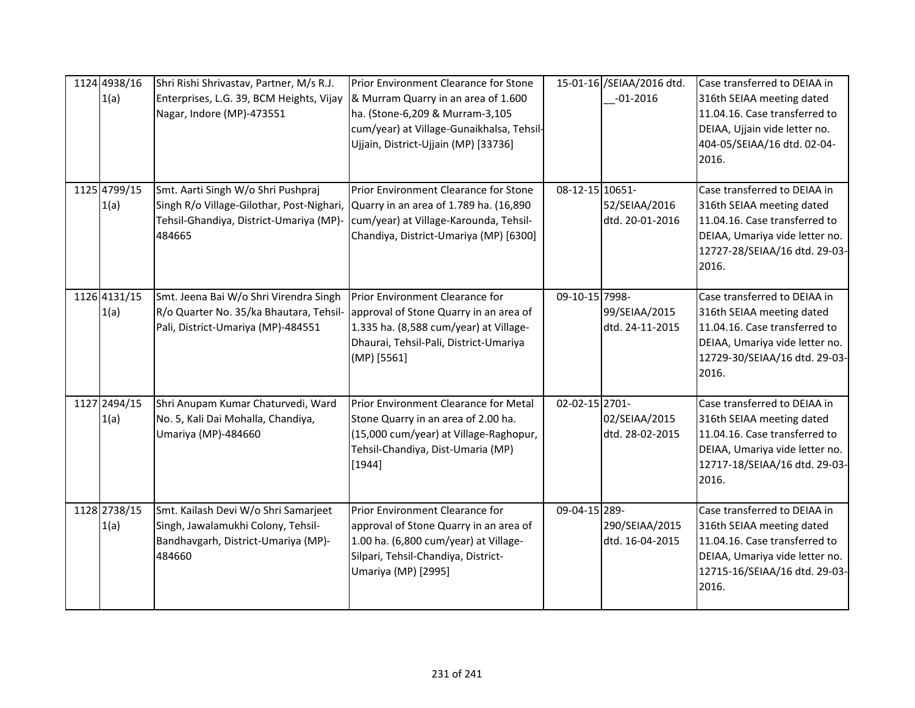| 1124 4938/16<br>1(a) | Shri Rishi Shrivastav, Partner, M/s R.J.<br>Enterprises, L.G. 39, BCM Heights, Vijay<br>Nagar, Indore (MP)-473551                    | Prior Environment Clearance for Stone<br>& Murram Quarry in an area of 1.600<br>ha. (Stone-6,209 & Murram-3,105<br>cum/year) at Village-Gunaikhalsa, Tehsil-<br>Ujjain, District-Ujjain (MP) [33736] |                 | 15-01-16 /SEIAA/2016 dtd.<br>$-01 - 2016$ | Case transferred to DEIAA in<br>316th SEIAA meeting dated<br>11.04.16. Case transferred to<br>DEIAA, Ujjain vide letter no.<br>404-05/SEIAA/16 dtd. 02-04-<br>2016.    |
|----------------------|--------------------------------------------------------------------------------------------------------------------------------------|------------------------------------------------------------------------------------------------------------------------------------------------------------------------------------------------------|-----------------|-------------------------------------------|------------------------------------------------------------------------------------------------------------------------------------------------------------------------|
| 1125 4799/15<br>1(a) | Smt. Aarti Singh W/o Shri Pushpraj<br>Singh R/o Village-Gilothar, Post-Nighari,<br>Tehsil-Ghandiya, District-Umariya (MP)-<br>484665 | Prior Environment Clearance for Stone<br>Quarry in an area of 1.789 ha. (16,890<br>cum/year) at Village-Karounda, Tehsil-<br>Chandiya, District-Umariya (MP) [6300]                                  | 08-12-15 10651- | 52/SEIAA/2016<br>dtd. 20-01-2016          | Case transferred to DEIAA in<br>316th SEIAA meeting dated<br>11.04.16. Case transferred to<br>DEIAA, Umariya vide letter no.<br>12727-28/SEIAA/16 dtd. 29-03-<br>2016. |
| 1126 4131/15<br>1(a) | Smt. Jeena Bai W/o Shri Virendra Singh<br>R/o Quarter No. 35/ka Bhautara, Tehsil-<br>Pali, District-Umariya (MP)-484551              | Prior Environment Clearance for<br>approval of Stone Quarry in an area of<br>1.335 ha. (8,588 cum/year) at Village-<br>Dhaurai, Tehsil-Pali, District-Umariya<br>(MP) [5561]                         | 09-10-15 7998-  | 99/SEIAA/2015<br>dtd. 24-11-2015          | Case transferred to DEIAA in<br>316th SEIAA meeting dated<br>11.04.16. Case transferred to<br>DEIAA, Umariya vide letter no.<br>12729-30/SEIAA/16 dtd. 29-03-<br>2016. |
| 1127 2494/15<br>1(a) | Shri Anupam Kumar Chaturvedi, Ward<br>No. 5, Kali Dai Mohalla, Chandiya,<br>Umariya (MP)-484660                                      | Prior Environment Clearance for Metal<br>Stone Quarry in an area of 2.00 ha.<br>(15,000 cum/year) at Village-Raghopur,<br>Tehsil-Chandiya, Dist-Umaria (MP)<br>[1944]                                | 02-02-15 2701-  | 02/SEIAA/2015<br>dtd. 28-02-2015          | Case transferred to DEIAA in<br>316th SEIAA meeting dated<br>11.04.16. Case transferred to<br>DEIAA, Umariya vide letter no.<br>12717-18/SEIAA/16 dtd. 29-03-<br>2016. |
| 1128 2738/15<br>1(a) | Smt. Kailash Devi W/o Shri Samarjeet<br>Singh, Jawalamukhi Colony, Tehsil-<br>Bandhavgarh, District-Umariya (MP)-<br>484660          | Prior Environment Clearance for<br>approval of Stone Quarry in an area of<br>1.00 ha. (6,800 cum/year) at Village-<br>Silpari, Tehsil-Chandiya, District-<br>Umariya (MP) [2995]                     | 09-04-15 289-   | 290/SEIAA/2015<br>dtd. 16-04-2015         | Case transferred to DEIAA in<br>316th SEIAA meeting dated<br>11.04.16. Case transferred to<br>DEIAA, Umariya vide letter no.<br>12715-16/SEIAA/16 dtd. 29-03-<br>2016. |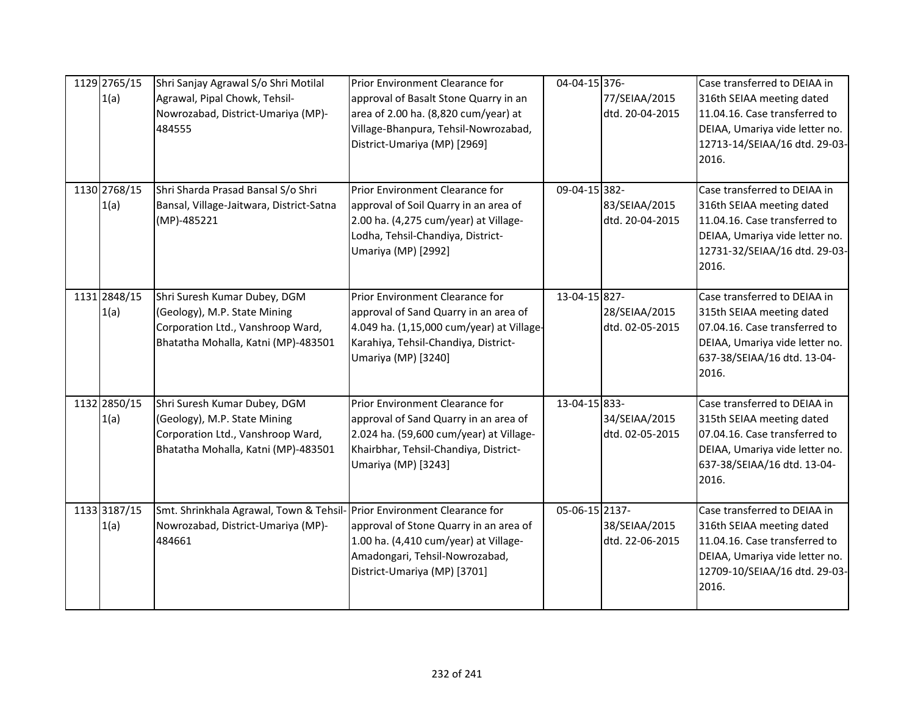| 1129 2765/15<br>1(a) | Shri Sanjay Agrawal S/o Shri Motilal<br>Agrawal, Pipal Chowk, Tehsil-<br>Nowrozabad, District-Umariya (MP)-<br>484555                    | Prior Environment Clearance for<br>approval of Basalt Stone Quarry in an<br>area of 2.00 ha. (8,820 cum/year) at<br>Village-Bhanpura, Tehsil-Nowrozabad,<br>District-Umariya (MP) [2969] | 04-04-15 376-  | 77/SEIAA/2015<br>dtd. 20-04-2015 | Case transferred to DEIAA in<br>316th SEIAA meeting dated<br>11.04.16. Case transferred to<br>DEIAA, Umariya vide letter no.<br>12713-14/SEIAA/16 dtd. 29-03-<br>2016. |
|----------------------|------------------------------------------------------------------------------------------------------------------------------------------|------------------------------------------------------------------------------------------------------------------------------------------------------------------------------------------|----------------|----------------------------------|------------------------------------------------------------------------------------------------------------------------------------------------------------------------|
| 1130 2768/15<br>1(a) | Shri Sharda Prasad Bansal S/o Shri<br>Bansal, Village-Jaitwara, District-Satna<br>(MP)-485221                                            | Prior Environment Clearance for<br>approval of Soil Quarry in an area of<br>2.00 ha. (4,275 cum/year) at Village-<br>Lodha, Tehsil-Chandiya, District-<br>Umariya (MP) [2992]            | 09-04-15 382-  | 83/SEIAA/2015<br>dtd. 20-04-2015 | Case transferred to DEIAA in<br>316th SEIAA meeting dated<br>11.04.16. Case transferred to<br>DEIAA, Umariya vide letter no.<br>12731-32/SEIAA/16 dtd. 29-03-<br>2016. |
| 1131 2848/15<br>1(a) | Shri Suresh Kumar Dubey, DGM<br>(Geology), M.P. State Mining<br>Corporation Ltd., Vanshroop Ward,<br>Bhatatha Mohalla, Katni (MP)-483501 | Prior Environment Clearance for<br>approval of Sand Quarry in an area of<br>4.049 ha. (1,15,000 cum/year) at Village-<br>Karahiya, Tehsil-Chandiya, District-<br>Umariya (MP) [3240]     | 13-04-15 827-  | 28/SEIAA/2015<br>dtd. 02-05-2015 | Case transferred to DEIAA in<br>315th SEIAA meeting dated<br>07.04.16. Case transferred to<br>DEIAA, Umariya vide letter no.<br>637-38/SEIAA/16 dtd. 13-04-<br>2016.   |
| 1132 2850/15<br>1(a) | Shri Suresh Kumar Dubey, DGM<br>(Geology), M.P. State Mining<br>Corporation Ltd., Vanshroop Ward,<br>Bhatatha Mohalla, Katni (MP)-483501 | Prior Environment Clearance for<br>approval of Sand Quarry in an area of<br>2.024 ha. (59,600 cum/year) at Village-<br>Khairbhar, Tehsil-Chandiya, District-<br>Umariya (MP) [3243]      | 13-04-15 833-  | 34/SEIAA/2015<br>dtd. 02-05-2015 | Case transferred to DEIAA in<br>315th SEIAA meeting dated<br>07.04.16. Case transferred to<br>DEIAA, Umariya vide letter no.<br>637-38/SEIAA/16 dtd. 13-04-<br>2016.   |
| 1133 3187/15<br>1(a) | Smt. Shrinkhala Agrawal, Town & Tehsil- Prior Environment Clearance for<br>Nowrozabad, District-Umariya (MP)-<br>484661                  | approval of Stone Quarry in an area of<br>1.00 ha. (4,410 cum/year) at Village-<br>Amadongari, Tehsil-Nowrozabad,<br>District-Umariya (MP) [3701]                                        | 05-06-15 2137- | 38/SEIAA/2015<br>dtd. 22-06-2015 | Case transferred to DEIAA in<br>316th SEIAA meeting dated<br>11.04.16. Case transferred to<br>DEIAA, Umariya vide letter no.<br>12709-10/SEIAA/16 dtd. 29-03-<br>2016. |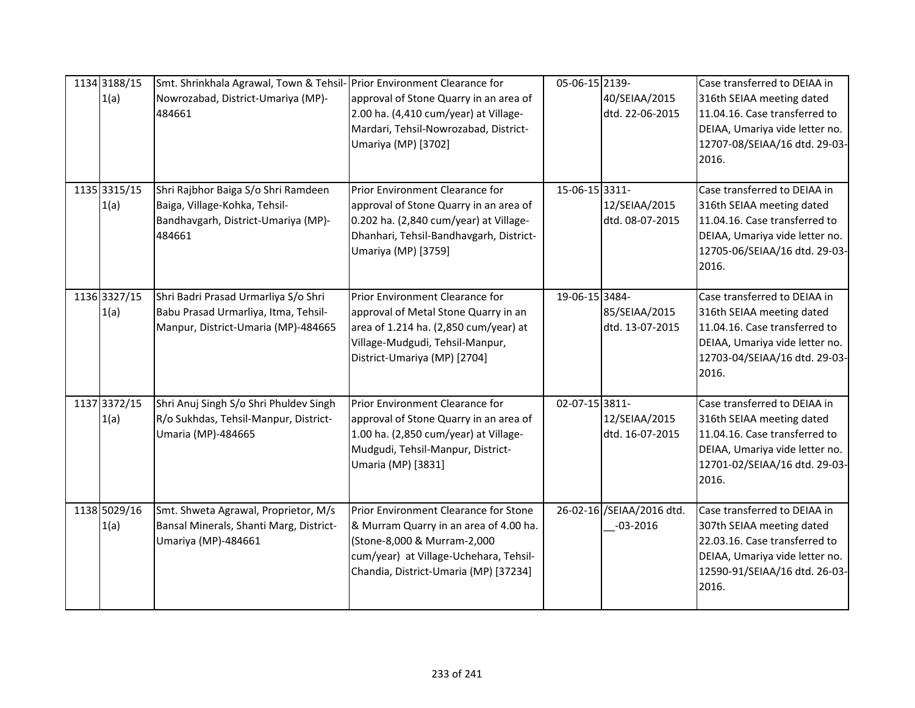| 1134 3188/15<br>1(a) | Smt. Shrinkhala Agrawal, Town & Tehsil- Prior Environment Clearance for<br>Nowrozabad, District-Umariya (MP)-<br>484661 | approval of Stone Quarry in an area of<br>2.00 ha. (4,410 cum/year) at Village-<br>Mardari, Tehsil-Nowrozabad, District-<br>Umariya (MP) [3702]                                                   | 05-06-15 2139- | 40/SEIAA/2015<br>dtd. 22-06-2015          | Case transferred to DEIAA in<br>316th SEIAA meeting dated<br>11.04.16. Case transferred to<br>DEIAA, Umariya vide letter no.<br>12707-08/SEIAA/16 dtd. 29-03-<br>2016. |
|----------------------|-------------------------------------------------------------------------------------------------------------------------|---------------------------------------------------------------------------------------------------------------------------------------------------------------------------------------------------|----------------|-------------------------------------------|------------------------------------------------------------------------------------------------------------------------------------------------------------------------|
| 1135 3315/15<br>1(a) | Shri Rajbhor Baiga S/o Shri Ramdeen<br>Baiga, Village-Kohka, Tehsil-<br>Bandhavgarh, District-Umariya (MP)-<br>484661   | Prior Environment Clearance for<br>approval of Stone Quarry in an area of<br>0.202 ha. (2,840 cum/year) at Village-<br>Dhanhari, Tehsil-Bandhavgarh, District-<br>Umariya (MP) [3759]             | 15-06-15 3311- | 12/SEIAA/2015<br>dtd. 08-07-2015          | Case transferred to DEIAA in<br>316th SEIAA meeting dated<br>11.04.16. Case transferred to<br>DEIAA, Umariya vide letter no.<br>12705-06/SEIAA/16 dtd. 29-03-<br>2016. |
| 1136 3327/15<br>1(a) | Shri Badri Prasad Urmarliya S/o Shri<br>Babu Prasad Urmarliya, Itma, Tehsil-<br>Manpur, District-Umaria (MP)-484665     | Prior Environment Clearance for<br>approval of Metal Stone Quarry in an<br>area of 1.214 ha. (2,850 cum/year) at<br>Village-Mudgudi, Tehsil-Manpur,<br>District-Umariya (MP) [2704]               | 19-06-15 3484- | 85/SEIAA/2015<br>dtd. 13-07-2015          | Case transferred to DEIAA in<br>316th SEIAA meeting dated<br>11.04.16. Case transferred to<br>DEIAA, Umariya vide letter no.<br>12703-04/SEIAA/16 dtd. 29-03-<br>2016. |
| 1137 3372/15<br>1(a) | Shri Anuj Singh S/o Shri Phuldev Singh<br>R/o Sukhdas, Tehsil-Manpur, District-<br>Umaria (MP)-484665                   | Prior Environment Clearance for<br>approval of Stone Quarry in an area of<br>1.00 ha. (2,850 cum/year) at Village-<br>Mudgudi, Tehsil-Manpur, District-<br>Umaria (MP) [3831]                     | 02-07-15 3811- | 12/SEIAA/2015<br>dtd. 16-07-2015          | Case transferred to DEIAA in<br>316th SEIAA meeting dated<br>11.04.16. Case transferred to<br>DEIAA, Umariya vide letter no.<br>12701-02/SEIAA/16 dtd. 29-03-<br>2016. |
| 1138 5029/16<br>1(a) | Smt. Shweta Agrawal, Proprietor, M/s<br>Bansal Minerals, Shanti Marg, District-<br>Umariya (MP)-484661                  | Prior Environment Clearance for Stone<br>& Murram Quarry in an area of 4.00 ha.<br>(Stone-8,000 & Murram-2,000<br>cum/year) at Village-Uchehara, Tehsil-<br>Chandia, District-Umaria (MP) [37234] |                | 26-02-16 /SEIAA/2016 dtd.<br>$-03 - 2016$ | Case transferred to DEIAA in<br>307th SEIAA meeting dated<br>22.03.16. Case transferred to<br>DEIAA, Umariya vide letter no.<br>12590-91/SEIAA/16 dtd. 26-03-<br>2016. |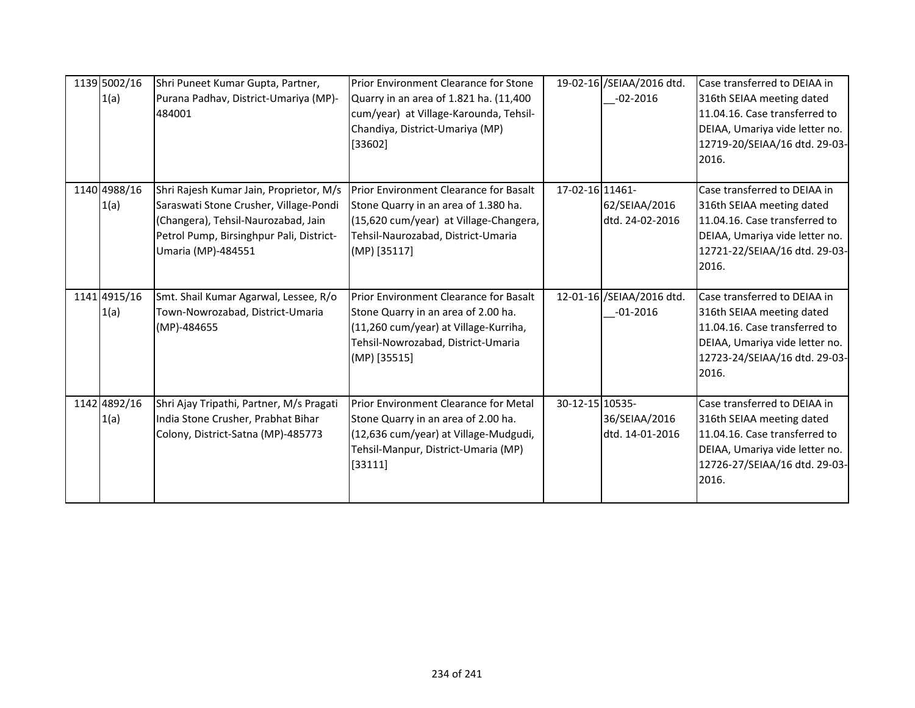| 1139 5002/16<br>1(a) | Shri Puneet Kumar Gupta, Partner,<br>Purana Padhav, District-Umariya (MP)-<br>484001                                                                                                       | Prior Environment Clearance for Stone<br>Quarry in an area of 1.821 ha. (11,400<br>cum/year) at Village-Karounda, Tehsil-<br>Chandiya, District-Umariya (MP)<br>[33602]             |                 | 19-02-16 /SEIAA/2016 dtd.<br>$-02 - 2016$ | Case transferred to DEIAA in<br>316th SEIAA meeting dated<br>11.04.16. Case transferred to<br>DEIAA, Umariya vide letter no.<br>12719-20/SEIAA/16 dtd. 29-03-<br>2016. |
|----------------------|--------------------------------------------------------------------------------------------------------------------------------------------------------------------------------------------|-------------------------------------------------------------------------------------------------------------------------------------------------------------------------------------|-----------------|-------------------------------------------|------------------------------------------------------------------------------------------------------------------------------------------------------------------------|
| 1140 4988/16<br>1(a) | Shri Rajesh Kumar Jain, Proprietor, M/s<br>Saraswati Stone Crusher, Village-Pondi<br>(Changera), Tehsil-Naurozabad, Jain<br>Petrol Pump, Birsinghpur Pali, District-<br>Umaria (MP)-484551 | Prior Environment Clearance for Basalt<br>Stone Quarry in an area of 1.380 ha.<br>(15,620 cum/year) at Village-Changera,<br>Tehsil-Naurozabad, District-Umaria<br>(MP) [35117]      | 17-02-16 11461- | 62/SEIAA/2016<br>dtd. 24-02-2016          | Case transferred to DEIAA in<br>316th SEIAA meeting dated<br>11.04.16. Case transferred to<br>DEIAA, Umariya vide letter no.<br>12721-22/SEIAA/16 dtd. 29-03-<br>2016. |
| 1141 4915/16<br>1(a) | Smt. Shail Kumar Agarwal, Lessee, R/o<br>Town-Nowrozabad, District-Umaria<br>(MP)-484655                                                                                                   | <b>Prior Environment Clearance for Basalt</b><br>Stone Quarry in an area of 2.00 ha.<br>(11,260 cum/year) at Village-Kurriha,<br>Tehsil-Nowrozabad, District-Umaria<br>(MP) [35515] |                 | 12-01-16 /SEIAA/2016 dtd.<br>$-01 - 2016$ | Case transferred to DEIAA in<br>316th SEIAA meeting dated<br>11.04.16. Case transferred to<br>DEIAA, Umariya vide letter no.<br>12723-24/SEIAA/16 dtd. 29-03-<br>2016. |
| 1142 4892/16<br>1(a) | Shri Ajay Tripathi, Partner, M/s Pragati<br>India Stone Crusher, Prabhat Bihar<br>Colony, District-Satna (MP)-485773                                                                       | Prior Environment Clearance for Metal<br>Stone Quarry in an area of 2.00 ha.<br>(12,636 cum/year) at Village-Mudgudi,<br>Tehsil-Manpur, District-Umaria (MP)<br>[33111]             | 30-12-15 10535- | 36/SEIAA/2016<br>dtd. 14-01-2016          | Case transferred to DEIAA in<br>316th SEIAA meeting dated<br>11.04.16. Case transferred to<br>DEIAA, Umariya vide letter no.<br>12726-27/SEIAA/16 dtd. 29-03-<br>2016. |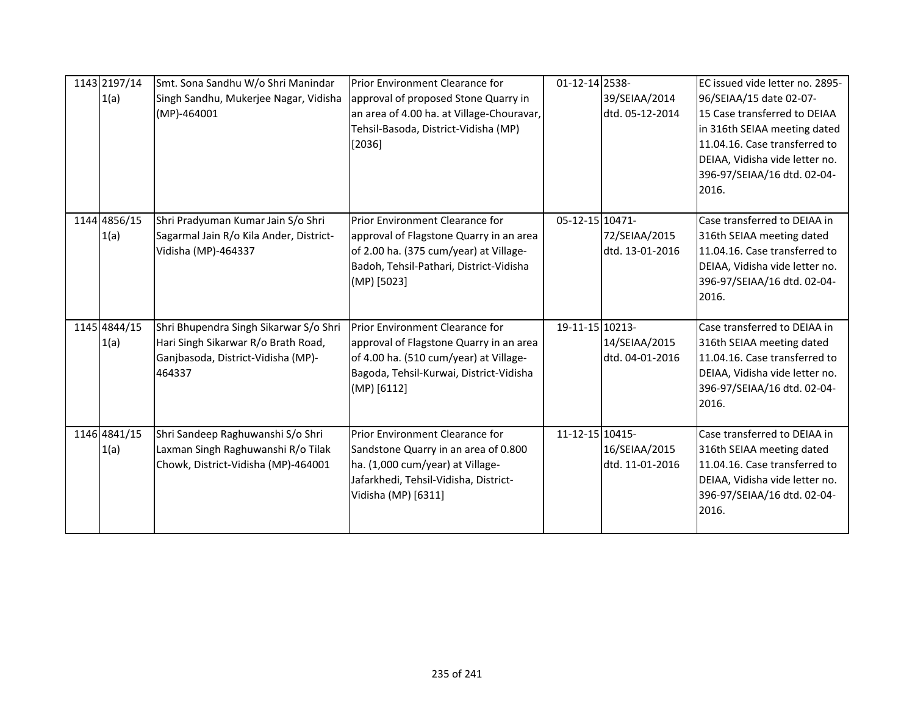| 1143 2197/14<br>1(a) | Smt. Sona Sandhu W/o Shri Manindar<br>Singh Sandhu, Mukerjee Nagar, Vidisha<br>(MP)-464001                                    | Prior Environment Clearance for<br>approval of proposed Stone Quarry in<br>an area of 4.00 ha. at Village-Chouravar,<br>Tehsil-Basoda, District-Vidisha (MP)<br>[2036]         | 01-12-14 2538-  | 39/SEIAA/2014<br>dtd. 05-12-2014 | EC issued vide letter no. 2895-<br>96/SEIAA/15 date 02-07-<br>15 Case transferred to DEIAA<br>in 316th SEIAA meeting dated<br>11.04.16. Case transferred to<br>DEIAA, Vidisha vide letter no.<br>396-97/SEIAA/16 dtd. 02-04-<br>2016. |
|----------------------|-------------------------------------------------------------------------------------------------------------------------------|--------------------------------------------------------------------------------------------------------------------------------------------------------------------------------|-----------------|----------------------------------|---------------------------------------------------------------------------------------------------------------------------------------------------------------------------------------------------------------------------------------|
| 1144 4856/15<br>1(a) | Shri Pradyuman Kumar Jain S/o Shri<br>Sagarmal Jain R/o Kila Ander, District-<br>Vidisha (MP)-464337                          | Prior Environment Clearance for<br>approval of Flagstone Quarry in an area<br>of 2.00 ha. (375 cum/year) at Village-<br>Badoh, Tehsil-Pathari, District-Vidisha<br>(MP) [5023] | 05-12-15 10471- | 72/SEIAA/2015<br>dtd. 13-01-2016 | Case transferred to DEIAA in<br>316th SEIAA meeting dated<br>11.04.16. Case transferred to<br>DEIAA, Vidisha vide letter no.<br>396-97/SEIAA/16 dtd. 02-04-<br>2016.                                                                  |
| 1145 4844/15<br>1(a) | Shri Bhupendra Singh Sikarwar S/o Shri<br>Hari Singh Sikarwar R/o Brath Road,<br>Ganjbasoda, District-Vidisha (MP)-<br>464337 | Prior Environment Clearance for<br>approval of Flagstone Quarry in an area<br>of 4.00 ha. (510 cum/year) at Village-<br>Bagoda, Tehsil-Kurwai, District-Vidisha<br>(MP) [6112] | 19-11-15 10213- | 14/SEIAA/2015<br>dtd. 04-01-2016 | Case transferred to DEIAA in<br>316th SEIAA meeting dated<br>11.04.16. Case transferred to<br>DEIAA, Vidisha vide letter no.<br>396-97/SEIAA/16 dtd. 02-04-<br>2016.                                                                  |
| 1146 4841/15<br>1(a) | Shri Sandeep Raghuwanshi S/o Shri<br>Laxman Singh Raghuwanshi R/o Tilak<br>Chowk, District-Vidisha (MP)-464001                | Prior Environment Clearance for<br>Sandstone Quarry in an area of 0.800<br>ha. (1,000 cum/year) at Village-<br>Jafarkhedi, Tehsil-Vidisha, District-<br>Vidisha (MP) [6311]    | 11-12-15 10415- | 16/SEIAA/2015<br>dtd. 11-01-2016 | Case transferred to DEIAA in<br>316th SEIAA meeting dated<br>11.04.16. Case transferred to<br>DEIAA, Vidisha vide letter no.<br>396-97/SEIAA/16 dtd. 02-04-<br>2016.                                                                  |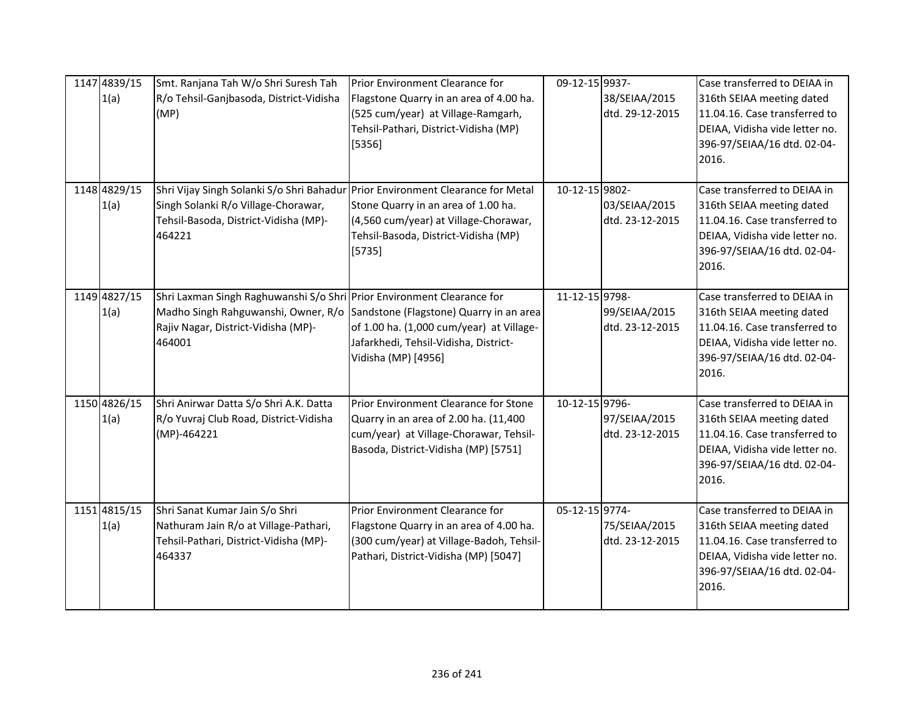| 1147 4839/15<br>1(a) | Smt. Ranjana Tah W/o Shri Suresh Tah<br>R/o Tehsil-Ganjbasoda, District-Vidisha<br>(MP)                                                                        | Prior Environment Clearance for<br>Flagstone Quarry in an area of 4.00 ha.<br>(525 cum/year) at Village-Ramgarh,<br>Tehsil-Pathari, District-Vidisha (MP)<br>[5356]     | 09-12-15 9937- | 38/SEIAA/2015<br>dtd. 29-12-2015 | Case transferred to DEIAA in<br>316th SEIAA meeting dated<br>11.04.16. Case transferred to<br>DEIAA, Vidisha vide letter no.<br>396-97/SEIAA/16 dtd. 02-04-<br>2016. |
|----------------------|----------------------------------------------------------------------------------------------------------------------------------------------------------------|-------------------------------------------------------------------------------------------------------------------------------------------------------------------------|----------------|----------------------------------|----------------------------------------------------------------------------------------------------------------------------------------------------------------------|
| 1148 4829/15<br>1(a) | Shri Vijay Singh Solanki S/o Shri Bahadur<br>Singh Solanki R/o Village-Chorawar,<br>Tehsil-Basoda, District-Vidisha (MP)-<br>464221                            | Prior Environment Clearance for Metal<br>Stone Quarry in an area of 1.00 ha.<br>(4,560 cum/year) at Village-Chorawar,<br>Tehsil-Basoda, District-Vidisha (MP)<br>[5735] | 10-12-15 9802- | 03/SEIAA/2015<br>dtd. 23-12-2015 | Case transferred to DEIAA in<br>316th SEIAA meeting dated<br>11.04.16. Case transferred to<br>DEIAA, Vidisha vide letter no.<br>396-97/SEIAA/16 dtd. 02-04-<br>2016. |
| 1149 4827/15<br>1(a) | Shri Laxman Singh Raghuwanshi S/o Shri Prior Environment Clearance for<br>Madho Singh Rahguwanshi, Owner, R/o<br>Rajiv Nagar, District-Vidisha (MP)-<br>464001 | Sandstone (Flagstone) Quarry in an area<br>of 1.00 ha. (1,000 cum/year) at Village-<br>Jafarkhedi, Tehsil-Vidisha, District-<br>Vidisha (MP) [4956]                     | 11-12-15 9798- | 99/SEIAA/2015<br>dtd. 23-12-2015 | Case transferred to DEIAA in<br>316th SEIAA meeting dated<br>11.04.16. Case transferred to<br>DEIAA, Vidisha vide letter no.<br>396-97/SEIAA/16 dtd. 02-04-<br>2016. |
| 1150 4826/15<br>1(a) | Shri Anirwar Datta S/o Shri A.K. Datta<br>R/o Yuvraj Club Road, District-Vidisha<br>(MP)-464221                                                                | Prior Environment Clearance for Stone<br>Quarry in an area of 2.00 ha. (11,400<br>cum/year) at Village-Chorawar, Tehsil-<br>Basoda, District-Vidisha (MP) [5751]        | 10-12-15 9796- | 97/SEIAA/2015<br>dtd. 23-12-2015 | Case transferred to DEIAA in<br>316th SEIAA meeting dated<br>11.04.16. Case transferred to<br>DEIAA, Vidisha vide letter no.<br>396-97/SEIAA/16 dtd. 02-04-<br>2016. |
| 1151 4815/15<br>1(a) | Shri Sanat Kumar Jain S/o Shri<br>Nathuram Jain R/o at Village-Pathari,<br>Tehsil-Pathari, District-Vidisha (MP)-<br>464337                                    | Prior Environment Clearance for<br>Flagstone Quarry in an area of 4.00 ha.<br>(300 cum/year) at Village-Badoh, Tehsil-<br>Pathari, District-Vidisha (MP) [5047]         | 05-12-15 9774- | 75/SEIAA/2015<br>dtd. 23-12-2015 | Case transferred to DEIAA in<br>316th SEIAA meeting dated<br>11.04.16. Case transferred to<br>DEIAA, Vidisha vide letter no.<br>396-97/SEIAA/16 dtd. 02-04-<br>2016. |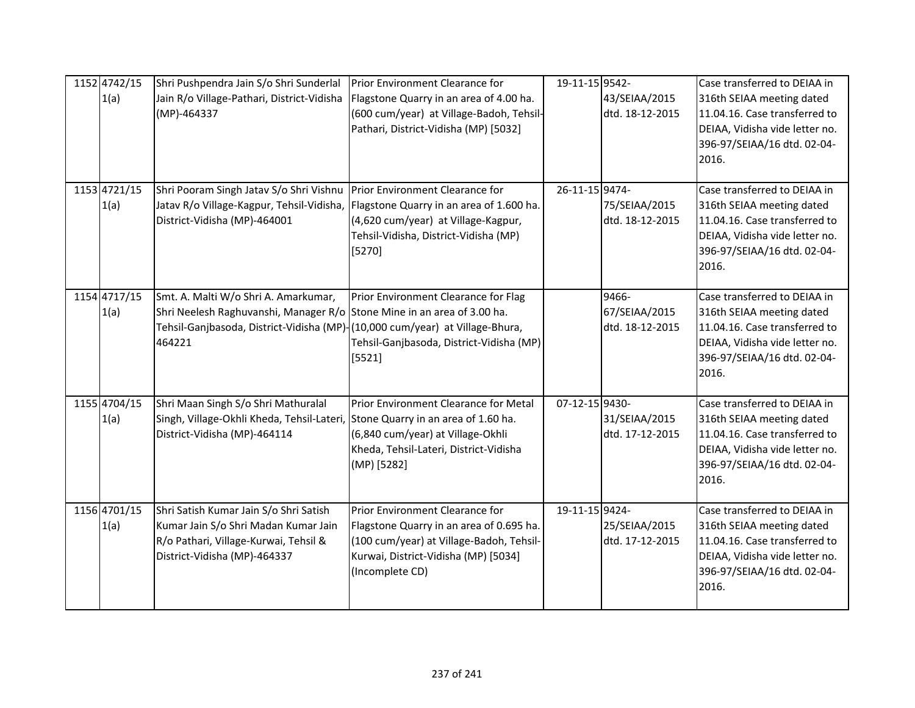| 1152 4742/15<br>1(a) | Shri Pushpendra Jain S/o Shri Sunderlal<br>Jain R/o Village-Pathari, District-Vidisha<br>(MP)-464337                                                                                                      | Prior Environment Clearance for<br>Flagstone Quarry in an area of 4.00 ha.<br>(600 cum/year) at Village-Badoh, Tehsil-<br>Pathari, District-Vidisha (MP) [5032]                                                 | 19-11-15 9542- | 43/SEIAA/2015<br>dtd. 18-12-2015          | Case transferred to DEIAA in<br>316th SEIAA meeting dated<br>11.04.16. Case transferred to<br>DEIAA, Vidisha vide letter no.<br>396-97/SEIAA/16 dtd. 02-04-<br>2016. |
|----------------------|-----------------------------------------------------------------------------------------------------------------------------------------------------------------------------------------------------------|-----------------------------------------------------------------------------------------------------------------------------------------------------------------------------------------------------------------|----------------|-------------------------------------------|----------------------------------------------------------------------------------------------------------------------------------------------------------------------|
| 1153 4721/15<br>1(a) | Shri Pooram Singh Jatav S/o Shri Vishnu<br>District-Vidisha (MP)-464001                                                                                                                                   | Prior Environment Clearance for<br>Jatav R/o Village-Kagpur, Tehsil-Vidisha, Flagstone Quarry in an area of 1.600 ha.<br>(4,620 cum/year) at Village-Kagpur,<br>Tehsil-Vidisha, District-Vidisha (MP)<br>[5270] | 26-11-15 9474- | 75/SEIAA/2015<br>dtd. 18-12-2015          | Case transferred to DEIAA in<br>316th SEIAA meeting dated<br>11.04.16. Case transferred to<br>DEIAA, Vidisha vide letter no.<br>396-97/SEIAA/16 dtd. 02-04-<br>2016. |
| 1154 4717/15<br>1(a) | Smt. A. Malti W/o Shri A. Amarkumar,<br>Shri Neelesh Raghuvanshi, Manager R/o Stone Mine in an area of 3.00 ha.<br>Tehsil-Ganjbasoda, District-Vidisha (MP)-(10,000 cum/year) at Village-Bhura,<br>464221 | Prior Environment Clearance for Flag<br>Tehsil-Ganjbasoda, District-Vidisha (MP)<br>[5521]                                                                                                                      |                | 9466-<br>67/SEIAA/2015<br>dtd. 18-12-2015 | Case transferred to DEIAA in<br>316th SEIAA meeting dated<br>11.04.16. Case transferred to<br>DEIAA, Vidisha vide letter no.<br>396-97/SEIAA/16 dtd. 02-04-<br>2016. |
| 1155 4704/15<br>1(a) | Shri Maan Singh S/o Shri Mathuralal<br>Singh, Village-Okhli Kheda, Tehsil-Lateri, Stone Quarry in an area of 1.60 ha.<br>District-Vidisha (MP)-464114                                                     | Prior Environment Clearance for Metal<br>(6,840 cum/year) at Village-Okhli<br>Kheda, Tehsil-Lateri, District-Vidisha<br>(MP) [5282]                                                                             | 07-12-15 9430- | 31/SEIAA/2015<br>dtd. 17-12-2015          | Case transferred to DEIAA in<br>316th SEIAA meeting dated<br>11.04.16. Case transferred to<br>DEIAA, Vidisha vide letter no.<br>396-97/SEIAA/16 dtd. 02-04-<br>2016. |
| 1156 4701/15<br>1(a) | Shri Satish Kumar Jain S/o Shri Satish<br>Kumar Jain S/o Shri Madan Kumar Jain<br>R/o Pathari, Village-Kurwai, Tehsil &<br>District-Vidisha (MP)-464337                                                   | Prior Environment Clearance for<br>Flagstone Quarry in an area of 0.695 ha.<br>(100 cum/year) at Village-Badoh, Tehsil-<br>Kurwai, District-Vidisha (MP) [5034]<br>(Incomplete CD)                              | 19-11-15 9424- | 25/SEIAA/2015<br>dtd. 17-12-2015          | Case transferred to DEIAA in<br>316th SEIAA meeting dated<br>11.04.16. Case transferred to<br>DEIAA, Vidisha vide letter no.<br>396-97/SEIAA/16 dtd. 02-04-<br>2016. |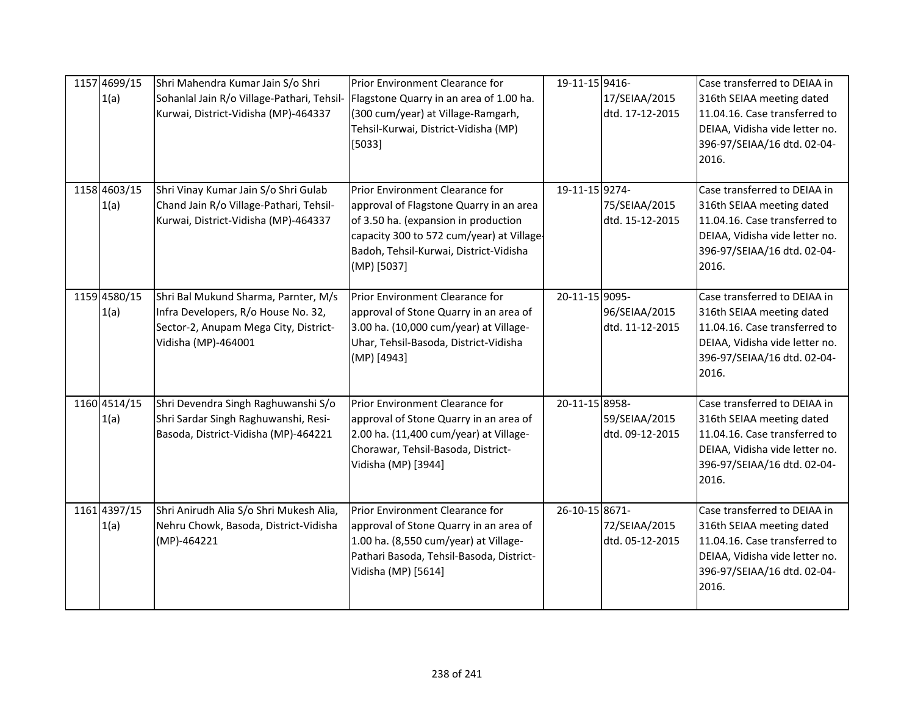| 1157 4699/15<br>1(a) | Shri Mahendra Kumar Jain S/o Shri<br>Sohanlal Jain R/o Village-Pathari, Tehsil-<br>Kurwai, District-Vidisha (MP)-464337                     | Prior Environment Clearance for<br>Flagstone Quarry in an area of 1.00 ha.<br>(300 cum/year) at Village-Ramgarh,<br>Tehsil-Kurwai, District-Vidisha (MP)<br>[5033]                                                       | 19-11-15 9416- | 17/SEIAA/2015<br>dtd. 17-12-2015 | Case transferred to DEIAA in<br>316th SEIAA meeting dated<br>11.04.16. Case transferred to<br>DEIAA, Vidisha vide letter no.<br>396-97/SEIAA/16 dtd. 02-04-<br>2016. |
|----------------------|---------------------------------------------------------------------------------------------------------------------------------------------|--------------------------------------------------------------------------------------------------------------------------------------------------------------------------------------------------------------------------|----------------|----------------------------------|----------------------------------------------------------------------------------------------------------------------------------------------------------------------|
| 1158 4603/15<br>1(a) | Shri Vinay Kumar Jain S/o Shri Gulab<br>Chand Jain R/o Village-Pathari, Tehsil-<br>Kurwai, District-Vidisha (MP)-464337                     | Prior Environment Clearance for<br>approval of Flagstone Quarry in an area<br>of 3.50 ha. (expansion in production<br>capacity 300 to 572 cum/year) at Village-<br>Badoh, Tehsil-Kurwai, District-Vidisha<br>(MP) [5037] | 19-11-15 9274- | 75/SEIAA/2015<br>dtd. 15-12-2015 | Case transferred to DEIAA in<br>316th SEIAA meeting dated<br>11.04.16. Case transferred to<br>DEIAA, Vidisha vide letter no.<br>396-97/SEIAA/16 dtd. 02-04-<br>2016. |
| 1159 4580/15<br>1(a) | Shri Bal Mukund Sharma, Parnter, M/s<br>Infra Developers, R/o House No. 32,<br>Sector-2, Anupam Mega City, District-<br>Vidisha (MP)-464001 | Prior Environment Clearance for<br>approval of Stone Quarry in an area of<br>3.00 ha. (10,000 cum/year) at Village-<br>Uhar, Tehsil-Basoda, District-Vidisha<br>(MP) [4943]                                              | 20-11-15 9095- | 96/SEIAA/2015<br>dtd. 11-12-2015 | Case transferred to DEIAA in<br>316th SEIAA meeting dated<br>11.04.16. Case transferred to<br>DEIAA, Vidisha vide letter no.<br>396-97/SEIAA/16 dtd. 02-04-<br>2016. |
| 1160 4514/15<br>1(a) | Shri Devendra Singh Raghuwanshi S/o<br>Shri Sardar Singh Raghuwanshi, Resi-<br>Basoda, District-Vidisha (MP)-464221                         | Prior Environment Clearance for<br>approval of Stone Quarry in an area of<br>2.00 ha. (11,400 cum/year) at Village-<br>Chorawar, Tehsil-Basoda, District-<br>Vidisha (MP) [3944]                                         | 20-11-15 8958- | 59/SEIAA/2015<br>dtd. 09-12-2015 | Case transferred to DEIAA in<br>316th SEIAA meeting dated<br>11.04.16. Case transferred to<br>DEIAA, Vidisha vide letter no.<br>396-97/SEIAA/16 dtd. 02-04-<br>2016. |
| 1161 4397/15<br>1(a) | Shri Anirudh Alia S/o Shri Mukesh Alia,<br>Nehru Chowk, Basoda, District-Vidisha<br>(MP)-464221                                             | Prior Environment Clearance for<br>approval of Stone Quarry in an area of<br>1.00 ha. (8,550 cum/year) at Village-<br>Pathari Basoda, Tehsil-Basoda, District-<br>Vidisha (MP) [5614]                                    | 26-10-15 8671- | 72/SEIAA/2015<br>dtd. 05-12-2015 | Case transferred to DEIAA in<br>316th SEIAA meeting dated<br>11.04.16. Case transferred to<br>DEIAA, Vidisha vide letter no.<br>396-97/SEIAA/16 dtd. 02-04-<br>2016. |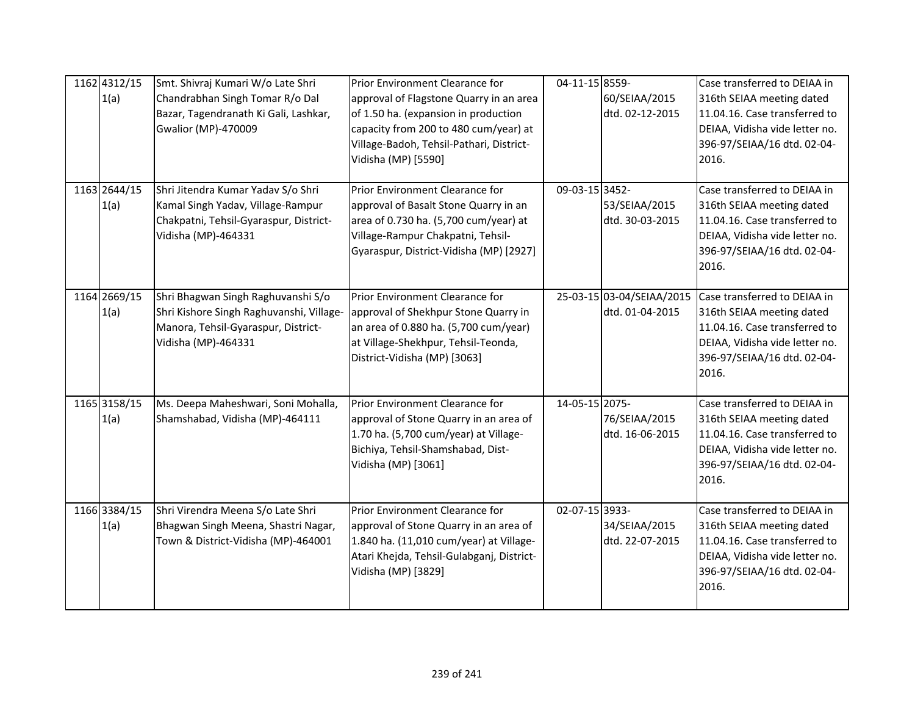| 1162 4312/15<br>1(a) | Smt. Shivraj Kumari W/o Late Shri<br>Chandrabhan Singh Tomar R/o Dal<br>Bazar, Tagendranath Ki Gali, Lashkar,<br>Gwalior (MP)-470009         | Prior Environment Clearance for<br>approval of Flagstone Quarry in an area<br>of 1.50 ha. (expansion in production<br>capacity from 200 to 480 cum/year) at<br>Village-Badoh, Tehsil-Pathari, District-<br>Vidisha (MP) [5590] | 04-11-15 8559- | 60/SEIAA/2015<br>dtd. 02-12-2015             | Case transferred to DEIAA in<br>316th SEIAA meeting dated<br>11.04.16. Case transferred to<br>DEIAA, Vidisha vide letter no.<br>396-97/SEIAA/16 dtd. 02-04-<br>2016. |
|----------------------|----------------------------------------------------------------------------------------------------------------------------------------------|--------------------------------------------------------------------------------------------------------------------------------------------------------------------------------------------------------------------------------|----------------|----------------------------------------------|----------------------------------------------------------------------------------------------------------------------------------------------------------------------|
| 1163 2644/15<br>1(a) | Shri Jitendra Kumar Yadav S/o Shri<br>Kamal Singh Yadav, Village-Rampur<br>Chakpatni, Tehsil-Gyaraspur, District-<br>Vidisha (MP)-464331     | Prior Environment Clearance for<br>approval of Basalt Stone Quarry in an<br>area of 0.730 ha. (5,700 cum/year) at<br>Village-Rampur Chakpatni, Tehsil-<br>Gyaraspur, District-Vidisha (MP) [2927]                              | 09-03-15 3452- | 53/SEIAA/2015<br>dtd. 30-03-2015             | Case transferred to DEIAA in<br>316th SEIAA meeting dated<br>11.04.16. Case transferred to<br>DEIAA, Vidisha vide letter no.<br>396-97/SEIAA/16 dtd. 02-04-<br>2016. |
| 1164 2669/15<br>1(a) | Shri Bhagwan Singh Raghuvanshi S/o<br>Shri Kishore Singh Raghuvanshi, Village-<br>Manora, Tehsil-Gyaraspur, District-<br>Vidisha (MP)-464331 | Prior Environment Clearance for<br>approval of Shekhpur Stone Quarry in<br>an area of 0.880 ha. (5,700 cum/year)<br>at Village-Shekhpur, Tehsil-Teonda,<br>District-Vidisha (MP) [3063]                                        |                | 25-03-15 03-04/SEIAA/2015<br>dtd. 01-04-2015 | Case transferred to DEIAA in<br>316th SEIAA meeting dated<br>11.04.16. Case transferred to<br>DEIAA, Vidisha vide letter no.<br>396-97/SEIAA/16 dtd. 02-04-<br>2016. |
| 1165 3158/15<br>1(a) | Ms. Deepa Maheshwari, Soni Mohalla,<br>Shamshabad, Vidisha (MP)-464111                                                                       | Prior Environment Clearance for<br>approval of Stone Quarry in an area of<br>1.70 ha. (5,700 cum/year) at Village-<br>Bichiya, Tehsil-Shamshabad, Dist-<br>Vidisha (MP) [3061]                                                 | 14-05-15 2075- | 76/SEIAA/2015<br>dtd. 16-06-2015             | Case transferred to DEIAA in<br>316th SEIAA meeting dated<br>11.04.16. Case transferred to<br>DEIAA, Vidisha vide letter no.<br>396-97/SEIAA/16 dtd. 02-04-<br>2016. |
| 1166 3384/15<br>1(a) | Shri Virendra Meena S/o Late Shri<br>Bhagwan Singh Meena, Shastri Nagar,<br>Town & District-Vidisha (MP)-464001                              | Prior Environment Clearance for<br>approval of Stone Quarry in an area of<br>1.840 ha. (11,010 cum/year) at Village-<br>Atari Khejda, Tehsil-Gulabganj, District-<br>Vidisha (MP) [3829]                                       | 02-07-15 3933- | 34/SEIAA/2015<br>dtd. 22-07-2015             | Case transferred to DEIAA in<br>316th SEIAA meeting dated<br>11.04.16. Case transferred to<br>DEIAA, Vidisha vide letter no.<br>396-97/SEIAA/16 dtd. 02-04-<br>2016. |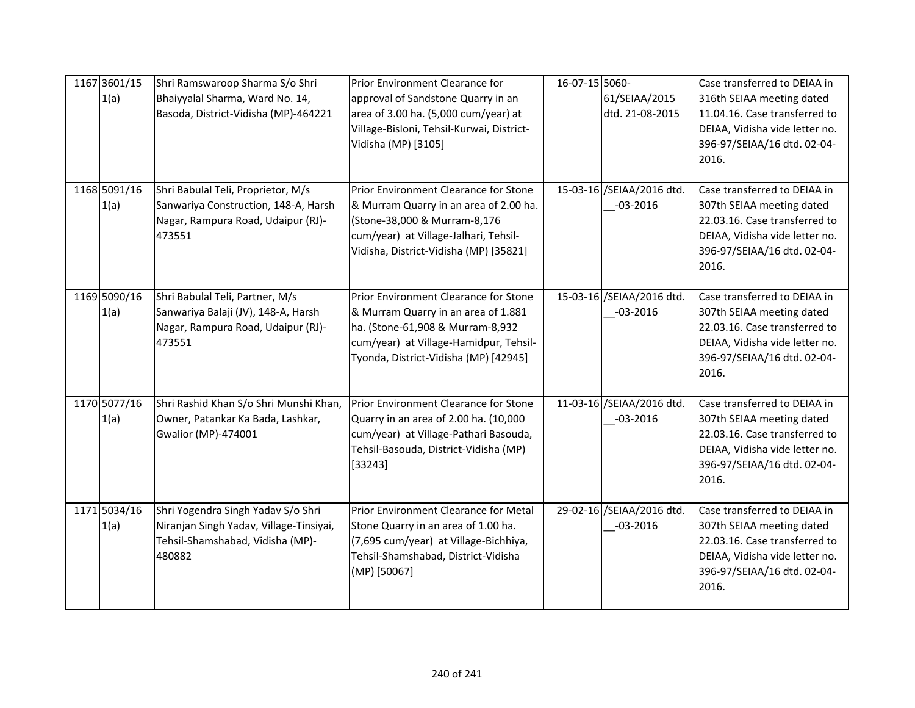| 1167 3601/15<br>1(a) | Shri Ramswaroop Sharma S/o Shri<br>Bhaiyyalal Sharma, Ward No. 14,<br>Basoda, District-Vidisha (MP)-464221                  | Prior Environment Clearance for<br>approval of Sandstone Quarry in an<br>area of 3.00 ha. (5,000 cum/year) at<br>Village-Bisloni, Tehsil-Kurwai, District-<br>Vidisha (MP) [3105]                   | 16-07-15 5060-<br>61/SEIAA/2015<br>dtd. 21-08-2015 | Case transferred to DEIAA in<br>316th SEIAA meeting dated<br>11.04.16. Case transferred to<br>DEIAA, Vidisha vide letter no.<br>396-97/SEIAA/16 dtd. 02-04-<br>2016. |
|----------------------|-----------------------------------------------------------------------------------------------------------------------------|-----------------------------------------------------------------------------------------------------------------------------------------------------------------------------------------------------|----------------------------------------------------|----------------------------------------------------------------------------------------------------------------------------------------------------------------------|
| 1168 5091/16<br>1(a) | Shri Babulal Teli, Proprietor, M/s<br>Sanwariya Construction, 148-A, Harsh<br>Nagar, Rampura Road, Udaipur (RJ)-<br>473551  | Prior Environment Clearance for Stone<br>& Murram Quarry in an area of 2.00 ha.<br>(Stone-38,000 & Murram-8,176<br>cum/year) at Village-Jalhari, Tehsil-<br>Vidisha, District-Vidisha (MP) [35821]  | 15-03-16 /SEIAA/2016 dtd.<br>$-03 - 2016$          | Case transferred to DEIAA in<br>307th SEIAA meeting dated<br>22.03.16. Case transferred to<br>DEIAA, Vidisha vide letter no.<br>396-97/SEIAA/16 dtd. 02-04-<br>2016. |
| 1169 5090/16<br>1(a) | Shri Babulal Teli, Partner, M/s<br>Sanwariya Balaji (JV), 148-A, Harsh<br>Nagar, Rampura Road, Udaipur (RJ)-<br>473551      | Prior Environment Clearance for Stone<br>& Murram Quarry in an area of 1.881<br>ha. (Stone-61,908 & Murram-8,932<br>cum/year) at Village-Hamidpur, Tehsil-<br>Tyonda, District-Vidisha (MP) [42945] | 15-03-16 /SEIAA/2016 dtd.<br>$-03 - 2016$          | Case transferred to DEIAA in<br>307th SEIAA meeting dated<br>22.03.16. Case transferred to<br>DEIAA, Vidisha vide letter no.<br>396-97/SEIAA/16 dtd. 02-04-<br>2016. |
| 1170 5077/16<br>1(a) | Shri Rashid Khan S/o Shri Munshi Khan,<br>Owner, Patankar Ka Bada, Lashkar,<br>Gwalior (MP)-474001                          | Prior Environment Clearance for Stone<br>Quarry in an area of 2.00 ha. (10,000<br>cum/year) at Village-Pathari Basouda,<br>Tehsil-Basouda, District-Vidisha (MP)<br>[33243]                         | 11-03-16 / SEIAA/2016 dtd.<br>$-03 - 2016$         | Case transferred to DEIAA in<br>307th SEIAA meeting dated<br>22.03.16. Case transferred to<br>DEIAA, Vidisha vide letter no.<br>396-97/SEIAA/16 dtd. 02-04-<br>2016. |
| 1171 5034/16<br>1(a) | Shri Yogendra Singh Yadav S/o Shri<br>Niranjan Singh Yadav, Village-Tinsiyai,<br>Tehsil-Shamshabad, Vidisha (MP)-<br>480882 | Prior Environment Clearance for Metal<br>Stone Quarry in an area of 1.00 ha.<br>(7,695 cum/year) at Village-Bichhiya,<br>Tehsil-Shamshabad, District-Vidisha<br>(MP) [50067]                        | 29-02-16 /SEIAA/2016 dtd.<br>$-03 - 2016$          | Case transferred to DEIAA in<br>307th SEIAA meeting dated<br>22.03.16. Case transferred to<br>DEIAA, Vidisha vide letter no.<br>396-97/SEIAA/16 dtd. 02-04-<br>2016. |